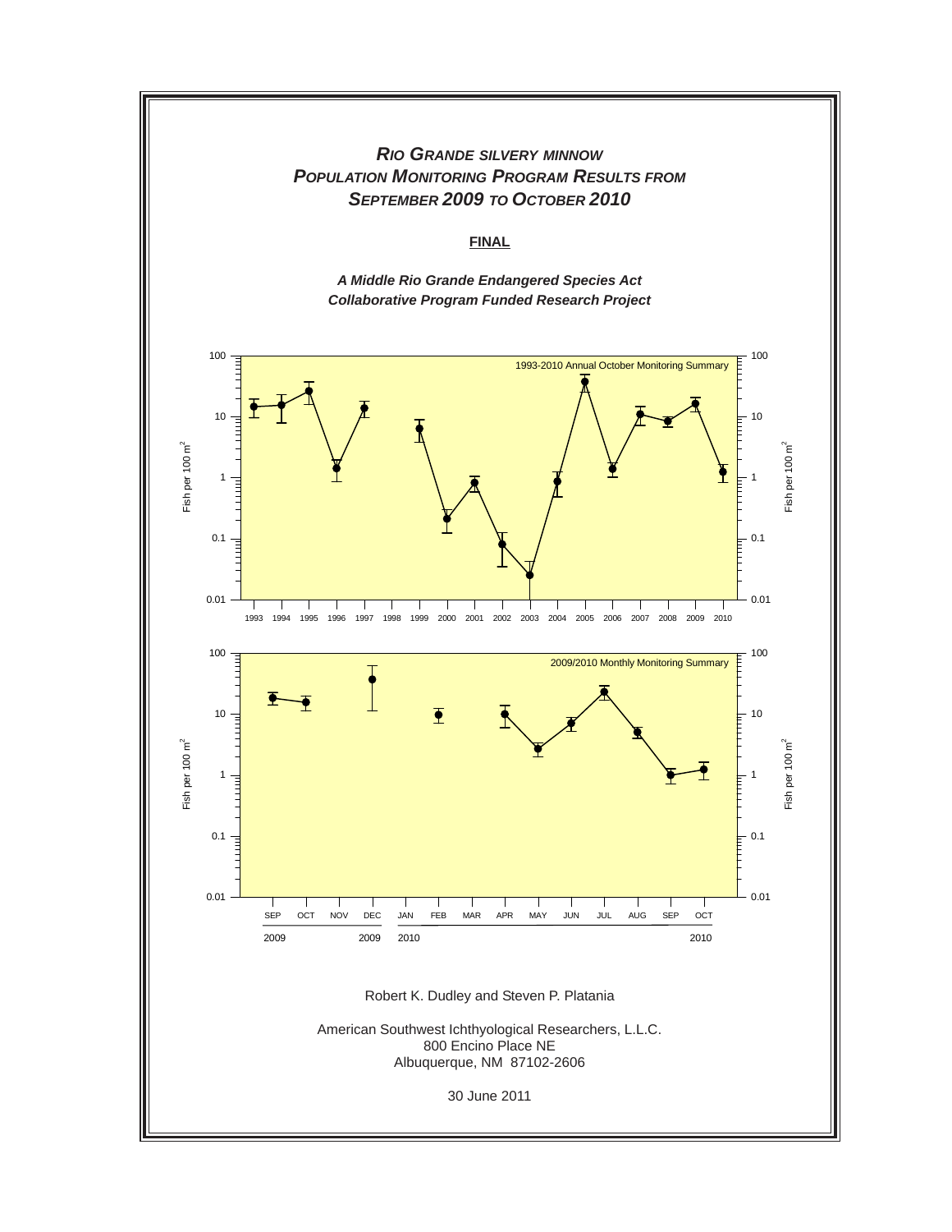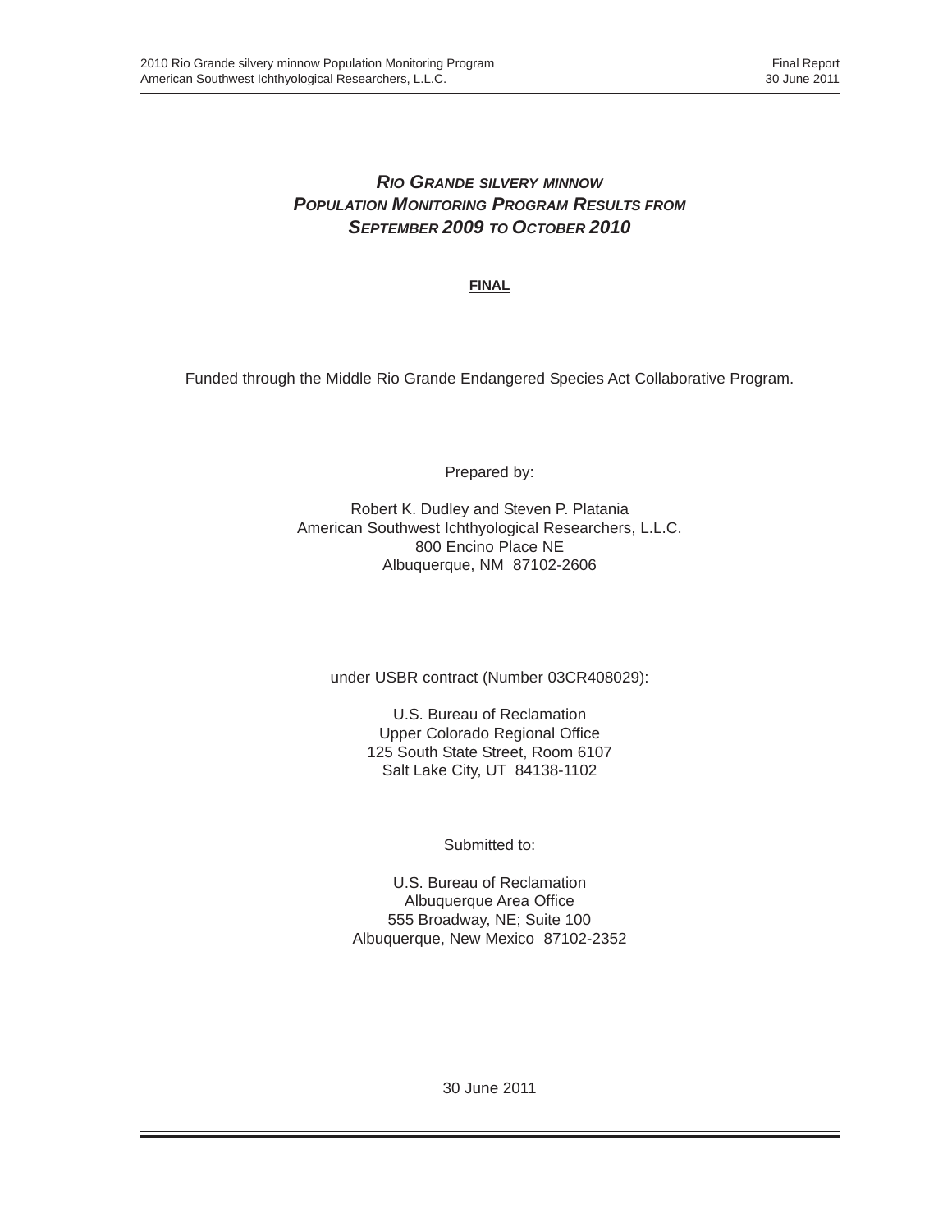# *RIO GRANDE SILVERY MINNOW POPULATION MONITORING PROGRAM RESULTS FROM SEPTEMBER 2009 TO OCTOBER 2010*

**FINAL**

Funded through the Middle Rio Grande Endangered Species Act Collaborative Program.

Prepared by:

Robert K. Dudley and Steven P. Platania American Southwest Ichthyological Researchers, L.L.C. 800 Encino Place NE Albuquerque, NM 87102-2606

under USBR contract (Number 03CR408029):

U.S. Bureau of Reclamation Upper Colorado Regional Office 125 South State Street, Room 6107 Salt Lake City, UT 84138-1102

Submitted to:

U.S. Bureau of Reclamation Albuquerque Area Office 555 Broadway, NE; Suite 100 Albuquerque, New Mexico 87102-2352

30 June 2011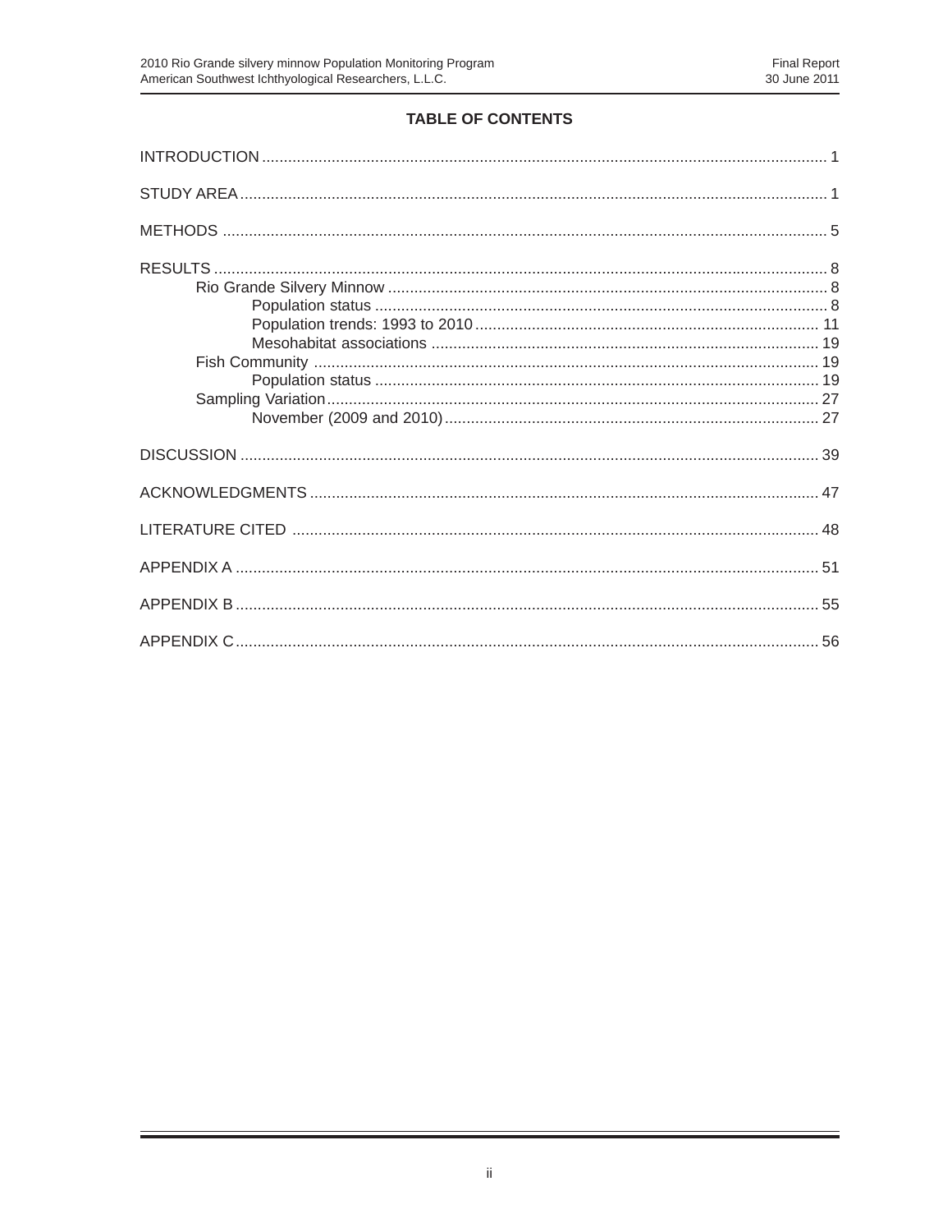Ξ

# TABLE OF CONTENTS

Ξ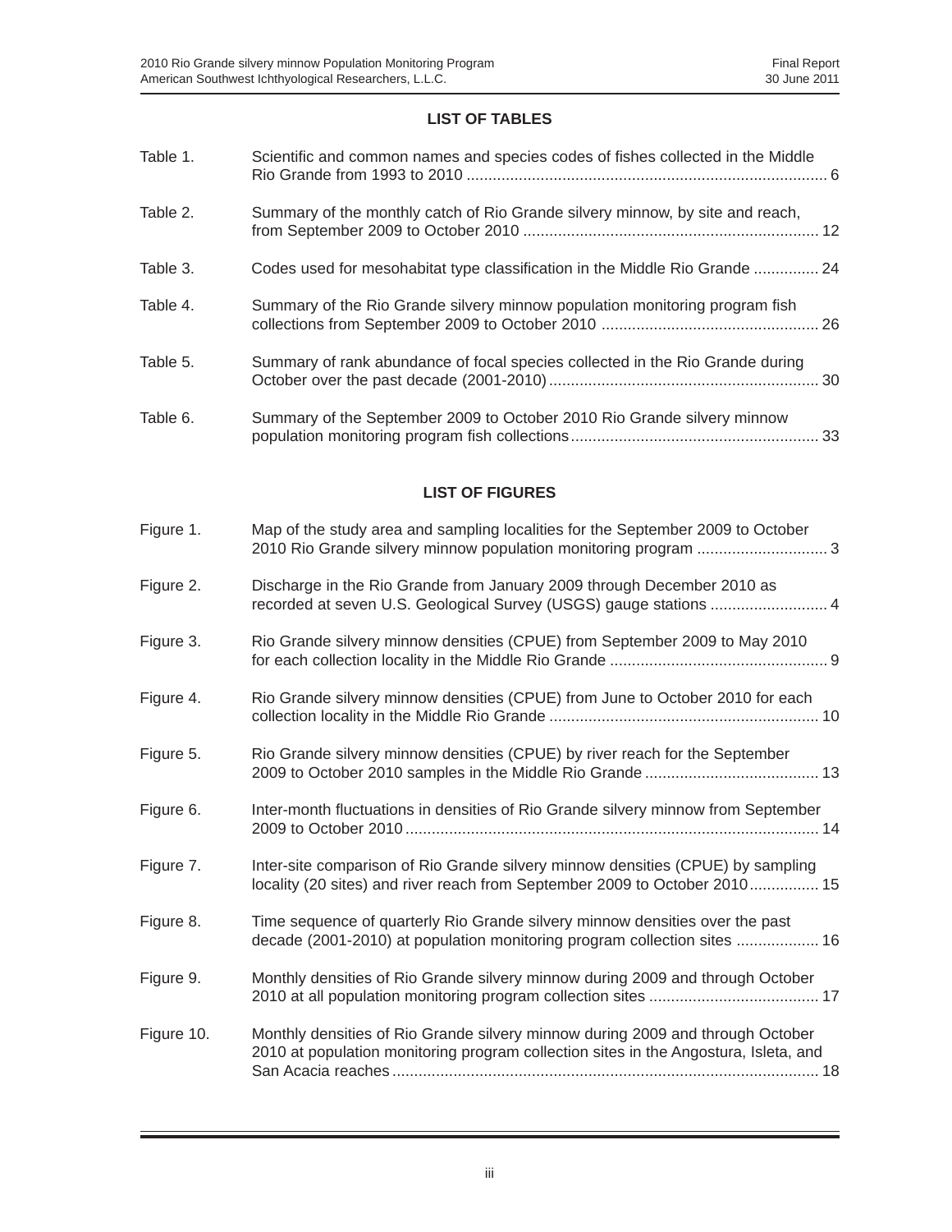### **LIST OF TABLES**

| Table 1.   | Scientific and common names and species codes of fishes collected in the Middle                                                                               |
|------------|---------------------------------------------------------------------------------------------------------------------------------------------------------------|
| Table 2.   | Summary of the monthly catch of Rio Grande silvery minnow, by site and reach,                                                                                 |
| Table 3.   | Codes used for mesohabitat type classification in the Middle Rio Grande  24                                                                                   |
| Table 4.   | Summary of the Rio Grande silvery minnow population monitoring program fish                                                                                   |
| Table 5.   | Summary of rank abundance of focal species collected in the Rio Grande during                                                                                 |
| Table 6.   | Summary of the September 2009 to October 2010 Rio Grande silvery minnow                                                                                       |
|            | <b>LIST OF FIGURES</b>                                                                                                                                        |
| Figure 1.  | Map of the study area and sampling localities for the September 2009 to October                                                                               |
| Figure 2.  | Discharge in the Rio Grande from January 2009 through December 2010 as<br>recorded at seven U.S. Geological Survey (USGS) gauge stations  4                   |
| Figure 3.  | Rio Grande silvery minnow densities (CPUE) from September 2009 to May 2010                                                                                    |
| Figure 4.  | Rio Grande silvery minnow densities (CPUE) from June to October 2010 for each                                                                                 |
| Figure 5.  | Rio Grande silvery minnow densities (CPUE) by river reach for the September                                                                                   |
| Figure 6.  | Inter-month fluctuations in densities of Rio Grande silvery minnow from September                                                                             |
| Figure 7.  | Inter-site comparison of Rio Grande silvery minnow densities (CPUE) by sampling<br>locality (20 sites) and river reach from September 2009 to October 2010 15 |
| Figure 8.  | Time sequence of quarterly Rio Grande silvery minnow densities over the past<br>decade (2001-2010) at population monitoring program collection sites  16      |
| Figure 9.  | Monthly densities of Rio Grande silvery minnow during 2009 and through October                                                                                |
| Figure 10. | Monthly densities of Rio Grande silvery minnow during 2009 and through October                                                                                |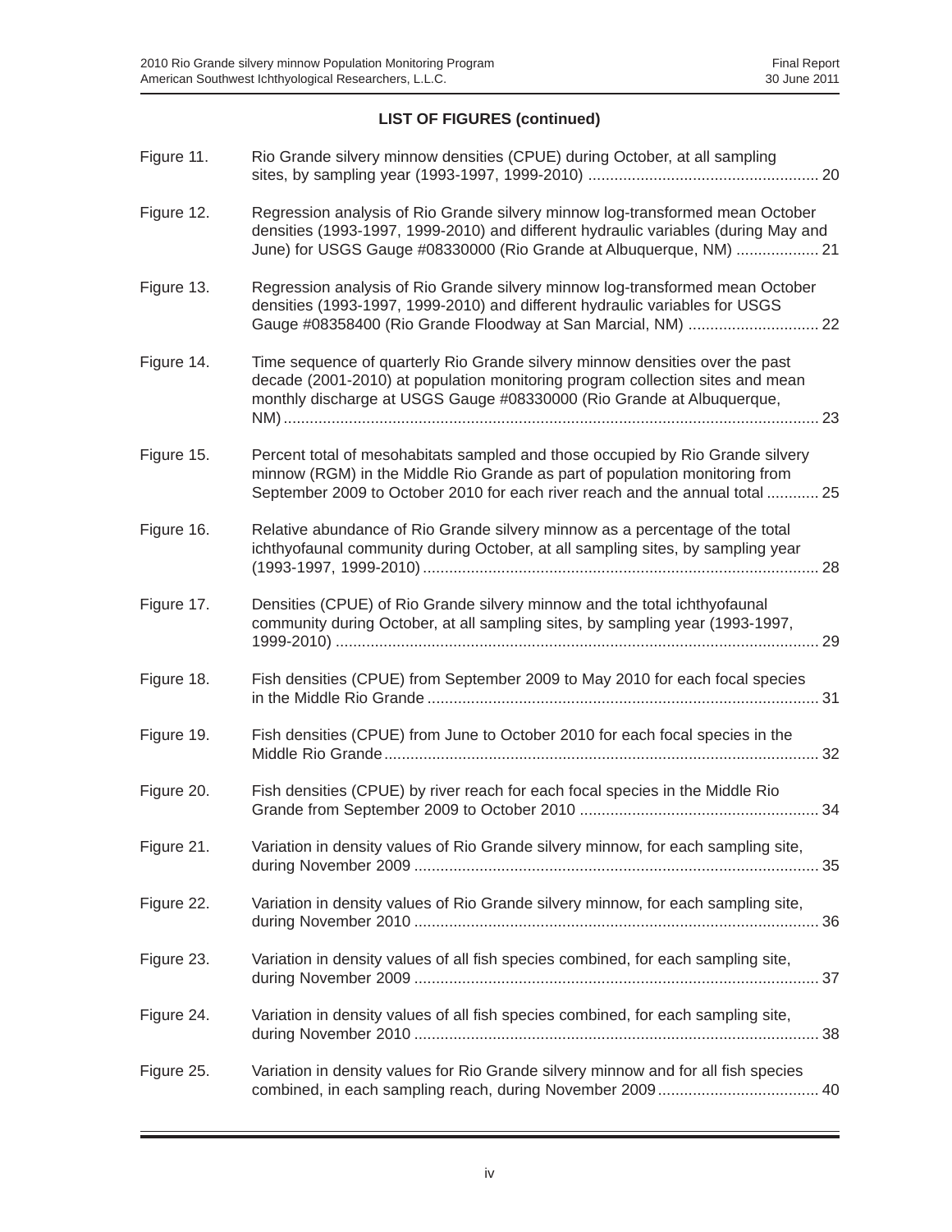Ξ

# **LIST OF FIGURES (continued)**

| Figure 11. | Rio Grande silvery minnow densities (CPUE) during October, at all sampling                                                                                                                                                                    |
|------------|-----------------------------------------------------------------------------------------------------------------------------------------------------------------------------------------------------------------------------------------------|
| Figure 12. | Regression analysis of Rio Grande silvery minnow log-transformed mean October<br>densities (1993-1997, 1999-2010) and different hydraulic variables (during May and<br>June) for USGS Gauge #08330000 (Rio Grande at Albuquerque, NM)  21     |
| Figure 13. | Regression analysis of Rio Grande silvery minnow log-transformed mean October<br>densities (1993-1997, 1999-2010) and different hydraulic variables for USGS<br>Gauge #08358400 (Rio Grande Floodway at San Marcial, NM)  22                  |
| Figure 14. | Time sequence of quarterly Rio Grande silvery minnow densities over the past<br>decade (2001-2010) at population monitoring program collection sites and mean<br>monthly discharge at USGS Gauge #08330000 (Rio Grande at Albuquerque,<br>23  |
| Figure 15. | Percent total of mesohabitats sampled and those occupied by Rio Grande silvery<br>minnow (RGM) in the Middle Rio Grande as part of population monitoring from<br>September 2009 to October 2010 for each river reach and the annual total  25 |
| Figure 16. | Relative abundance of Rio Grande silvery minnow as a percentage of the total<br>ichthyofaunal community during October, at all sampling sites, by sampling year                                                                               |
| Figure 17. | Densities (CPUE) of Rio Grande silvery minnow and the total ichthyofaunal<br>community during October, at all sampling sites, by sampling year (1993-1997,<br>29                                                                              |
| Figure 18. | Fish densities (CPUE) from September 2009 to May 2010 for each focal species                                                                                                                                                                  |
| Figure 19. | Fish densities (CPUE) from June to October 2010 for each focal species in the<br>32                                                                                                                                                           |
| Figure 20. | Fish densities (CPUE) by river reach for each focal species in the Middle Rio                                                                                                                                                                 |
| Figure 21. | Variation in density values of Rio Grande silvery minnow, for each sampling site,                                                                                                                                                             |
| Figure 22. | Variation in density values of Rio Grande silvery minnow, for each sampling site,                                                                                                                                                             |
| Figure 23. | Variation in density values of all fish species combined, for each sampling site,                                                                                                                                                             |
| Figure 24. | Variation in density values of all fish species combined, for each sampling site,                                                                                                                                                             |
| Figure 25. | Variation in density values for Rio Grande silvery minnow and for all fish species                                                                                                                                                            |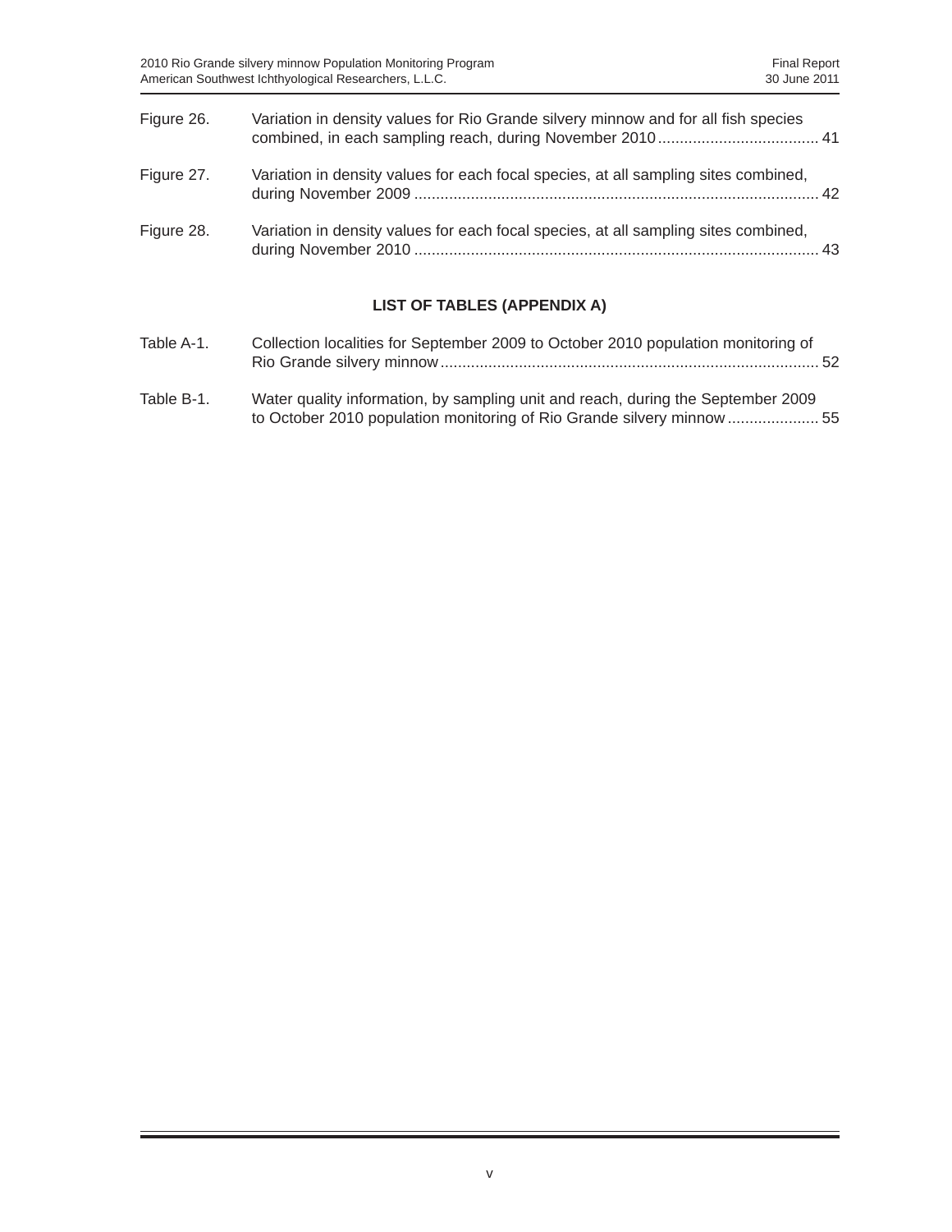| Figure 26. | Variation in density values for Rio Grande silvery minnow and for all fish species  |  |
|------------|-------------------------------------------------------------------------------------|--|
| Figure 27. | Variation in density values for each focal species, at all sampling sites combined, |  |
| Figure 28. | Variation in density values for each focal species, at all sampling sites combined, |  |

# **LIST OF TABLES (APPENDIX A)**

| Table A-1. | Collection localities for September 2009 to October 2010 population monitoring of |  |
|------------|-----------------------------------------------------------------------------------|--|
| Table B-1. | Water quality information, by sampling unit and reach, during the September 2009  |  |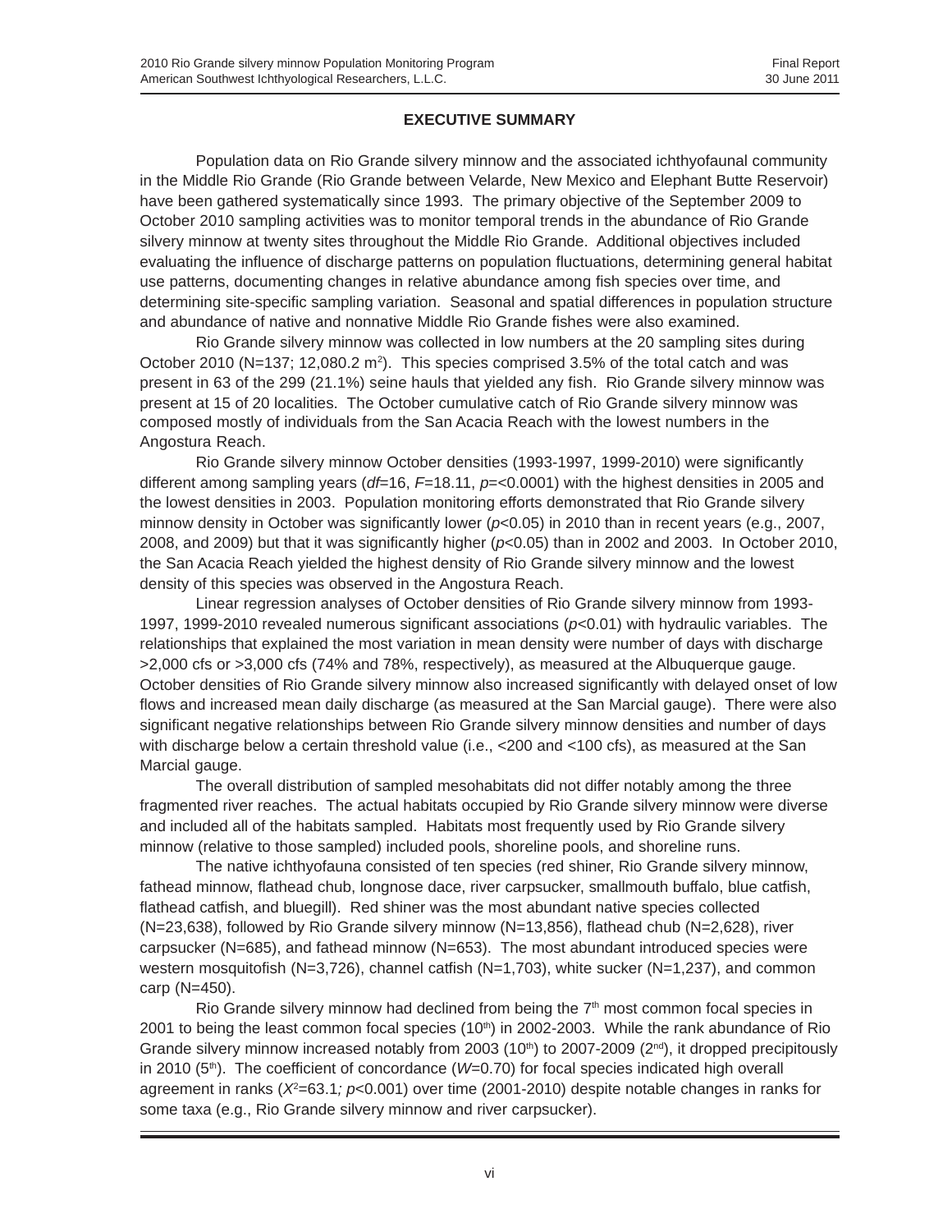### **EXECUTIVE SUMMARY**

Population data on Rio Grande silvery minnow and the associated ichthyofaunal community in the Middle Rio Grande (Rio Grande between Velarde, New Mexico and Elephant Butte Reservoir) have been gathered systematically since 1993. The primary objective of the September 2009 to October 2010 sampling activities was to monitor temporal trends in the abundance of Rio Grande silvery minnow at twenty sites throughout the Middle Rio Grande. Additional objectives included evaluating the influence of discharge patterns on population fluctuations, determining general habitat use patterns, documenting changes in relative abundance among fish species over time, and determining site-specific sampling variation. Seasonal and spatial differences in population structure and abundance of native and nonnative Middle Rio Grande fishes were also examined.

Rio Grande silvery minnow was collected in low numbers at the 20 sampling sites during October 2010 (N=137; 12,080.2 m<sup>2</sup>). This species comprised 3.5% of the total catch and was present in 63 of the 299 (21.1%) seine hauls that yielded any fish. Rio Grande silvery minnow was present at 15 of 20 localities. The October cumulative catch of Rio Grande silvery minnow was composed mostly of individuals from the San Acacia Reach with the lowest numbers in the Angostura Reach.

Rio Grande silvery minnow October densities (1993-1997, 1999-2010) were significantly different among sampling years (*df*=16, *F*=18.11, *p*=<0.0001) with the highest densities in 2005 and the lowest densities in 2003. Population monitoring efforts demonstrated that Rio Grande silvery minnow density in October was significantly lower ( $p<0.05$ ) in 2010 than in recent years (e.g., 2007, 2008, and 2009) but that it was significantly higher (*p*<0.05) than in 2002 and 2003. In October 2010, the San Acacia Reach yielded the highest density of Rio Grande silvery minnow and the lowest density of this species was observed in the Angostura Reach.

Linear regression analyses of October densities of Rio Grande silvery minnow from 1993- 1997, 1999-2010 revealed numerous significant associations (*p*<0.01) with hydraulic variables. The relationships that explained the most variation in mean density were number of days with discharge >2,000 cfs or >3,000 cfs (74% and 78%, respectively), as measured at the Albuquerque gauge. October densities of Rio Grande silvery minnow also increased significantly with delayed onset of low flows and increased mean daily discharge (as measured at the San Marcial gauge). There were also significant negative relationships between Rio Grande silvery minnow densities and number of days with discharge below a certain threshold value (i.e., <200 and <100 cfs), as measured at the San Marcial gauge.

The overall distribution of sampled mesohabitats did not differ notably among the three fragmented river reaches. The actual habitats occupied by Rio Grande silvery minnow were diverse and included all of the habitats sampled. Habitats most frequently used by Rio Grande silvery minnow (relative to those sampled) included pools, shoreline pools, and shoreline runs.

The native ichthyofauna consisted of ten species (red shiner, Rio Grande silvery minnow, fathead minnow, flathead chub, longnose dace, river carpsucker, smallmouth buffalo, blue catfish, flathead catfish, and bluegill). Red shiner was the most abundant native species collected (N=23,638), followed by Rio Grande silvery minnow (N=13,856), flathead chub (N=2,628), river carpsucker (N=685), and fathead minnow (N=653). The most abundant introduced species were western mosquitofish (N=3,726), channel catfish (N=1,703), white sucker (N=1,237), and common carp (N=450).

Rio Grande silvery minnow had declined from being the  $7<sup>th</sup>$  most common focal species in 2001 to being the least common focal species  $(10<sup>th</sup>)$  in 2002-2003. While the rank abundance of Rio Grande silvery minnow increased notably from 2003 (10<sup>th</sup>) to 2007-2009 ( $2<sup>nd</sup>$ ), it dropped precipitously in 2010 (5<sup>th</sup>). The coefficient of concordance (*W*=0.70) for focal species indicated high overall agreement in ranks (*X*<sup>2</sup>=63.1; *p*<0.001) over time (2001-2010) despite notable changes in ranks for some taxa (e.g., Rio Grande silvery minnow and river carpsucker).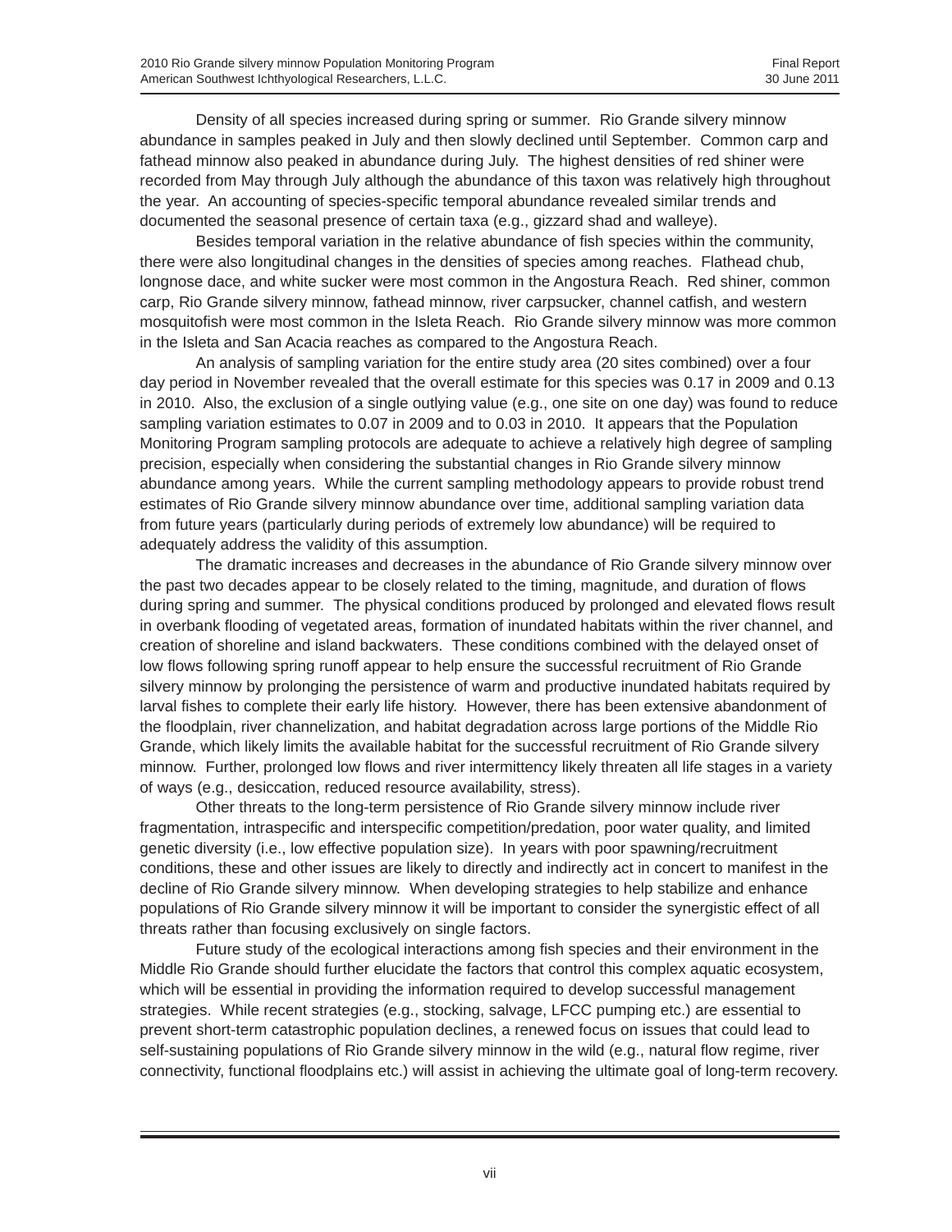Density of all species increased during spring or summer. Rio Grande silvery minnow abundance in samples peaked in July and then slowly declined until September. Common carp and fathead minnow also peaked in abundance during July. The highest densities of red shiner were recorded from May through July although the abundance of this taxon was relatively high throughout the year. An accounting of species-specific temporal abundance revealed similar trends and documented the seasonal presence of certain taxa (e.g., gizzard shad and walleye).

Besides temporal variation in the relative abundance of fish species within the community, there were also longitudinal changes in the densities of species among reaches. Flathead chub, longnose dace, and white sucker were most common in the Angostura Reach. Red shiner, common carp, Rio Grande silvery minnow, fathead minnow, river carpsucker, channel catfish, and western mosquitofish were most common in the Isleta Reach. Rio Grande silvery minnow was more common in the Isleta and San Acacia reaches as compared to the Angostura Reach.

An analysis of sampling variation for the entire study area (20 sites combined) over a four day period in November revealed that the overall estimate for this species was 0.17 in 2009 and 0.13 in 2010. Also, the exclusion of a single outlying value (e.g., one site on one day) was found to reduce sampling variation estimates to 0.07 in 2009 and to 0.03 in 2010. It appears that the Population Monitoring Program sampling protocols are adequate to achieve a relatively high degree of sampling precision, especially when considering the substantial changes in Rio Grande silvery minnow abundance among years. While the current sampling methodology appears to provide robust trend estimates of Rio Grande silvery minnow abundance over time, additional sampling variation data from future years (particularly during periods of extremely low abundance) will be required to adequately address the validity of this assumption.

The dramatic increases and decreases in the abundance of Rio Grande silvery minnow over the past two decades appear to be closely related to the timing, magnitude, and duration of flows during spring and summer. The physical conditions produced by prolonged and elevated flows result in overbank flooding of vegetated areas, formation of inundated habitats within the river channel, and creation of shoreline and island backwaters. These conditions combined with the delayed onset of low flows following spring runoff appear to help ensure the successful recruitment of Rio Grande silvery minnow by prolonging the persistence of warm and productive inundated habitats required by larval fishes to complete their early life history. However, there has been extensive abandonment of the floodplain, river channelization, and habitat degradation across large portions of the Middle Rio Grande, which likely limits the available habitat for the successful recruitment of Rio Grande silvery minnow. Further, prolonged low flows and river intermittency likely threaten all life stages in a variety of ways (e.g., desiccation, reduced resource availability, stress).

Other threats to the long-term persistence of Rio Grande silvery minnow include river fragmentation, intraspecific and interspecific competition/predation, poor water quality, and limited genetic diversity (i.e., low effective population size). In years with poor spawning/recruitment conditions, these and other issues are likely to directly and indirectly act in concert to manifest in the decline of Rio Grande silvery minnow. When developing strategies to help stabilize and enhance populations of Rio Grande silvery minnow it will be important to consider the synergistic effect of all threats rather than focusing exclusively on single factors.

Future study of the ecological interactions among fish species and their environment in the Middle Rio Grande should further elucidate the factors that control this complex aquatic ecosystem, which will be essential in providing the information required to develop successful management strategies. While recent strategies (e.g., stocking, salvage, LFCC pumping etc.) are essential to prevent short-term catastrophic population declines, a renewed focus on issues that could lead to self-sustaining populations of Rio Grande silvery minnow in the wild (e.g., natural flow regime, river connectivity, functional floodplains etc.) will assist in achieving the ultimate goal of long-term recovery.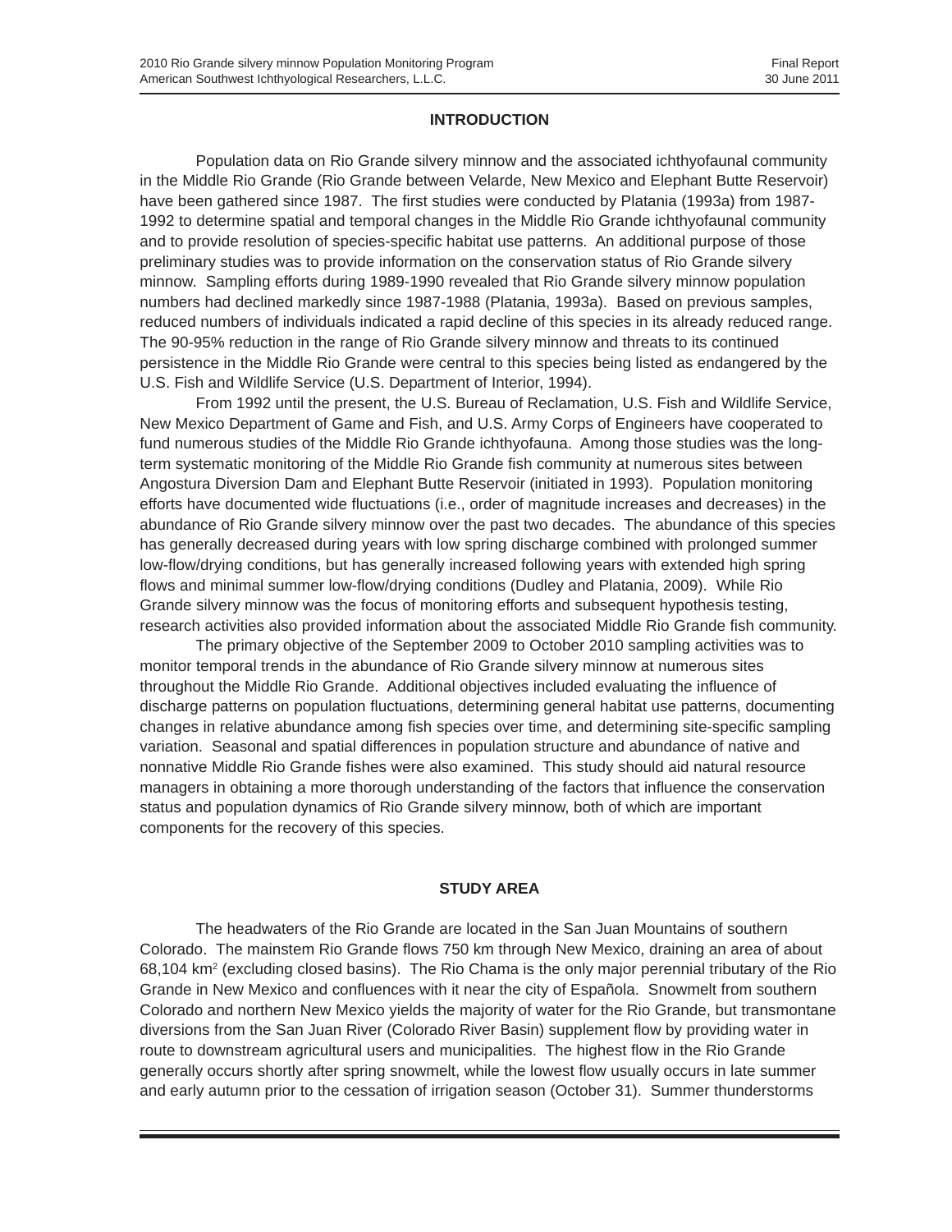#### **INTRODUCTION**

Population data on Rio Grande silvery minnow and the associated ichthyofaunal community in the Middle Rio Grande (Rio Grande between Velarde, New Mexico and Elephant Butte Reservoir) have been gathered since 1987. The first studies were conducted by Platania (1993a) from 1987- 1992 to determine spatial and temporal changes in the Middle Rio Grande ichthyofaunal community and to provide resolution of species-specific habitat use patterns. An additional purpose of those preliminary studies was to provide information on the conservation status of Rio Grande silvery minnow. Sampling efforts during 1989-1990 revealed that Rio Grande silvery minnow population numbers had declined markedly since 1987-1988 (Platania, 1993a). Based on previous samples, reduced numbers of individuals indicated a rapid decline of this species in its already reduced range. The 90-95% reduction in the range of Rio Grande silvery minnow and threats to its continued persistence in the Middle Rio Grande were central to this species being listed as endangered by the U.S. Fish and Wildlife Service (U.S. Department of Interior, 1994).

From 1992 until the present, the U.S. Bureau of Reclamation, U.S. Fish and Wildlife Service, New Mexico Department of Game and Fish, and U.S. Army Corps of Engineers have cooperated to fund numerous studies of the Middle Rio Grande ichthyofauna. Among those studies was the longterm systematic monitoring of the Middle Rio Grande fish community at numerous sites between Angostura Diversion Dam and Elephant Butte Reservoir (initiated in 1993). Population monitoring efforts have documented wide fluctuations (i.e., order of magnitude increases and decreases) in the abundance of Rio Grande silvery minnow over the past two decades. The abundance of this species has generally decreased during years with low spring discharge combined with prolonged summer low-flow/drying conditions, but has generally increased following years with extended high spring flows and minimal summer low-flow/drying conditions (Dudley and Platania, 2009). While Rio Grande silvery minnow was the focus of monitoring efforts and subsequent hypothesis testing, research activities also provided information about the associated Middle Rio Grande fish community.

The primary objective of the September 2009 to October 2010 sampling activities was to monitor temporal trends in the abundance of Rio Grande silvery minnow at numerous sites throughout the Middle Rio Grande. Additional objectives included evaluating the influence of discharge patterns on population fluctuations, determining general habitat use patterns, documenting changes in relative abundance among fish species over time, and determining site-specific sampling variation. Seasonal and spatial differences in population structure and abundance of native and nonnative Middle Rio Grande fishes were also examined. This study should aid natural resource managers in obtaining a more thorough understanding of the factors that influence the conservation status and population dynamics of Rio Grande silvery minnow, both of which are important components for the recovery of this species.

#### **STUDY AREA**

The headwaters of the Rio Grande are located in the San Juan Mountains of southern Colorado. The mainstem Rio Grande flows 750 km through New Mexico, draining an area of about 68,104 km<sup>2</sup> (excluding closed basins). The Rio Chama is the only major perennial tributary of the Rio Grande in New Mexico and confluences with it near the city of Española. Snowmelt from southern Colorado and northern New Mexico yields the majority of water for the Rio Grande, but transmontane diversions from the San Juan River (Colorado River Basin) supplement flow by providing water in route to downstream agricultural users and municipalities. The highest flow in the Rio Grande generally occurs shortly after spring snowmelt, while the lowest flow usually occurs in late summer and early autumn prior to the cessation of irrigation season (October 31). Summer thunderstorms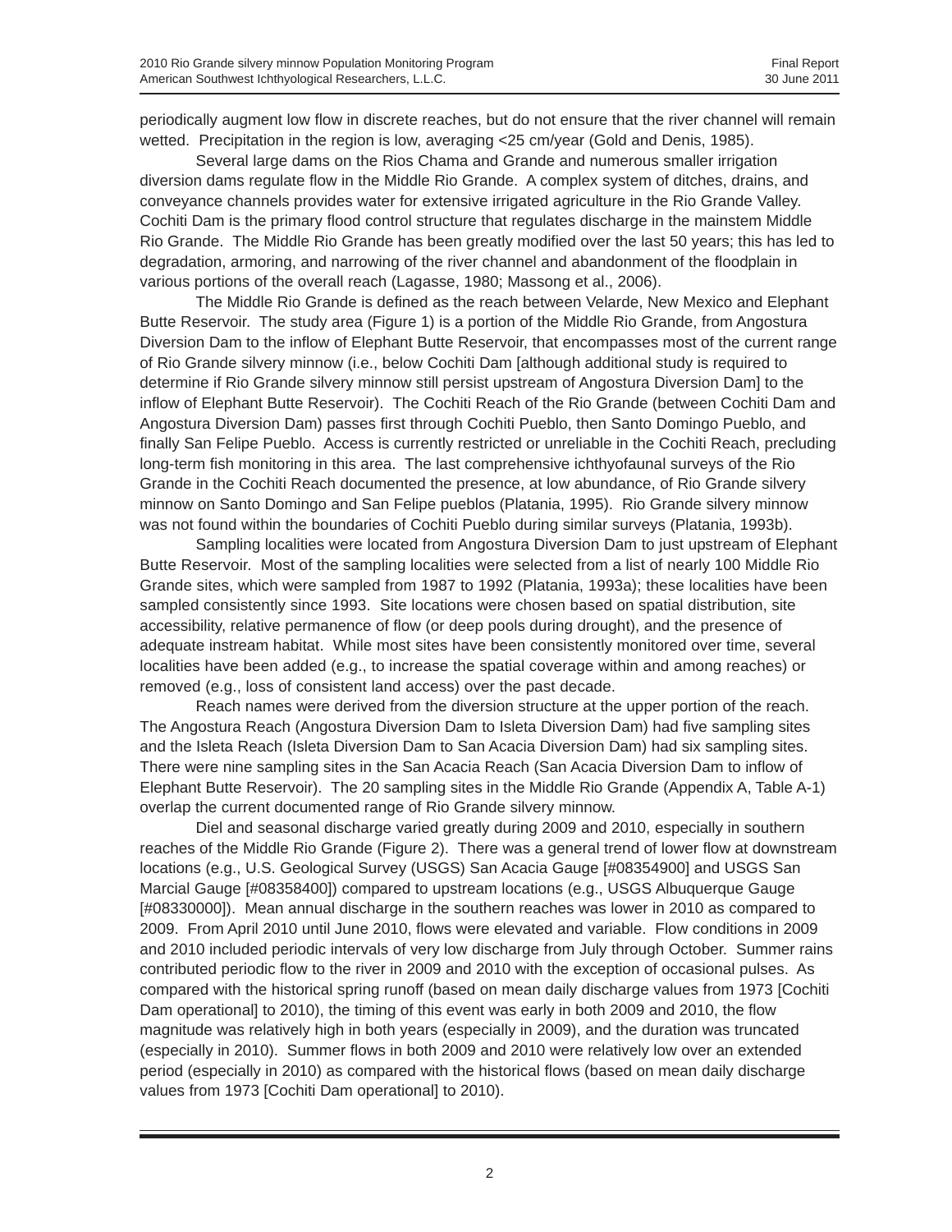periodically augment low flow in discrete reaches, but do not ensure that the river channel will remain wetted. Precipitation in the region is low, averaging <25 cm/year (Gold and Denis, 1985).

Several large dams on the Rios Chama and Grande and numerous smaller irrigation diversion dams regulate flow in the Middle Rio Grande. A complex system of ditches, drains, and conveyance channels provides water for extensive irrigated agriculture in the Rio Grande Valley. Cochiti Dam is the primary flood control structure that regulates discharge in the mainstem Middle Rio Grande. The Middle Rio Grande has been greatly modified over the last 50 years; this has led to degradation, armoring, and narrowing of the river channel and abandonment of the floodplain in various portions of the overall reach (Lagasse, 1980; Massong et al., 2006).

The Middle Rio Grande is defined as the reach between Velarde, New Mexico and Elephant Butte Reservoir. The study area (Figure 1) is a portion of the Middle Rio Grande, from Angostura Diversion Dam to the inflow of Elephant Butte Reservoir, that encompasses most of the current range of Rio Grande silvery minnow (i.e., below Cochiti Dam [although additional study is required to determine if Rio Grande silvery minnow still persist upstream of Angostura Diversion Dam] to the inflow of Elephant Butte Reservoir). The Cochiti Reach of the Rio Grande (between Cochiti Dam and Angostura Diversion Dam) passes first through Cochiti Pueblo, then Santo Domingo Pueblo, and finally San Felipe Pueblo. Access is currently restricted or unreliable in the Cochiti Reach, precluding long-term fish monitoring in this area. The last comprehensive ichthyofaunal surveys of the Rio Grande in the Cochiti Reach documented the presence, at low abundance, of Rio Grande silvery minnow on Santo Domingo and San Felipe pueblos (Platania, 1995). Rio Grande silvery minnow was not found within the boundaries of Cochiti Pueblo during similar surveys (Platania, 1993b).

Sampling localities were located from Angostura Diversion Dam to just upstream of Elephant Butte Reservoir. Most of the sampling localities were selected from a list of nearly 100 Middle Rio Grande sites, which were sampled from 1987 to 1992 (Platania, 1993a); these localities have been sampled consistently since 1993. Site locations were chosen based on spatial distribution, site accessibility, relative permanence of flow (or deep pools during drought), and the presence of adequate instream habitat. While most sites have been consistently monitored over time, several localities have been added (e.g., to increase the spatial coverage within and among reaches) or removed (e.g., loss of consistent land access) over the past decade.

Reach names were derived from the diversion structure at the upper portion of the reach. The Angostura Reach (Angostura Diversion Dam to Isleta Diversion Dam) had five sampling sites and the Isleta Reach (Isleta Diversion Dam to San Acacia Diversion Dam) had six sampling sites. There were nine sampling sites in the San Acacia Reach (San Acacia Diversion Dam to inflow of Elephant Butte Reservoir). The 20 sampling sites in the Middle Rio Grande (Appendix A, Table A-1) overlap the current documented range of Rio Grande silvery minnow.

Diel and seasonal discharge varied greatly during 2009 and 2010, especially in southern reaches of the Middle Rio Grande (Figure 2). There was a general trend of lower flow at downstream locations (e.g., U.S. Geological Survey (USGS) San Acacia Gauge [#08354900] and USGS San Marcial Gauge [#08358400]) compared to upstream locations (e.g., USGS Albuquerque Gauge [#08330000]). Mean annual discharge in the southern reaches was lower in 2010 as compared to 2009. From April 2010 until June 2010, flows were elevated and variable. Flow conditions in 2009 and 2010 included periodic intervals of very low discharge from July through October. Summer rains contributed periodic flow to the river in 2009 and 2010 with the exception of occasional pulses. As compared with the historical spring runoff (based on mean daily discharge values from 1973 [Cochiti Dam operational] to 2010), the timing of this event was early in both 2009 and 2010, the flow magnitude was relatively high in both years (especially in 2009), and the duration was truncated (especially in 2010). Summer flows in both 2009 and 2010 were relatively low over an extended period (especially in 2010) as compared with the historical flows (based on mean daily discharge values from 1973 [Cochiti Dam operational] to 2010).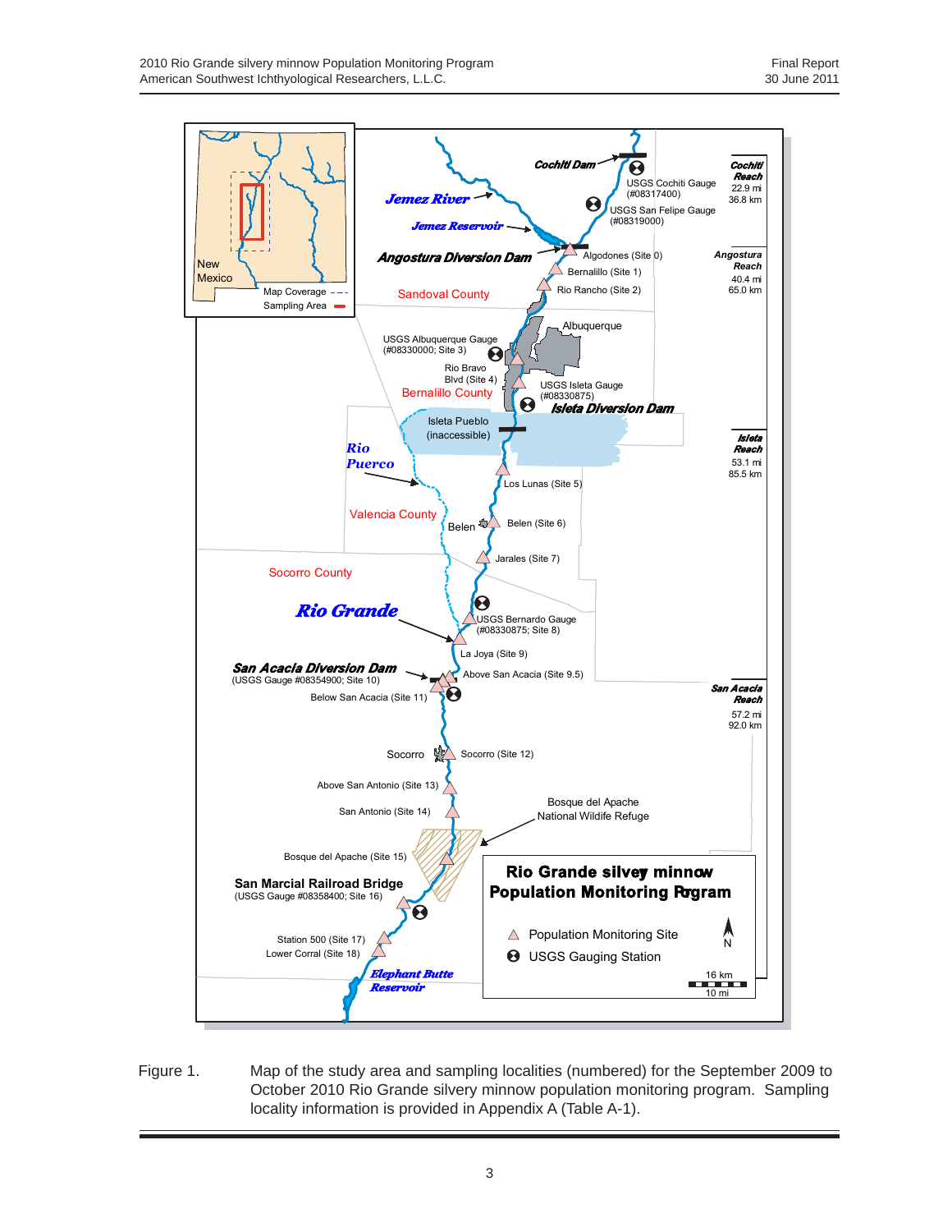

Figure 1. Map of the study area and sampling localities (numbered) for the September 2009 to October 2010 Rio Grande silvery minnow population monitoring program. Sampling locality information is provided in Appendix A (Table A-1).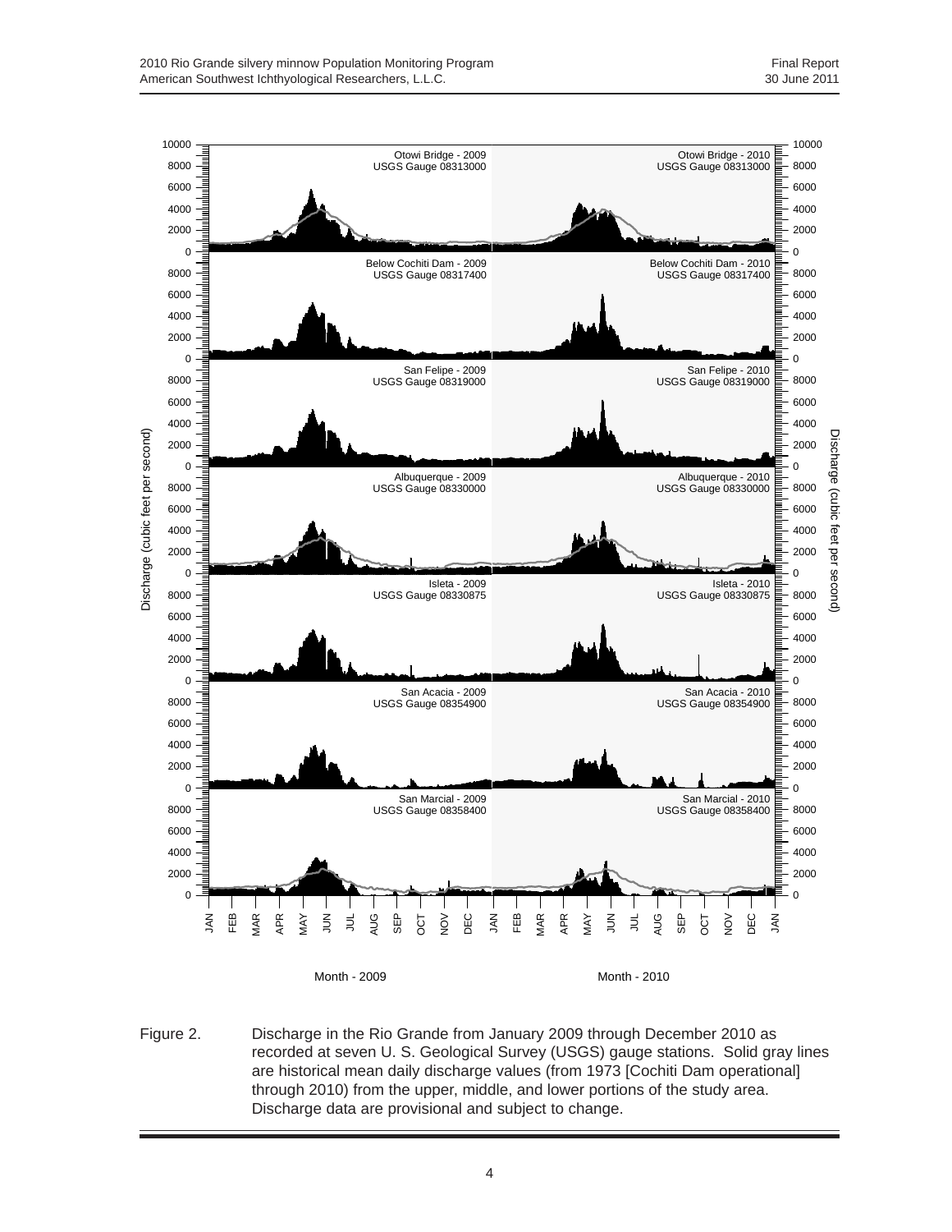

Figure 2. Discharge in the Rio Grande from January 2009 through December 2010 as recorded at seven U. S. Geological Survey (USGS) gauge stations. Solid gray lines are historical mean daily discharge values (from 1973 [Cochiti Dam operational] through 2010) from the upper, middle, and lower portions of the study area. Discharge data are provisional and subject to change.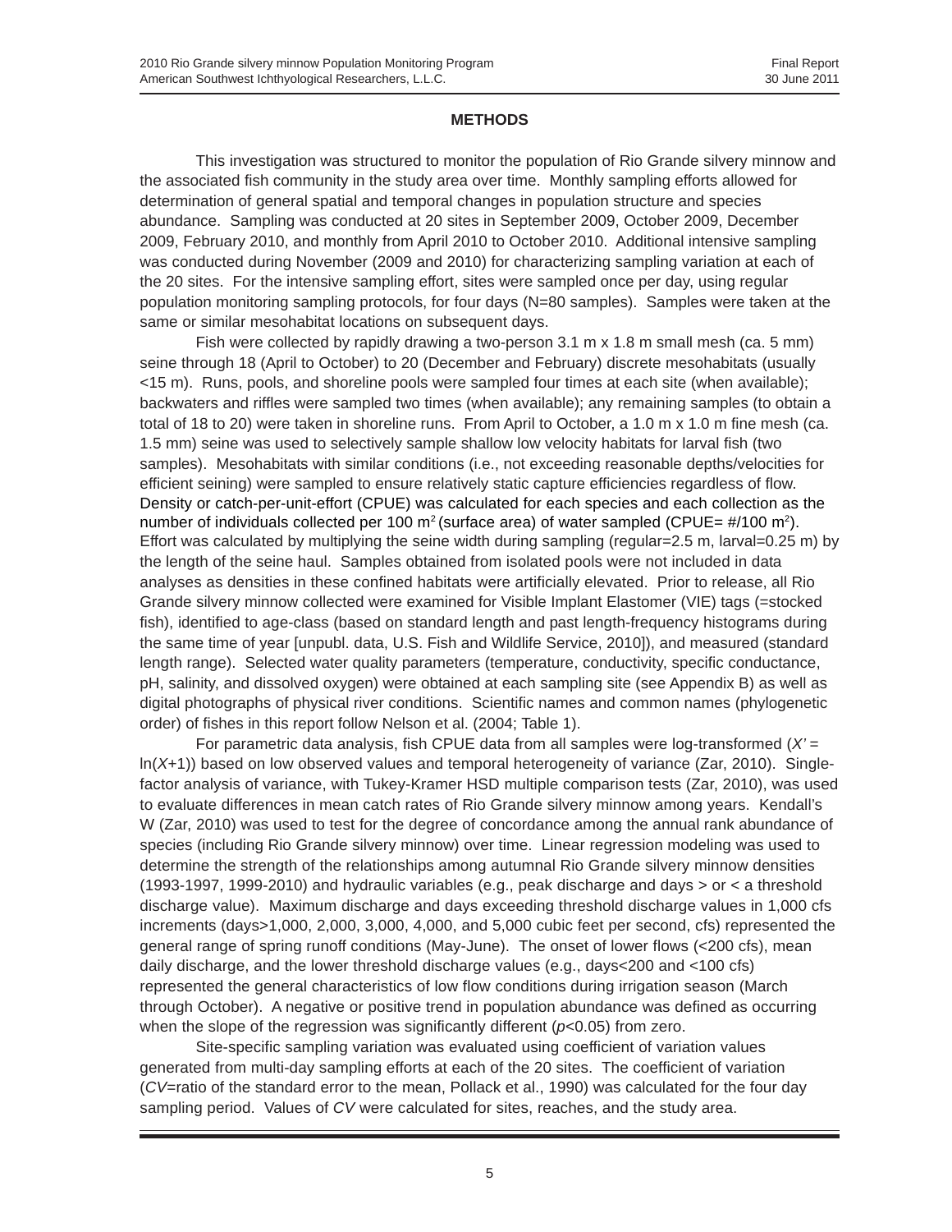#### **METHODS**

This investigation was structured to monitor the population of Rio Grande silvery minnow and the associated fish community in the study area over time. Monthly sampling efforts allowed for determination of general spatial and temporal changes in population structure and species abundance. Sampling was conducted at 20 sites in September 2009, October 2009, December 2009, February 2010, and monthly from April 2010 to October 2010. Additional intensive sampling was conducted during November (2009 and 2010) for characterizing sampling variation at each of the 20 sites. For the intensive sampling effort, sites were sampled once per day, using regular population monitoring sampling protocols, for four days (N=80 samples). Samples were taken at the same or similar mesohabitat locations on subsequent days.

Fish were collected by rapidly drawing a two-person 3.1 m x 1.8 m small mesh (ca. 5 mm) seine through 18 (April to October) to 20 (December and February) discrete mesohabitats (usually <15 m). Runs, pools, and shoreline pools were sampled four times at each site (when available); backwaters and riffles were sampled two times (when available); any remaining samples (to obtain a total of 18 to 20) were taken in shoreline runs. From April to October, a 1.0 m x 1.0 m fine mesh (ca. 1.5 mm) seine was used to selectively sample shallow low velocity habitats for larval fish (two samples). Mesohabitats with similar conditions (i.e., not exceeding reasonable depths/velocities for efficient seining) were sampled to ensure relatively static capture efficiencies regardless of flow. Density or catch-per-unit-effort (CPUE) was calculated for each species and each collection as the number of individuals collected per 100  $m^2$  (surface area) of water sampled (CPUE=  $\#/100$  m<sup>2</sup>). Effort was calculated by multiplying the seine width during sampling (regular=2.5 m, larval=0.25 m) by the length of the seine haul. Samples obtained from isolated pools were not included in data analyses as densities in these confined habitats were artificially elevated. Prior to release, all Rio Grande silvery minnow collected were examined for Visible Implant Elastomer (VIE) tags (=stocked fish), identified to age-class (based on standard length and past length-frequency histograms during the same time of year [unpubl. data, U.S. Fish and Wildlife Service, 2010]), and measured (standard length range). Selected water quality parameters (temperature, conductivity, specific conductance, pH, salinity, and dissolved oxygen) were obtained at each sampling site (see Appendix B) as well as digital photographs of physical river conditions. Scientific names and common names (phylogenetic order) of fishes in this report follow Nelson et al. (2004; Table 1).

For parametric data analysis, fish CPUE data from all samples were log-transformed (*X'* = ln(*X*+1)) based on low observed values and temporal heterogeneity of variance (Zar, 2010). Singlefactor analysis of variance, with Tukey-Kramer HSD multiple comparison tests (Zar, 2010), was used to evaluate differences in mean catch rates of Rio Grande silvery minnow among years. Kendall's W (Zar, 2010) was used to test for the degree of concordance among the annual rank abundance of species (including Rio Grande silvery minnow) over time. Linear regression modeling was used to determine the strength of the relationships among autumnal Rio Grande silvery minnow densities (1993-1997, 1999-2010) and hydraulic variables (e.g., peak discharge and days > or < a threshold discharge value). Maximum discharge and days exceeding threshold discharge values in 1,000 cfs increments (days>1,000, 2,000, 3,000, 4,000, and 5,000 cubic feet per second, cfs) represented the general range of spring runoff conditions (May-June). The onset of lower flows (<200 cfs), mean daily discharge, and the lower threshold discharge values (e.g., days<200 and <100 cfs) represented the general characteristics of low flow conditions during irrigation season (March through October). A negative or positive trend in population abundance was defined as occurring when the slope of the regression was significantly different (*p*<0.05) from zero.

Site-specific sampling variation was evaluated using coefficient of variation values generated from multi-day sampling efforts at each of the 20 sites. The coefficient of variation (*CV*=ratio of the standard error to the mean, Pollack et al., 1990) was calculated for the four day sampling period. Values of *CV* were calculated for sites, reaches, and the study area.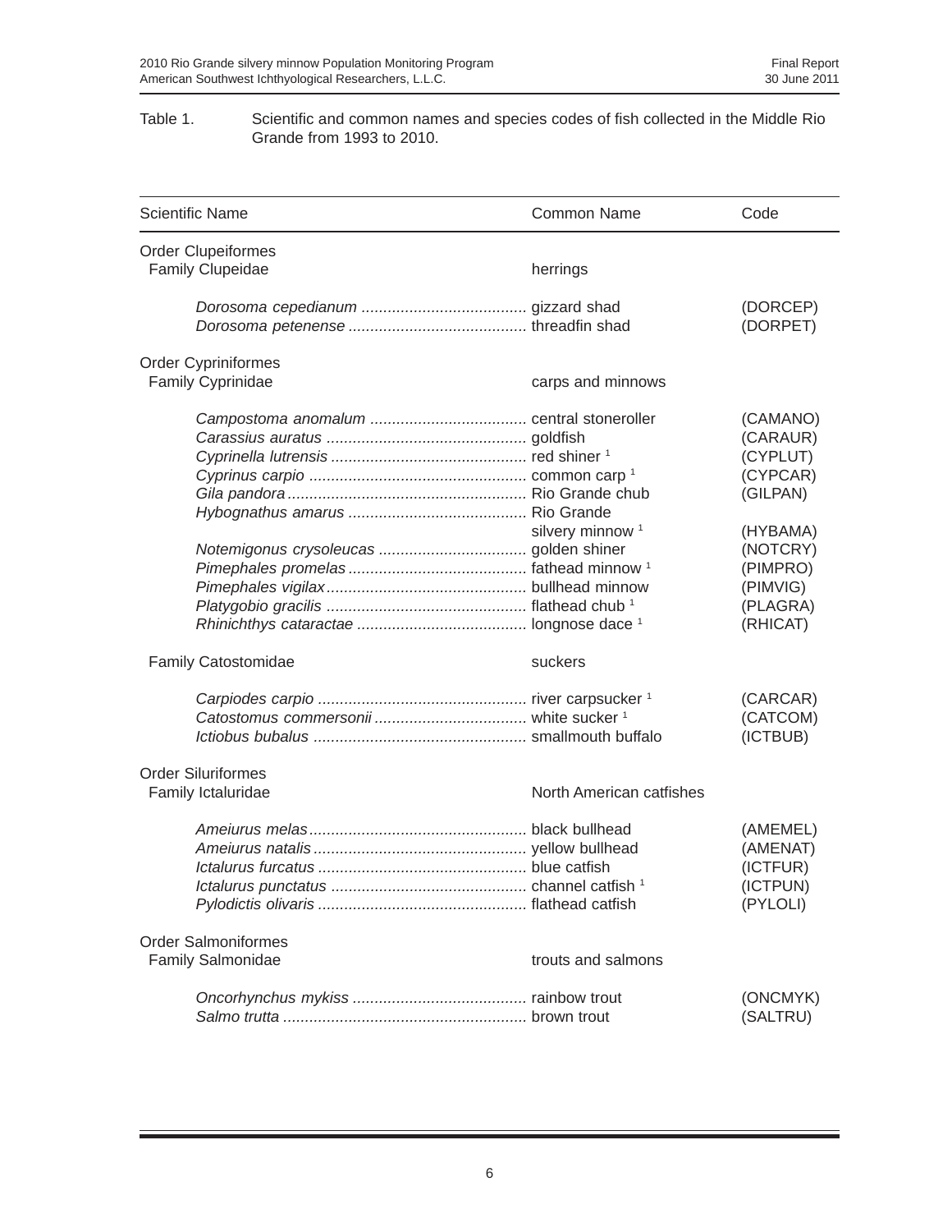#### Table 1. Scientific and common names and species codes of fish collected in the Middle Rio Grande from 1993 to 2010.

| <b>Scientific Name</b>                          | <b>Common Name</b>          | Code                                                                                                                             |
|-------------------------------------------------|-----------------------------|----------------------------------------------------------------------------------------------------------------------------------|
| <b>Order Clupeiformes</b>                       |                             |                                                                                                                                  |
| <b>Family Clupeidae</b>                         | herrings                    |                                                                                                                                  |
|                                                 |                             | (DORCEP)<br>(DORPET)                                                                                                             |
| <b>Order Cypriniformes</b>                      |                             |                                                                                                                                  |
| <b>Family Cyprinidae</b>                        | carps and minnows           |                                                                                                                                  |
|                                                 | silvery minnow <sup>1</sup> | (CAMANO)<br>(CARAUR)<br>(CYPLUT)<br>(CYPCAR)<br>(GILPAN)<br>(HYBAMA)<br>(NOTCRY)<br>(PIMPRO)<br>(PIMVIG)<br>(PLAGRA)<br>(RHICAT) |
| Family Catostomidae                             | suckers                     |                                                                                                                                  |
|                                                 |                             | (CARCAR)<br>(CATCOM)<br>(ICTBUB)                                                                                                 |
| <b>Order Siluriformes</b><br>Family Ictaluridae | North American catfishes    |                                                                                                                                  |
| lctalurus punctatus                             |                             | (AMEMEL)<br>(AMENAT)<br>(ICTFUR)<br>(ICTPUN)<br>(PYLOLI)                                                                         |
| <b>Order Salmoniformes</b>                      |                             |                                                                                                                                  |
| Family Salmonidae                               | trouts and salmons          |                                                                                                                                  |
|                                                 |                             | (ONCMYK)<br>(SALTRU)                                                                                                             |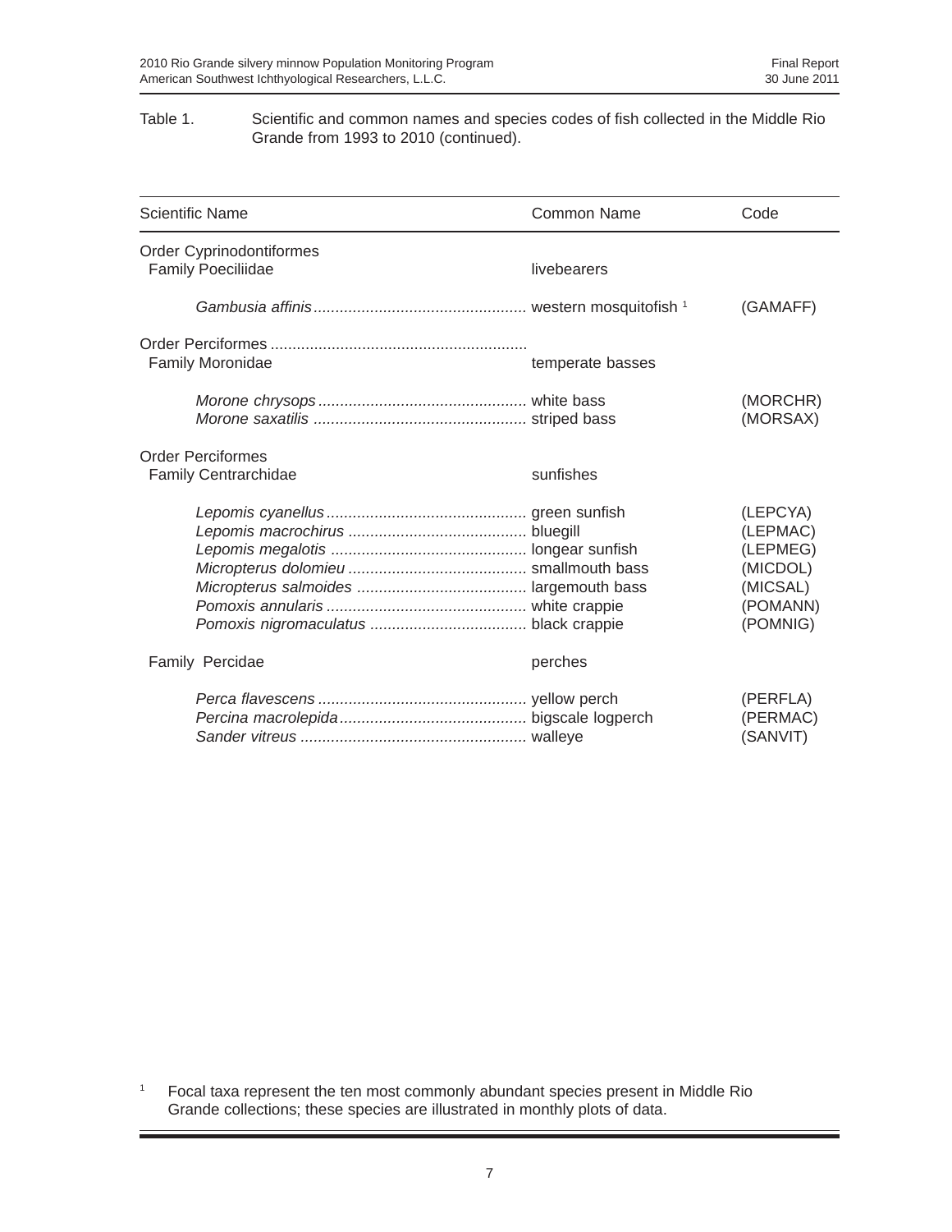#### Table 1. Scientific and common names and species codes of fish collected in the Middle Rio Grande from 1993 to 2010 (continued).

| <b>Scientific Name</b>                                  | Common Name      | Code                                                                             |
|---------------------------------------------------------|------------------|----------------------------------------------------------------------------------|
| Order Cyprinodontiformes<br><b>Family Poeciliidae</b>   | livebearers      |                                                                                  |
|                                                         |                  | (GAMAFF)                                                                         |
| Family Moronidae                                        | temperate basses |                                                                                  |
|                                                         |                  | (MORCHR)<br>(MORSAX)                                                             |
| <b>Order Perciformes</b><br><b>Family Centrarchidae</b> | sunfishes        |                                                                                  |
|                                                         |                  | (LEPCYA)<br>(LEPMAC)<br>(LEPMEG)<br>(MICDOL)<br>(MICSAL)<br>(POMANN)<br>(POMNIG) |
| Family Percidae                                         | perches          |                                                                                  |
|                                                         |                  | (PERFLA)<br>(PERMAC)<br>(SANVIT)                                                 |

<sup>1</sup> Focal taxa represent the ten most commonly abundant species present in Middle Rio Grande collections; these species are illustrated in monthly plots of data.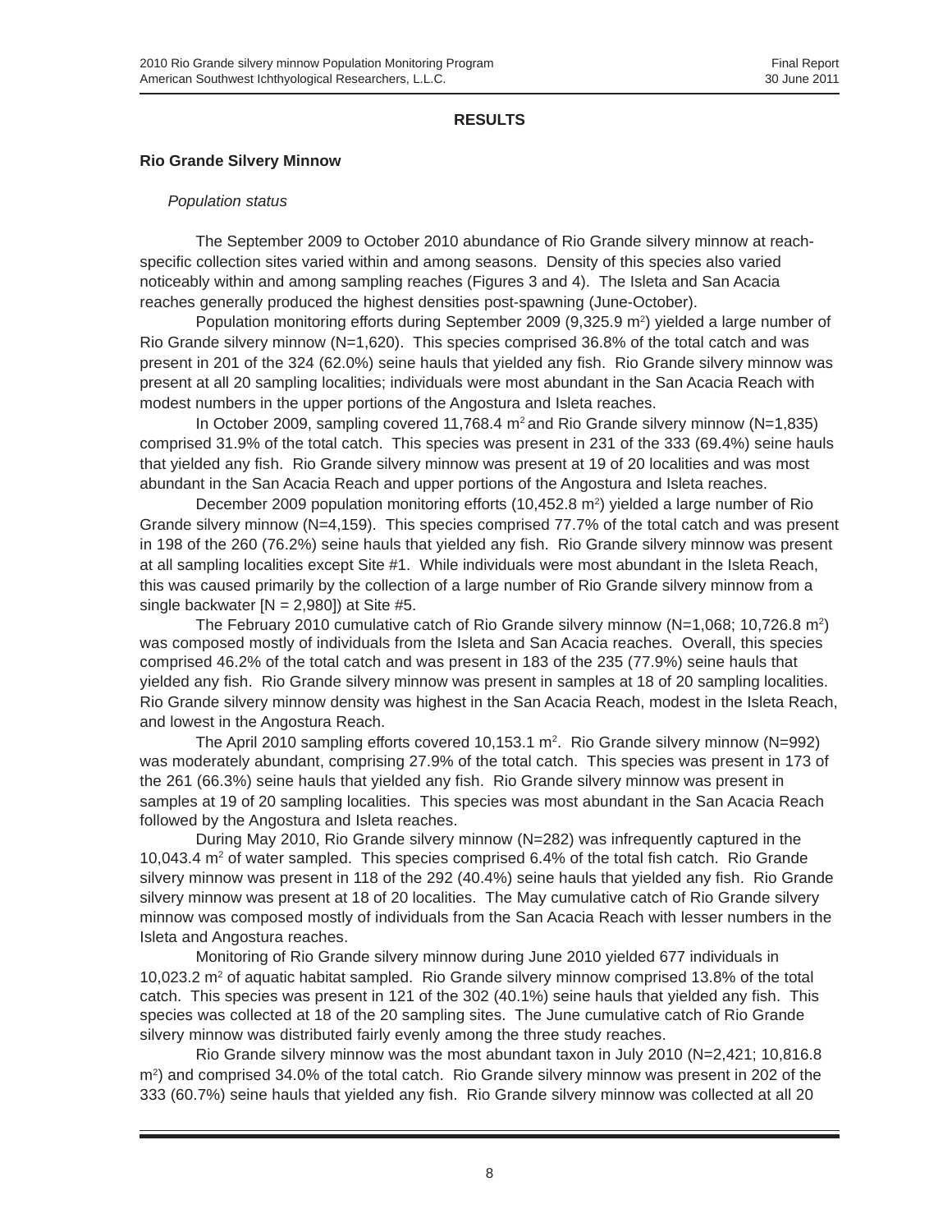#### **RESULTS**

#### **Rio Grande Silvery Minnow**

#### *Population status*

The September 2009 to October 2010 abundance of Rio Grande silvery minnow at reachspecific collection sites varied within and among seasons. Density of this species also varied noticeably within and among sampling reaches (Figures 3 and 4). The Isleta and San Acacia reaches generally produced the highest densities post-spawning (June-October).

Population monitoring efforts during September 2009 (9,325.9  $m^2$ ) yielded a large number of Rio Grande silvery minnow (N=1,620). This species comprised 36.8% of the total catch and was present in 201 of the 324 (62.0%) seine hauls that yielded any fish. Rio Grande silvery minnow was present at all 20 sampling localities; individuals were most abundant in the San Acacia Reach with modest numbers in the upper portions of the Angostura and Isleta reaches.

In October 2009, sampling covered 11,768.4  $m^2$  and Rio Grande silvery minnow (N=1,835) comprised 31.9% of the total catch. This species was present in 231 of the 333 (69.4%) seine hauls that yielded any fish. Rio Grande silvery minnow was present at 19 of 20 localities and was most abundant in the San Acacia Reach and upper portions of the Angostura and Isleta reaches.

December 2009 population monitoring efforts  $(10,452.8 \text{ m}^2)$  yielded a large number of Rio Grande silvery minnow (N=4,159). This species comprised 77.7% of the total catch and was present in 198 of the 260 (76.2%) seine hauls that yielded any fish. Rio Grande silvery minnow was present at all sampling localities except Site #1. While individuals were most abundant in the Isleta Reach, this was caused primarily by the collection of a large number of Rio Grande silvery minnow from a single backwater  $[N = 2,980]$  at Site #5.

The February 2010 cumulative catch of Rio Grande silvery minnow (N=1,068; 10,726.8 m<sup>2</sup>) was composed mostly of individuals from the Isleta and San Acacia reaches. Overall, this species comprised 46.2% of the total catch and was present in 183 of the 235 (77.9%) seine hauls that yielded any fish. Rio Grande silvery minnow was present in samples at 18 of 20 sampling localities. Rio Grande silvery minnow density was highest in the San Acacia Reach, modest in the Isleta Reach, and lowest in the Angostura Reach.

The April 2010 sampling efforts covered 10,153.1 m<sup>2</sup>. Rio Grande silvery minnow (N=992) was moderately abundant, comprising 27.9% of the total catch. This species was present in 173 of the 261 (66.3%) seine hauls that yielded any fish. Rio Grande silvery minnow was present in samples at 19 of 20 sampling localities. This species was most abundant in the San Acacia Reach followed by the Angostura and Isleta reaches.

During May 2010, Rio Grande silvery minnow (N=282) was infrequently captured in the 10,043.4 m<sup>2</sup> of water sampled. This species comprised 6.4% of the total fish catch. Rio Grande silvery minnow was present in 118 of the 292 (40.4%) seine hauls that yielded any fish. Rio Grande silvery minnow was present at 18 of 20 localities. The May cumulative catch of Rio Grande silvery minnow was composed mostly of individuals from the San Acacia Reach with lesser numbers in the Isleta and Angostura reaches.

Monitoring of Rio Grande silvery minnow during June 2010 yielded 677 individuals in 10,023.2 m<sup>2</sup> of aquatic habitat sampled. Rio Grande silvery minnow comprised 13.8% of the total catch. This species was present in 121 of the 302 (40.1%) seine hauls that yielded any fish. This species was collected at 18 of the 20 sampling sites. The June cumulative catch of Rio Grande silvery minnow was distributed fairly evenly among the three study reaches.

Rio Grande silvery minnow was the most abundant taxon in July 2010 (N=2,421; 10,816.8 m2 ) and comprised 34.0% of the total catch. Rio Grande silvery minnow was present in 202 of the 333 (60.7%) seine hauls that yielded any fish. Rio Grande silvery minnow was collected at all 20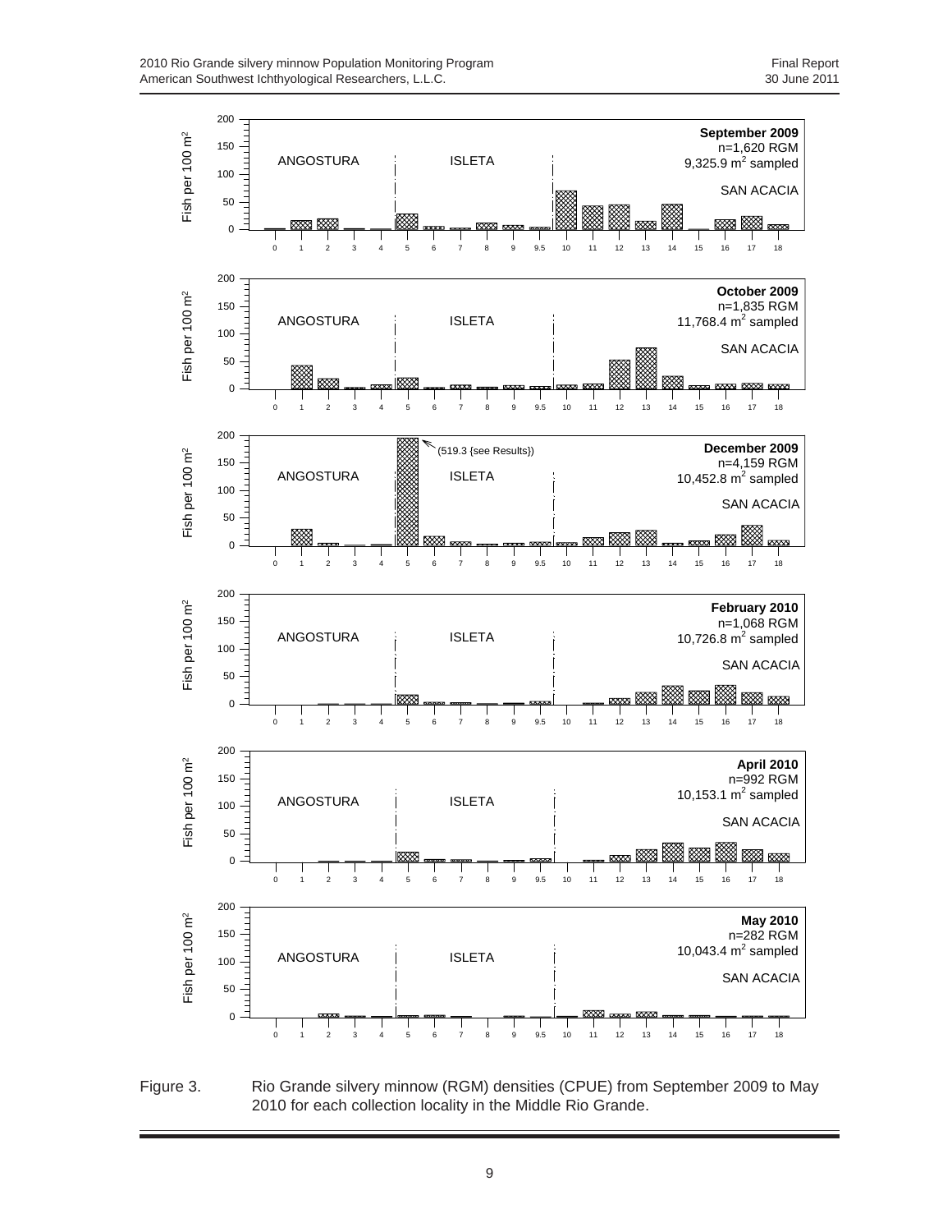

Figure 3. Rio Grande silvery minnow (RGM) densities (CPUE) from September 2009 to May 2010 for each collection locality in the Middle Rio Grande.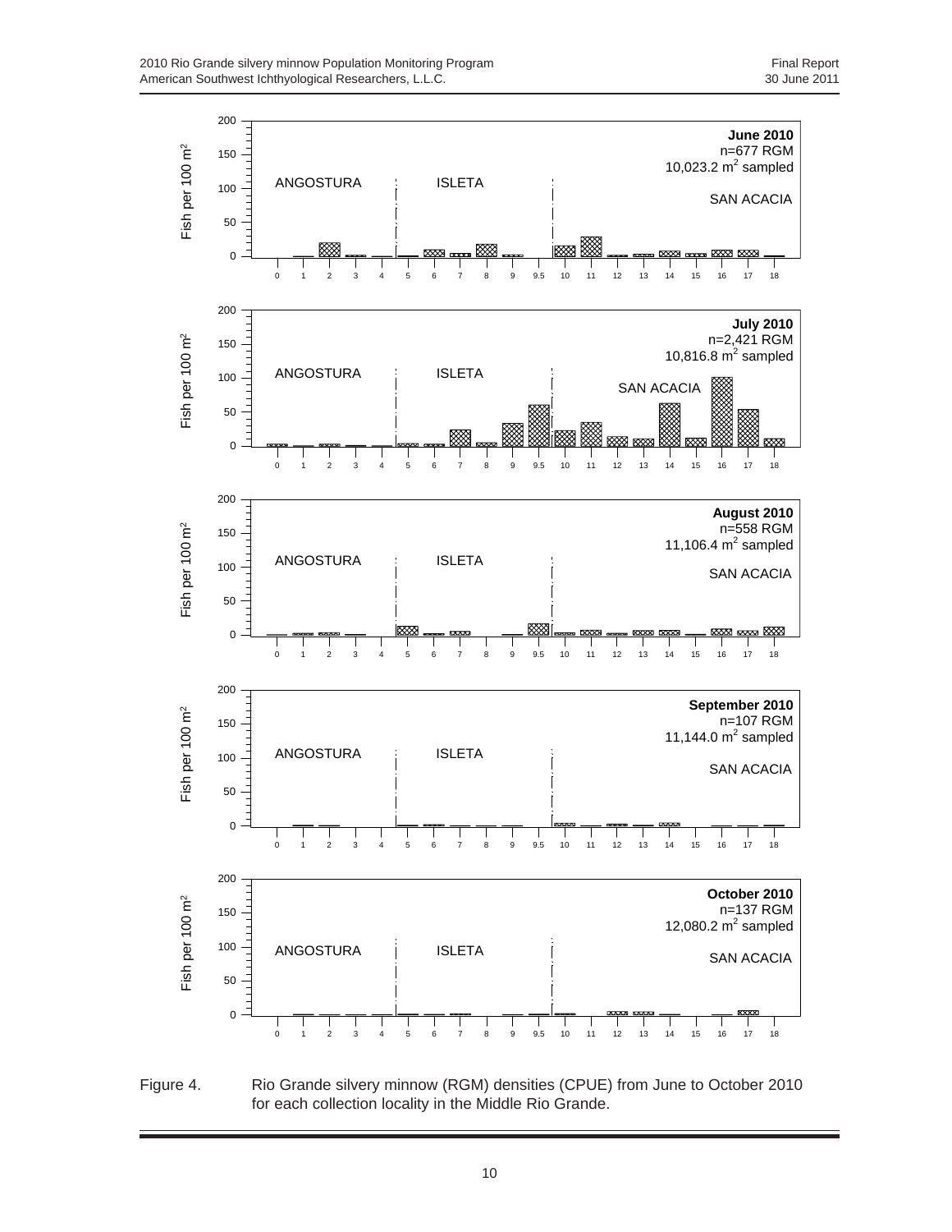

Figure 4. Rio Grande silvery minnow (RGM) densities (CPUE) from June to October 2010 for each collection locality in the Middle Rio Grande.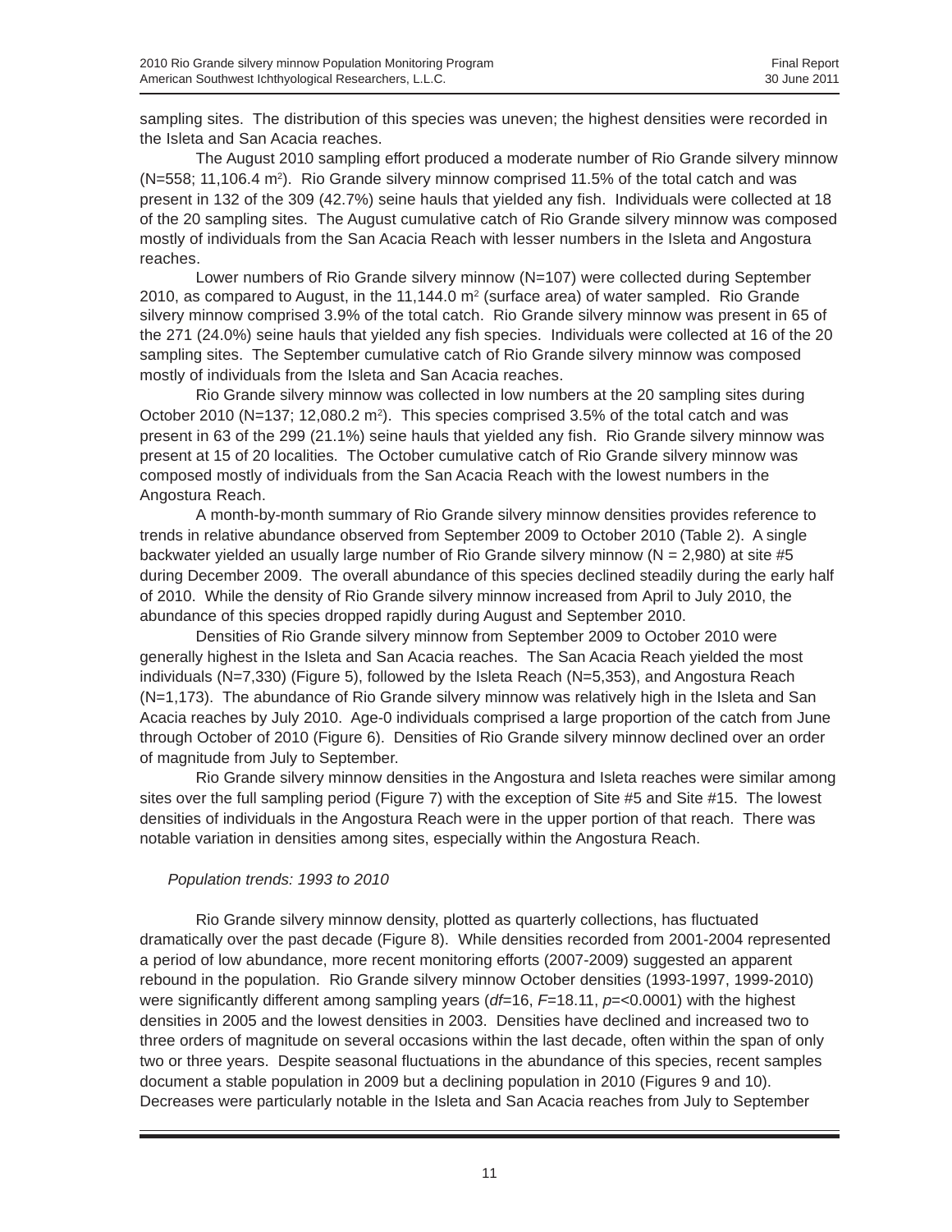sampling sites. The distribution of this species was uneven; the highest densities were recorded in the Isleta and San Acacia reaches.

The August 2010 sampling effort produced a moderate number of Rio Grande silvery minnow (N=558; 11,106.4 m<sup>2</sup>). Rio Grande silvery minnow comprised 11.5% of the total catch and was present in 132 of the 309 (42.7%) seine hauls that yielded any fish. Individuals were collected at 18 of the 20 sampling sites. The August cumulative catch of Rio Grande silvery minnow was composed mostly of individuals from the San Acacia Reach with lesser numbers in the Isleta and Angostura reaches.

Lower numbers of Rio Grande silvery minnow (N=107) were collected during September 2010, as compared to August, in the 11,144.0 m<sup>2</sup> (surface area) of water sampled. Rio Grande silvery minnow comprised 3.9% of the total catch. Rio Grande silvery minnow was present in 65 of the 271 (24.0%) seine hauls that yielded any fish species. Individuals were collected at 16 of the 20 sampling sites. The September cumulative catch of Rio Grande silvery minnow was composed mostly of individuals from the Isleta and San Acacia reaches.

Rio Grande silvery minnow was collected in low numbers at the 20 sampling sites during October 2010 (N=137; 12,080.2 m<sup>2</sup>). This species comprised 3.5% of the total catch and was present in 63 of the 299 (21.1%) seine hauls that yielded any fish. Rio Grande silvery minnow was present at 15 of 20 localities. The October cumulative catch of Rio Grande silvery minnow was composed mostly of individuals from the San Acacia Reach with the lowest numbers in the Angostura Reach.

A month-by-month summary of Rio Grande silvery minnow densities provides reference to trends in relative abundance observed from September 2009 to October 2010 (Table 2). A single backwater yielded an usually large number of Rio Grande silvery minnow ( $N = 2,980$ ) at site #5 during December 2009. The overall abundance of this species declined steadily during the early half of 2010. While the density of Rio Grande silvery minnow increased from April to July 2010, the abundance of this species dropped rapidly during August and September 2010.

Densities of Rio Grande silvery minnow from September 2009 to October 2010 were generally highest in the Isleta and San Acacia reaches. The San Acacia Reach yielded the most individuals (N=7,330) (Figure 5), followed by the Isleta Reach (N=5,353), and Angostura Reach (N=1,173). The abundance of Rio Grande silvery minnow was relatively high in the Isleta and San Acacia reaches by July 2010. Age-0 individuals comprised a large proportion of the catch from June through October of 2010 (Figure 6). Densities of Rio Grande silvery minnow declined over an order of magnitude from July to September.

Rio Grande silvery minnow densities in the Angostura and Isleta reaches were similar among sites over the full sampling period (Figure 7) with the exception of Site #5 and Site #15. The lowest densities of individuals in the Angostura Reach were in the upper portion of that reach. There was notable variation in densities among sites, especially within the Angostura Reach.

#### *Population trends: 1993 to 2010*

Rio Grande silvery minnow density, plotted as quarterly collections, has fluctuated dramatically over the past decade (Figure 8). While densities recorded from 2001-2004 represented a period of low abundance, more recent monitoring efforts (2007-2009) suggested an apparent rebound in the population. Rio Grande silvery minnow October densities (1993-1997, 1999-2010) were significantly different among sampling years ( $df=16$ ,  $F=18.11$ ,  $p=<0.0001$ ) with the highest densities in 2005 and the lowest densities in 2003. Densities have declined and increased two to three orders of magnitude on several occasions within the last decade, often within the span of only two or three years. Despite seasonal fluctuations in the abundance of this species, recent samples document a stable population in 2009 but a declining population in 2010 (Figures 9 and 10). Decreases were particularly notable in the Isleta and San Acacia reaches from July to September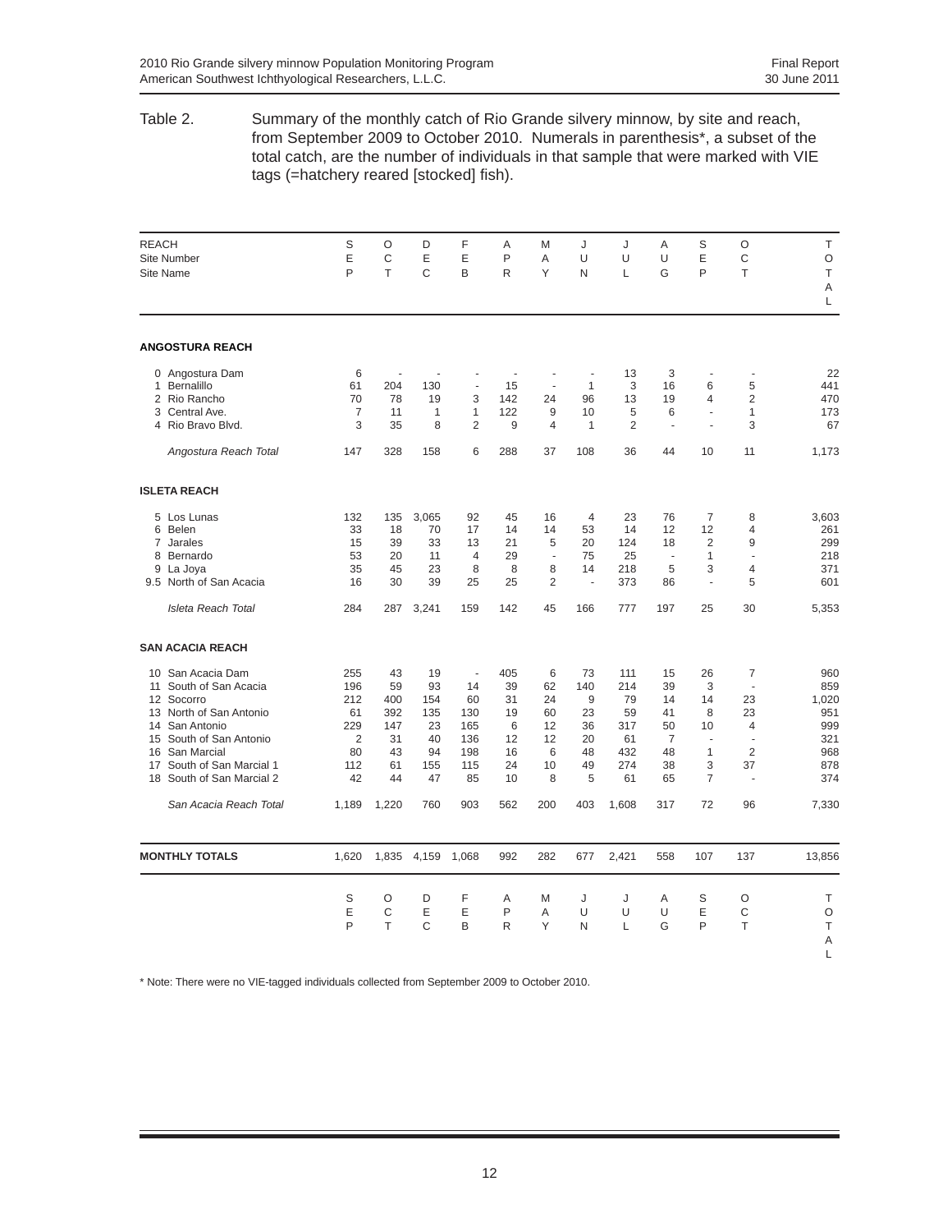Table 2. Summary of the monthly catch of Rio Grande silvery minnow, by site and reach, from September 2009 to October 2010. Numerals in parenthesis\*, a subset of the total catch, are the number of individuals in that sample that were marked with VIE tags (=hatchery reared [stocked] fish).

| <b>REACH</b><br>Site Number<br>Site Name                                                                                                                                                                                                  | S<br>E<br>P                                                         | $\circ$<br>C<br>T                                     | D<br>Ε<br>C                                           | F<br>Ε<br>B                                             | A<br>P<br>$\mathsf{R}$                             | M<br>A<br>Υ                                     | J<br>U<br>N                                       | J<br>U<br>L                                             | A<br>U<br>G                                                    | S<br>E<br>P                                                           | $\circ$<br>C<br>$\top$                                                  | T.<br>O<br>T                                                  |
|-------------------------------------------------------------------------------------------------------------------------------------------------------------------------------------------------------------------------------------------|---------------------------------------------------------------------|-------------------------------------------------------|-------------------------------------------------------|---------------------------------------------------------|----------------------------------------------------|-------------------------------------------------|---------------------------------------------------|---------------------------------------------------------|----------------------------------------------------------------|-----------------------------------------------------------------------|-------------------------------------------------------------------------|---------------------------------------------------------------|
|                                                                                                                                                                                                                                           |                                                                     |                                                       |                                                       |                                                         |                                                    |                                                 |                                                   |                                                         |                                                                |                                                                       |                                                                         | A<br>L                                                        |
| <b>ANGOSTURA REACH</b>                                                                                                                                                                                                                    |                                                                     |                                                       |                                                       |                                                         |                                                    |                                                 |                                                   |                                                         |                                                                |                                                                       |                                                                         |                                                               |
| 0 Angostura Dam<br>Bernalillo<br>$\mathbf{1}$                                                                                                                                                                                             | 6<br>61                                                             | $\overline{a}$<br>204                                 | 130                                                   | $\overline{\phantom{a}}$                                | ÷,<br>15                                           | $\overline{a}$<br>÷,                            | ÷,<br>$\mathbf{1}$                                | 13<br>3                                                 | 3<br>16                                                        | ÷,<br>6                                                               | ÷,<br>5                                                                 | 22<br>441                                                     |
| 2 Rio Rancho<br>3 Central Ave.<br>4 Rio Bravo Blvd.                                                                                                                                                                                       | 70<br>7<br>3                                                        | 78<br>11<br>35                                        | 19<br>$\mathbf{1}$<br>8                               | 3<br>$\mathbf{1}$<br>$\overline{2}$                     | 142<br>122<br>9                                    | 24<br>9<br>$\overline{4}$                       | 96<br>10<br>$\mathbf{1}$                          | 13<br>5<br>$\overline{2}$                               | 19<br>6<br>÷,                                                  | 4<br>$\overline{\phantom{a}}$<br>÷,                                   | 2<br>$\mathbf{1}$<br>3                                                  | 470<br>173<br>67                                              |
| Angostura Reach Total                                                                                                                                                                                                                     | 147                                                                 | 328                                                   | 158                                                   | 6                                                       | 288                                                | 37                                              | 108                                               | 36                                                      | 44                                                             | 10                                                                    | 11                                                                      | 1,173                                                         |
| <b>ISLETA REACH</b>                                                                                                                                                                                                                       |                                                                     |                                                       |                                                       |                                                         |                                                    |                                                 |                                                   |                                                         |                                                                |                                                                       |                                                                         |                                                               |
| 5 Los Lunas<br>6 Belen<br>7 Jarales<br>8 Bernardo<br>9 La Joya<br>9.5 North of San Acacia                                                                                                                                                 | 132<br>33<br>15<br>53<br>35<br>16                                   | 135<br>18<br>39<br>20<br>45<br>30                     | 3,065<br>70<br>33<br>11<br>23<br>39                   | 92<br>17<br>13<br>$\overline{4}$<br>8<br>25             | 45<br>14<br>21<br>29<br>8<br>25                    | 16<br>14<br>5<br>$\sim$<br>8<br>$\overline{2}$  | $\overline{4}$<br>53<br>20<br>75<br>14<br>L.      | 23<br>14<br>124<br>25<br>218<br>373                     | 76<br>12<br>18<br>÷.<br>5<br>86                                | $\overline{7}$<br>12<br>2<br>$\mathbf{1}$<br>3<br>÷,                  | 8<br>4<br>9<br>÷,<br>$\overline{4}$<br>5                                | 3,603<br>261<br>299<br>218<br>371<br>601                      |
| Isleta Reach Total                                                                                                                                                                                                                        | 284                                                                 | 287                                                   | 3,241                                                 | 159                                                     | 142                                                | 45                                              | 166                                               | 777                                                     | 197                                                            | 25                                                                    | 30                                                                      | 5,353                                                         |
| <b>SAN ACACIA REACH</b>                                                                                                                                                                                                                   |                                                                     |                                                       |                                                       |                                                         |                                                    |                                                 |                                                   |                                                         |                                                                |                                                                       |                                                                         |                                                               |
| San Acacia Dam<br>10 <sup>1</sup><br>South of San Acacia<br>11<br>12 Socorro<br>North of San Antonio<br>13<br>14 San Antonio<br>South of San Antonio<br>15<br>San Marcial<br>16<br>17 South of San Marcial 1<br>18 South of San Marcial 2 | 255<br>196<br>212<br>61<br>229<br>$\overline{2}$<br>80<br>112<br>42 | 43<br>59<br>400<br>392<br>147<br>31<br>43<br>61<br>44 | 19<br>93<br>154<br>135<br>23<br>40<br>94<br>155<br>47 | ÷,<br>14<br>60<br>130<br>165<br>136<br>198<br>115<br>85 | 405<br>39<br>31<br>19<br>6<br>12<br>16<br>24<br>10 | 6<br>62<br>24<br>60<br>12<br>12<br>6<br>10<br>8 | 73<br>140<br>9<br>23<br>36<br>20<br>48<br>49<br>5 | 111<br>214<br>79<br>59<br>317<br>61<br>432<br>274<br>61 | 15<br>39<br>14<br>41<br>50<br>$\overline{7}$<br>48<br>38<br>65 | 26<br>3<br>14<br>8<br>10<br>×.<br>$\mathbf{1}$<br>3<br>$\overline{7}$ | 7<br>÷.<br>23<br>23<br>4<br>$\sim$<br>$\overline{2}$<br>37<br>$\bar{a}$ | 960<br>859<br>1,020<br>951<br>999<br>321<br>968<br>878<br>374 |
| San Acacia Reach Total                                                                                                                                                                                                                    | 1,189                                                               | 1,220                                                 | 760                                                   | 903                                                     | 562                                                | 200                                             | 403                                               | 1,608                                                   | 317                                                            | 72                                                                    | 96                                                                      | 7,330                                                         |
| <b>MONTHLY TOTALS</b>                                                                                                                                                                                                                     | 1,620                                                               | 1,835                                                 | 4,159                                                 | 1,068                                                   | 992                                                | 282                                             | 677                                               | 2,421                                                   | 558                                                            | 107                                                                   | 137                                                                     | 13,856                                                        |
|                                                                                                                                                                                                                                           | S<br>E<br>P                                                         | $\circ$<br>C<br>T                                     | D<br>E<br>C                                           | F<br>E<br>B                                             | A<br>P<br>R                                        | M<br>A<br>Υ                                     | J<br>U<br>N                                       | J<br>U<br>L                                             | A<br>U<br>G                                                    | S<br>E<br>P                                                           | $\circ$<br>C<br>T                                                       | T<br>O<br>T<br>A<br>L                                         |

\* Note: There were no VIE-tagged individuals collected from September 2009 to October 2010.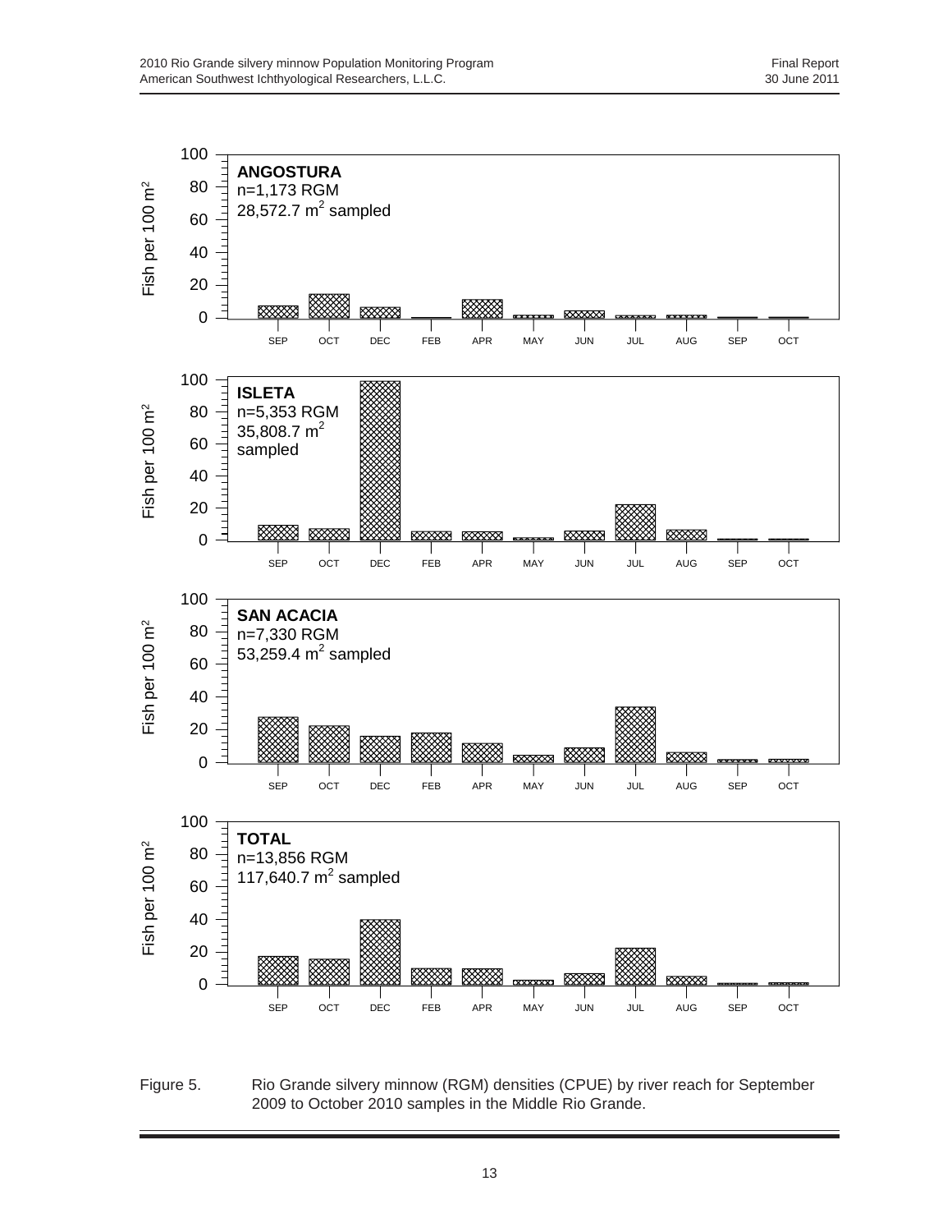

Figure 5. Rio Grande silvery minnow (RGM) densities (CPUE) by river reach for September 2009 to October 2010 samples in the Middle Rio Grande.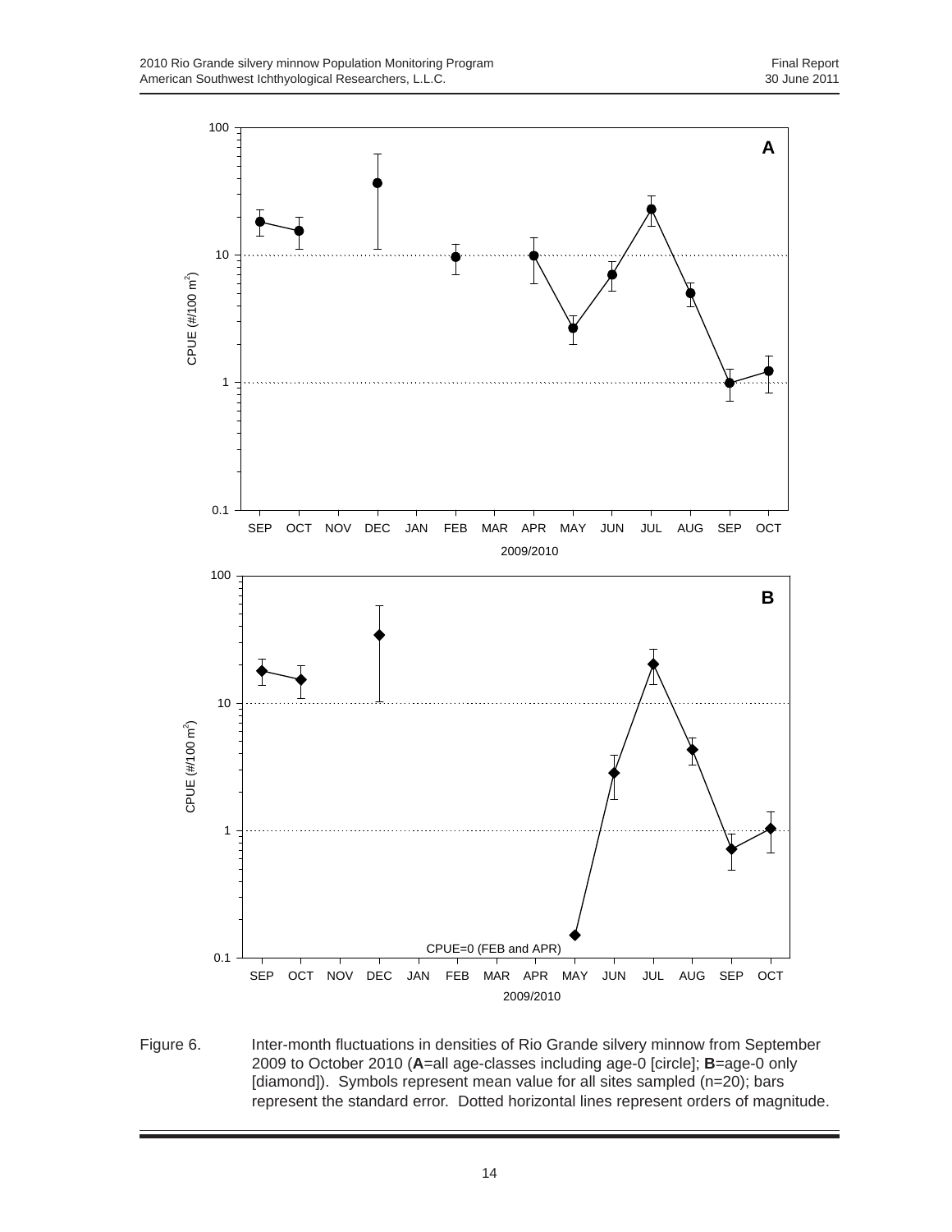

Figure 6. Inter-month fluctuations in densities of Rio Grande silvery minnow from September 2009 to October 2010 (**A**=all age-classes including age-0 [circle]; **B**=age-0 only [diamond]). Symbols represent mean value for all sites sampled (n=20); bars represent the standard error. Dotted horizontal lines represent orders of magnitude.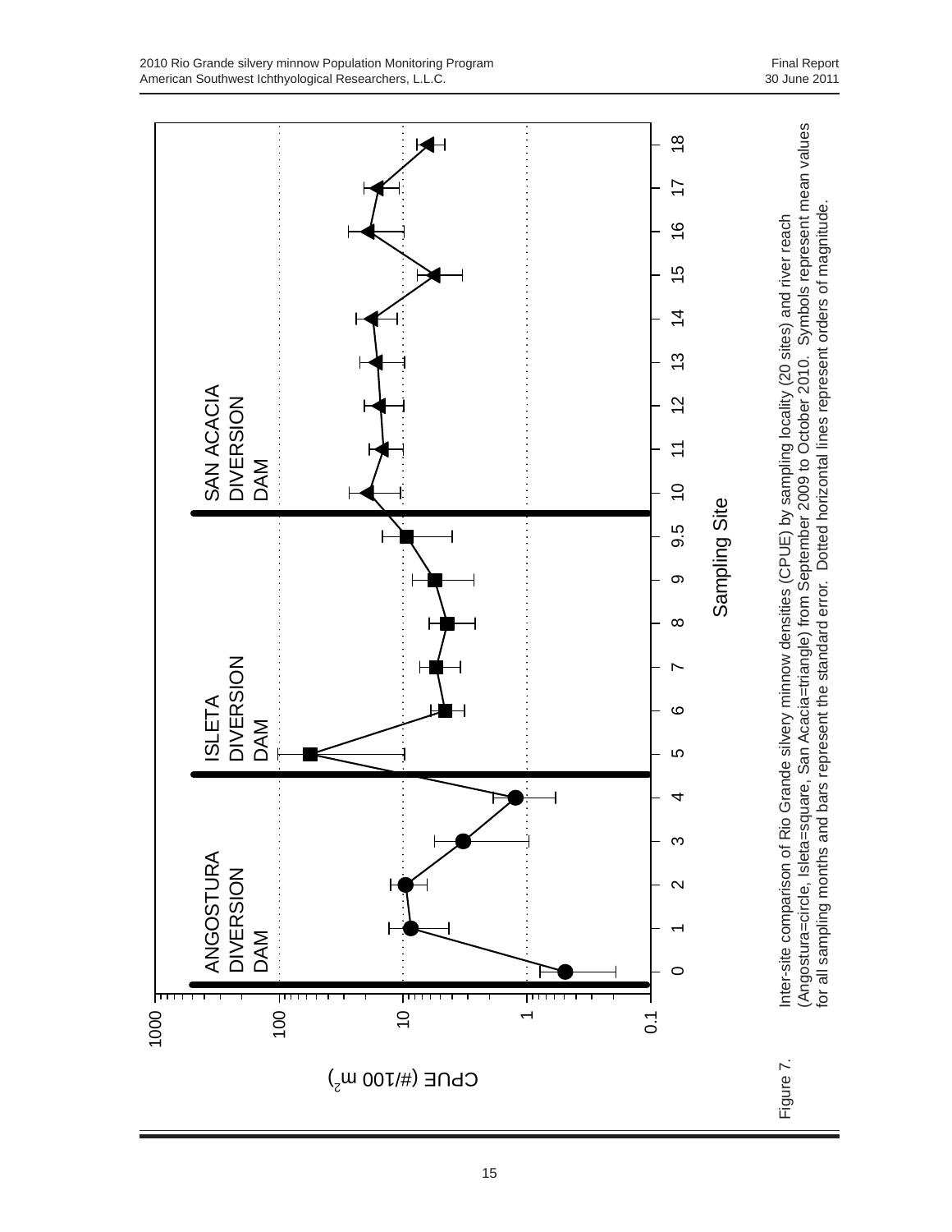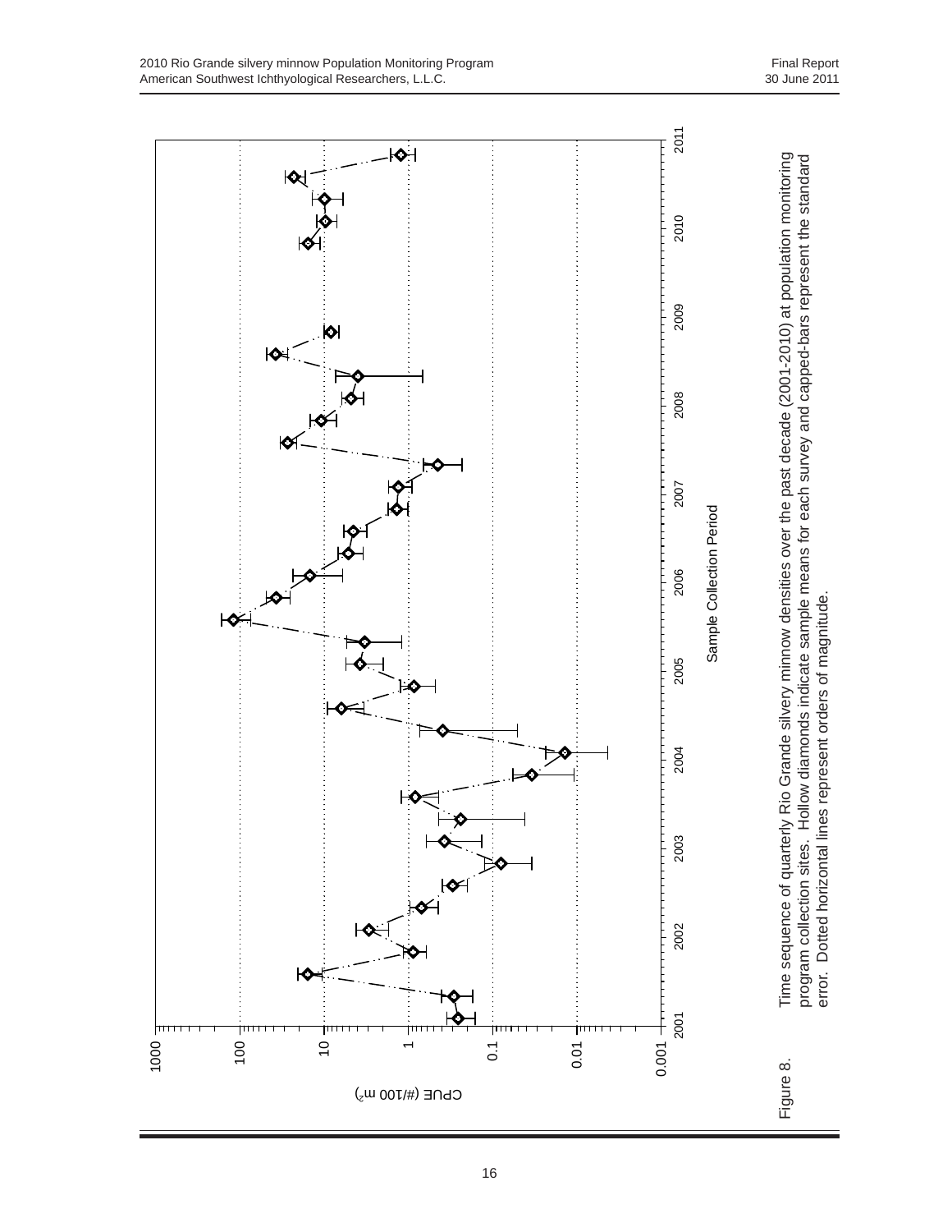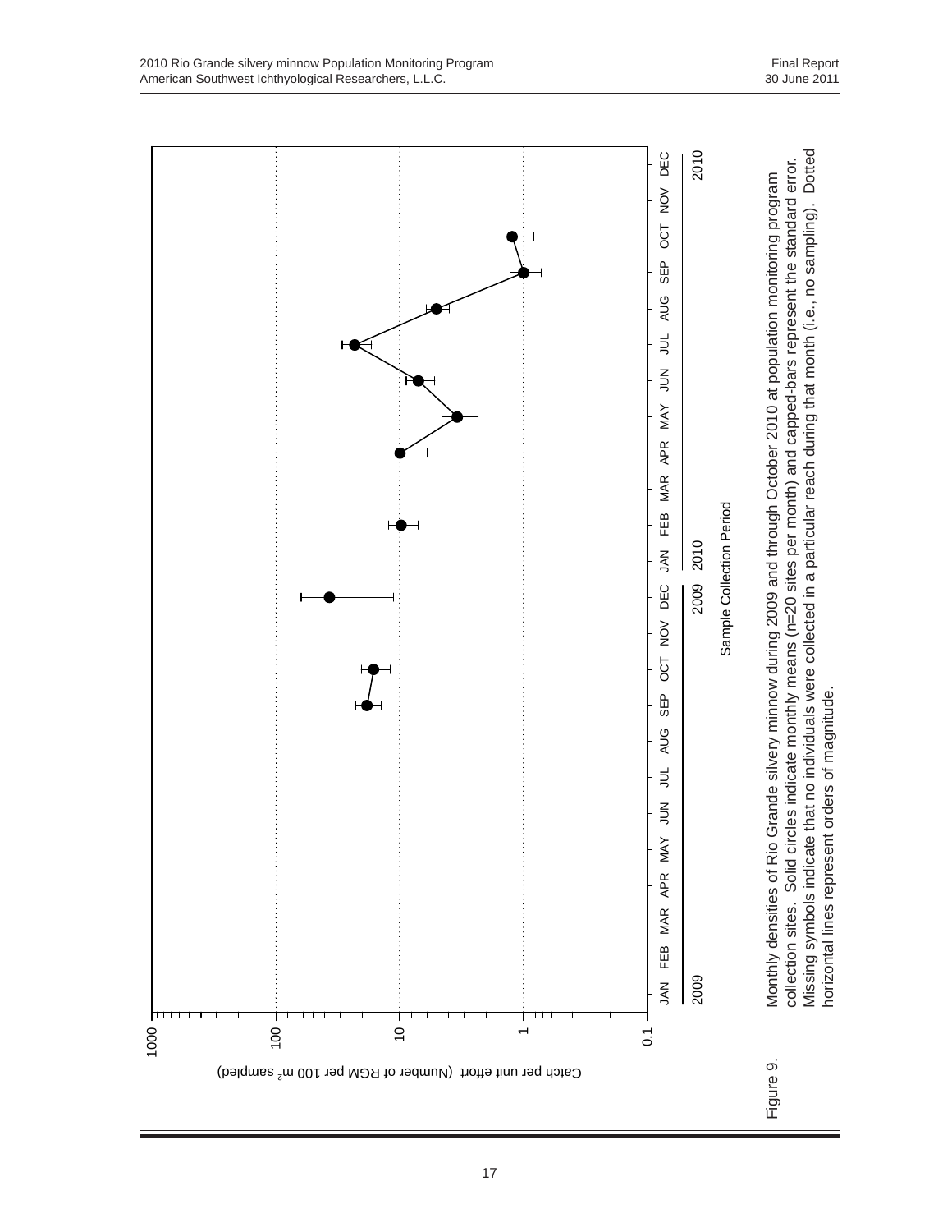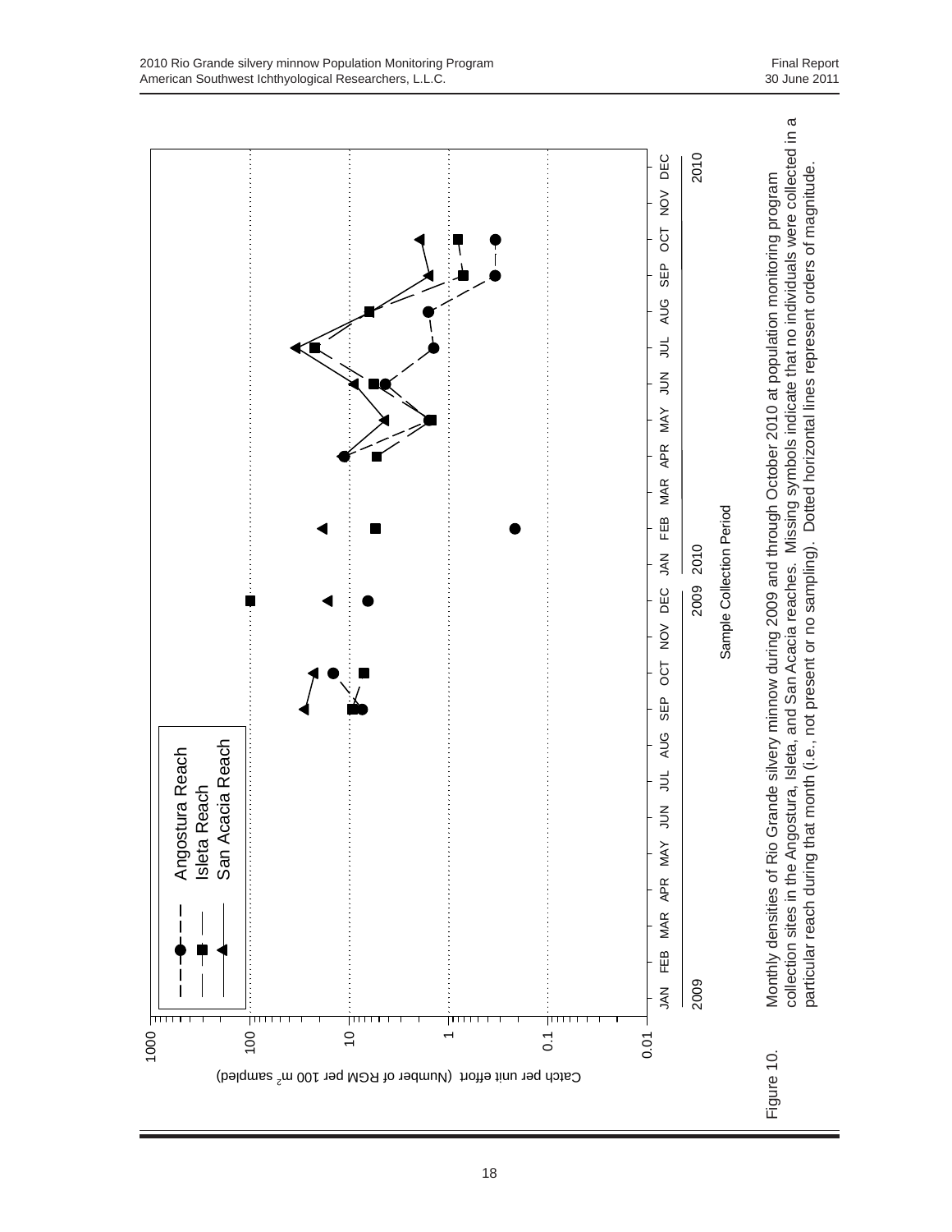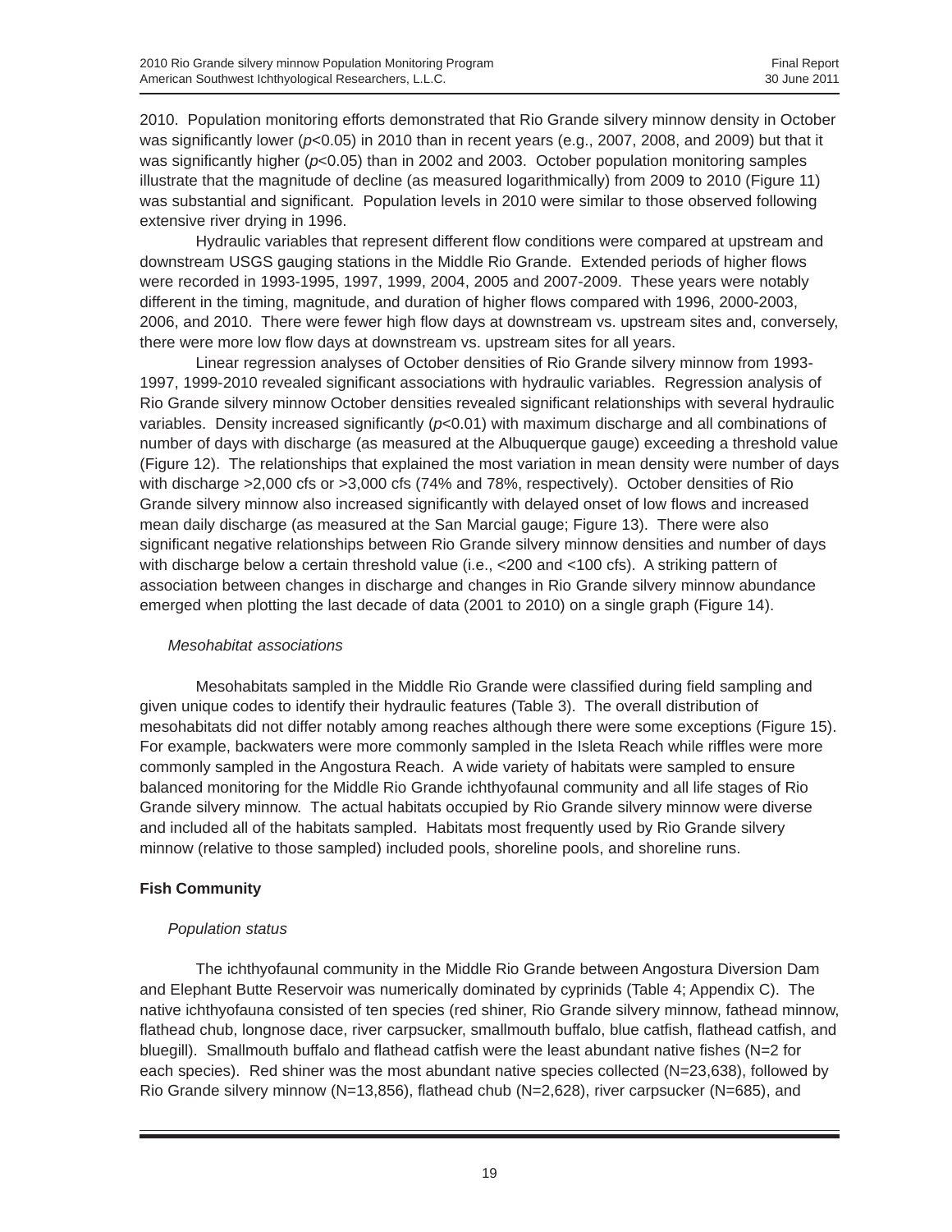2010. Population monitoring efforts demonstrated that Rio Grande silvery minnow density in October was significantly lower ( $p<0.05$ ) in 2010 than in recent years (e.g., 2007, 2008, and 2009) but that it was significantly higher ( $p<0.05$ ) than in 2002 and 2003. October population monitoring samples illustrate that the magnitude of decline (as measured logarithmically) from 2009 to 2010 (Figure 11) was substantial and significant. Population levels in 2010 were similar to those observed following extensive river drying in 1996.

Hydraulic variables that represent different flow conditions were compared at upstream and downstream USGS gauging stations in the Middle Rio Grande. Extended periods of higher flows were recorded in 1993-1995, 1997, 1999, 2004, 2005 and 2007-2009. These years were notably different in the timing, magnitude, and duration of higher flows compared with 1996, 2000-2003, 2006, and 2010. There were fewer high flow days at downstream vs. upstream sites and, conversely, there were more low flow days at downstream vs. upstream sites for all years.

Linear regression analyses of October densities of Rio Grande silvery minnow from 1993- 1997, 1999-2010 revealed significant associations with hydraulic variables. Regression analysis of Rio Grande silvery minnow October densities revealed significant relationships with several hydraulic variables. Density increased significantly (*p*<0.01) with maximum discharge and all combinations of number of days with discharge (as measured at the Albuquerque gauge) exceeding a threshold value (Figure 12). The relationships that explained the most variation in mean density were number of days with discharge >2,000 cfs or >3,000 cfs (74% and 78%, respectively). October densities of Rio Grande silvery minnow also increased significantly with delayed onset of low flows and increased mean daily discharge (as measured at the San Marcial gauge; Figure 13). There were also significant negative relationships between Rio Grande silvery minnow densities and number of days with discharge below a certain threshold value (i.e., <200 and <100 cfs). A striking pattern of association between changes in discharge and changes in Rio Grande silvery minnow abundance emerged when plotting the last decade of data (2001 to 2010) on a single graph (Figure 14).

#### *Mesohabitat associations*

Mesohabitats sampled in the Middle Rio Grande were classified during field sampling and given unique codes to identify their hydraulic features (Table 3). The overall distribution of mesohabitats did not differ notably among reaches although there were some exceptions (Figure 15). For example, backwaters were more commonly sampled in the Isleta Reach while riffles were more commonly sampled in the Angostura Reach. A wide variety of habitats were sampled to ensure balanced monitoring for the Middle Rio Grande ichthyofaunal community and all life stages of Rio Grande silvery minnow. The actual habitats occupied by Rio Grande silvery minnow were diverse and included all of the habitats sampled. Habitats most frequently used by Rio Grande silvery minnow (relative to those sampled) included pools, shoreline pools, and shoreline runs.

# **Fish Community**

# *Population status*

The ichthyofaunal community in the Middle Rio Grande between Angostura Diversion Dam and Elephant Butte Reservoir was numerically dominated by cyprinids (Table 4; Appendix C). The native ichthyofauna consisted of ten species (red shiner, Rio Grande silvery minnow, fathead minnow, flathead chub, longnose dace, river carpsucker, smallmouth buffalo, blue catfish, flathead catfish, and bluegill). Smallmouth buffalo and flathead catfish were the least abundant native fishes (N=2 for each species). Red shiner was the most abundant native species collected (N=23,638), followed by Rio Grande silvery minnow (N=13,856), flathead chub (N=2,628), river carpsucker (N=685), and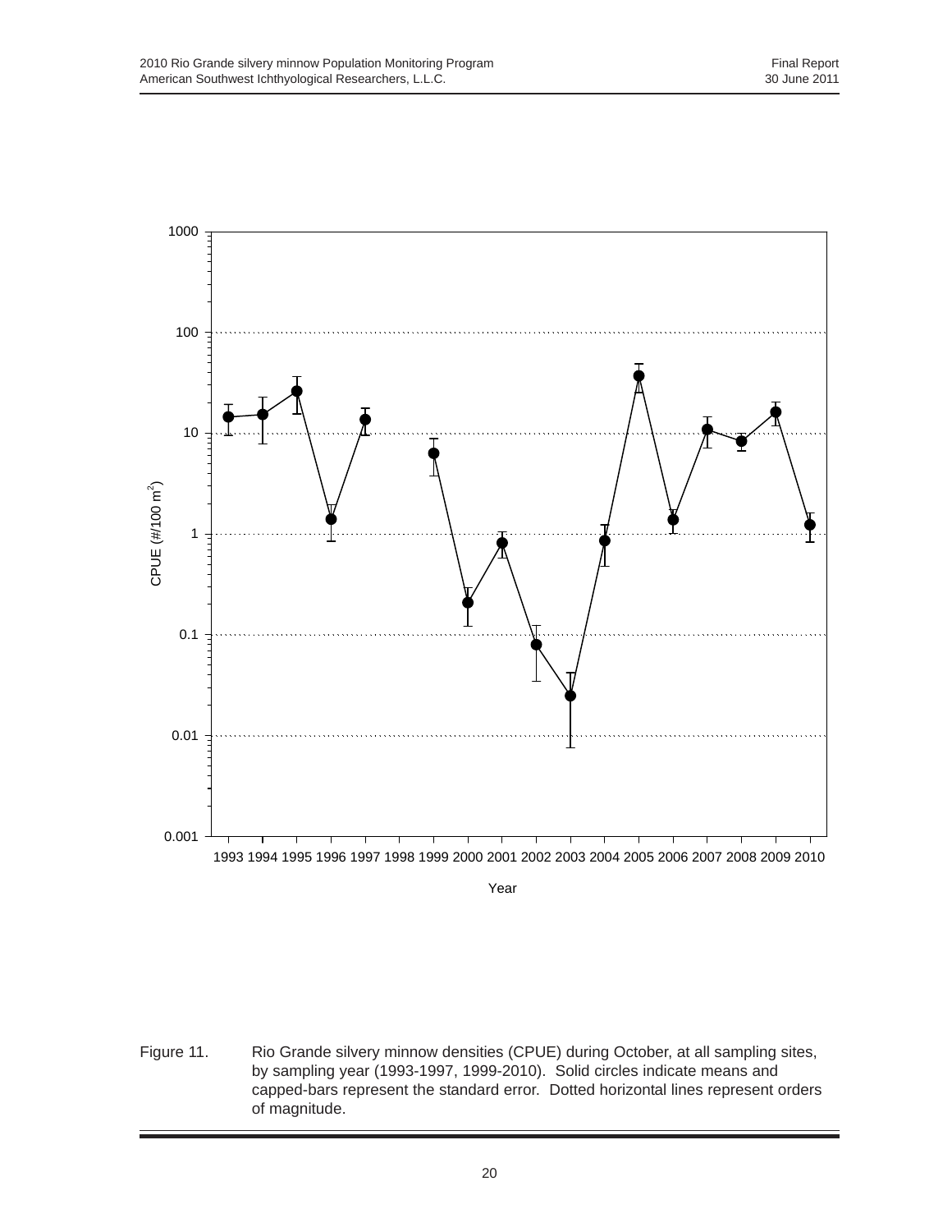

Figure 11. Rio Grande silvery minnow densities (CPUE) during October, at all sampling sites, by sampling year (1993-1997, 1999-2010). Solid circles indicate means and capped-bars represent the standard error. Dotted horizontal lines represent orders of magnitude.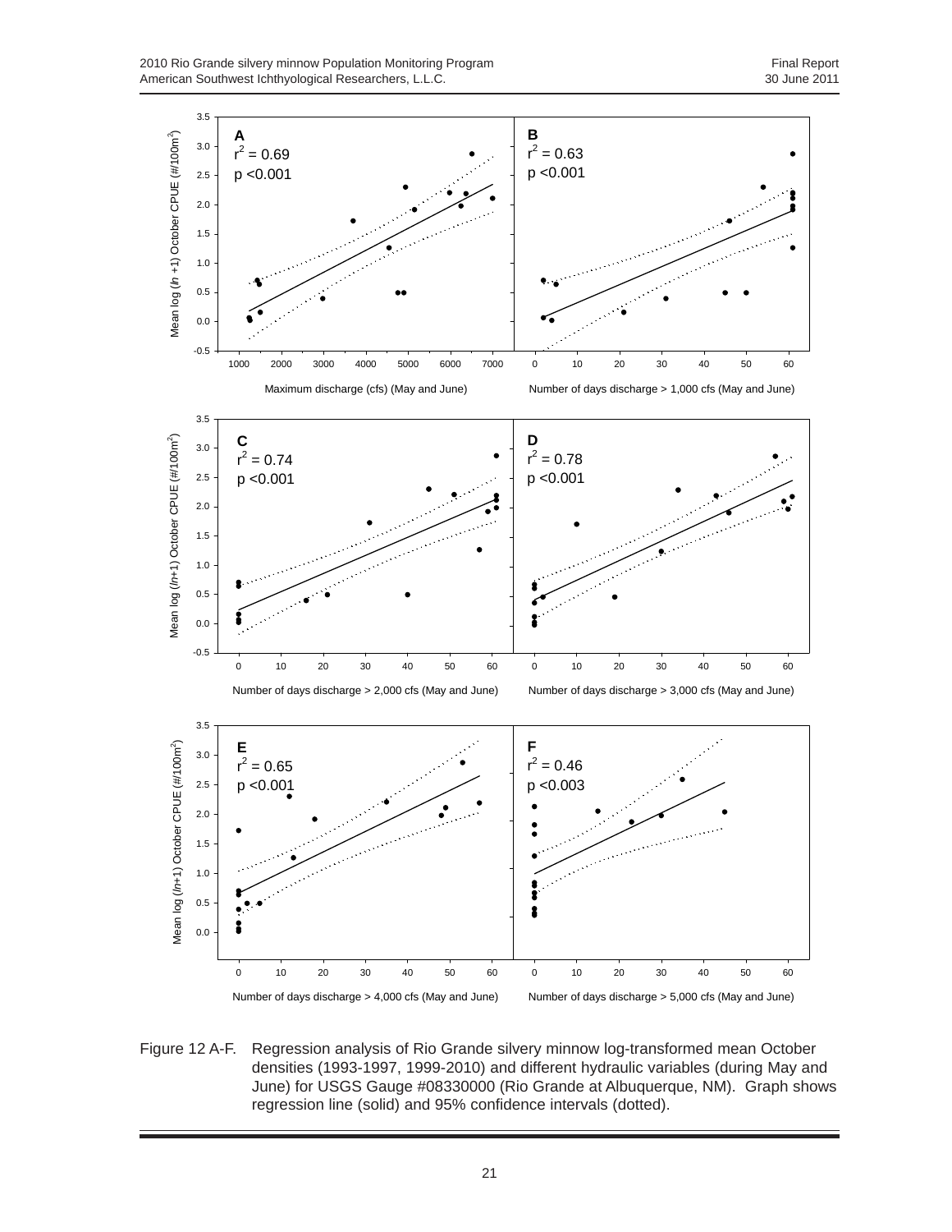2010 Rio Grande silvery minnow Population Monitoring Program<br>
2010 American Southwest Ichthyological Researchers, L.L.C. American Southwest Ichthyological Researchers, L.L.C.



Figure 12 A-F. Regression analysis of Rio Grande silvery minnow log-transformed mean October densities (1993-1997, 1999-2010) and different hydraulic variables (during May and June) for USGS Gauge #08330000 (Rio Grande at Albuquerque, NM). Graph shows regression line (solid) and 95% confidence intervals (dotted).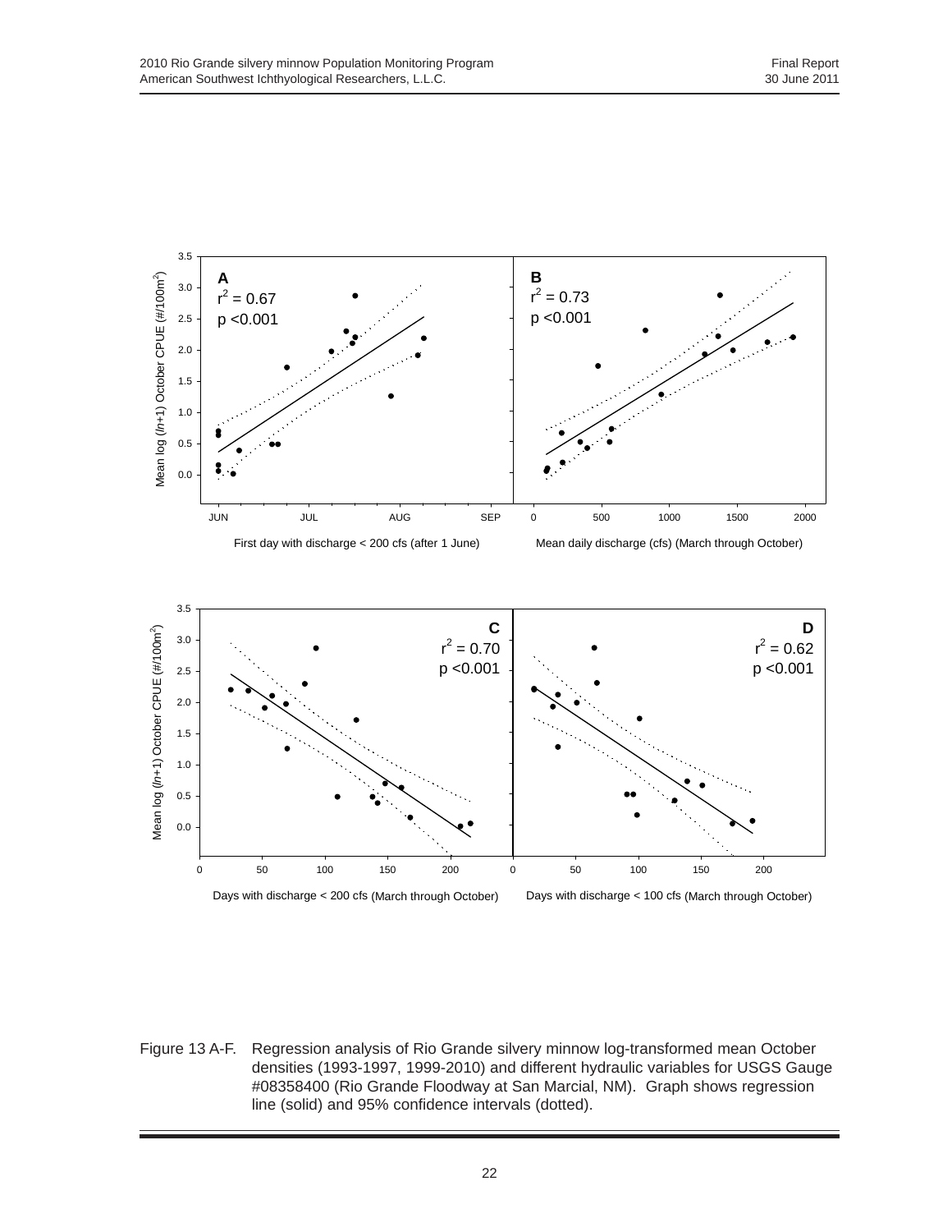

Figure 13 A-F. Regression analysis of Rio Grande silvery minnow log-transformed mean October densities (1993-1997, 1999-2010) and different hydraulic variables for USGS Gauge #08358400 (Rio Grande Floodway at San Marcial, NM). Graph shows regression line (solid) and 95% confidence intervals (dotted).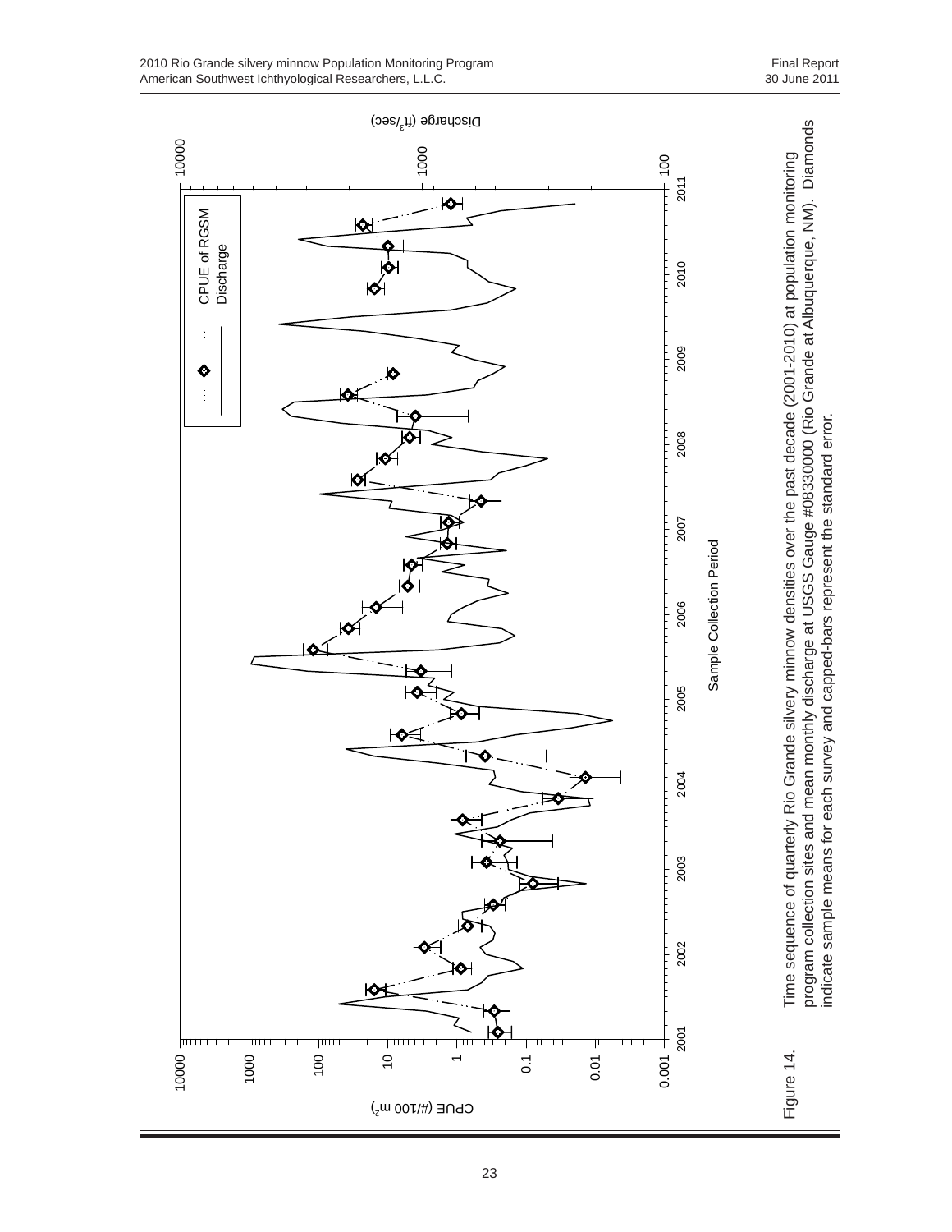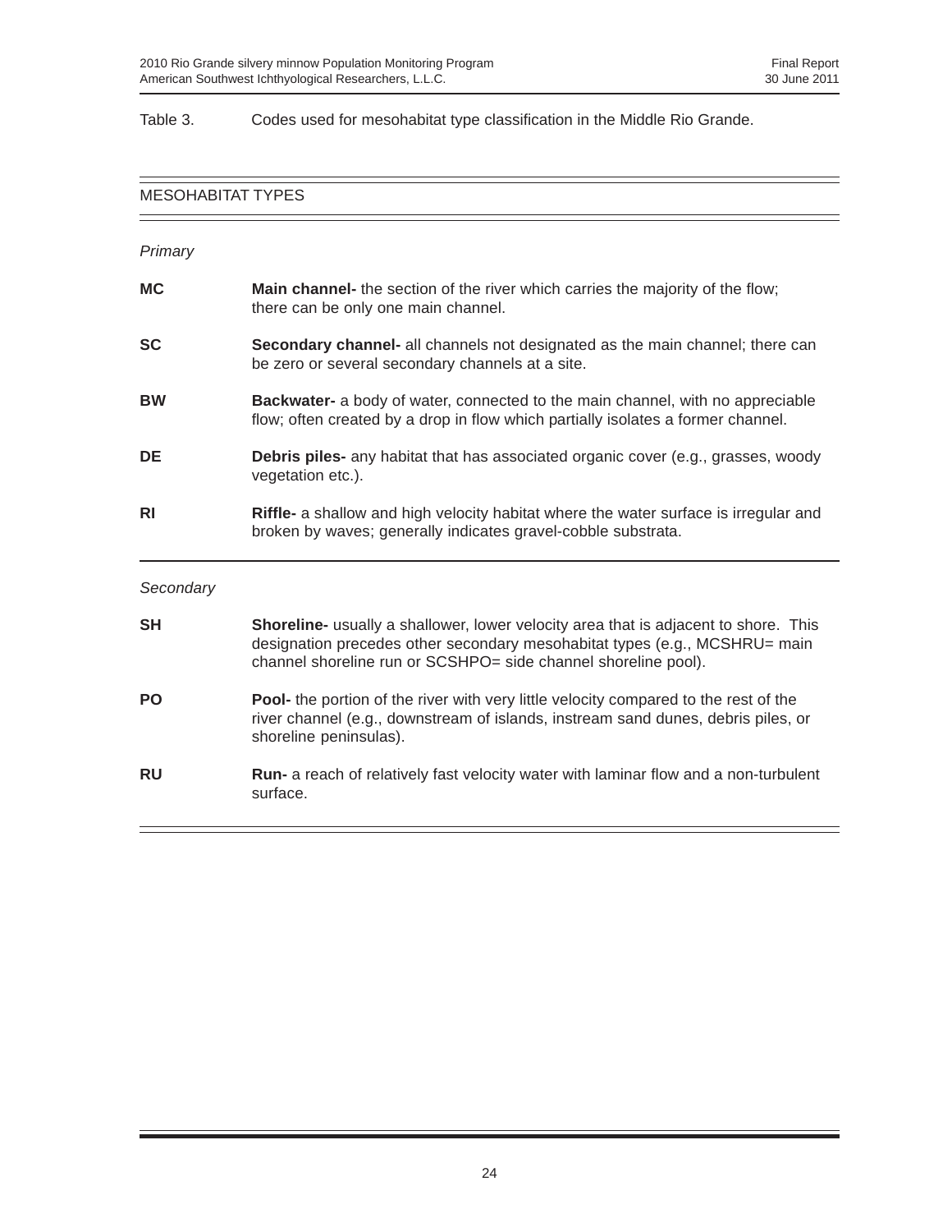#### Table 3. Codes used for mesohabitat type classification in the Middle Rio Grande.

# MESOHABITAT TYPES — *Primary* **MC** Main channel- the section of the river which carries the majority of the flow; there can be only one main channel. **SC** Secondary channel- all channels not designated as the main channel; there can be zero or several secondary channels at a site. **BW Backwater-** a body of water, connected to the main channel, with no appreciable flow; often created by a drop in flow which partially isolates a former channel. **DE Debris piles-** any habitat that has associated organic cover (e.g., grasses, woody vegetation etc.). **RI Riffle-** a shallow and high velocity habitat where the water surface is irregular and broken by waves; generally indicates gravel-cobble substrata. *Secondary* **SH Shoreline-** usually a shallower, lower velocity area that is adjacent to shore. This designation precedes other secondary mesohabitat types (e.g., MCSHRU= main channel shoreline run or SCSHPO= side channel shoreline pool). **PO Pool-** the portion of the river with very little velocity compared to the rest of the river channel (e.g., downstream of islands, instream sand dunes, debris piles, or shoreline peninsulas). **RU** Run- a reach of relatively fast velocity water with laminar flow and a non-turbulent surface.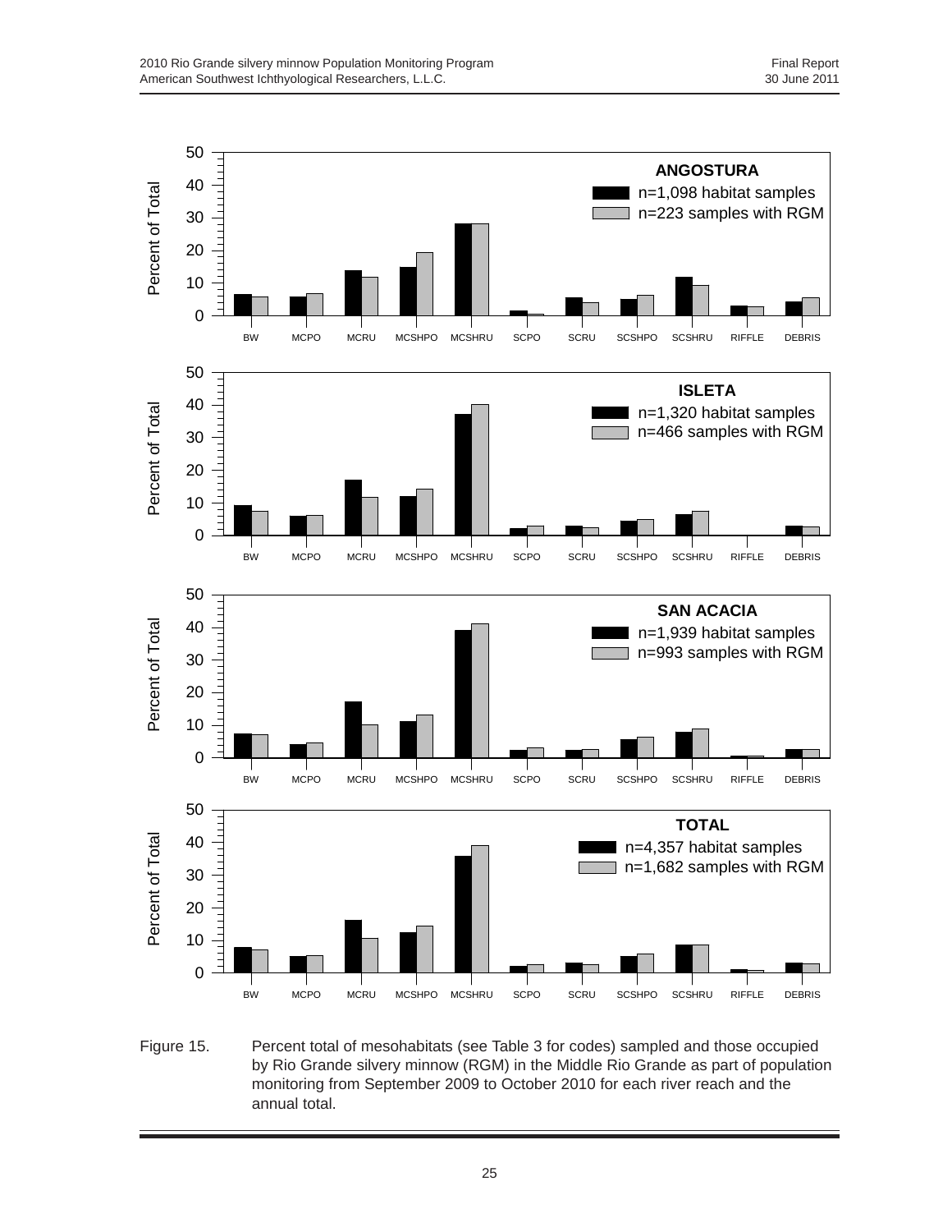

Figure 15. Percent total of mesohabitats (see Table 3 for codes) sampled and those occupied by Rio Grande silvery minnow (RGM) in the Middle Rio Grande as part of population monitoring from September 2009 to October 2010 for each river reach and the annual total.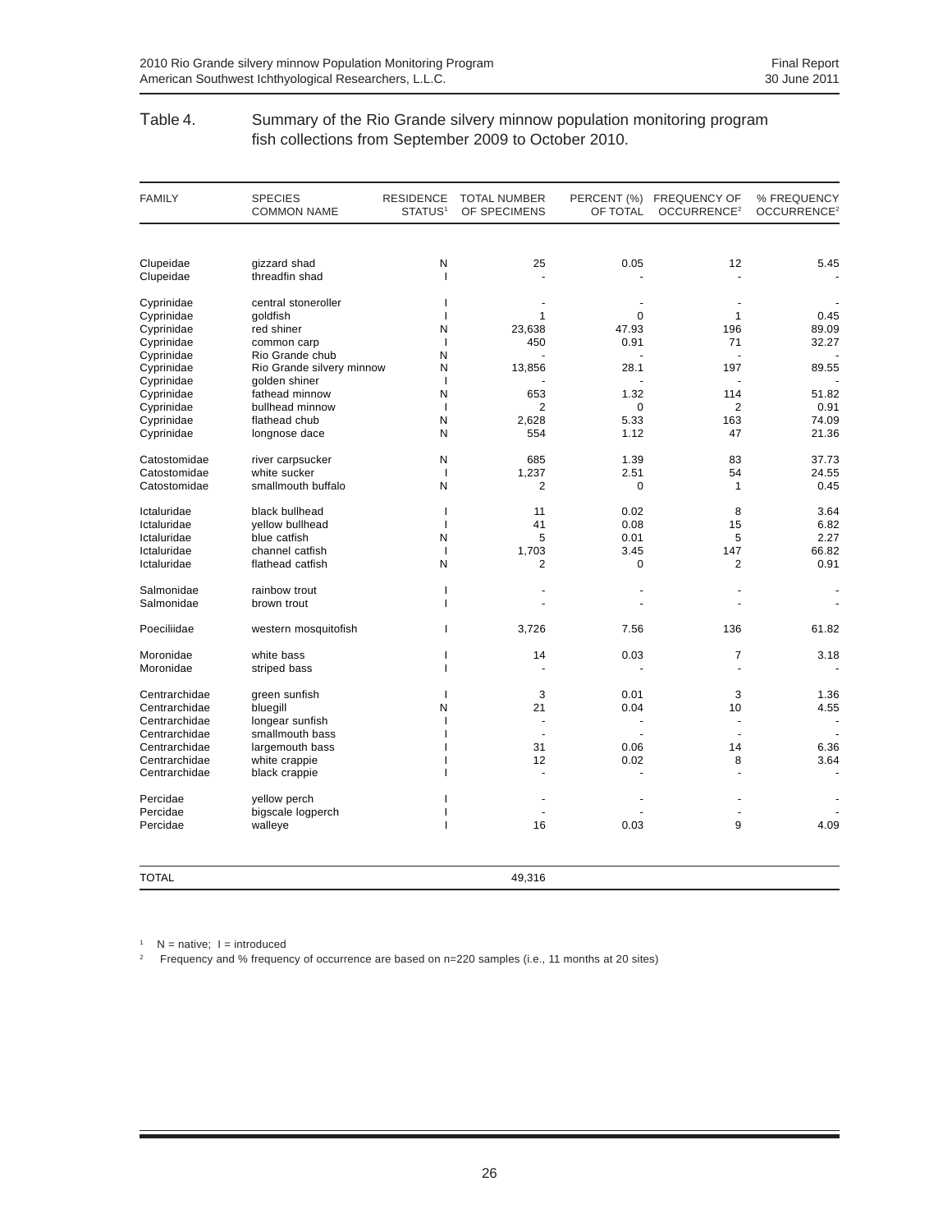#### Table 4. Summary of the Rio Grande silvery minnow population monitoring program fish collections from September 2009 to October 2010.

| <b>FAMILY</b> | <b>SPECIES</b><br><b>COMMON NAME</b> | <b>RESIDENCE</b><br>STATUS <sup>1</sup> | <b>TOTAL NUMBER</b><br>OF SPECIMENS | OF TOTAL    | PERCENT (%) FREQUENCY OF<br>OCCURRENCE <sup>2</sup> | % FREQUENCY<br>OCCURRENCE <sup>2</sup> |
|---------------|--------------------------------------|-----------------------------------------|-------------------------------------|-------------|-----------------------------------------------------|----------------------------------------|
|               |                                      |                                         |                                     |             |                                                     |                                        |
| Clupeidae     | gizzard shad                         | N                                       | 25                                  | 0.05        | 12                                                  | 5.45                                   |
| Clupeidae     | threadfin shad                       | $\mathbf{I}$                            |                                     |             |                                                     |                                        |
| Cyprinidae    | central stoneroller                  | $\mathbf{I}$                            |                                     |             |                                                     |                                        |
| Cyprinidae    | goldfish                             | $\mathbf{I}$                            | $\mathbf{1}$                        | $\Omega$    | $\mathbf{1}$                                        | 0.45                                   |
| Cyprinidae    | red shiner                           | N                                       | 23,638                              | 47.93       | 196                                                 | 89.09                                  |
| Cyprinidae    | common carp                          | $\overline{1}$                          | 450                                 | 0.91        | 71                                                  | 32.27                                  |
| Cyprinidae    | Rio Grande chub                      | N                                       |                                     |             |                                                     |                                        |
| Cyprinidae    | Rio Grande silvery minnow            | N                                       | 13,856                              | 28.1        | 197                                                 | 89.55                                  |
| Cyprinidae    | golden shiner                        | $\mathbf{I}$                            |                                     |             |                                                     |                                        |
| Cyprinidae    | fathead minnow                       | N                                       | 653                                 | 1.32        | 114                                                 | 51.82                                  |
| Cyprinidae    | bullhead minnow                      | $\mathbf{I}$                            | $\overline{2}$                      | 0           | 2                                                   | 0.91                                   |
| Cyprinidae    | flathead chub                        | N                                       | 2,628                               | 5.33        | 163                                                 | 74.09                                  |
| Cyprinidae    | longnose dace                        | N                                       | 554                                 | 1.12        | 47                                                  | 21.36                                  |
| Catostomidae  | river carpsucker                     | N                                       | 685                                 | 1.39        | 83                                                  | 37.73                                  |
| Catostomidae  | white sucker                         | $\mathbf{I}$                            | 1,237                               | 2.51        | 54                                                  | 24.55                                  |
| Catostomidae  | smallmouth buffalo                   | N                                       | $\overline{2}$                      | 0           | $\mathbf{1}$                                        | 0.45                                   |
| Ictaluridae   | black bullhead                       | $\mathbf{I}$                            | 11                                  | 0.02        | 8                                                   | 3.64                                   |
| Ictaluridae   | yellow bullhead                      | $\mathbf{I}$                            | 41                                  | 0.08        | 15                                                  | 6.82                                   |
| Ictaluridae   | blue catfish                         | N                                       | 5                                   | 0.01        | 5                                                   | 2.27                                   |
| Ictaluridae   | channel catfish                      | $\overline{1}$                          | 1,703                               | 3.45        | 147                                                 | 66.82                                  |
| Ictaluridae   | flathead catfish                     | N                                       | $\overline{2}$                      | $\mathbf 0$ | $\overline{2}$                                      | 0.91                                   |
| Salmonidae    | rainbow trout                        | $\mathbf{I}$                            |                                     |             |                                                     |                                        |
| Salmonidae    | brown trout                          | J.                                      |                                     |             |                                                     |                                        |
| Poeciliidae   | western mosquitofish                 | 1                                       | 3,726                               | 7.56        | 136                                                 | 61.82                                  |
| Moronidae     | white bass                           | ı                                       | 14                                  | 0.03        | $\overline{7}$                                      | 3.18                                   |
| Moronidae     | striped bass                         | J.                                      |                                     |             |                                                     |                                        |
| Centrarchidae | green sunfish                        | $\mathbf{I}$                            | 3                                   | 0.01        | 3                                                   | 1.36                                   |
| Centrarchidae | bluegill                             | N                                       | 21                                  | 0.04        | 10                                                  | 4.55                                   |
| Centrarchidae | longear sunfish                      | $\mathbf{I}$                            |                                     |             |                                                     |                                        |
| Centrarchidae | smallmouth bass                      |                                         | ÷.                                  |             |                                                     |                                        |
| Centrarchidae | largemouth bass                      |                                         | 31                                  | 0.06        | 14                                                  | 6.36                                   |
| Centrarchidae | white crappie                        |                                         | 12                                  | 0.02        | 8                                                   | 3.64                                   |
| Centrarchidae | black crappie                        |                                         | L,                                  |             |                                                     |                                        |
| Percidae      | yellow perch                         |                                         |                                     |             |                                                     |                                        |
| Percidae      | bigscale logperch                    | J.                                      | ÷.                                  |             |                                                     |                                        |
| Percidae      | walleye                              | 1                                       | 16                                  | 0.03        | 9                                                   | 4.09                                   |
| <b>TOTAL</b>  |                                      |                                         | 49,316                              |             |                                                     |                                        |

 $1$  N = native;  $1$  = introduced

<sup>2</sup> Frequency and % frequency of occurrence are based on n=220 samples (i.e., 11 months at 20 sites)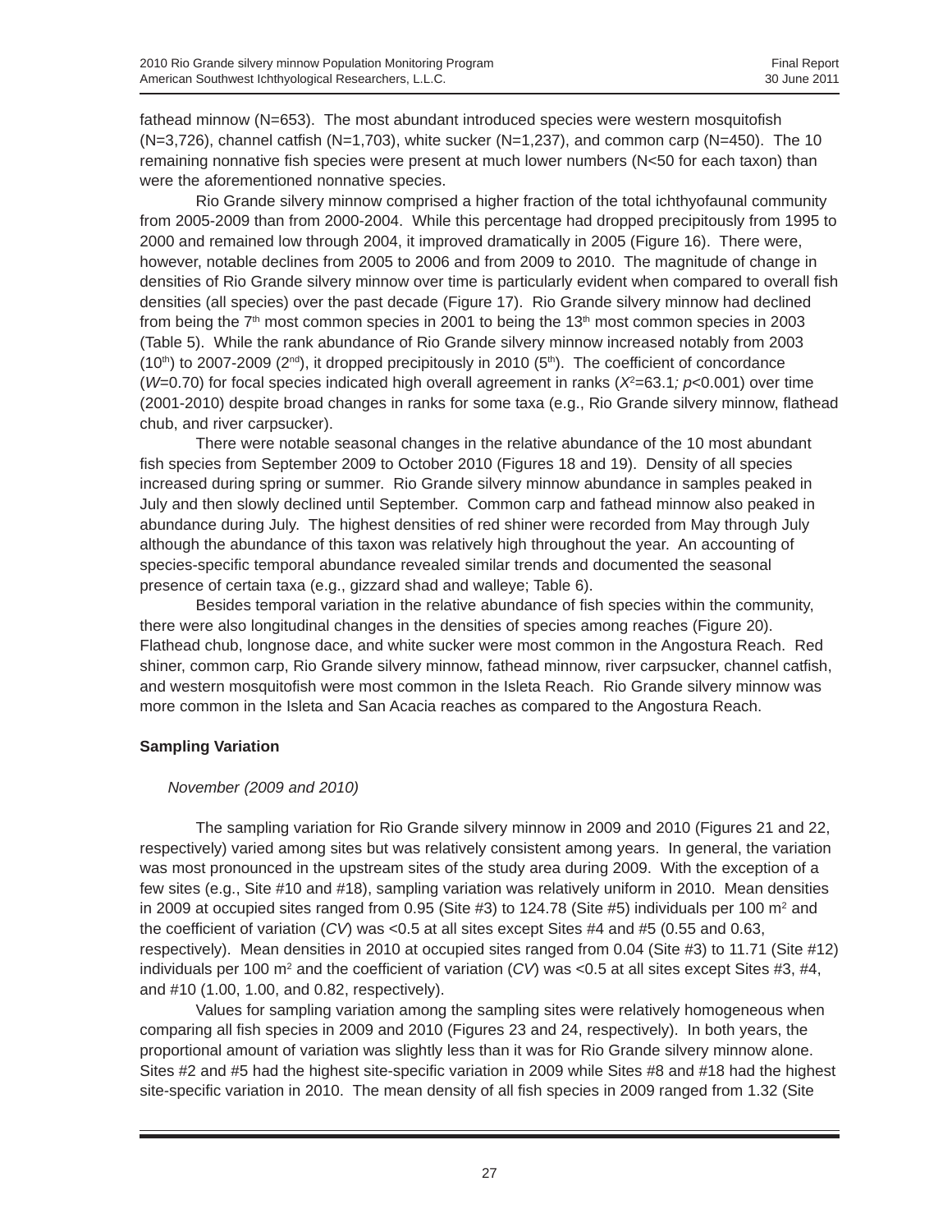fathead minnow (N=653). The most abundant introduced species were western mosquitofish  $(N=3,726)$ , channel catfish  $(N=1,703)$ , white sucker  $(N=1,237)$ , and common carp  $(N=450)$ . The 10 remaining nonnative fish species were present at much lower numbers (N<50 for each taxon) than were the aforementioned nonnative species.

Rio Grande silvery minnow comprised a higher fraction of the total ichthyofaunal community from 2005-2009 than from 2000-2004. While this percentage had dropped precipitously from 1995 to 2000 and remained low through 2004, it improved dramatically in 2005 (Figure 16). There were, however, notable declines from 2005 to 2006 and from 2009 to 2010. The magnitude of change in densities of Rio Grande silvery minnow over time is particularly evident when compared to overall fish densities (all species) over the past decade (Figure 17). Rio Grande silvery minnow had declined from being the  $7<sup>th</sup>$  most common species in 2001 to being the  $13<sup>th</sup>$  most common species in 2003 (Table 5). While the rank abundance of Rio Grande silvery minnow increased notably from 2003  $(10<sup>th</sup>)$  to 2007-2009 ( $2<sup>nd</sup>$ ), it dropped precipitously in 2010 (5<sup>th</sup>). The coefficient of concordance (*W*=0.70) for focal species indicated high overall agreement in ranks ( $X^2$ =63.1;  $p$ <0.001) over time (2001-2010) despite broad changes in ranks for some taxa (e.g., Rio Grande silvery minnow, flathead chub, and river carpsucker).

There were notable seasonal changes in the relative abundance of the 10 most abundant fish species from September 2009 to October 2010 (Figures 18 and 19). Density of all species increased during spring or summer. Rio Grande silvery minnow abundance in samples peaked in July and then slowly declined until September. Common carp and fathead minnow also peaked in abundance during July. The highest densities of red shiner were recorded from May through July although the abundance of this taxon was relatively high throughout the year. An accounting of species-specific temporal abundance revealed similar trends and documented the seasonal presence of certain taxa (e.g., gizzard shad and walleye; Table 6).

Besides temporal variation in the relative abundance of fish species within the community, there were also longitudinal changes in the densities of species among reaches (Figure 20). Flathead chub, longnose dace, and white sucker were most common in the Angostura Reach. Red shiner, common carp, Rio Grande silvery minnow, fathead minnow, river carpsucker, channel catfish, and western mosquitofish were most common in the Isleta Reach. Rio Grande silvery minnow was more common in the Isleta and San Acacia reaches as compared to the Angostura Reach.

#### **Sampling Variation**

# *November (2009 and 2010)*

The sampling variation for Rio Grande silvery minnow in 2009 and 2010 (Figures 21 and 22, respectively) varied among sites but was relatively consistent among years. In general, the variation was most pronounced in the upstream sites of the study area during 2009. With the exception of a few sites (e.g., Site #10 and #18), sampling variation was relatively uniform in 2010. Mean densities in 2009 at occupied sites ranged from 0.95 (Site #3) to 124.78 (Site #5) individuals per 100 m<sup>2</sup> and the coefficient of variation (*CV*) was <0.5 at all sites except Sites #4 and #5 (0.55 and 0.63, respectively). Mean densities in 2010 at occupied sites ranged from 0.04 (Site #3) to 11.71 (Site #12) individuals per 100 m<sup>2</sup> and the coefficient of variation ( $CV$ ) was <0.5 at all sites except Sites #3, #4, and #10 (1.00, 1.00, and 0.82, respectively).

Values for sampling variation among the sampling sites were relatively homogeneous when comparing all fish species in 2009 and 2010 (Figures 23 and 24, respectively). In both years, the proportional amount of variation was slightly less than it was for Rio Grande silvery minnow alone. Sites #2 and #5 had the highest site-specific variation in 2009 while Sites #8 and #18 had the highest site-specific variation in 2010. The mean density of all fish species in 2009 ranged from 1.32 (Site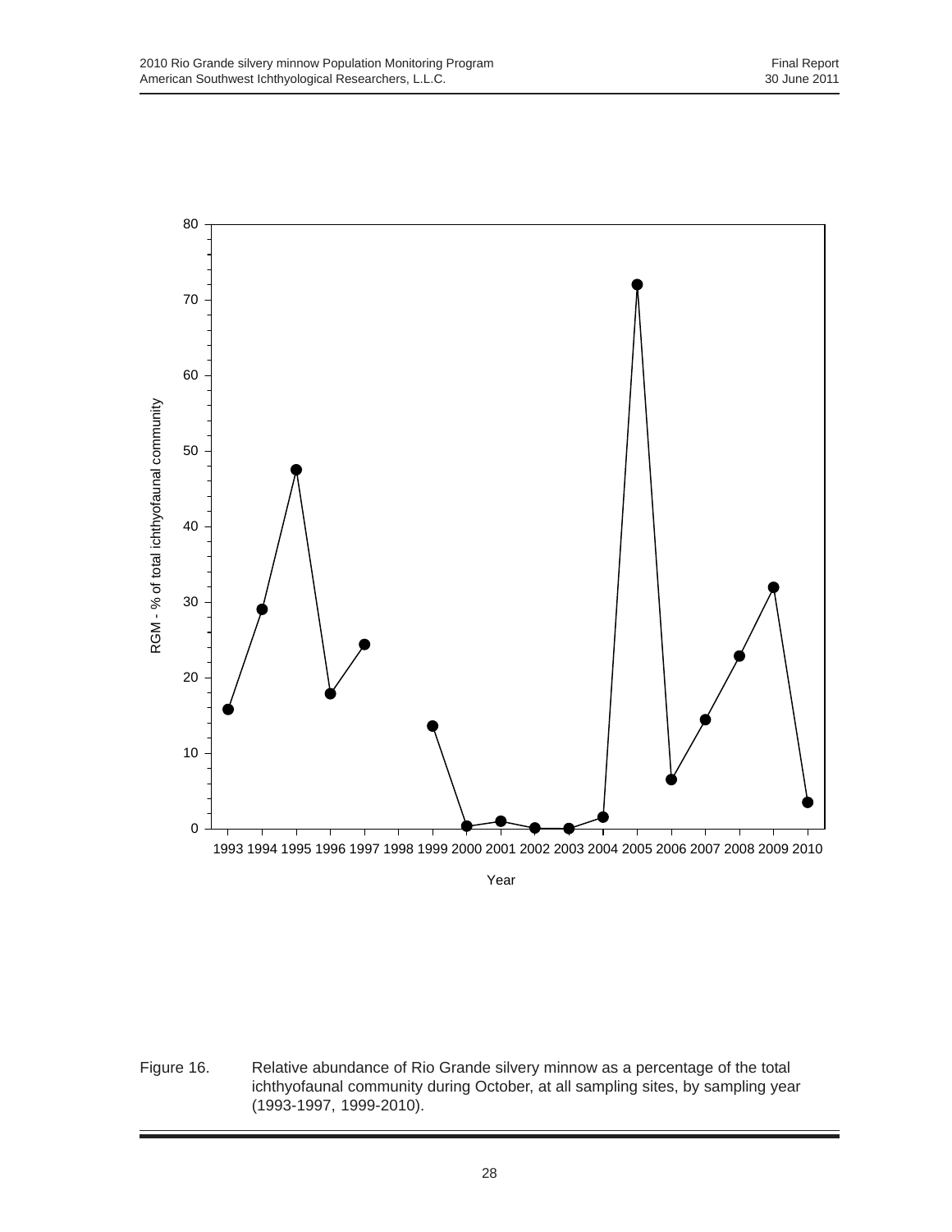

Year

Figure 16. Relative abundance of Rio Grande silvery minnow as a percentage of the total ichthyofaunal community during October, at all sampling sites, by sampling year (1993-1997, 1999-2010).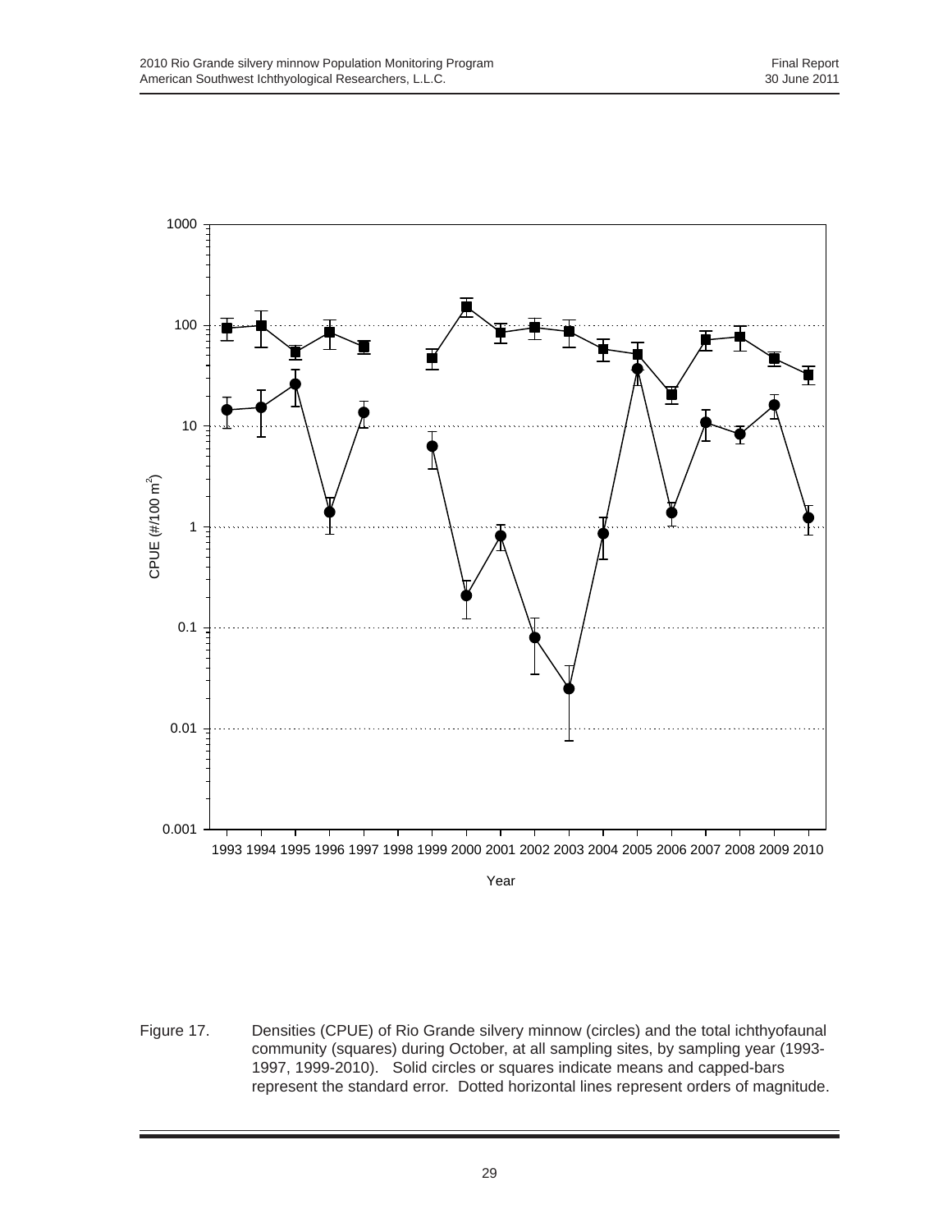

Year

Figure 17. Densities (CPUE) of Rio Grande silvery minnow (circles) and the total ichthyofaunal community (squares) during October, at all sampling sites, by sampling year (1993- 1997, 1999-2010). Solid circles or squares indicate means and capped-bars represent the standard error. Dotted horizontal lines represent orders of magnitude.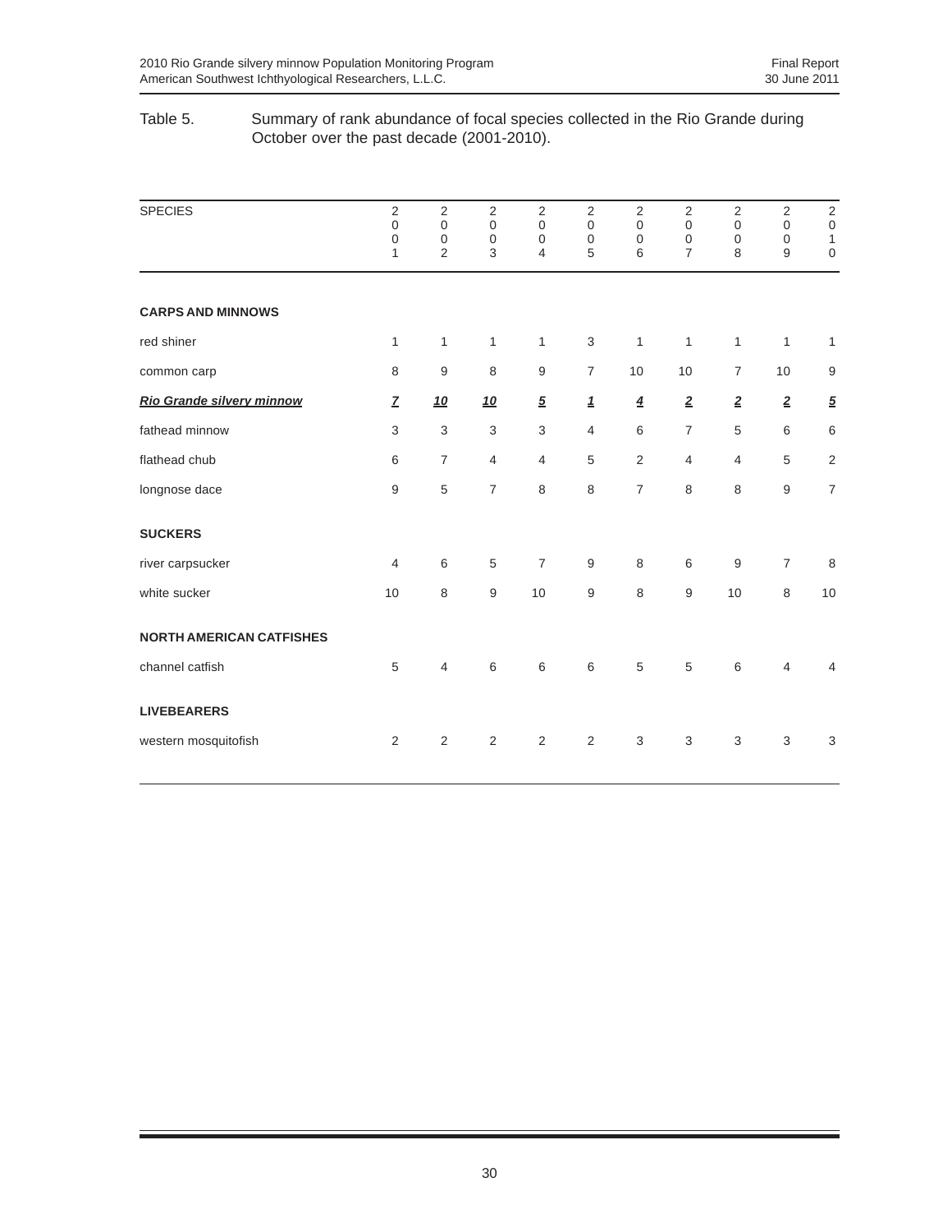## Table 5. Summary of rank abundance of focal species collected in the Rio Grande during October over the past decade (2001-2010).

| <b>SPECIES</b>                  | $\overline{2}$<br>$\boldsymbol{0}$<br>$\mathbf 0$<br>$\mathbf{1}$ | $\overline{2}$<br>$\mathbf 0$<br>$\boldsymbol{0}$<br>$\overline{2}$ | $\overline{2}$<br>$\mathbf 0$<br>$\mathbf 0$<br>3 | $\sqrt{2}$<br>$\mathbf 0$<br>$\boldsymbol{0}$<br>4 | $\overline{2}$<br>$\mathbf 0$<br>$\mathbf 0$<br>5 | $\overline{2}$<br>$\overline{0}$<br>$\mathbf 0$<br>6 | $\overline{2}$<br>$\mathbf 0$<br>$\mathbf 0$<br>$\overline{7}$ | 2<br>$\boldsymbol{0}$<br>$\mathbf 0$<br>8 | $\sqrt{2}$<br>$\mathbf 0$<br>$\mathbf 0$<br>9 | $\mathbf 2$<br>$\boldsymbol{0}$<br>$\mathbf{1}$<br>$\boldsymbol{0}$ |
|---------------------------------|-------------------------------------------------------------------|---------------------------------------------------------------------|---------------------------------------------------|----------------------------------------------------|---------------------------------------------------|------------------------------------------------------|----------------------------------------------------------------|-------------------------------------------|-----------------------------------------------|---------------------------------------------------------------------|
| <b>CARPS AND MINNOWS</b>        |                                                                   |                                                                     |                                                   |                                                    |                                                   |                                                      |                                                                |                                           |                                               |                                                                     |
| red shiner                      | $\mathbf{1}$                                                      | $\mathbf{1}$                                                        | $\mathbf{1}$                                      | $\mathbf{1}$                                       | $\,$ 3 $\,$                                       | $\mathbf{1}$                                         | 1                                                              | 1                                         | $\mathbf{1}$                                  | $\mathbf{1}$                                                        |
| common carp                     | 8                                                                 | 9                                                                   | 8                                                 | $\boldsymbol{9}$                                   | $\overline{7}$                                    | 10                                                   | 10                                                             | $\overline{7}$                            | 10                                            | 9                                                                   |
| Rio Grande silvery minnow       | $\overline{Z}$                                                    | <u>10</u>                                                           | 10                                                | $\overline{5}$                                     | $\mathbf 1$                                       | $\overline{4}$                                       | $\underline{\mathbf{2}}$                                       | $\overline{2}$                            | $\overline{2}$                                | $\overline{5}$                                                      |
| fathead minnow                  | $\,$ 3 $\,$                                                       | $\sqrt{3}$                                                          | 3                                                 | 3                                                  | 4                                                 | 6                                                    | $\overline{7}$                                                 | 5                                         | 6                                             | 6                                                                   |
| flathead chub                   | 6                                                                 | $\overline{7}$                                                      | $\overline{4}$                                    | 4                                                  | 5                                                 | 2                                                    | 4                                                              | 4                                         | 5                                             | $\sqrt{2}$                                                          |
| longnose dace                   | $\boldsymbol{9}$                                                  | 5                                                                   | $\overline{7}$                                    | 8                                                  | 8                                                 | $\overline{7}$                                       | 8                                                              | 8                                         | $\overline{9}$                                | $\overline{7}$                                                      |
| <b>SUCKERS</b>                  |                                                                   |                                                                     |                                                   |                                                    |                                                   |                                                      |                                                                |                                           |                                               |                                                                     |
| river carpsucker                | $\overline{4}$                                                    | $\,6\,$                                                             | $\,$ 5 $\,$                                       | $\overline{7}$                                     | $\boldsymbol{9}$                                  | 8                                                    | 6                                                              | $\boldsymbol{9}$                          | $\overline{7}$                                | 8                                                                   |
| white sucker                    | 10                                                                | 8                                                                   | $9\,$                                             | 10                                                 | 9                                                 | 8                                                    | 9                                                              | 10                                        | 8                                             | 10                                                                  |
| <b>NORTH AMERICAN CATFISHES</b> |                                                                   |                                                                     |                                                   |                                                    |                                                   |                                                      |                                                                |                                           |                                               |                                                                     |
| channel catfish                 | 5                                                                 | 4                                                                   | 6                                                 | 6                                                  | 6                                                 | 5                                                    | 5                                                              | 6                                         | $\overline{4}$                                | 4                                                                   |
| <b>LIVEBEARERS</b>              |                                                                   |                                                                     |                                                   |                                                    |                                                   |                                                      |                                                                |                                           |                                               |                                                                     |
| western mosquitofish            | $\mathbf{2}$                                                      | 2                                                                   | 2                                                 | 2                                                  | 2                                                 | 3                                                    | 3                                                              | 3                                         | 3                                             | $\ensuremath{\mathsf{3}}$                                           |
|                                 |                                                                   |                                                                     |                                                   |                                                    |                                                   |                                                      |                                                                |                                           |                                               |                                                                     |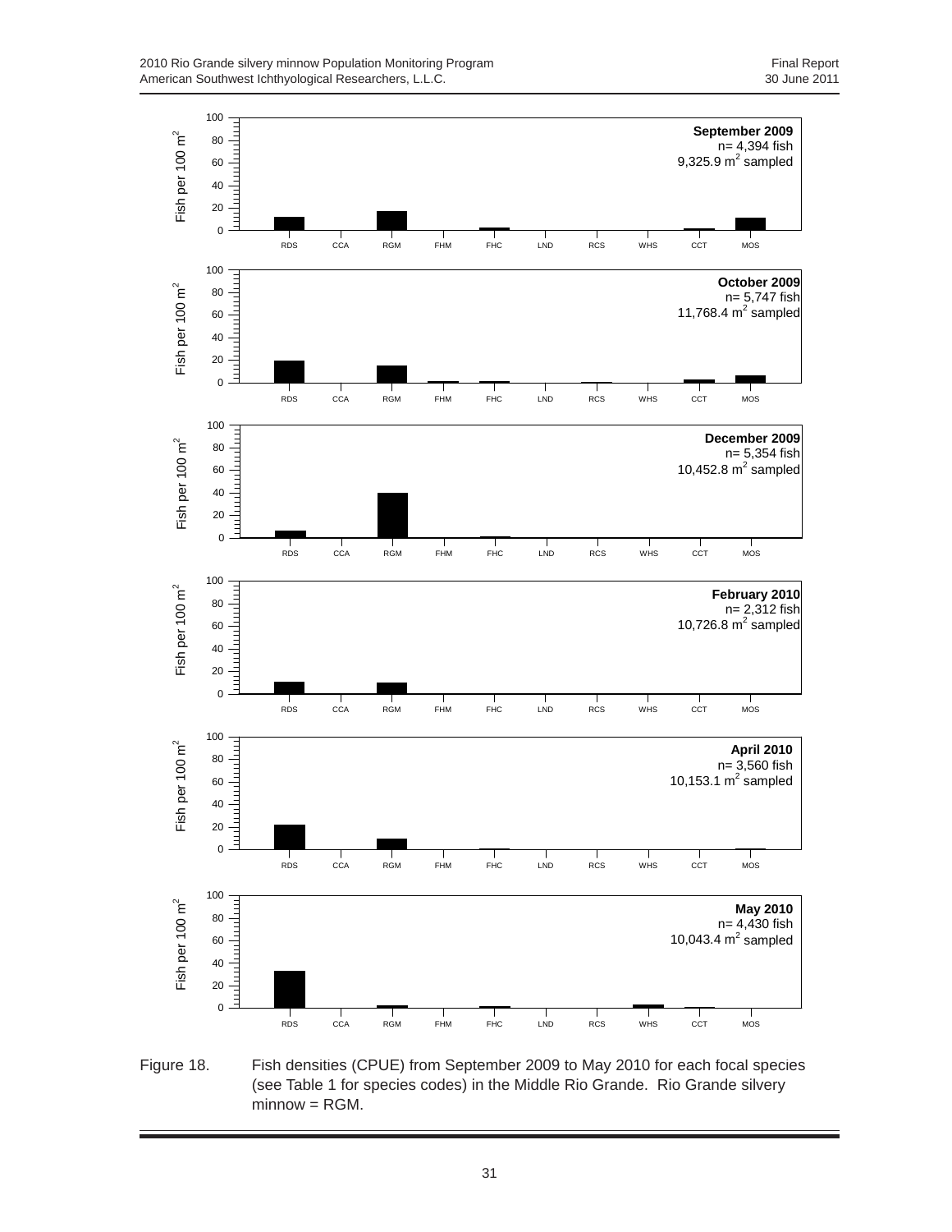

Figure 18. Fish densities (CPUE) from September 2009 to May 2010 for each focal species (see Table 1 for species codes) in the Middle Rio Grande. Rio Grande silvery minnow = RGM.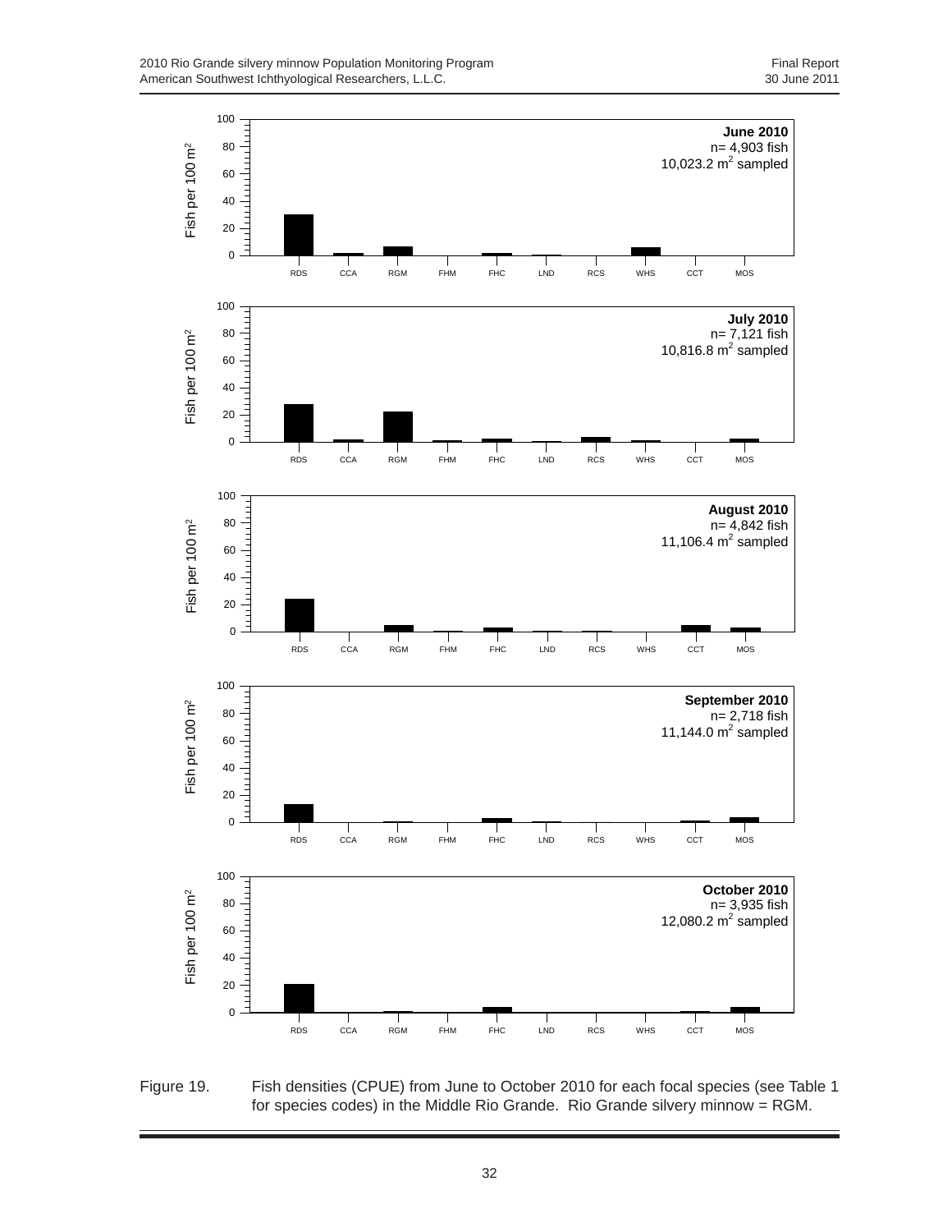

Figure 19. Fish densities (CPUE) from June to October 2010 for each focal species (see Table 1 for species codes) in the Middle Rio Grande. Rio Grande silvery minnow = RGM.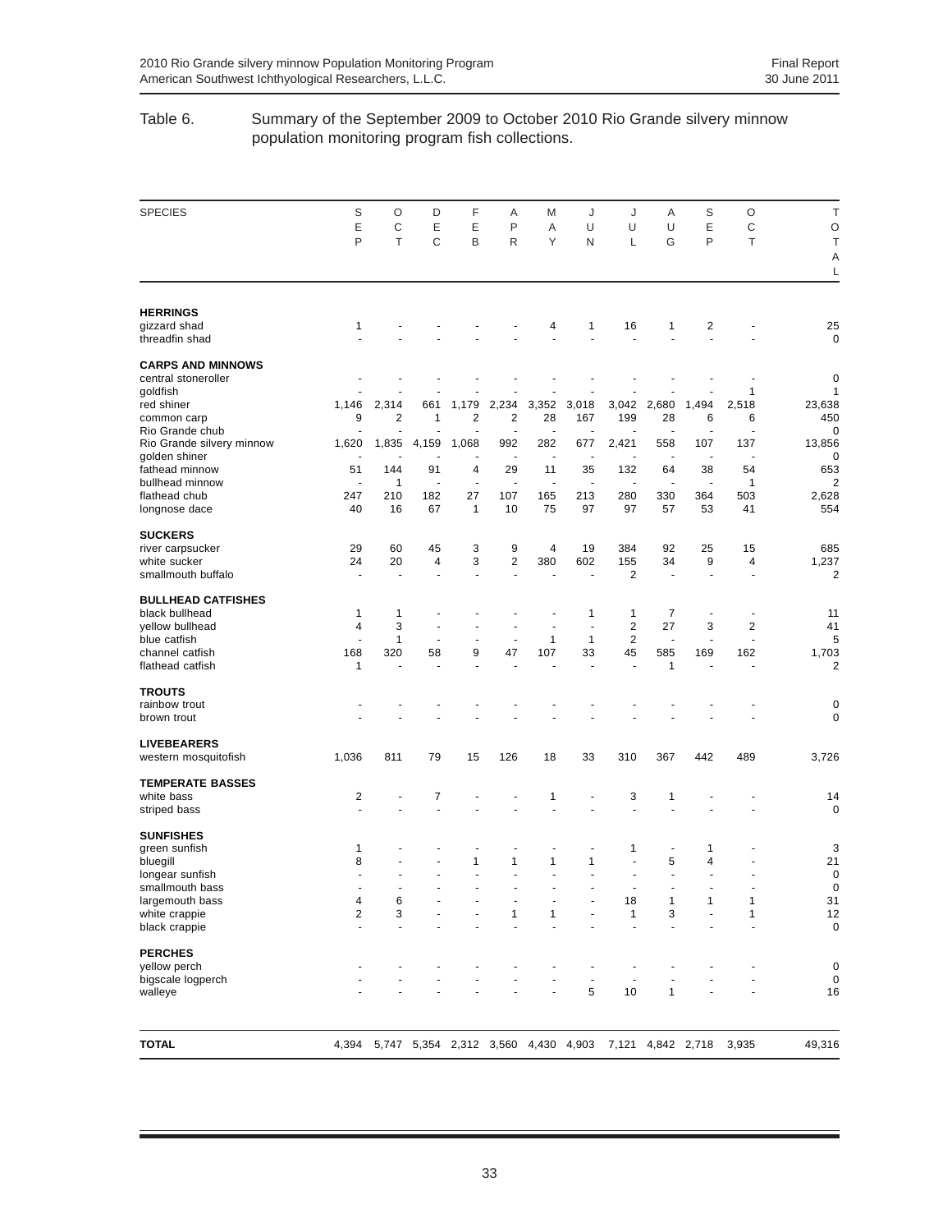## Table 6. Summary of the September 2009 to October 2010 Rio Grande silvery minnow population monitoring program fish collections.

| <b>SPECIES</b>                      | S<br>Ε<br>P    | O<br>C<br>T    | D<br>Ε<br>C              | F<br>Ε<br>B                         | Α<br>P<br>R                   | M<br>Α<br>Υ    | J<br>U<br>N           | J<br>U<br>L           | Α<br>U<br>G              | S<br>Ε<br>P               | O<br>$\mathsf C$<br>T     | T<br>$\circ$<br>T<br>Α  |
|-------------------------------------|----------------|----------------|--------------------------|-------------------------------------|-------------------------------|----------------|-----------------------|-----------------------|--------------------------|---------------------------|---------------------------|-------------------------|
| <b>HERRINGS</b>                     |                |                |                          |                                     |                               |                |                       |                       |                          |                           |                           | L                       |
| gizzard shad<br>threadfin shad      | 1              |                |                          |                                     |                               | 4              | 1                     | 16<br>÷.              | 1                        | 2                         |                           | 25<br>$\mathbf 0$       |
| <b>CARPS AND MINNOWS</b>            |                |                |                          |                                     |                               |                |                       |                       |                          |                           |                           |                         |
| central stoneroller<br>goldfish     |                |                |                          |                                     |                               |                |                       |                       |                          |                           | 1                         | 0<br>1                  |
| red shiner                          | 1,146          | 2,314          | 661                      | 1,179                               | 2,234                         | 3,352          | 3,018                 | 3,042                 | 2,680                    | 1,494                     | 2,518                     | 23,638                  |
| common carp                         | 9              | $\overline{2}$ | 1                        | $\overline{2}$                      | 2                             | 28             | 167                   | 199                   | 28                       | 6                         | 6                         | 450                     |
| Rio Grande chub                     |                |                |                          |                                     | $\blacksquare$                | ÷,             |                       |                       | ÷                        | ٠                         | ÷,                        | 0                       |
| Rio Grande silvery minnow           | 1,620          | 1,835          | 4,159                    | 1,068                               | 992                           | 282            | 677                   | 2,421                 | 558                      | 107                       | 137                       | 13,856                  |
| golden shiner<br>fathead minnow     | 51             | 144            | 91                       | ÷<br>4                              | ÷,<br>29                      | ÷,<br>11       | ٠<br>35               | ٠<br>132              | ÷<br>64                  | $\blacksquare$<br>38      | $\blacksquare$<br>54      | 0<br>653                |
| bullhead minnow                     | $\overline{a}$ | 1              | $\ddot{\phantom{1}}$     | $\blacksquare$                      | ä,                            | $\blacksquare$ | $\ddot{\phantom{1}}$  | ÷                     | ä,                       | $\blacksquare$            | 1                         | $\overline{2}$          |
| flathead chub                       | 247            | 210            | 182                      | 27                                  | 107                           | 165            | 213                   | 280                   | 330                      | 364                       | 503                       | 2,628                   |
| longnose dace                       | 40             | 16             | 67                       | $\mathbf{1}$                        | 10                            | 75             | 97                    | 97                    | 57                       | 53                        | 41                        | 554                     |
| <b>SUCKERS</b>                      |                |                |                          |                                     |                               |                |                       |                       |                          |                           |                           |                         |
| river carpsucker                    | 29             | 60             | 45                       | 3                                   | 9                             | 4              | 19                    | 384                   | 92                       | 25                        | 15                        | 685                     |
| white sucker<br>smallmouth buffalo  | 24             | 20             | 4<br>$\blacksquare$      | 3<br>$\ddot{\phantom{1}}$           | $\overline{\mathbf{c}}$<br>÷. | 380            | 602<br>$\blacksquare$ | 155<br>$\overline{2}$ | 34<br>$\blacksquare$     | 9<br>$\ddot{\phantom{1}}$ | 4<br>$\ddot{\phantom{1}}$ | 1,237<br>$\overline{2}$ |
| <b>BULLHEAD CATFISHES</b>           |                |                |                          |                                     |                               |                |                       |                       |                          |                           |                           |                         |
| black bullhead                      | 1              | 1              | $\overline{\phantom{a}}$ |                                     |                               |                | 1                     | 1                     | 7                        | $\blacksquare$            | $\blacksquare$            | 11                      |
| yellow bullhead                     | 4              | 3              | ä,                       | ä,                                  | $\blacksquare$                | $\blacksquare$ | ÷,                    | $\overline{2}$        | 27                       | 3                         | $\overline{2}$            | 41                      |
| blue catfish                        | ٠              | 1              | ٠                        | $\overline{\phantom{a}}$            | $\overline{\phantom{a}}$      | 1              | 1                     | 2                     | $\overline{\phantom{a}}$ | ٠                         | $\ddot{\phantom{1}}$      | 5                       |
| channel catfish<br>flathead catfish | 168<br>1       | 320            | 58<br>ä,                 | 9<br>ä,                             | 47                            | 107            | 33<br>÷,              | 45<br>÷,              | 585<br>$\mathbf{1}$      | 169                       | 162<br>÷,                 | 1,703<br>$\overline{2}$ |
| <b>TROUTS</b>                       |                |                |                          |                                     |                               |                |                       |                       |                          |                           |                           |                         |
| rainbow trout                       |                |                |                          |                                     |                               |                |                       |                       |                          |                           |                           | 0                       |
| brown trout                         |                |                |                          |                                     |                               |                |                       |                       |                          |                           |                           | $\mathbf 0$             |
| <b>LIVEBEARERS</b>                  |                |                |                          |                                     |                               |                |                       |                       |                          |                           |                           |                         |
| western mosquitofish                | 1,036          | 811            | 79                       | 15                                  | 126                           | 18             | 33                    | 310                   | 367                      | 442                       | 489                       | 3,726                   |
| <b>TEMPERATE BASSES</b>             |                |                |                          |                                     |                               |                |                       |                       |                          |                           |                           |                         |
| white bass                          | 2<br>ä,        |                | 7                        |                                     |                               | 1<br>ä,        |                       | 3<br>÷,               | 1                        |                           |                           | 14                      |
| striped bass                        |                |                |                          |                                     |                               |                | ÷                     |                       |                          |                           |                           | 0                       |
| <b>SUNFISHES</b>                    |                |                |                          |                                     |                               |                |                       |                       |                          |                           |                           |                         |
| green sunfish                       | 1<br>8         |                |                          | ٠<br>$\mathbf{1}$                   | ٠<br>$\mathbf{1}$             | ٠<br>1         | $\overline{a}$<br>1   | 1<br>÷,               | ٠<br>5                   | 1<br>4                    |                           | 3<br>21                 |
| bluegill<br>longear sunfish         |                |                |                          |                                     |                               | L.             |                       | ÷,                    | ÷,                       | ä,                        |                           | 0                       |
| smallmouth bass                     |                |                |                          |                                     |                               |                |                       |                       |                          |                           |                           | 0                       |
| largemouth bass                     | 4              | 6              |                          |                                     |                               |                |                       | 18                    | 1                        | 1                         | 1                         | 31                      |
| white crappie                       | 2              | 3              |                          |                                     | 1                             | 1              |                       | $\mathbf{1}$          | 3                        |                           | 1                         | 12                      |
| black crappie                       | ä,             |                |                          |                                     |                               |                |                       | ÷,                    |                          |                           |                           | $\mathbf 0$             |
| <b>PERCHES</b>                      |                |                |                          |                                     |                               |                |                       |                       |                          |                           |                           |                         |
| yellow perch<br>bigscale logperch   |                |                |                          |                                     |                               |                |                       |                       |                          |                           |                           | 0<br>0                  |
| walleye                             |                |                |                          |                                     |                               |                | 5                     | 10                    | 1                        |                           |                           | 16                      |
|                                     |                |                |                          |                                     |                               |                |                       |                       |                          |                           |                           |                         |
| <b>TOTAL</b>                        | 4,394          |                |                          | 5,747 5,354 2,312 3,560 4,430 4,903 |                               |                |                       |                       | 7,121 4,842 2,718        |                           | 3,935                     | 49,316                  |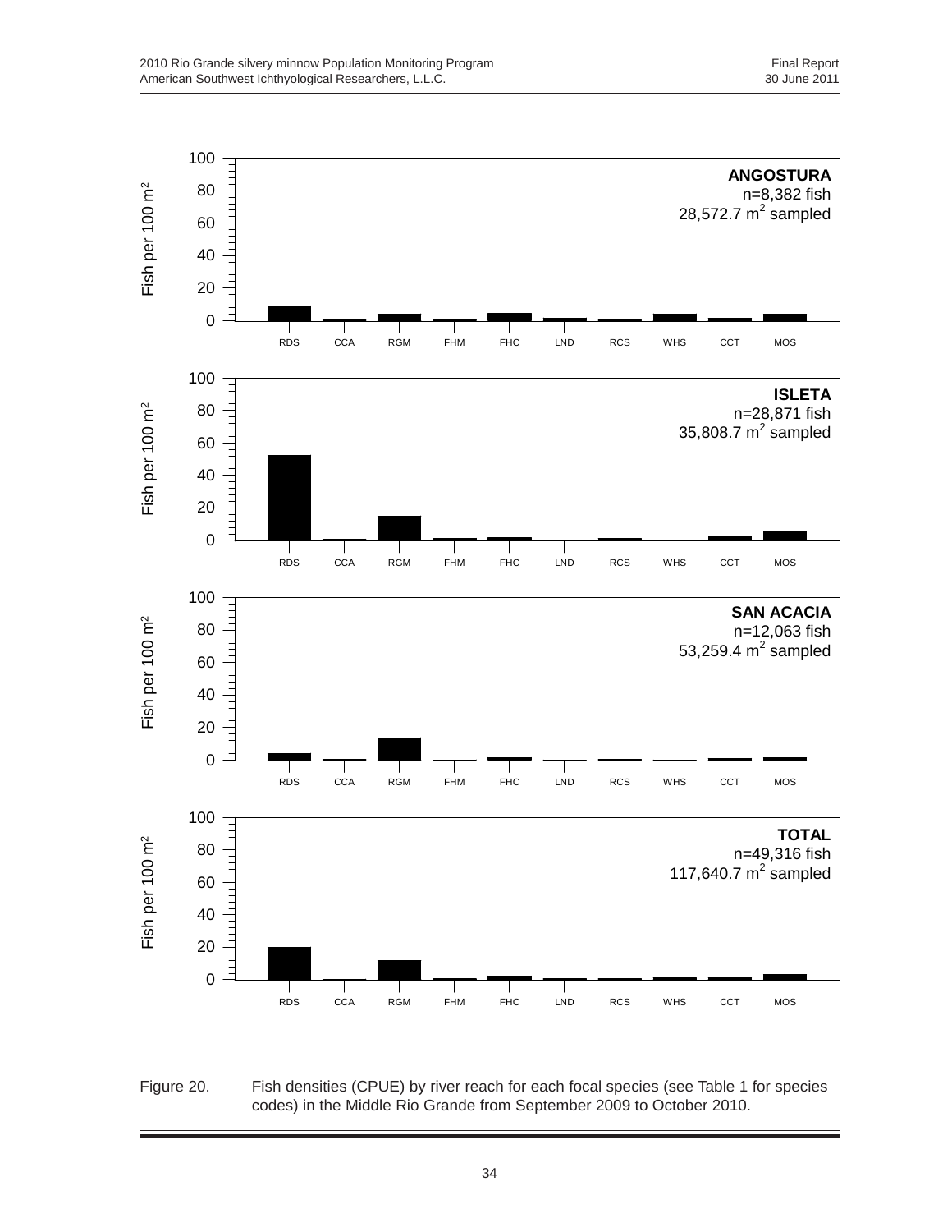

Figure 20. Fish densities (CPUE) by river reach for each focal species (see Table 1 for species codes) in the Middle Rio Grande from September 2009 to October 2010.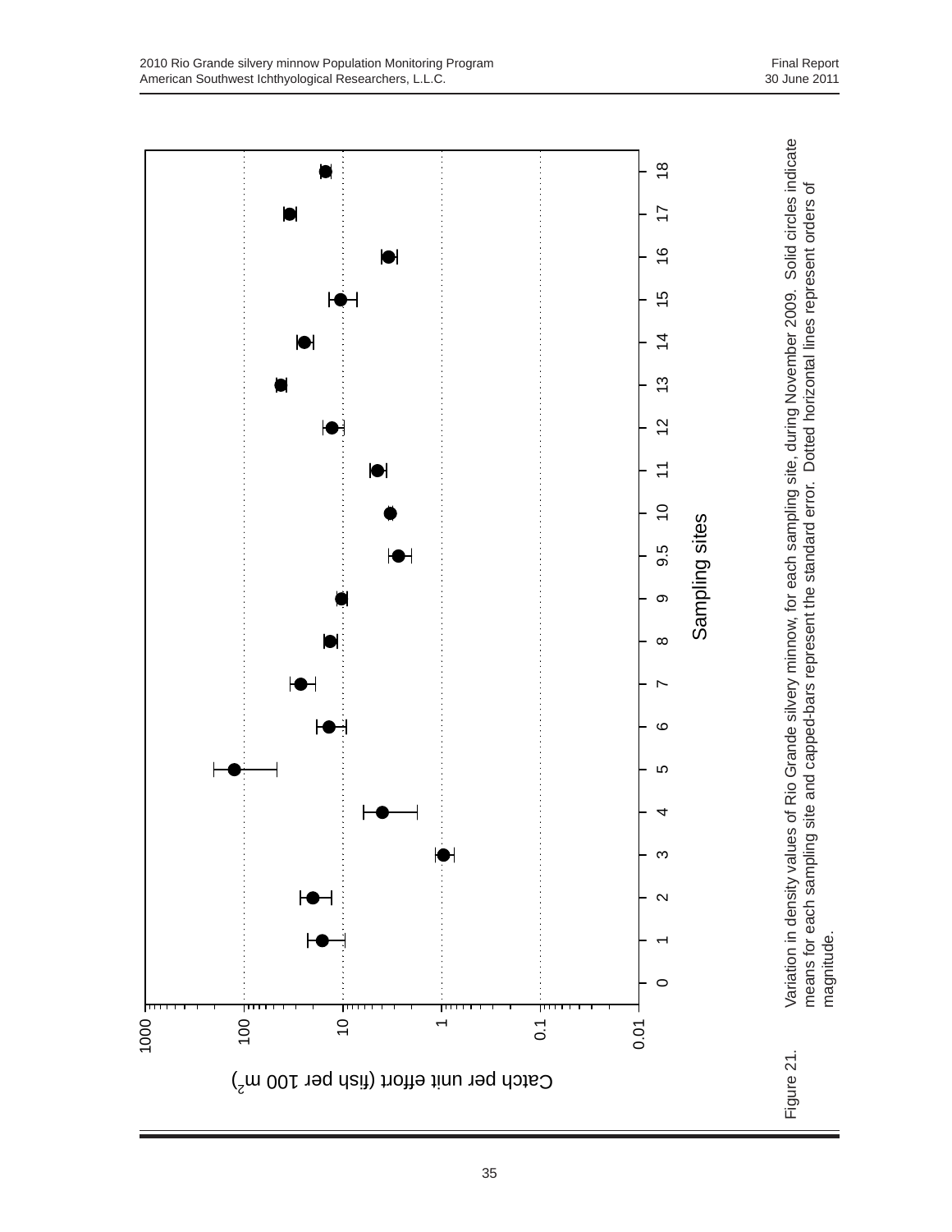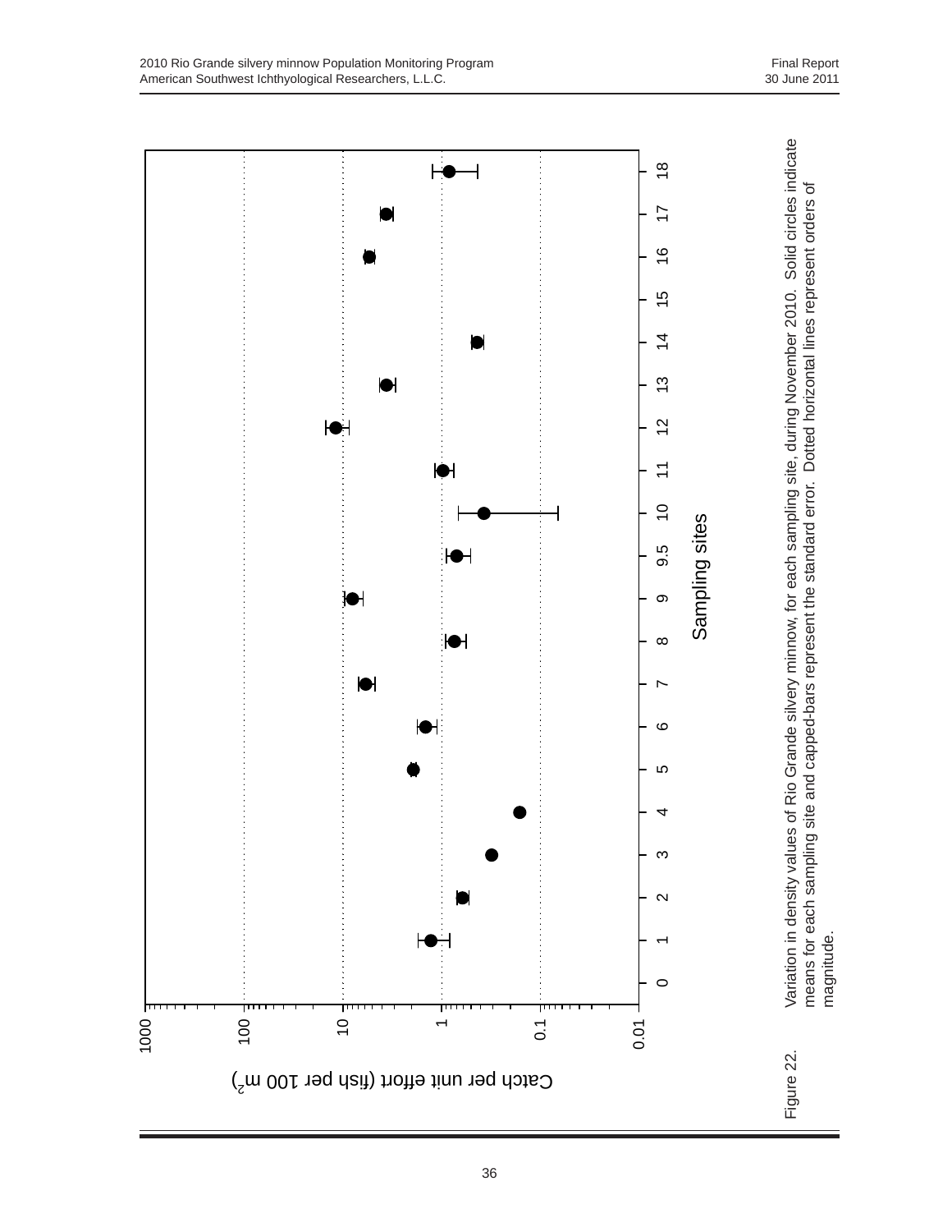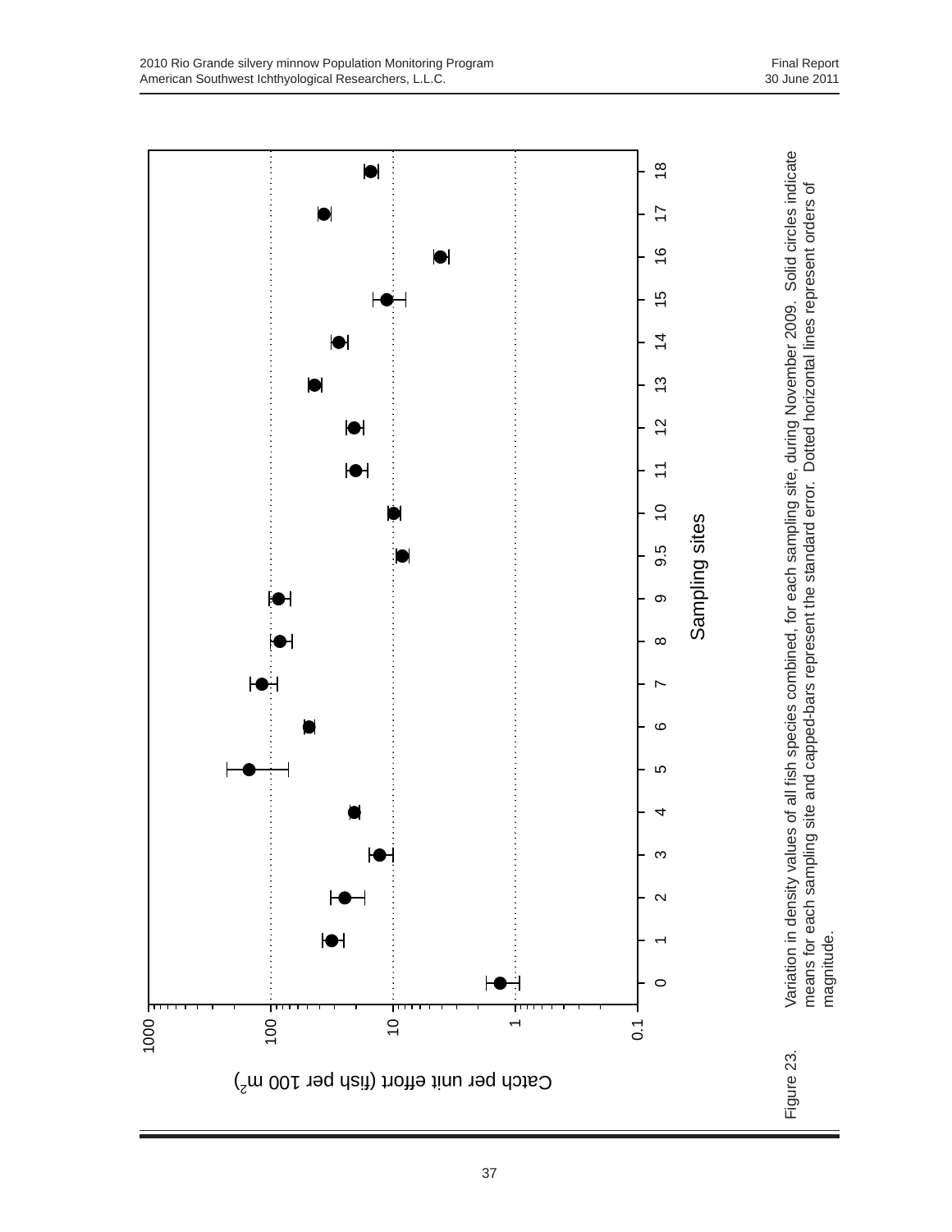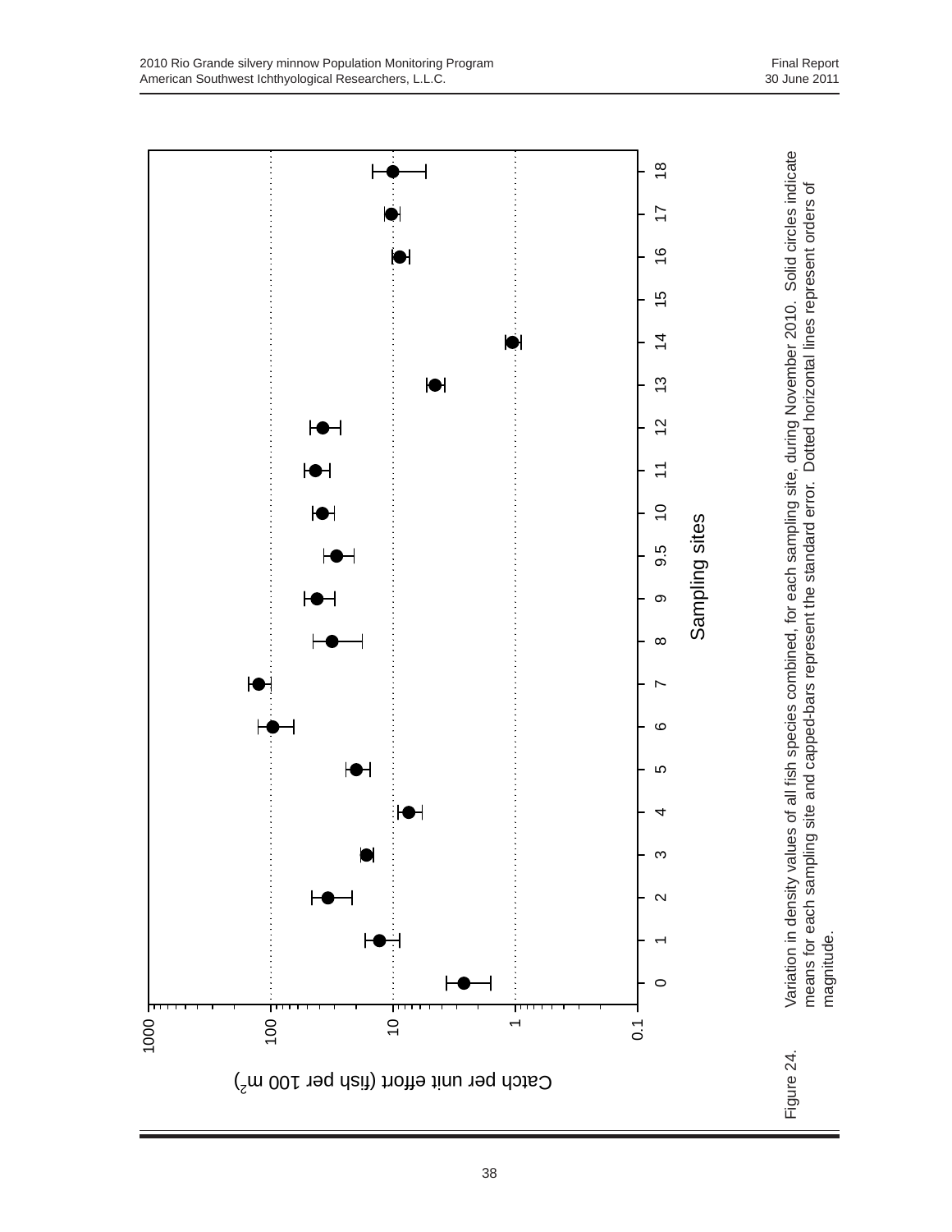Variation in density values of all fish species combined, for each sampling site, during November 2010. Solid circles indicate Figure 24. Variation in density values of all fish species combined, for each sampling site, during November 2010. Solid circles indicate エイ・エイ・ディー・ディー・エー・エイ・エイ・エイ・エイ・エイ  $\frac{8}{10}$ 0 1 2 3 4 5 6 7 8 9 9.5 10 11 12 13 14 15 16 17 18 means for each sampling site and capped-bars represent the standard error. Dotted horizontal lines represent orders of<br>magnitude. means for each sampling site and capped-bars represent the standard error. Dotted horizontal lines represent orders of  $\overline{1}$  $\frac{6}{5}$  $\frac{1}{2}$  $\overline{4}$  $\bullet$  $\frac{3}{2}$  $\blacklozenge$  $\overline{c}$ ┡●┥ 化亚甲酸亚甲基亚甲基苯甲基亚甲基苯甲基苯甲基苯甲基苯甲基苯甲基苯甲基苯甲基苯甲基苯甲基苯甲基苯甲基苯甲  $\overline{z}$  $\overline{C}$ Sampling sites Sampling sites  $9.\overline{5}$  $\circ$  $\infty$  $\overline{ }$  $\circ$  $\blacklozenge$ Ю ┡ 4  $\infty$  $\sim$ magnitude. $\circ$ 1000 100  $\overline{0}$ 0.1  $\overline{\phantom{a}}$ Figure 24. Catch per unit effort (fish per 100 m<sup>2</sup>)

## 38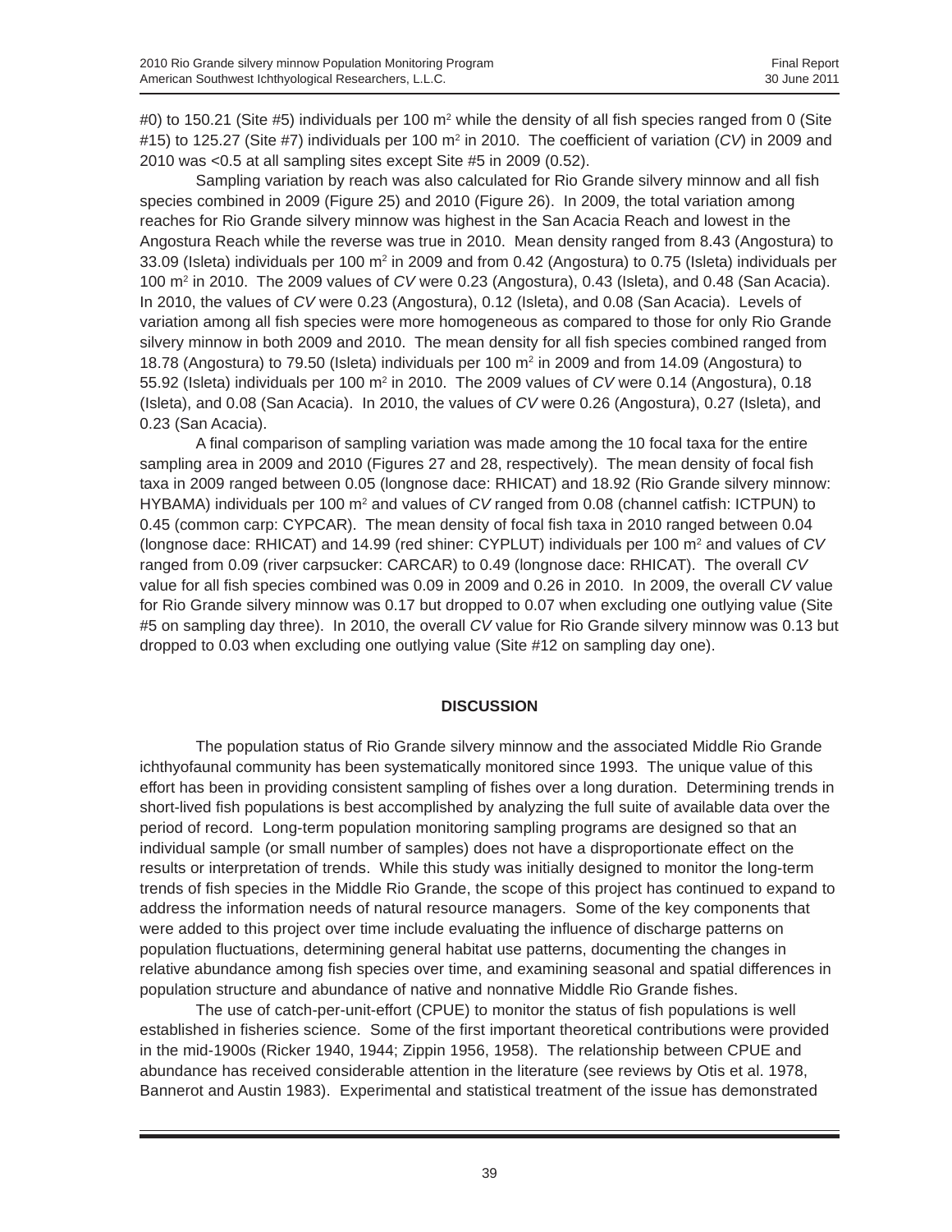#0) to 150.21 (Site #5) individuals per 100 m<sup>2</sup> while the density of all fish species ranged from 0 (Site #15) to 125.27 (Site #7) individuals per 100 m2 in 2010. The coefficient of variation (*CV*) in 2009 and 2010 was <0.5 at all sampling sites except Site #5 in 2009 (0.52).

Sampling variation by reach was also calculated for Rio Grande silvery minnow and all fish species combined in 2009 (Figure 25) and 2010 (Figure 26). In 2009, the total variation among reaches for Rio Grande silvery minnow was highest in the San Acacia Reach and lowest in the Angostura Reach while the reverse was true in 2010. Mean density ranged from 8.43 (Angostura) to 33.09 (Isleta) individuals per 100  $m^2$  in 2009 and from 0.42 (Angostura) to 0.75 (Isleta) individuals per 100 m2 in 2010. The 2009 values of *CV* were 0.23 (Angostura), 0.43 (Isleta), and 0.48 (San Acacia). In 2010, the values of *CV* were 0.23 (Angostura), 0.12 (Isleta), and 0.08 (San Acacia). Levels of variation among all fish species were more homogeneous as compared to those for only Rio Grande silvery minnow in both 2009 and 2010. The mean density for all fish species combined ranged from 18.78 (Angostura) to 79.50 (Isleta) individuals per 100 m<sup>2</sup> in 2009 and from 14.09 (Angostura) to 55.92 (Isleta) individuals per 100 m<sup>2</sup> in 2010. The 2009 values of *CV* were 0.14 (Angostura), 0.18 (Isleta), and 0.08 (San Acacia). In 2010, the values of *CV* were 0.26 (Angostura), 0.27 (Isleta), and 0.23 (San Acacia).

A final comparison of sampling variation was made among the 10 focal taxa for the entire sampling area in 2009 and 2010 (Figures 27 and 28, respectively). The mean density of focal fish taxa in 2009 ranged between 0.05 (longnose dace: RHICAT) and 18.92 (Rio Grande silvery minnow: HYBAMA) individuals per 100 m<sup>2</sup> and values of *CV* ranged from 0.08 (channel catfish: ICTPUN) to 0.45 (common carp: CYPCAR). The mean density of focal fish taxa in 2010 ranged between 0.04 (longnose dace: RHICAT) and 14.99 (red shiner: CYPLUT) individuals per 100 m<sup>2</sup> and values of *CV* ranged from 0.09 (river carpsucker: CARCAR) to 0.49 (longnose dace: RHICAT). The overall *CV* value for all fish species combined was 0.09 in 2009 and 0.26 in 2010. In 2009, the overall *CV* value for Rio Grande silvery minnow was 0.17 but dropped to 0.07 when excluding one outlying value (Site #5 on sampling day three). In 2010, the overall *CV* value for Rio Grande silvery minnow was 0.13 but dropped to 0.03 when excluding one outlying value (Site #12 on sampling day one).

## **DISCUSSION**

The population status of Rio Grande silvery minnow and the associated Middle Rio Grande ichthyofaunal community has been systematically monitored since 1993. The unique value of this effort has been in providing consistent sampling of fishes over a long duration. Determining trends in short-lived fish populations is best accomplished by analyzing the full suite of available data over the period of record. Long-term population monitoring sampling programs are designed so that an individual sample (or small number of samples) does not have a disproportionate effect on the results or interpretation of trends. While this study was initially designed to monitor the long-term trends of fish species in the Middle Rio Grande, the scope of this project has continued to expand to address the information needs of natural resource managers. Some of the key components that were added to this project over time include evaluating the influence of discharge patterns on population fluctuations, determining general habitat use patterns, documenting the changes in relative abundance among fish species over time, and examining seasonal and spatial differences in population structure and abundance of native and nonnative Middle Rio Grande fishes.

The use of catch-per-unit-effort (CPUE) to monitor the status of fish populations is well established in fisheries science. Some of the first important theoretical contributions were provided in the mid-1900s (Ricker 1940, 1944; Zippin 1956, 1958). The relationship between CPUE and abundance has received considerable attention in the literature (see reviews by Otis et al. 1978, Bannerot and Austin 1983). Experimental and statistical treatment of the issue has demonstrated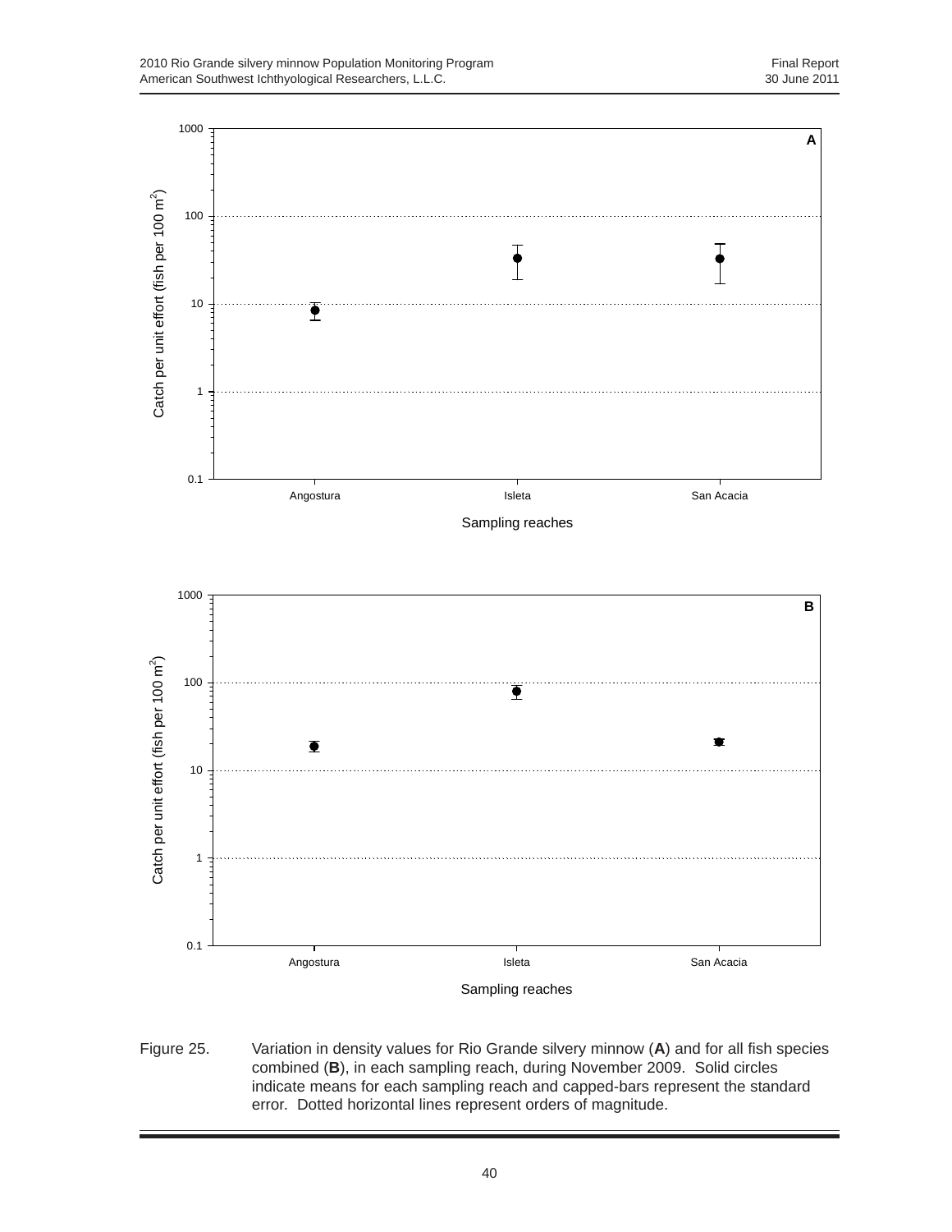

Figure 25. Variation in density values for Rio Grande silvery minnow (**A**) and for all fish species combined (**B**), in each sampling reach, during November 2009. Solid circles indicate means for each sampling reach and capped-bars represent the standard error. Dotted horizontal lines represent orders of magnitude.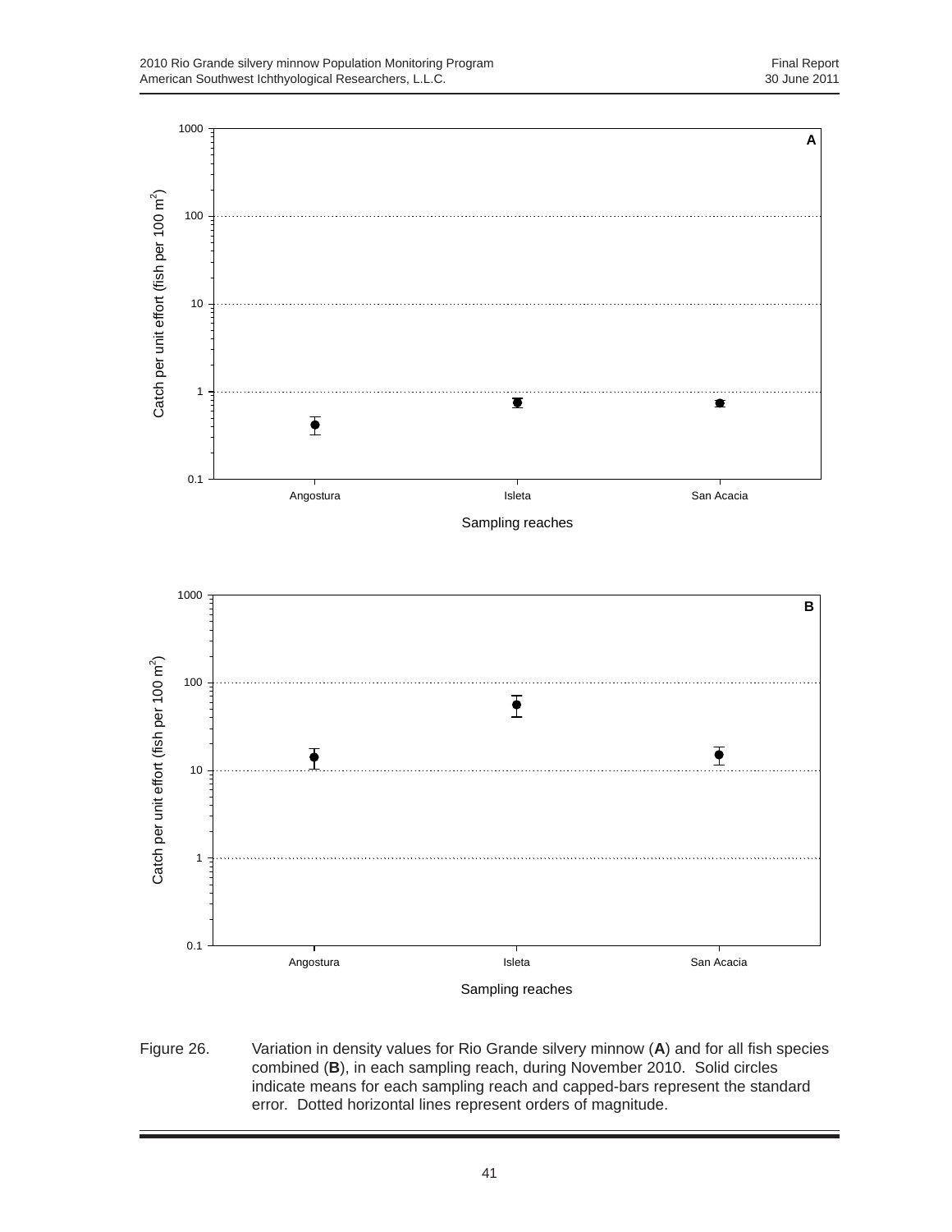

Figure 26. Variation in density values for Rio Grande silvery minnow (**A**) and for all fish species combined (**B**), in each sampling reach, during November 2010. Solid circles indicate means for each sampling reach and capped-bars represent the standard error. Dotted horizontal lines represent orders of magnitude.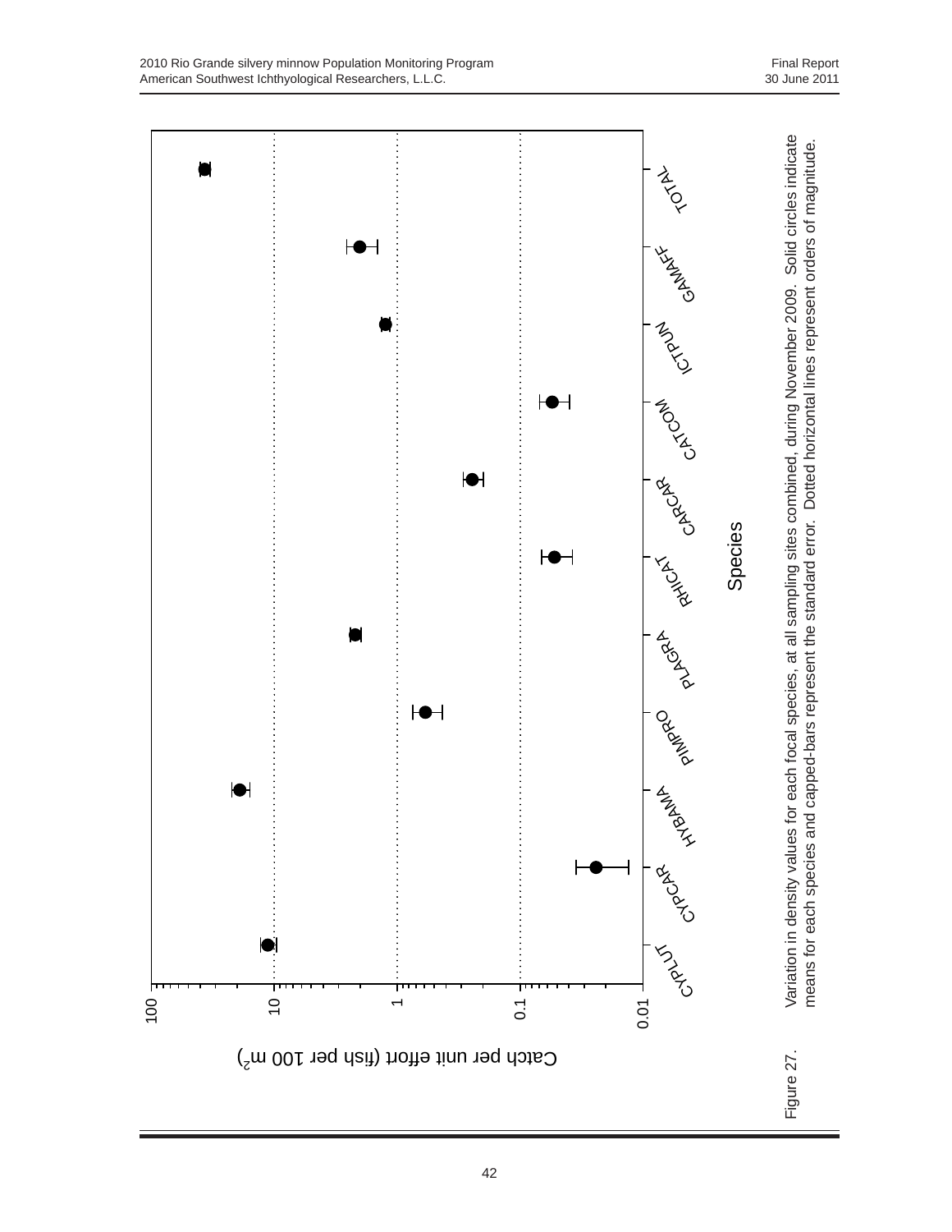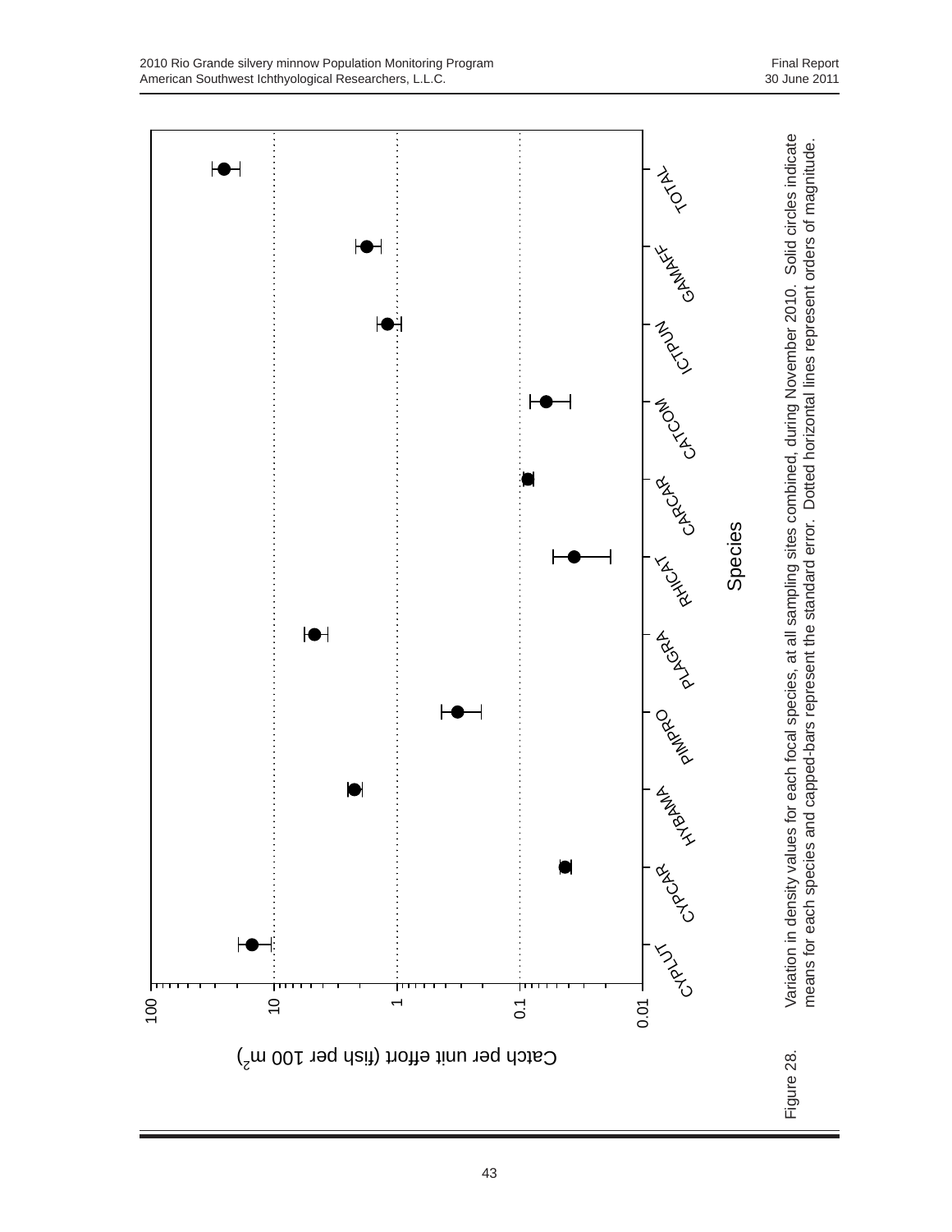



Species

CYPT

0.01

RACAR<br>CYPCA

**HAMANYS** 

**PANIAN** 

ARDER R

**LANGIN** 

43

0.1

Catch per unit effort (fish per 100 m $^2\,$ 

 $\overline{ }$ 

10

 $\blacktriangleright$ 

 $\bullet$ 

100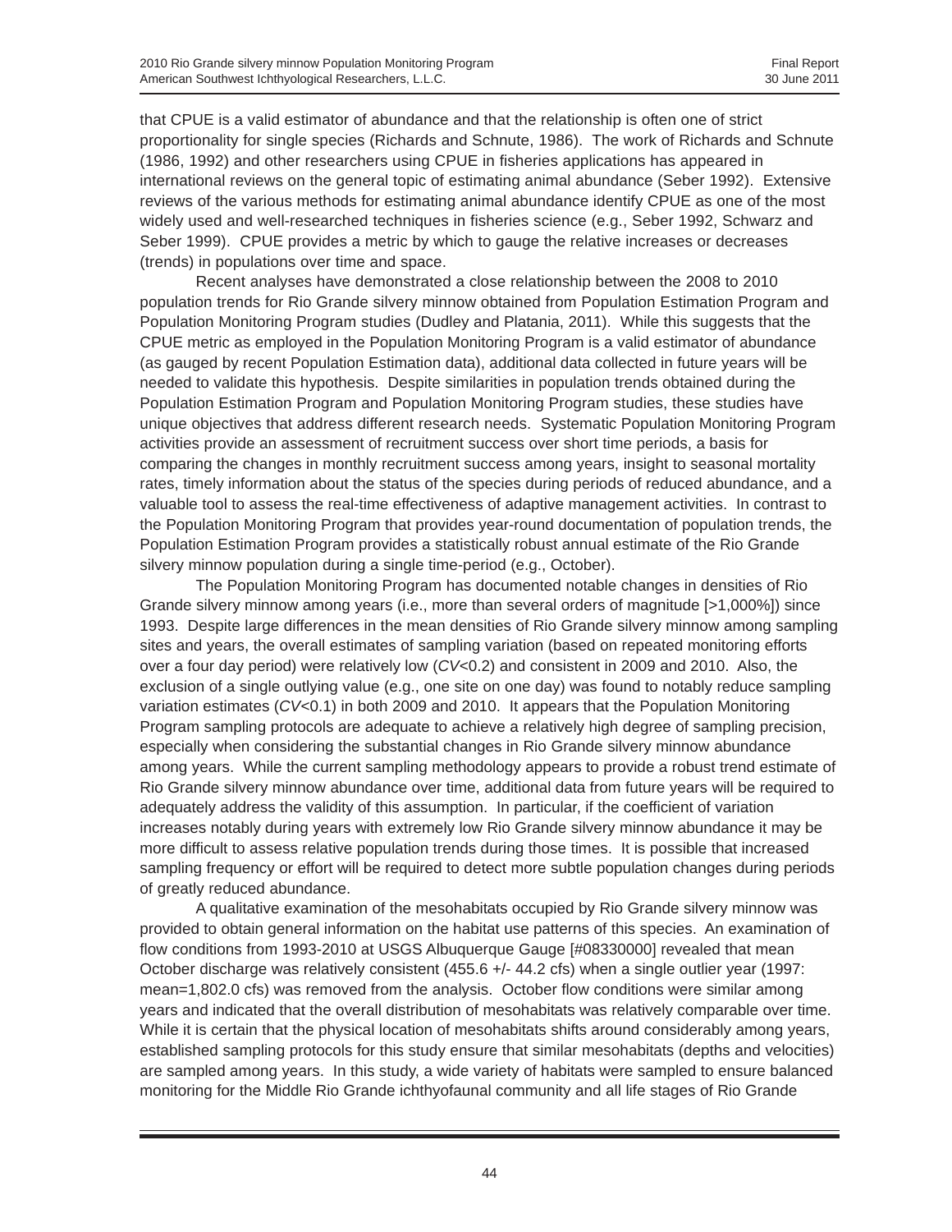that CPUE is a valid estimator of abundance and that the relationship is often one of strict proportionality for single species (Richards and Schnute, 1986). The work of Richards and Schnute (1986, 1992) and other researchers using CPUE in fisheries applications has appeared in international reviews on the general topic of estimating animal abundance (Seber 1992). Extensive reviews of the various methods for estimating animal abundance identify CPUE as one of the most widely used and well-researched techniques in fisheries science (e.g., Seber 1992, Schwarz and Seber 1999). CPUE provides a metric by which to gauge the relative increases or decreases (trends) in populations over time and space.

Recent analyses have demonstrated a close relationship between the 2008 to 2010 population trends for Rio Grande silvery minnow obtained from Population Estimation Program and Population Monitoring Program studies (Dudley and Platania, 2011). While this suggests that the CPUE metric as employed in the Population Monitoring Program is a valid estimator of abundance (as gauged by recent Population Estimation data), additional data collected in future years will be needed to validate this hypothesis. Despite similarities in population trends obtained during the Population Estimation Program and Population Monitoring Program studies, these studies have unique objectives that address different research needs. Systematic Population Monitoring Program activities provide an assessment of recruitment success over short time periods, a basis for comparing the changes in monthly recruitment success among years, insight to seasonal mortality rates, timely information about the status of the species during periods of reduced abundance, and a valuable tool to assess the real-time effectiveness of adaptive management activities. In contrast to the Population Monitoring Program that provides year-round documentation of population trends, the Population Estimation Program provides a statistically robust annual estimate of the Rio Grande silvery minnow population during a single time-period (e.g., October).

The Population Monitoring Program has documented notable changes in densities of Rio Grande silvery minnow among years (i.e., more than several orders of magnitude [>1,000%]) since 1993. Despite large differences in the mean densities of Rio Grande silvery minnow among sampling sites and years, the overall estimates of sampling variation (based on repeated monitoring efforts over a four day period) were relatively low (*CV*<0.2) and consistent in 2009 and 2010. Also, the exclusion of a single outlying value (e.g., one site on one day) was found to notably reduce sampling variation estimates (*CV*<0.1) in both 2009 and 2010. It appears that the Population Monitoring Program sampling protocols are adequate to achieve a relatively high degree of sampling precision, especially when considering the substantial changes in Rio Grande silvery minnow abundance among years. While the current sampling methodology appears to provide a robust trend estimate of Rio Grande silvery minnow abundance over time, additional data from future years will be required to adequately address the validity of this assumption. In particular, if the coefficient of variation increases notably during years with extremely low Rio Grande silvery minnow abundance it may be more difficult to assess relative population trends during those times. It is possible that increased sampling frequency or effort will be required to detect more subtle population changes during periods of greatly reduced abundance.

A qualitative examination of the mesohabitats occupied by Rio Grande silvery minnow was provided to obtain general information on the habitat use patterns of this species. An examination of flow conditions from 1993-2010 at USGS Albuquerque Gauge [#08330000] revealed that mean October discharge was relatively consistent (455.6 +/- 44.2 cfs) when a single outlier year (1997: mean=1,802.0 cfs) was removed from the analysis. October flow conditions were similar among years and indicated that the overall distribution of mesohabitats was relatively comparable over time. While it is certain that the physical location of mesohabitats shifts around considerably among years, established sampling protocols for this study ensure that similar mesohabitats (depths and velocities) are sampled among years. In this study, a wide variety of habitats were sampled to ensure balanced monitoring for the Middle Rio Grande ichthyofaunal community and all life stages of Rio Grande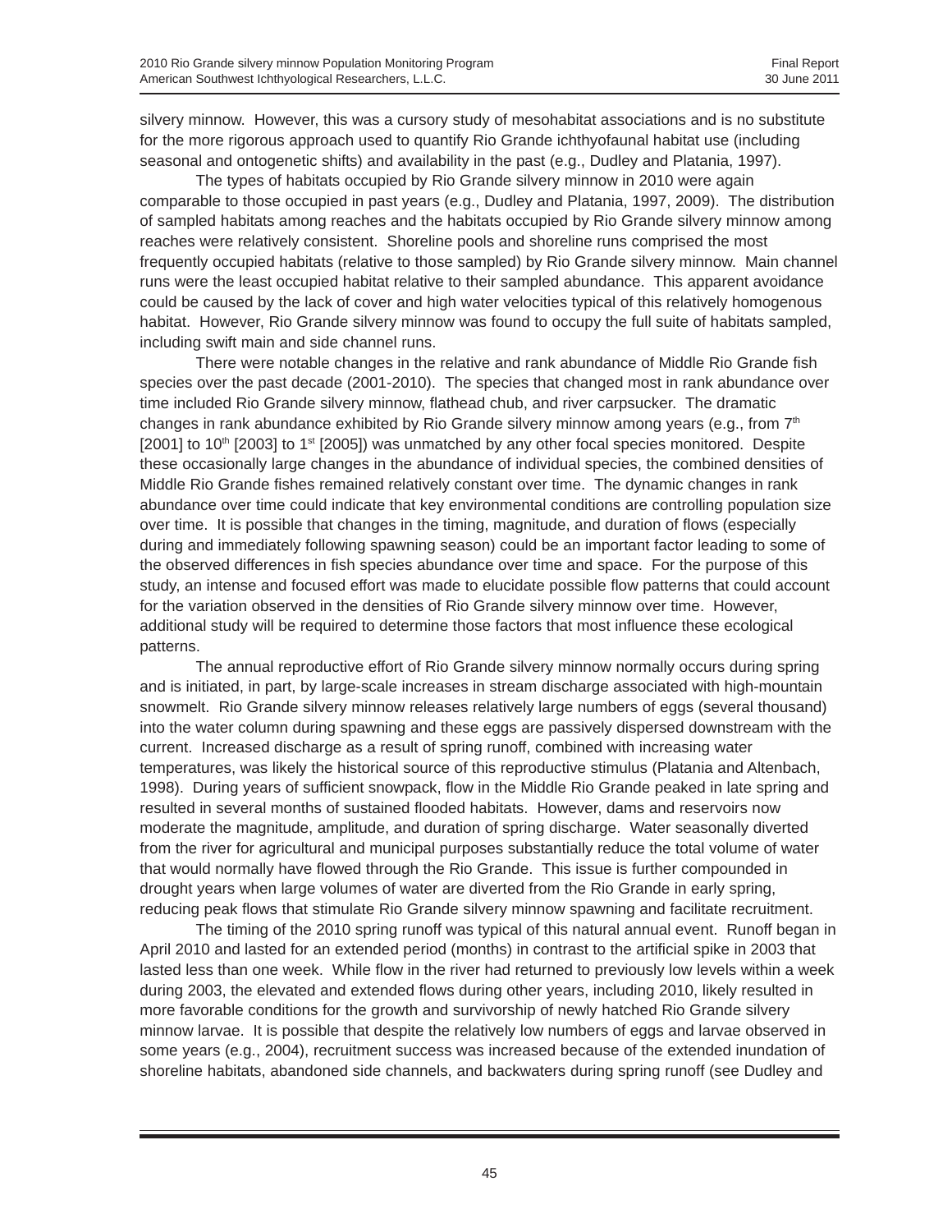silvery minnow. However, this was a cursory study of mesohabitat associations and is no substitute for the more rigorous approach used to quantify Rio Grande ichthyofaunal habitat use (including seasonal and ontogenetic shifts) and availability in the past (e.g., Dudley and Platania, 1997).

The types of habitats occupied by Rio Grande silvery minnow in 2010 were again comparable to those occupied in past years (e.g., Dudley and Platania, 1997, 2009). The distribution of sampled habitats among reaches and the habitats occupied by Rio Grande silvery minnow among reaches were relatively consistent. Shoreline pools and shoreline runs comprised the most frequently occupied habitats (relative to those sampled) by Rio Grande silvery minnow. Main channel runs were the least occupied habitat relative to their sampled abundance. This apparent avoidance could be caused by the lack of cover and high water velocities typical of this relatively homogenous habitat. However, Rio Grande silvery minnow was found to occupy the full suite of habitats sampled, including swift main and side channel runs.

There were notable changes in the relative and rank abundance of Middle Rio Grande fish species over the past decade (2001-2010). The species that changed most in rank abundance over time included Rio Grande silvery minnow, flathead chub, and river carpsucker. The dramatic changes in rank abundance exhibited by Rio Grande silvery minnow among years (e.g., from  $7<sup>th</sup>$  $[2001]$  to 10<sup>th</sup>  $[2003]$  to 1<sup>st</sup>  $[2005]$ ) was unmatched by any other focal species monitored. Despite these occasionally large changes in the abundance of individual species, the combined densities of Middle Rio Grande fishes remained relatively constant over time. The dynamic changes in rank abundance over time could indicate that key environmental conditions are controlling population size over time. It is possible that changes in the timing, magnitude, and duration of flows (especially during and immediately following spawning season) could be an important factor leading to some of the observed differences in fish species abundance over time and space. For the purpose of this study, an intense and focused effort was made to elucidate possible flow patterns that could account for the variation observed in the densities of Rio Grande silvery minnow over time. However, additional study will be required to determine those factors that most influence these ecological patterns.

The annual reproductive effort of Rio Grande silvery minnow normally occurs during spring and is initiated, in part, by large-scale increases in stream discharge associated with high-mountain snowmelt. Rio Grande silvery minnow releases relatively large numbers of eggs (several thousand) into the water column during spawning and these eggs are passively dispersed downstream with the current. Increased discharge as a result of spring runoff, combined with increasing water temperatures, was likely the historical source of this reproductive stimulus (Platania and Altenbach, 1998). During years of sufficient snowpack, flow in the Middle Rio Grande peaked in late spring and resulted in several months of sustained flooded habitats. However, dams and reservoirs now moderate the magnitude, amplitude, and duration of spring discharge. Water seasonally diverted from the river for agricultural and municipal purposes substantially reduce the total volume of water that would normally have flowed through the Rio Grande. This issue is further compounded in drought years when large volumes of water are diverted from the Rio Grande in early spring, reducing peak flows that stimulate Rio Grande silvery minnow spawning and facilitate recruitment.

The timing of the 2010 spring runoff was typical of this natural annual event. Runoff began in April 2010 and lasted for an extended period (months) in contrast to the artificial spike in 2003 that lasted less than one week. While flow in the river had returned to previously low levels within a week during 2003, the elevated and extended flows during other years, including 2010, likely resulted in more favorable conditions for the growth and survivorship of newly hatched Rio Grande silvery minnow larvae. It is possible that despite the relatively low numbers of eggs and larvae observed in some years (e.g., 2004), recruitment success was increased because of the extended inundation of shoreline habitats, abandoned side channels, and backwaters during spring runoff (see Dudley and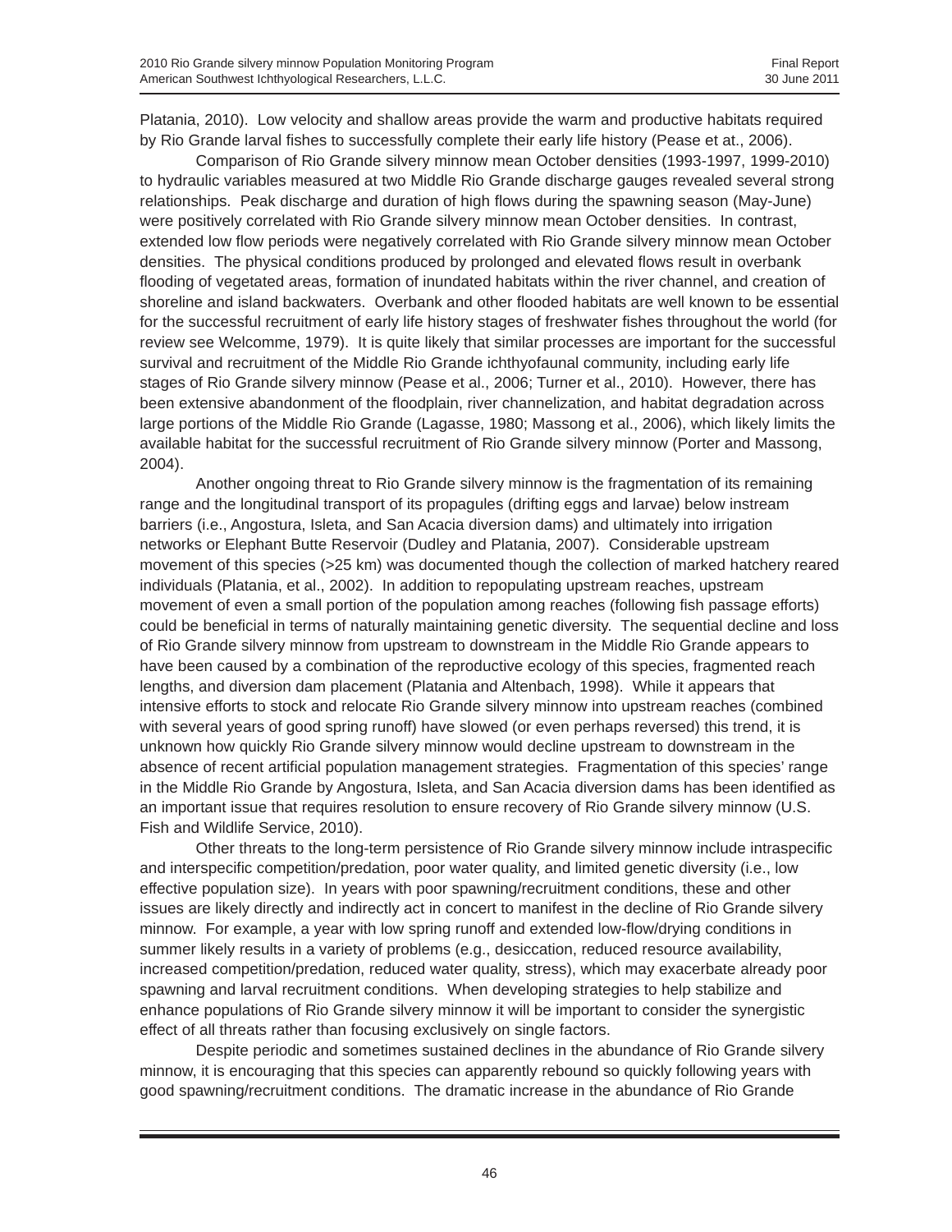Platania, 2010). Low velocity and shallow areas provide the warm and productive habitats required by Rio Grande larval fishes to successfully complete their early life history (Pease et at., 2006).

Comparison of Rio Grande silvery minnow mean October densities (1993-1997, 1999-2010) to hydraulic variables measured at two Middle Rio Grande discharge gauges revealed several strong relationships. Peak discharge and duration of high flows during the spawning season (May-June) were positively correlated with Rio Grande silvery minnow mean October densities. In contrast, extended low flow periods were negatively correlated with Rio Grande silvery minnow mean October densities. The physical conditions produced by prolonged and elevated flows result in overbank flooding of vegetated areas, formation of inundated habitats within the river channel, and creation of shoreline and island backwaters. Overbank and other flooded habitats are well known to be essential for the successful recruitment of early life history stages of freshwater fishes throughout the world (for review see Welcomme, 1979). It is quite likely that similar processes are important for the successful survival and recruitment of the Middle Rio Grande ichthyofaunal community, including early life stages of Rio Grande silvery minnow (Pease et al., 2006; Turner et al., 2010). However, there has been extensive abandonment of the floodplain, river channelization, and habitat degradation across large portions of the Middle Rio Grande (Lagasse, 1980; Massong et al., 2006), which likely limits the available habitat for the successful recruitment of Rio Grande silvery minnow (Porter and Massong, 2004).

Another ongoing threat to Rio Grande silvery minnow is the fragmentation of its remaining range and the longitudinal transport of its propagules (drifting eggs and larvae) below instream barriers (i.e., Angostura, Isleta, and San Acacia diversion dams) and ultimately into irrigation networks or Elephant Butte Reservoir (Dudley and Platania, 2007). Considerable upstream movement of this species (>25 km) was documented though the collection of marked hatchery reared individuals (Platania, et al., 2002). In addition to repopulating upstream reaches, upstream movement of even a small portion of the population among reaches (following fish passage efforts) could be beneficial in terms of naturally maintaining genetic diversity. The sequential decline and loss of Rio Grande silvery minnow from upstream to downstream in the Middle Rio Grande appears to have been caused by a combination of the reproductive ecology of this species, fragmented reach lengths, and diversion dam placement (Platania and Altenbach, 1998). While it appears that intensive efforts to stock and relocate Rio Grande silvery minnow into upstream reaches (combined with several years of good spring runoff) have slowed (or even perhaps reversed) this trend, it is unknown how quickly Rio Grande silvery minnow would decline upstream to downstream in the absence of recent artificial population management strategies. Fragmentation of this species' range in the Middle Rio Grande by Angostura, Isleta, and San Acacia diversion dams has been identified as an important issue that requires resolution to ensure recovery of Rio Grande silvery minnow (U.S. Fish and Wildlife Service, 2010).

Other threats to the long-term persistence of Rio Grande silvery minnow include intraspecific and interspecific competition/predation, poor water quality, and limited genetic diversity (i.e., low effective population size). In years with poor spawning/recruitment conditions, these and other issues are likely directly and indirectly act in concert to manifest in the decline of Rio Grande silvery minnow. For example, a year with low spring runoff and extended low-flow/drying conditions in summer likely results in a variety of problems (e.g., desiccation, reduced resource availability, increased competition/predation, reduced water quality, stress), which may exacerbate already poor spawning and larval recruitment conditions. When developing strategies to help stabilize and enhance populations of Rio Grande silvery minnow it will be important to consider the synergistic effect of all threats rather than focusing exclusively on single factors.

Despite periodic and sometimes sustained declines in the abundance of Rio Grande silvery minnow, it is encouraging that this species can apparently rebound so quickly following years with good spawning/recruitment conditions. The dramatic increase in the abundance of Rio Grande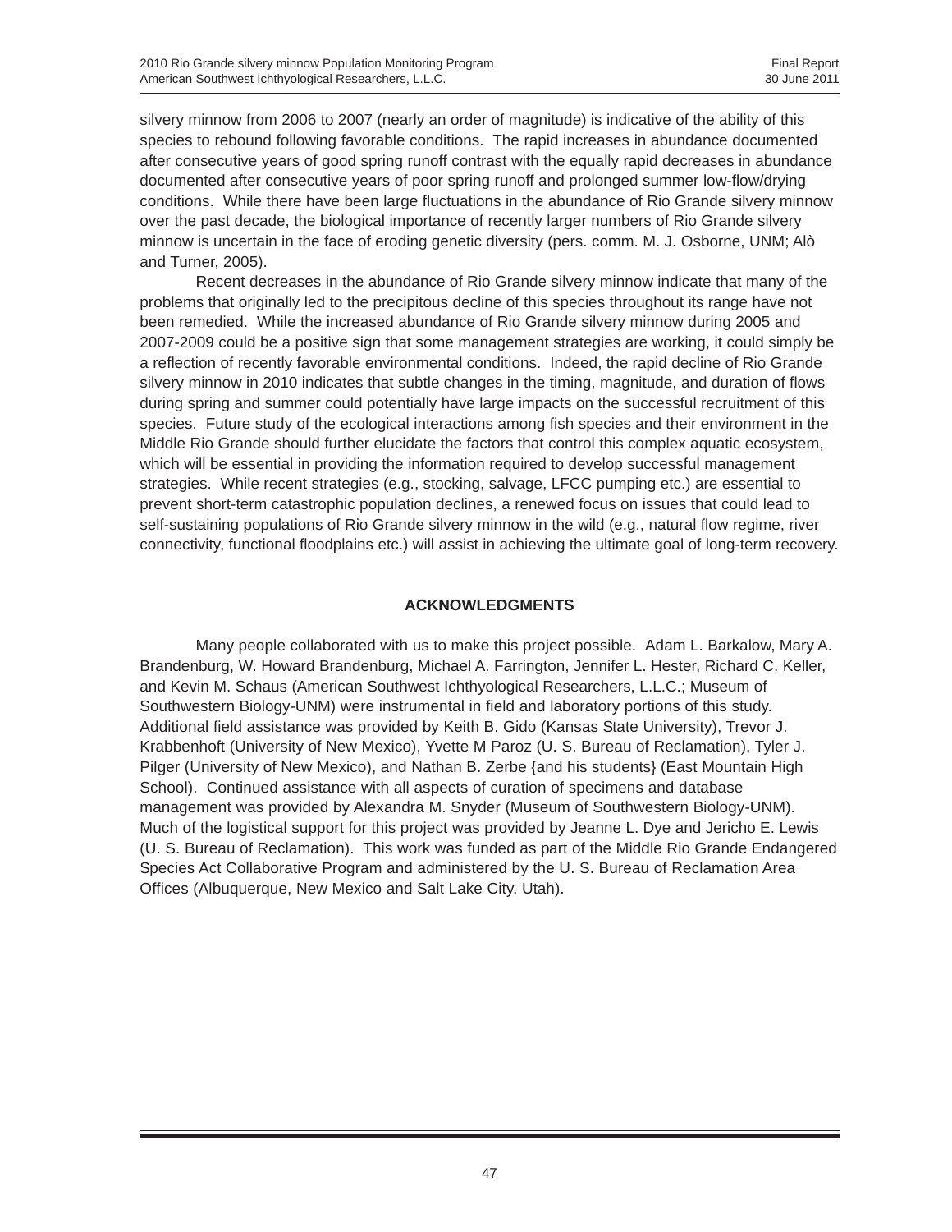silvery minnow from 2006 to 2007 (nearly an order of magnitude) is indicative of the ability of this species to rebound following favorable conditions. The rapid increases in abundance documented after consecutive years of good spring runoff contrast with the equally rapid decreases in abundance documented after consecutive years of poor spring runoff and prolonged summer low-flow/drying conditions. While there have been large fluctuations in the abundance of Rio Grande silvery minnow over the past decade, the biological importance of recently larger numbers of Rio Grande silvery minnow is uncertain in the face of eroding genetic diversity (pers. comm. M. J. Osborne, UNM; Alò and Turner, 2005).

Recent decreases in the abundance of Rio Grande silvery minnow indicate that many of the problems that originally led to the precipitous decline of this species throughout its range have not been remedied. While the increased abundance of Rio Grande silvery minnow during 2005 and 2007-2009 could be a positive sign that some management strategies are working, it could simply be a reflection of recently favorable environmental conditions. Indeed, the rapid decline of Rio Grande silvery minnow in 2010 indicates that subtle changes in the timing, magnitude, and duration of flows during spring and summer could potentially have large impacts on the successful recruitment of this species. Future study of the ecological interactions among fish species and their environment in the Middle Rio Grande should further elucidate the factors that control this complex aquatic ecosystem, which will be essential in providing the information required to develop successful management strategies. While recent strategies (e.g., stocking, salvage, LFCC pumping etc.) are essential to prevent short-term catastrophic population declines, a renewed focus on issues that could lead to self-sustaining populations of Rio Grande silvery minnow in the wild (e.g., natural flow regime, river connectivity, functional floodplains etc.) will assist in achieving the ultimate goal of long-term recovery.

## **ACKNOWLEDGMENTS**

Many people collaborated with us to make this project possible. Adam L. Barkalow, Mary A. Brandenburg, W. Howard Brandenburg, Michael A. Farrington, Jennifer L. Hester, Richard C. Keller, and Kevin M. Schaus (American Southwest Ichthyological Researchers, L.L.C.; Museum of Southwestern Biology-UNM) were instrumental in field and laboratory portions of this study. Additional field assistance was provided by Keith B. Gido (Kansas State University), Trevor J. Krabbenhoft (University of New Mexico), Yvette M Paroz (U. S. Bureau of Reclamation), Tyler J. Pilger (University of New Mexico), and Nathan B. Zerbe {and his students} (East Mountain High School). Continued assistance with all aspects of curation of specimens and database management was provided by Alexandra M. Snyder (Museum of Southwestern Biology-UNM). Much of the logistical support for this project was provided by Jeanne L. Dye and Jericho E. Lewis (U. S. Bureau of Reclamation). This work was funded as part of the Middle Rio Grande Endangered Species Act Collaborative Program and administered by the U. S. Bureau of Reclamation Area Offices (Albuquerque, New Mexico and Salt Lake City, Utah).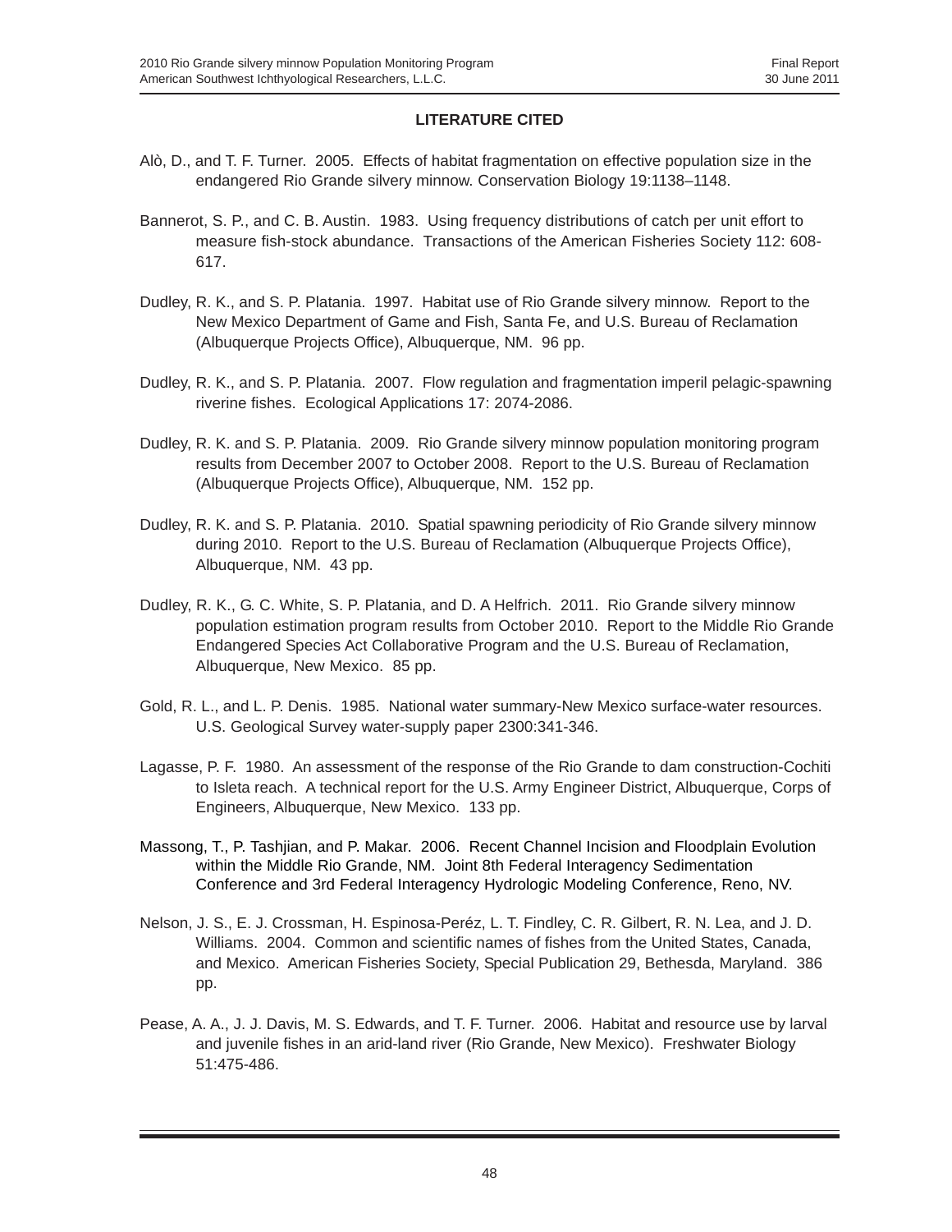## **LITERATURE CITED**

- Alò, D., and T. F. Turner. 2005. Effects of habitat fragmentation on effective population size in the endangered Rio Grande silvery minnow. Conservation Biology 19:1138–1148.
- Bannerot, S. P., and C. B. Austin. 1983. Using frequency distributions of catch per unit effort to measure fish-stock abundance. Transactions of the American Fisheries Society 112: 608- 617.
- Dudley, R. K., and S. P. Platania. 1997. Habitat use of Rio Grande silvery minnow. Report to the New Mexico Department of Game and Fish, Santa Fe, and U.S. Bureau of Reclamation (Albuquerque Projects Office), Albuquerque, NM. 96 pp.
- Dudley, R. K., and S. P. Platania. 2007. Flow regulation and fragmentation imperil pelagic-spawning riverine fishes. Ecological Applications 17: 2074-2086.
- Dudley, R. K. and S. P. Platania. 2009. Rio Grande silvery minnow population monitoring program results from December 2007 to October 2008. Report to the U.S. Bureau of Reclamation (Albuquerque Projects Office), Albuquerque, NM. 152 pp.
- Dudley, R. K. and S. P. Platania. 2010. Spatial spawning periodicity of Rio Grande silvery minnow during 2010. Report to the U.S. Bureau of Reclamation (Albuquerque Projects Office), Albuquerque, NM. 43 pp.
- Dudley, R. K., G. C. White, S. P. Platania, and D. A Helfrich. 2011. Rio Grande silvery minnow population estimation program results from October 2010. Report to the Middle Rio Grande Endangered Species Act Collaborative Program and the U.S. Bureau of Reclamation, Albuquerque, New Mexico. 85 pp.
- Gold, R. L., and L. P. Denis. 1985. National water summary-New Mexico surface-water resources. U.S. Geological Survey water-supply paper 2300:341-346.
- Lagasse, P. F. 1980. An assessment of the response of the Rio Grande to dam construction-Cochiti to Isleta reach. A technical report for the U.S. Army Engineer District, Albuquerque, Corps of Engineers, Albuquerque, New Mexico. 133 pp.
- Massong, T., P. Tashjian, and P. Makar. 2006. Recent Channel Incision and Floodplain Evolution within the Middle Rio Grande, NM. Joint 8th Federal Interagency Sedimentation Conference and 3rd Federal Interagency Hydrologic Modeling Conference, Reno, NV.
- Nelson, J. S., E. J. Crossman, H. Espinosa-Peréz, L. T. Findley, C. R. Gilbert, R. N. Lea, and J. D. Williams. 2004. Common and scientific names of fishes from the United States, Canada, and Mexico. American Fisheries Society, Special Publication 29, Bethesda, Maryland. 386 pp.
- Pease, A. A., J. J. Davis, M. S. Edwards, and T. F. Turner. 2006. Habitat and resource use by larval and juvenile fishes in an arid-land river (Rio Grande, New Mexico). Freshwater Biology 51:475-486.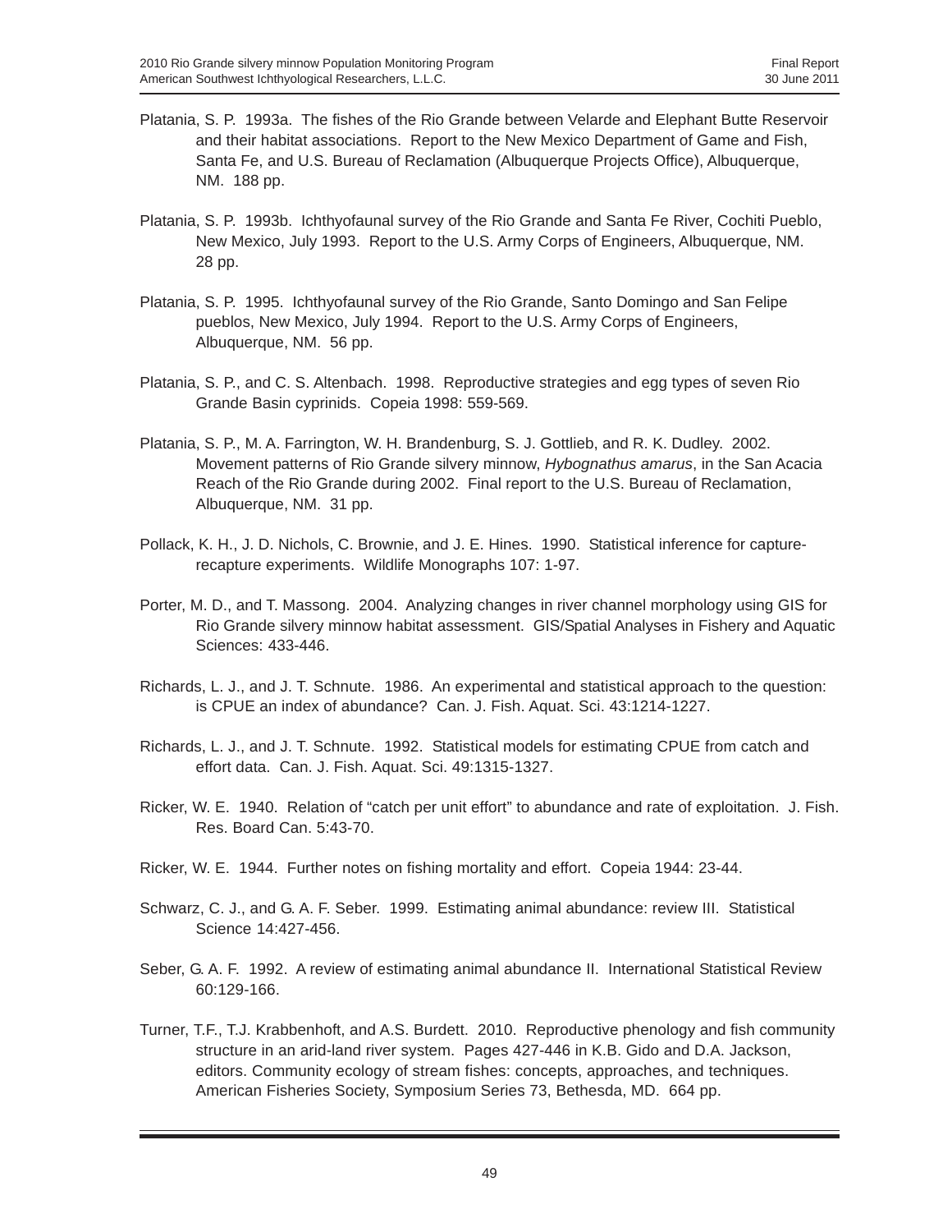- Platania, S. P. 1993a. The fishes of the Rio Grande between Velarde and Elephant Butte Reservoir and their habitat associations. Report to the New Mexico Department of Game and Fish, Santa Fe, and U.S. Bureau of Reclamation (Albuquerque Projects Office), Albuquerque, NM. 188 pp.
- Platania, S. P. 1993b. Ichthyofaunal survey of the Rio Grande and Santa Fe River, Cochiti Pueblo, New Mexico, July 1993. Report to the U.S. Army Corps of Engineers, Albuquerque, NM. 28 pp.
- Platania, S. P. 1995. Ichthyofaunal survey of the Rio Grande, Santo Domingo and San Felipe pueblos, New Mexico, July 1994. Report to the U.S. Army Corps of Engineers, Albuquerque, NM. 56 pp.
- Platania, S. P., and C. S. Altenbach. 1998. Reproductive strategies and egg types of seven Rio Grande Basin cyprinids. Copeia 1998: 559-569.
- Platania, S. P., M. A. Farrington, W. H. Brandenburg, S. J. Gottlieb, and R. K. Dudley. 2002. Movement patterns of Rio Grande silvery minnow, *Hybognathus amarus*, in the San Acacia Reach of the Rio Grande during 2002. Final report to the U.S. Bureau of Reclamation, Albuquerque, NM. 31 pp.
- Pollack, K. H., J. D. Nichols, C. Brownie, and J. E. Hines. 1990. Statistical inference for capturerecapture experiments. Wildlife Monographs 107: 1-97.
- Porter, M. D., and T. Massong. 2004. Analyzing changes in river channel morphology using GIS for Rio Grande silvery minnow habitat assessment. GIS/Spatial Analyses in Fishery and Aquatic Sciences: 433-446.
- Richards, L. J., and J. T. Schnute. 1986. An experimental and statistical approach to the question: is CPUE an index of abundance? Can. J. Fish. Aquat. Sci. 43:1214-1227.
- Richards, L. J., and J. T. Schnute. 1992. Statistical models for estimating CPUE from catch and effort data. Can. J. Fish. Aquat. Sci. 49:1315-1327.
- Ricker, W. E. 1940. Relation of "catch per unit effort" to abundance and rate of exploitation. J. Fish. Res. Board Can. 5:43-70.
- Ricker, W. E. 1944. Further notes on fishing mortality and effort. Copeia 1944: 23-44.
- Schwarz, C. J., and G. A. F. Seber. 1999. Estimating animal abundance: review III. Statistical Science 14:427-456.
- Seber, G. A. F. 1992. A review of estimating animal abundance II. International Statistical Review 60:129-166.
- Turner, T.F., T.J. Krabbenhoft, and A.S. Burdett. 2010. Reproductive phenology and fish community structure in an arid-land river system. Pages 427-446 in K.B. Gido and D.A. Jackson, editors. Community ecology of stream fishes: concepts, approaches, and techniques. American Fisheries Society, Symposium Series 73, Bethesda, MD. 664 pp.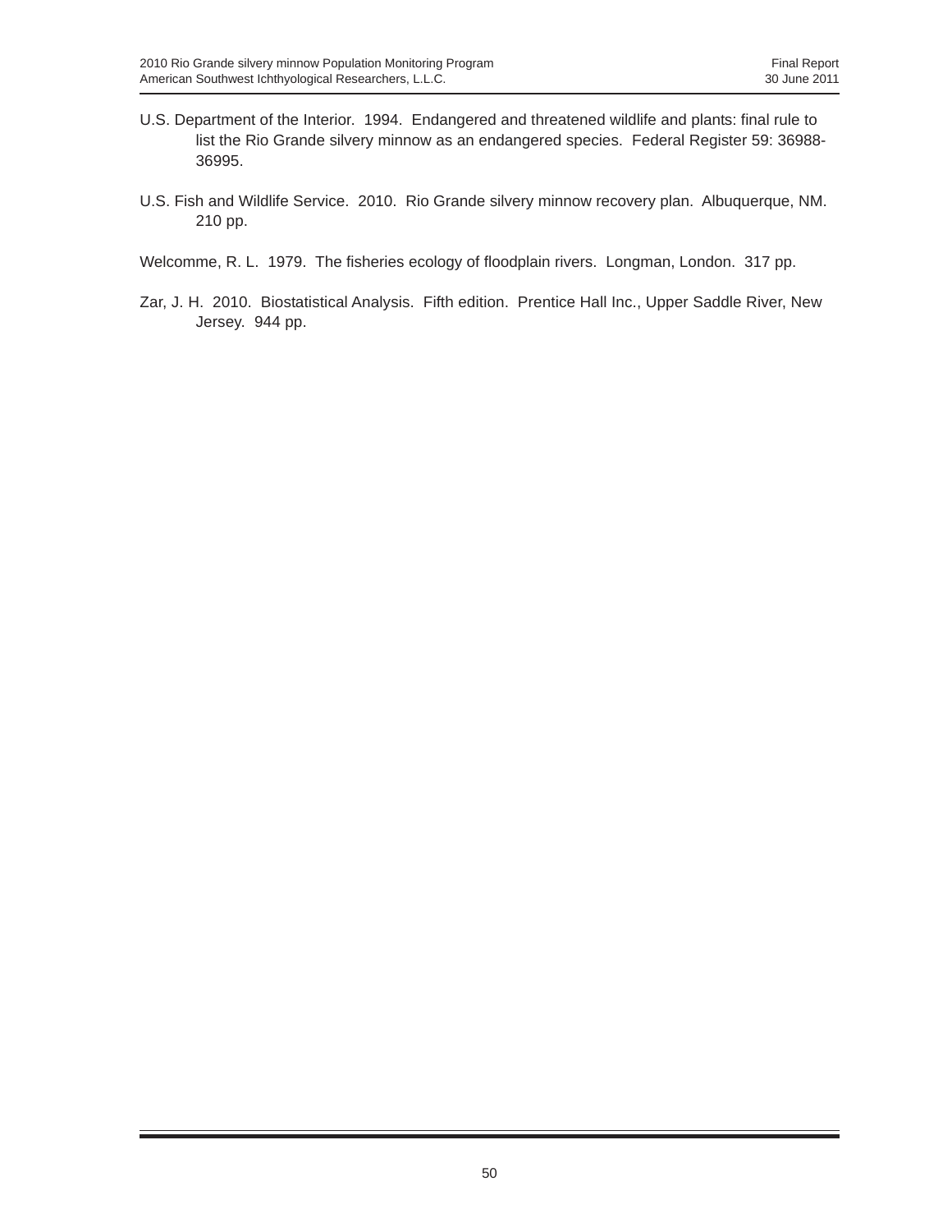- U.S. Department of the Interior. 1994. Endangered and threatened wildlife and plants: final rule to list the Rio Grande silvery minnow as an endangered species. Federal Register 59: 36988- 36995.
- U.S. Fish and Wildlife Service. 2010. Rio Grande silvery minnow recovery plan. Albuquerque, NM. 210 pp.
- Welcomme, R. L. 1979. The fisheries ecology of floodplain rivers. Longman, London. 317 pp.
- Zar, J. H. 2010. Biostatistical Analysis. Fifth edition. Prentice Hall Inc., Upper Saddle River, New Jersey. 944 pp.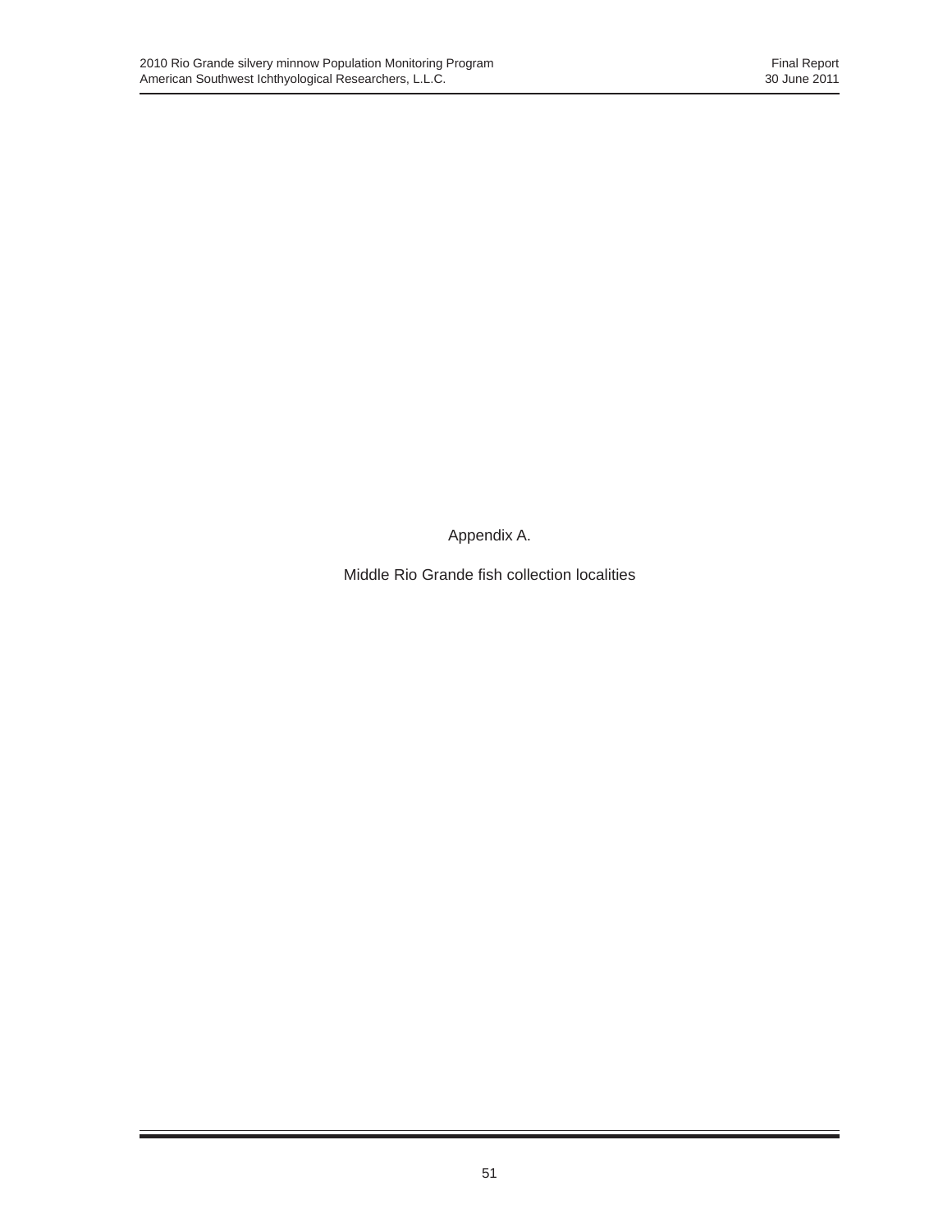Appendix A.

Middle Rio Grande fish collection localities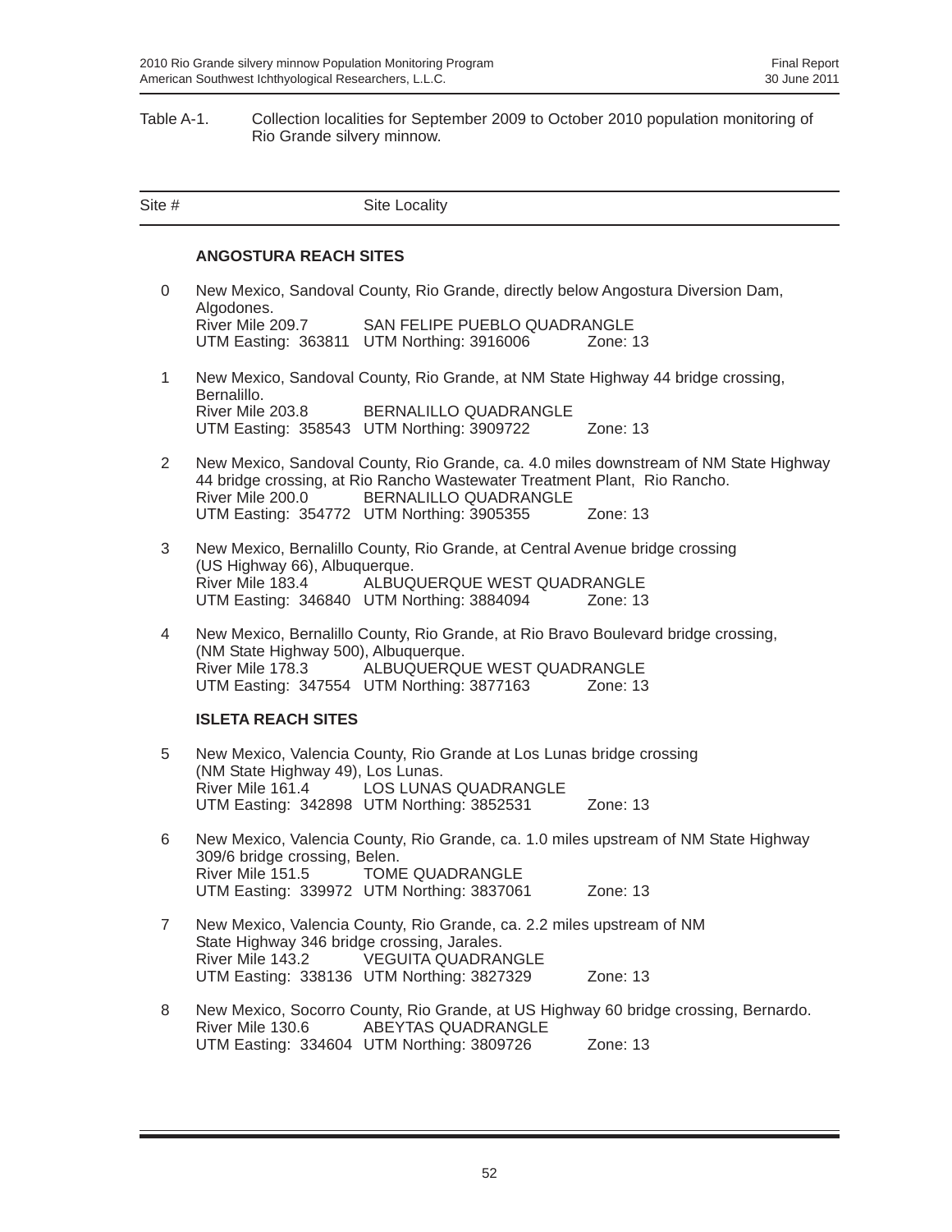#### Table A-1. Collection localities for September 2009 to October 2010 population monitoring of Rio Grande silvery minnow.

| Site #         |                                                                   | Site Locality                                                                                                                                                                   |                                                                                       |
|----------------|-------------------------------------------------------------------|---------------------------------------------------------------------------------------------------------------------------------------------------------------------------------|---------------------------------------------------------------------------------------|
|                | <b>ANGOSTURA REACH SITES</b>                                      |                                                                                                                                                                                 |                                                                                       |
| 0              |                                                                   | New Mexico, Sandoval County, Rio Grande, directly below Angostura Diversion Dam,                                                                                                |                                                                                       |
|                | Algodones.<br>River Mile 209.7                                    | SAN FELIPE PUEBLO QUADRANGLE<br>UTM Easting: 363811 UTM Northing: 3916006                                                                                                       | Zone: $13$                                                                            |
| $\mathbf{1}$   | Bernalillo.                                                       | New Mexico, Sandoval County, Rio Grande, at NM State Highway 44 bridge crossing,                                                                                                |                                                                                       |
|                | River Mile 203.8                                                  | BERNALILLO QUADRANGLE<br>UTM Easting: 358543 UTM Northing: 3909722                                                                                                              | Zone: 13                                                                              |
| $\overline{2}$ | River Mile 200.0                                                  | 44 bridge crossing, at Rio Rancho Wastewater Treatment Plant, Rio Rancho.<br><b>BERNALILLO QUADRANGLE</b>                                                                       | New Mexico, Sandoval County, Rio Grande, ca. 4.0 miles downstream of NM State Highway |
|                |                                                                   | UTM Easting: 354772 UTM Northing: 3905355                                                                                                                                       | Zone: $13$                                                                            |
| 3              | (US Highway 66), Albuquerque.<br>River Mile 183.4                 | New Mexico, Bernalillo County, Rio Grande, at Central Avenue bridge crossing<br>ALBUQUERQUE WEST QUADRANGLE                                                                     |                                                                                       |
|                |                                                                   | UTM Easting: 346840 UTM Northing: 3884094                                                                                                                                       | Zone: 13                                                                              |
| 4              | (NM State Highway 500), Albuquerque.                              | New Mexico, Bernalillo County, Rio Grande, at Rio Bravo Boulevard bridge crossing,<br>River Mile 178.3 ALBUQUERQUE WEST QUADRANGLE<br>UTM Easting: 347554 UTM Northing: 3877163 | Zone: 13                                                                              |
|                | <b>ISLETA REACH SITES</b>                                         |                                                                                                                                                                                 |                                                                                       |
| 5              | (NM State Highway 49), Los Lunas.                                 | New Mexico, Valencia County, Rio Grande at Los Lunas bridge crossing                                                                                                            |                                                                                       |
|                |                                                                   | River Mile 161.4 LOS LUNAS QUADRANGLE<br>UTM Easting: 342898 UTM Northing: 3852531                                                                                              | Zone: 13                                                                              |
| 6              | 309/6 bridge crossing, Belen.<br>River Mile 151.5 TOME QUADRANGLE |                                                                                                                                                                                 | New Mexico, Valencia County, Rio Grande, ca. 1.0 miles upstream of NM State Highway   |
|                |                                                                   | UTM Easting: 339972 UTM Northing: 3837061                                                                                                                                       | Zone: 13                                                                              |
| $\overline{7}$ | State Highway 346 bridge crossing, Jarales.                       | New Mexico, Valencia County, Rio Grande, ca. 2.2 miles upstream of NM                                                                                                           |                                                                                       |
|                | River Mile 143.2                                                  | <b>VEGUITA QUADRANGLE</b><br>UTM Easting: 338136 UTM Northing: 3827329                                                                                                          | Zone: 13                                                                              |
| 8              | River Mile 130.6                                                  | <b>ABEYTAS QUADRANGLE</b>                                                                                                                                                       | New Mexico, Socorro County, Rio Grande, at US Highway 60 bridge crossing, Bernardo.   |
|                |                                                                   | UTM Easting: 334604 UTM Northing: 3809726                                                                                                                                       | Zone: 13                                                                              |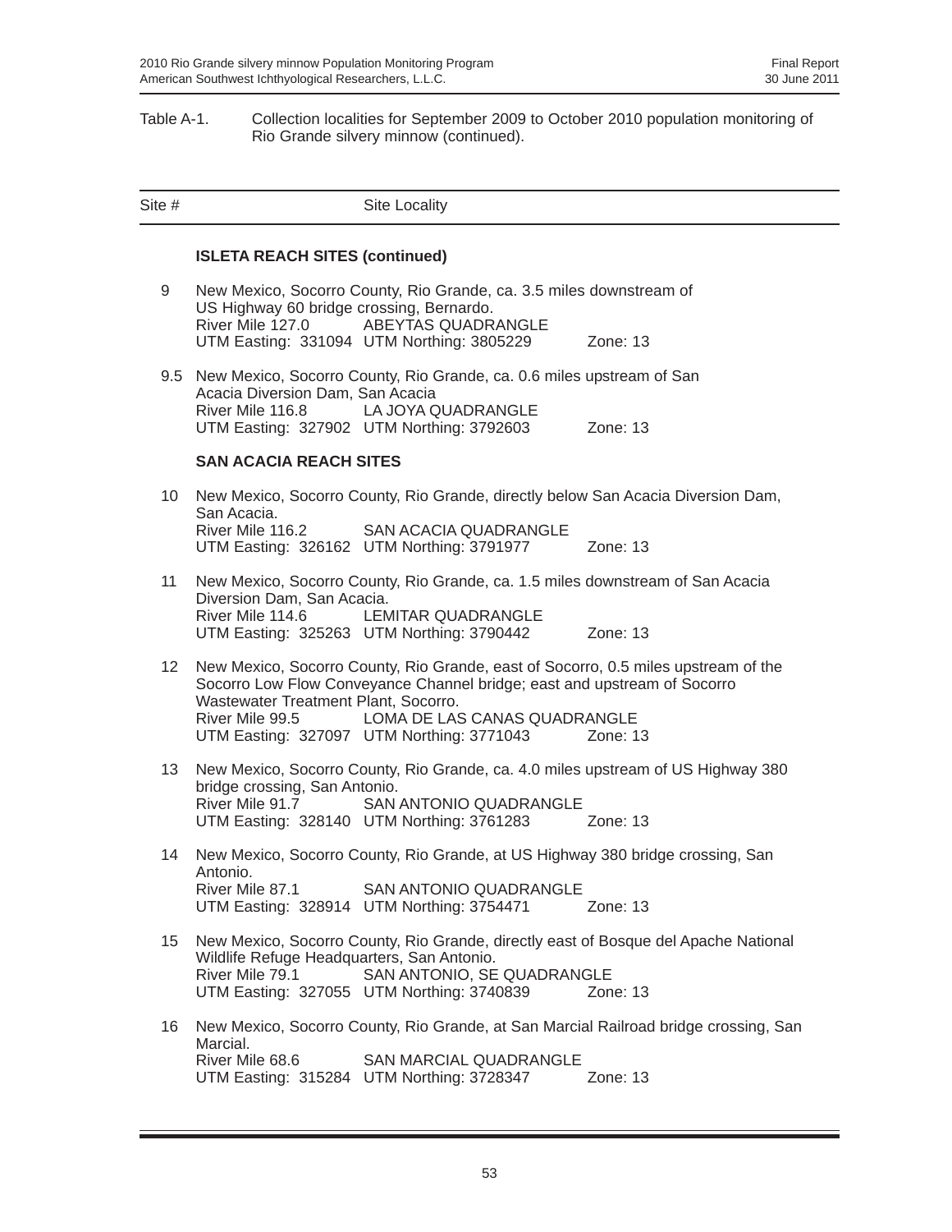#### Table A-1. Collection localities for September 2009 to October 2010 population monitoring of Rio Grande silvery minnow (continued).

| Site #          |                                                               | Site Locality                                                                                                                                                                                                                               |                                                                                                  |
|-----------------|---------------------------------------------------------------|---------------------------------------------------------------------------------------------------------------------------------------------------------------------------------------------------------------------------------------------|--------------------------------------------------------------------------------------------------|
|                 | <b>ISLETA REACH SITES (continued)</b>                         |                                                                                                                                                                                                                                             |                                                                                                  |
| 9               | US Highway 60 bridge crossing, Bernardo.<br>River Mile 127.0  | New Mexico, Socorro County, Rio Grande, ca. 3.5 miles downstream of<br>ABEYTAS QUADRANGLE<br>UTM Easting: 331094 UTM Northing: 3805229                                                                                                      | Zone: $13$                                                                                       |
|                 | Acacia Diversion Dam, San Acacia<br>River Mile 116.8          | 9.5 New Mexico, Socorro County, Rio Grande, ca. 0.6 miles upstream of San<br>LA JOYA QUADRANGLE<br>UTM Easting: 327902 UTM Northing: 3792603                                                                                                | Zone: $13$                                                                                       |
|                 | <b>SAN ACACIA REACH SITES</b>                                 |                                                                                                                                                                                                                                             |                                                                                                  |
| 10              | San Acacia.<br>River Mile 116.2                               | New Mexico, Socorro County, Rio Grande, directly below San Acacia Diversion Dam,<br><b>SAN ACACIA QUADRANGLE</b><br>UTM Easting: 326162 UTM Northing: 3791977                                                                               | Zone: 13                                                                                         |
| 11              | Diversion Dam, San Acacia.<br>River Mile 114.6                | New Mexico, Socorro County, Rio Grande, ca. 1.5 miles downstream of San Acacia<br><b>LEMITAR QUADRANGLE</b><br>UTM Easting: 325263 UTM Northing: 3790442                                                                                    | Zone: $13$                                                                                       |
| 12 <sup>°</sup> | Wastewater Treatment Plant, Socorro.<br>River Mile 99.5       | New Mexico, Socorro County, Rio Grande, east of Socorro, 0.5 miles upstream of the<br>Socorro Low Flow Conveyance Channel bridge; east and upstream of Socorro<br>LOMA DE LAS CANAS QUADRANGLE<br>UTM Easting: 327097 UTM Northing: 3771043 | Zone: 13                                                                                         |
| 13              | bridge crossing, San Antonio.<br>River Mile 91.7              | New Mexico, Socorro County, Rio Grande, ca. 4.0 miles upstream of US Highway 380<br>SAN ANTONIO QUADRANGLE<br>UTM Easting: 328140 UTM Northing: 3761283 Zone: 13                                                                            |                                                                                                  |
| 14              | Antonio.<br>River Mile 87.1                                   | New Mexico, Socorro County, Rio Grande, at US Highway 380 bridge crossing, San<br><b>SAN ANTONIO QUADRANGLE</b><br>UTM Easting: 328914 UTM Northing: 3754471                                                                                | Zone: 13                                                                                         |
| 15              | Wildlife Refuge Headquarters, San Antonio.<br>River Mile 79.1 | New Mexico, Socorro County, Rio Grande, directly east of Bosque del Apache National<br>SAN ANTONIO, SE QUADRANGLE<br>UTM Easting: 327055 UTM Northing: 3740839                                                                              | Zone: 13                                                                                         |
| 16              | Marcial.<br>River Mile 68.6                                   | <b>SAN MARCIAL QUADRANGLE</b><br>UTM Easting: 315284 UTM Northing: 3728347                                                                                                                                                                  | New Mexico, Socorro County, Rio Grande, at San Marcial Railroad bridge crossing, San<br>Zone: 13 |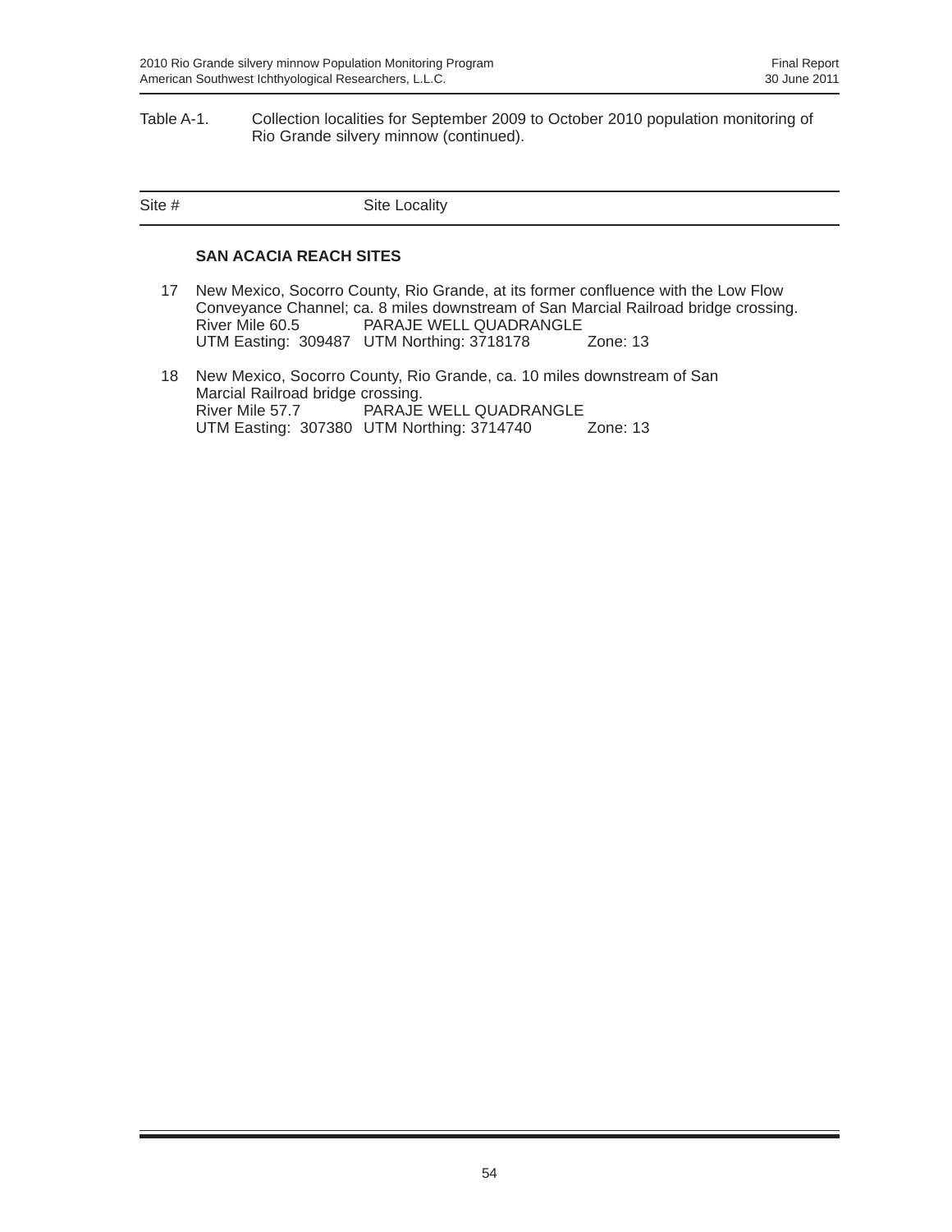#### Table A-1. Collection localities for September 2009 to October 2010 population monitoring of Rio Grande silvery minnow (continued).

| Site # | Site Locality |
|--------|---------------|
|        |               |

#### **SAN ACACIA REACH SITES**

- 17 New Mexico, Socorro County, Rio Grande, at its former confluence with the Low Flow Conveyance Channel; ca. 8 miles downstream of San Marcial Railroad bridge crossing. PARAJE WELL QUADRANGLE UTM Easting: 309487 UTM Northing: 3718178 Zone: 13
- 18 New Mexico, Socorro County, Rio Grande, ca. 10 miles downstream of San Marcial Railroad bridge crossing.<br>River Mile 57.7 PARAJE PARAJE WELL QUADRANGLE<br>UTM Northing: 3714740 Zone: 13 UTM Easting: 307380 UTM Northing: 3714740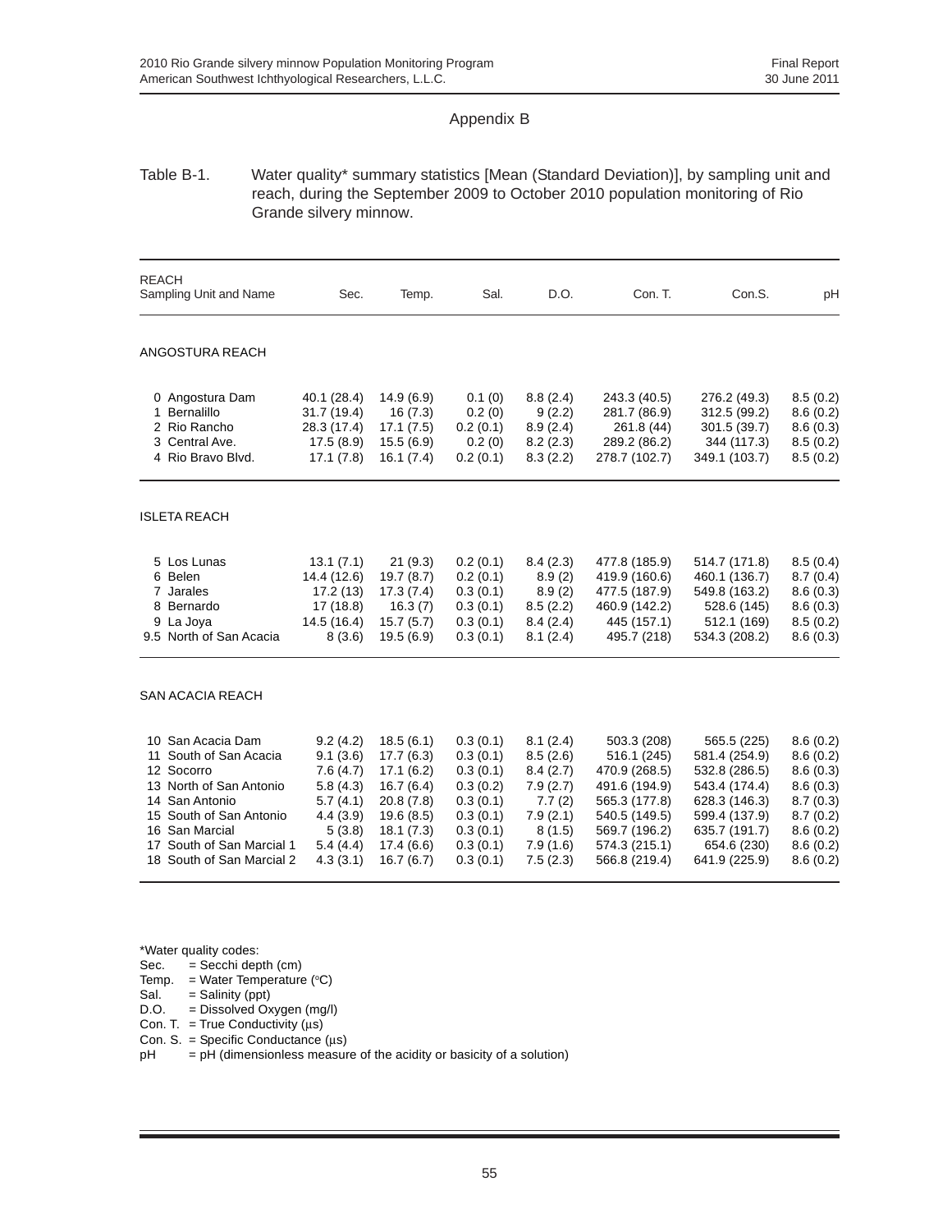## Appendix B

#### Table B-1. Water quality\* summary statistics [Mean (Standard Deviation)], by sampling unit and reach, during the September 2009 to October 2010 population monitoring of Rio Grande silvery minnow.

| <b>REACH</b><br>Sampling Unit and Name                                                                                                                                                                                        | Sec.                                                                                                   | Temp.                                                                                                             | Sal.                                                                                                     | D.O.                                                                                                 | Con. T.                                                                                                                                           | Con.S.                                                                                                                                            | рH                                                                                                       |
|-------------------------------------------------------------------------------------------------------------------------------------------------------------------------------------------------------------------------------|--------------------------------------------------------------------------------------------------------|-------------------------------------------------------------------------------------------------------------------|----------------------------------------------------------------------------------------------------------|------------------------------------------------------------------------------------------------------|---------------------------------------------------------------------------------------------------------------------------------------------------|---------------------------------------------------------------------------------------------------------------------------------------------------|----------------------------------------------------------------------------------------------------------|
| ANGOSTURA REACH                                                                                                                                                                                                               |                                                                                                        |                                                                                                                   |                                                                                                          |                                                                                                      |                                                                                                                                                   |                                                                                                                                                   |                                                                                                          |
| 0 Angostura Dam<br>1 Bernalillo<br>2 Rio Rancho<br>3 Central Ave.<br>4 Rio Bravo Blvd.                                                                                                                                        | 40.1 (28.4)<br>31.7 (19.4)<br>28.3 (17.4)<br>17.5(8.9)<br>17.1(7.8)                                    | 14.9(6.9)<br>16(7.3)<br>17.1(7.5)<br>15.5(6.9)<br>16.1(7.4)                                                       | 0.1(0)<br>0.2(0)<br>0.2(0.1)<br>0.2(0)<br>0.2(0.1)                                                       | 8.8(2.4)<br>9(2.2)<br>8.9(2.4)<br>8.2(2.3)<br>8.3(2.2)                                               | 243.3 (40.5)<br>281.7 (86.9)<br>261.8 (44)<br>289.2 (86.2)<br>278.7 (102.7)                                                                       | 276.2 (49.3)<br>312.5 (99.2)<br>301.5 (39.7)<br>344 (117.3)<br>349.1 (103.7)                                                                      | 8.5(0.2)<br>8.6(0.2)<br>8.6(0.3)<br>8.5(0.2)<br>8.5(0.2)                                                 |
| <b>ISLETA REACH</b>                                                                                                                                                                                                           |                                                                                                        |                                                                                                                   |                                                                                                          |                                                                                                      |                                                                                                                                                   |                                                                                                                                                   |                                                                                                          |
| 5 Los Lunas<br>6 Belen<br>7 Jarales<br>8 Bernardo<br>9 La Joya<br>9.5 North of San Acacia                                                                                                                                     | 13.1(7.1)<br>14.4 (12.6)<br>17.2(13)<br>17 (18.8)<br>14.5 (16.4)<br>8(3.6)                             | 21(9.3)<br>19.7(8.7)<br>17.3(7.4)<br>16.3(7)<br>15.7(5.7)<br>19.5(6.9)                                            | 0.2(0.1)<br>0.2(0.1)<br>0.3(0.1)<br>0.3(0.1)<br>0.3(0.1)<br>0.3(0.1)                                     | 8.4(2.3)<br>8.9(2)<br>8.9(2)<br>8.5(2.2)<br>8.4(2.4)<br>8.1(2.4)                                     | 477.8 (185.9)<br>419.9 (160.6)<br>477.5 (187.9)<br>460.9 (142.2)<br>445 (157.1)<br>495.7 (218)                                                    | 514.7 (171.8)<br>460.1 (136.7)<br>549.8 (163.2)<br>528.6 (145)<br>512.1 (169)<br>534.3 (208.2)                                                    | 8.5(0.4)<br>8.7(0.4)<br>8.6(0.3)<br>8.6(0.3)<br>8.5(0.2)<br>8.6(0.3)                                     |
| <b>SAN ACACIA REACH</b>                                                                                                                                                                                                       |                                                                                                        |                                                                                                                   |                                                                                                          |                                                                                                      |                                                                                                                                                   |                                                                                                                                                   |                                                                                                          |
| San Acacia Dam<br>10.<br>South of San Acacia<br>11<br>12 Socorro<br>13 North of San Antonio<br>San Antonio<br>14<br>South of San Antonio<br>15<br>16 San Marcial<br>South of San Marcial 1<br>17<br>18 South of San Marcial 2 | 9.2(4.2)<br>9.1(3.6)<br>7.6(4.7)<br>5.8(4.3)<br>5.7(4.1)<br>4.4(3.9)<br>5(3.8)<br>5.4(4.4)<br>4.3(3.1) | 18.5(6.1)<br>17.7(6.3)<br>17.1(6.2)<br>16.7(6.4)<br>20.8(7.8)<br>19.6(8.5)<br>18.1(7.3)<br>17.4(6.6)<br>16.7(6.7) | 0.3(0.1)<br>0.3(0.1)<br>0.3(0.1)<br>0.3(0.2)<br>0.3(0.1)<br>0.3(0.1)<br>0.3(0.1)<br>0.3(0.1)<br>0.3(0.1) | 8.1(2.4)<br>8.5(2.6)<br>8.4(2.7)<br>7.9(2.7)<br>7.7(2)<br>7.9(2.1)<br>8(1.5)<br>7.9(1.6)<br>7.5(2.3) | 503.3 (208)<br>516.1 (245)<br>470.9 (268.5)<br>491.6 (194.9)<br>565.3 (177.8)<br>540.5 (149.5)<br>569.7 (196.2)<br>574.3 (215.1)<br>566.8 (219.4) | 565.5 (225)<br>581.4 (254.9)<br>532.8 (286.5)<br>543.4 (174.4)<br>628.3 (146.3)<br>599.4 (137.9)<br>635.7 (191.7)<br>654.6 (230)<br>641.9 (225.9) | 8.6(0.2)<br>8.6(0.2)<br>8.6(0.3)<br>8.6(0.3)<br>8.7(0.3)<br>8.7(0.2)<br>8.6(0.2)<br>8.6(0.2)<br>8.6(0.2) |

\*Water quality codes:

Sec.  $=$  Secchi depth (cm)

Temp.  $=$  Water Temperature (°C)

 $Sal. = Salinity (ppt)$ 

D.O. = Dissolved Oxygen (mg/l)

Con. T. = True Conductivity  $(\mu s)$ 

Con. S. = Specific Conductance (μs)

 $pH = pH$  (dimensionless measure of the acidity or basicity of a solution)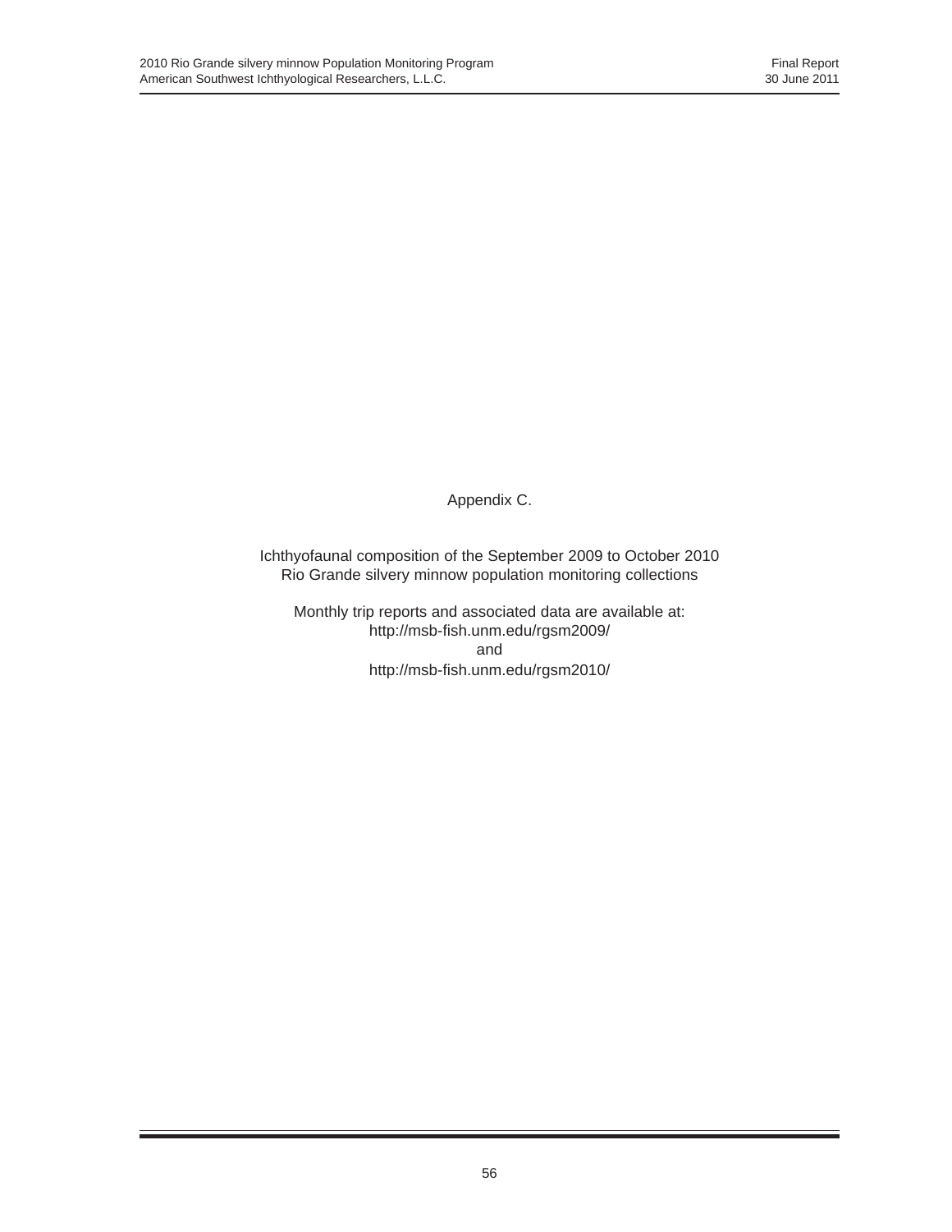Appendix C.

Ichthyofaunal composition of the September 2009 to October 2010 Rio Grande silvery minnow population monitoring collections

Monthly trip reports and associated data are available at: http://msb-fish.unm.edu/rgsm2009/ and http://msb-fish.unm.edu/rgsm2010/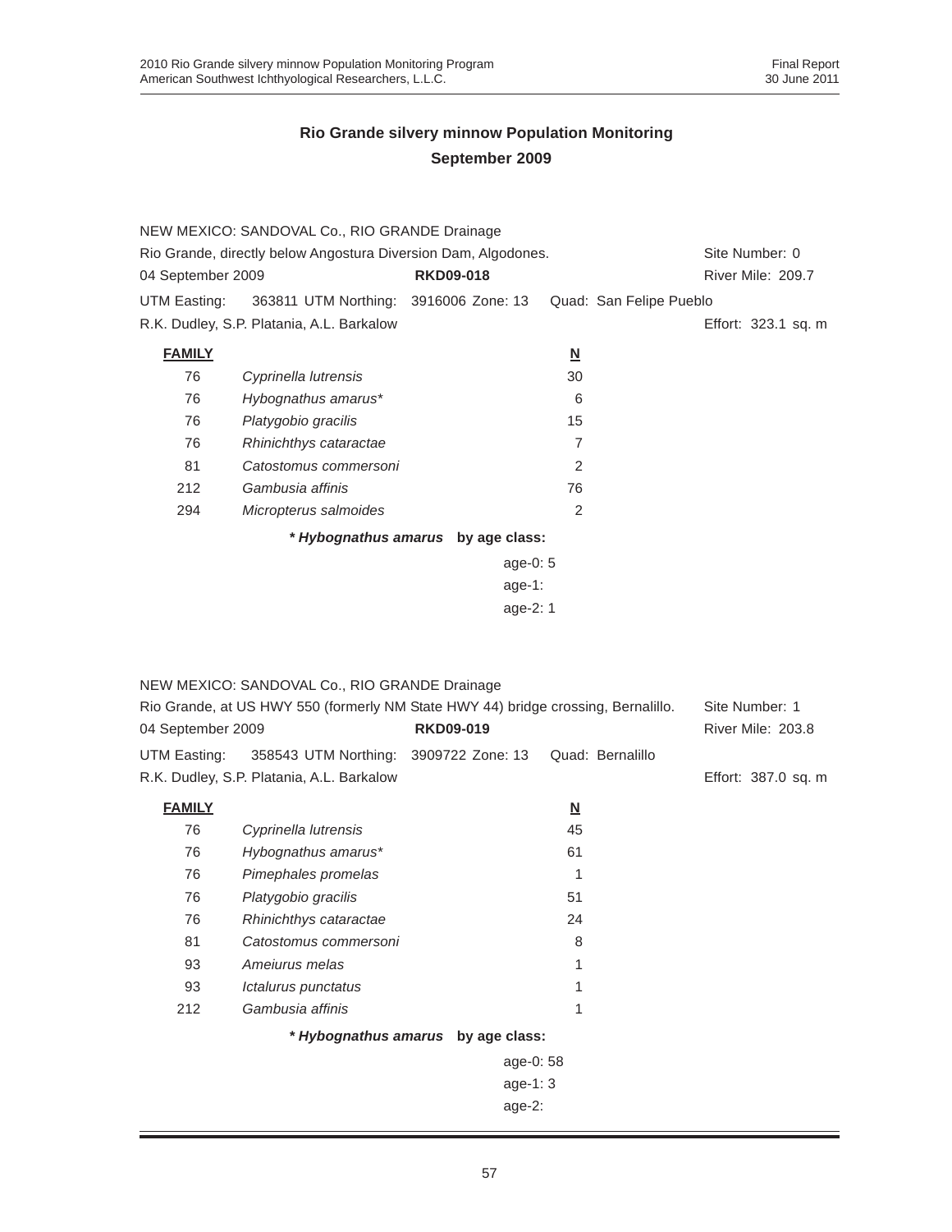| 04 September 2009 | NEW MEXICO: SANDOVAL Co., RIO GRANDE Drainage<br>Rio Grande, directly below Angostura Diversion Dam, Algodones. | <b>RKD09-018</b>                   |                          | Site Number: 0<br>River Mile: 209.7 |
|-------------------|-----------------------------------------------------------------------------------------------------------------|------------------------------------|--------------------------|-------------------------------------|
| UTM Easting:      | 363811 UTM Northing: 3916006 Zone: 13                                                                           |                                    | Quad: San Felipe Pueblo  |                                     |
|                   | R.K. Dudley, S.P. Platania, A.L. Barkalow                                                                       |                                    |                          | Effort: 323.1 sq. m                 |
| <b>FAMILY</b>     |                                                                                                                 |                                    | $\underline{\mathsf{N}}$ |                                     |
| 76                | Cyprinella lutrensis                                                                                            |                                    | 30                       |                                     |
| 76                | Hybognathus amarus*                                                                                             |                                    | 6                        |                                     |
| 76                | Platygobio gracilis                                                                                             |                                    | 15                       |                                     |
| 76                | Rhinichthys cataractae                                                                                          |                                    | $\overline{7}$           |                                     |
| 81                | Catostomus commersoni                                                                                           |                                    | 2                        |                                     |
| 212               | Gambusia affinis                                                                                                |                                    | 76                       |                                     |
| 294               | Micropterus salmoides                                                                                           |                                    | $\overline{2}$           |                                     |
|                   |                                                                                                                 | * Hybognathus amarus by age class: |                          |                                     |
|                   |                                                                                                                 | age-0: 5                           |                          |                                     |
|                   |                                                                                                                 | age-1:                             |                          |                                     |
|                   |                                                                                                                 | age-2: 1                           |                          |                                     |
|                   |                                                                                                                 |                                    |                          |                                     |
|                   | NEW MEXICO: SANDOVAL Co., RIO GRANDE Drainage                                                                   |                                    |                          |                                     |
|                   | Rio Grande, at US HWY 550 (formerly NM State HWY 44) bridge crossing, Bernalillo.                               |                                    |                          | Site Number: 1                      |
| 04 September 2009 |                                                                                                                 | <b>RKD09-019</b>                   |                          | River Mile: 203.8                   |
|                   |                                                                                                                 |                                    |                          |                                     |
| UTM Easting:      | 358543 UTM Northing: 3909722 Zone: 13                                                                           |                                    | Quad: Bernalillo         |                                     |
|                   | R.K. Dudley, S.P. Platania, A.L. Barkalow                                                                       |                                    |                          | Effort: 387.0 sq. m                 |
| <b>FAMILY</b>     |                                                                                                                 |                                    | $\underline{\mathsf{N}}$ |                                     |
| 76                | Cyprinella lutrensis                                                                                            |                                    | 45                       |                                     |
| 76                | Hybognathus amarus*                                                                                             |                                    | 61                       |                                     |
| 76                | Pimephales promelas                                                                                             |                                    | 1                        |                                     |
| 76                | Platygobio gracilis                                                                                             |                                    | 51                       |                                     |
| 76                | Rhinichthys cataractae                                                                                          |                                    | 24                       |                                     |

age-0: 58 age-1: 3 age-2:

 *Catostomus commersoni* 8 *Ameiurus melas* 1 *Ictalurus punctatus* 1 *Gambusia affinis* 1

*\* Hybognathus amarus* **by age class:**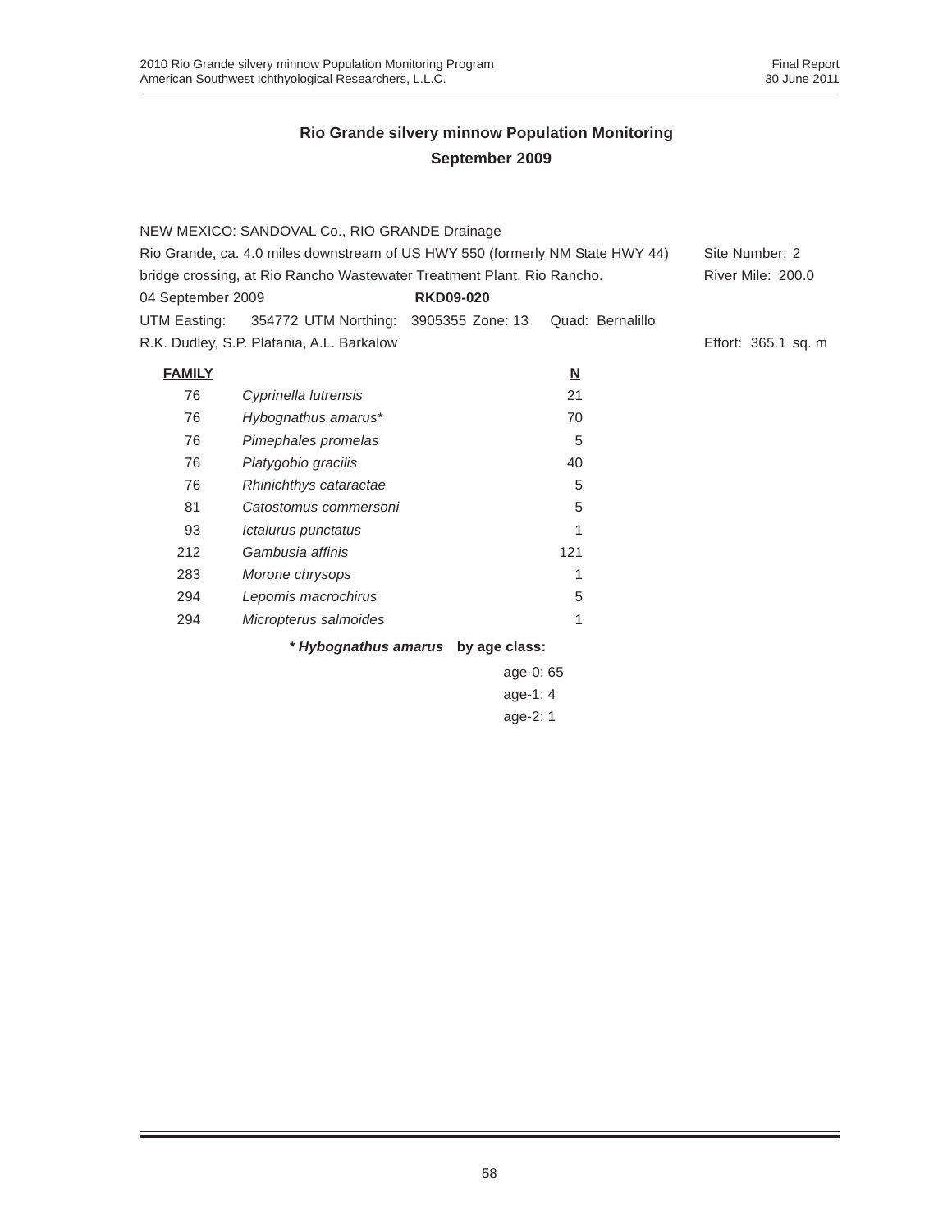|                   | NEW MEXICO: SANDOVAL Co., RIO GRANDE Drainage                                 |                                    |                         |                     |
|-------------------|-------------------------------------------------------------------------------|------------------------------------|-------------------------|---------------------|
|                   | Rio Grande, ca. 4.0 miles downstream of US HWY 550 (formerly NM State HWY 44) |                                    |                         | Site Number: 2      |
|                   | bridge crossing, at Rio Rancho Wastewater Treatment Plant, Rio Rancho.        |                                    |                         | River Mile: 200.0   |
| 04 September 2009 |                                                                               | <b>RKD09-020</b>                   |                         |                     |
| UTM Easting:      | 354772 UTM Northing: 3905355 Zone: 13                                         |                                    | Quad: Bernalillo        |                     |
|                   | R.K. Dudley, S.P. Platania, A.L. Barkalow                                     |                                    |                         | Effort: 365.1 sq. m |
| <b>FAMILY</b>     |                                                                               |                                    | $\overline{\mathsf{M}}$ |                     |
| 76                | Cyprinella lutrensis                                                          |                                    | 21                      |                     |
| 76                | Hybognathus amarus*                                                           |                                    | 70                      |                     |
| 76                | Pimephales promelas                                                           |                                    | 5                       |                     |
| 76                | Platygobio gracilis                                                           |                                    | 40                      |                     |
| 76                | Rhinichthys cataractae                                                        |                                    | 5                       |                     |
| 81                | Catostomus commersoni                                                         |                                    | 5                       |                     |
| 93                | Ictalurus punctatus                                                           |                                    | 1                       |                     |
| 212               | Gambusia affinis                                                              |                                    | 121                     |                     |
| 283               | Morone chrysops                                                               |                                    | 1                       |                     |
| 294               | Lepomis macrochirus                                                           |                                    | 5                       |                     |
| 294               | Micropterus salmoides                                                         |                                    | 1                       |                     |
|                   |                                                                               | * Hybognathus amarus by age class: |                         |                     |
|                   |                                                                               | age-0: 65                          |                         |                     |
|                   |                                                                               | age-1: $4$                         |                         |                     |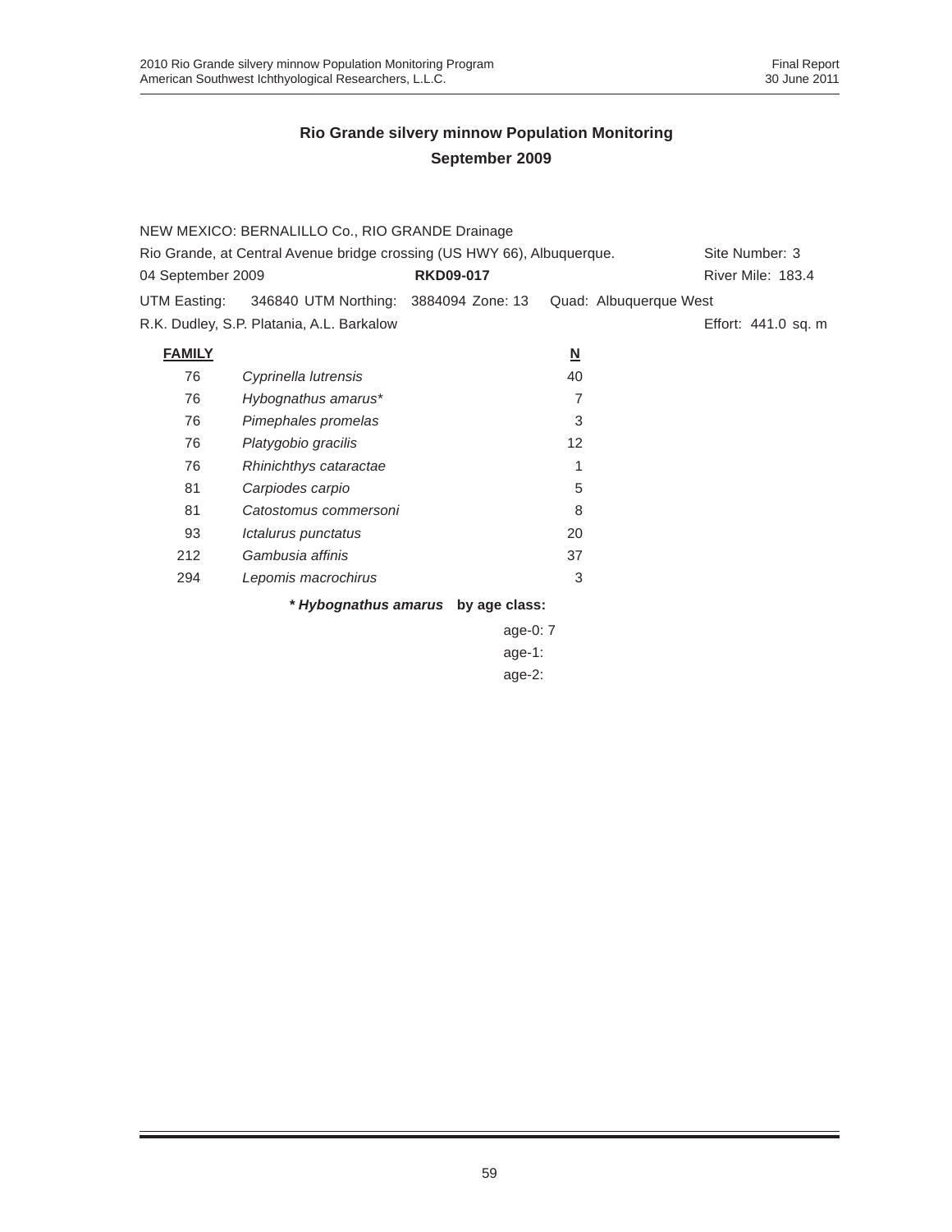|                   | NEW MEXICO: BERNALILLO Co., RIO GRANDE Drainage                                           |                                    |                          |                        |  |  |
|-------------------|-------------------------------------------------------------------------------------------|------------------------------------|--------------------------|------------------------|--|--|
|                   | Rio Grande, at Central Avenue bridge crossing (US HWY 66), Albuquerque.<br>Site Number: 3 |                                    |                          |                        |  |  |
| 04 September 2009 |                                                                                           | <b>RKD09-017</b>                   |                          | River Mile: 183.4      |  |  |
| UTM Easting:      | 346840 UTM Northing: 3884094 Zone: 13                                                     |                                    |                          | Quad: Albuquerque West |  |  |
|                   | R.K. Dudley, S.P. Platania, A.L. Barkalow                                                 |                                    |                          | Effort: 441.0 sq. m    |  |  |
| <b>FAMILY</b>     |                                                                                           |                                    | $\underline{\mathsf{N}}$ |                        |  |  |
| 76                | Cyprinella lutrensis                                                                      |                                    | 40                       |                        |  |  |
| 76                | Hybognathus amarus*                                                                       |                                    | 7                        |                        |  |  |
| 76                | Pimephales promelas                                                                       |                                    | 3                        |                        |  |  |
| 76                | Platygobio gracilis                                                                       |                                    | 12                       |                        |  |  |
| 76                | Rhinichthys cataractae                                                                    |                                    |                          |                        |  |  |
| 81                | Carpiodes carpio                                                                          |                                    | 5                        |                        |  |  |
| 81                | Catostomus commersoni                                                                     |                                    | 8                        |                        |  |  |
| 93                | Ictalurus punctatus                                                                       |                                    | 20                       |                        |  |  |
| 212               | Gambusia affinis                                                                          |                                    | 37                       |                        |  |  |
| 294               | Lepomis macrochirus                                                                       |                                    | 3                        |                        |  |  |
|                   |                                                                                           | * Hybognathus amarus by age class: |                          |                        |  |  |
|                   |                                                                                           | age-0: $7$                         |                          |                        |  |  |

age-1: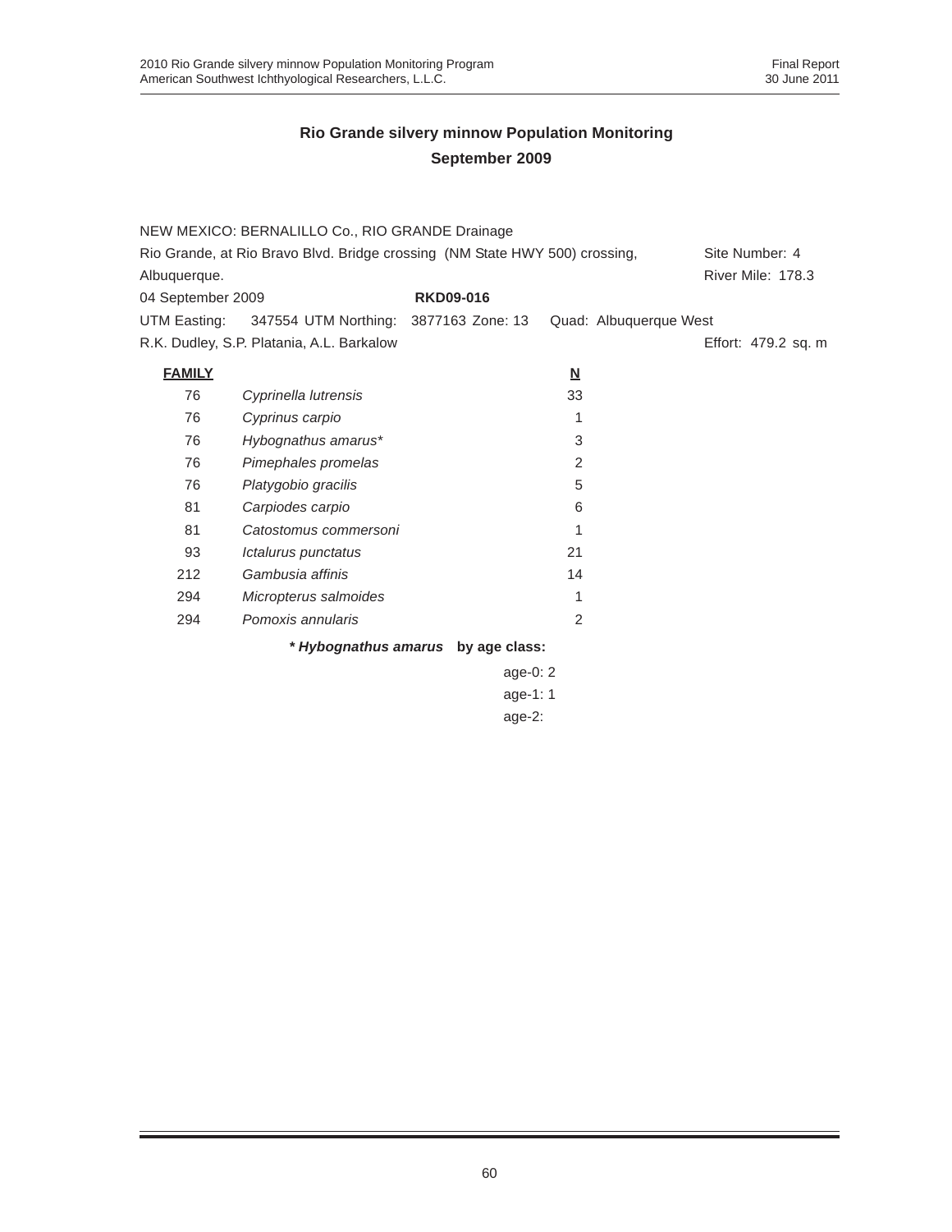|                   | NEW MEXICO: BERNALILLO Co., RIO GRANDE Drainage                             |                  |            |                          |                        |                   |                     |
|-------------------|-----------------------------------------------------------------------------|------------------|------------|--------------------------|------------------------|-------------------|---------------------|
|                   | Rio Grande, at Rio Bravo Blvd. Bridge crossing (NM State HWY 500) crossing, |                  |            |                          |                        | Site Number: 4    |                     |
| Albuquerque.      |                                                                             |                  |            |                          |                        | River Mile: 178.3 |                     |
| 04 September 2009 |                                                                             | <b>RKD09-016</b> |            |                          |                        |                   |                     |
| UTM Easting:      | 347554 UTM Northing: 3877163 Zone: 13                                       |                  |            |                          | Quad: Albuquerque West |                   |                     |
|                   | R.K. Dudley, S.P. Platania, A.L. Barkalow                                   |                  |            |                          |                        |                   | Effort: 479.2 sq. m |
| <b>FAMILY</b>     |                                                                             |                  |            | $\underline{\mathsf{N}}$ |                        |                   |                     |
| 76                | Cyprinella lutrensis                                                        |                  |            | 33                       |                        |                   |                     |
| 76                | Cyprinus carpio                                                             |                  |            | 1                        |                        |                   |                     |
| 76                | Hybognathus amarus*                                                         |                  |            | 3                        |                        |                   |                     |
| 76                | Pimephales promelas                                                         |                  |            | 2                        |                        |                   |                     |
| 76                | Platygobio gracilis                                                         |                  |            | 5                        |                        |                   |                     |
| 81                | Carpiodes carpio                                                            |                  |            | 6                        |                        |                   |                     |
| 81                | Catostomus commersoni                                                       |                  |            | 1                        |                        |                   |                     |
| 93                | Ictalurus punctatus                                                         |                  |            | 21                       |                        |                   |                     |
| 212               | Gambusia affinis                                                            |                  |            | 14                       |                        |                   |                     |
| 294               | Micropterus salmoides                                                       |                  |            | 1                        |                        |                   |                     |
| 294               | Pomoxis annularis                                                           |                  |            | 2                        |                        |                   |                     |
|                   | * Hybognathus amarus by age class:                                          |                  |            |                          |                        |                   |                     |
|                   |                                                                             |                  | age-0: $2$ |                          |                        |                   |                     |
|                   |                                                                             |                  | age-1: 1   |                          |                        |                   |                     |
|                   |                                                                             |                  | age- $2$ : |                          |                        |                   |                     |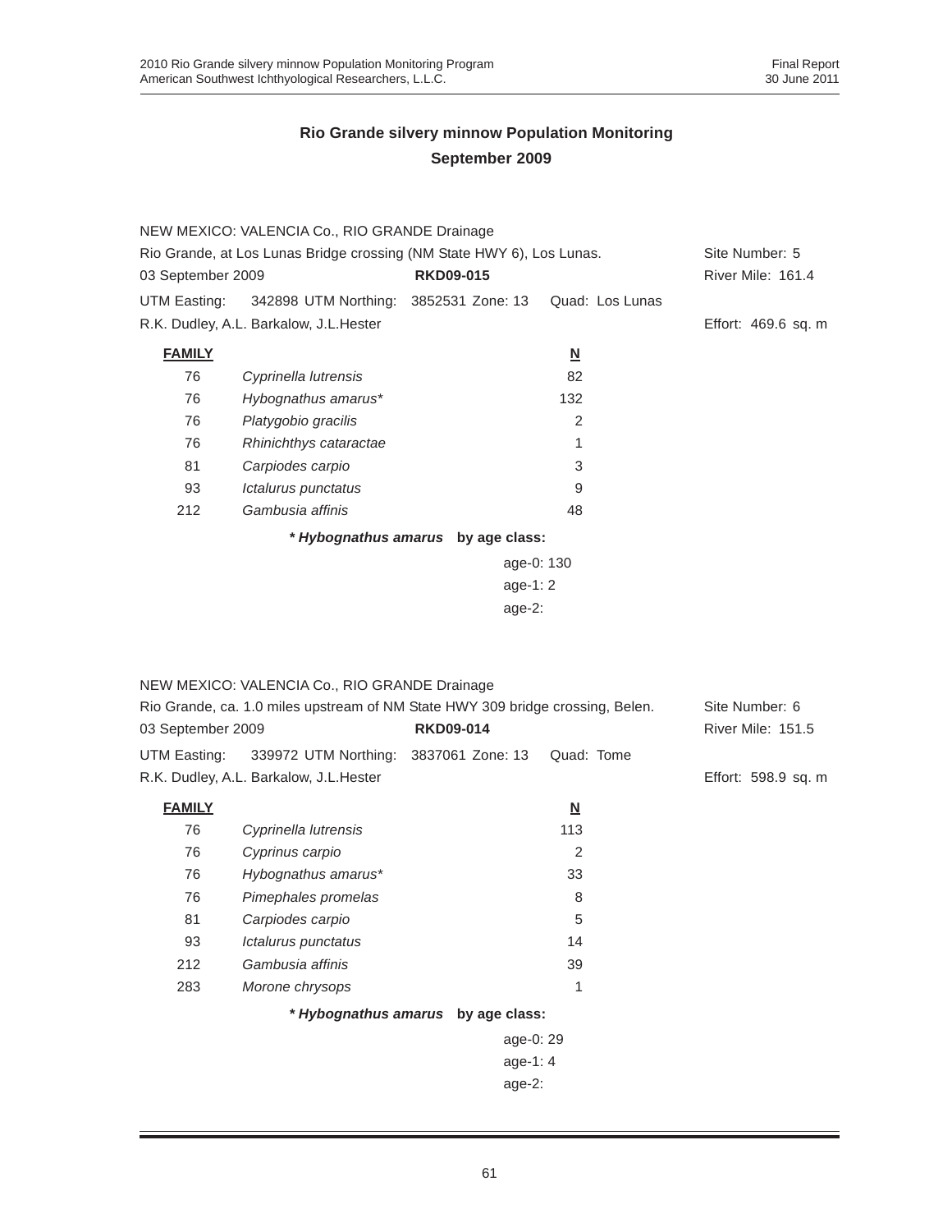|                   | NEW MEXICO: VALENCIA Co., RIO GRANDE Drainage                         |                                    |                          |                     |
|-------------------|-----------------------------------------------------------------------|------------------------------------|--------------------------|---------------------|
|                   | Rio Grande, at Los Lunas Bridge crossing (NM State HWY 6), Los Lunas. |                                    |                          | Site Number: 5      |
| 03 September 2009 |                                                                       | <b>RKD09-015</b>                   |                          | River Mile: 161.4   |
| UTM Easting:      | 342898 UTM Northing: 3852531 Zone: 13                                 |                                    | Quad: Los Lunas          |                     |
|                   | R.K. Dudley, A.L. Barkalow, J.L. Hester                               |                                    |                          | Effort: 469.6 sq. m |
| <b>FAMILY</b>     |                                                                       |                                    | $\underline{\mathsf{N}}$ |                     |
| 76                | Cyprinella lutrensis                                                  |                                    | 82                       |                     |
| 76                | Hybognathus amarus*                                                   |                                    | 132                      |                     |
| 76                | Platygobio gracilis                                                   |                                    | $\overline{c}$           |                     |
| 76                | Rhinichthys cataractae                                                |                                    |                          |                     |
| 81                | Carpiodes carpio                                                      |                                    | 3                        |                     |
| 93                | Ictalurus punctatus                                                   |                                    | 9                        |                     |
| 212               | Gambusia affinis                                                      |                                    | 48                       |                     |
|                   |                                                                       | * Hybognathus amarus by age class: |                          |                     |
|                   |                                                                       | age-0: 130                         |                          |                     |
|                   |                                                                       | age-1: $2 \overline{ }$            |                          |                     |
|                   |                                                                       | age- $2:$                          |                          |                     |

|                   | NEW MEXICO: VALENCIA Co., RIO GRANDE Drainage                                  |                                    |            |                          |
|-------------------|--------------------------------------------------------------------------------|------------------------------------|------------|--------------------------|
|                   | Rio Grande, ca. 1.0 miles upstream of NM State HWY 309 bridge crossing, Belen. |                                    |            | Site Number: 6           |
| 03 September 2009 |                                                                                | <b>RKD09-014</b>                   |            | <b>River Mile: 151.5</b> |
| UTM Easting:      | 339972 UTM Northing: 3837061 Zone: 13                                          |                                    | Quad: Tome |                          |
|                   | R.K. Dudley, A.L. Barkalow, J.L. Hester                                        |                                    |            | Effort: 598.9 sq. m      |
| <b>FAMILY</b>     |                                                                                |                                    | N          |                          |
| 76                | Cyprinella lutrensis                                                           |                                    | 113        |                          |
| 76                | Cyprinus carpio                                                                |                                    | 2          |                          |
| 76                | Hybognathus amarus*                                                            |                                    | 33         |                          |
| 76                | Pimephales promelas                                                            |                                    | 8          |                          |
| 81                | Carpiodes carpio                                                               |                                    | 5          |                          |
| 93                | Ictalurus punctatus                                                            |                                    | 14         |                          |
| 212               | Gambusia affinis                                                               |                                    | 39         |                          |
| 283               | Morone chrysops                                                                |                                    | 1          |                          |
|                   |                                                                                | * Hybognathus amarus by age class: |            |                          |
|                   |                                                                                | age-0: 29                          |            |                          |
|                   |                                                                                | age-1: $4$                         |            |                          |
|                   |                                                                                | age-2:                             |            |                          |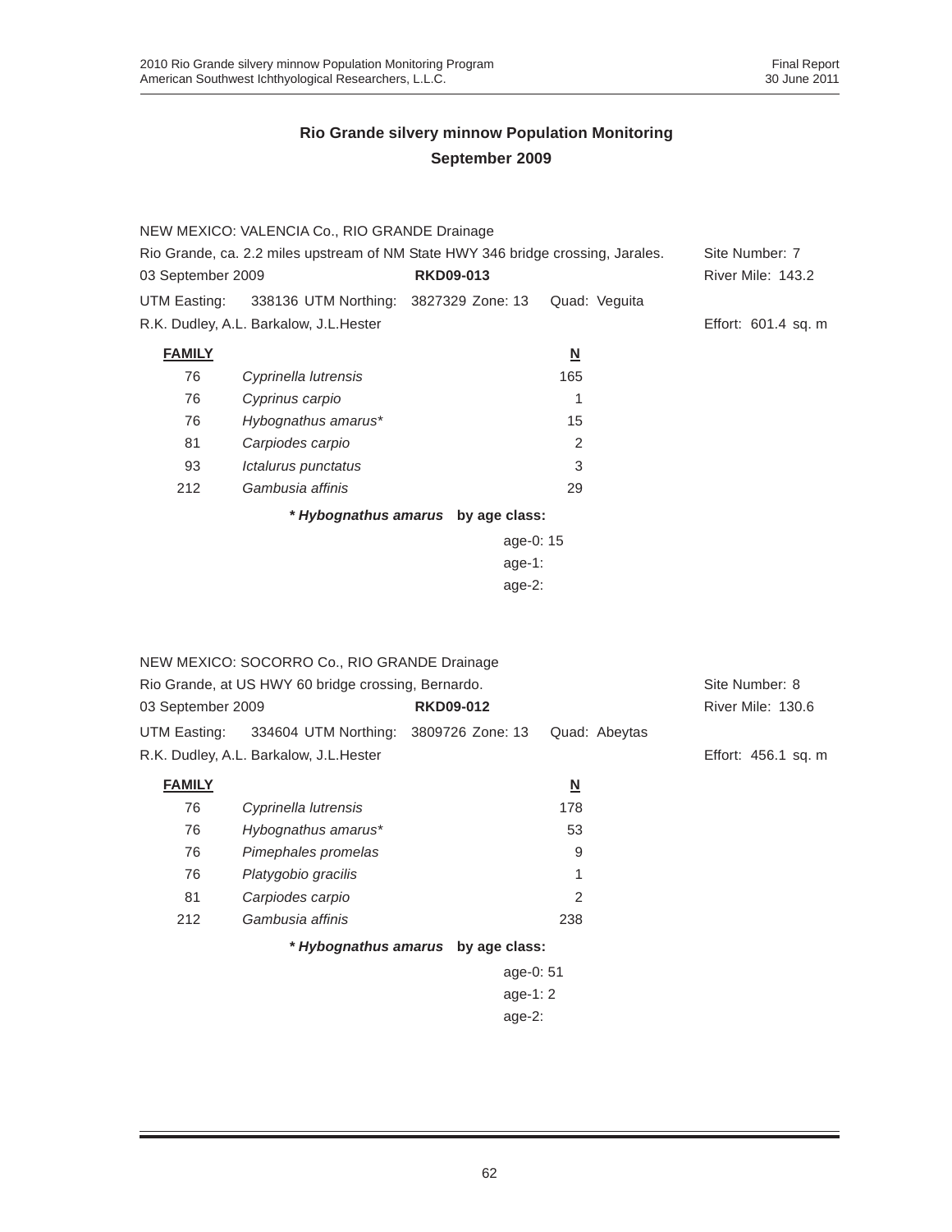|                                                                                  | NEW MEXICO: VALENCIA Co., RIO GRANDE Drainage |                                    |                          |                     |
|----------------------------------------------------------------------------------|-----------------------------------------------|------------------------------------|--------------------------|---------------------|
| Rio Grande, ca. 2.2 miles upstream of NM State HWY 346 bridge crossing, Jarales. |                                               |                                    |                          | Site Number: 7      |
| 03 September 2009<br><b>RKD09-013</b>                                            |                                               |                                    | River Mile: 143.2        |                     |
| UTM Easting:                                                                     | 338136 UTM Northing: 3827329 Zone: 13         |                                    | Quad: Veguita            |                     |
|                                                                                  | R.K. Dudley, A.L. Barkalow, J.L.Hester        |                                    |                          | Effort: 601.4 sq. m |
| <b>FAMILY</b>                                                                    |                                               |                                    | $\underline{\mathsf{N}}$ |                     |
| 76                                                                               | Cyprinella lutrensis                          |                                    | 165                      |                     |
| 76                                                                               | Cyprinus carpio                               |                                    |                          |                     |
| 76                                                                               | Hybognathus amarus*                           |                                    | 15                       |                     |
| 81                                                                               | Carpiodes carpio                              |                                    | 2                        |                     |
| 93                                                                               | Ictalurus punctatus                           |                                    | 3                        |                     |
| 212                                                                              | Gambusia affinis                              |                                    | 29                       |                     |
|                                                                                  |                                               | * Hybognathus amarus by age class: |                          |                     |
|                                                                                  |                                               | age-0: 15                          |                          |                     |
|                                                                                  |                                               | age-1:                             |                          |                     |

|                                                     | NEW MEXICO: SOCORRO Co., RIO GRANDE Drainage       |                                    |                   |                     |
|-----------------------------------------------------|----------------------------------------------------|------------------------------------|-------------------|---------------------|
| Rio Grande, at US HWY 60 bridge crossing, Bernardo. |                                                    |                                    |                   | Site Number: 8      |
| 03 September 2009<br><b>RKD09-012</b>               |                                                    |                                    | River Mile: 130.6 |                     |
|                                                     | UTM Easting: 334604 UTM Northing: 3809726 Zone: 13 |                                    | Quad: Abeytas     |                     |
| R.K. Dudley, A.L. Barkalow, J.L. Hester             |                                                    |                                    |                   | Effort: 456.1 sq. m |
| <b>FAMILY</b>                                       |                                                    |                                    | N                 |                     |
| 76                                                  | Cyprinella lutrensis                               |                                    | 178               |                     |
| 76                                                  | Hybognathus amarus*                                |                                    | 53                |                     |
| 76                                                  | Pimephales promelas                                |                                    | 9                 |                     |
| 76                                                  | Platygobio gracilis                                |                                    | 1                 |                     |
| 81                                                  | Carpiodes carpio                                   |                                    | 2                 |                     |
| 212                                                 | Gambusia affinis                                   |                                    | 238               |                     |
|                                                     |                                                    | * Hybognathus amarus by age class: |                   |                     |
|                                                     |                                                    | age-0: 51                          |                   |                     |
|                                                     |                                                    | age-1: $2 \overline{ }$            |                   |                     |
|                                                     |                                                    | age- $2:$                          |                   |                     |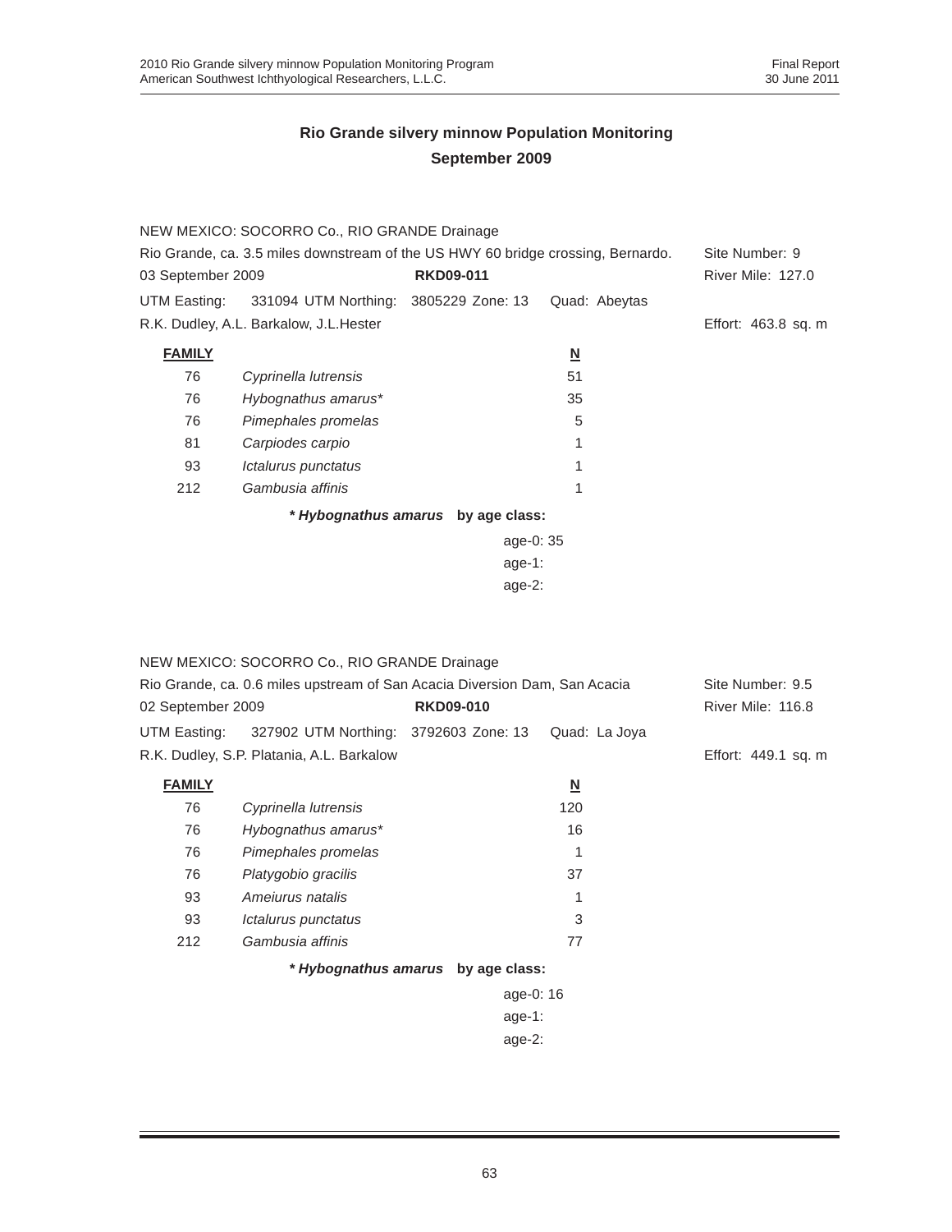|                                                                                  | NEW MEXICO: SOCORRO Co., RIO GRANDE Drainage |                                    |                          |                          |
|----------------------------------------------------------------------------------|----------------------------------------------|------------------------------------|--------------------------|--------------------------|
| Rio Grande, ca. 3.5 miles downstream of the US HWY 60 bridge crossing, Bernardo. |                                              |                                    |                          | Site Number: 9           |
| 03 September 2009                                                                |                                              | <b>RKD09-011</b>                   |                          | <b>River Mile: 127.0</b> |
| UTM Easting:                                                                     | 331094 UTM Northing: 3805229 Zone: 13        |                                    | Quad: Abeytas            |                          |
|                                                                                  | R.K. Dudley, A.L. Barkalow, J.L. Hester      |                                    |                          | Effort: 463.8 sq. m      |
| <b>FAMILY</b>                                                                    |                                              |                                    | $\underline{\mathbf{N}}$ |                          |
| 76                                                                               | Cyprinella lutrensis                         |                                    | 51                       |                          |
| 76                                                                               | Hybognathus amarus*                          |                                    | 35                       |                          |
| 76                                                                               | Pimephales promelas                          |                                    | 5                        |                          |
| 81                                                                               | Carpiodes carpio                             |                                    |                          |                          |
| 93                                                                               | Ictalurus punctatus                          |                                    |                          |                          |
| 212                                                                              | Gambusia affinis                             |                                    |                          |                          |
|                                                                                  |                                              | * Hybognathus amarus by age class: |                          |                          |
| age-0: $35$                                                                      |                                              |                                    |                          |                          |
|                                                                                  |                                              | $age-1:$                           |                          |                          |

age-2:

| NEW MEXICO: SOCORRO Co., RIO GRANDE Drainage<br>Rio Grande, ca. 0.6 miles upstream of San Acacia Diversion Dam, San Acacia |                      |                                    |                         | Site Number: 9.5<br>River Mile: 116.8 |
|----------------------------------------------------------------------------------------------------------------------------|----------------------|------------------------------------|-------------------------|---------------------------------------|
| <b>RKD09-010</b><br>02 September 2009                                                                                      |                      |                                    |                         |                                       |
| UTM Easting: 327902 UTM Northing: 3792603 Zone: 13                                                                         |                      |                                    | Quad: La Joya           |                                       |
| R.K. Dudley, S.P. Platania, A.L. Barkalow                                                                                  |                      | Effort: 449.1 sq. m                |                         |                                       |
| <b>FAMILY</b>                                                                                                              |                      |                                    | $\overline{\mathbf{N}}$ |                                       |
| 76                                                                                                                         | Cyprinella lutrensis |                                    | 120                     |                                       |
| 76                                                                                                                         | Hybognathus amarus*  |                                    | 16                      |                                       |
| 76                                                                                                                         | Pimephales promelas  |                                    | 1                       |                                       |
| 76                                                                                                                         | Platygobio gracilis  |                                    | 37                      |                                       |
| 93                                                                                                                         | Amejurus natalis     |                                    | 1                       |                                       |
| 93                                                                                                                         | Ictalurus punctatus  |                                    | 3                       |                                       |
| 212                                                                                                                        | Gambusia affinis     |                                    | 77                      |                                       |
|                                                                                                                            |                      | * Hybognathus amarus by age class: |                         |                                       |
|                                                                                                                            |                      | age-0: 16                          |                         |                                       |
|                                                                                                                            |                      | age-1:                             |                         |                                       |
|                                                                                                                            |                      |                                    |                         |                                       |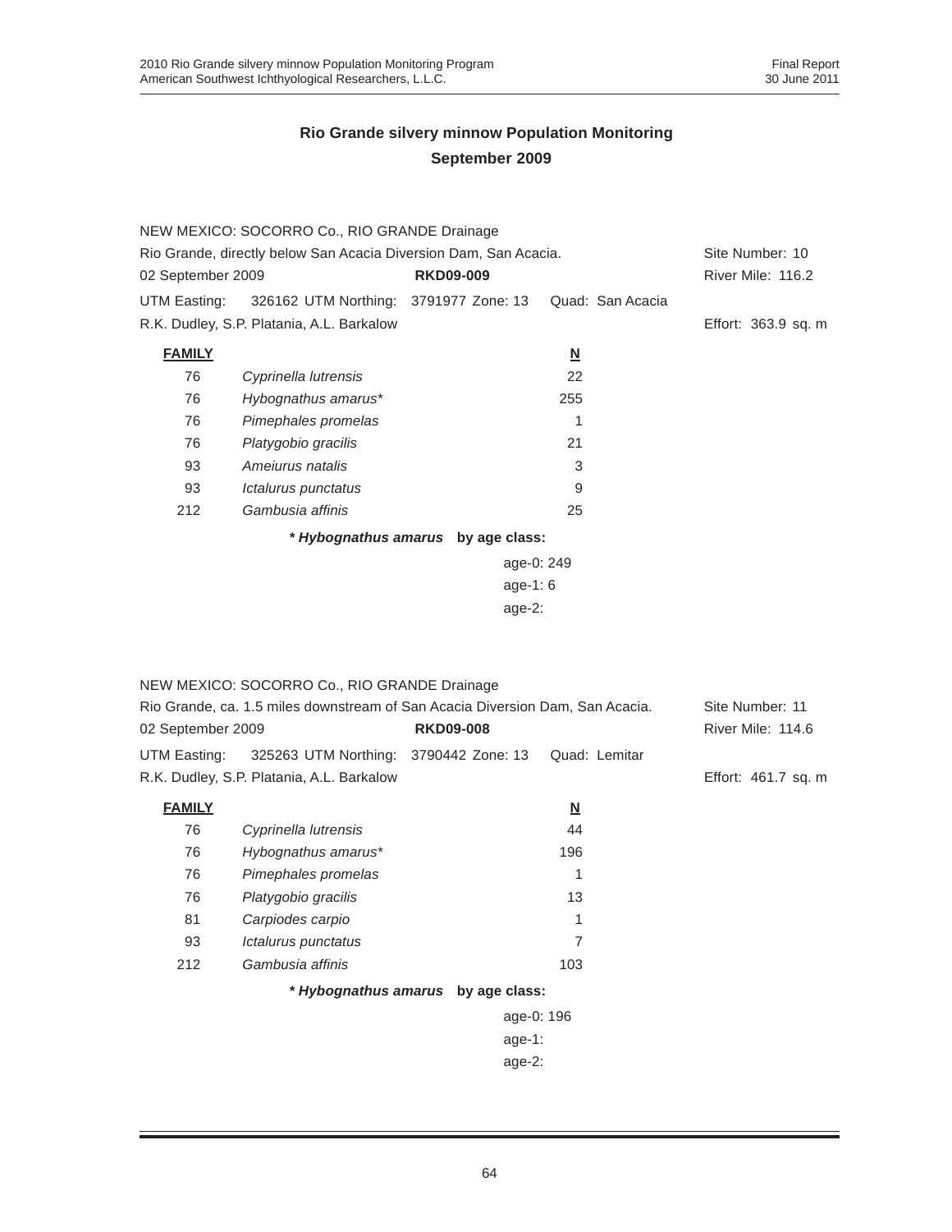|                                                                  | NEW MEXICO: SOCORRO Co., RIO GRANDE Drainage |                                    |                          |                     |
|------------------------------------------------------------------|----------------------------------------------|------------------------------------|--------------------------|---------------------|
| Rio Grande, directly below San Acacia Diversion Dam, San Acacia. |                                              |                                    |                          | Site Number: 10     |
| 02 September 2009<br><b>RKD09-009</b>                            |                                              |                                    |                          | River Mile: 116.2   |
| UTM Easting:                                                     | 326162 UTM Northing: 3791977 Zone: 13        |                                    | Quad: San Acacia         |                     |
|                                                                  | R.K. Dudley, S.P. Platania, A.L. Barkalow    |                                    |                          | Effort: 363.9 sq. m |
| <b>FAMILY</b>                                                    |                                              |                                    | $\underline{\mathbf{N}}$ |                     |
| 76                                                               | Cyprinella lutrensis                         |                                    | 22                       |                     |
| 76                                                               | Hybognathus amarus*                          |                                    | 255                      |                     |
| 76                                                               | Pimephales promelas                          |                                    | 1                        |                     |
| 76                                                               | Platygobio gracilis                          |                                    | 21                       |                     |
| 93                                                               | Amejurus natalis                             |                                    | 3                        |                     |
| 93                                                               | Ictalurus punctatus                          |                                    | 9                        |                     |
| 212                                                              | Gambusia affinis                             |                                    | 25                       |                     |
|                                                                  |                                              | * Hybognathus amarus by age class: |                          |                     |
|                                                                  |                                              | age-0: 249                         |                          |                     |
|                                                                  |                                              | age-1: $6$                         |                          |                     |
|                                                                  |                                              | age- $2:$                          |                          |                     |

|                                                                               | NEW MEXICO: SOCORRO Co., RIO GRANDE Drainage |                                    |                         |                     |
|-------------------------------------------------------------------------------|----------------------------------------------|------------------------------------|-------------------------|---------------------|
| Rio Grande, ca. 1.5 miles downstream of San Acacia Diversion Dam, San Acacia. |                                              |                                    |                         | Site Number: 11     |
| 02 September 2009<br><b>RKD09-008</b>                                         |                                              |                                    | River Mile: 114.6       |                     |
| UTM Easting:                                                                  | 325263 UTM Northing: 3790442 Zone: 13        |                                    | Quad: Lemitar           |                     |
|                                                                               | R.K. Dudley, S.P. Platania, A.L. Barkalow    |                                    |                         | Effort: 461.7 sq. m |
| <b>FAMILY</b>                                                                 |                                              |                                    | $\overline{\mathsf{M}}$ |                     |
| 76                                                                            | Cyprinella lutrensis                         |                                    | 44                      |                     |
| 76                                                                            | Hybognathus amarus*                          |                                    | 196                     |                     |
| 76                                                                            | Pimephales promelas                          |                                    | 1                       |                     |
| 76                                                                            | Platygobio gracilis                          |                                    | 13                      |                     |
| 81                                                                            | Carpiodes carpio                             |                                    | 1                       |                     |
| 93                                                                            | Ictalurus punctatus                          |                                    | 7                       |                     |
| 212                                                                           | Gambusia affinis                             |                                    | 103                     |                     |
|                                                                               |                                              | * Hybognathus amarus by age class: |                         |                     |
|                                                                               |                                              | age-0: 196                         |                         |                     |
|                                                                               |                                              | age-1:                             |                         |                     |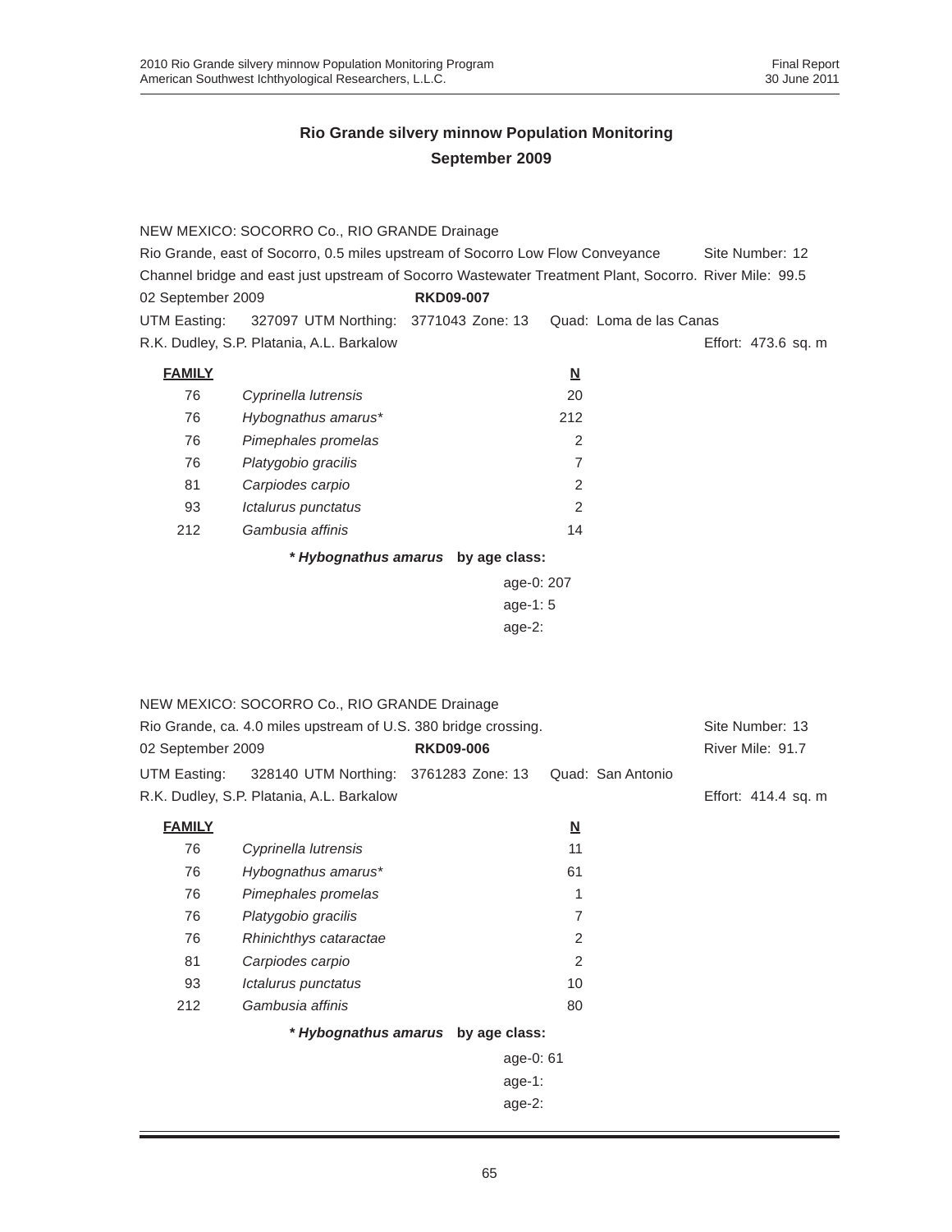|                                                                                                        | NEW MEXICO: SOCORRO Co., RIO GRANDE Drainage                                   |                  |            |                          |                         |                     |
|--------------------------------------------------------------------------------------------------------|--------------------------------------------------------------------------------|------------------|------------|--------------------------|-------------------------|---------------------|
|                                                                                                        | Rio Grande, east of Socorro, 0.5 miles upstream of Socorro Low Flow Conveyance |                  |            |                          |                         | Site Number: 12     |
| Channel bridge and east just upstream of Socorro Wastewater Treatment Plant, Socorro. River Mile: 99.5 |                                                                                |                  |            |                          |                         |                     |
| 02 September 2009                                                                                      |                                                                                | <b>RKD09-007</b> |            |                          |                         |                     |
| UTM Easting:                                                                                           | 327097 UTM Northing: 3771043 Zone: 13                                          |                  |            |                          | Quad: Loma de las Canas |                     |
|                                                                                                        | R.K. Dudley, S.P. Platania, A.L. Barkalow                                      |                  |            |                          |                         | Effort: 473.6 sq. m |
| <b>FAMILY</b>                                                                                          |                                                                                |                  |            | $\underline{\mathbf{N}}$ |                         |                     |
| 76                                                                                                     | Cyprinella lutrensis                                                           |                  |            | 20                       |                         |                     |
| 76                                                                                                     | Hybognathus amarus*                                                            |                  |            | 212                      |                         |                     |
| 76                                                                                                     | Pimephales promelas                                                            |                  |            | 2                        |                         |                     |
| 76                                                                                                     | Platygobio gracilis                                                            |                  |            | 7                        |                         |                     |
| 81                                                                                                     | Carpiodes carpio                                                               |                  |            | 2                        |                         |                     |
| 93                                                                                                     | Ictalurus punctatus                                                            |                  |            | 2                        |                         |                     |
| 212                                                                                                    | Gambusia affinis                                                               |                  |            | 14                       |                         |                     |
|                                                                                                        | * Hybognathus amarus by age class:                                             |                  |            |                          |                         |                     |
|                                                                                                        |                                                                                |                  | age-0: 207 |                          |                         |                     |
|                                                                                                        |                                                                                |                  | age-1: 5   |                          |                         |                     |
|                                                                                                        |                                                                                |                  | $age-2$ :  |                          |                         |                     |
|                                                                                                        |                                                                                |                  |            |                          |                         |                     |
|                                                                                                        |                                                                                |                  |            |                          |                         |                     |
|                                                                                                        | NEW MEXICO: SOCORRO Co., RIO GRANDE Drainage                                   |                  |            |                          |                         |                     |
|                                                                                                        | Rio Grande, ca. 4.0 miles upstream of U.S. 380 bridge crossing.                |                  |            |                          |                         | Site Number: 13     |
| 02 September 2009                                                                                      |                                                                                | <b>RKD09-006</b> |            |                          |                         | River Mile: 91.7    |
| UTM Easting:                                                                                           | 328140 UTM Northing: 3761283 Zone: 13                                          |                  |            |                          | Quad: San Antonio       |                     |
|                                                                                                        | R.K. Dudley, S.P. Platania, A.L. Barkalow                                      |                  |            |                          |                         | Effort: 414.4 sq. m |
| <b>FAMILY</b>                                                                                          |                                                                                |                  |            | <u>N</u>                 |                         |                     |
| 76                                                                                                     | Cyprinella lutrensis                                                           |                  |            | 11                       |                         |                     |
| 76                                                                                                     | Hybognathus amarus*                                                            |                  |            | 61                       |                         |                     |
| 76                                                                                                     | Pimephales promelas                                                            |                  |            | 1                        |                         |                     |
| 76                                                                                                     | Platygobio gracilis                                                            |                  |            | $\overline{7}$           |                         |                     |
| 76                                                                                                     | Rhinichthys cataractae                                                         |                  |            | 2                        |                         |                     |
| 81                                                                                                     | Carpiodes carpio                                                               |                  |            | $\overline{c}$           |                         |                     |
| 93                                                                                                     | Ictalurus punctatus                                                            |                  |            | 10                       |                         |                     |
| 212                                                                                                    | Gambusia affinis                                                               |                  |            | 80                       |                         |                     |
|                                                                                                        | * Hybognathus amarus by age class:                                             |                  |            |                          |                         |                     |
|                                                                                                        |                                                                                |                  | age-0: 61  |                          |                         |                     |
|                                                                                                        |                                                                                |                  | $age-1$ :  |                          |                         |                     |
|                                                                                                        |                                                                                |                  | age-2:     |                          |                         |                     |
|                                                                                                        |                                                                                |                  |            |                          |                         |                     |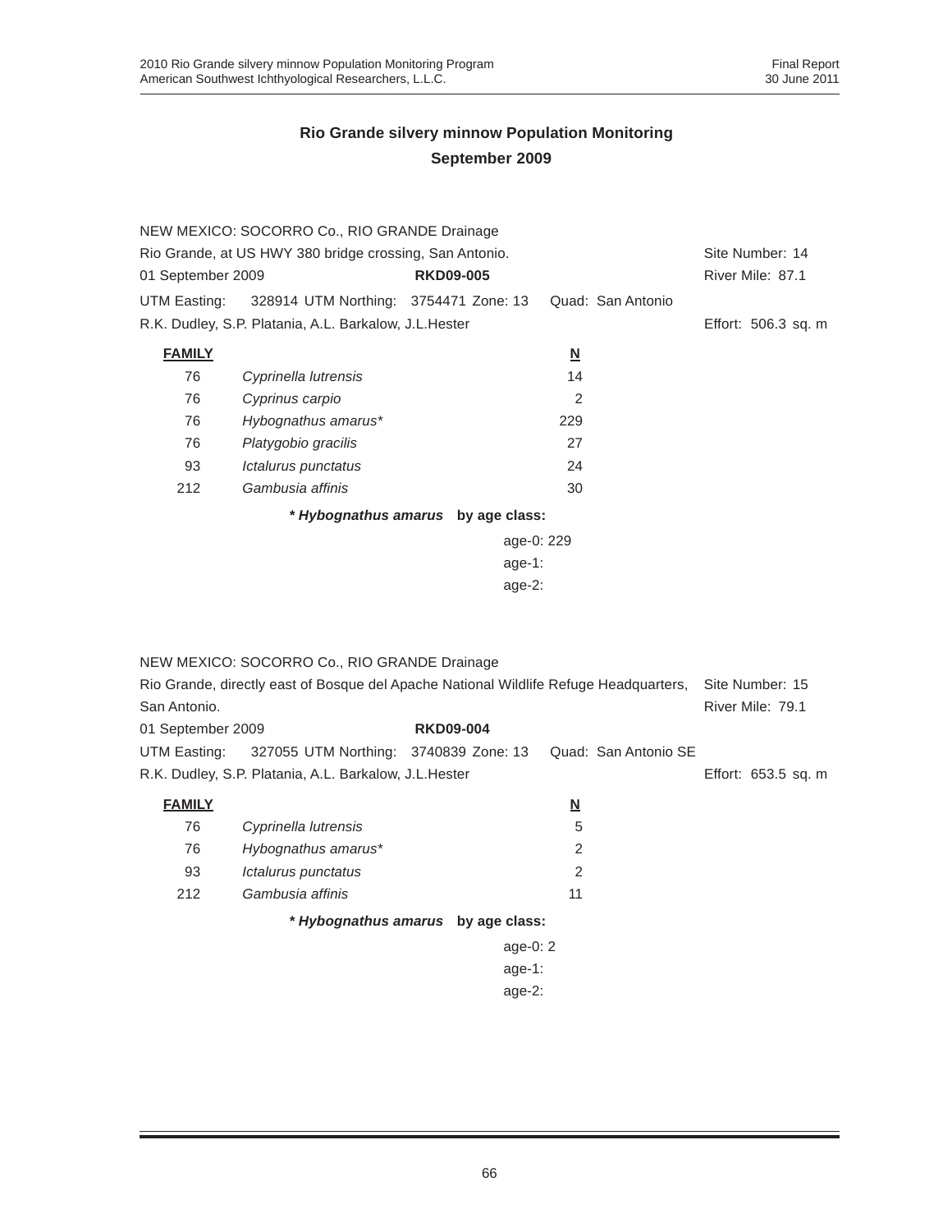|                   | NEW MEXICO: SOCORRO Co., RIO GRANDE Drainage            |                  |                          |                   |                     |
|-------------------|---------------------------------------------------------|------------------|--------------------------|-------------------|---------------------|
|                   | Rio Grande, at US HWY 380 bridge crossing, San Antonio. |                  |                          |                   | Site Number: 14     |
| 01 September 2009 |                                                         | <b>RKD09-005</b> |                          |                   | River Mile: 87.1    |
| UTM Easting:      | 328914 UTM Northing: 3754471 Zone: 13                   |                  |                          | Quad: San Antonio |                     |
|                   | R.K. Dudley, S.P. Platania, A.L. Barkalow, J.L. Hester  |                  |                          |                   | Effort: 506.3 sq. m |
| <b>FAMILY</b>     |                                                         |                  | $\underline{\mathbf{N}}$ |                   |                     |
| 76                | Cyprinella lutrensis                                    |                  | 14                       |                   |                     |
| 76                | Cyprinus carpio                                         |                  | 2                        |                   |                     |
| 76                | Hybognathus amarus*                                     |                  | 229                      |                   |                     |
| 76                | Platygobio gracilis                                     |                  | 27                       |                   |                     |
| 93                | Ictalurus punctatus                                     |                  | 24                       |                   |                     |
| 212               | Gambusia affinis                                        |                  | 30                       |                   |                     |
|                   | * Hybognathus amarus by age class:                      |                  |                          |                   |                     |
|                   |                                                         |                  | age-0: 229               |                   |                     |
|                   |                                                         |                  | age-1:                   |                   |                     |
|                   |                                                         |                  | $age-2$ :                |                   |                     |
|                   |                                                         |                  |                          |                   |                     |

|                   | NEW MEXICO: SOCORRO Co., RIO GRANDE Drainage                                          |                                    |                |                      |                     |  |  |
|-------------------|---------------------------------------------------------------------------------------|------------------------------------|----------------|----------------------|---------------------|--|--|
|                   | Rio Grande, directly east of Bosque del Apache National Wildlife Refuge Headquarters, |                                    |                |                      |                     |  |  |
| San Antonio.      |                                                                                       |                                    |                |                      | River Mile: 79.1    |  |  |
| 01 September 2009 |                                                                                       | <b>RKD09-004</b>                   |                |                      |                     |  |  |
| UTM Easting:      | 327055 UTM Northing: 3740839 Zone: 13                                                 |                                    |                | Quad: San Antonio SE |                     |  |  |
|                   | R.K. Dudley, S.P. Platania, A.L. Barkalow, J.L.Hester                                 |                                    |                |                      | Effort: 653.5 sq. m |  |  |
| <b>FAMILY</b>     |                                                                                       |                                    | N              |                      |                     |  |  |
| 76                | Cyprinella lutrensis                                                                  |                                    | 5              |                      |                     |  |  |
| 76                | Hybognathus amarus*                                                                   |                                    | $\overline{2}$ |                      |                     |  |  |
| 93                | Ictalurus punctatus                                                                   |                                    | $\mathfrak{p}$ |                      |                     |  |  |
| 212               | Gambusia affinis                                                                      |                                    | 11             |                      |                     |  |  |
|                   |                                                                                       | * Hybognathus amarus by age class: |                |                      |                     |  |  |
|                   |                                                                                       | age-0: $2$                         |                |                      |                     |  |  |
|                   |                                                                                       | age-1:                             |                |                      |                     |  |  |
|                   |                                                                                       | age- $2:$                          |                |                      |                     |  |  |
|                   |                                                                                       |                                    |                |                      |                     |  |  |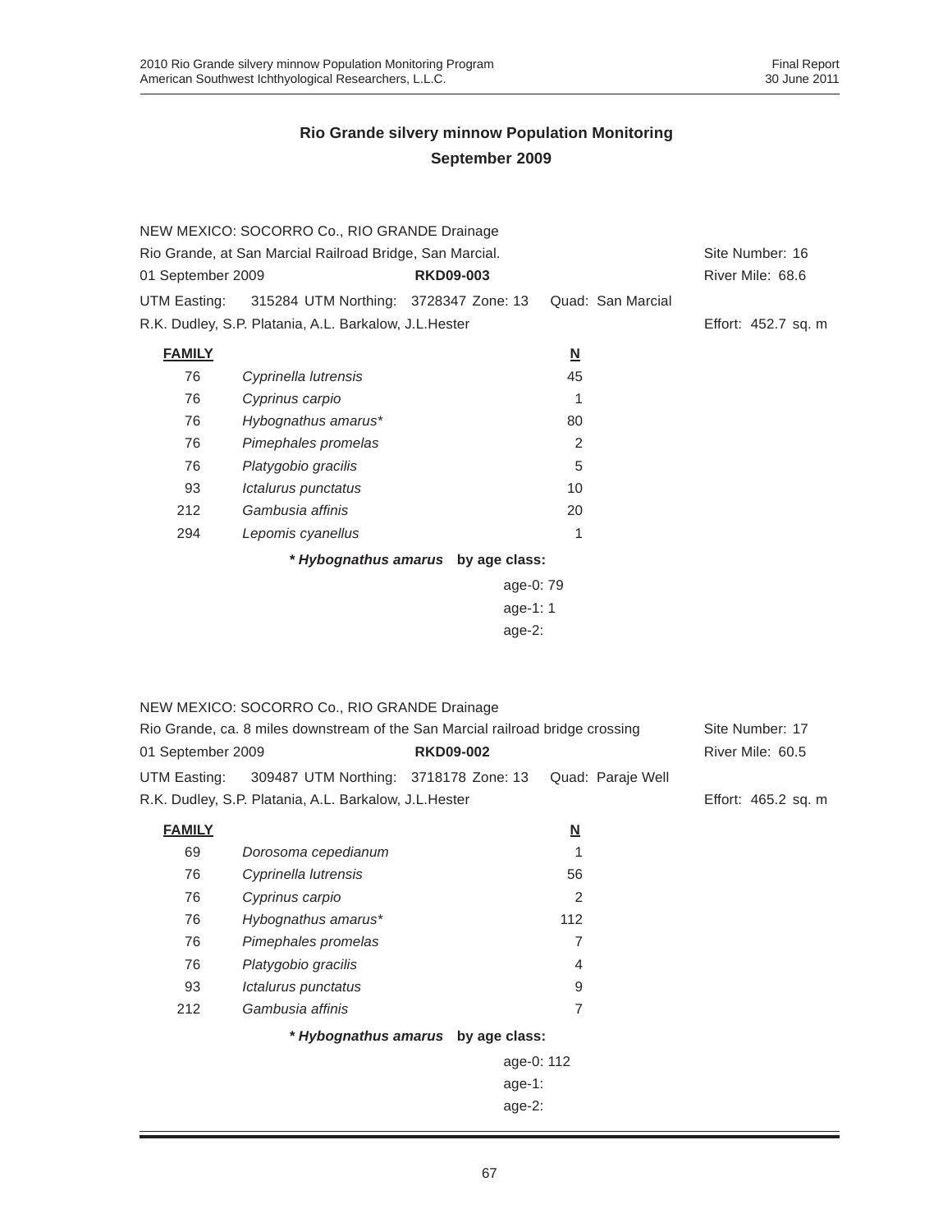|                   | NEW MEXICO: SOCORRO Co., RIO GRANDE Drainage                                   |                                    |                          |                     |
|-------------------|--------------------------------------------------------------------------------|------------------------------------|--------------------------|---------------------|
|                   | Rio Grande, at San Marcial Railroad Bridge, San Marcial.                       |                                    |                          | Site Number: 16     |
| 01 September 2009 |                                                                                | <b>RKD09-003</b>                   |                          | River Mile: 68.6    |
| UTM Easting:      | 315284 UTM Northing: 3728347 Zone: 13                                          |                                    | Quad: San Marcial        |                     |
|                   | R.K. Dudley, S.P. Platania, A.L. Barkalow, J.L. Hester                         |                                    |                          | Effort: 452.7 sq. m |
| <b>FAMILY</b>     |                                                                                |                                    | $\underline{\mathbf{N}}$ |                     |
| 76                | Cyprinella lutrensis                                                           |                                    | 45                       |                     |
| 76                | Cyprinus carpio                                                                |                                    | 1                        |                     |
| 76                | Hybognathus amarus*                                                            |                                    | 80                       |                     |
| 76                | Pimephales promelas                                                            |                                    | $\overline{2}$           |                     |
| 76                | Platygobio gracilis                                                            |                                    | 5                        |                     |
| 93                | Ictalurus punctatus                                                            |                                    | 10                       |                     |
| 212               | Gambusia affinis                                                               |                                    | 20                       |                     |
| 294               | Lepomis cyanellus                                                              |                                    | 1                        |                     |
|                   |                                                                                | * Hybognathus amarus by age class: |                          |                     |
|                   |                                                                                | age-0: 79                          |                          |                     |
|                   |                                                                                | age-1: 1                           |                          |                     |
|                   |                                                                                | $age-2$ :                          |                          |                     |
|                   |                                                                                |                                    |                          |                     |
|                   |                                                                                |                                    |                          |                     |
|                   | NEW MEXICO: SOCORRO Co., RIO GRANDE Drainage                                   |                                    |                          |                     |
|                   | Rio Grande, ca. 8 miles downstream of the San Marcial railroad bridge crossing |                                    |                          | Site Number: 17     |
| 01 September 2009 |                                                                                | <b>RKD09-002</b>                   |                          | River Mile: 60.5    |
| UTM Easting:      | 309487 UTM Northing: 3718178 Zone: 13                                          |                                    | Quad: Paraje Well        |                     |
|                   | R.K. Dudley, S.P. Platania, A.L. Barkalow, J.L. Hester                         |                                    |                          | Effort: 465.2 sq. m |
| <b>FAMILY</b>     |                                                                                |                                    | $\underline{\mathbf{N}}$ |                     |
| 69                | Dorosoma cepedianum                                                            |                                    | 1                        |                     |
| 76                | Cyprinella lutrensis                                                           |                                    | 56                       |                     |
| 76                | Cyprinus carpio                                                                |                                    | $\overline{2}$           |                     |
| 76                | Hybognathus amarus*                                                            |                                    | 112                      |                     |
| 76                | Pimephales promelas                                                            |                                    | 7                        |                     |
| 76                | Platygobio gracilis                                                            |                                    | $\overline{4}$           |                     |
| 93                | Ictalurus punctatus                                                            |                                    | 9                        |                     |
| 212               | Gambusia affinis                                                               |                                    | 7                        |                     |
|                   |                                                                                | * Hybognathus amarus by age class: |                          |                     |
|                   |                                                                                | age-0: 112                         |                          |                     |
|                   |                                                                                | age-1:                             |                          |                     |
|                   |                                                                                | age-2:                             |                          |                     |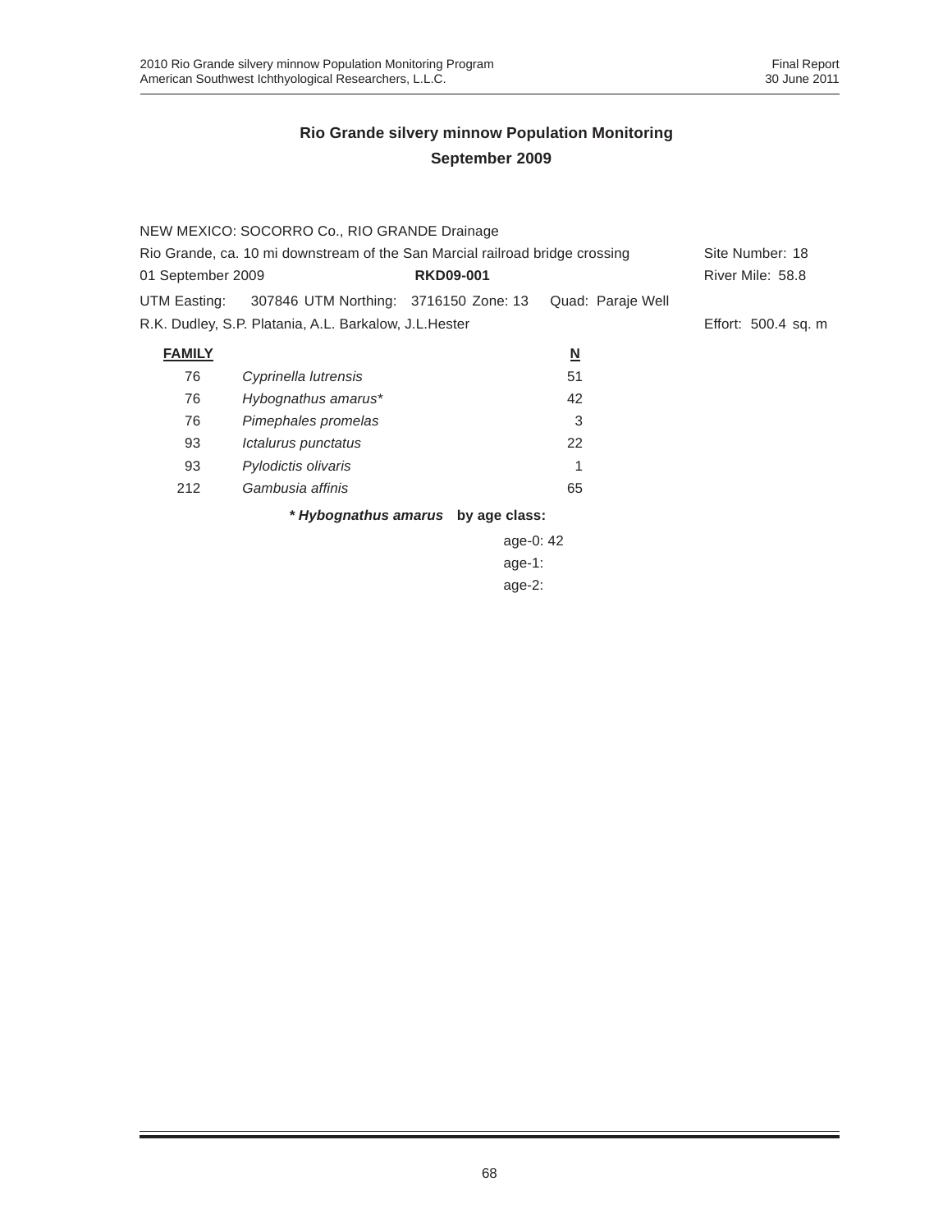|                                                                              | NEW MEXICO: SOCORRO Co., RIO GRANDE Drainage           |                                    |                          |                     |  |  |
|------------------------------------------------------------------------------|--------------------------------------------------------|------------------------------------|--------------------------|---------------------|--|--|
| Rio Grande, ca. 10 mi downstream of the San Marcial railroad bridge crossing | Site Number: 18                                        |                                    |                          |                     |  |  |
| 01 September 2009                                                            |                                                        | <b>RKD09-001</b>                   |                          | River Mile: 58.8    |  |  |
| UTM Easting:                                                                 | 307846 UTM Northing: 3716150 Zone: 13                  |                                    | Quad: Paraje Well        |                     |  |  |
|                                                                              | R.K. Dudley, S.P. Platania, A.L. Barkalow, J.L. Hester |                                    |                          | Effort: 500.4 sq. m |  |  |
| <b>FAMILY</b>                                                                |                                                        |                                    | $\underline{\mathsf{N}}$ |                     |  |  |
| 76                                                                           | Cyprinella lutrensis                                   |                                    | 51                       |                     |  |  |
| 76                                                                           | Hybognathus amarus*                                    |                                    | 42                       |                     |  |  |
| 76                                                                           | Pimephales promelas                                    |                                    | 3                        |                     |  |  |
| 93                                                                           | Ictalurus punctatus                                    |                                    | 22                       |                     |  |  |
| 93                                                                           | Pylodictis olivaris                                    |                                    |                          |                     |  |  |
| 212                                                                          | Gambusia affinis                                       |                                    | 65                       |                     |  |  |
|                                                                              |                                                        | * Hybognathus amarus by age class: |                          |                     |  |  |
|                                                                              | age-0: $42$                                            |                                    |                          |                     |  |  |

age-0: 42 age-1: age-2: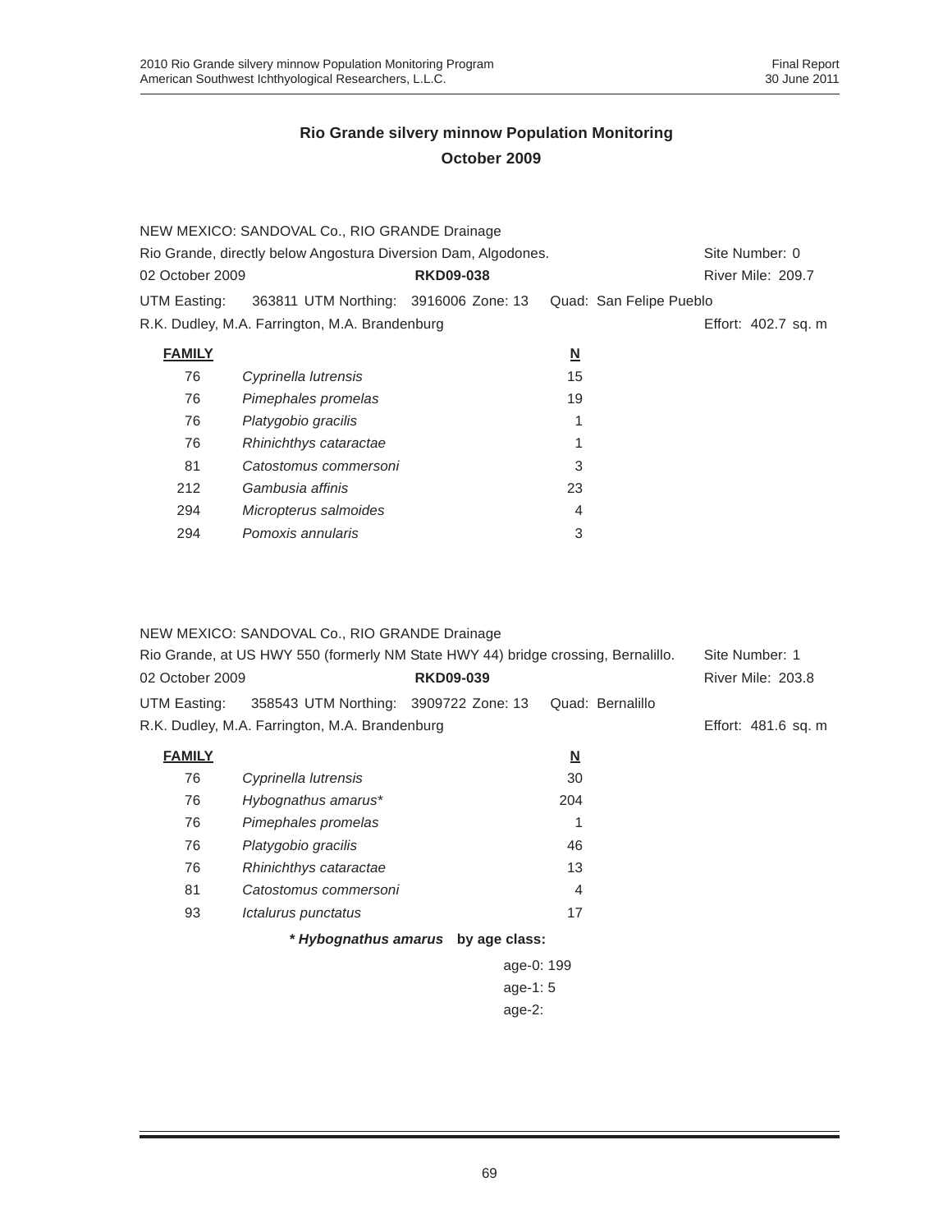|                 | NEW MEXICO: SANDOVAL Co., RIO GRANDE Drainage                  |                  |                          |                         |                     |
|-----------------|----------------------------------------------------------------|------------------|--------------------------|-------------------------|---------------------|
|                 | Rio Grande, directly below Angostura Diversion Dam, Algodones. |                  |                          |                         | Site Number: 0      |
| 02 October 2009 |                                                                | <b>RKD09-038</b> |                          |                         | River Mile: 209.7   |
| UTM Easting:    | 363811 UTM Northing: 3916006 Zone: 13                          |                  |                          | Quad: San Felipe Pueblo |                     |
|                 | R.K. Dudley, M.A. Farrington, M.A. Brandenburg                 |                  |                          |                         | Effort: 402.7 sq. m |
| <b>FAMILY</b>   |                                                                |                  | $\underline{\mathsf{N}}$ |                         |                     |
| 76              | Cyprinella lutrensis                                           |                  | 15                       |                         |                     |
| 76              | Pimephales promelas                                            |                  | 19                       |                         |                     |
| 76              | Platygobio gracilis                                            |                  |                          |                         |                     |
| 76              | Rhinichthys cataractae                                         |                  |                          |                         |                     |
| 81              | Catostomus commersoni                                          |                  | 3                        |                         |                     |
| 212             | Gambusia affinis                                               |                  | 23                       |                         |                     |
| 294             | Micropterus salmoides                                          |                  | 4                        |                         |                     |
| 294             | Pomoxis annularis                                              |                  | 3                        |                         |                     |

#### NEW MEXICO: SANDOVAL Co., RIO GRANDE Drainage

|                 | Rio Grande, at US HWY 550 (formerly NM State HWY 44) bridge crossing, Bernalillo. |                                    |                          | Site Number: 1      |
|-----------------|-----------------------------------------------------------------------------------|------------------------------------|--------------------------|---------------------|
| 02 October 2009 |                                                                                   | <b>RKD09-039</b>                   |                          | River Mile: 203.8   |
| UTM Easting:    | 358543 UTM Northing: 3909722 Zone: 13                                             |                                    | Quad: Bernalillo         |                     |
|                 | R.K. Dudley, M.A. Farrington, M.A. Brandenburg                                    |                                    |                          | Effort: 481.6 sq. m |
| <b>FAMILY</b>   |                                                                                   |                                    | $\underline{\mathbf{N}}$ |                     |
| 76              | Cyprinella lutrensis                                                              |                                    | 30                       |                     |
| 76              | Hybognathus amarus*                                                               |                                    | 204                      |                     |
| 76              | Pimephales promelas                                                               |                                    | 1                        |                     |
| 76              | Platygobio gracilis                                                               |                                    | 46                       |                     |
| 76              | Rhinichthys cataractae                                                            |                                    | 13                       |                     |
| 81              | Catostomus commersoni                                                             |                                    | 4                        |                     |
| 93              | Ictalurus punctatus                                                               |                                    | 17                       |                     |
|                 |                                                                                   | * Hybognathus amarus by age class: |                          |                     |
|                 |                                                                                   |                                    | age-0: 199               |                     |
|                 |                                                                                   |                                    |                          |                     |

age-1: 5

age-2: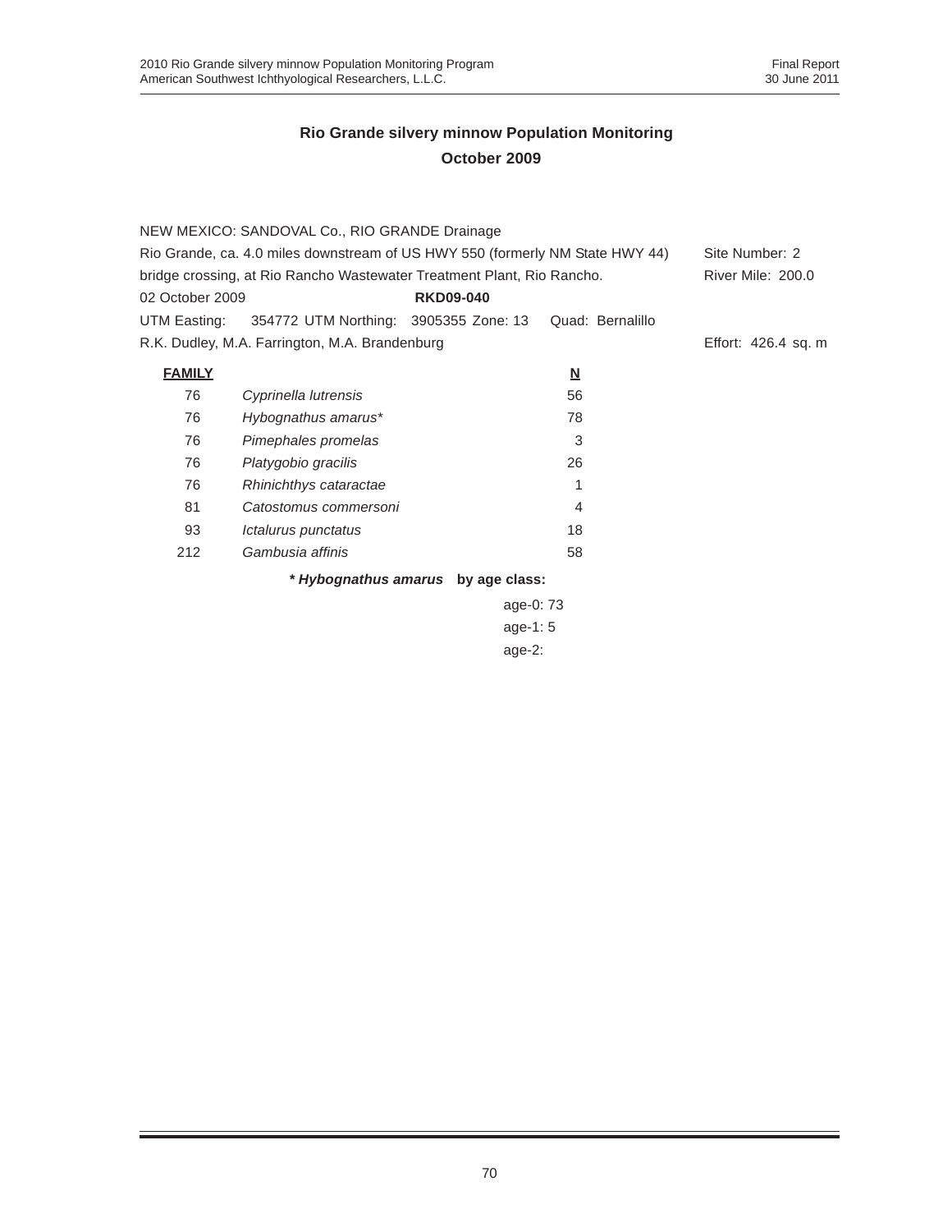|                 | NEW MEXICO: SANDOVAL Co., RIO GRANDE Drainage                                 |                                    |                         |                     |
|-----------------|-------------------------------------------------------------------------------|------------------------------------|-------------------------|---------------------|
|                 | Rio Grande, ca. 4.0 miles downstream of US HWY 550 (formerly NM State HWY 44) | Site Number: 2                     |                         |                     |
|                 | bridge crossing, at Rio Rancho Wastewater Treatment Plant, Rio Rancho.        |                                    |                         | River Mile: 200.0   |
| 02 October 2009 |                                                                               | <b>RKD09-040</b>                   |                         |                     |
| UTM Easting:    | 354772 UTM Northing: 3905355 Zone: 13                                         |                                    | Quad: Bernalillo        |                     |
|                 | R.K. Dudley, M.A. Farrington, M.A. Brandenburg                                |                                    |                         | Effort: 426.4 sq. m |
| <b>FAMILY</b>   |                                                                               |                                    | $\overline{\mathsf{M}}$ |                     |
| 76              | Cyprinella lutrensis                                                          |                                    | 56                      |                     |
| 76              | Hybognathus amarus*                                                           |                                    | 78                      |                     |
| 76              | Pimephales promelas                                                           |                                    | 3                       |                     |
| 76              | Platygobio gracilis                                                           |                                    | 26                      |                     |
| 76              | Rhinichthys cataractae                                                        |                                    | 1                       |                     |
| 81              | Catostomus commersoni                                                         |                                    | 4                       |                     |
| 93              | Ictalurus punctatus                                                           |                                    | 18                      |                     |
| 212             | Gambusia affinis                                                              |                                    | 58                      |                     |
|                 |                                                                               | * Hybognathus amarus by age class: |                         |                     |
|                 |                                                                               | age-0: 73                          |                         |                     |
|                 |                                                                               | age-1: $5$                         |                         |                     |

age-2: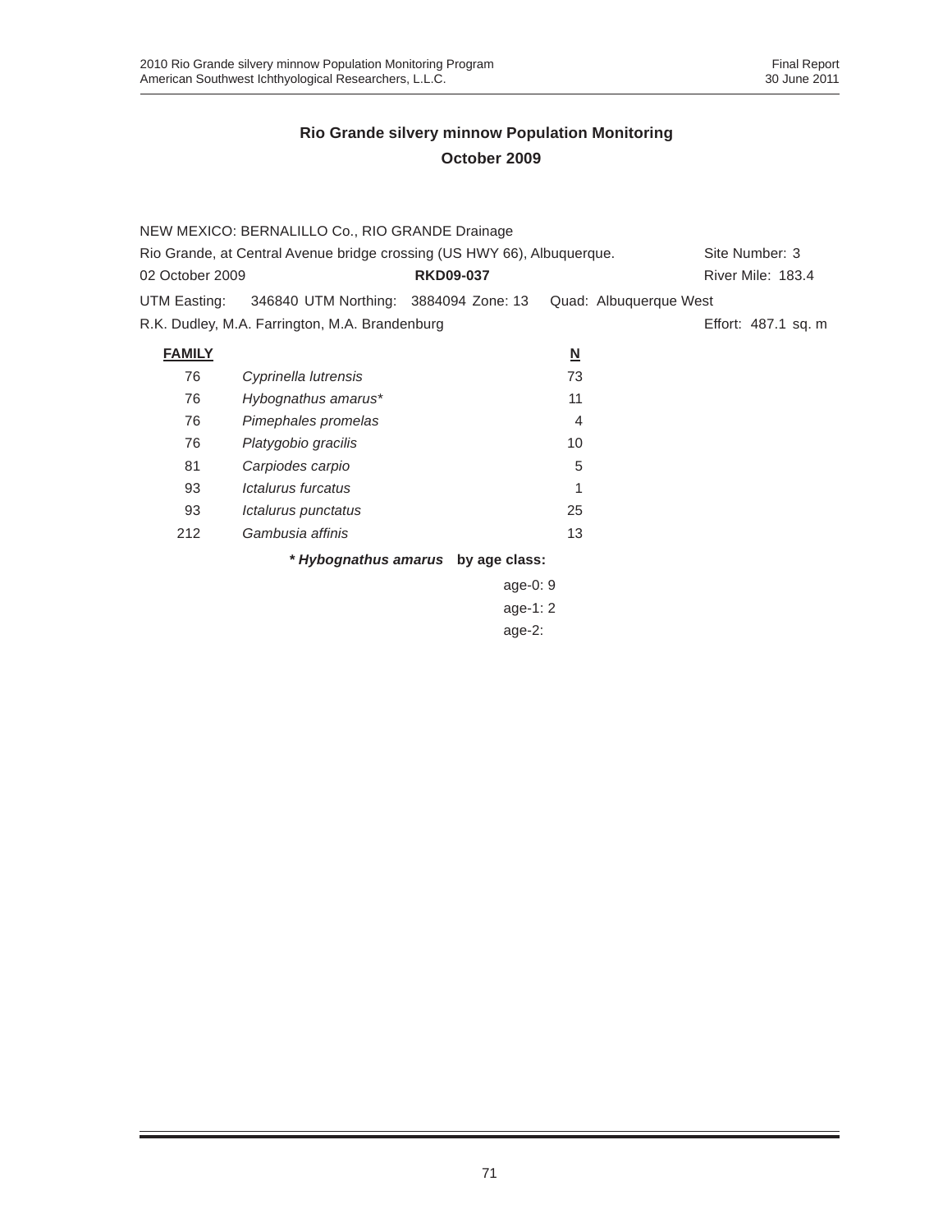| NEW MEXICO: BERNALILLO Co., RIO GRANDE Drainage                         |                                                                                                                                                                                                                                                |                                                                                                 |                                          |  |  |
|-------------------------------------------------------------------------|------------------------------------------------------------------------------------------------------------------------------------------------------------------------------------------------------------------------------------------------|-------------------------------------------------------------------------------------------------|------------------------------------------|--|--|
| Rio Grande, at Central Avenue bridge crossing (US HWY 66), Albuquerque. |                                                                                                                                                                                                                                                |                                                                                                 |                                          |  |  |
|                                                                         |                                                                                                                                                                                                                                                |                                                                                                 | River Mile: 183.4                        |  |  |
|                                                                         |                                                                                                                                                                                                                                                |                                                                                                 |                                          |  |  |
|                                                                         |                                                                                                                                                                                                                                                |                                                                                                 | Effort: 487.1 sq. m                      |  |  |
|                                                                         | $\overline{\mathsf{M}}$                                                                                                                                                                                                                        |                                                                                                 |                                          |  |  |
|                                                                         | 73                                                                                                                                                                                                                                             |                                                                                                 |                                          |  |  |
|                                                                         | 11                                                                                                                                                                                                                                             |                                                                                                 |                                          |  |  |
|                                                                         | 4                                                                                                                                                                                                                                              |                                                                                                 |                                          |  |  |
|                                                                         | 10                                                                                                                                                                                                                                             |                                                                                                 |                                          |  |  |
|                                                                         | 5                                                                                                                                                                                                                                              |                                                                                                 |                                          |  |  |
|                                                                         | 1                                                                                                                                                                                                                                              |                                                                                                 |                                          |  |  |
|                                                                         | 25                                                                                                                                                                                                                                             |                                                                                                 |                                          |  |  |
|                                                                         | 13                                                                                                                                                                                                                                             |                                                                                                 |                                          |  |  |
|                                                                         |                                                                                                                                                                                                                                                |                                                                                                 |                                          |  |  |
|                                                                         | R.K. Dudley, M.A. Farrington, M.A. Brandenburg<br>Cyprinella lutrensis<br>Hybognathus amarus*<br>Pimephales promelas<br>Platygobio gracilis<br>Carpiodes carpio<br><i><b>Ictalurus furcatus</b></i><br>Ictalurus punctatus<br>Gambusia affinis | <b>RKD09-037</b><br>346840 UTM Northing: 3884094 Zone: 13<br>* Hybognathus amarus by age class: | Site Number: 3<br>Quad: Albuquerque West |  |  |

age-0: 9 age-1: 2 age-2: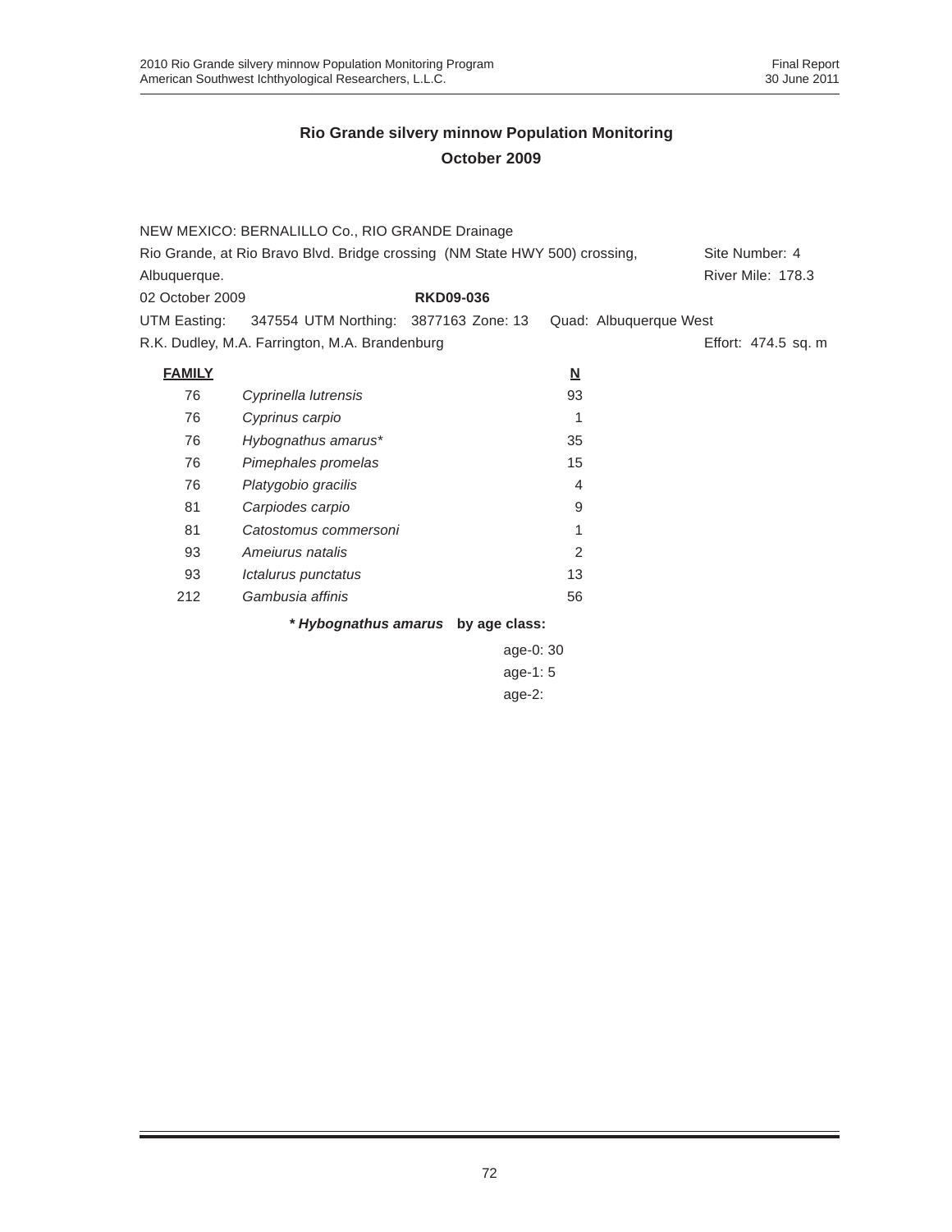|                 | NEW MEXICO: BERNALILLO Co., RIO GRANDE Drainage                             |                  |                          |                        |                     |  |
|-----------------|-----------------------------------------------------------------------------|------------------|--------------------------|------------------------|---------------------|--|
|                 | Rio Grande, at Rio Bravo Blvd. Bridge crossing (NM State HWY 500) crossing, |                  |                          |                        | Site Number: 4      |  |
| Albuquerque.    |                                                                             |                  |                          |                        | River Mile: 178.3   |  |
| 02 October 2009 |                                                                             | <b>RKD09-036</b> |                          |                        |                     |  |
| UTM Easting:    | 347554 UTM Northing: 3877163 Zone: 13                                       |                  |                          | Quad: Albuquerque West |                     |  |
|                 | R.K. Dudley, M.A. Farrington, M.A. Brandenburg                              |                  |                          |                        | Effort: 474.5 sq. m |  |
| <b>FAMILY</b>   |                                                                             |                  | $\underline{\mathbf{N}}$ |                        |                     |  |
| 76              | Cyprinella lutrensis                                                        |                  | 93                       |                        |                     |  |
| 76              | Cyprinus carpio                                                             |                  | 1                        |                        |                     |  |
| 76              | Hybognathus amarus*                                                         |                  | 35                       |                        |                     |  |
| 76              | Pimephales promelas                                                         |                  | 15                       |                        |                     |  |
| 76              | Platygobio gracilis                                                         |                  | $\overline{4}$           |                        |                     |  |
| 81              | Carpiodes carpio                                                            |                  | 9                        |                        |                     |  |
| 81              | Catostomus commersoni                                                       |                  | 1                        |                        |                     |  |
| 93              | Amejurus natalis                                                            |                  | 2                        |                        |                     |  |
| 93              | Ictalurus punctatus                                                         |                  | 13                       |                        |                     |  |
| 212             | Gambusia affinis                                                            |                  | 56                       |                        |                     |  |
|                 | * Hybognathus amarus by age class:                                          |                  |                          |                        |                     |  |
|                 |                                                                             | age-0: 30        |                          |                        |                     |  |
|                 |                                                                             | age-1: $5$       |                          |                        |                     |  |

age-2: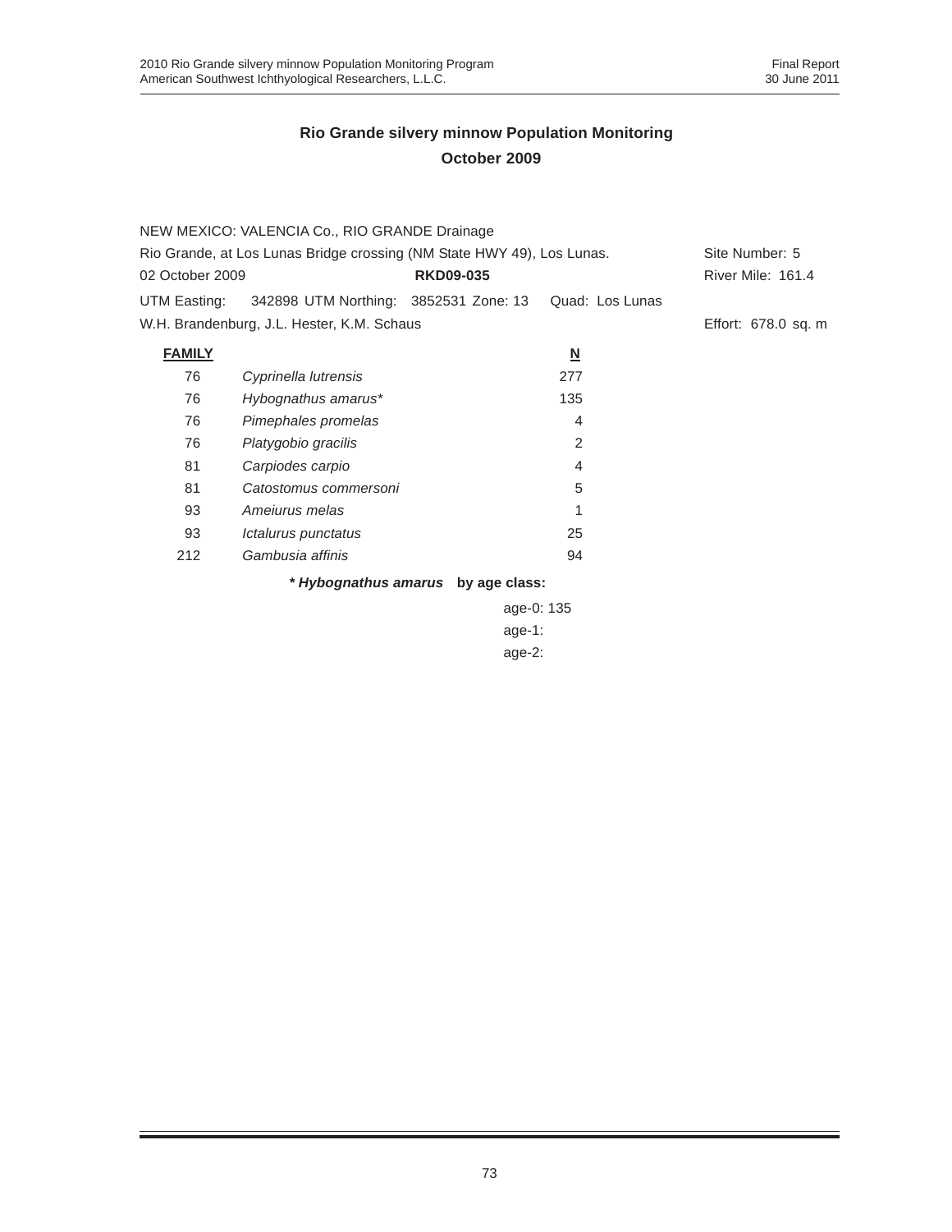|                 | NEW MEXICO: VALENCIA Co., RIO GRANDE Drainage                          |                                    |                          |                     |
|-----------------|------------------------------------------------------------------------|------------------------------------|--------------------------|---------------------|
|                 | Rio Grande, at Los Lunas Bridge crossing (NM State HWY 49), Los Lunas. |                                    |                          | Site Number: 5      |
| 02 October 2009 |                                                                        | <b>RKD09-035</b>                   |                          | River Mile: 161.4   |
| UTM Easting:    | 342898 UTM Northing: 3852531 Zone: 13                                  |                                    | Quad: Los Lunas          |                     |
|                 | W.H. Brandenburg, J.L. Hester, K.M. Schaus                             |                                    |                          | Effort: 678.0 sq. m |
| <b>FAMILY</b>   |                                                                        |                                    | $\underline{\mathsf{N}}$ |                     |
| 76              | Cyprinella lutrensis                                                   |                                    | 277                      |                     |
| 76              | Hybognathus amarus*                                                    |                                    | 135                      |                     |
| 76              | Pimephales promelas                                                    |                                    | 4                        |                     |
| 76              | Platygobio gracilis                                                    |                                    | 2                        |                     |
| 81              | Carpiodes carpio                                                       |                                    | 4                        |                     |
| 81              | Catostomus commersoni                                                  |                                    | 5                        |                     |
| 93              | Amejurus melas                                                         |                                    |                          |                     |
| 93              | Ictalurus punctatus                                                    |                                    | 25                       |                     |
| 212             | Gambusia affinis                                                       |                                    | 94                       |                     |
|                 |                                                                        | * Hybognathus amarus by age class: |                          |                     |

age-0: 135 age-1: age-2: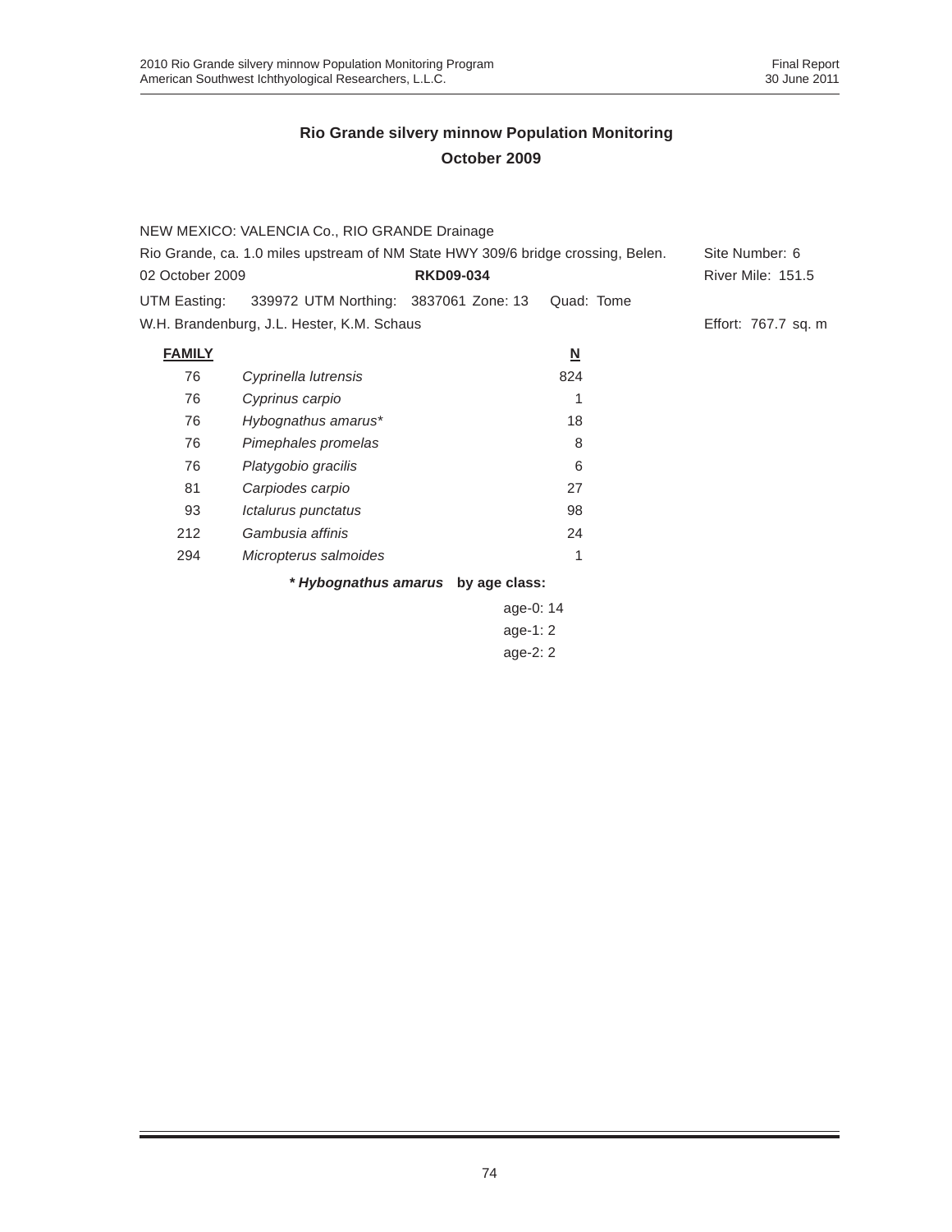|                 | NEW MEXICO: VALENCIA Co., RIO GRANDE Drainage                                    |                                    |                          |                          |
|-----------------|----------------------------------------------------------------------------------|------------------------------------|--------------------------|--------------------------|
|                 | Rio Grande, ca. 1.0 miles upstream of NM State HWY 309/6 bridge crossing, Belen. |                                    |                          | Site Number: 6           |
| 02 October 2009 |                                                                                  | <b>RKD09-034</b>                   |                          | <b>River Mile: 151.5</b> |
| UTM Easting:    | 339972 UTM Northing: 3837061 Zone: 13                                            |                                    | Quad: Tome               |                          |
|                 | W.H. Brandenburg, J.L. Hester, K.M. Schaus                                       |                                    |                          | Effort: 767.7 sq. m      |
| <b>FAMILY</b>   |                                                                                  |                                    | $\underline{\mathsf{N}}$ |                          |
| 76              | Cyprinella lutrensis                                                             |                                    | 824                      |                          |
| 76              | Cyprinus carpio                                                                  |                                    |                          |                          |
| 76              | Hybognathus amarus*                                                              |                                    | 18                       |                          |
| 76              | Pimephales promelas                                                              |                                    | 8                        |                          |
| 76              | Platygobio gracilis                                                              |                                    | 6                        |                          |
| 81              | Carpiodes carpio                                                                 |                                    | 27                       |                          |
| 93              | Ictalurus punctatus                                                              |                                    | 98                       |                          |
| 212             | Gambusia affinis                                                                 |                                    | 24                       |                          |
| 294             | Micropterus salmoides                                                            |                                    | 1                        |                          |
|                 |                                                                                  | * Hybognathus amarus by age class: |                          |                          |

age-0: 14 age-1: 2 age-2: 2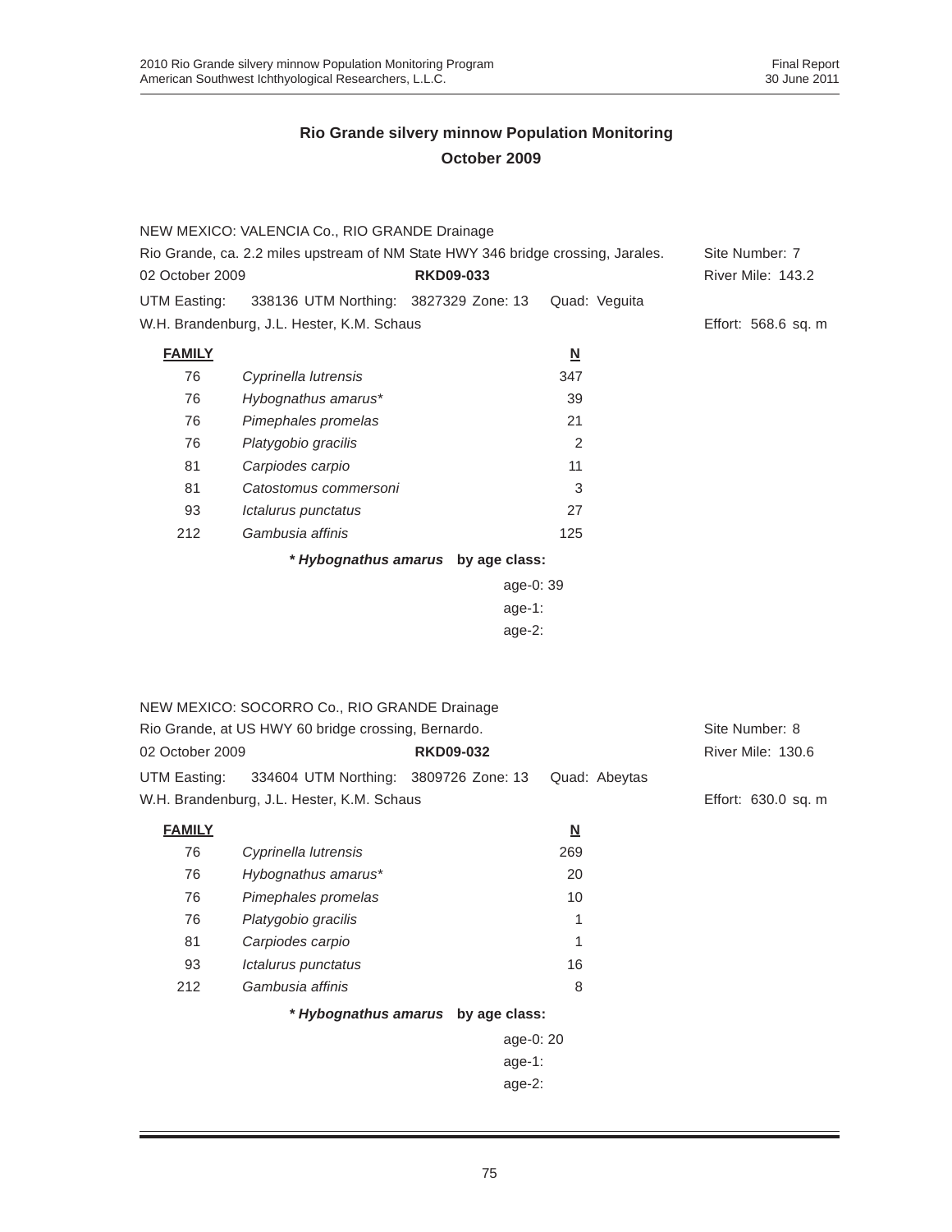|                                                                                                                         | NEW MEXICO: VALENCIA Co., RIO GRANDE Drainage       |                                    |                          |                                     |
|-------------------------------------------------------------------------------------------------------------------------|-----------------------------------------------------|------------------------------------|--------------------------|-------------------------------------|
| Rio Grande, ca. 2.2 miles upstream of NM State HWY 346 bridge crossing, Jarales.<br><b>RKD09-033</b><br>02 October 2009 |                                                     |                                    |                          | Site Number: 7<br>River Mile: 143.2 |
| UTM Easting:                                                                                                            | 338136 UTM Northing: 3827329 Zone: 13               |                                    | Quad: Veguita            |                                     |
|                                                                                                                         | W.H. Brandenburg, J.L. Hester, K.M. Schaus          |                                    |                          | Effort: 568.6 sq. m                 |
| <b>FAMILY</b>                                                                                                           |                                                     |                                    | $\underline{\mathsf{N}}$ |                                     |
| 76                                                                                                                      | Cyprinella lutrensis                                |                                    | 347                      |                                     |
| 76                                                                                                                      | Hybognathus amarus*                                 |                                    | 39                       |                                     |
| 76                                                                                                                      | Pimephales promelas                                 |                                    | 21                       |                                     |
| 76                                                                                                                      | Platygobio gracilis                                 |                                    | 2                        |                                     |
| 81                                                                                                                      | Carpiodes carpio                                    |                                    | 11                       |                                     |
| 81                                                                                                                      | Catostomus commersoni                               |                                    | 3                        |                                     |
| 93                                                                                                                      | Ictalurus punctatus                                 |                                    | 27                       |                                     |
| 212                                                                                                                     | Gambusia affinis                                    |                                    | 125                      |                                     |
|                                                                                                                         |                                                     | * Hybognathus amarus by age class: |                          |                                     |
|                                                                                                                         |                                                     | age-0: 39                          |                          |                                     |
|                                                                                                                         |                                                     | age-1:                             |                          |                                     |
|                                                                                                                         |                                                     | age-2:                             |                          |                                     |
|                                                                                                                         |                                                     |                                    |                          |                                     |
|                                                                                                                         |                                                     |                                    |                          |                                     |
|                                                                                                                         | NEW MEXICO: SOCORRO Co., RIO GRANDE Drainage        |                                    |                          |                                     |
|                                                                                                                         | Rio Grande, at US HWY 60 bridge crossing, Bernardo. |                                    |                          | Site Number: 8                      |
| 02 October 2009                                                                                                         |                                                     | <b>RKD09-032</b>                   |                          | River Mile: 130.6                   |
| UTM Easting:                                                                                                            | 334604 UTM Northing: 3809726 Zone: 13               |                                    | Quad: Abeytas            |                                     |
|                                                                                                                         | W.H. Brandenburg, J.L. Hester, K.M. Schaus          |                                    |                          | Effort: 630.0 sq. m                 |
| <b>FAMILY</b>                                                                                                           |                                                     |                                    | $\underline{\mathsf{N}}$ |                                     |
| 76                                                                                                                      | Cyprinella lutrensis                                |                                    | 269                      |                                     |
| 76                                                                                                                      | Hybognathus amarus*                                 |                                    | 20                       |                                     |
| 76                                                                                                                      | Pimephales promelas                                 |                                    | 10                       |                                     |
| 76                                                                                                                      | Platygobio gracilis                                 |                                    | 1                        |                                     |
| 81                                                                                                                      | Carpiodes carpio                                    |                                    | 1                        |                                     |
| 93                                                                                                                      | Ictalurus punctatus                                 |                                    | 16                       |                                     |
| 212                                                                                                                     | Gambusia affinis                                    |                                    | 8                        |                                     |
|                                                                                                                         |                                                     | * Hybognathus amarus by age class: |                          |                                     |
|                                                                                                                         |                                                     | age-0: 20                          |                          |                                     |
|                                                                                                                         |                                                     | $age-1$ :                          |                          |                                     |
|                                                                                                                         |                                                     | age-2:                             |                          |                                     |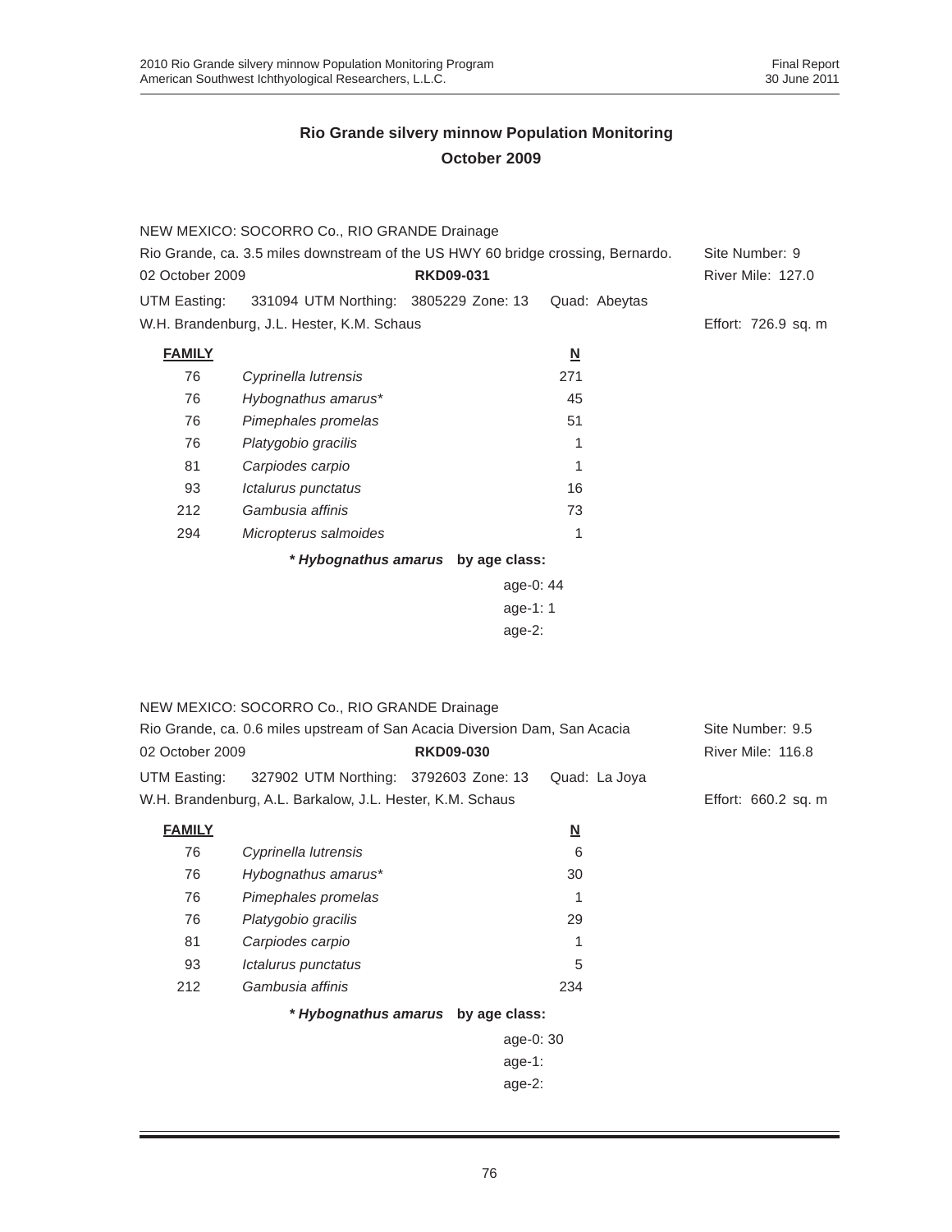|                                                                                                                         | NEW MEXICO: SOCORRO Co., RIO GRANDE Drainage                               |                                            |                          |                     |
|-------------------------------------------------------------------------------------------------------------------------|----------------------------------------------------------------------------|--------------------------------------------|--------------------------|---------------------|
| Rio Grande, ca. 3.5 miles downstream of the US HWY 60 bridge crossing, Bernardo.<br>02 October 2009<br><b>RKD09-031</b> |                                                                            | Site Number: 9<br><b>River Mile: 127.0</b> |                          |                     |
| UTM Easting:                                                                                                            | 331094 UTM Northing: 3805229 Zone: 13                                      |                                            | Quad: Abeytas            |                     |
|                                                                                                                         | W.H. Brandenburg, J.L. Hester, K.M. Schaus                                 |                                            |                          | Effort: 726.9 sq. m |
| <b>FAMILY</b>                                                                                                           |                                                                            |                                            | $\underline{\mathbf{N}}$ |                     |
| 76                                                                                                                      | Cyprinella lutrensis                                                       |                                            | 271                      |                     |
| 76                                                                                                                      | Hybognathus amarus*                                                        |                                            | 45                       |                     |
| 76                                                                                                                      | Pimephales promelas                                                        |                                            | 51                       |                     |
| 76                                                                                                                      | Platygobio gracilis                                                        |                                            | 1                        |                     |
| 81                                                                                                                      | Carpiodes carpio                                                           |                                            | 1                        |                     |
| 93                                                                                                                      | Ictalurus punctatus                                                        |                                            | 16                       |                     |
| 212                                                                                                                     | Gambusia affinis                                                           |                                            | 73                       |                     |
| 294                                                                                                                     | Micropterus salmoides                                                      |                                            | 1                        |                     |
|                                                                                                                         |                                                                            | * Hybognathus amarus by age class:         |                          |                     |
|                                                                                                                         |                                                                            | age-0: 44                                  |                          |                     |
|                                                                                                                         |                                                                            | age-1: 1                                   |                          |                     |
|                                                                                                                         |                                                                            | age-2:                                     |                          |                     |
|                                                                                                                         |                                                                            |                                            |                          |                     |
|                                                                                                                         |                                                                            |                                            |                          |                     |
|                                                                                                                         | NEW MEXICO: SOCORRO Co., RIO GRANDE Drainage                               |                                            |                          |                     |
|                                                                                                                         | Rio Grande, ca. 0.6 miles upstream of San Acacia Diversion Dam, San Acacia |                                            |                          | Site Number: 9.5    |
| 02 October 2009                                                                                                         |                                                                            | <b>RKD09-030</b>                           |                          | River Mile: 116.8   |
| UTM Easting:                                                                                                            | 327902 UTM Northing: 3792603 Zone: 13                                      |                                            | Quad: La Joya            |                     |
|                                                                                                                         | W.H. Brandenburg, A.L. Barkalow, J.L. Hester, K.M. Schaus                  |                                            |                          | Effort: 660.2 sq. m |
| <b>FAMILY</b>                                                                                                           |                                                                            |                                            | $\underline{\mathsf{N}}$ |                     |
| 76                                                                                                                      | Cyprinella lutrensis                                                       |                                            | 6                        |                     |
| 76                                                                                                                      | Hybognathus amarus*                                                        |                                            | 30                       |                     |
| 76                                                                                                                      | Pimephales promelas                                                        |                                            | 1                        |                     |
| 76                                                                                                                      | Platygobio gracilis                                                        |                                            | 29                       |                     |
| 81                                                                                                                      | Carpiodes carpio                                                           |                                            | 1                        |                     |
| 93                                                                                                                      | Ictalurus punctatus                                                        |                                            | 5                        |                     |
| 212                                                                                                                     | Gambusia affinis                                                           |                                            | 234                      |                     |
|                                                                                                                         |                                                                            | * Hybognathus amarus by age class:         |                          |                     |
|                                                                                                                         |                                                                            | age-0: 30                                  |                          |                     |
|                                                                                                                         |                                                                            | age-1:                                     |                          |                     |
|                                                                                                                         |                                                                            | age-2:                                     |                          |                     |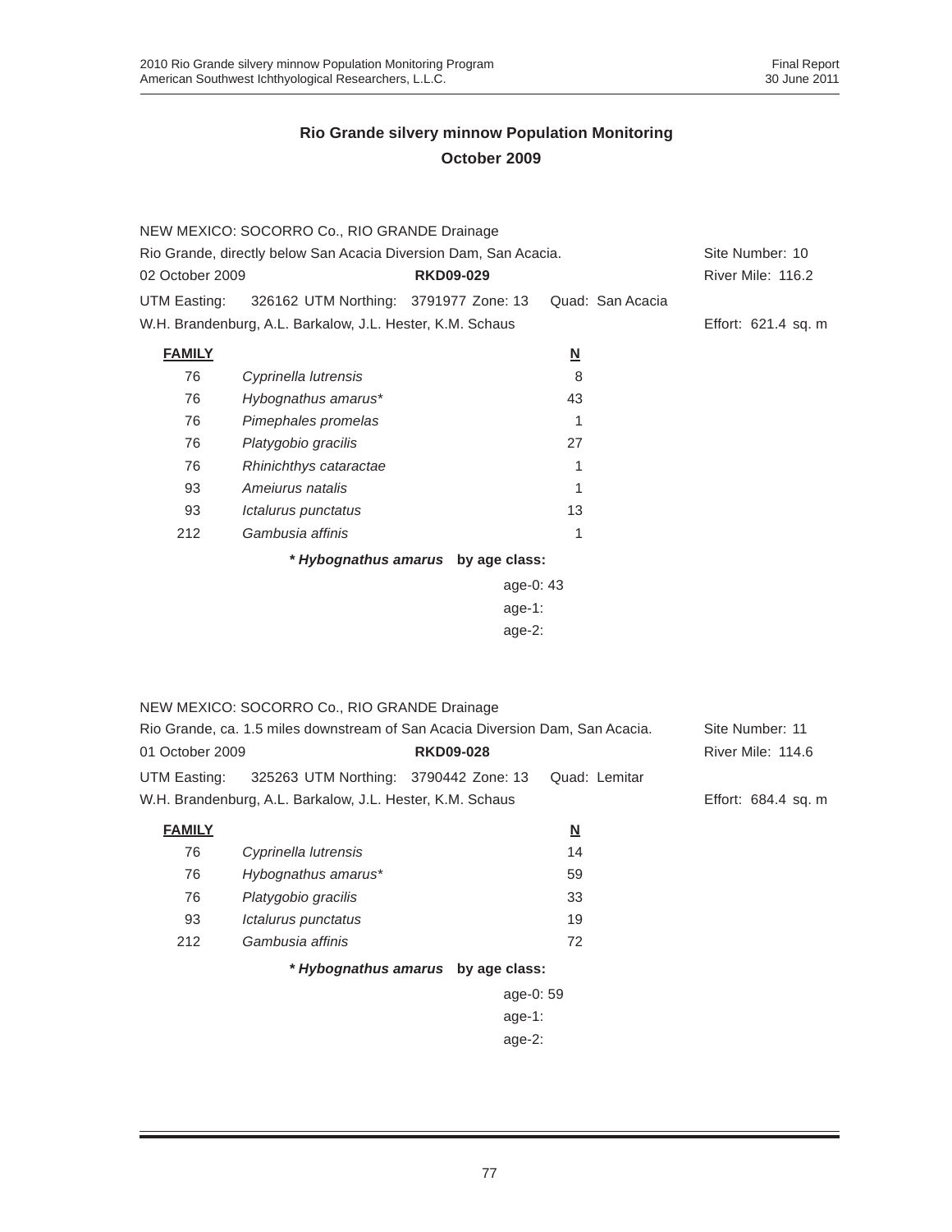|                                                                  | NEW MEXICO: SOCORRO Co., RIO GRANDE Drainage                                  |                                    |                                |                     |
|------------------------------------------------------------------|-------------------------------------------------------------------------------|------------------------------------|--------------------------------|---------------------|
| Rio Grande, directly below San Acacia Diversion Dam, San Acacia. | Site Number: 10                                                               |                                    |                                |                     |
| 02 October 2009                                                  |                                                                               | <b>RKD09-029</b>                   |                                | River Mile: 116.2   |
| UTM Easting:                                                     | 326162 UTM Northing: 3791977 Zone: 13                                         |                                    | Quad: San Acacia               |                     |
|                                                                  | W.H. Brandenburg, A.L. Barkalow, J.L. Hester, K.M. Schaus                     |                                    |                                | Effort: 621.4 sq. m |
| <b>FAMILY</b>                                                    |                                                                               |                                    | $\underline{\mathsf{N}}$       |                     |
| 76                                                               | Cyprinella lutrensis                                                          |                                    | 8                              |                     |
| 76                                                               | Hybognathus amarus*                                                           |                                    | 43                             |                     |
| 76                                                               | Pimephales promelas                                                           |                                    | 1                              |                     |
| 76                                                               | Platygobio gracilis                                                           |                                    | 27                             |                     |
| 76                                                               | Rhinichthys cataractae                                                        |                                    | 1                              |                     |
| 93                                                               | Ameiurus natalis                                                              |                                    | 1                              |                     |
| 93                                                               | Ictalurus punctatus                                                           |                                    | 13                             |                     |
| 212                                                              | Gambusia affinis                                                              |                                    | 1                              |                     |
|                                                                  |                                                                               | * Hybognathus amarus by age class: |                                |                     |
|                                                                  |                                                                               | age-0: 43                          |                                |                     |
|                                                                  |                                                                               | age-1:                             |                                |                     |
|                                                                  |                                                                               | $age-2$ :                          |                                |                     |
|                                                                  |                                                                               |                                    |                                |                     |
|                                                                  |                                                                               |                                    |                                |                     |
|                                                                  | NEW MEXICO: SOCORRO Co., RIO GRANDE Drainage                                  |                                    |                                |                     |
|                                                                  | Rio Grande, ca. 1.5 miles downstream of San Acacia Diversion Dam, San Acacia. |                                    |                                | Site Number: 11     |
| 01 October 2009                                                  |                                                                               | <b>RKD09-028</b>                   |                                | River Mile: 114.6   |
| UTM Easting:                                                     | 325263 UTM Northing: 3790442 Zone: 13                                         |                                    | Quad: Lemitar                  |                     |
|                                                                  | W.H. Brandenburg, A.L. Barkalow, J.L. Hester, K.M. Schaus                     |                                    |                                | Effort: 684.4 sq. m |
| <b>FAMILY</b>                                                    |                                                                               |                                    |                                |                     |
| 76                                                               | Cyprinella lutrensis                                                          |                                    | $\underline{\mathbf{N}}$<br>14 |                     |
| 76                                                               | Hybognathus amarus*                                                           |                                    | 59                             |                     |
| 76                                                               | Platygobio gracilis                                                           |                                    | 33                             |                     |
| 93                                                               | Ictalurus punctatus                                                           |                                    | 19                             |                     |
| 212                                                              | Gambusia affinis                                                              |                                    | 72                             |                     |
|                                                                  |                                                                               |                                    |                                |                     |
|                                                                  |                                                                               | * Hybognathus amarus by age class: |                                |                     |
|                                                                  |                                                                               | age-0: 59                          |                                |                     |
|                                                                  |                                                                               | age-1:                             |                                |                     |
|                                                                  |                                                                               | age-2:                             |                                |                     |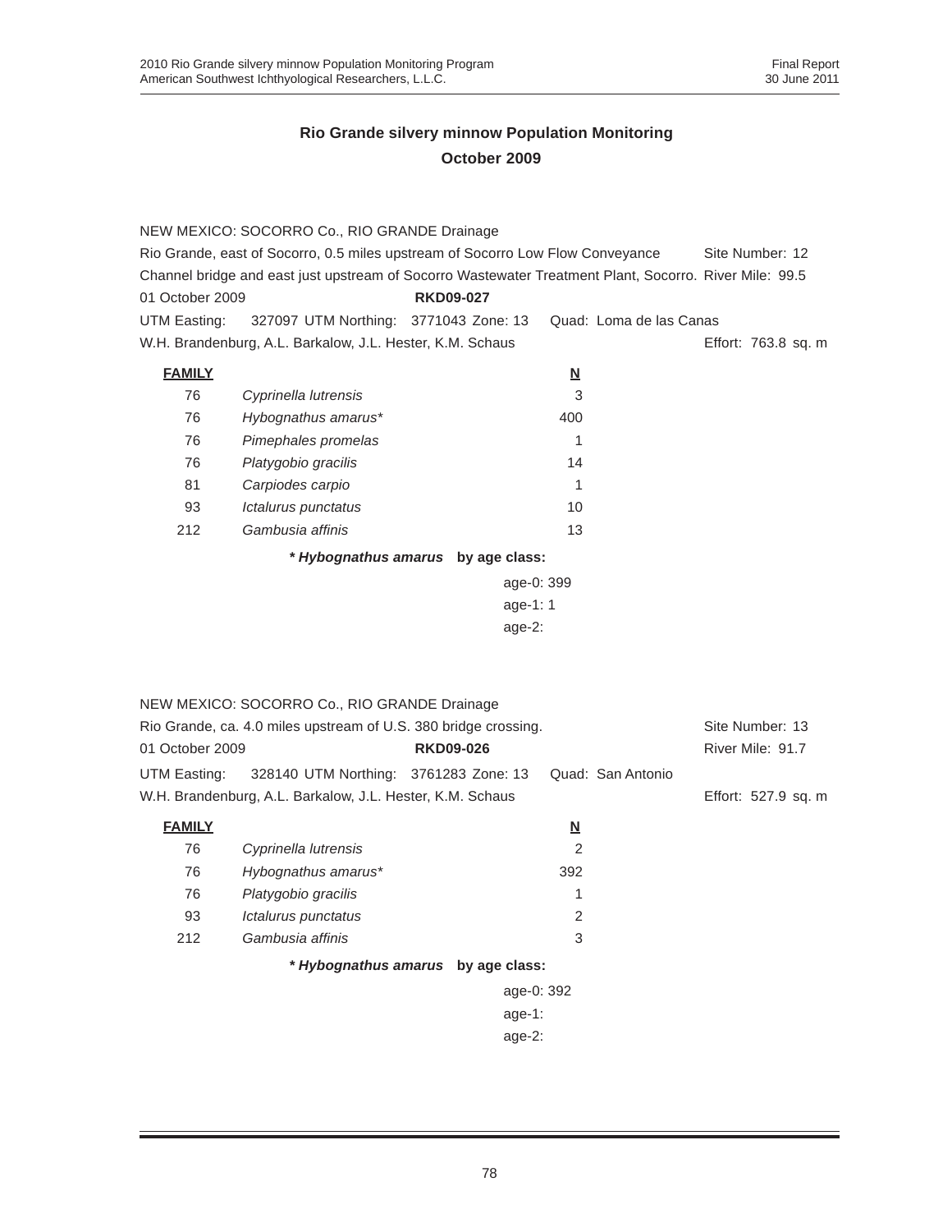|                                                                                                        | NEW MEXICO: SOCORRO Co., RIO GRANDE Drainage                    |                                    |                          |                         |                     |
|--------------------------------------------------------------------------------------------------------|-----------------------------------------------------------------|------------------------------------|--------------------------|-------------------------|---------------------|
| Rio Grande, east of Socorro, 0.5 miles upstream of Socorro Low Flow Conveyance                         |                                                                 |                                    |                          |                         | Site Number: 12     |
| Channel bridge and east just upstream of Socorro Wastewater Treatment Plant, Socorro. River Mile: 99.5 |                                                                 |                                    |                          |                         |                     |
| 01 October 2009                                                                                        |                                                                 | <b>RKD09-027</b>                   |                          |                         |                     |
| UTM Easting:                                                                                           | 327097 UTM Northing: 3771043 Zone: 13                           |                                    |                          | Quad: Loma de las Canas |                     |
|                                                                                                        | W.H. Brandenburg, A.L. Barkalow, J.L. Hester, K.M. Schaus       |                                    |                          |                         | Effort: 763.8 sq. m |
| <b>FAMILY</b>                                                                                          |                                                                 |                                    | $\underline{\mathsf{N}}$ |                         |                     |
| 76                                                                                                     | Cyprinella lutrensis                                            |                                    | 3                        |                         |                     |
| 76                                                                                                     | Hybognathus amarus*                                             |                                    | 400                      |                         |                     |
| 76                                                                                                     | Pimephales promelas                                             |                                    | 1                        |                         |                     |
| 76                                                                                                     | Platygobio gracilis                                             |                                    | 14                       |                         |                     |
| 81                                                                                                     | Carpiodes carpio                                                |                                    | 1                        |                         |                     |
| 93                                                                                                     | Ictalurus punctatus                                             |                                    | 10                       |                         |                     |
| 212                                                                                                    | Gambusia affinis                                                |                                    | 13                       |                         |                     |
|                                                                                                        |                                                                 | * Hybognathus amarus by age class: |                          |                         |                     |
|                                                                                                        |                                                                 | age-0: 399                         |                          |                         |                     |
|                                                                                                        |                                                                 | age-1: 1                           |                          |                         |                     |
|                                                                                                        |                                                                 | age- $2:$                          |                          |                         |                     |
|                                                                                                        |                                                                 |                                    |                          |                         |                     |
|                                                                                                        |                                                                 |                                    |                          |                         |                     |
|                                                                                                        | NEW MEXICO: SOCORRO Co., RIO GRANDE Drainage                    |                                    |                          |                         |                     |
|                                                                                                        | Rio Grande, ca. 4.0 miles upstream of U.S. 380 bridge crossing. |                                    |                          |                         | Site Number: 13     |
| 01 October 2009                                                                                        |                                                                 | <b>RKD09-026</b>                   |                          |                         | River Mile: 91.7    |
| UTM Easting:                                                                                           | 328140 UTM Northing: 3761283 Zone: 13                           |                                    |                          | Quad: San Antonio       |                     |
|                                                                                                        | W.H. Brandenburg, A.L. Barkalow, J.L. Hester, K.M. Schaus       |                                    |                          |                         | Effort: 527.9 sq. m |
| <b>FAMILY</b>                                                                                          |                                                                 |                                    | <u>N</u>                 |                         |                     |
| 76                                                                                                     | Cyprinella lutrensis                                            |                                    | $\overline{2}$           |                         |                     |
| 76                                                                                                     | Hybognathus amarus*                                             |                                    | 392                      |                         |                     |
| 76                                                                                                     | Platygobio gracilis                                             |                                    | 1                        |                         |                     |
| 93                                                                                                     | Ictalurus punctatus                                             |                                    | 2                        |                         |                     |
| 212                                                                                                    | Gambusia affinis                                                |                                    | 3                        |                         |                     |
|                                                                                                        |                                                                 | * Hybognathus amarus by age class: |                          |                         |                     |
|                                                                                                        |                                                                 | age-0: 392                         |                          |                         |                     |
|                                                                                                        |                                                                 | age-1:                             |                          |                         |                     |
|                                                                                                        |                                                                 | age-2:                             |                          |                         |                     |
|                                                                                                        |                                                                 |                                    |                          |                         |                     |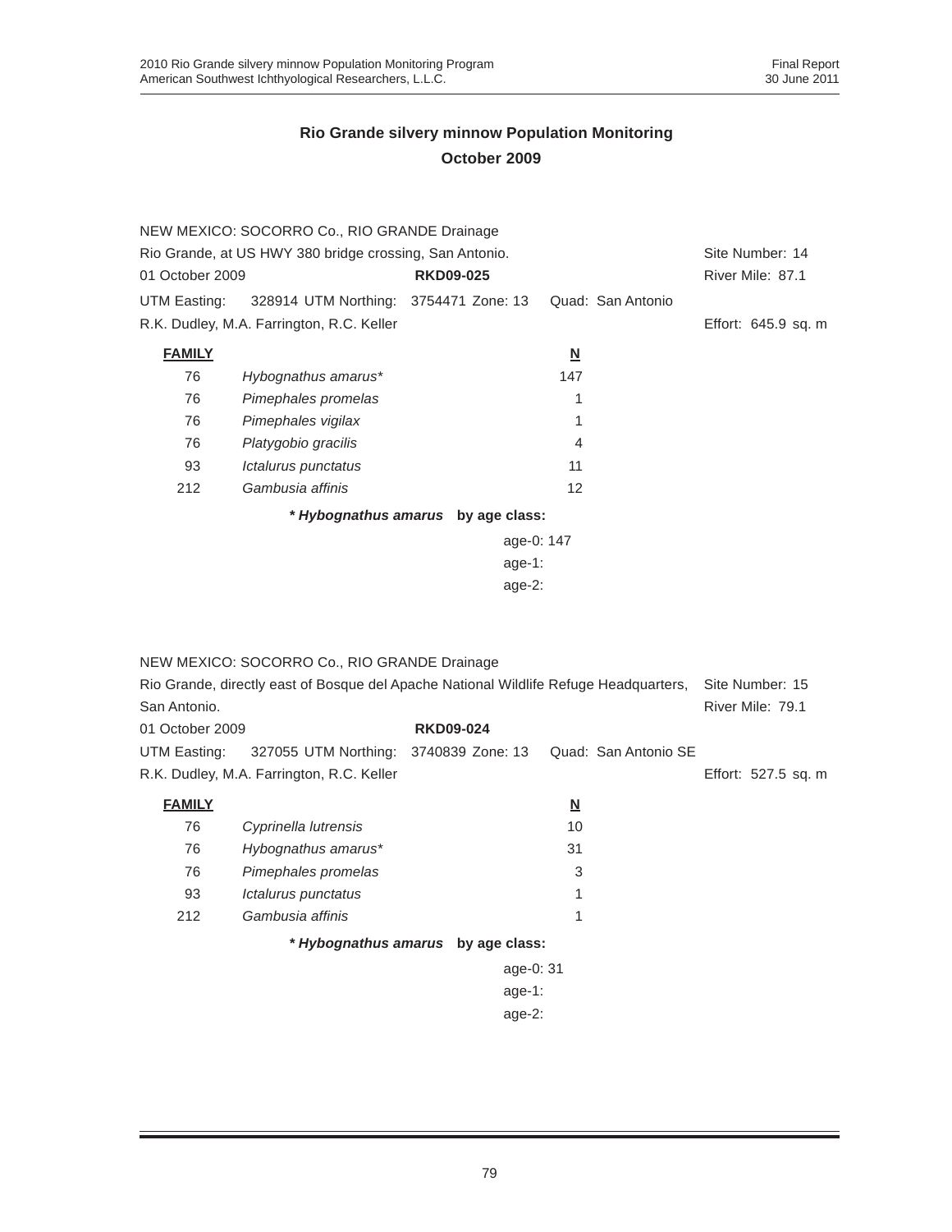|                                                         | NEW MEXICO: SOCORRO Co., RIO GRANDE Drainage |                  |            |                         |                   |                     |
|---------------------------------------------------------|----------------------------------------------|------------------|------------|-------------------------|-------------------|---------------------|
| Rio Grande, at US HWY 380 bridge crossing, San Antonio. |                                              |                  |            |                         | Site Number: 14   |                     |
| 01 October 2009                                         |                                              | <b>RKD09-025</b> |            |                         |                   | River Mile: 87.1    |
| UTM Easting:                                            | 328914 UTM Northing: 3754471 Zone: 13        |                  |            |                         | Quad: San Antonio |                     |
|                                                         | R.K. Dudley, M.A. Farrington, R.C. Keller    |                  |            |                         |                   | Effort: 645.9 sq. m |
| <b>FAMILY</b>                                           |                                              |                  |            | $\overline{\mathbf{N}}$ |                   |                     |
| 76                                                      | Hybognathus amarus*                          |                  |            | 147                     |                   |                     |
| 76                                                      | Pimephales promelas                          |                  |            | 1                       |                   |                     |
| 76                                                      | Pimephales vigilax                           |                  |            | 1                       |                   |                     |
| 76                                                      | Platygobio gracilis                          |                  |            | 4                       |                   |                     |
| 93                                                      | Ictalurus punctatus                          |                  |            | 11                      |                   |                     |
| 212                                                     | Gambusia affinis                             |                  |            | 12                      |                   |                     |
|                                                         | * Hybognathus amarus by age class:           |                  |            |                         |                   |                     |
|                                                         |                                              |                  | age-0: 147 |                         |                   |                     |
|                                                         |                                              |                  | age-1:     |                         |                   |                     |
|                                                         |                                              |                  | age- $2$ : |                         |                   |                     |

|                 | NEW MEXICO: SOCORRO Co., RIO GRANDE Drainage                                          |                                    |                         |                      |                     |  |
|-----------------|---------------------------------------------------------------------------------------|------------------------------------|-------------------------|----------------------|---------------------|--|
|                 | Rio Grande, directly east of Bosque del Apache National Wildlife Refuge Headquarters, |                                    |                         |                      | Site Number: 15     |  |
| San Antonio.    |                                                                                       |                                    |                         |                      | River Mile: 79.1    |  |
| 01 October 2009 |                                                                                       | <b>RKD09-024</b>                   |                         |                      |                     |  |
| UTM Easting:    | 327055 UTM Northing: 3740839 Zone: 13                                                 |                                    |                         | Quad: San Antonio SE |                     |  |
|                 | R.K. Dudley, M.A. Farrington, R.C. Keller                                             |                                    |                         |                      | Effort: 527.5 sq. m |  |
| <b>FAMILY</b>   |                                                                                       |                                    | $\overline{\mathbf{N}}$ |                      |                     |  |
| 76              | Cyprinella lutrensis                                                                  |                                    | 10                      |                      |                     |  |
| 76              | Hybognathus amarus*                                                                   |                                    | 31                      |                      |                     |  |
| 76              | Pimephales promelas                                                                   |                                    | 3                       |                      |                     |  |
| 93              | Ictalurus punctatus                                                                   |                                    |                         |                      |                     |  |
| 212             | Gambusia affinis                                                                      |                                    | 1                       |                      |                     |  |
|                 |                                                                                       | * Hybognathus amarus by age class: |                         |                      |                     |  |
|                 |                                                                                       | age-0: 31                          |                         |                      |                     |  |
|                 |                                                                                       | age-1:                             |                         |                      |                     |  |
|                 |                                                                                       |                                    |                         |                      |                     |  |

age-2: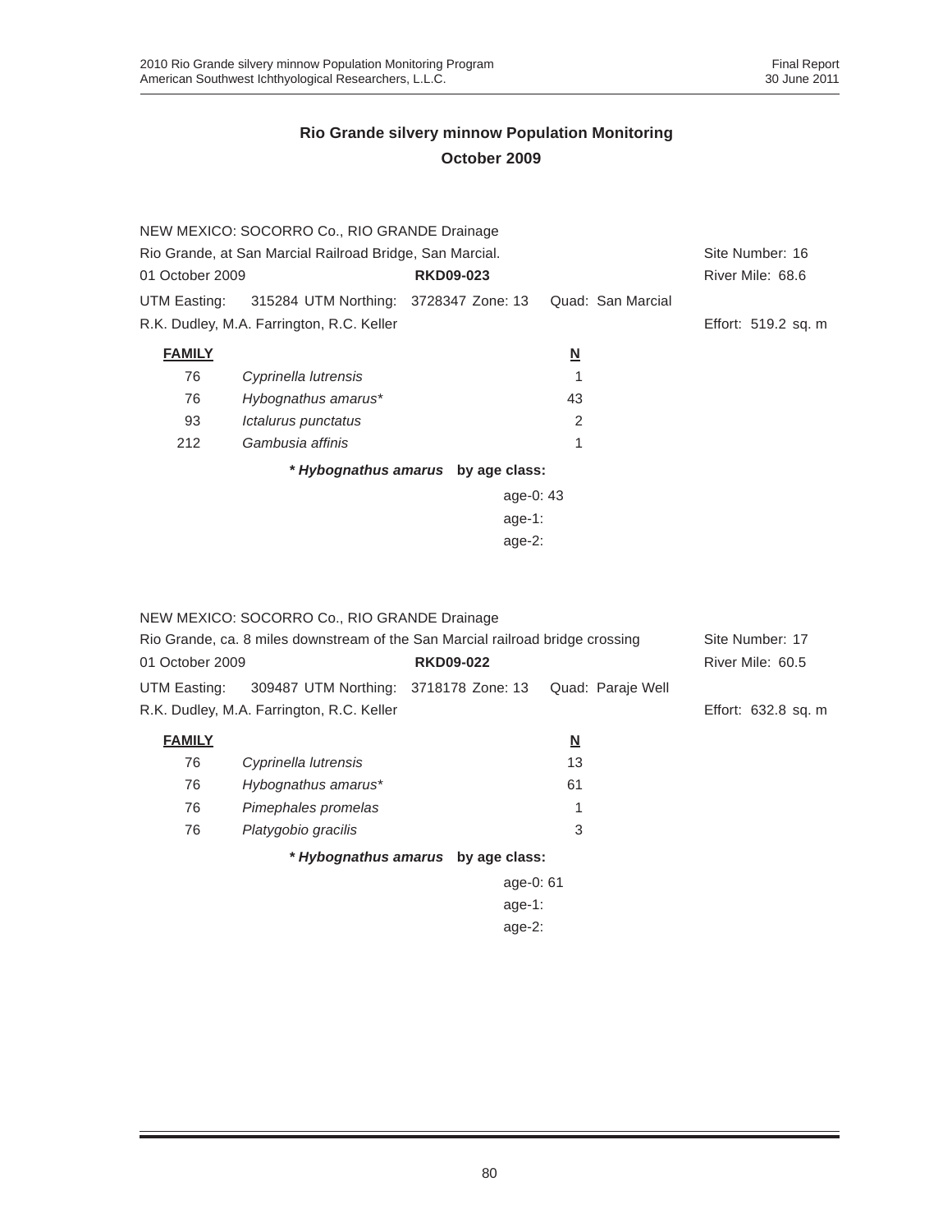|                                                          | NEW MEXICO: SOCORRO Co., RIO GRANDE Drainage       |                                    |                          |                     |
|----------------------------------------------------------|----------------------------------------------------|------------------------------------|--------------------------|---------------------|
| Rio Grande, at San Marcial Railroad Bridge, San Marcial. | Site Number: 16                                    |                                    |                          |                     |
| 01 October 2009                                          |                                                    | <b>RKD09-023</b>                   |                          | River Mile: 68.6    |
|                                                          | UTM Easting: 315284 UTM Northing: 3728347 Zone: 13 |                                    | Quad: San Marcial        |                     |
|                                                          | R.K. Dudley, M.A. Farrington, R.C. Keller          |                                    |                          | Effort: 519.2 sq. m |
| <b>FAMILY</b>                                            |                                                    |                                    | $\underline{\mathbf{N}}$ |                     |
| 76                                                       | Cyprinella lutrensis                               |                                    |                          |                     |
| 76                                                       | Hybognathus amarus*                                |                                    | 43                       |                     |
| 93                                                       | Ictalurus punctatus                                |                                    | 2                        |                     |
| 212                                                      | Gambusia affinis                                   |                                    | 1                        |                     |
|                                                          |                                                    | * Hybognathus amarus by age class: |                          |                     |
|                                                          |                                                    | age-0: $43$                        |                          |                     |
|                                                          |                                                    | age-1:                             |                          |                     |
|                                                          |                                                    | age- $2:$                          |                          |                     |

|                                                                                | NEW MEXICO: SOCORRO Co., RIO GRANDE Drainage |                                    |                   |                     |
|--------------------------------------------------------------------------------|----------------------------------------------|------------------------------------|-------------------|---------------------|
| Rio Grande, ca. 8 miles downstream of the San Marcial railroad bridge crossing |                                              |                                    |                   | Site Number: 17     |
| 01 October 2009                                                                |                                              | <b>RKD09-022</b>                   |                   | River Mile: 60.5    |
| UTM Easting:                                                                   | 309487 UTM Northing: 3718178 Zone: 13        |                                    | Quad: Paraje Well |                     |
|                                                                                | R.K. Dudley, M.A. Farrington, R.C. Keller    |                                    |                   | Effort: 632.8 sq. m |
| <b>FAMILY</b>                                                                  |                                              |                                    | <u>N</u>          |                     |
| 76                                                                             | Cyprinella lutrensis                         |                                    | 13                |                     |
| 76                                                                             | Hybognathus amarus*                          |                                    | 61                |                     |
| 76                                                                             | Pimephales promelas                          |                                    |                   |                     |
| 76                                                                             | Platygobio gracilis                          |                                    | 3                 |                     |
|                                                                                |                                              | * Hybognathus amarus by age class: |                   |                     |
|                                                                                |                                              | age-0: 61                          |                   |                     |
|                                                                                |                                              | age-1:                             |                   |                     |
|                                                                                |                                              | age- $2:$                          |                   |                     |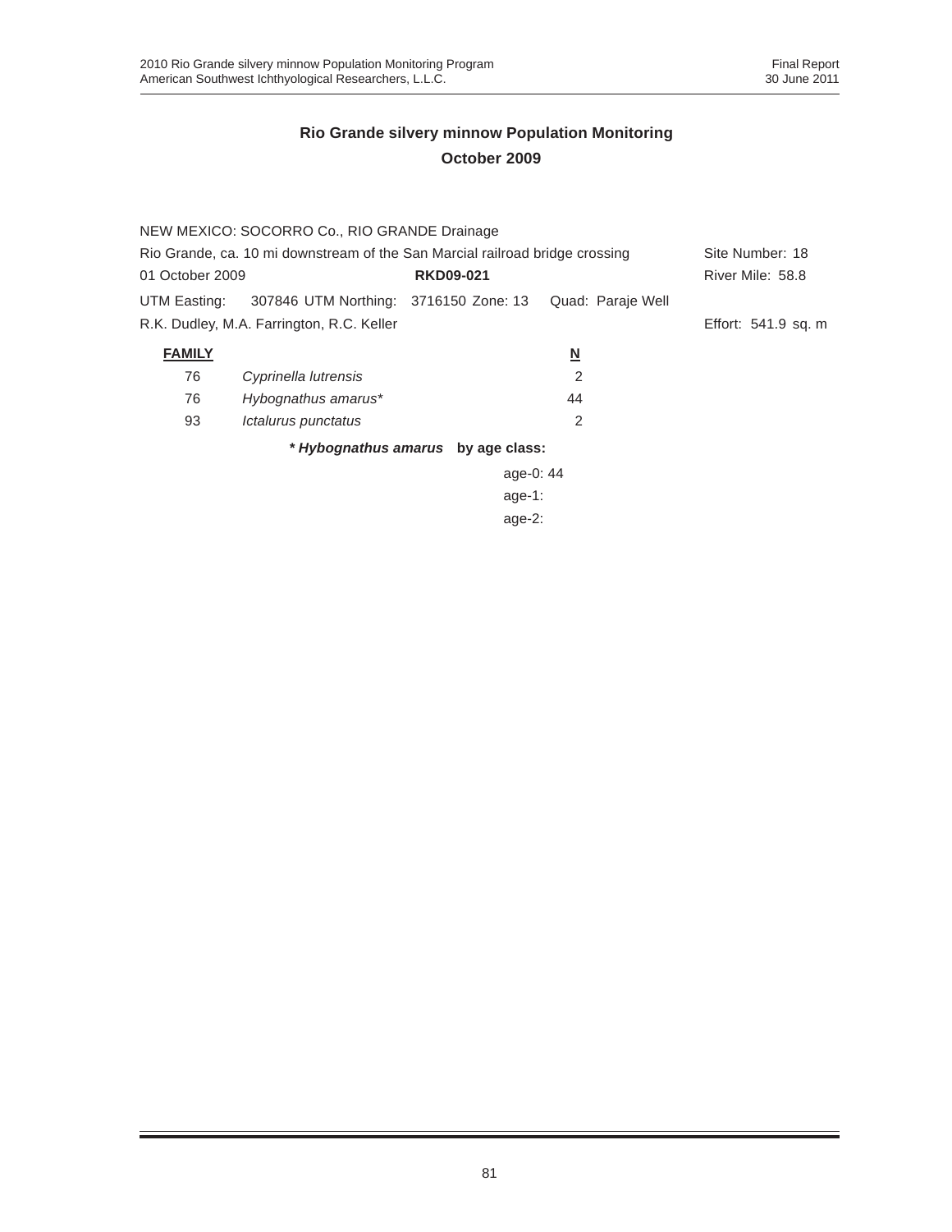|                                                                              | NEW MEXICO: SOCORRO Co., RIO GRANDE Drainage |                                    |                   |                     |
|------------------------------------------------------------------------------|----------------------------------------------|------------------------------------|-------------------|---------------------|
| Rio Grande, ca. 10 mi downstream of the San Marcial railroad bridge crossing | Site Number: 18                              |                                    |                   |                     |
| 01 October 2009                                                              |                                              | <b>RKD09-021</b>                   |                   | River Mile: 58.8    |
| UTM Easting:                                                                 | 307846 UTM Northing: 3716150 Zone: 13        |                                    | Quad: Paraje Well |                     |
|                                                                              | R.K. Dudley, M.A. Farrington, R.C. Keller    |                                    |                   | Effort: 541.9 sq. m |
| <b>FAMILY</b>                                                                |                                              |                                    | <u>N</u>          |                     |
| 76                                                                           | Cyprinella lutrensis                         |                                    | 2                 |                     |
| 76                                                                           | Hybognathus amarus*                          |                                    | 44                |                     |
| 93                                                                           | Ictalurus punctatus                          |                                    | 2                 |                     |
|                                                                              |                                              | * Hybognathus amarus by age class: |                   |                     |
|                                                                              |                                              | age-0: 44                          |                   |                     |
|                                                                              |                                              | age-1:                             |                   |                     |
|                                                                              |                                              | age-2:                             |                   |                     |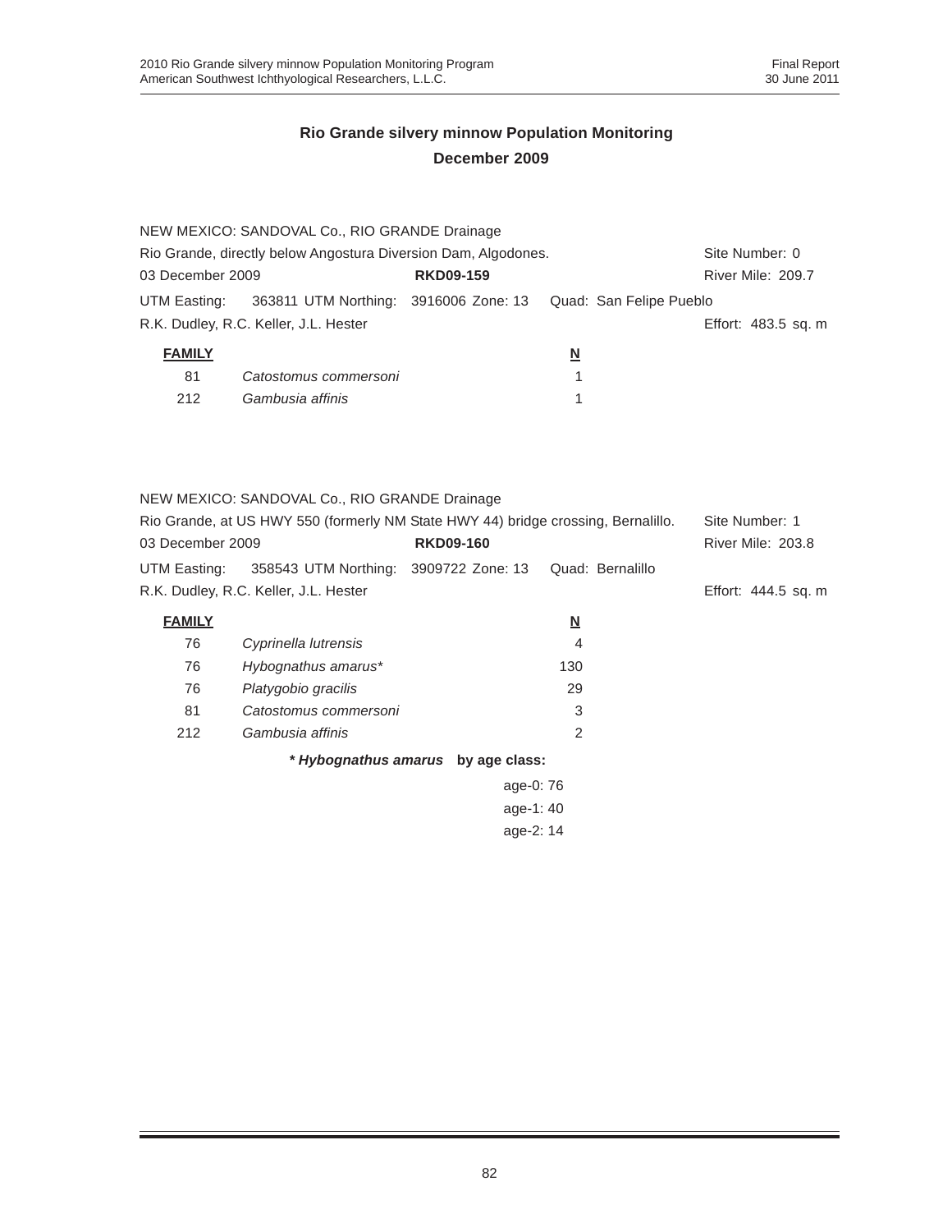| 03 December 2009 | NEW MEXICO: SANDOVAL Co., RIO GRANDE Drainage<br>Rio Grande, directly below Angostura Diversion Dam, Algodones. | <b>RKD09-159</b>                   |                         |                         | Site Number: 0<br>River Mile: 209.7 |
|------------------|-----------------------------------------------------------------------------------------------------------------|------------------------------------|-------------------------|-------------------------|-------------------------------------|
| UTM Easting:     | 363811 UTM Northing: 3916006 Zone: 13<br>R.K. Dudley, R.C. Keller, J.L. Hester                                  |                                    |                         | Quad: San Felipe Pueblo | Effort: 483.5 sq. m                 |
|                  |                                                                                                                 |                                    |                         |                         |                                     |
| <b>FAMILY</b>    |                                                                                                                 |                                    | $\overline{\mathsf{M}}$ |                         |                                     |
| 81               | Catostomus commersoni                                                                                           |                                    | 1                       |                         |                                     |
| 212              | Gambusia affinis                                                                                                |                                    | 1                       |                         |                                     |
|                  | NEW MEXICO: SANDOVAL Co., RIO GRANDE Drainage                                                                   |                                    |                         |                         |                                     |
|                  | Rio Grande, at US HWY 550 (formerly NM State HWY 44) bridge crossing, Bernalillo.                               |                                    |                         |                         | Site Number: 1                      |
| 03 December 2009 |                                                                                                                 | <b>RKD09-160</b>                   |                         |                         | <b>River Mile: 203.8</b>            |
|                  |                                                                                                                 |                                    |                         | Quad: Bernalillo        |                                     |
| UTM Easting:     | 358543 UTM Northing: 3909722 Zone: 13                                                                           |                                    |                         |                         |                                     |
|                  | R.K. Dudley, R.C. Keller, J.L. Hester                                                                           |                                    |                         |                         | Effort: 444.5 sq. m                 |
| <b>FAMILY</b>    |                                                                                                                 |                                    | <u>N</u>                |                         |                                     |
| 76               | Cyprinella lutrensis                                                                                            |                                    | $\overline{4}$          |                         |                                     |
| 76               | Hybognathus amarus*                                                                                             |                                    | 130                     |                         |                                     |
| 76               | Platygobio gracilis                                                                                             |                                    | 29                      |                         |                                     |
| 81               | Catostomus commersoni                                                                                           |                                    | 3                       |                         |                                     |
| 212              | Gambusia affinis                                                                                                |                                    | 2                       |                         |                                     |
|                  |                                                                                                                 | * Hybognathus amarus by age class: |                         |                         |                                     |
|                  |                                                                                                                 | age-0: 76                          |                         |                         |                                     |
|                  |                                                                                                                 | age-1: 40                          |                         |                         |                                     |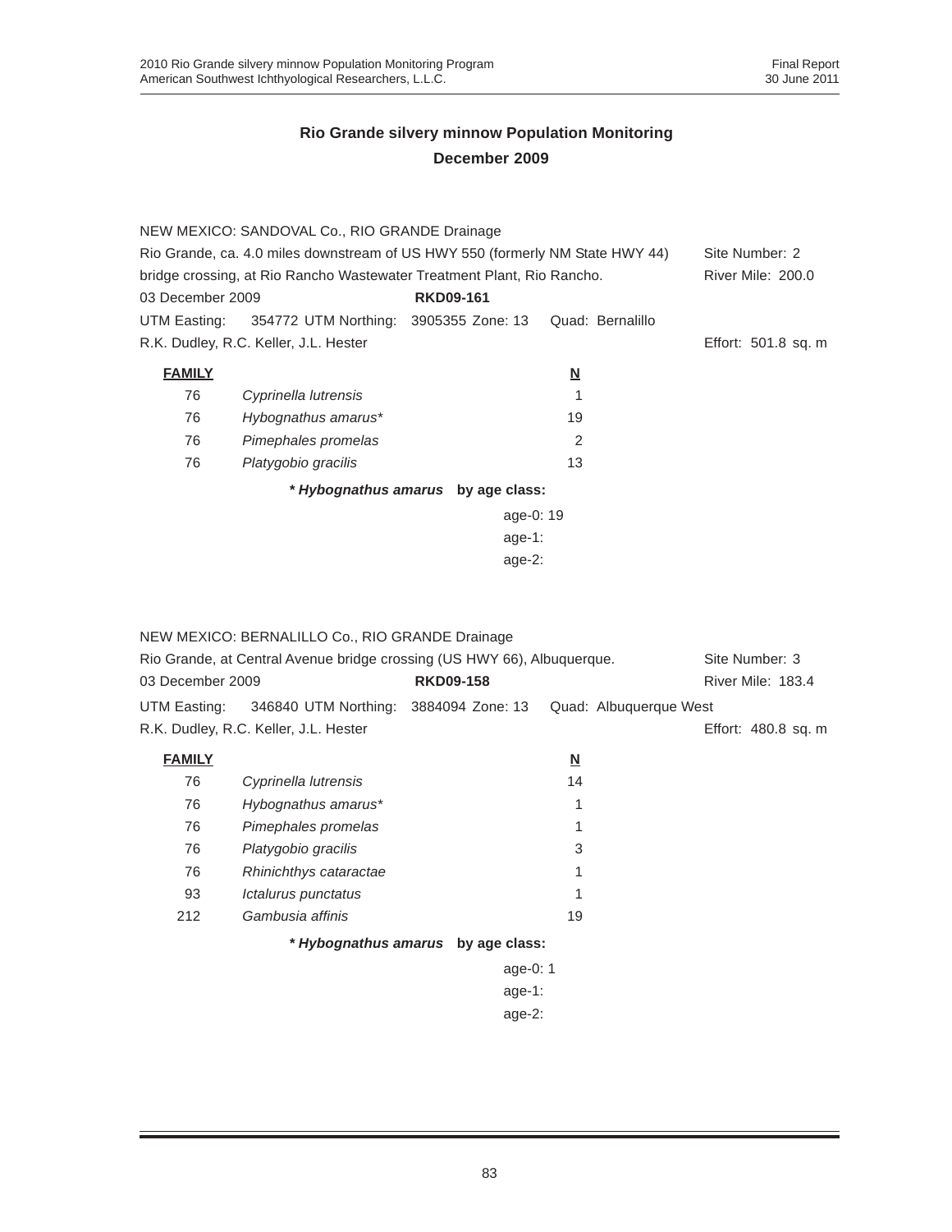|                                                                               | NEW MEXICO: SANDOVAL Co., RIO GRANDE Drainage      |                                    |                         |                          |
|-------------------------------------------------------------------------------|----------------------------------------------------|------------------------------------|-------------------------|--------------------------|
| Rio Grande, ca. 4.0 miles downstream of US HWY 550 (formerly NM State HWY 44) |                                                    |                                    |                         | Site Number: 2           |
| bridge crossing, at Rio Rancho Wastewater Treatment Plant, Rio Rancho.        |                                                    |                                    |                         | <b>River Mile: 200.0</b> |
| 03 December 2009<br><b>RKD09-161</b>                                          |                                                    |                                    |                         |                          |
|                                                                               | UTM Easting: 354772 UTM Northing: 3905355 Zone: 13 |                                    | Quad: Bernalillo        |                          |
|                                                                               | R.K. Dudley, R.C. Keller, J.L. Hester              |                                    |                         | Effort: 501.8 sq. m      |
| <b>FAMILY</b>                                                                 |                                                    |                                    | $\overline{\mathsf{M}}$ |                          |
| 76                                                                            | Cyprinella lutrensis                               |                                    |                         |                          |
| 76                                                                            | Hybognathus amarus*                                |                                    | 19                      |                          |
| 76                                                                            | Pimephales promelas                                |                                    | 2                       |                          |
| 76                                                                            | Platygobio gracilis                                |                                    | 13                      |                          |
|                                                                               |                                                    | * Hybognathus amarus by age class: |                         |                          |
|                                                                               |                                                    | age-0: 19                          |                         |                          |
|                                                                               |                                                    | age-1:                             |                         |                          |
|                                                                               |                                                    | age- $2:$                          |                         |                          |

|                  | NEW MEXICO: BERNALILLO Co., RIO GRANDE Drainage                         |                                    |                          |                     |
|------------------|-------------------------------------------------------------------------|------------------------------------|--------------------------|---------------------|
|                  | Rio Grande, at Central Avenue bridge crossing (US HWY 66), Albuquerque. |                                    |                          | Site Number: 3      |
| 03 December 2009 |                                                                         | <b>RKD09-158</b>                   |                          | River Mile: 183.4   |
|                  | UTM Easting: 346840 UTM Northing: 3884094 Zone: 13                      |                                    | Quad: Albuquerque West   |                     |
|                  | R.K. Dudley, R.C. Keller, J.L. Hester                                   |                                    |                          | Effort: 480.8 sq. m |
| <b>FAMILY</b>    |                                                                         |                                    | $\underline{\mathsf{N}}$ |                     |
| 76               | Cyprinella lutrensis                                                    |                                    | 14                       |                     |
| 76               | Hybognathus amarus*                                                     |                                    | 1                        |                     |
| 76               | Pimephales promelas                                                     |                                    |                          |                     |
| 76               | Platygobio gracilis                                                     |                                    | 3                        |                     |
| 76               | Rhinichthys cataractae                                                  |                                    |                          |                     |
| 93               | Ictalurus punctatus                                                     |                                    | 1                        |                     |
| 212              | Gambusia affinis                                                        |                                    | 19                       |                     |
|                  |                                                                         | * Hybognathus amarus by age class: |                          |                     |
|                  |                                                                         | age-0: $1$                         |                          |                     |
|                  |                                                                         | age-1:                             |                          |                     |

age-2: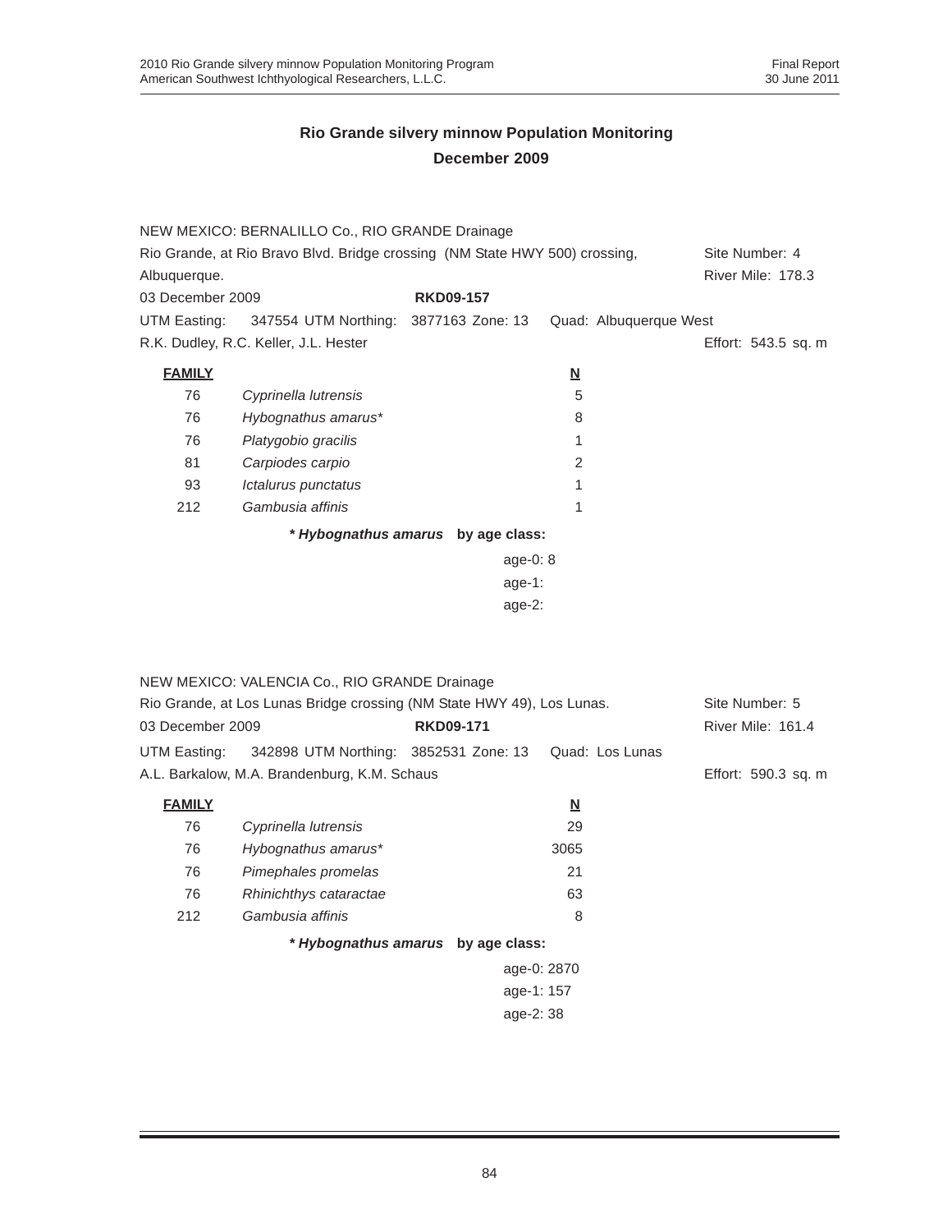|                  | NEW MEXICO: BERNALILLO Co., RIO GRANDE Drainage                             |                                    |                          |                     |
|------------------|-----------------------------------------------------------------------------|------------------------------------|--------------------------|---------------------|
|                  | Rio Grande, at Rio Bravo Blvd. Bridge crossing (NM State HWY 500) crossing, |                                    |                          | Site Number: 4      |
| Albuquerque.     |                                                                             |                                    |                          | River Mile: 178.3   |
| 03 December 2009 |                                                                             | <b>RKD09-157</b>                   |                          |                     |
| UTM Easting:     | 347554 UTM Northing:                                                        | 3877163 Zone: 13                   | Quad: Albuquerque West   |                     |
|                  | R.K. Dudley, R.C. Keller, J.L. Hester                                       |                                    |                          | Effort: 543.5 sq. m |
| <b>FAMILY</b>    |                                                                             |                                    | <u>N</u>                 |                     |
| 76               | Cyprinella lutrensis                                                        |                                    | 5                        |                     |
| 76               | Hybognathus amarus*                                                         |                                    | 8                        |                     |
| 76               | Platygobio gracilis                                                         |                                    | 1                        |                     |
| 81               | Carpiodes carpio                                                            |                                    | 2                        |                     |
| 93               | Ictalurus punctatus                                                         |                                    | 1                        |                     |
| 212              | Gambusia affinis                                                            |                                    | 1                        |                     |
|                  |                                                                             | * Hybognathus amarus by age class: |                          |                     |
|                  |                                                                             | age-0: $8$                         |                          |                     |
| age-1:           |                                                                             |                                    |                          |                     |
|                  |                                                                             | age-2:                             |                          |                     |
|                  |                                                                             |                                    |                          |                     |
|                  |                                                                             |                                    |                          |                     |
|                  | NEW MEXICO: VALENCIA Co., RIO GRANDE Drainage                               |                                    |                          |                     |
|                  | Rio Grande, at Los Lunas Bridge crossing (NM State HWY 49), Los Lunas.      |                                    |                          | Site Number: 5      |
| 03 December 2009 |                                                                             | <b>RKD09-171</b>                   |                          | River Mile: 161.4   |
| UTM Easting:     | 342898 UTM Northing: 3852531 Zone: 13                                       |                                    | Quad: Los Lunas          |                     |
|                  | A.L. Barkalow, M.A. Brandenburg, K.M. Schaus                                |                                    |                          | Effort: 590.3 sq. m |
| <b>FAMILY</b>    |                                                                             |                                    | $\underline{\mathsf{N}}$ |                     |
| 76               | Cyprinella lutrensis                                                        |                                    | 29                       |                     |
| 76               | Hybognathus amarus*                                                         |                                    | 3065                     |                     |
| 76               | Pimephales promelas                                                         |                                    | 21                       |                     |
| 76               | Rhinichthys cataractae                                                      |                                    | 63                       |                     |
| 212              | Gambusia affinis                                                            |                                    | 8                        |                     |
|                  |                                                                             | * Hybognathus amarus by age class: |                          |                     |
|                  |                                                                             |                                    | age-0: 2870              |                     |
|                  |                                                                             | age-1: 157                         |                          |                     |
|                  |                                                                             | age-2:38                           |                          |                     |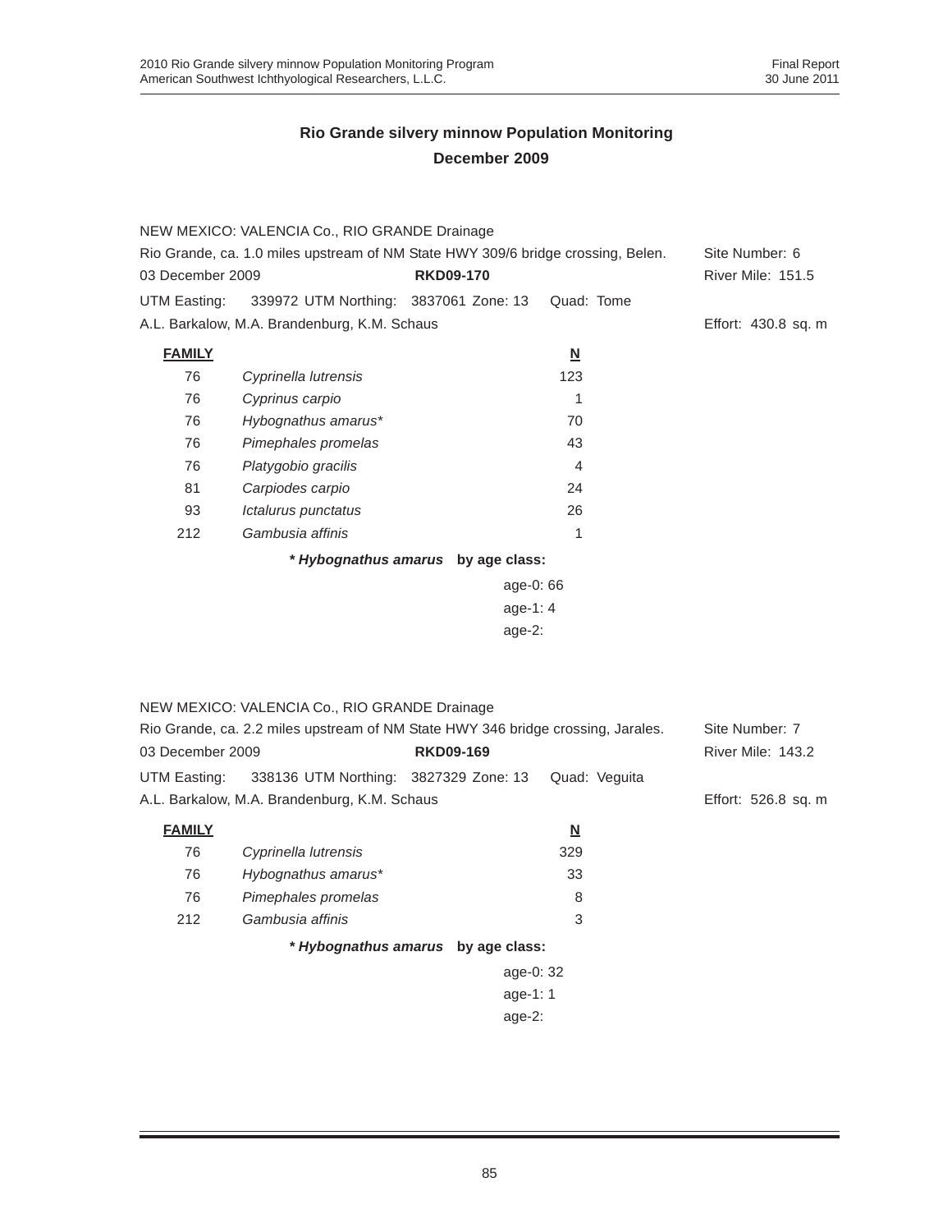|                                                                                  | NEW MEXICO: VALENCIA Co., RIO GRANDE Drainage                                    |                                    |                          |                     |
|----------------------------------------------------------------------------------|----------------------------------------------------------------------------------|------------------------------------|--------------------------|---------------------|
| Rio Grande, ca. 1.0 miles upstream of NM State HWY 309/6 bridge crossing, Belen. |                                                                                  |                                    | Site Number: 6           |                     |
| 03 December 2009                                                                 |                                                                                  | <b>RKD09-170</b>                   |                          | River Mile: 151.5   |
| UTM Easting:                                                                     | 339972 UTM Northing: 3837061 Zone: 13                                            |                                    | Quad: Tome               |                     |
|                                                                                  | A.L. Barkalow, M.A. Brandenburg, K.M. Schaus                                     |                                    |                          | Effort: 430.8 sq. m |
| <b>FAMILY</b>                                                                    |                                                                                  |                                    | $\underline{\mathsf{N}}$ |                     |
| 76                                                                               | Cyprinella lutrensis                                                             |                                    | 123                      |                     |
| 76                                                                               | Cyprinus carpio                                                                  |                                    | $\mathbf{1}$             |                     |
| 76                                                                               | Hybognathus amarus*                                                              |                                    | 70                       |                     |
| 76                                                                               | Pimephales promelas                                                              |                                    | 43                       |                     |
| 76                                                                               | Platygobio gracilis                                                              |                                    | 4                        |                     |
| 81                                                                               | Carpiodes carpio                                                                 |                                    | 24                       |                     |
| 93                                                                               | Ictalurus punctatus                                                              |                                    | 26                       |                     |
| 212                                                                              | Gambusia affinis                                                                 |                                    | 1                        |                     |
|                                                                                  |                                                                                  | * Hybognathus amarus by age class: |                          |                     |
|                                                                                  |                                                                                  | age-0: 66                          |                          |                     |
|                                                                                  |                                                                                  |                                    |                          |                     |
|                                                                                  |                                                                                  | $age-2:$                           |                          |                     |
|                                                                                  |                                                                                  |                                    |                          |                     |
|                                                                                  |                                                                                  |                                    |                          |                     |
|                                                                                  | NEW MEXICO: VALENCIA Co., RIO GRANDE Drainage                                    |                                    |                          |                     |
|                                                                                  | Rio Grande, ca. 2.2 miles upstream of NM State HWY 346 bridge crossing, Jarales. |                                    |                          | Site Number: 7      |
| 03 December 2009                                                                 |                                                                                  | <b>RKD09-169</b>                   |                          | River Mile: 143.2   |
| UTM Easting:                                                                     | 338136 UTM Northing: 3827329 Zone: 13                                            |                                    | Quad: Veguita            |                     |
|                                                                                  | A.L. Barkalow, M.A. Brandenburg, K.M. Schaus                                     |                                    |                          | Effort: 526.8 sq. m |
| <b>FAMILY</b>                                                                    |                                                                                  |                                    | <u>N</u>                 |                     |
| 76                                                                               | Cyprinella lutrensis                                                             |                                    | 329                      |                     |
| 76                                                                               | Hybognathus amarus*                                                              |                                    | 33                       |                     |
| 76                                                                               | Pimephales promelas                                                              |                                    | 8                        |                     |
| 212                                                                              | Gambusia affinis                                                                 |                                    | 3                        |                     |
|                                                                                  |                                                                                  | * Hybognathus amarus by age class: |                          |                     |
|                                                                                  |                                                                                  |                                    |                          |                     |
|                                                                                  |                                                                                  | age-0: 32<br>age-1: 1              |                          |                     |
|                                                                                  |                                                                                  | age- $2:$                          |                          |                     |
|                                                                                  |                                                                                  |                                    |                          |                     |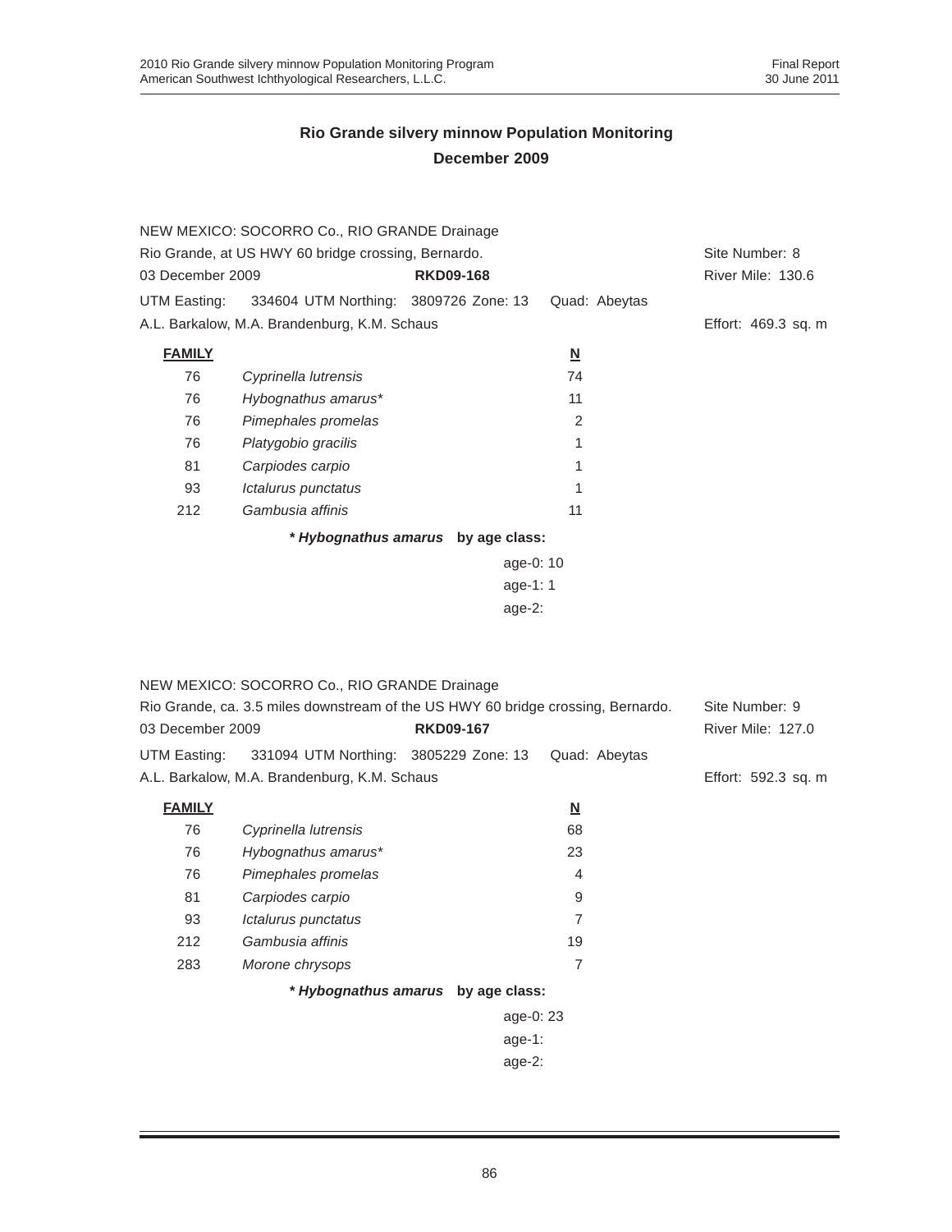|                                                     | NEW MEXICO: SOCORRO Co., RIO GRANDE Drainage |                                    |                          |                     |
|-----------------------------------------------------|----------------------------------------------|------------------------------------|--------------------------|---------------------|
| Rio Grande, at US HWY 60 bridge crossing, Bernardo. |                                              |                                    |                          | Site Number: 8      |
| 03 December 2009                                    |                                              | <b>RKD09-168</b>                   |                          | River Mile: 130.6   |
| UTM Easting:                                        | 334604 UTM Northing: 3809726 Zone: 13        |                                    | Quad: Abeytas            |                     |
|                                                     | A.L. Barkalow, M.A. Brandenburg, K.M. Schaus |                                    |                          | Effort: 469.3 sq. m |
| <b>FAMILY</b>                                       |                                              |                                    | $\underline{\mathsf{N}}$ |                     |
| 76                                                  | Cyprinella lutrensis                         |                                    | 74                       |                     |
| 76                                                  | Hybognathus amarus*                          |                                    | 11                       |                     |
| 76                                                  | Pimephales promelas                          |                                    | 2                        |                     |
| 76                                                  | Platygobio gracilis                          |                                    | 1                        |                     |
| 81                                                  | Carpiodes carpio                             |                                    |                          |                     |
| 93                                                  | Ictalurus punctatus                          |                                    |                          |                     |
| 212                                                 | Gambusia affinis                             |                                    | 11                       |                     |
|                                                     |                                              | * Hybognathus amarus by age class: |                          |                     |
|                                                     |                                              | age-0: 10                          |                          |                     |
|                                                     |                                              | age-1: $1$                         |                          |                     |
|                                                     |                                              |                                    |                          |                     |

|                                                                                  | NEW MEXICO: SOCORRO Co., RIO GRANDE Drainage |                                    |                         |                          |
|----------------------------------------------------------------------------------|----------------------------------------------|------------------------------------|-------------------------|--------------------------|
| Rio Grande, ca. 3.5 miles downstream of the US HWY 60 bridge crossing, Bernardo. |                                              |                                    |                         | Site Number: 9           |
| 03 December 2009                                                                 |                                              | <b>RKD09-167</b>                   |                         | <b>River Mile: 127.0</b> |
| UTM Easting:                                                                     | 331094 UTM Northing: 3805229 Zone: 13        |                                    | Quad: Abeytas           |                          |
|                                                                                  | A.L. Barkalow, M.A. Brandenburg, K.M. Schaus |                                    |                         | Effort: 592.3 sq. m      |
| <b>FAMILY</b>                                                                    |                                              |                                    | $\overline{\mathsf{M}}$ |                          |
| 76                                                                               | Cyprinella lutrensis                         |                                    | 68                      |                          |
| 76                                                                               | Hybognathus amarus*                          |                                    | 23                      |                          |
| 76                                                                               | Pimephales promelas                          |                                    | $\overline{4}$          |                          |
| 81                                                                               | Carpiodes carpio                             |                                    | 9                       |                          |
| 93                                                                               | Ictalurus punctatus                          |                                    | $\overline{7}$          |                          |
| 212                                                                              | Gambusia affinis                             |                                    | 19                      |                          |
| 283                                                                              | Morone chrysops                              |                                    | 7                       |                          |
|                                                                                  |                                              | * Hybognathus amarus by age class: |                         |                          |
|                                                                                  |                                              |                                    | age-0: 23               |                          |
|                                                                                  |                                              | age-1:                             |                         |                          |
| age- $2$ :                                                                       |                                              |                                    |                         |                          |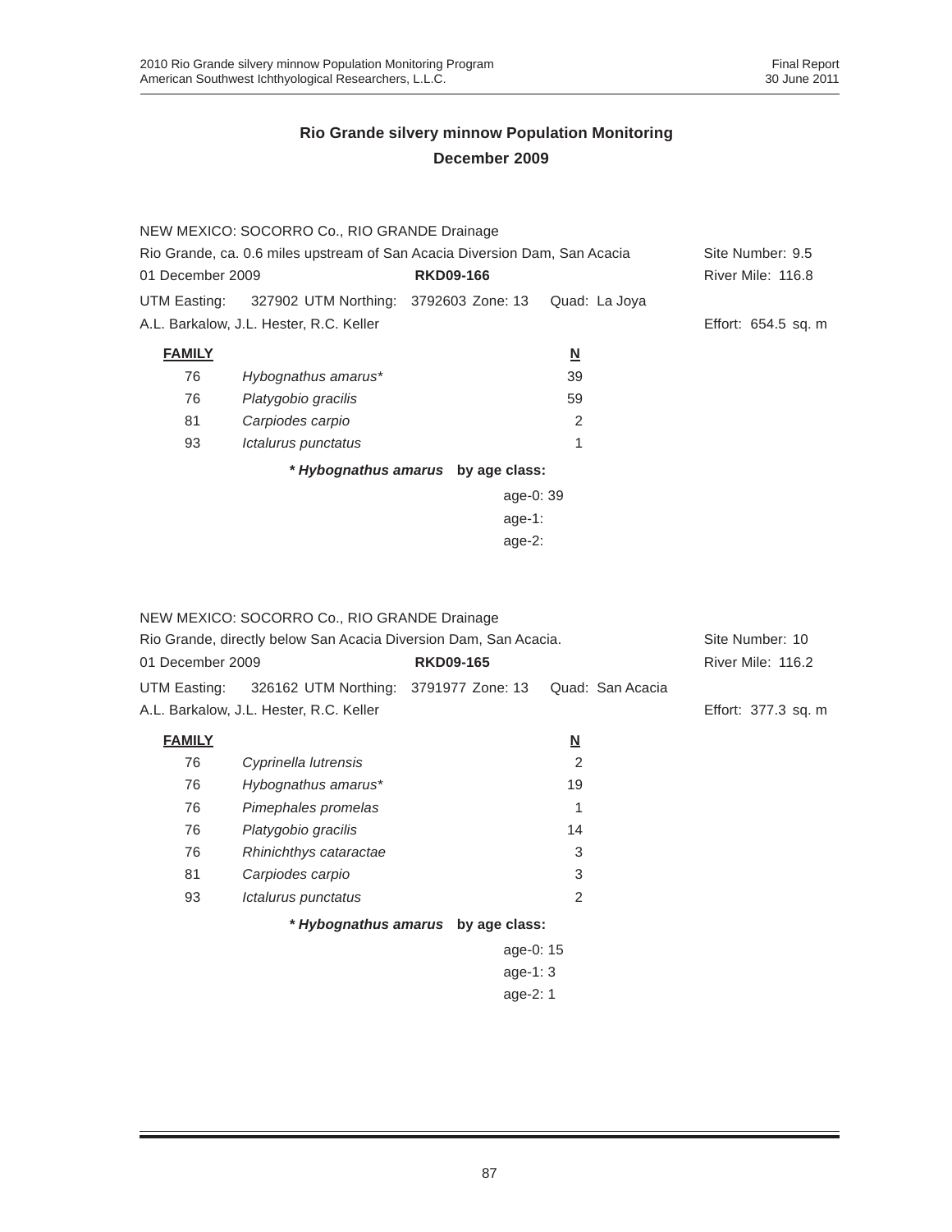|                                                                            | NEW MEXICO: SOCORRO Co., RIO GRANDE Drainage |                                    |                          |                     |  |
|----------------------------------------------------------------------------|----------------------------------------------|------------------------------------|--------------------------|---------------------|--|
| Rio Grande, ca. 0.6 miles upstream of San Acacia Diversion Dam, San Acacia |                                              |                                    |                          | Site Number: 9.5    |  |
| 01 December 2009                                                           |                                              | <b>RKD09-166</b>                   |                          | River Mile: 116.8   |  |
| UTM Easting:                                                               | 327902 UTM Northing: 3792603 Zone: 13        |                                    | Quad: La Joya            |                     |  |
|                                                                            | A.L. Barkalow, J.L. Hester, R.C. Keller      |                                    |                          | Effort: 654.5 sq. m |  |
| <b>FAMILY</b>                                                              |                                              |                                    | $\underline{\mathsf{N}}$ |                     |  |
| 76                                                                         | Hybognathus amarus*                          |                                    | 39                       |                     |  |
| 76                                                                         | Platygobio gracilis                          |                                    | 59                       |                     |  |
| 81                                                                         | Carpiodes carpio                             |                                    | 2                        |                     |  |
| 93                                                                         | Ictalurus punctatus                          |                                    | 1                        |                     |  |
|                                                                            |                                              | * Hybognathus amarus by age class: |                          |                     |  |
|                                                                            |                                              | age-0: 39                          |                          |                     |  |
|                                                                            |                                              | age-1:                             |                          |                     |  |
| age- $2:$                                                                  |                                              |                                    |                          |                     |  |

|                  | NEW MEXICO: SOCORRO Co., RIO GRANDE Drainage                     |                  |  |                          |                  |                     |
|------------------|------------------------------------------------------------------|------------------|--|--------------------------|------------------|---------------------|
|                  | Rio Grande, directly below San Acacia Diversion Dam, San Acacia. |                  |  |                          |                  | Site Number: 10     |
| 01 December 2009 |                                                                  | <b>RKD09-165</b> |  |                          |                  | River Mile: 116.2   |
| UTM Easting:     | 326162 UTM Northing: 3791977 Zone: 13                            |                  |  |                          | Quad: San Acacia |                     |
|                  | A.L. Barkalow, J.L. Hester, R.C. Keller                          |                  |  |                          |                  | Effort: 377.3 sq. m |
| <b>FAMILY</b>    |                                                                  |                  |  | $\underline{\mathsf{N}}$ |                  |                     |
| 76               | Cyprinella lutrensis                                             |                  |  | 2                        |                  |                     |
| 76               | Hybognathus amarus*                                              |                  |  | 19                       |                  |                     |
| 76               | Pimephales promelas                                              |                  |  | 1                        |                  |                     |
| 76               | Platygobio gracilis                                              |                  |  | 14                       |                  |                     |
| 76               | Rhinichthys cataractae                                           |                  |  | 3                        |                  |                     |
| 81               | Carpiodes carpio                                                 |                  |  | 3                        |                  |                     |
| 93               | Ictalurus punctatus                                              |                  |  | 2                        |                  |                     |
|                  | * Hybognathus amarus by age class:                               |                  |  |                          |                  |                     |
| age-0: 15        |                                                                  |                  |  |                          |                  |                     |
| age-1: $3$       |                                                                  |                  |  |                          |                  |                     |
| age- $2:1$       |                                                                  |                  |  |                          |                  |                     |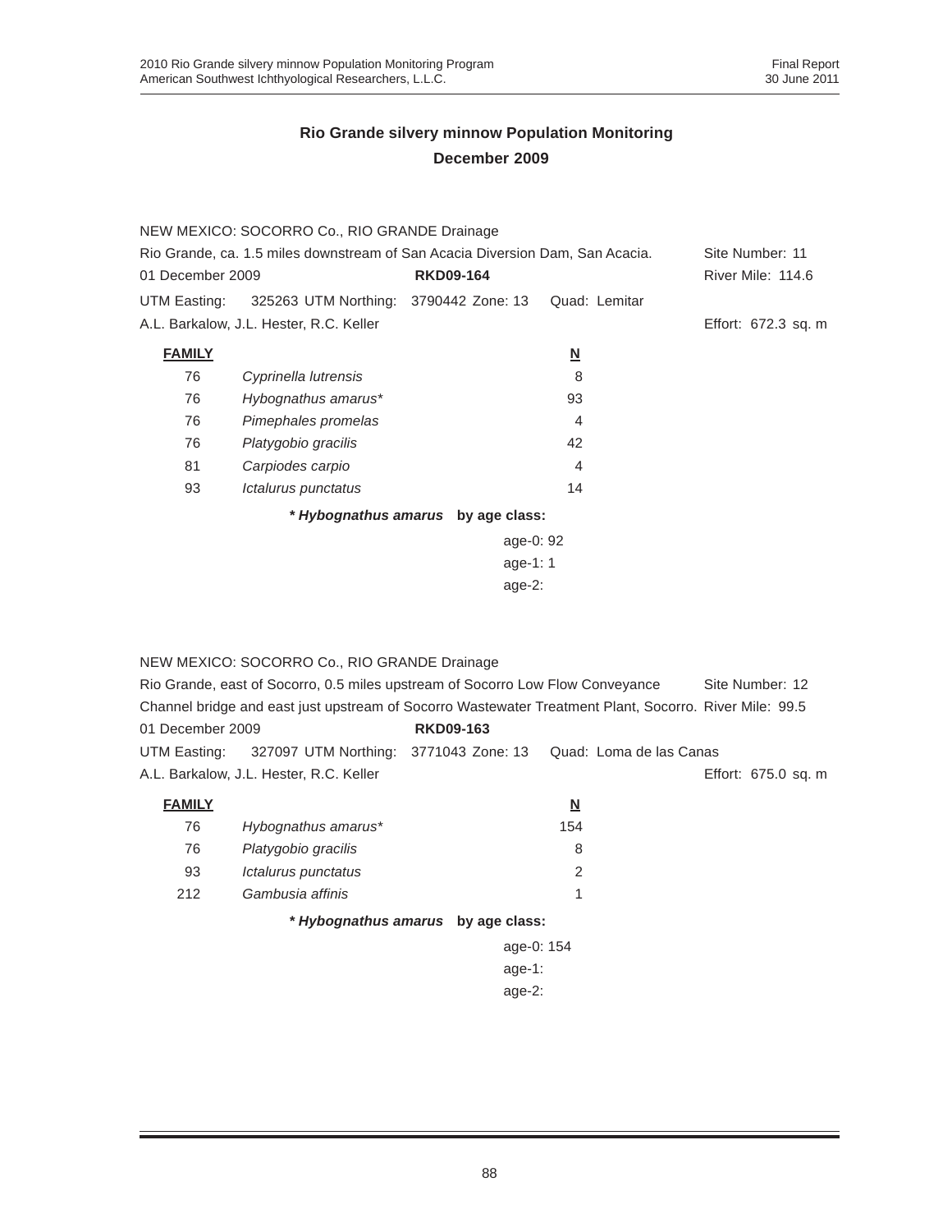|                                                                               | NEW MEXICO: SOCORRO Co., RIO GRANDE Drainage |                                    |                          |                     |
|-------------------------------------------------------------------------------|----------------------------------------------|------------------------------------|--------------------------|---------------------|
| Rio Grande, ca. 1.5 miles downstream of San Acacia Diversion Dam, San Acacia. |                                              |                                    |                          | Site Number: 11     |
| 01 December 2009                                                              |                                              | <b>RKD09-164</b>                   |                          | River Mile: 114.6   |
| UTM Easting:                                                                  | 325263 UTM Northing: 3790442 Zone: 13        |                                    | Quad: Lemitar            |                     |
|                                                                               | A.L. Barkalow, J.L. Hester, R.C. Keller      |                                    |                          | Effort: 672.3 sq. m |
| <b>FAMILY</b>                                                                 |                                              |                                    | $\underline{\mathbf{N}}$ |                     |
| 76                                                                            | Cyprinella lutrensis                         |                                    | 8                        |                     |
| 76                                                                            | Hybognathus amarus*                          |                                    | 93                       |                     |
| 76                                                                            | Pimephales promelas                          |                                    | 4                        |                     |
| 76                                                                            | Platygobio gracilis                          |                                    | 42                       |                     |
| 81                                                                            | Carpiodes carpio                             |                                    | 4                        |                     |
| 93                                                                            | Ictalurus punctatus                          |                                    | 14                       |                     |
|                                                                               |                                              | * Hybognathus amarus by age class: |                          |                     |
|                                                                               |                                              | age-0: 92                          |                          |                     |
|                                                                               |                                              | age-1: $1$                         |                          |                     |
|                                                                               |                                              |                                    |                          |                     |

NEW MEXICO: SOCORRO Co., RIO GRANDE Drainage

| Rio Grande, east of Socorro, 0.5 miles upstream of Socorro Low Flow Conveyance | Site Number: 12                                                                                        |                                    |                         |                     |  |
|--------------------------------------------------------------------------------|--------------------------------------------------------------------------------------------------------|------------------------------------|-------------------------|---------------------|--|
|                                                                                | Channel bridge and east just upstream of Socorro Wastewater Treatment Plant, Socorro, River Mile: 99.5 |                                    |                         |                     |  |
| 01 December 2009                                                               |                                                                                                        | <b>RKD09-163</b>                   |                         |                     |  |
| UTM Easting:                                                                   | 327097 UTM Northing: 3771043 Zone: 13                                                                  |                                    | Quad: Loma de las Canas |                     |  |
|                                                                                | A.L. Barkalow, J.L. Hester, R.C. Keller                                                                |                                    |                         | Effort: 675.0 sq. m |  |
| <b>FAMILY</b>                                                                  |                                                                                                        |                                    | $\overline{\mathbf{N}}$ |                     |  |
| 76                                                                             | Hybognathus amarus*                                                                                    |                                    | 154                     |                     |  |
| 76                                                                             | Platygobio gracilis                                                                                    |                                    | 8                       |                     |  |
| 93                                                                             | <i><b>Ictalurus punctatus</b></i>                                                                      |                                    | $\overline{2}$          |                     |  |
| 212                                                                            | Gambusia affinis                                                                                       |                                    | 1                       |                     |  |
|                                                                                |                                                                                                        | * Hybognathus amarus by age class: |                         |                     |  |
|                                                                                |                                                                                                        | age-0: 154                         |                         |                     |  |
|                                                                                | age-1:                                                                                                 |                                    |                         |                     |  |
|                                                                                | age-2:                                                                                                 |                                    |                         |                     |  |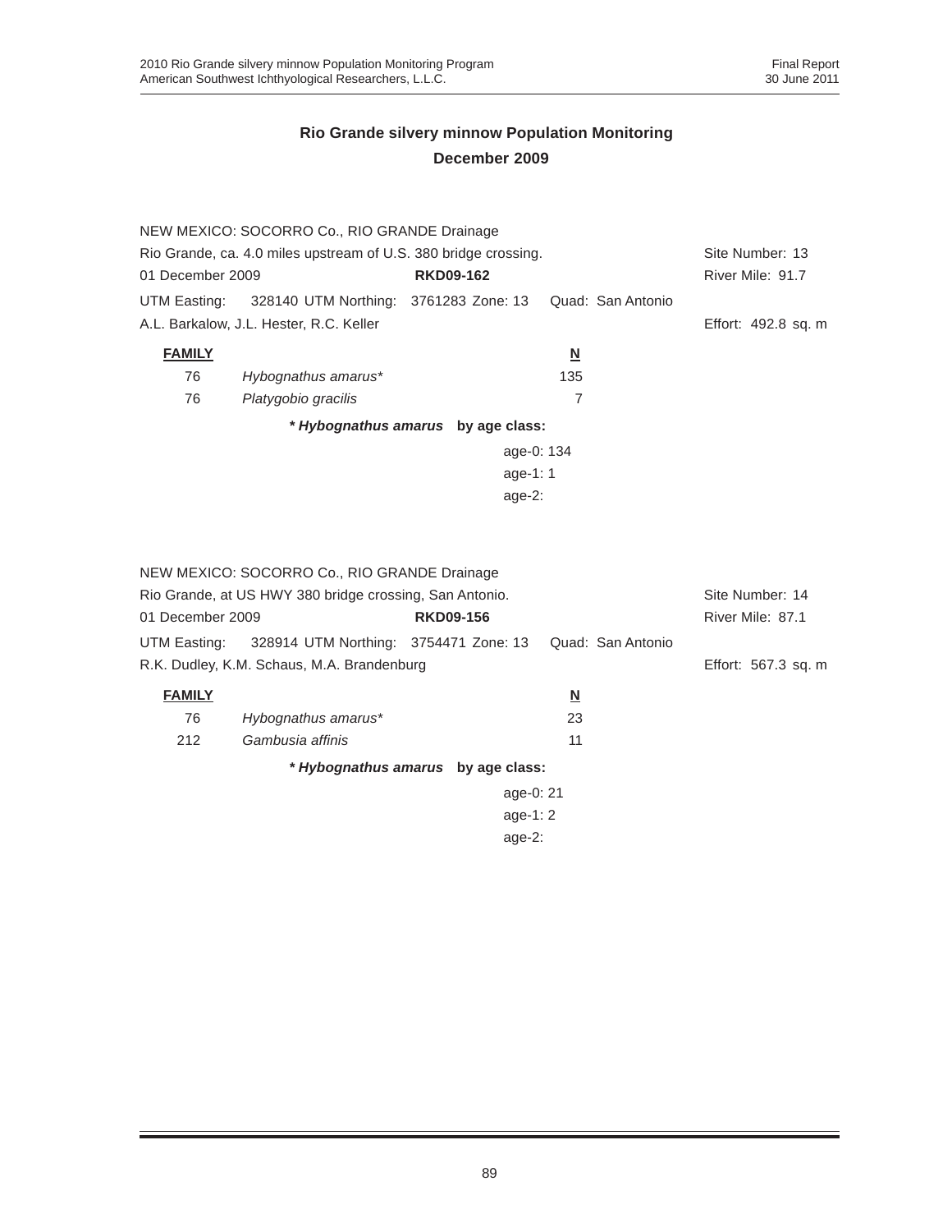|                                                                 | NEW MEXICO: SOCORRO Co., RIO GRANDE Drainage            |                                    |                          |                     |  |
|-----------------------------------------------------------------|---------------------------------------------------------|------------------------------------|--------------------------|---------------------|--|
| Rio Grande, ca. 4.0 miles upstream of U.S. 380 bridge crossing. | Site Number: 13                                         |                                    |                          |                     |  |
| 01 December 2009                                                |                                                         | <b>RKD09-162</b>                   |                          | River Mile: 91.7    |  |
| UTM Easting:                                                    | 328140 UTM Northing: 3761283 Zone: 13                   |                                    | Quad: San Antonio        |                     |  |
|                                                                 | A.L. Barkalow, J.L. Hester, R.C. Keller                 |                                    |                          | Effort: 492.8 sq. m |  |
| <b>FAMILY</b>                                                   |                                                         |                                    | $\overline{\mathbf{N}}$  |                     |  |
| 76                                                              | Hybognathus amarus*                                     |                                    | 135                      |                     |  |
| 76                                                              | Platygobio gracilis                                     |                                    | $\overline{7}$           |                     |  |
|                                                                 |                                                         | * Hybognathus amarus by age class: |                          |                     |  |
|                                                                 |                                                         | age-0: 134                         |                          |                     |  |
|                                                                 |                                                         | age-1: 1                           |                          |                     |  |
|                                                                 |                                                         | age- $2:$                          |                          |                     |  |
|                                                                 |                                                         |                                    |                          |                     |  |
|                                                                 | NEW MEXICO: SOCORRO Co., RIO GRANDE Drainage            |                                    |                          |                     |  |
|                                                                 | Rio Grande, at US HWY 380 bridge crossing, San Antonio. |                                    |                          | Site Number: 14     |  |
| 01 December 2009                                                |                                                         | <b>RKD09-156</b>                   |                          | River Mile: 87.1    |  |
| UTM Easting:                                                    | 328914 UTM Northing: 3754471 Zone: 13                   |                                    | Quad: San Antonio        |                     |  |
|                                                                 | R.K. Dudley, K.M. Schaus, M.A. Brandenburg              |                                    |                          | Effort: 567.3 sq. m |  |
|                                                                 |                                                         |                                    |                          |                     |  |
| <b>FAMILY</b>                                                   |                                                         |                                    | $\underline{\mathsf{N}}$ |                     |  |
| 76                                                              | Hybognathus amarus*                                     |                                    | 23                       |                     |  |
| 212                                                             | Gambusia affinis                                        |                                    | 11                       |                     |  |
|                                                                 |                                                         | * Hybognathus amarus by age class: |                          |                     |  |
|                                                                 |                                                         | age-0: 21                          |                          |                     |  |
|                                                                 | age-1: $2$                                              |                                    |                          |                     |  |

age-2: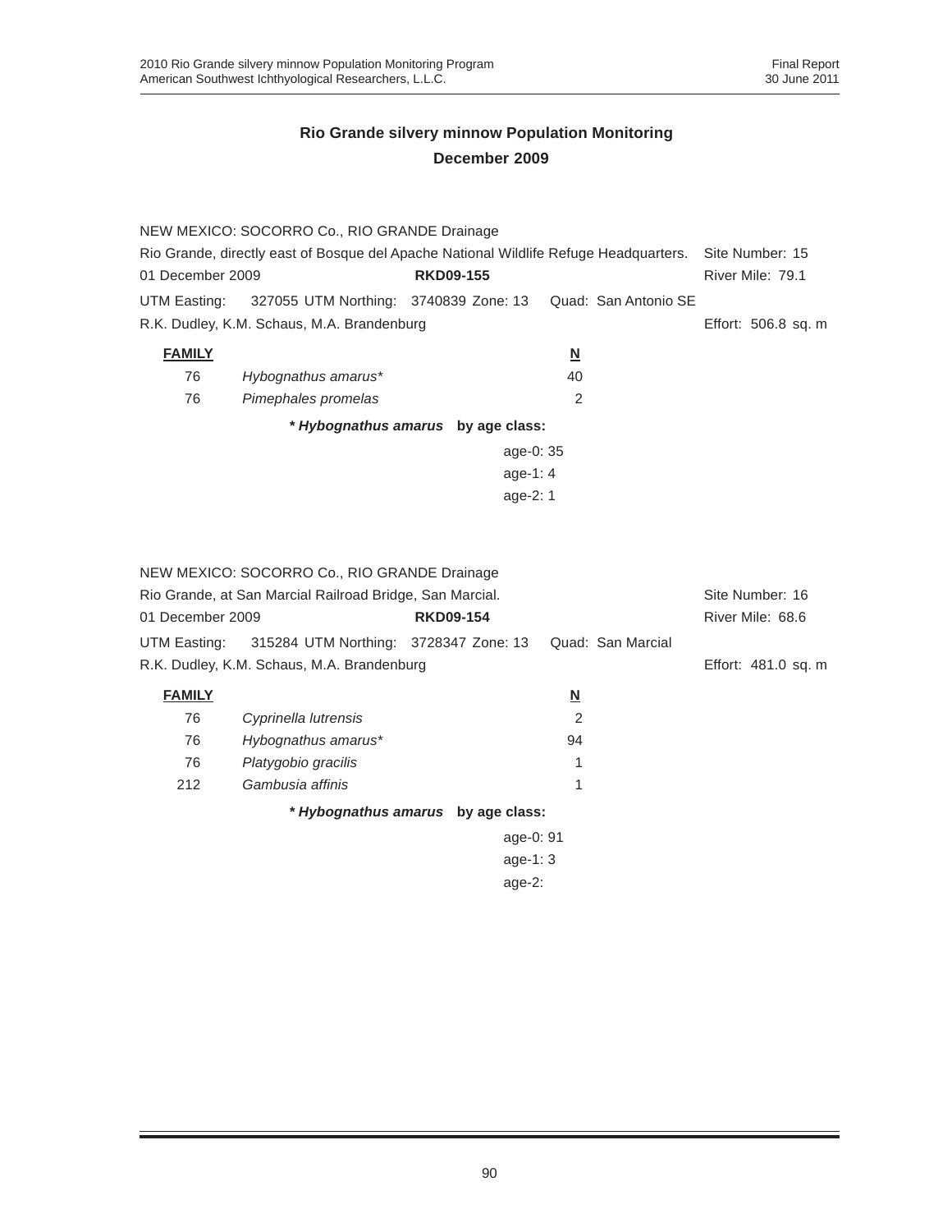|                                                                                       | NEW MEXICO: SOCORRO Co., RIO GRANDE Drainage             |                                    |                          |                      |                     |
|---------------------------------------------------------------------------------------|----------------------------------------------------------|------------------------------------|--------------------------|----------------------|---------------------|
| Rio Grande, directly east of Bosque del Apache National Wildlife Refuge Headquarters. |                                                          |                                    |                          |                      | Site Number: 15     |
| 01 December 2009                                                                      |                                                          | <b>RKD09-155</b>                   |                          |                      | River Mile: 79.1    |
| UTM Easting:                                                                          | 327055 UTM Northing: 3740839 Zone: 13                    |                                    |                          | Quad: San Antonio SE |                     |
|                                                                                       | R.K. Dudley, K.M. Schaus, M.A. Brandenburg               |                                    |                          |                      | Effort: 506.8 sq. m |
| <b>FAMILY</b>                                                                         |                                                          |                                    | $\underline{\mathsf{N}}$ |                      |                     |
| 76                                                                                    | Hybognathus amarus*                                      |                                    | 40                       |                      |                     |
| 76                                                                                    | Pimephales promelas                                      |                                    | 2                        |                      |                     |
|                                                                                       |                                                          | * Hybognathus amarus by age class: |                          |                      |                     |
|                                                                                       |                                                          | age-0: 35                          |                          |                      |                     |
|                                                                                       |                                                          | age-1: $4$                         |                          |                      |                     |
|                                                                                       |                                                          | age-2: 1                           |                          |                      |                     |
|                                                                                       |                                                          |                                    |                          |                      |                     |
|                                                                                       |                                                          |                                    |                          |                      |                     |
|                                                                                       | NEW MEXICO: SOCORRO Co., RIO GRANDE Drainage             |                                    |                          |                      |                     |
|                                                                                       | Rio Grande, at San Marcial Railroad Bridge, San Marcial. |                                    |                          |                      | Site Number: 16     |
| 01 December 2009                                                                      |                                                          | <b>RKD09-154</b>                   |                          |                      | River Mile: 68.6    |
| UTM Easting:                                                                          | 315284 UTM Northing: 3728347 Zone: 13                    |                                    |                          | Quad: San Marcial    |                     |
|                                                                                       | R.K. Dudley, K.M. Schaus, M.A. Brandenburg               |                                    |                          |                      | Effort: 481.0 sq. m |
| <b>FAMILY</b>                                                                         |                                                          |                                    | $\overline{\mathsf{M}}$  |                      |                     |
| 76                                                                                    | Cyprinella lutrensis                                     |                                    | $\overline{2}$           |                      |                     |
| 76                                                                                    | Hybognathus amarus*                                      |                                    | 94                       |                      |                     |
| 76                                                                                    | Platygobio gracilis                                      |                                    | 1                        |                      |                     |
| 212                                                                                   | Gambusia affinis                                         |                                    | 1                        |                      |                     |
|                                                                                       |                                                          | * Hybognathus amarus by age class: |                          |                      |                     |
|                                                                                       |                                                          | age-0: 91                          |                          |                      |                     |
|                                                                                       |                                                          | age-1: 3                           |                          |                      |                     |
|                                                                                       |                                                          | age-2:                             |                          |                      |                     |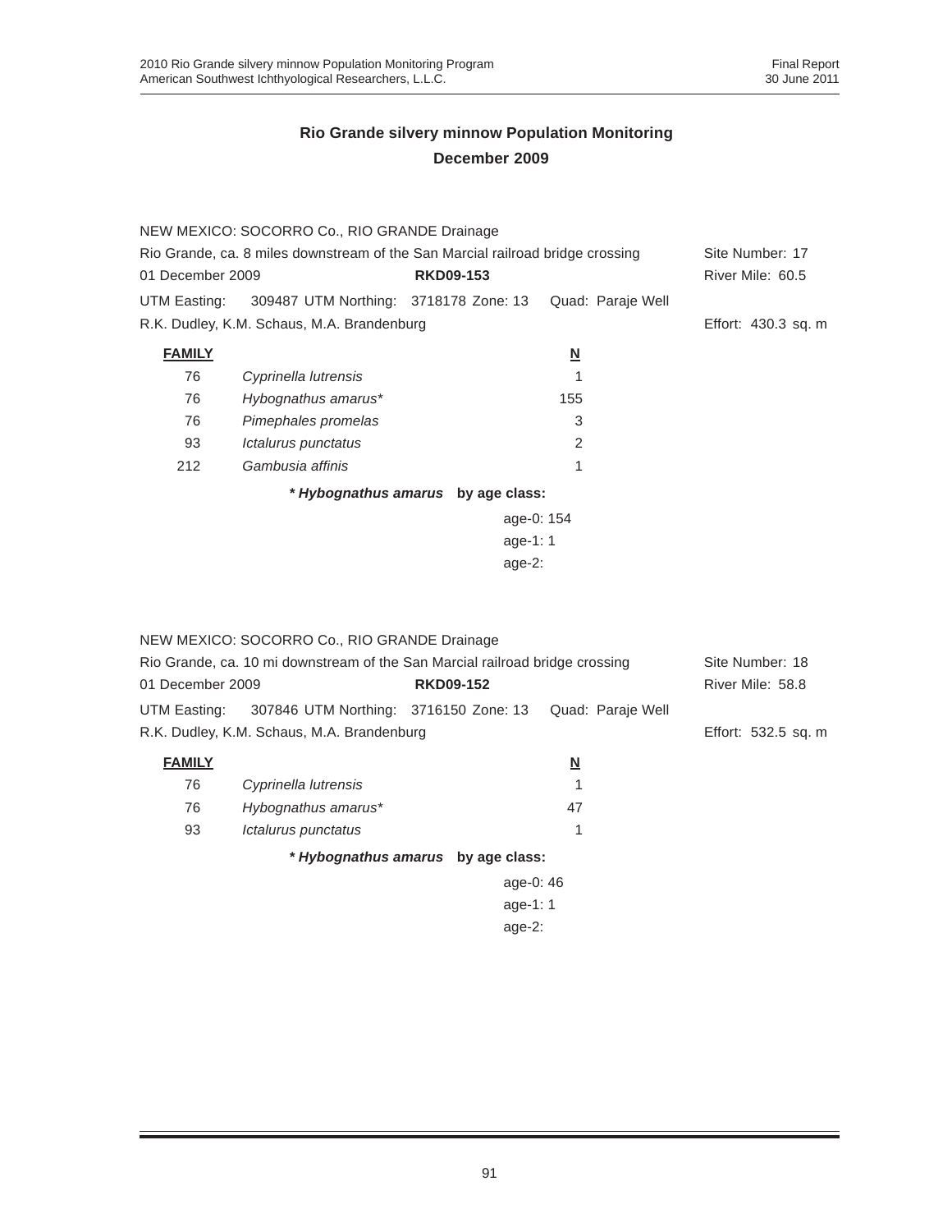|                                                                                | NEW MEXICO: SOCORRO Co., RIO GRANDE Drainage |                                    |                          |                     |  |  |
|--------------------------------------------------------------------------------|----------------------------------------------|------------------------------------|--------------------------|---------------------|--|--|
| Rio Grande, ca. 8 miles downstream of the San Marcial railroad bridge crossing |                                              |                                    |                          | Site Number: 17     |  |  |
| 01 December 2009                                                               |                                              | <b>RKD09-153</b>                   |                          | River Mile: 60.5    |  |  |
| UTM Easting:                                                                   | 309487 UTM Northing: 3718178 Zone: 13        |                                    | Quad: Paraje Well        |                     |  |  |
|                                                                                | R.K. Dudley, K.M. Schaus, M.A. Brandenburg   |                                    |                          | Effort: 430.3 sq. m |  |  |
| <b>FAMILY</b>                                                                  |                                              |                                    | $\underline{\mathsf{N}}$ |                     |  |  |
| 76                                                                             | Cyprinella lutrensis                         |                                    |                          |                     |  |  |
| 76                                                                             | Hybognathus amarus*                          |                                    | 155                      |                     |  |  |
| 76                                                                             | Pimephales promelas                          |                                    | 3                        |                     |  |  |
| 93                                                                             | <i><b>Ictalurus punctatus</b></i>            |                                    | 2                        |                     |  |  |
| 212                                                                            | Gambusia affinis                             |                                    | 1                        |                     |  |  |
|                                                                                |                                              | * Hybognathus amarus by age class: |                          |                     |  |  |
|                                                                                |                                              |                                    | age-0: 154               |                     |  |  |
|                                                                                |                                              | age-1: $1$                         |                          |                     |  |  |
|                                                                                | age- $2:$                                    |                                    |                          |                     |  |  |

| NEW MEXICO: SOCORRO Co., RIO GRANDE Drainage<br>Rio Grande, ca. 10 mi downstream of the San Marcial railroad bridge crossing<br>01 December 2009<br><b>RKD09-152</b> |                                            |           |                   | Site Number: 18<br>River Mile: 58.8 |
|----------------------------------------------------------------------------------------------------------------------------------------------------------------------|--------------------------------------------|-----------|-------------------|-------------------------------------|
| UTM Easting:                                                                                                                                                         | 307846 UTM Northing: 3716150 Zone: 13      |           | Quad: Paraje Well |                                     |
|                                                                                                                                                                      | R.K. Dudley, K.M. Schaus, M.A. Brandenburg |           |                   | Effort: 532.5 sq. m                 |
| <b>FAMILY</b>                                                                                                                                                        |                                            |           | <u>N</u>          |                                     |
| 76                                                                                                                                                                   | Cyprinella lutrensis                       |           |                   |                                     |
| 76                                                                                                                                                                   | Hybognathus amarus*                        |           | 47                |                                     |
| 93                                                                                                                                                                   | Ictalurus punctatus                        |           |                   |                                     |
| * Hybognathus amarus by age class:                                                                                                                                   |                                            |           |                   |                                     |
|                                                                                                                                                                      |                                            | age-0: 46 |                   |                                     |
|                                                                                                                                                                      |                                            | age-1:1   |                   |                                     |
|                                                                                                                                                                      |                                            |           |                   |                                     |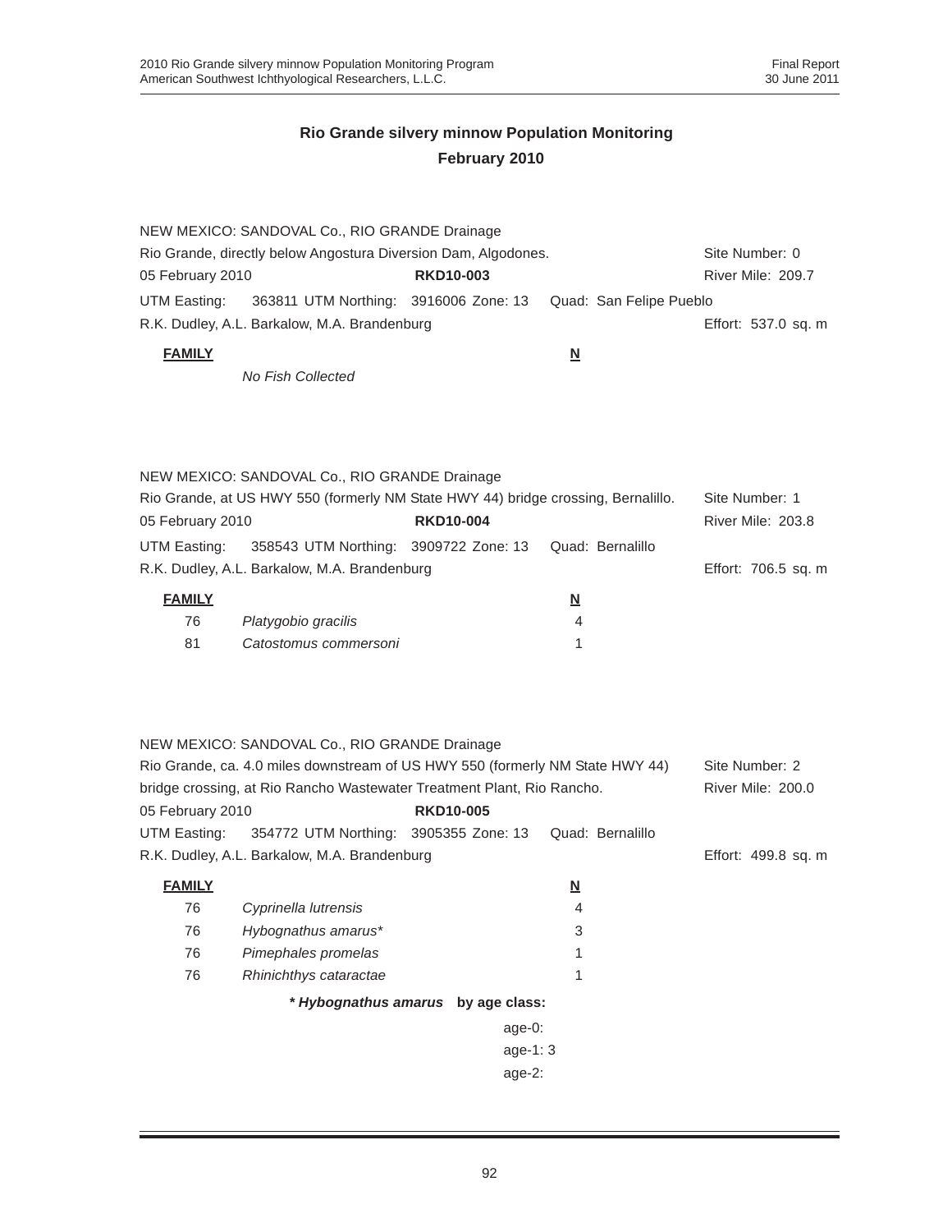|                  | NEW MEXICO: SANDOVAL Co., RIO GRANDE Drainage                                         |                                    |                          |                                     |
|------------------|---------------------------------------------------------------------------------------|------------------------------------|--------------------------|-------------------------------------|
| 05 February 2010 | Rio Grande, directly below Angostura Diversion Dam, Algodones.                        | <b>RKD10-003</b>                   |                          | Site Number: 0<br>River Mile: 209.7 |
|                  |                                                                                       |                                    |                          |                                     |
| UTM Easting:     | 363811 UTM Northing: 3916006 Zone: 13<br>R.K. Dudley, A.L. Barkalow, M.A. Brandenburg |                                    | Quad: San Felipe Pueblo  | Effort: 537.0 sq. m                 |
|                  |                                                                                       |                                    |                          |                                     |
| <b>FAMILY</b>    |                                                                                       |                                    | $\underline{\mathbf{N}}$ |                                     |
|                  | No Fish Collected                                                                     |                                    |                          |                                     |
|                  |                                                                                       |                                    |                          |                                     |
|                  |                                                                                       |                                    |                          |                                     |
|                  |                                                                                       |                                    |                          |                                     |
|                  | NEW MEXICO: SANDOVAL Co., RIO GRANDE Drainage                                         |                                    |                          |                                     |
| 05 February 2010 | Rio Grande, at US HWY 550 (formerly NM State HWY 44) bridge crossing, Bernalillo.     | <b>RKD10-004</b>                   |                          | Site Number: 1<br>River Mile: 203.8 |
|                  |                                                                                       |                                    | Quad: Bernalillo         |                                     |
| UTM Easting:     | 358543 UTM Northing: 3909722 Zone: 13<br>R.K. Dudley, A.L. Barkalow, M.A. Brandenburg |                                    |                          | Effort: 706.5 sq. m                 |
|                  |                                                                                       |                                    |                          |                                     |
| <b>FAMILY</b>    |                                                                                       |                                    | <u>N</u>                 |                                     |
| 76               | Platygobio gracilis                                                                   |                                    | 4                        |                                     |
| 81               | Catostomus commersoni                                                                 |                                    | 1                        |                                     |
|                  |                                                                                       |                                    |                          |                                     |
|                  |                                                                                       |                                    |                          |                                     |
|                  | NEW MEXICO: SANDOVAL Co., RIO GRANDE Drainage                                         |                                    |                          |                                     |
|                  | Rio Grande, ca. 4.0 miles downstream of US HWY 550 (formerly NM State HWY 44)         |                                    |                          | Site Number: 2                      |
|                  | bridge crossing, at Rio Rancho Wastewater Treatment Plant, Rio Rancho.                |                                    |                          | River Mile: 200.0                   |
| 05 February 2010 |                                                                                       | <b>RKD10-005</b>                   |                          |                                     |
| UTM Easting:     | 354772 UTM Northing: 3905355 Zone: 13                                                 |                                    | Quad: Bernalillo         |                                     |
|                  | R.K. Dudley, A.L. Barkalow, M.A. Brandenburg                                          |                                    |                          | Effort: 499.8 sq. m                 |
| <b>FAMILY</b>    |                                                                                       |                                    | <u>N</u>                 |                                     |
| 76               | Cyprinella lutrensis                                                                  |                                    | 4                        |                                     |
| 76               | Hybognathus amarus*                                                                   |                                    | 3                        |                                     |
| 76               | Pimephales promelas                                                                   |                                    | 1                        |                                     |
| 76               | Rhinichthys cataractae                                                                |                                    | 1                        |                                     |
|                  |                                                                                       | * Hybognathus amarus by age class: |                          |                                     |
|                  |                                                                                       | age-0:                             |                          |                                     |
|                  |                                                                                       | age-1: 3                           |                          |                                     |
|                  |                                                                                       | age-2:                             |                          |                                     |
|                  |                                                                                       |                                    |                          |                                     |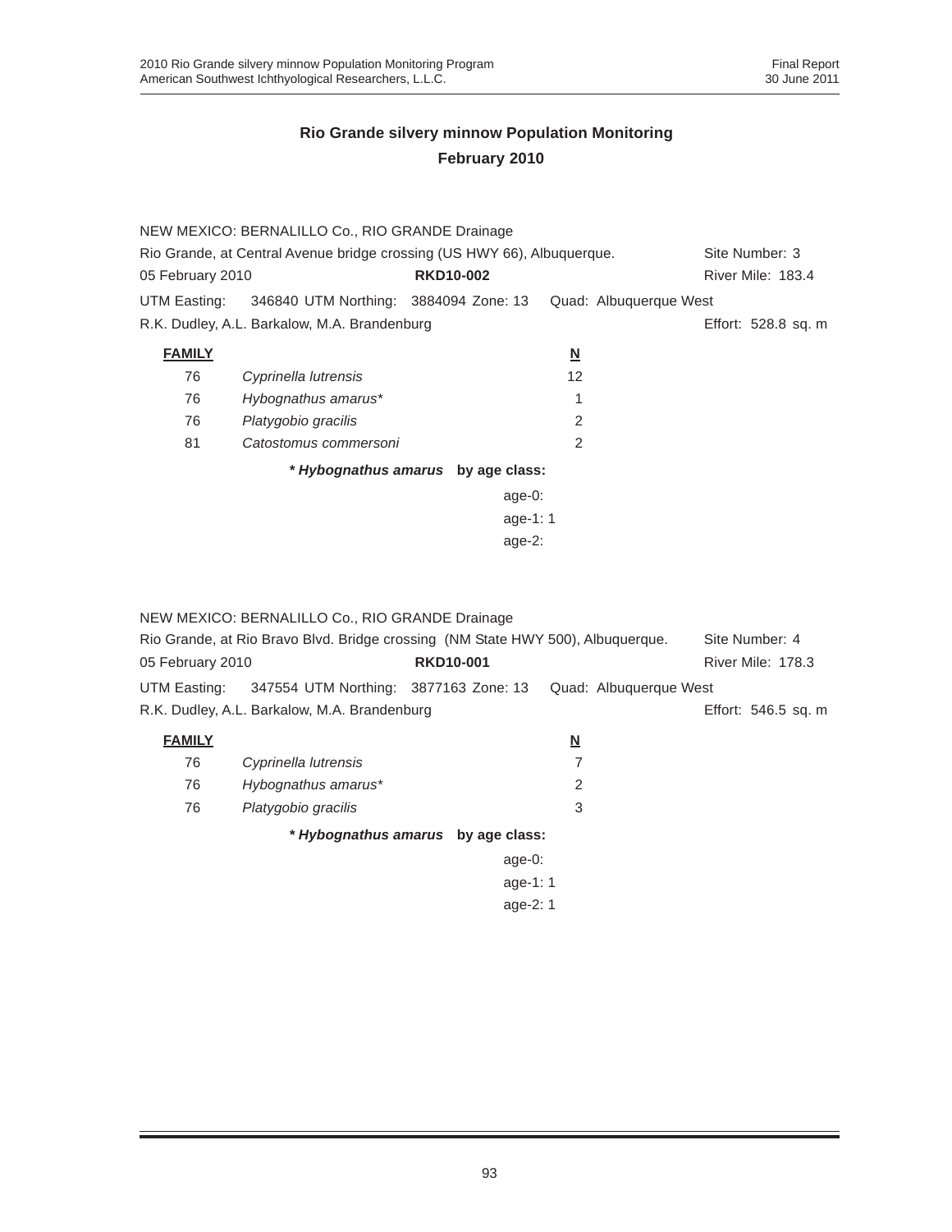|                                                                         | NEW MEXICO: BERNALILLO Co., RIO GRANDE Drainage |                                    |                          |                        |  |
|-------------------------------------------------------------------------|-------------------------------------------------|------------------------------------|--------------------------|------------------------|--|
| Rio Grande, at Central Avenue bridge crossing (US HWY 66), Albuquerque. | Site Number: 3                                  |                                    |                          |                        |  |
| 05 February 2010                                                        |                                                 | <b>RKD10-002</b>                   |                          | River Mile: 183.4      |  |
| UTM Easting:                                                            | 346840 UTM Northing: 3884094 Zone: 13           |                                    |                          | Quad: Albuquerque West |  |
|                                                                         | R.K. Dudley, A.L. Barkalow, M.A. Brandenburg    |                                    |                          | Effort: 528.8 sq. m    |  |
| <b>FAMILY</b>                                                           |                                                 |                                    | $\underline{\mathbf{N}}$ |                        |  |
| 76                                                                      | Cyprinella lutrensis                            |                                    | 12                       |                        |  |
| 76                                                                      | Hybognathus amarus*                             |                                    |                          |                        |  |
| 76                                                                      | Platygobio gracilis                             |                                    | $\overline{2}$           |                        |  |
| 81                                                                      | Catostomus commersoni                           |                                    | $\mathfrak{p}$           |                        |  |
|                                                                         |                                                 | * Hybognathus amarus by age class: |                          |                        |  |
|                                                                         |                                                 | age- $0$ :                         |                          |                        |  |
|                                                                         |                                                 | age-1: $1$                         |                          |                        |  |
| age- $2:$                                                               |                                                 |                                    |                          |                        |  |
|                                                                         |                                                 |                                    |                          |                        |  |
|                                                                         |                                                 |                                    |                          |                        |  |
|                                                                         | NEW MEXICO: BERNALILLO Co., RIO GRANDE Drainage |                                    |                          |                        |  |

|                  | Rio Grande, at Rio Bravo Blvd. Bridge crossing (NM State HWY 500), Albuquerque. |                                    |                          | Site Number: 4           |
|------------------|---------------------------------------------------------------------------------|------------------------------------|--------------------------|--------------------------|
| 05 February 2010 |                                                                                 | <b>RKD10-001</b>                   |                          | <b>River Mile: 178.3</b> |
| UTM Easting:     | 347554 UTM Northing: 3877163 Zone: 13                                           |                                    | Quad: Albuquerque West   |                          |
|                  | R.K. Dudley, A.L. Barkalow, M.A. Brandenburg                                    |                                    |                          | Effort: 546.5 sq. m      |
| <b>FAMILY</b>    |                                                                                 |                                    | $\underline{\mathbf{N}}$ |                          |
| 76               | Cyprinella lutrensis                                                            |                                    | 7                        |                          |
| 76               | Hybognathus amarus*                                                             |                                    | 2                        |                          |
| 76               | Platygobio gracilis                                                             |                                    | 3                        |                          |
|                  |                                                                                 | * Hybognathus amarus by age class: |                          |                          |
|                  |                                                                                 | age- $0$ :                         |                          |                          |
|                  |                                                                                 | age-1: 1                           |                          |                          |
|                  |                                                                                 | age-2: 1                           |                          |                          |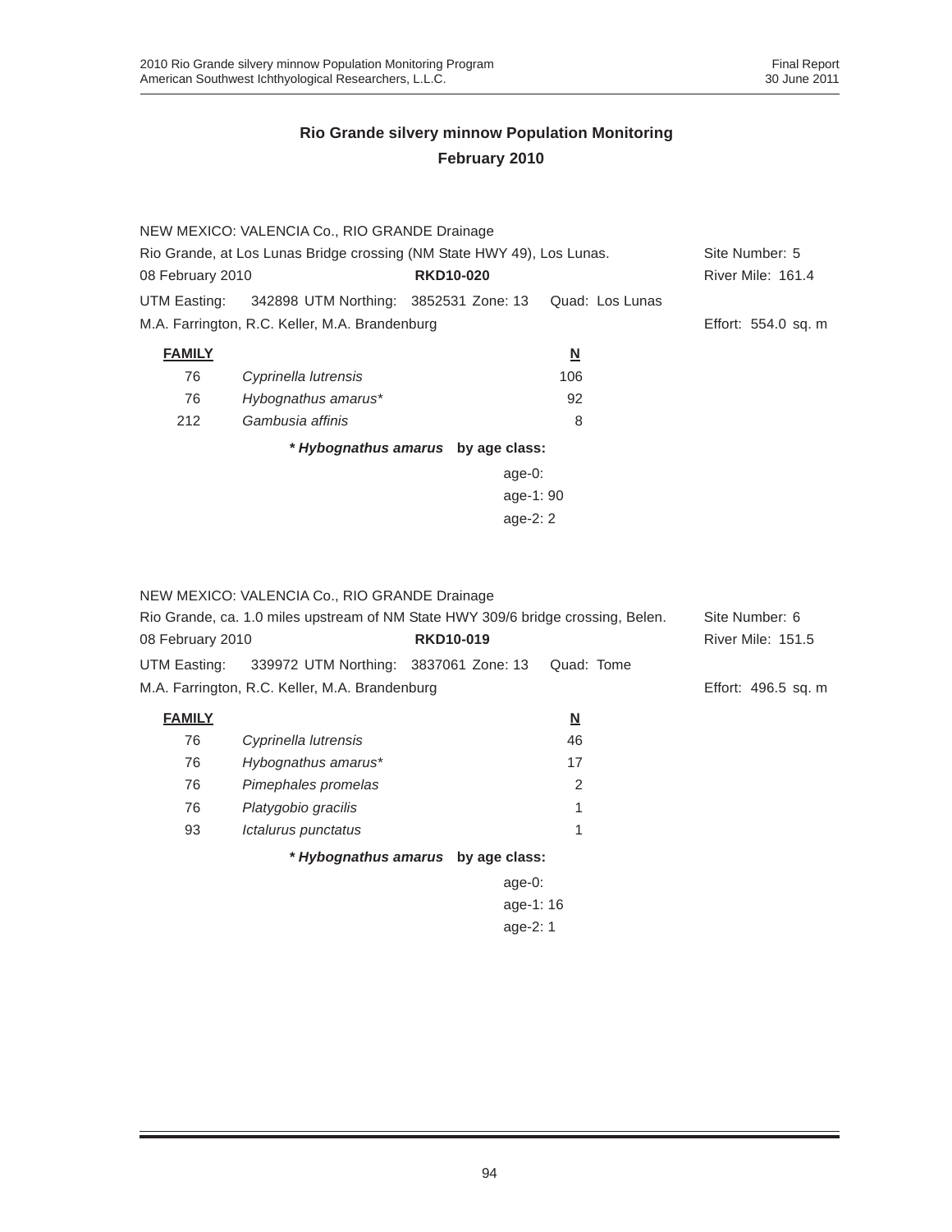| NEW MEXICO: VALENCIA Co., RIO GRANDE Drainage  |                         |                                                                                                                                                      |  |  |  |
|------------------------------------------------|-------------------------|------------------------------------------------------------------------------------------------------------------------------------------------------|--|--|--|
|                                                |                         | Site Number: 5                                                                                                                                       |  |  |  |
| <b>RKD10-020</b>                               |                         | River Mile: 161.4                                                                                                                                    |  |  |  |
|                                                | Quad: Los Lunas         |                                                                                                                                                      |  |  |  |
| M.A. Farrington, R.C. Keller, M.A. Brandenburg |                         | Effort: 554.0 sq. m                                                                                                                                  |  |  |  |
|                                                | $\overline{\mathbf{N}}$ |                                                                                                                                                      |  |  |  |
|                                                | 106                     |                                                                                                                                                      |  |  |  |
|                                                | 92                      |                                                                                                                                                      |  |  |  |
|                                                | 8                       |                                                                                                                                                      |  |  |  |
| * Hybognathus amarus by age class:             |                         |                                                                                                                                                      |  |  |  |
|                                                |                         |                                                                                                                                                      |  |  |  |
| age-1: 90                                      |                         |                                                                                                                                                      |  |  |  |
|                                                |                         |                                                                                                                                                      |  |  |  |
|                                                |                         | Rio Grande, at Los Lunas Bridge crossing (NM State HWY 49), Los Lunas.<br>UTM Easting: 342898 UTM Northing: 3852531 Zone: 13<br>age-0:<br>age- $2:2$ |  |  |  |

#### NEW MEXICO: VALENCIA Co., RIO GRANDE Drainage

| Rio Grande, ca. 1.0 miles upstream of NM State HWY 309/6 bridge crossing, Belen. |                  |                                                                                         |                                                                |
|----------------------------------------------------------------------------------|------------------|-----------------------------------------------------------------------------------------|----------------------------------------------------------------|
| 08 February 2010                                                                 | <b>RKD10-019</b> |                                                                                         | River Mile: 151.5                                              |
|                                                                                  |                  | Quad: Tome                                                                              |                                                                |
|                                                                                  |                  |                                                                                         | Effort: 496.5 sq. m                                            |
|                                                                                  |                  | $\overline{\mathsf{M}}$                                                                 |                                                                |
| Cyprinella lutrensis                                                             |                  | 46                                                                                      |                                                                |
| Hybognathus amarus*                                                              |                  | 17                                                                                      |                                                                |
| Pimephales promelas                                                              |                  | 2                                                                                       |                                                                |
| Platygobio gracilis                                                              |                  | 1                                                                                       |                                                                |
| Ictalurus punctatus                                                              |                  | 1                                                                                       |                                                                |
|                                                                                  |                  |                                                                                         |                                                                |
|                                                                                  |                  |                                                                                         |                                                                |
|                                                                                  |                  |                                                                                         |                                                                |
|                                                                                  |                  | 339972 UTM Northing: 3837061 Zone: 13<br>M.A. Farrington, R.C. Keller, M.A. Brandenburg | * Hybognathus amarus by age class:<br>age- $0:$<br>age-1: $16$ |

age-2: 1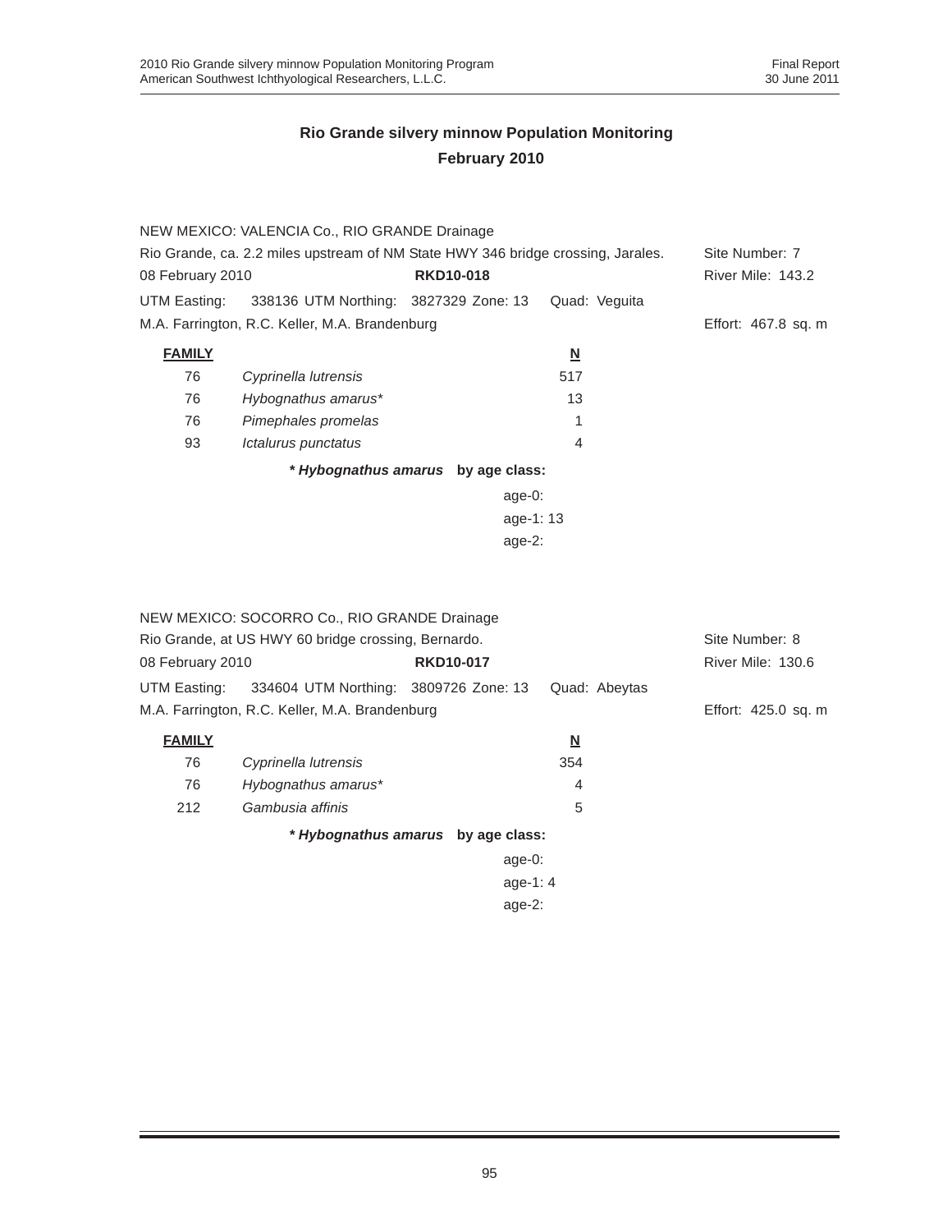|                                      | NEW MEXICO: VALENCIA Co., RIO GRANDE Drainage                                    |                                    |                          |                          |
|--------------------------------------|----------------------------------------------------------------------------------|------------------------------------|--------------------------|--------------------------|
|                                      | Rio Grande, ca. 2.2 miles upstream of NM State HWY 346 bridge crossing, Jarales. |                                    |                          | Site Number: 7           |
| 08 February 2010                     |                                                                                  | <b>RKD10-018</b>                   |                          | <b>River Mile: 143.2</b> |
| UTM Easting:                         | 338136 UTM Northing: 3827329 Zone: 13                                            |                                    | Quad: Veguita            |                          |
|                                      | M.A. Farrington, R.C. Keller, M.A. Brandenburg                                   |                                    |                          | Effort: 467.8 sq. m      |
| <b>FAMILY</b>                        |                                                                                  |                                    | $\underline{\mathsf{N}}$ |                          |
| 76                                   | Cyprinella lutrensis                                                             |                                    | 517                      |                          |
| 76                                   | Hybognathus amarus*                                                              |                                    | 13                       |                          |
| 76                                   | Pimephales promelas                                                              |                                    |                          |                          |
| 93                                   | Ictalurus punctatus                                                              |                                    | 4                        |                          |
|                                      |                                                                                  | * Hybognathus amarus by age class: |                          |                          |
|                                      |                                                                                  | age-0:                             |                          |                          |
|                                      |                                                                                  | age-1:13                           |                          |                          |
|                                      |                                                                                  | age-2:                             |                          |                          |
|                                      |                                                                                  |                                    |                          |                          |
|                                      |                                                                                  |                                    |                          |                          |
|                                      | NEW MEXICO: SOCORRO Co., RIO GRANDE Drainage                                     |                                    |                          |                          |
|                                      | Rio Grande, at US HWY 60 bridge crossing, Bernardo.                              |                                    |                          | Site Number: 8           |
| 08 February 2010<br><b>RKD10-017</b> |                                                                                  |                                    |                          | River Mile: 130.6        |

| <b>VU I GUIGUIY LUIU</b> |                                                                   | . |     | $1.1110 - 1.11110 - 1.0010$ |
|--------------------------|-------------------------------------------------------------------|---|-----|-----------------------------|
|                          | UTM Easting: 334604 UTM Northing: 3809726 Zone: 13  Quad: Abeytas |   |     |                             |
|                          | M.A. Farrington, R.C. Keller, M.A. Brandenburg                    |   |     | Effort: 425.0 sq. m         |
| <b>FAMILY</b>            |                                                                   |   | N   |                             |
| 76                       | Cyprinella lutrensis                                              |   | 354 |                             |
| 76                       | Hyboanathus amarus*                                               |   |     |                             |

|     | * Hybognathus amarus by age class: |  |
|-----|------------------------------------|--|
| 212 | Gambusia affinis                   |  |
| 76  | Hybognathus amarus*                |  |

| $age-0$ : |
|-----------|
| age-1: 4  |
| $age-2$ : |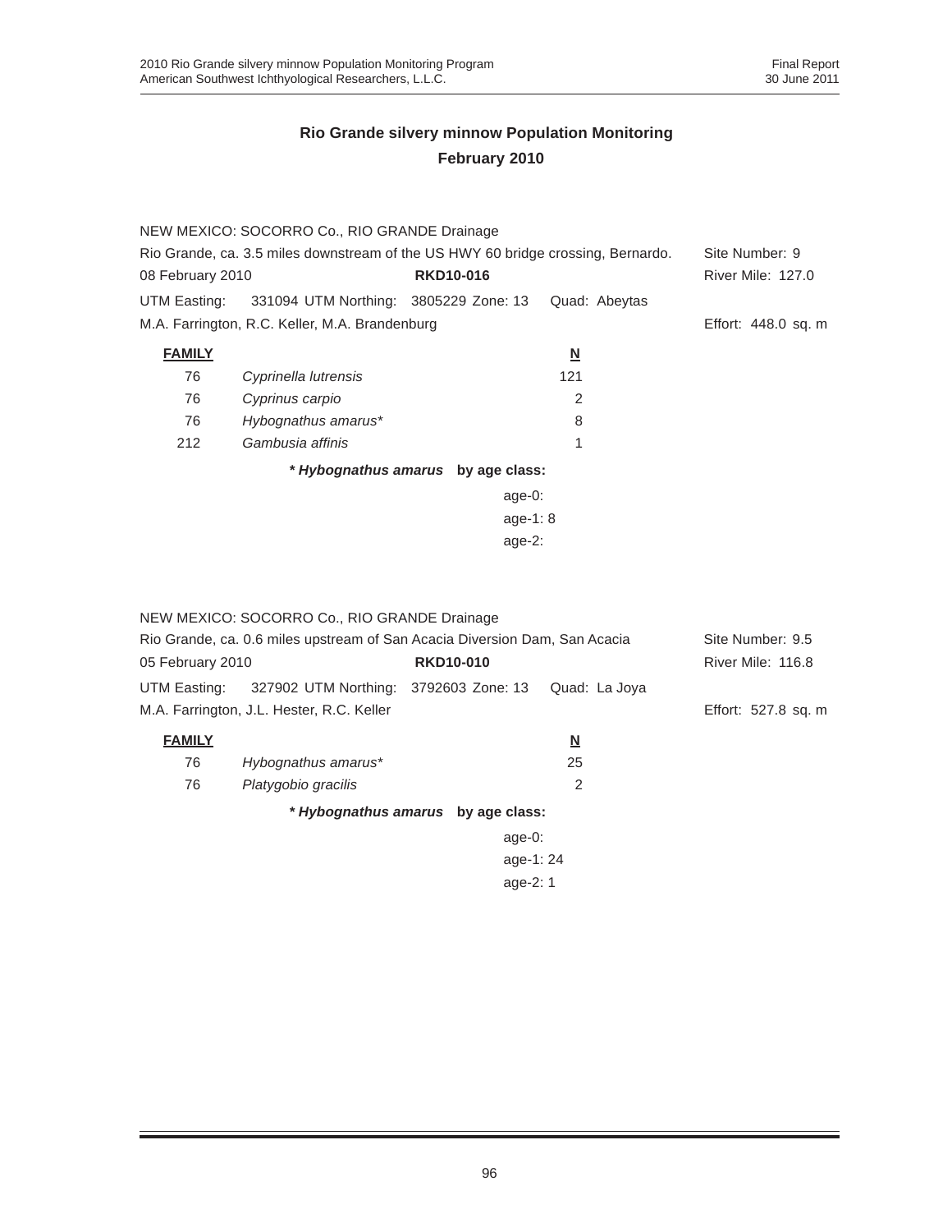| NEW MEXICO: SOCORRO Co., RIO GRANDE Drainage |                                                                                  |                                    |                          |                          |  |
|----------------------------------------------|----------------------------------------------------------------------------------|------------------------------------|--------------------------|--------------------------|--|
|                                              | Rio Grande, ca. 3.5 miles downstream of the US HWY 60 bridge crossing, Bernardo. |                                    |                          | Site Number: 9           |  |
| 08 February 2010                             |                                                                                  | <b>RKD10-016</b>                   |                          | <b>River Mile: 127.0</b> |  |
|                                              | UTM Easting: 331094 UTM Northing: 3805229 Zone: 13                               |                                    | Quad: Abeytas            |                          |  |
|                                              | M.A. Farrington, R.C. Keller, M.A. Brandenburg                                   |                                    |                          | Effort: 448.0 sq. m      |  |
| <b>FAMILY</b>                                |                                                                                  |                                    | $\underline{\mathsf{N}}$ |                          |  |
| 76                                           | Cyprinella lutrensis                                                             |                                    | 121                      |                          |  |
| 76                                           | Cyprinus carpio                                                                  |                                    | 2                        |                          |  |
| 76                                           | Hybognathus amarus*                                                              |                                    | 8                        |                          |  |
| 212                                          | Gambusia affinis                                                                 |                                    | 1                        |                          |  |
|                                              |                                                                                  | * Hybognathus amarus by age class: |                          |                          |  |
|                                              |                                                                                  | age- $0:$                          |                          |                          |  |
| age-1: $8$                                   |                                                                                  |                                    |                          |                          |  |
| age- $2:$                                    |                                                                                  |                                    |                          |                          |  |
|                                              |                                                                                  |                                    |                          |                          |  |

|                                                                            | NEW MEXICO: SOCORRO Co., RIO GRANDE Drainage |                                    |                          |                     |
|----------------------------------------------------------------------------|----------------------------------------------|------------------------------------|--------------------------|---------------------|
| Rio Grande, ca. 0.6 miles upstream of San Acacia Diversion Dam, San Acacia |                                              |                                    |                          | Site Number: 9.5    |
| 05 February 2010                                                           |                                              | <b>RKD10-010</b>                   |                          | River Mile: 116.8   |
| UTM Easting:                                                               | 327902 UTM Northing: 3792603 Zone: 13        |                                    | Quad: La Joya            |                     |
|                                                                            | M.A. Farrington, J.L. Hester, R.C. Keller    |                                    |                          | Effort: 527.8 sq. m |
| <b>FAMILY</b>                                                              |                                              |                                    | $\underline{\mathbf{N}}$ |                     |
| 76                                                                         | Hybognathus amarus*                          |                                    | 25                       |                     |
| 76                                                                         | Platygobio gracilis                          |                                    | 2                        |                     |
|                                                                            |                                              | * Hybognathus amarus by age class: |                          |                     |
|                                                                            |                                              | age- $0$ :                         |                          |                     |
|                                                                            |                                              | age-1:24                           |                          |                     |
|                                                                            |                                              | age-2: 1                           |                          |                     |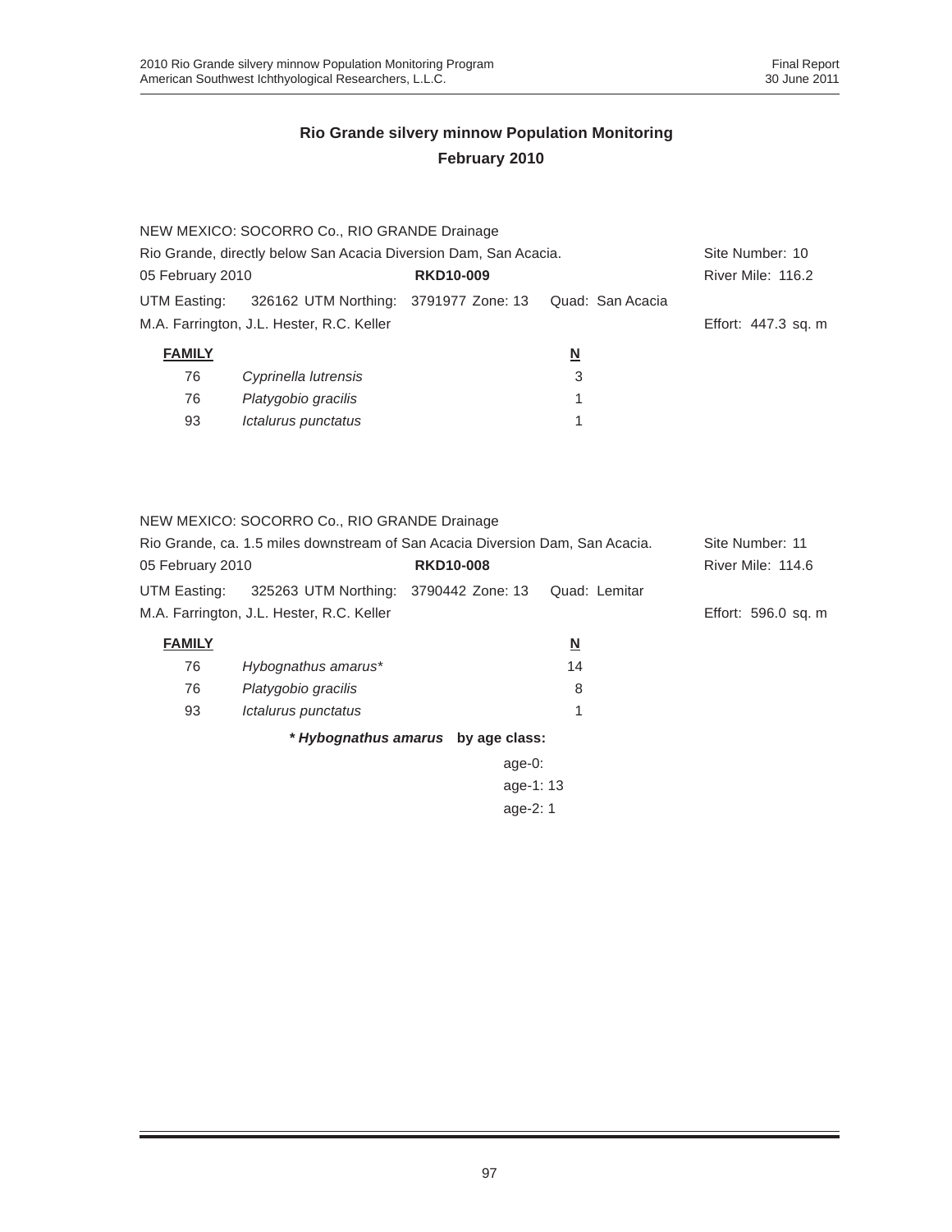|                                                                  | NEW MEXICO: SOCORRO Co., RIO GRANDE Drainage                        |  |                   |                     |
|------------------------------------------------------------------|---------------------------------------------------------------------|--|-------------------|---------------------|
| Rio Grande, directly below San Acacia Diversion Dam, San Acacia. |                                                                     |  |                   | Site Number: 10     |
| <b>RKD10-009</b><br>05 February 2010                             |                                                                     |  | River Mile: 116.2 |                     |
|                                                                  | UTM Easting: 326162 UTM Northing: 3791977 Zone: 13 Quad: San Acacia |  |                   |                     |
|                                                                  | M.A. Farrington, J.L. Hester, R.C. Keller                           |  |                   | Effort: 447.3 sq. m |
| <b>FAMILY</b>                                                    |                                                                     |  | <u>N</u>          |                     |
| 76                                                               | Cyprinella lutrensis                                                |  | 3                 |                     |
| 76                                                               | Platygobio gracilis                                                 |  | 1                 |                     |
| 93                                                               | Ictalurus punctatus                                                 |  |                   |                     |
|                                                                  |                                                                     |  |                   |                     |

NEW MEXICO: SOCORRO Co., RIO GRANDE Drainage Rio Grande, ca. 1.5 miles downstream of San Acacia Diversion Dam, San Acacia. Site Number: 11 05 February 2010 **RKD10-008** RKD10-008 River Mile: 114.6

UTM Easting: 325263 UTM Northing: 3790442 Zone: 13 Quad: Lemitar M.A. Farrington, J.L. Hester, R.C. Keller Ethorson and Theorem Effort: 596.0 sq. m

| <b>FAMILY</b> |                     | N  |  |
|---------------|---------------------|----|--|
| 76            | Hybognathus amarus* | 14 |  |
| 76            | Platygobio gracilis | 8  |  |
| 93            | Ictalurus punctatus |    |  |
|               |                     |    |  |

*\* Hybognathus amarus* **by age class:**

age-0: age-1: 13 age-2: 1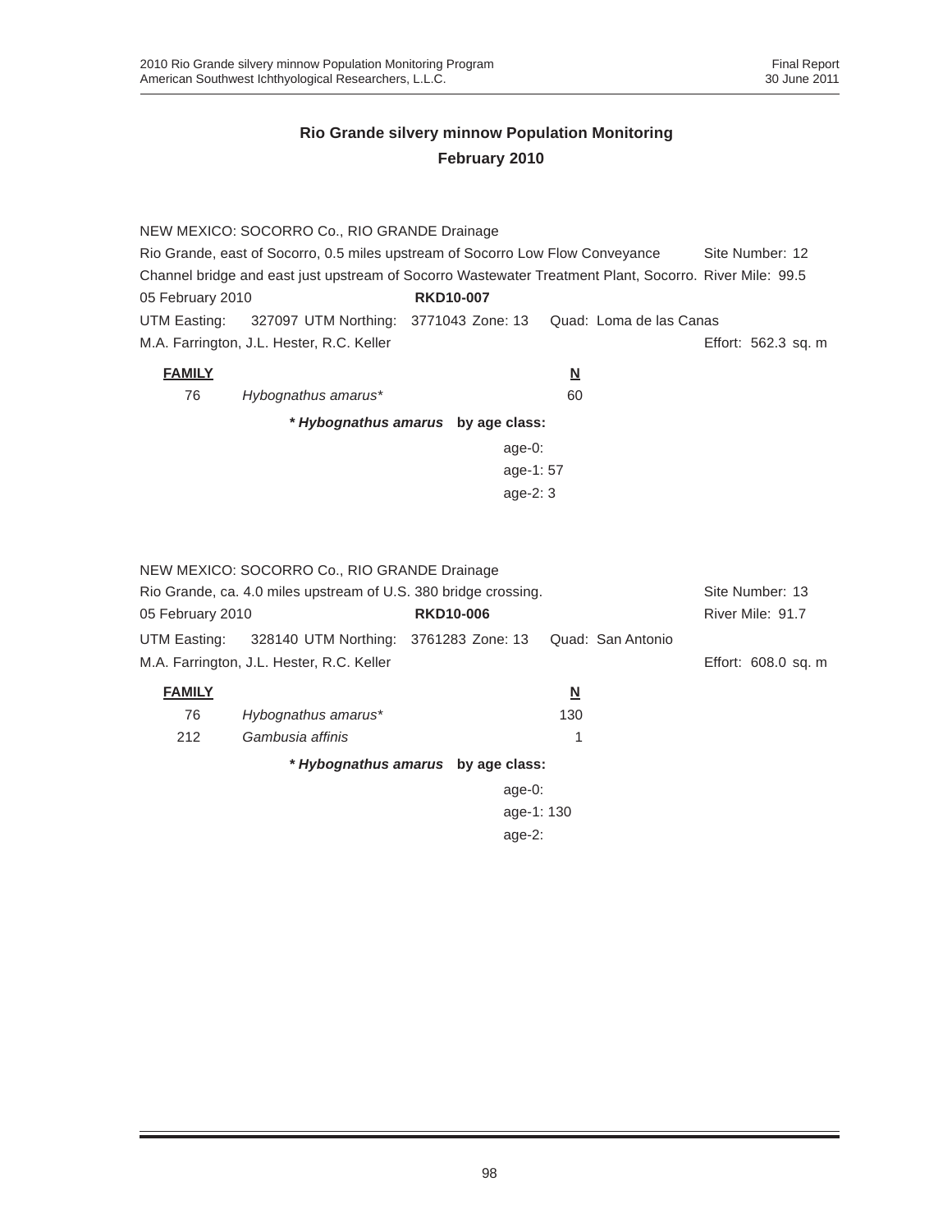|                                                                                | NEW MEXICO: SOCORRO Co., RIO GRANDE Drainage                                                           |                                    |          |                         |                     |  |
|--------------------------------------------------------------------------------|--------------------------------------------------------------------------------------------------------|------------------------------------|----------|-------------------------|---------------------|--|
| Rio Grande, east of Socorro, 0.5 miles upstream of Socorro Low Flow Conveyance |                                                                                                        |                                    |          |                         | Site Number: 12     |  |
| 05 February 2010                                                               | Channel bridge and east just upstream of Socorro Wastewater Treatment Plant, Socorro. River Mile: 99.5 | <b>RKD10-007</b>                   |          |                         |                     |  |
| UTM Easting:                                                                   | 327097 UTM Northing: 3771043 Zone: 13                                                                  |                                    |          | Quad: Loma de las Canas |                     |  |
|                                                                                | M.A. Farrington, J.L. Hester, R.C. Keller                                                              |                                    |          |                         | Effort: 562.3 sq. m |  |
| <b>FAMILY</b>                                                                  |                                                                                                        |                                    | <u>N</u> |                         |                     |  |
| 76                                                                             | Hybognathus amarus*                                                                                    |                                    | 60       |                         |                     |  |
|                                                                                |                                                                                                        | * Hybognathus amarus by age class: |          |                         |                     |  |
|                                                                                |                                                                                                        | $age-0$ :                          |          |                         |                     |  |
|                                                                                |                                                                                                        | age-1:57                           |          |                         |                     |  |
|                                                                                |                                                                                                        | age- $2:3$                         |          |                         |                     |  |
|                                                                                |                                                                                                        |                                    |          |                         |                     |  |
|                                                                                |                                                                                                        |                                    |          |                         |                     |  |
|                                                                                | NEW MEXICO: SOCORRO Co., RIO GRANDE Drainage                                                           |                                    |          |                         |                     |  |
|                                                                                | Rio Grande, ca. 4.0 miles upstream of U.S. 380 bridge crossing.                                        |                                    |          |                         | Site Number: 13     |  |
| 05 February 2010                                                               |                                                                                                        | <b>RKD10-006</b>                   |          |                         | River Mile: 91.7    |  |
| UTM Easting:                                                                   | 328140 UTM Northing: 3761283 Zone: 13                                                                  |                                    |          | Quad: San Antonio       |                     |  |
|                                                                                | M.A. Farrington, J.L. Hester, R.C. Keller                                                              |                                    |          |                         | Effort: 608.0 sq. m |  |
| <b>FAMILY</b>                                                                  |                                                                                                        |                                    | N        |                         |                     |  |
| 76                                                                             | Hybognathus amarus*                                                                                    |                                    | 130      |                         |                     |  |
| 212                                                                            | Gambusia affinis                                                                                       |                                    | 1        |                         |                     |  |
| * Hybognathus amarus by age class:                                             |                                                                                                        |                                    |          |                         |                     |  |
|                                                                                | $age-0$ :                                                                                              |                                    |          |                         |                     |  |
|                                                                                |                                                                                                        | age-1: 130                         |          |                         |                     |  |
|                                                                                |                                                                                                        | age- $2:$                          |          |                         |                     |  |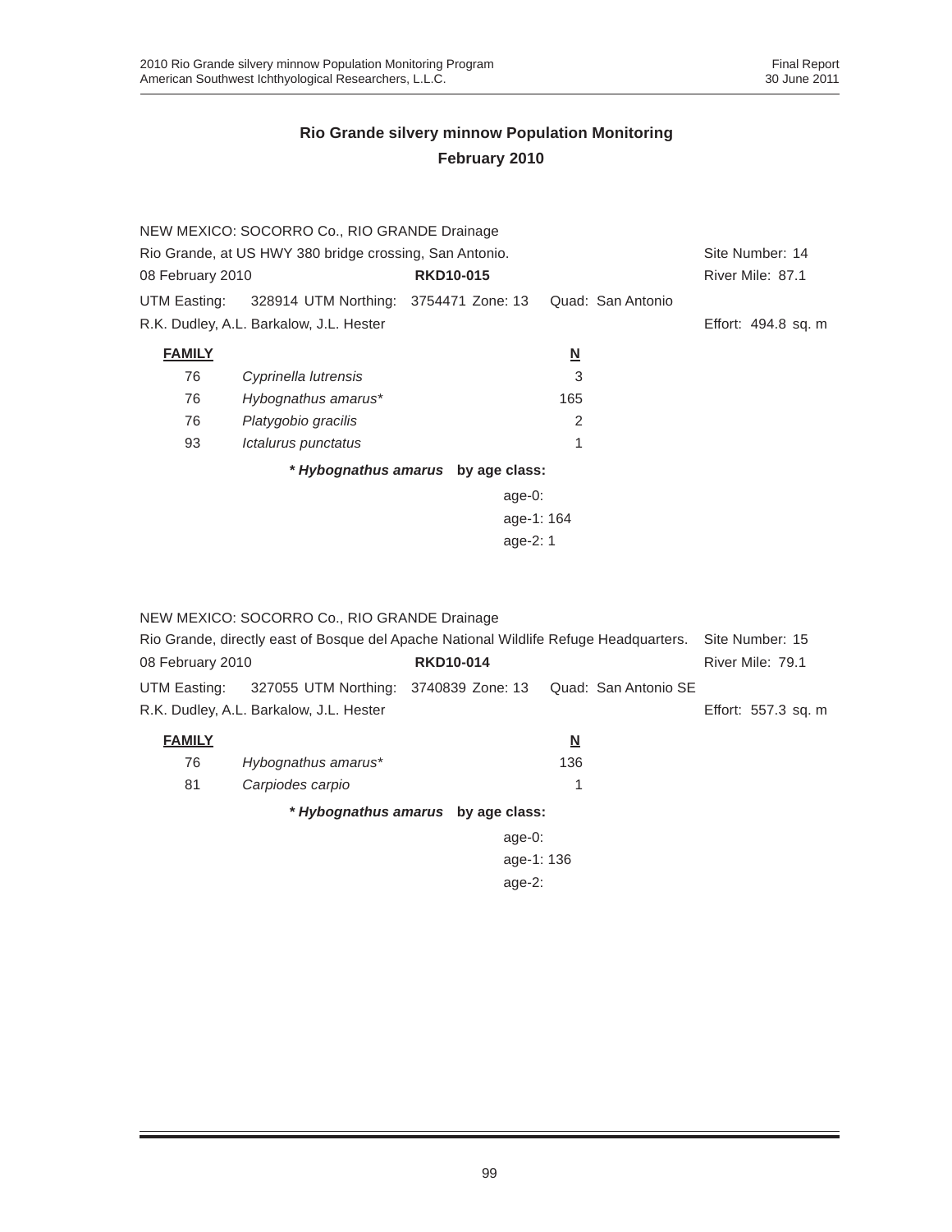|                                                         | NEW MEXICO: SOCORRO Co., RIO GRANDE Drainage       |                  |                          |                   |                     |  |  |
|---------------------------------------------------------|----------------------------------------------------|------------------|--------------------------|-------------------|---------------------|--|--|
| Rio Grande, at US HWY 380 bridge crossing, San Antonio. | Site Number: 14                                    |                  |                          |                   |                     |  |  |
| 08 February 2010                                        |                                                    | <b>RKD10-015</b> |                          |                   | River Mile: 87.1    |  |  |
|                                                         | UTM Easting: 328914 UTM Northing: 3754471 Zone: 13 |                  |                          | Quad: San Antonio |                     |  |  |
|                                                         | R.K. Dudley, A.L. Barkalow, J.L. Hester            |                  |                          |                   | Effort: 494.8 sq. m |  |  |
| <b>FAMILY</b>                                           |                                                    |                  | $\underline{\mathsf{N}}$ |                   |                     |  |  |
| 76                                                      | Cyprinella lutrensis                               |                  | 3                        |                   |                     |  |  |
| 76                                                      | Hybognathus amarus*                                |                  | 165                      |                   |                     |  |  |
| 76                                                      | Platygobio gracilis                                |                  | 2                        |                   |                     |  |  |
| 93                                                      | Ictalurus punctatus                                |                  |                          |                   |                     |  |  |
| * Hybognathus amarus by age class:                      |                                                    |                  |                          |                   |                     |  |  |
|                                                         |                                                    | age-0:           |                          |                   |                     |  |  |
|                                                         |                                                    |                  | age-1: 164               |                   |                     |  |  |
|                                                         |                                                    | age-2: 1         |                          |                   |                     |  |  |
|                                                         |                                                    |                  |                          |                   |                     |  |  |

|                                                                                       | NEW MEXICO: SOCORRO Co., RIO GRANDE Drainage                            |  |                  |                          |  |                 |                     |
|---------------------------------------------------------------------------------------|-------------------------------------------------------------------------|--|------------------|--------------------------|--|-----------------|---------------------|
| Rio Grande, directly east of Bosque del Apache National Wildlife Refuge Headquarters. |                                                                         |  |                  |                          |  | Site Number: 15 |                     |
| 08 February 2010                                                                      |                                                                         |  | <b>RKD10-014</b> |                          |  |                 | River Mile: 79.1    |
|                                                                                       | UTM Easting: 327055 UTM Northing: 3740839 Zone: 13 Quad: San Antonio SE |  |                  |                          |  |                 |                     |
|                                                                                       | R.K. Dudley, A.L. Barkalow, J.L. Hester                                 |  |                  |                          |  |                 | Effort: 557.3 sq. m |
| <b>FAMILY</b>                                                                         |                                                                         |  |                  | $\underline{\mathsf{N}}$ |  |                 |                     |
| 76                                                                                    | Hybognathus amarus*                                                     |  |                  | 136                      |  |                 |                     |
| 81                                                                                    | Carpiodes carpio                                                        |  |                  |                          |  |                 |                     |
| * Hybognathus amarus by age class:                                                    |                                                                         |  |                  |                          |  |                 |                     |
|                                                                                       |                                                                         |  | age- $0:$        |                          |  |                 |                     |
|                                                                                       |                                                                         |  | age-1: 136       |                          |  |                 |                     |
|                                                                                       |                                                                         |  | $age-2$ :        |                          |  |                 |                     |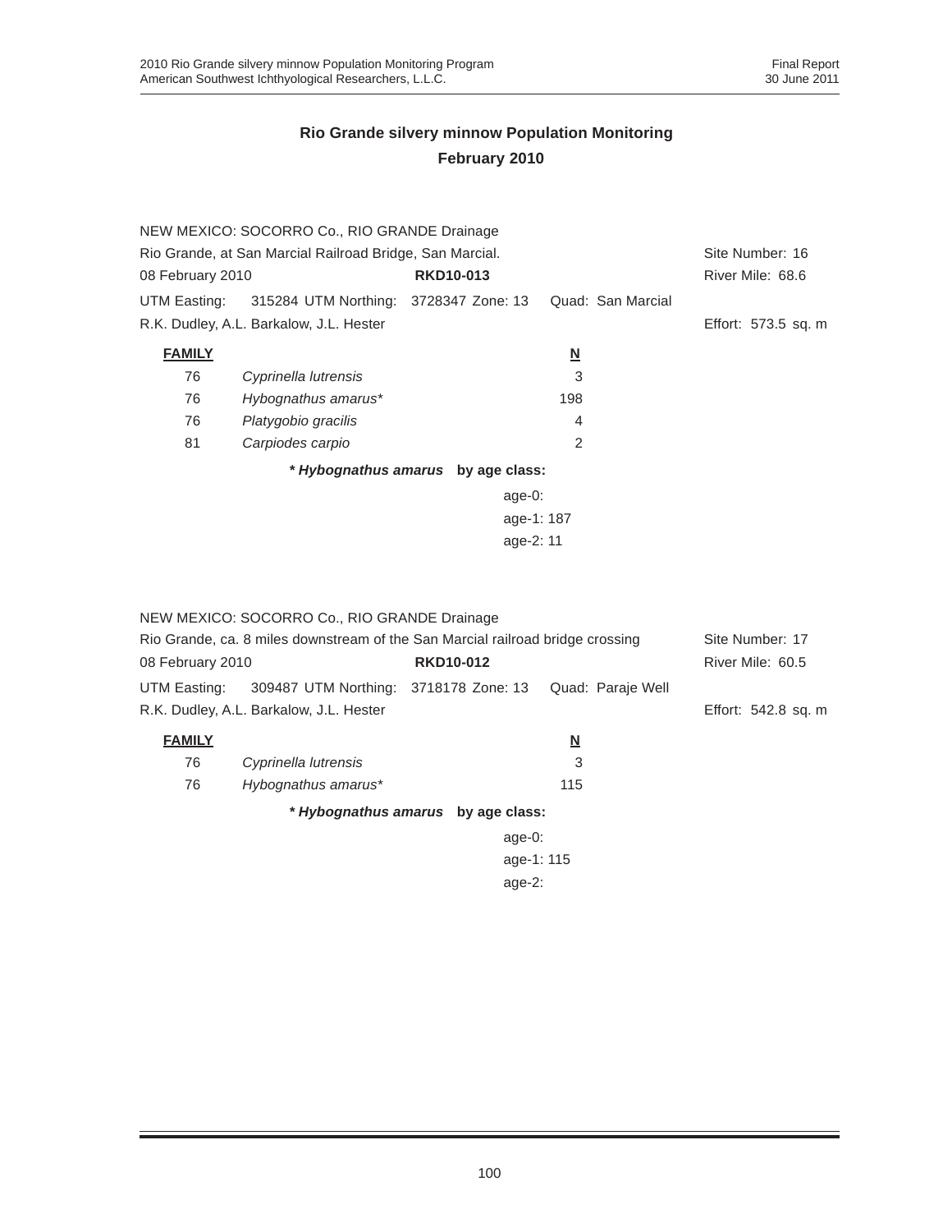|                                                          | NEW MEXICO: SOCORRO Co., RIO GRANDE Drainage |                                    |                          |                     |
|----------------------------------------------------------|----------------------------------------------|------------------------------------|--------------------------|---------------------|
| Rio Grande, at San Marcial Railroad Bridge, San Marcial. | Site Number: 16                              |                                    |                          |                     |
| 08 February 2010                                         |                                              | <b>RKD10-013</b>                   | River Mile: 68.6         |                     |
| UTM Easting:                                             | 315284 UTM Northing: 3728347 Zone: 13        |                                    | Quad: San Marcial        |                     |
|                                                          | R.K. Dudley, A.L. Barkalow, J.L. Hester      |                                    |                          | Effort: 573.5 sq. m |
| <b>FAMILY</b>                                            |                                              |                                    | $\underline{\mathsf{N}}$ |                     |
| 76                                                       | Cyprinella lutrensis                         |                                    | 3                        |                     |
| 76                                                       | Hybognathus amarus*                          |                                    | 198                      |                     |
| 76                                                       | Platygobio gracilis                          |                                    | 4                        |                     |
| 81                                                       | Carpiodes carpio                             |                                    | $\mathfrak{p}$           |                     |
|                                                          |                                              | * Hybognathus amarus by age class: |                          |                     |
|                                                          |                                              | age- $0$ :                         |                          |                     |
|                                                          |                                              |                                    |                          |                     |
|                                                          |                                              |                                    |                          |                     |
|                                                          |                                              |                                    |                          |                     |

|                                                                                | NEW MEXICO: SOCORRO Co., RIO GRANDE Drainage |                                    |                          |                     |
|--------------------------------------------------------------------------------|----------------------------------------------|------------------------------------|--------------------------|---------------------|
| Rio Grande, ca. 8 miles downstream of the San Marcial railroad bridge crossing | Site Number: 17                              |                                    |                          |                     |
| 08 February 2010                                                               |                                              | <b>RKD10-012</b>                   | River Mile: 60.5         |                     |
| UTM Easting:                                                                   | 309487 UTM Northing: 3718178 Zone: 13        |                                    | Quad: Paraje Well        |                     |
|                                                                                | R.K. Dudley, A.L. Barkalow, J.L. Hester      |                                    |                          | Effort: 542.8 sq. m |
| <b>FAMILY</b>                                                                  |                                              |                                    | $\underline{\mathbf{N}}$ |                     |
| 76                                                                             | Cyprinella lutrensis                         |                                    | 3                        |                     |
| 76                                                                             | Hybognathus amarus*                          |                                    | 115                      |                     |
|                                                                                |                                              | * Hybognathus amarus by age class: |                          |                     |
|                                                                                |                                              | age- $0$ :                         |                          |                     |
|                                                                                |                                              |                                    |                          |                     |
|                                                                                |                                              |                                    |                          |                     |
|                                                                                |                                              |                                    |                          |                     |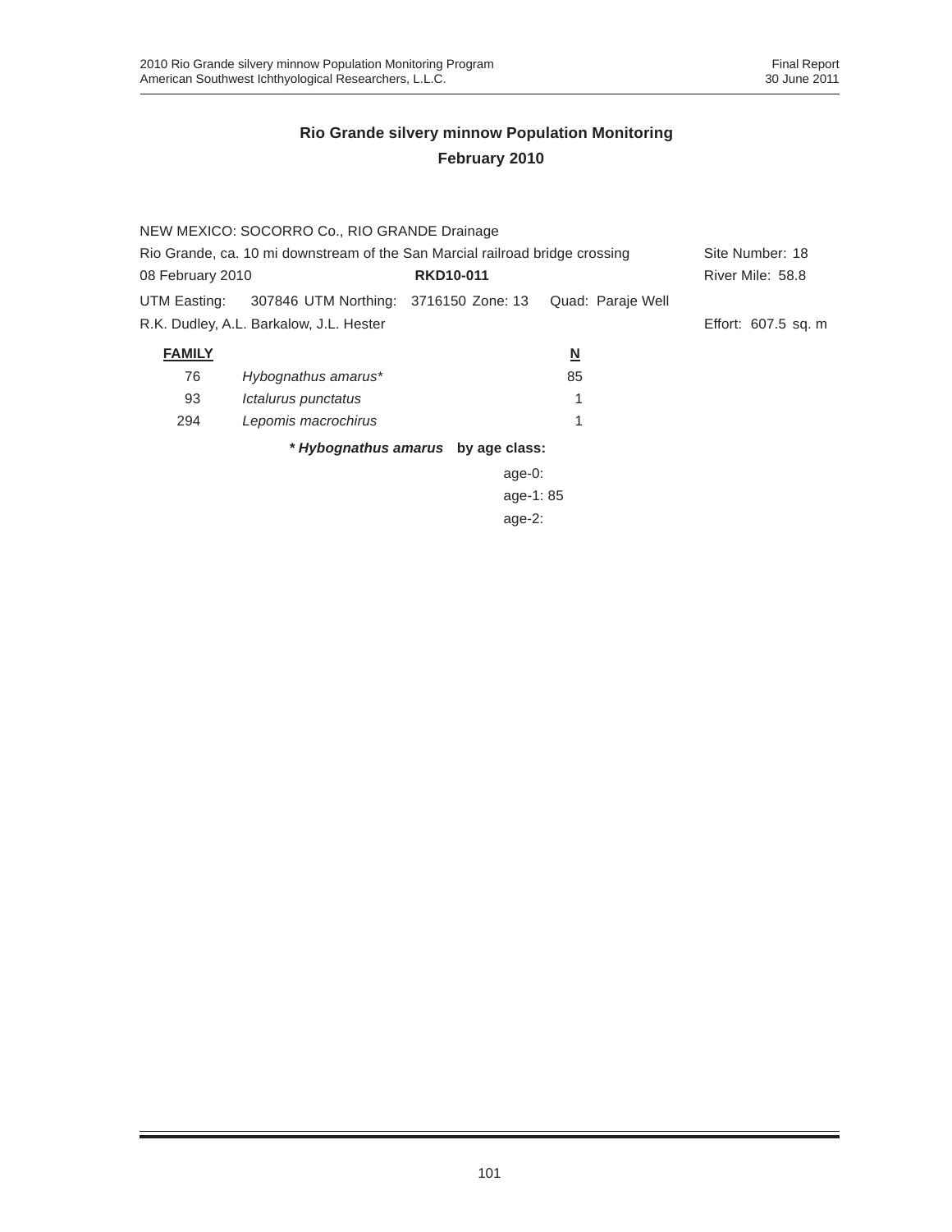|                                                                              | NEW MEXICO: SOCORRO Co., RIO GRANDE Drainage |                                    |                          |                     |
|------------------------------------------------------------------------------|----------------------------------------------|------------------------------------|--------------------------|---------------------|
| Rio Grande, ca. 10 mi downstream of the San Marcial railroad bridge crossing |                                              |                                    |                          | Site Number: 18     |
| 08 February 2010                                                             |                                              | <b>RKD10-011</b>                   |                          | River Mile: 58.8    |
| UTM Easting:                                                                 | 307846 UTM Northing: 3716150 Zone: 13        |                                    | Quad: Paraje Well        |                     |
|                                                                              | R.K. Dudley, A.L. Barkalow, J.L. Hester      |                                    |                          | Effort: 607.5 sq. m |
| <b>FAMILY</b>                                                                |                                              |                                    | $\underline{\mathsf{N}}$ |                     |
| 76                                                                           | Hybognathus amarus*                          |                                    | 85                       |                     |
| 93                                                                           | Ictalurus punctatus                          |                                    |                          |                     |
| 294                                                                          | Lepomis macrochirus                          |                                    |                          |                     |
|                                                                              |                                              | * Hybognathus amarus by age class: |                          |                     |
|                                                                              |                                              | age-0:                             |                          |                     |
|                                                                              |                                              |                                    |                          |                     |
|                                                                              |                                              |                                    |                          |                     |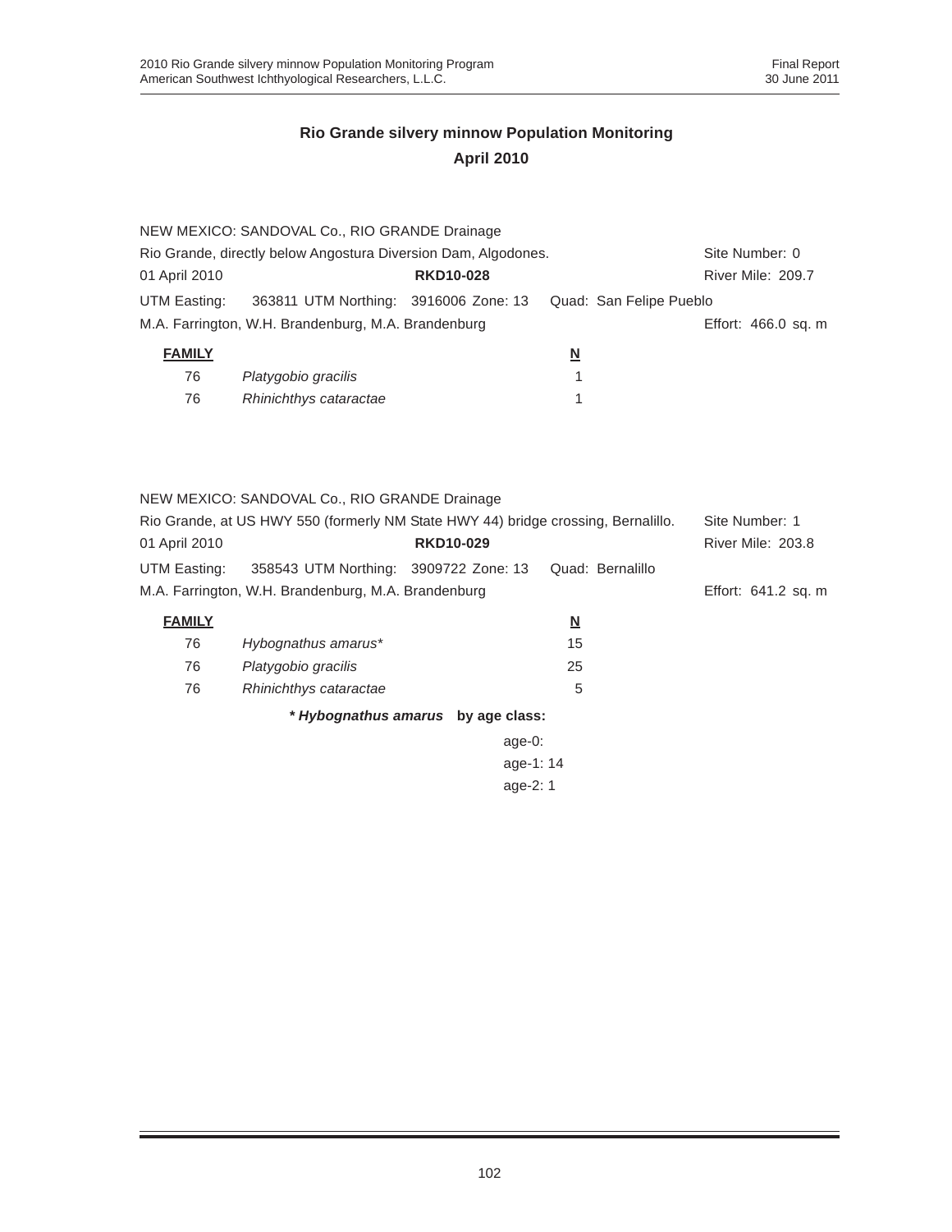|                                                                | NEW MEXICO: SANDOVAL Co., RIO GRANDE Drainage                                     |                  |                          |                     |  |
|----------------------------------------------------------------|-----------------------------------------------------------------------------------|------------------|--------------------------|---------------------|--|
| Rio Grande, directly below Angostura Diversion Dam, Algodones. | Site Number: 0                                                                    |                  |                          |                     |  |
| 01 April 2010                                                  |                                                                                   | <b>RKD10-028</b> |                          | River Mile: 209.7   |  |
| UTM Easting:                                                   | 363811 UTM Northing: 3916006 Zone: 13                                             |                  | Quad: San Felipe Pueblo  |                     |  |
|                                                                | M.A. Farrington, W.H. Brandenburg, M.A. Brandenburg                               |                  |                          | Effort: 466.0 sq. m |  |
| <b>FAMILY</b>                                                  |                                                                                   |                  | $\underline{\mathsf{N}}$ |                     |  |
| 76                                                             | Platygobio gracilis                                                               |                  | 1                        |                     |  |
| 76                                                             | Rhinichthys cataractae                                                            |                  | 1                        |                     |  |
|                                                                |                                                                                   |                  |                          |                     |  |
|                                                                |                                                                                   |                  |                          |                     |  |
|                                                                |                                                                                   |                  |                          |                     |  |
|                                                                | NEW MEXICO: SANDOVAL Co., RIO GRANDE Drainage                                     |                  |                          |                     |  |
|                                                                | Rio Grande, at US HWY 550 (formerly NM State HWY 44) bridge crossing, Bernalillo. |                  |                          | Site Number: 1      |  |
| 01 April 2010                                                  |                                                                                   | <b>RKD10-029</b> |                          | River Mile: 203.8   |  |
| UTM Easting:                                                   | 358543 UTM Northing: 3909722 Zone: 13                                             |                  | Quad: Bernalillo         |                     |  |
|                                                                | M.A. Farrington, W.H. Brandenburg, M.A. Brandenburg                               |                  |                          | Effort: 641.2 sq. m |  |
| <b>FAMILY</b>                                                  |                                                                                   |                  | $\underline{\mathsf{N}}$ |                     |  |
| 76                                                             | Hybognathus amarus*                                                               |                  | 15                       |                     |  |
| 76                                                             | Platygobio gracilis                                                               |                  | 25                       |                     |  |
| 76                                                             | Rhinichthys cataractae                                                            |                  | 5                        |                     |  |
|                                                                | * Hybognathus amarus by age class:                                                |                  |                          |                     |  |
|                                                                |                                                                                   | age-0:           |                          |                     |  |

age-1: 14 age-2: 1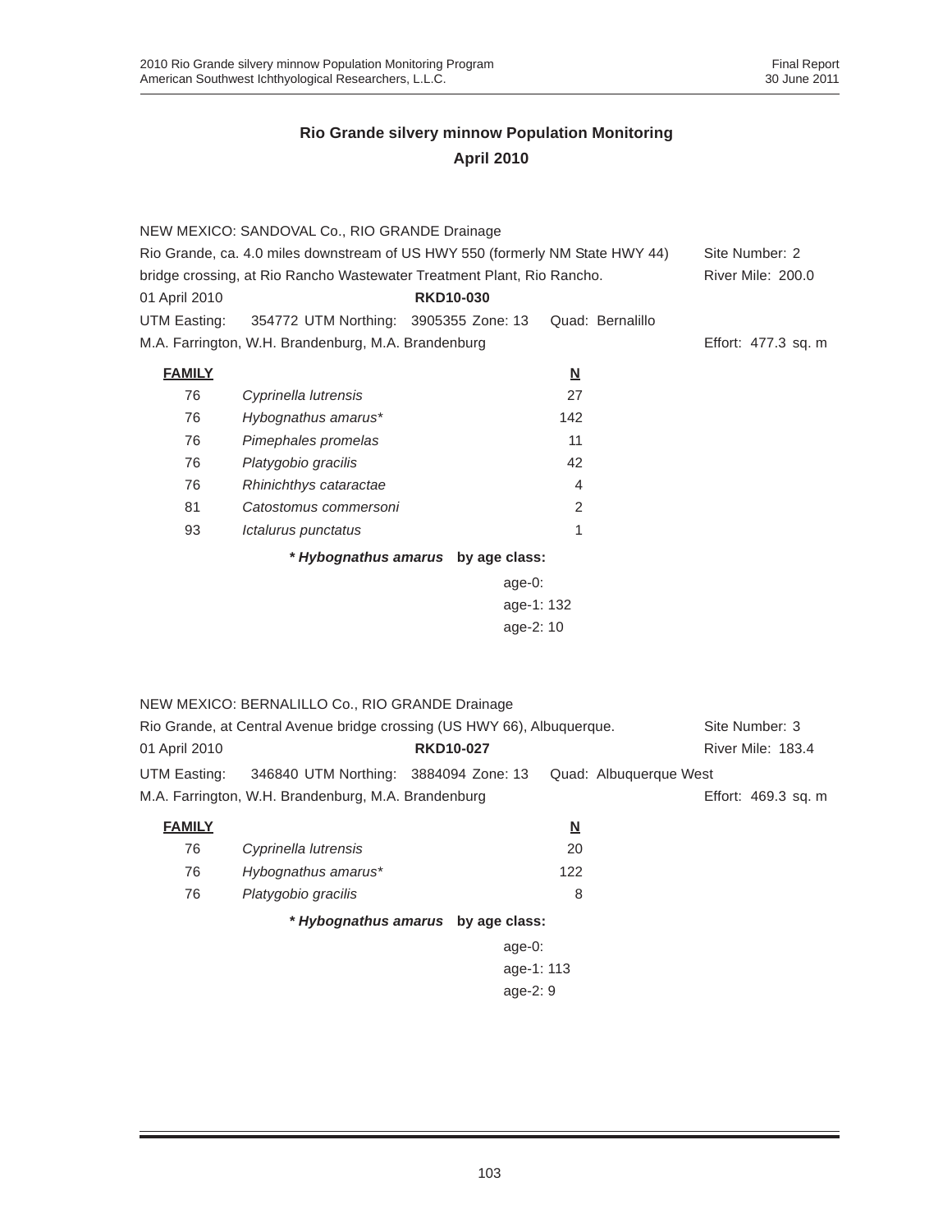|               | NEW MEXICO: SANDOVAL Co., RIO GRANDE Drainage<br>Rio Grande, ca. 4.0 miles downstream of US HWY 550 (formerly NM State HWY 44) |                                    |                          | Site Number: 2      |  |
|---------------|--------------------------------------------------------------------------------------------------------------------------------|------------------------------------|--------------------------|---------------------|--|
|               | bridge crossing, at Rio Rancho Wastewater Treatment Plant, Rio Rancho.                                                         |                                    |                          | River Mile: 200.0   |  |
| 01 April 2010 |                                                                                                                                | <b>RKD10-030</b>                   |                          |                     |  |
| UTM Easting:  | 354772 UTM Northing: 3905355 Zone: 13                                                                                          |                                    | Quad: Bernalillo         |                     |  |
|               | M.A. Farrington, W.H. Brandenburg, M.A. Brandenburg                                                                            |                                    |                          | Effort: 477.3 sq. m |  |
| <b>FAMILY</b> |                                                                                                                                |                                    | $\underline{\mathbf{N}}$ |                     |  |
| 76            | Cyprinella lutrensis                                                                                                           |                                    | 27                       |                     |  |
| 76            | Hybognathus amarus*                                                                                                            |                                    | 142                      |                     |  |
| 76            | Pimephales promelas                                                                                                            |                                    | 11                       |                     |  |
| 76            | Platygobio gracilis                                                                                                            |                                    | 42                       |                     |  |
| 76            | Rhinichthys cataractae                                                                                                         |                                    | $\overline{4}$           |                     |  |
| 81            | Catostomus commersoni                                                                                                          |                                    | 2                        |                     |  |
| 93            | Ictalurus punctatus                                                                                                            |                                    | 1                        |                     |  |
|               |                                                                                                                                | * Hybognathus amarus by age class: |                          |                     |  |
|               |                                                                                                                                | age-0:                             |                          |                     |  |
|               |                                                                                                                                |                                    | age-1: 132               |                     |  |
|               |                                                                                                                                |                                    | age-2: 10                |                     |  |
|               |                                                                                                                                |                                    |                          |                     |  |
|               |                                                                                                                                |                                    |                          |                     |  |
|               | NEW MEXICO: BERNALILLO Co., RIO GRANDE Drainage                                                                                |                                    |                          |                     |  |
|               | Rio Grande, at Central Avenue bridge crossing (US HWY 66), Albuquerque.                                                        |                                    |                          | Site Number: 3      |  |
| 01 April 2010 |                                                                                                                                | <b>RKD10-027</b>                   |                          | River Mile: 183.4   |  |
| UTM Easting:  | 346840 UTM Northing: 3884094 Zone: 13                                                                                          |                                    | Quad: Albuquerque West   |                     |  |
|               | M.A. Farrington, W.H. Brandenburg, M.A. Brandenburg                                                                            |                                    |                          | Effort: 469.3 sq. m |  |
|               |                                                                                                                                |                                    |                          |                     |  |
| <b>FAMILY</b> |                                                                                                                                |                                    | $\underline{\mathsf{N}}$ |                     |  |
| 76            | Cyprinella lutrensis                                                                                                           |                                    | 20                       |                     |  |
| 76            | Hybognathus amarus*                                                                                                            |                                    | 122                      |                     |  |
| 76            | Platygobio gracilis                                                                                                            |                                    | 8                        |                     |  |
|               |                                                                                                                                | * Hybognathus amarus by age class: |                          |                     |  |
|               |                                                                                                                                | $age-0:$                           |                          |                     |  |
|               |                                                                                                                                |                                    | age-1: 113               |                     |  |
|               | age-2: 9                                                                                                                       |                                    |                          |                     |  |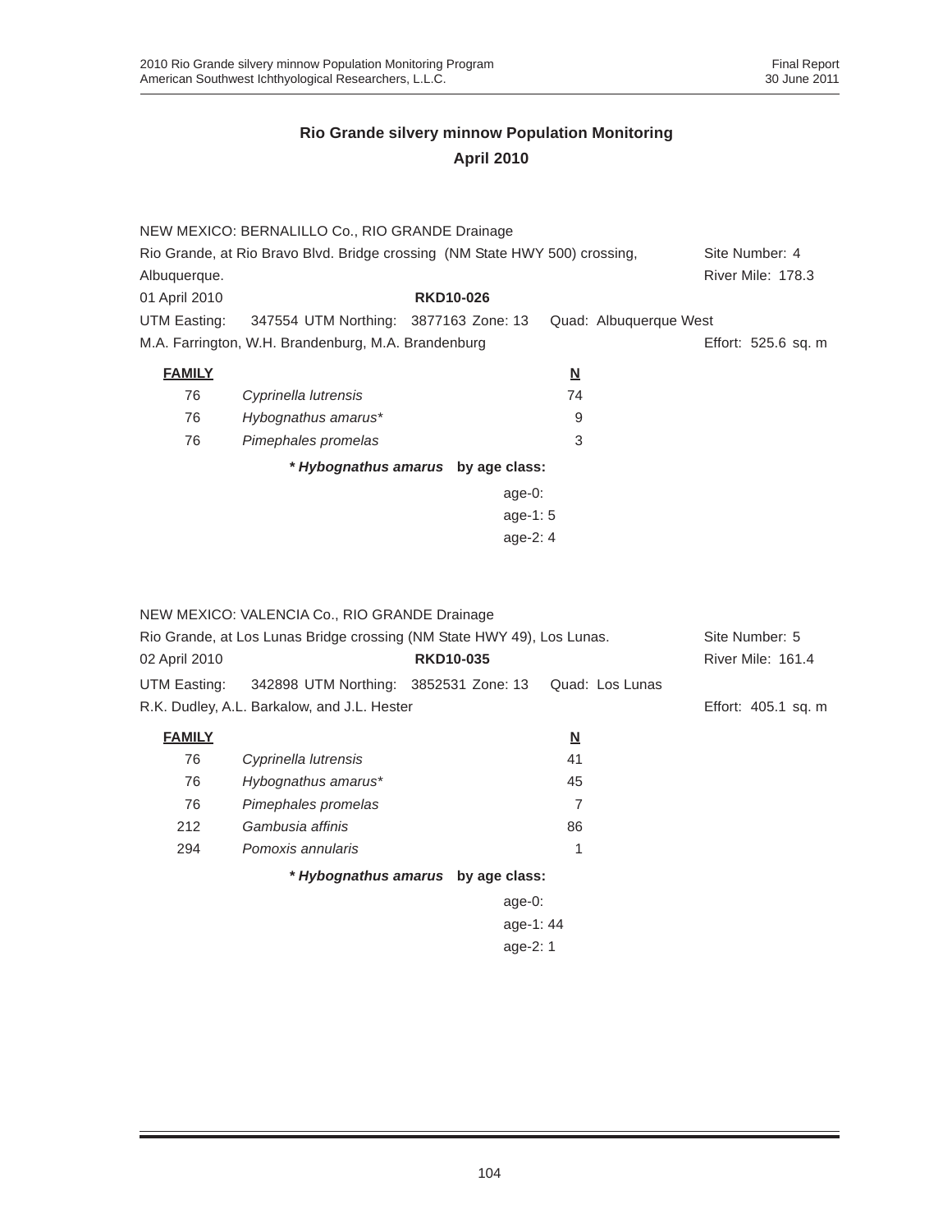|               | NEW MEXICO: BERNALILLO Co., RIO GRANDE Drainage                             |                                    |                         |                        |  |
|---------------|-----------------------------------------------------------------------------|------------------------------------|-------------------------|------------------------|--|
|               | Rio Grande, at Rio Bravo Blvd. Bridge crossing (NM State HWY 500) crossing, |                                    |                         | Site Number: 4         |  |
| Albuquerque.  |                                                                             |                                    |                         | River Mile: 178.3      |  |
| 01 April 2010 |                                                                             | <b>RKD10-026</b>                   |                         |                        |  |
| UTM Easting:  | 347554 UTM Northing: 3877163 Zone: 13                                       |                                    |                         | Quad: Albuquerque West |  |
|               | M.A. Farrington, W.H. Brandenburg, M.A. Brandenburg                         |                                    |                         | Effort: 525.6 sq. m    |  |
| <b>FAMILY</b> |                                                                             |                                    | $\overline{\mathbf{N}}$ |                        |  |
| 76            | Cyprinella lutrensis                                                        |                                    | 74                      |                        |  |
| 76            | Hybognathus amarus*                                                         |                                    | 9                       |                        |  |
| 76            | Pimephales promelas                                                         |                                    | 3                       |                        |  |
|               |                                                                             | * Hybognathus amarus by age class: |                         |                        |  |
|               |                                                                             | age- $0$ :                         |                         |                        |  |
|               |                                                                             | age-1: $5$                         |                         |                        |  |
|               |                                                                             | age- $2:4$                         |                         |                        |  |

|                                                                        | NEW MEXICO: VALENCIA Co., RIO GRANDE Drainage |                                    |                         |                     |
|------------------------------------------------------------------------|-----------------------------------------------|------------------------------------|-------------------------|---------------------|
| Rio Grande, at Los Lunas Bridge crossing (NM State HWY 49), Los Lunas. |                                               |                                    |                         | Site Number: 5      |
| 02 April 2010                                                          |                                               | <b>RKD10-035</b>                   |                         | River Mile: 161.4   |
| UTM Easting:                                                           | 342898 UTM Northing: 3852531 Zone: 13         |                                    | Quad: Los Lunas         |                     |
|                                                                        | R.K. Dudley, A.L. Barkalow, and J.L. Hester   |                                    |                         | Effort: 405.1 sq. m |
| <b>FAMILY</b>                                                          |                                               |                                    | $\overline{\mathbf{N}}$ |                     |
| 76                                                                     | Cyprinella lutrensis                          |                                    | 41                      |                     |
| 76                                                                     | Hybognathus amarus*                           |                                    | 45                      |                     |
| 76                                                                     | Pimephales promelas                           |                                    | 7                       |                     |
| 212                                                                    | Gambusia affinis                              |                                    | 86                      |                     |
| 294                                                                    | Pomoxis annularis                             |                                    | 1                       |                     |
|                                                                        |                                               | * Hybognathus amarus by age class: |                         |                     |
|                                                                        |                                               | age-0:                             |                         |                     |
|                                                                        |                                               | age-1:44                           |                         |                     |
| age- $2:1$                                                             |                                               |                                    |                         |                     |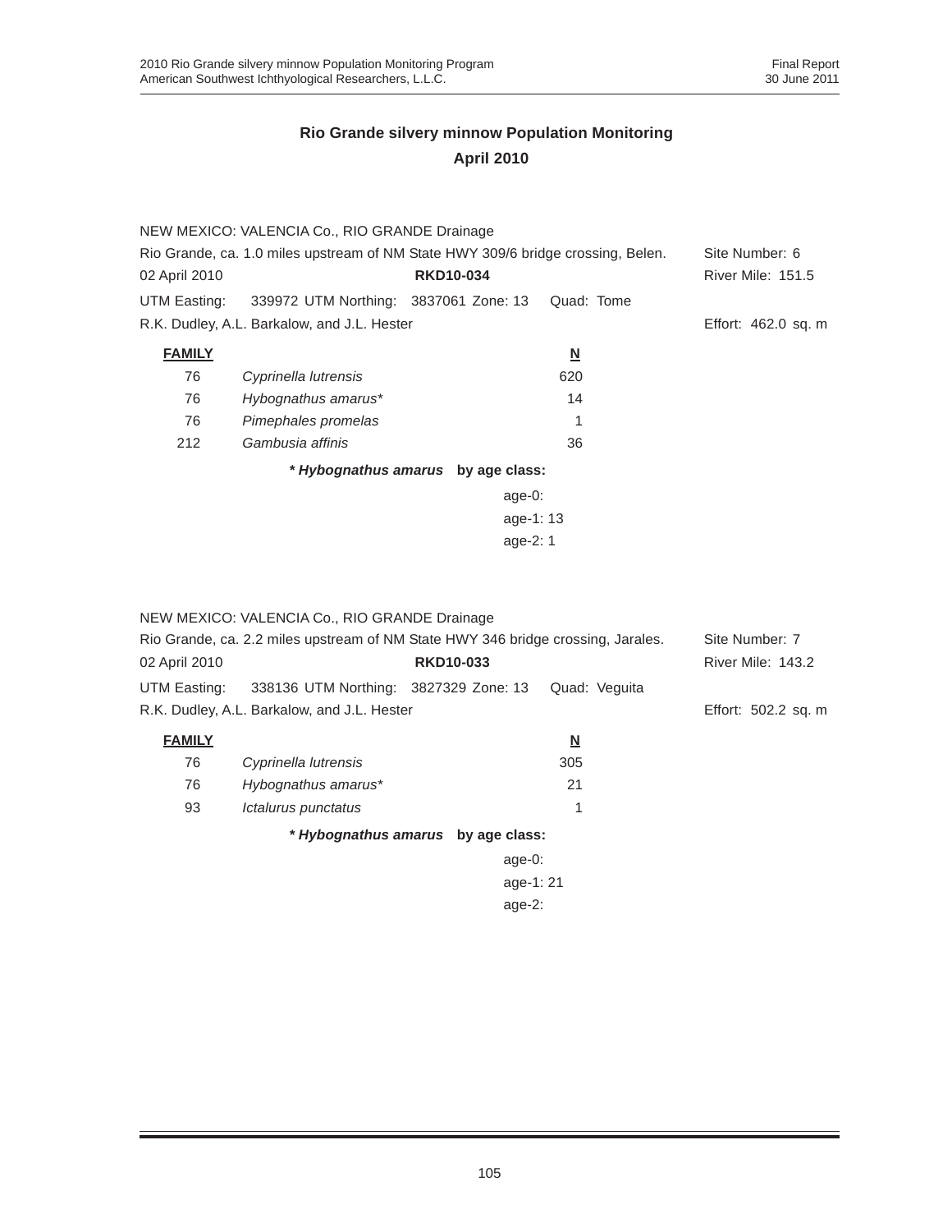|               | NEW MEXICO: VALENCIA Co., RIO GRANDE Drainage                                    |                                    |                          |                          |
|---------------|----------------------------------------------------------------------------------|------------------------------------|--------------------------|--------------------------|
|               | Rio Grande, ca. 1.0 miles upstream of NM State HWY 309/6 bridge crossing, Belen. |                                    |                          | Site Number: 6           |
| 02 April 2010 |                                                                                  | <b>RKD10-034</b>                   |                          | <b>River Mile: 151.5</b> |
| UTM Easting:  | 339972 UTM Northing: 3837061 Zone: 13                                            |                                    | Quad: Tome               |                          |
|               | R.K. Dudley, A.L. Barkalow, and J.L. Hester                                      |                                    |                          | Effort: 462.0 sq. m      |
| <b>FAMILY</b> |                                                                                  |                                    | $\underline{\mathsf{N}}$ |                          |
| 76            | Cyprinella lutrensis                                                             |                                    | 620                      |                          |
| 76            | Hybognathus amarus*                                                              |                                    | 14                       |                          |
| 76            | Pimephales promelas                                                              |                                    | 1                        |                          |
| 212           | Gambusia affinis                                                                 |                                    | 36                       |                          |
|               |                                                                                  | * Hybognathus amarus by age class: |                          |                          |
|               |                                                                                  | age-0:                             |                          |                          |
|               |                                                                                  | age-1:13                           |                          |                          |
|               |                                                                                  | age-2: $1$                         |                          |                          |
|               |                                                                                  |                                    |                          |                          |

|               | NEW MEXICO: VALENCIA Co., RIO GRANDE Drainage                                    |                  |                          |                     |
|---------------|----------------------------------------------------------------------------------|------------------|--------------------------|---------------------|
|               | Rio Grande, ca. 2.2 miles upstream of NM State HWY 346 bridge crossing, Jarales. |                  |                          | Site Number: 7      |
| 02 April 2010 |                                                                                  | <b>RKD10-033</b> |                          | River Mile: 143.2   |
| UTM Easting:  | 338136 UTM Northing: 3827329 Zone: 13                                            |                  | Quad: Veguita            |                     |
|               | R.K. Dudley, A.L. Barkalow, and J.L. Hester                                      |                  |                          | Effort: 502.2 sq. m |
| <b>FAMILY</b> |                                                                                  |                  | $\underline{\mathbf{N}}$ |                     |
| 76            | Cyprinella lutrensis                                                             |                  | 305                      |                     |
| 76            | Hybognathus amarus*                                                              |                  | 21                       |                     |
| 93            | Ictalurus punctatus                                                              |                  |                          |                     |
|               | * Hybognathus amarus by age class:                                               |                  |                          |                     |
|               |                                                                                  | age- $0$ :       |                          |                     |
|               |                                                                                  |                  | age-1:21                 |                     |
| age-2:        |                                                                                  |                  |                          |                     |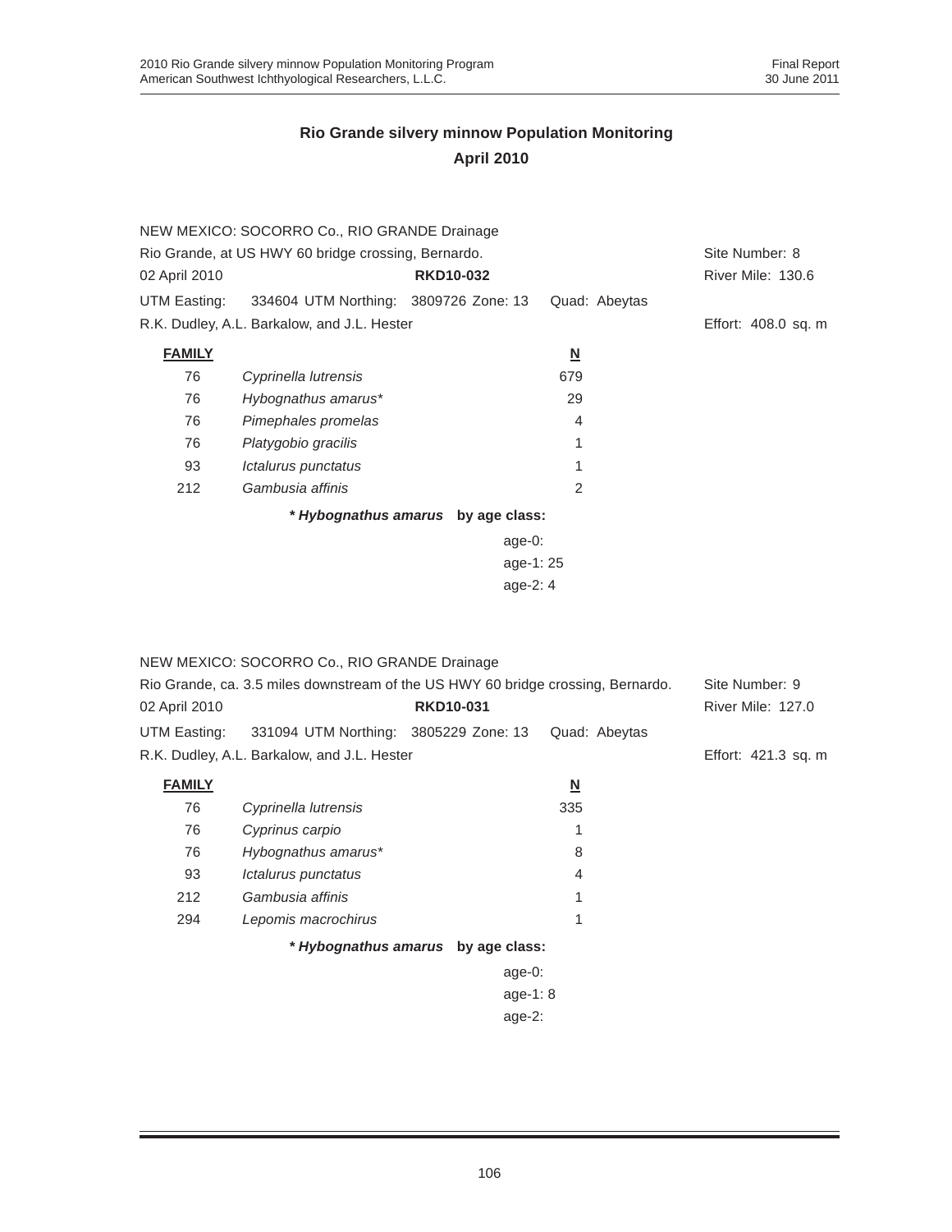|                                                     | NEW MEXICO: SOCORRO Co., RIO GRANDE Drainage |                                    |                          |                     |
|-----------------------------------------------------|----------------------------------------------|------------------------------------|--------------------------|---------------------|
| Rio Grande, at US HWY 60 bridge crossing, Bernardo. |                                              |                                    |                          | Site Number: 8      |
| 02 April 2010                                       |                                              | <b>RKD10-032</b>                   |                          | River Mile: 130.6   |
| UTM Easting:                                        | 334604 UTM Northing: 3809726 Zone: 13        |                                    | Quad: Abeytas            |                     |
|                                                     | R.K. Dudley, A.L. Barkalow, and J.L. Hester  |                                    |                          | Effort: 408.0 sq. m |
| <b>FAMILY</b>                                       |                                              |                                    | $\underline{\mathsf{N}}$ |                     |
| 76                                                  | Cyprinella lutrensis                         |                                    | 679                      |                     |
| 76                                                  | Hybognathus amarus*                          |                                    | 29                       |                     |
| 76                                                  | Pimephales promelas                          |                                    | 4                        |                     |
| 76                                                  | Platygobio gracilis                          |                                    | 1                        |                     |
| 93                                                  | Ictalurus punctatus                          |                                    | 1                        |                     |
| 212                                                 | Gambusia affinis                             |                                    | $\mathcal{P}$            |                     |
|                                                     |                                              | * Hybognathus amarus by age class: |                          |                     |
|                                                     |                                              | age- $0$ :                         |                          |                     |
|                                                     |                                              | age-1:25                           |                          |                     |
|                                                     |                                              | age-2: 4                           |                          |                     |

|                                                                                  | NEW MEXICO: SOCORRO Co., RIO GRANDE Drainage |                  |            |                          |               |                          |
|----------------------------------------------------------------------------------|----------------------------------------------|------------------|------------|--------------------------|---------------|--------------------------|
| Rio Grande, ca. 3.5 miles downstream of the US HWY 60 bridge crossing, Bernardo. |                                              |                  |            | Site Number: 9           |               |                          |
| 02 April 2010                                                                    |                                              | <b>RKD10-031</b> |            |                          |               | <b>River Mile: 127.0</b> |
| UTM Easting:                                                                     | 331094 UTM Northing: 3805229 Zone: 13        |                  |            |                          | Quad: Abeytas |                          |
|                                                                                  | R.K. Dudley, A.L. Barkalow, and J.L. Hester  |                  |            |                          |               | Effort: 421.3 sq. m      |
| <b>FAMILY</b>                                                                    |                                              |                  |            | $\underline{\mathbf{N}}$ |               |                          |
| 76                                                                               | Cyprinella lutrensis                         |                  |            | 335                      |               |                          |
| 76                                                                               | Cyprinus carpio                              |                  |            |                          |               |                          |
| 76                                                                               | Hybognathus amarus*                          |                  |            | 8                        |               |                          |
| 93                                                                               | Ictalurus punctatus                          |                  |            | 4                        |               |                          |
| 212                                                                              | Gambusia affinis                             |                  |            |                          |               |                          |
| 294                                                                              | Lepomis macrochirus                          |                  |            |                          |               |                          |
|                                                                                  | * Hybognathus amarus by age class:           |                  |            |                          |               |                          |
|                                                                                  |                                              |                  | age-0:     |                          |               |                          |
|                                                                                  |                                              |                  | age-1: $8$ |                          |               |                          |
|                                                                                  |                                              |                  | age-2:     |                          |               |                          |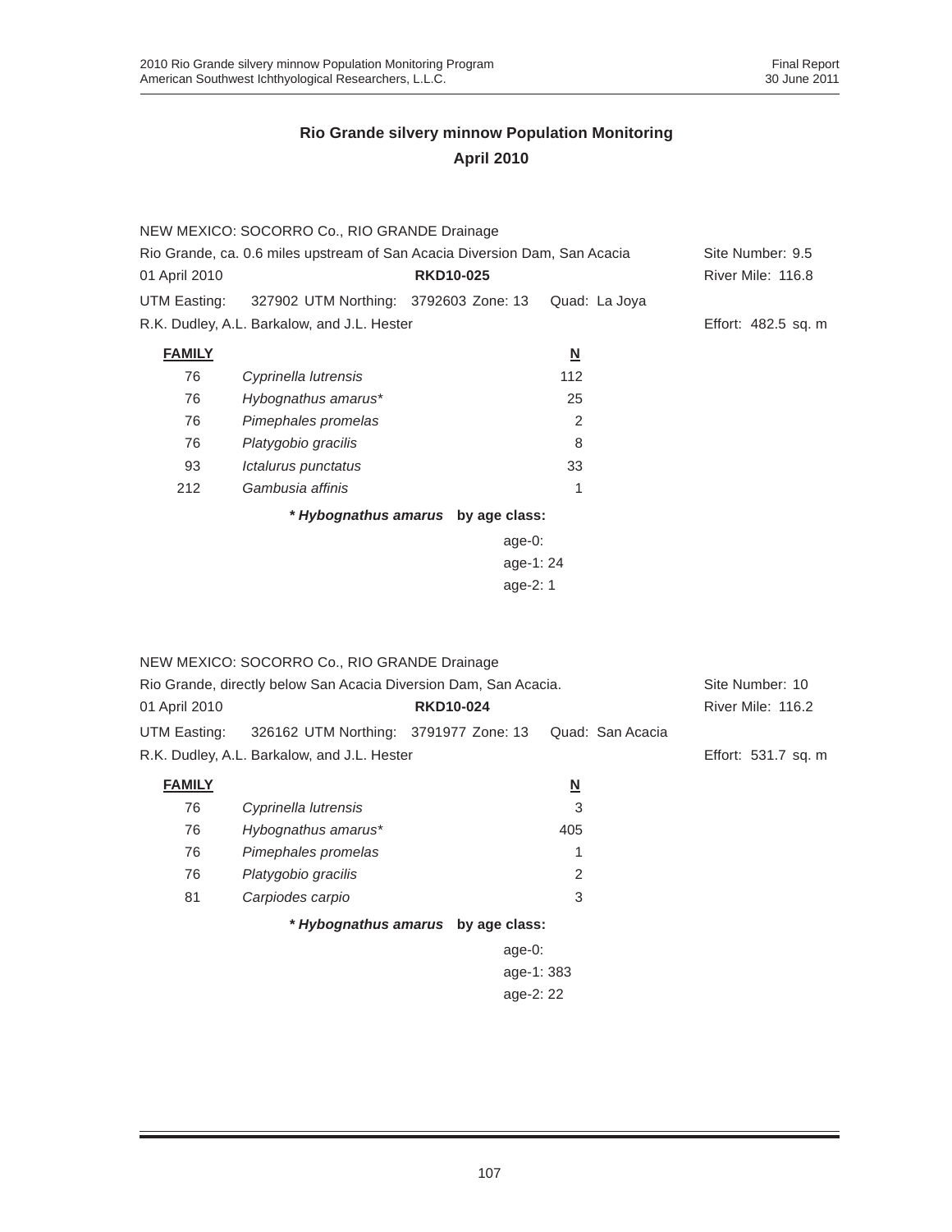|                                                                            | NEW MEXICO: SOCORRO Co., RIO GRANDE Drainage |                                    |                          |                     |
|----------------------------------------------------------------------------|----------------------------------------------|------------------------------------|--------------------------|---------------------|
| Rio Grande, ca. 0.6 miles upstream of San Acacia Diversion Dam, San Acacia |                                              |                                    |                          | Site Number: 9.5    |
| 01 April 2010                                                              |                                              | <b>RKD10-025</b>                   |                          | River Mile: 116.8   |
| UTM Easting:                                                               | 327902 UTM Northing: 3792603 Zone: 13        |                                    | Quad: La Joya            |                     |
|                                                                            | R.K. Dudley, A.L. Barkalow, and J.L. Hester  |                                    |                          | Effort: 482.5 sq. m |
| <b>FAMILY</b>                                                              |                                              |                                    | $\underline{\mathsf{N}}$ |                     |
| 76                                                                         | Cyprinella lutrensis                         |                                    | 112                      |                     |
| 76                                                                         | Hybognathus amarus*                          |                                    | 25                       |                     |
| 76                                                                         | Pimephales promelas                          |                                    | 2                        |                     |
| 76                                                                         | Platygobio gracilis                          |                                    | 8                        |                     |
| 93                                                                         | Ictalurus punctatus                          |                                    | 33                       |                     |
| 212                                                                        | Gambusia affinis                             |                                    | 1                        |                     |
|                                                                            |                                              | * Hybognathus amarus by age class: |                          |                     |
|                                                                            |                                              | age- $0$ :                         |                          |                     |
|                                                                            |                                              | age-1:24                           |                          |                     |
| age- $2:1$                                                                 |                                              |                                    |                          |                     |

|                                                                  | NEW MEXICO: SOCORRO Co., RIO GRANDE Drainage |                                    |                  |                     |
|------------------------------------------------------------------|----------------------------------------------|------------------------------------|------------------|---------------------|
| Rio Grande, directly below San Acacia Diversion Dam, San Acacia. |                                              |                                    |                  | Site Number: 10     |
| 01 April 2010                                                    |                                              | <b>RKD10-024</b>                   |                  | River Mile: 116.2   |
| UTM Easting:                                                     | 326162 UTM Northing: 3791977 Zone: 13        |                                    | Quad: San Acacia |                     |
|                                                                  | R.K. Dudley, A.L. Barkalow, and J.L. Hester  |                                    |                  | Effort: 531.7 sq. m |
| <b>FAMILY</b>                                                    |                                              |                                    | <u>N</u>         |                     |
| 76                                                               | Cyprinella lutrensis                         |                                    | 3                |                     |
| 76                                                               | Hybognathus amarus*                          |                                    | 405              |                     |
| 76                                                               | Pimephales promelas                          |                                    | 1                |                     |
| 76                                                               | Platygobio gracilis                          |                                    | 2                |                     |
| 81                                                               | Carpiodes carpio                             |                                    | 3                |                     |
|                                                                  |                                              | * Hybognathus amarus by age class: |                  |                     |
|                                                                  |                                              | age- $0:$                          |                  |                     |
|                                                                  |                                              | age-1: 383                         |                  |                     |
|                                                                  |                                              |                                    |                  |                     |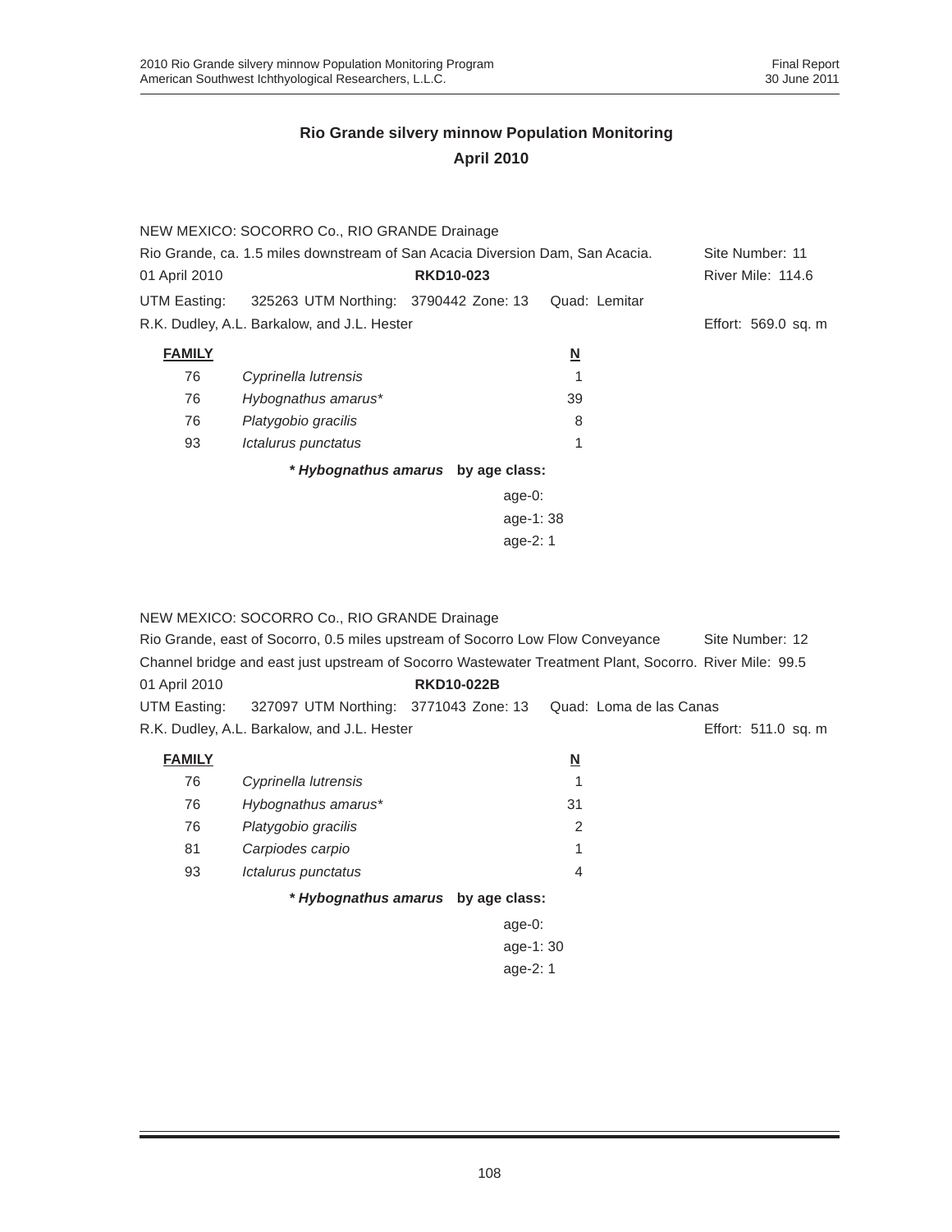|                                                                               | NEW MEXICO: SOCORRO Co., RIO GRANDE Drainage |                                    |                         |                     |
|-------------------------------------------------------------------------------|----------------------------------------------|------------------------------------|-------------------------|---------------------|
| Rio Grande, ca. 1.5 miles downstream of San Acacia Diversion Dam, San Acacia. |                                              |                                    |                         | Site Number: 11     |
| 01 April 2010                                                                 |                                              | <b>RKD10-023</b>                   |                         | River Mile: 114.6   |
| UTM Easting:                                                                  | 325263 UTM Northing: 3790442 Zone: 13        |                                    | Quad: Lemitar           |                     |
|                                                                               | R.K. Dudley, A.L. Barkalow, and J.L. Hester  |                                    |                         | Effort: 569.0 sq. m |
| <b>FAMILY</b>                                                                 |                                              |                                    | $\overline{\mathsf{M}}$ |                     |
| 76                                                                            | Cyprinella lutrensis                         |                                    |                         |                     |
| 76                                                                            | Hybognathus amarus*                          |                                    | 39                      |                     |
| 76                                                                            | Platygobio gracilis                          |                                    | 8                       |                     |
| 93                                                                            | Ictalurus punctatus                          |                                    | 1                       |                     |
|                                                                               |                                              | * Hybognathus amarus by age class: |                         |                     |
|                                                                               |                                              | age- $0:$                          |                         |                     |
| age-1:38                                                                      |                                              |                                    |                         |                     |
| age- $2:1$                                                                    |                                              |                                    |                         |                     |

|               | NEW MEXICO: SOCORRO Co., RIO GRANDE Drainage                                                           |                                    |                          |                     |
|---------------|--------------------------------------------------------------------------------------------------------|------------------------------------|--------------------------|---------------------|
|               | Rio Grande, east of Socorro, 0.5 miles upstream of Socorro Low Flow Conveyance                         |                                    |                          | Site Number: 12     |
|               | Channel bridge and east just upstream of Socorro Wastewater Treatment Plant, Socorro. River Mile: 99.5 |                                    |                          |                     |
| 01 April 2010 |                                                                                                        | <b>RKD10-022B</b>                  |                          |                     |
|               | UTM Easting: 327097 UTM Northing: 3771043 Zone: 13                                                     |                                    | Quad: Loma de las Canas  |                     |
|               | R.K. Dudley, A.L. Barkalow, and J.L. Hester                                                            |                                    |                          | Effort: 511.0 sq. m |
| <b>FAMILY</b> |                                                                                                        |                                    | $\underline{\mathsf{N}}$ |                     |
| 76            | Cyprinella lutrensis                                                                                   |                                    |                          |                     |
| 76            | Hybognathus amarus*                                                                                    |                                    | 31                       |                     |
| 76            | Platygobio gracilis                                                                                    |                                    | 2                        |                     |
| 81            | Carpiodes carpio                                                                                       |                                    |                          |                     |
| 93            | Ictalurus punctatus                                                                                    |                                    | $\overline{4}$           |                     |
|               |                                                                                                        | * Hybognathus amarus by age class: |                          |                     |
|               |                                                                                                        | age- $0:$                          |                          |                     |
|               |                                                                                                        | age-1:30                           |                          |                     |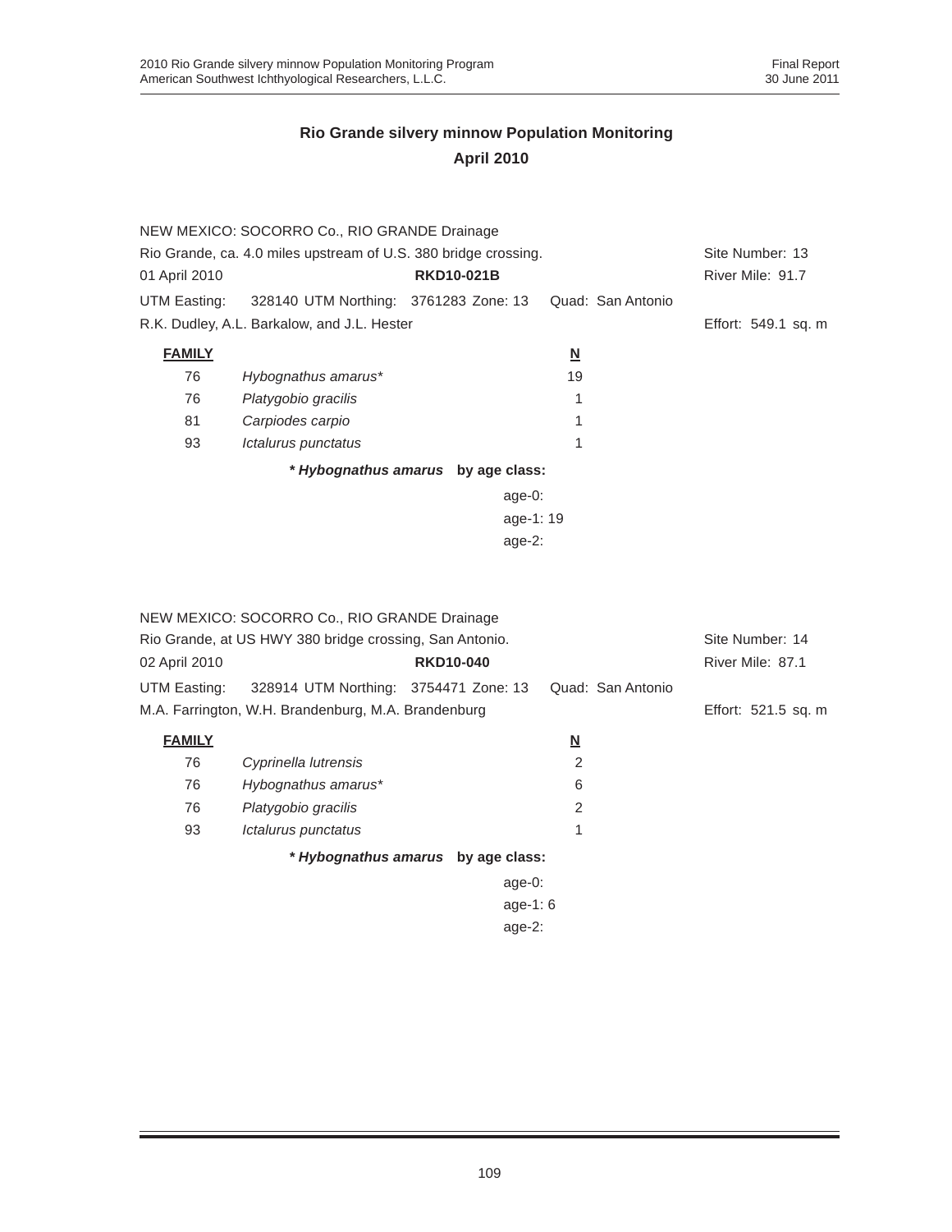|                                                                 | NEW MEXICO: SOCORRO Co., RIO GRANDE Drainage       |                                    |                          |                     |
|-----------------------------------------------------------------|----------------------------------------------------|------------------------------------|--------------------------|---------------------|
| Rio Grande, ca. 4.0 miles upstream of U.S. 380 bridge crossing. | Site Number: 13                                    |                                    |                          |                     |
| 01 April 2010                                                   |                                                    | <b>RKD10-021B</b>                  |                          | River Mile: 91.7    |
|                                                                 | UTM Easting: 328140 UTM Northing: 3761283 Zone: 13 |                                    | Quad: San Antonio        |                     |
|                                                                 | R.K. Dudley, A.L. Barkalow, and J.L. Hester        |                                    |                          | Effort: 549.1 sq. m |
| <b>FAMILY</b>                                                   |                                                    |                                    | $\underline{\mathsf{N}}$ |                     |
| 76                                                              | Hybognathus amarus*                                |                                    | 19                       |                     |
| 76                                                              | Platygobio gracilis                                |                                    | 1                        |                     |
| 81                                                              | Carpiodes carpio                                   |                                    | 1                        |                     |
| 93                                                              | Ictalurus punctatus                                |                                    | 1                        |                     |
|                                                                 |                                                    | * Hybognathus amarus by age class: |                          |                     |
|                                                                 |                                                    | age-0:                             |                          |                     |
|                                                                 |                                                    | age-1:19                           |                          |                     |
|                                                                 |                                                    | age- $2:$                          |                          |                     |

| NEW MEXICO: SOCORRO Co., RIO GRANDE Drainage |                                                         |                  |            |                          |                   |                     |
|----------------------------------------------|---------------------------------------------------------|------------------|------------|--------------------------|-------------------|---------------------|
|                                              | Rio Grande, at US HWY 380 bridge crossing, San Antonio. |                  |            |                          |                   | Site Number: 14     |
| 02 April 2010                                |                                                         | <b>RKD10-040</b> |            |                          |                   | River Mile: 87.1    |
| UTM Easting:                                 | 328914 UTM Northing: 3754471 Zone: 13                   |                  |            |                          | Quad: San Antonio |                     |
|                                              | M.A. Farrington, W.H. Brandenburg, M.A. Brandenburg     |                  |            |                          |                   | Effort: 521.5 sq. m |
| <b>FAMILY</b>                                |                                                         |                  |            | $\underline{\mathsf{N}}$ |                   |                     |
| 76                                           | Cyprinella lutrensis                                    |                  |            | 2                        |                   |                     |
| 76                                           | Hybognathus amarus*                                     |                  |            | 6                        |                   |                     |
| 76                                           | Platygobio gracilis                                     |                  |            | 2                        |                   |                     |
| 93                                           | Ictalurus punctatus                                     |                  |            | 1                        |                   |                     |
|                                              | * Hybognathus amarus by age class:                      |                  |            |                          |                   |                     |
|                                              |                                                         |                  | age- $0:$  |                          |                   |                     |
|                                              |                                                         |                  | age-1: $6$ |                          |                   |                     |
|                                              |                                                         |                  | age- $2:$  |                          |                   |                     |
|                                              |                                                         |                  |            |                          |                   |                     |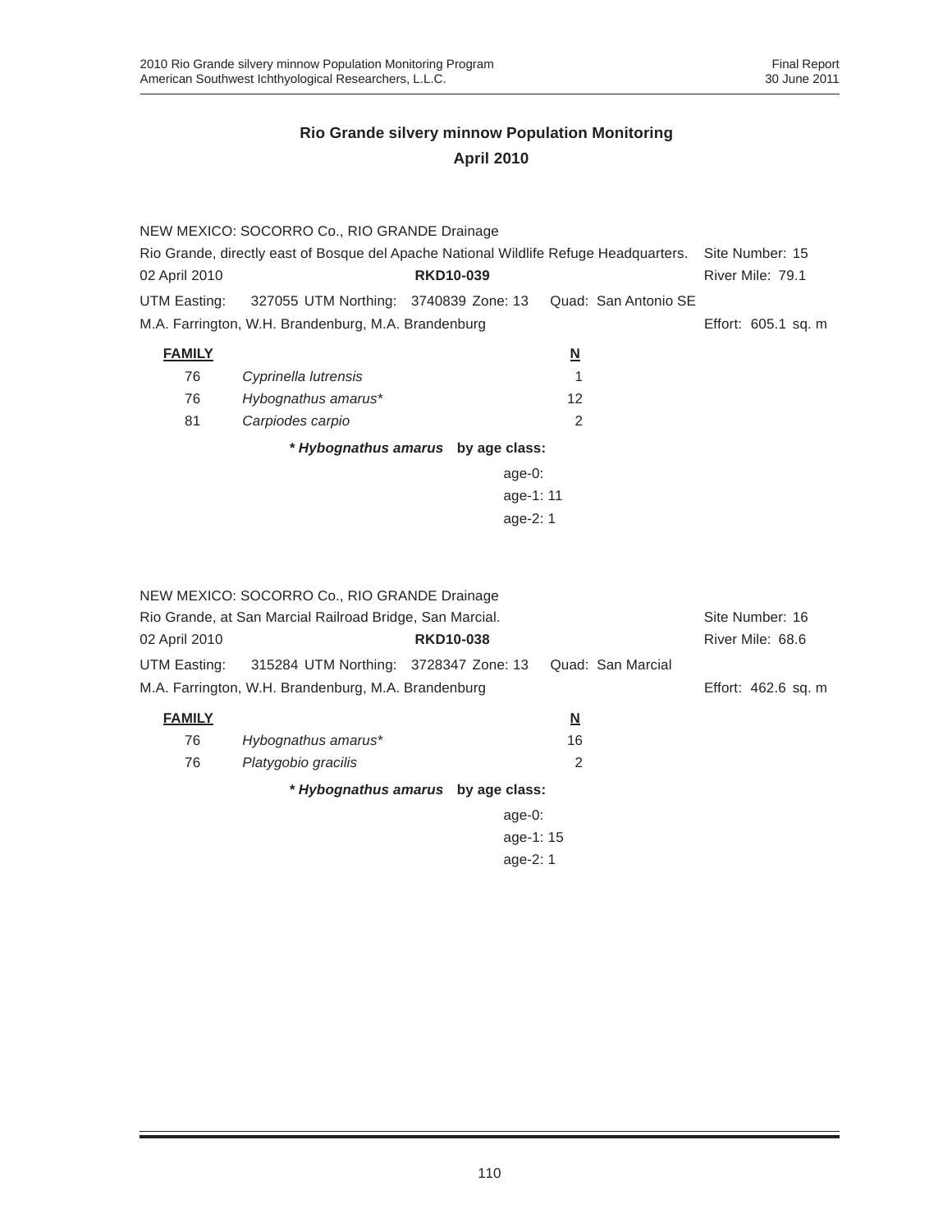|               | NEW MEXICO: SOCORRO Co., RIO GRANDE Drainage                                          |                  |                          |                      |                     |
|---------------|---------------------------------------------------------------------------------------|------------------|--------------------------|----------------------|---------------------|
|               | Rio Grande, directly east of Bosque del Apache National Wildlife Refuge Headquarters. |                  |                          |                      | Site Number: 15     |
| 02 April 2010 |                                                                                       | <b>RKD10-039</b> |                          |                      | River Mile: 79.1    |
| UTM Easting:  | 327055 UTM Northing: 3740839 Zone: 13                                                 |                  |                          | Quad: San Antonio SE |                     |
|               | M.A. Farrington, W.H. Brandenburg, M.A. Brandenburg                                   |                  |                          |                      | Effort: 605.1 sq. m |
| <b>FAMILY</b> |                                                                                       |                  | $\underline{\mathsf{N}}$ |                      |                     |
| 76            | Cyprinella lutrensis                                                                  |                  | 1                        |                      |                     |
| 76            | Hybognathus amarus*                                                                   |                  | 12                       |                      |                     |
| 81            | Carpiodes carpio                                                                      |                  | $\overline{2}$           |                      |                     |
|               | * Hybognathus amarus by age class:                                                    |                  |                          |                      |                     |
|               |                                                                                       |                  | $age-0$ :                |                      |                     |
|               |                                                                                       |                  | age-1: 11                |                      |                     |
|               |                                                                                       |                  | age-2: 1                 |                      |                     |
|               |                                                                                       |                  |                          |                      |                     |
|               |                                                                                       |                  |                          |                      |                     |
|               | NEW MEXICO: SOCORRO Co., RIO GRANDE Drainage                                          |                  |                          |                      |                     |
|               | Rio Grande, at San Marcial Railroad Bridge, San Marcial.                              |                  |                          |                      | Site Number: 16     |
| 02 April 2010 |                                                                                       | <b>RKD10-038</b> |                          |                      | River Mile: 68.6    |
| UTM Easting:  | 315284 UTM Northing: 3728347 Zone: 13                                                 |                  |                          | Quad: San Marcial    |                     |
|               | M.A. Farrington, W.H. Brandenburg, M.A. Brandenburg                                   |                  |                          |                      | Effort: 462.6 sq. m |
| <b>FAMILY</b> |                                                                                       |                  | $\overline{\mathsf{M}}$  |                      |                     |
| 76            | Hybognathus amarus*                                                                   |                  | 16                       |                      |                     |
| 76            | Platygobio gracilis                                                                   |                  | 2                        |                      |                     |
|               | * Hybognathus amarus by age class:                                                    |                  |                          |                      |                     |
|               |                                                                                       |                  | $age-0:$                 |                      |                     |
|               |                                                                                       |                  | age-1: 15                |                      |                     |
|               |                                                                                       |                  | age-2: 1                 |                      |                     |
|               |                                                                                       |                  |                          |                      |                     |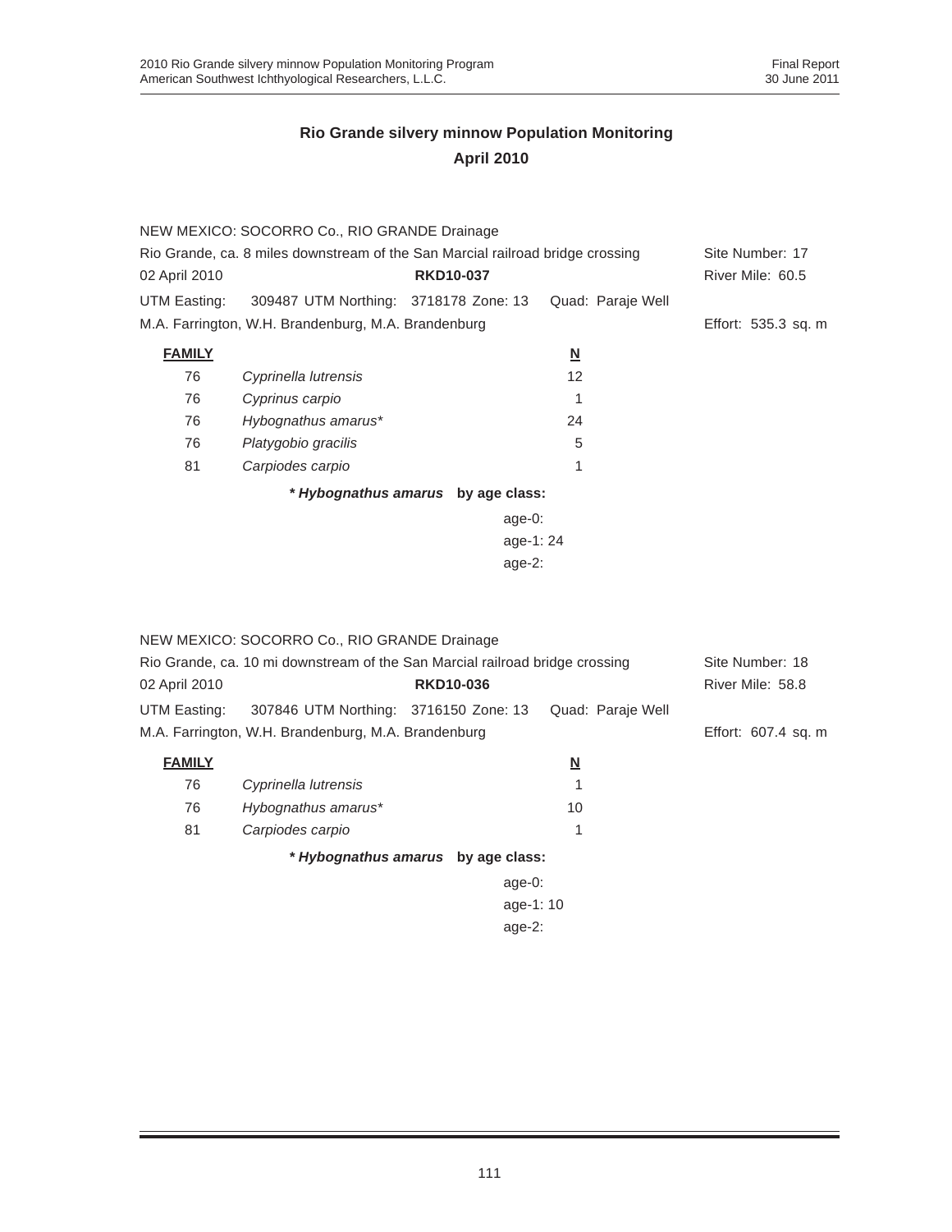|                                                                                | NEW MEXICO: SOCORRO Co., RIO GRANDE Drainage        |                                    |                         |                     |  |  |
|--------------------------------------------------------------------------------|-----------------------------------------------------|------------------------------------|-------------------------|---------------------|--|--|
| Rio Grande, ca. 8 miles downstream of the San Marcial railroad bridge crossing |                                                     |                                    |                         | Site Number: 17     |  |  |
| 02 April 2010                                                                  |                                                     | <b>RKD10-037</b>                   |                         | River Mile: 60.5    |  |  |
| UTM Easting:                                                                   | 309487 UTM Northing: 3718178 Zone: 13               |                                    | Quad: Paraje Well       |                     |  |  |
|                                                                                | M.A. Farrington, W.H. Brandenburg, M.A. Brandenburg |                                    |                         | Effort: 535.3 sq. m |  |  |
| <b>FAMILY</b>                                                                  |                                                     |                                    | $\overline{\mathsf{M}}$ |                     |  |  |
| 76                                                                             | Cyprinella lutrensis                                |                                    | 12                      |                     |  |  |
| 76                                                                             | Cyprinus carpio                                     |                                    |                         |                     |  |  |
| 76                                                                             | Hybognathus amarus*                                 |                                    | 24                      |                     |  |  |
| 76                                                                             | Platygobio gracilis                                 |                                    | 5                       |                     |  |  |
| 81                                                                             | Carpiodes carpio                                    |                                    | 1                       |                     |  |  |
|                                                                                |                                                     | * Hybognathus amarus by age class: |                         |                     |  |  |
|                                                                                |                                                     | age-0:                             |                         |                     |  |  |
|                                                                                |                                                     | age-1:24                           |                         |                     |  |  |
|                                                                                | age- $2$ :                                          |                                    |                         |                     |  |  |

| 02 April 2010                                       | NEW MEXICO: SOCORRO Co., RIO GRANDE Drainage<br>Rio Grande, ca. 10 mi downstream of the San Marcial railroad bridge crossing<br><b>RKD10-036</b> |  |            |                          | Site Number: 18<br>River Mile: 58.8 |  |
|-----------------------------------------------------|--------------------------------------------------------------------------------------------------------------------------------------------------|--|------------|--------------------------|-------------------------------------|--|
| UTM Easting:                                        | 307846 UTM Northing: 3716150 Zone: 13                                                                                                            |  |            | Quad: Paraje Well        |                                     |  |
| M.A. Farrington, W.H. Brandenburg, M.A. Brandenburg |                                                                                                                                                  |  |            |                          | Effort: 607.4 sq. m                 |  |
| <b>FAMILY</b>                                       |                                                                                                                                                  |  |            | $\underline{\mathsf{N}}$ |                                     |  |
| 76                                                  | Cyprinella lutrensis                                                                                                                             |  |            |                          |                                     |  |
| 76                                                  | Hybognathus amarus*                                                                                                                              |  |            | 10                       |                                     |  |
| 81                                                  | Carpiodes carpio                                                                                                                                 |  |            | 1                        |                                     |  |
|                                                     | * Hybognathus amarus by age class:                                                                                                               |  |            |                          |                                     |  |
|                                                     |                                                                                                                                                  |  | age- $0$ : |                          |                                     |  |
|                                                     |                                                                                                                                                  |  | age-1:10   |                          |                                     |  |
|                                                     |                                                                                                                                                  |  | age- $2:$  |                          |                                     |  |
|                                                     |                                                                                                                                                  |  |            |                          |                                     |  |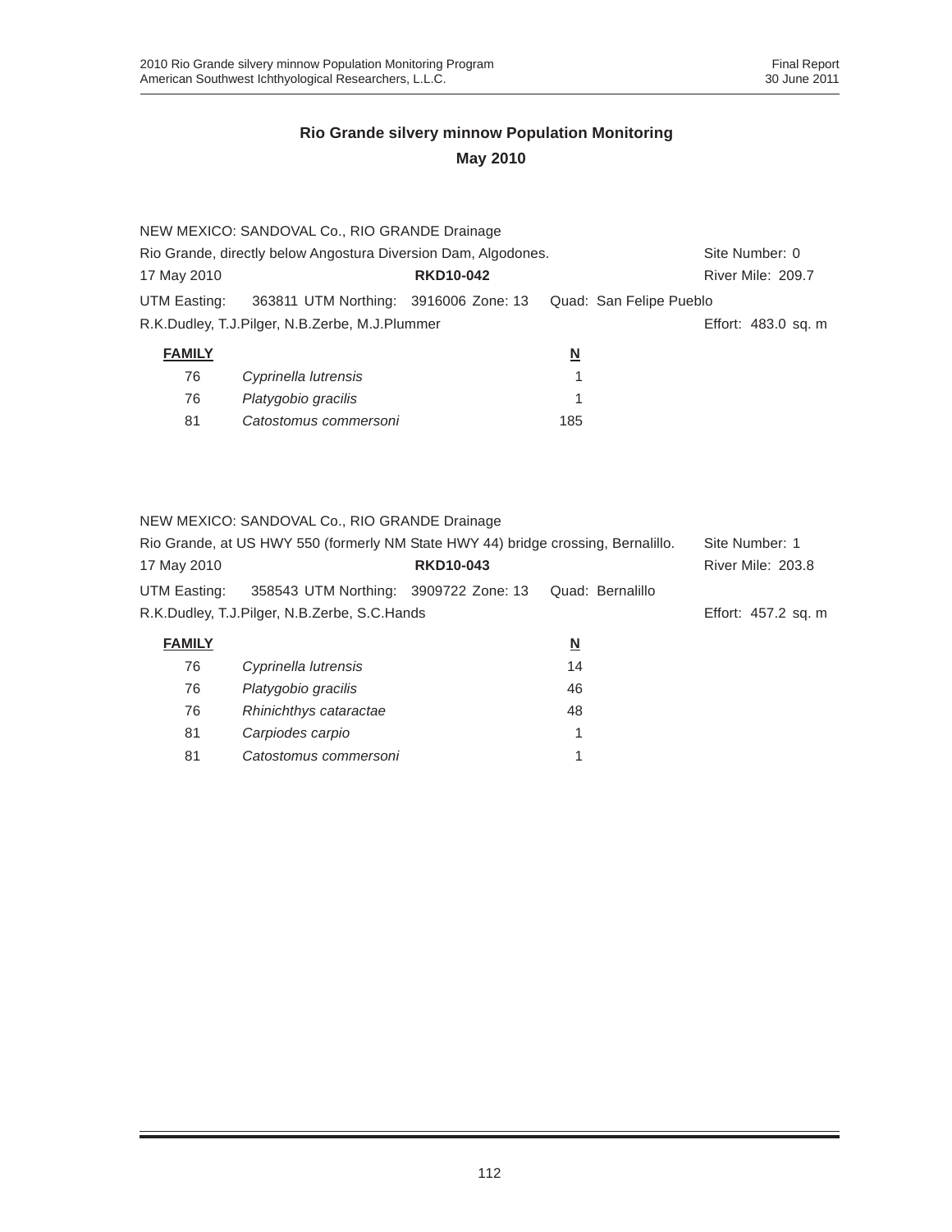|               | NEW MEXICO: SANDOVAL Co., RIO GRANDE Drainage                  |                  |                         |                     |
|---------------|----------------------------------------------------------------|------------------|-------------------------|---------------------|
|               | Rio Grande, directly below Angostura Diversion Dam, Algodones. |                  |                         | Site Number: 0      |
| 17 May 2010   |                                                                | <b>RKD10-042</b> |                         | River Mile: 209.7   |
| UTM Easting:  | 363811 UTM Northing: 3916006 Zone: 13                          |                  | Quad: San Felipe Pueblo |                     |
|               | R.K.Dudley, T.J.Pilger, N.B.Zerbe, M.J.Plummer                 |                  |                         | Effort: 483.0 sq. m |
| <b>FAMILY</b> |                                                                |                  | $\overline{\mathsf{N}}$ |                     |
| 76            | Cyprinella lutrensis                                           |                  |                         |                     |
| 76            | Platygobio gracilis                                            |                  |                         |                     |

| $\overline{\phantom{a}}$ | <i>i</i> latygowio gravillo |     |
|--------------------------|-----------------------------|-----|
| -81                      | Catostomus commersoni       | 185 |

NEW MEXICO: SANDOVAL Co., RIO GRANDE Drainage

| Rio Grande, at US HWY 550 (formerly NM State HWY 44) bridge crossing, Bernalillo. |                                       |                  |                     | Site Number: 1    |
|-----------------------------------------------------------------------------------|---------------------------------------|------------------|---------------------|-------------------|
| 17 May 2010                                                                       |                                       | <b>RKD10-043</b> |                     | River Mile: 203.8 |
| UTM Easting:                                                                      | 358543 UTM Northing: 3909722 Zone: 13 |                  | Quad: Bernalillo    |                   |
| R.K.Dudley, T.J.Pilger, N.B.Zerbe, S.C.Hands                                      |                                       |                  | Effort: 457.2 sq. m |                   |
| <b>FAMILY</b>                                                                     |                                       |                  | N                   |                   |
| 76                                                                                | Cyprinella lutrensis                  |                  | 14                  |                   |
|                                                                                   |                                       |                  |                     |                   |

| 76  | Platygobio gracilis    | 46 |
|-----|------------------------|----|
| 76  | Rhinichthys cataractae | 48 |
| -81 | Carpiodes carpio       |    |
| 81  | Catostomus commersoni  |    |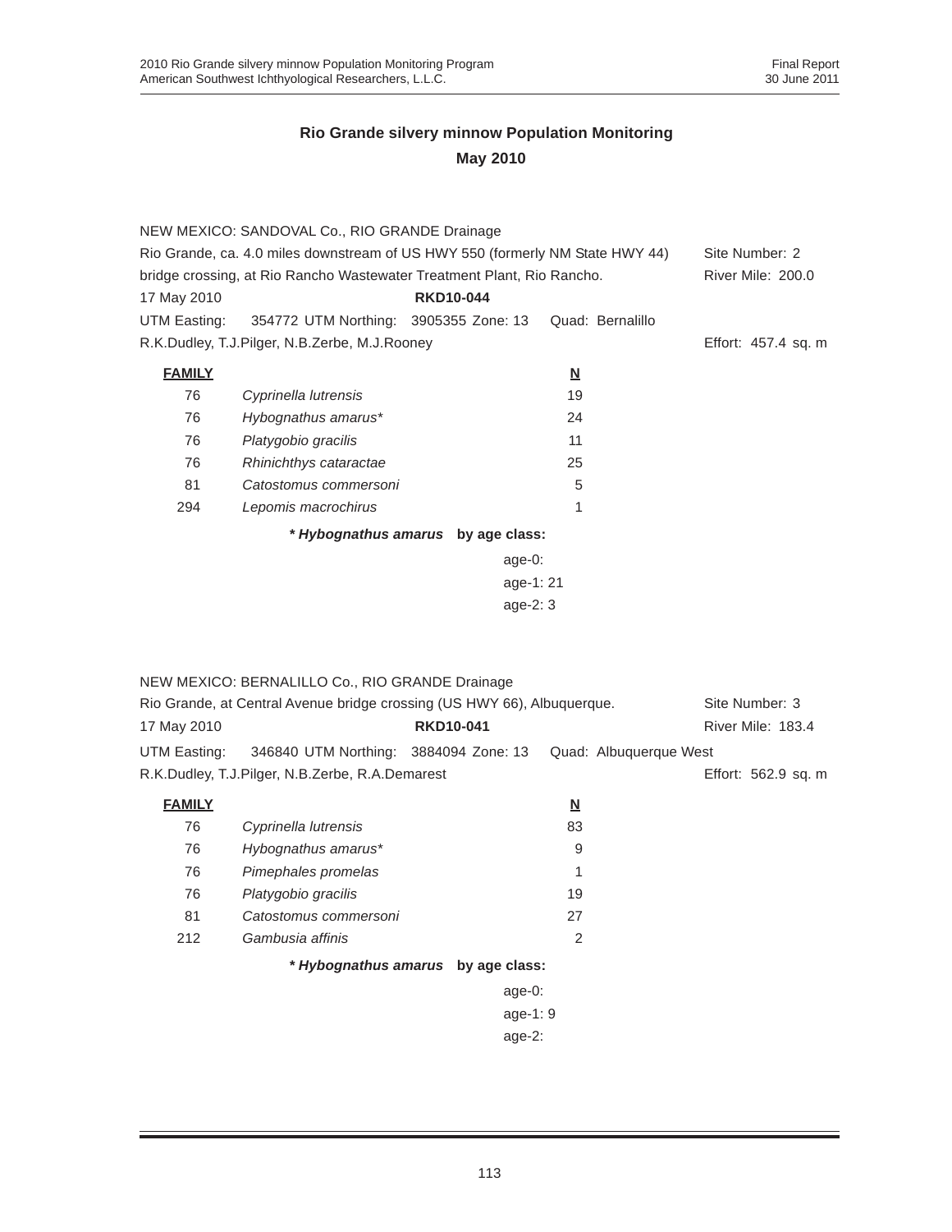|               | NEW MEXICO: SANDOVAL Co., RIO GRANDE Drainage                                 |                                    |                          |                     |
|---------------|-------------------------------------------------------------------------------|------------------------------------|--------------------------|---------------------|
|               | Rio Grande, ca. 4.0 miles downstream of US HWY 550 (formerly NM State HWY 44) | Site Number: 2                     |                          |                     |
|               | bridge crossing, at Rio Rancho Wastewater Treatment Plant, Rio Rancho.        |                                    |                          | River Mile: 200.0   |
| 17 May 2010   |                                                                               | <b>RKD10-044</b>                   |                          |                     |
| UTM Easting:  | 354772 UTM Northing: 3905355 Zone: 13                                         |                                    | Quad: Bernalillo         |                     |
|               | R.K.Dudley, T.J.Pilger, N.B.Zerbe, M.J.Rooney                                 |                                    |                          | Effort: 457.4 sq. m |
| <b>FAMILY</b> |                                                                               |                                    | N                        |                     |
| 76            | Cyprinella lutrensis                                                          |                                    | 19                       |                     |
| 76            | Hybognathus amarus*                                                           |                                    | 24                       |                     |
| 76            | Platygobio gracilis                                                           |                                    | 11                       |                     |
| 76            | Rhinichthys cataractae                                                        |                                    | 25                       |                     |
| 81            | Catostomus commersoni                                                         |                                    | 5                        |                     |
| 294           | Lepomis macrochirus                                                           |                                    | 1                        |                     |
|               |                                                                               | * Hybognathus amarus by age class: |                          |                     |
|               |                                                                               | $age-0$ :                          |                          |                     |
|               |                                                                               | age-1:21                           |                          |                     |
|               |                                                                               | age- $2:3$                         |                          |                     |
|               |                                                                               |                                    |                          |                     |
|               |                                                                               |                                    |                          |                     |
|               | NEW MEXICO: BERNALILLO Co., RIO GRANDE Drainage                               |                                    |                          |                     |
|               | Rio Grande, at Central Avenue bridge crossing (US HWY 66), Albuquerque.       |                                    |                          | Site Number: 3      |
| 17 May 2010   |                                                                               | <b>RKD10-041</b>                   |                          | River Mile: 183.4   |
| UTM Easting:  | 346840 UTM Northing: 3884094 Zone: 13                                         |                                    | Quad: Albuquerque West   |                     |
|               | R.K.Dudley, T.J.Pilger, N.B.Zerbe, R.A.Demarest                               |                                    |                          | Effort: 562.9 sq. m |
| <b>FAMILY</b> |                                                                               |                                    | $\underline{\mathsf{N}}$ |                     |
| 76            | Cyprinella lutrensis                                                          |                                    | 83                       |                     |

| 76  | Cyprinella lutrensis  | 83 |
|-----|-----------------------|----|
| 76  | Hybognathus amarus*   | 9  |
| 76  | Pimephales promelas   | 1  |
| 76  | Platygobio gracilis   | 19 |
| 81  | Catostomus commersoni | 27 |
| 212 | Gambusia affinis      | 2  |
|     |                       |    |

#### *\* Hybognathus amarus* **by age class:**

age-0: age-1: 9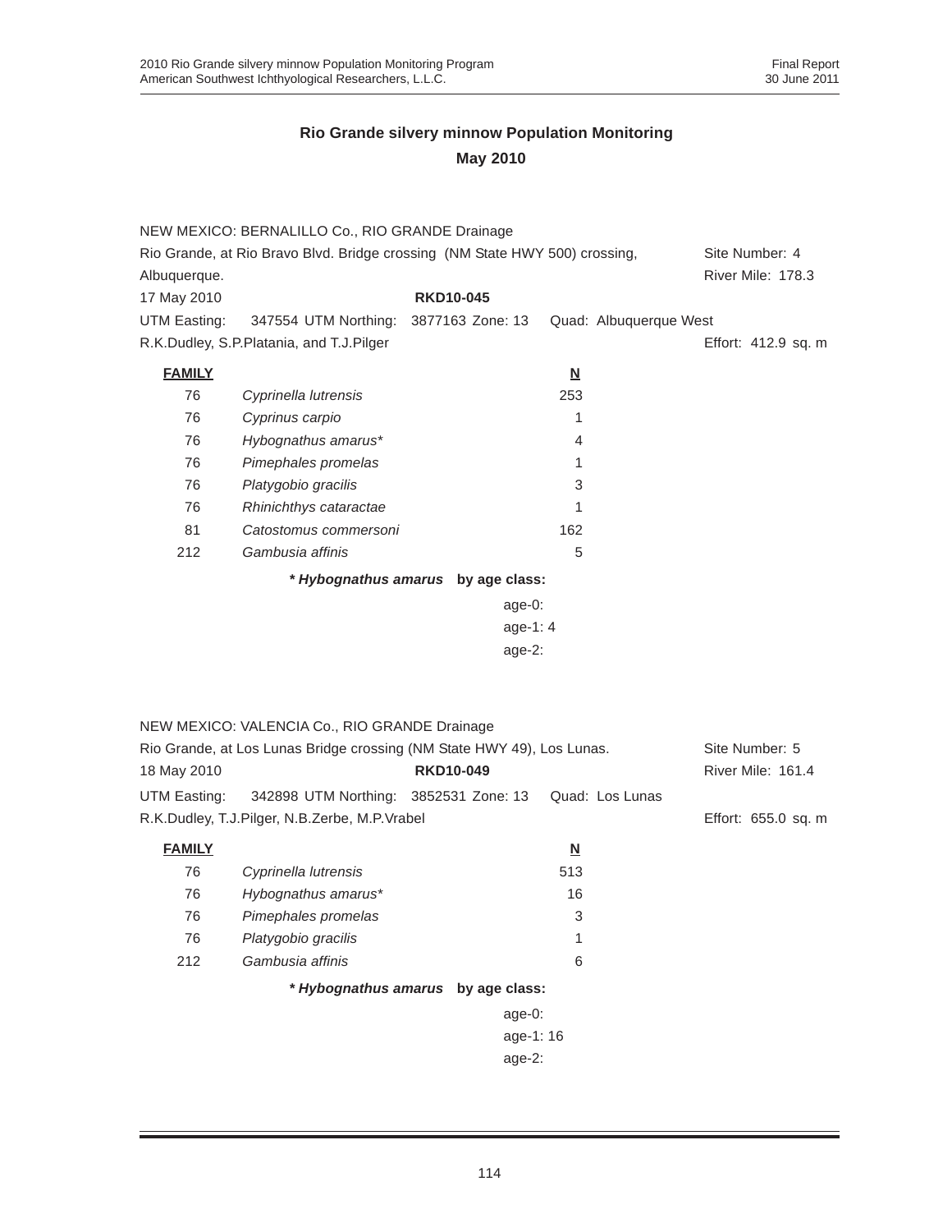|               | NEW MEXICO: BERNALILLO Co., RIO GRANDE Drainage                             |                                    |                          |                     |
|---------------|-----------------------------------------------------------------------------|------------------------------------|--------------------------|---------------------|
|               | Rio Grande, at Rio Bravo Blvd. Bridge crossing (NM State HWY 500) crossing, |                                    |                          | Site Number: 4      |
| Albuquerque.  |                                                                             |                                    |                          | River Mile: 178.3   |
| 17 May 2010   |                                                                             | <b>RKD10-045</b>                   |                          |                     |
| UTM Easting:  | 347554 UTM Northing:                                                        | 3877163 Zone: 13                   | Quad: Albuquerque West   |                     |
|               | R.K.Dudley, S.P.Platania, and T.J.Pilger                                    |                                    |                          | Effort: 412.9 sq. m |
| <b>FAMILY</b> |                                                                             |                                    | $\underline{\mathsf{N}}$ |                     |
| 76            | Cyprinella lutrensis                                                        |                                    | 253                      |                     |
| 76            | Cyprinus carpio                                                             |                                    | 1                        |                     |
| 76            | Hybognathus amarus*                                                         |                                    | 4                        |                     |
| 76            | Pimephales promelas                                                         |                                    | 1                        |                     |
| 76            | Platygobio gracilis                                                         |                                    | 3                        |                     |
| 76            | Rhinichthys cataractae                                                      |                                    | 1                        |                     |
| 81            | Catostomus commersoni                                                       |                                    | 162                      |                     |
| 212           | Gambusia affinis                                                            |                                    | 5                        |                     |
|               |                                                                             | * Hybognathus amarus by age class: |                          |                     |
|               |                                                                             | age-0:                             |                          |                     |
|               |                                                                             | age-1: 4                           |                          |                     |
|               |                                                                             | age-2:                             |                          |                     |
|               |                                                                             |                                    |                          |                     |
|               |                                                                             |                                    |                          |                     |
|               | NEW MEXICO: VALENCIA Co., RIO GRANDE Drainage                               |                                    |                          |                     |
|               | Rio Grande, at Los Lunas Bridge crossing (NM State HWY 49), Los Lunas.      |                                    |                          | Site Number: 5      |
| 18 May 2010   |                                                                             | <b>RKD10-049</b>                   |                          | River Mile: 161.4   |
| UTM Easting:  | 342898 UTM Northing: 3852531 Zone: 13                                       |                                    | Quad: Los Lunas          |                     |
|               | R.K.Dudley, T.J.Pilger, N.B.Zerbe, M.P.Vrabel                               |                                    |                          | Effort: 655.0 sq. m |
|               |                                                                             |                                    |                          |                     |
| <b>FAMILY</b> |                                                                             |                                    | $\underline{\mathsf{N}}$ |                     |
| 76            | Cyprinella lutrensis                                                        |                                    | 513                      |                     |
| 76            | Hybognathus amarus*                                                         |                                    | 16                       |                     |
| 76            | Pimephales promelas                                                         |                                    | 3                        |                     |
| 76            | Platygobio gracilis                                                         |                                    | 1                        |                     |
| 212           | Gambusia affinis                                                            |                                    | 6                        |                     |
|               |                                                                             | * Hybognathus amarus by age class: |                          |                     |
|               |                                                                             | age-0:                             |                          |                     |
|               |                                                                             | age-1: 16                          |                          |                     |
|               |                                                                             | age-2:                             |                          |                     |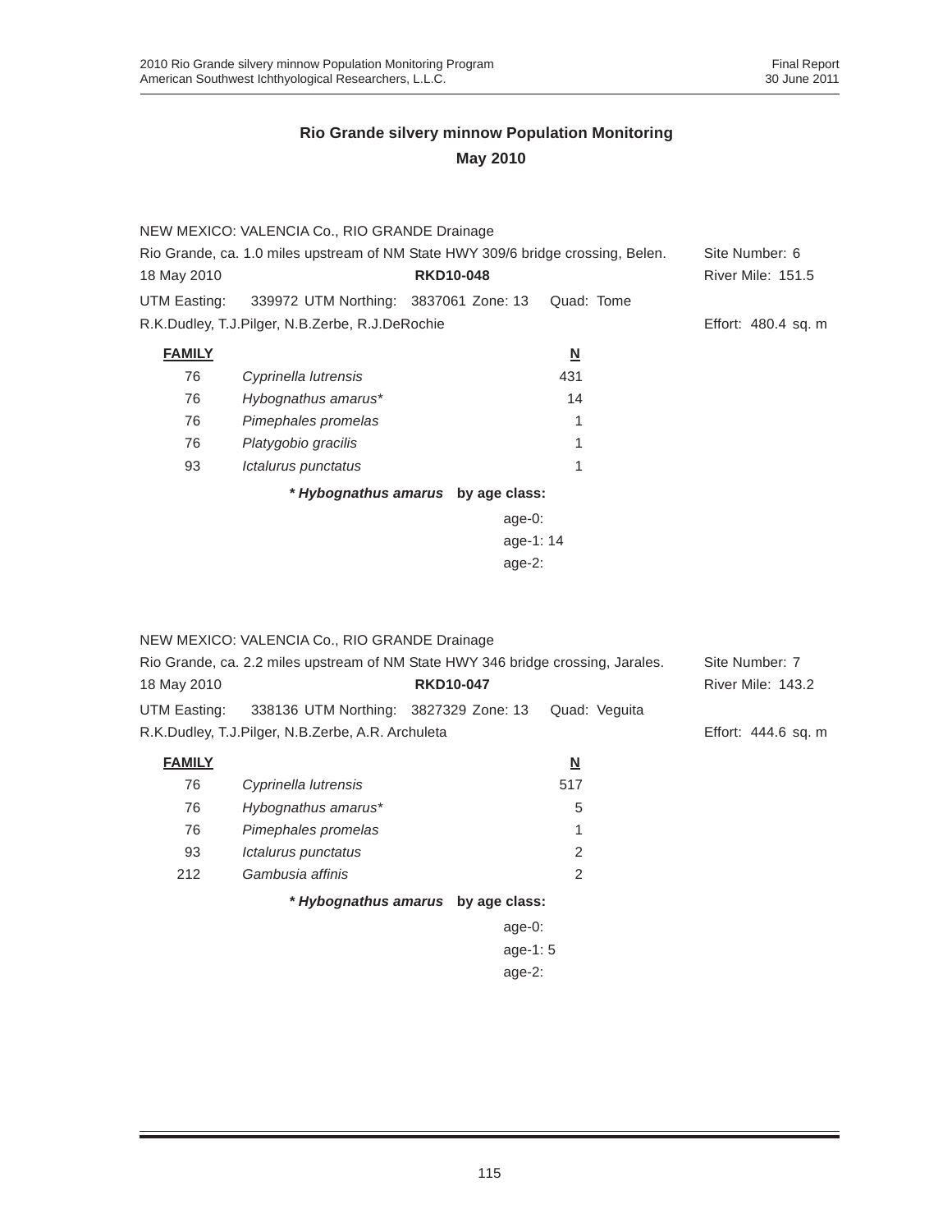|                                                                                  | NEW MEXICO: VALENCIA Co., RIO GRANDE Drainage |                                    |                          |                          |
|----------------------------------------------------------------------------------|-----------------------------------------------|------------------------------------|--------------------------|--------------------------|
| Rio Grande, ca. 1.0 miles upstream of NM State HWY 309/6 bridge crossing, Belen. | Site Number: 6                                |                                    |                          |                          |
| 18 May 2010                                                                      |                                               | <b>RKD10-048</b>                   |                          | <b>River Mile: 151.5</b> |
| UTM Easting:                                                                     | 339972 UTM Northing: 3837061 Zone: 13         |                                    | Quad: Tome               |                          |
| R.K.Dudley, T.J.Pilger, N.B.Zerbe, R.J.DeRochie                                  |                                               |                                    | Effort: 480.4 sq. m      |                          |
| <b>FAMILY</b>                                                                    |                                               |                                    | $\underline{\mathsf{N}}$ |                          |
| 76                                                                               | Cyprinella lutrensis                          |                                    | 431                      |                          |
| 76                                                                               | Hybognathus amarus*                           |                                    | 14                       |                          |
| 76                                                                               | Pimephales promelas                           |                                    | 1                        |                          |
| 76                                                                               | Platygobio gracilis                           |                                    |                          |                          |
| 93                                                                               | Ictalurus punctatus                           |                                    | 1                        |                          |
|                                                                                  |                                               | * Hybognathus amarus by age class: |                          |                          |
|                                                                                  |                                               | age- $0$ :                         |                          |                          |
|                                                                                  |                                               | age-1:14                           |                          |                          |

age-2:

|                                                                                  | NEW MEXICO: VALENCIA Co., RIO GRANDE Drainage     |                                    |                          |                     |
|----------------------------------------------------------------------------------|---------------------------------------------------|------------------------------------|--------------------------|---------------------|
| Rio Grande, ca. 2.2 miles upstream of NM State HWY 346 bridge crossing, Jarales. |                                                   |                                    |                          | Site Number: 7      |
| 18 May 2010                                                                      |                                                   | <b>RKD10-047</b>                   |                          | River Mile: 143.2   |
| UTM Easting:                                                                     | 338136 UTM Northing: 3827329 Zone: 13             |                                    | Quad: Veguita            |                     |
|                                                                                  | R.K.Dudley, T.J.Pilger, N.B.Zerbe, A.R. Archuleta |                                    |                          | Effort: 444.6 sq. m |
| <b>FAMILY</b>                                                                    |                                                   |                                    | $\underline{\mathsf{N}}$ |                     |
| 76                                                                               | Cyprinella lutrensis                              |                                    | 517                      |                     |
| 76                                                                               | Hybognathus amarus*                               |                                    | 5                        |                     |
| 76                                                                               | Pimephales promelas                               |                                    |                          |                     |
| 93                                                                               | Ictalurus punctatus                               |                                    | $\mathcal{P}$            |                     |
| 212                                                                              | Gambusia affinis                                  |                                    | 2                        |                     |
|                                                                                  |                                                   | * Hybognathus amarus by age class: |                          |                     |
|                                                                                  |                                                   | age- $0$ :                         |                          |                     |
|                                                                                  |                                                   | age-1: $5$                         |                          |                     |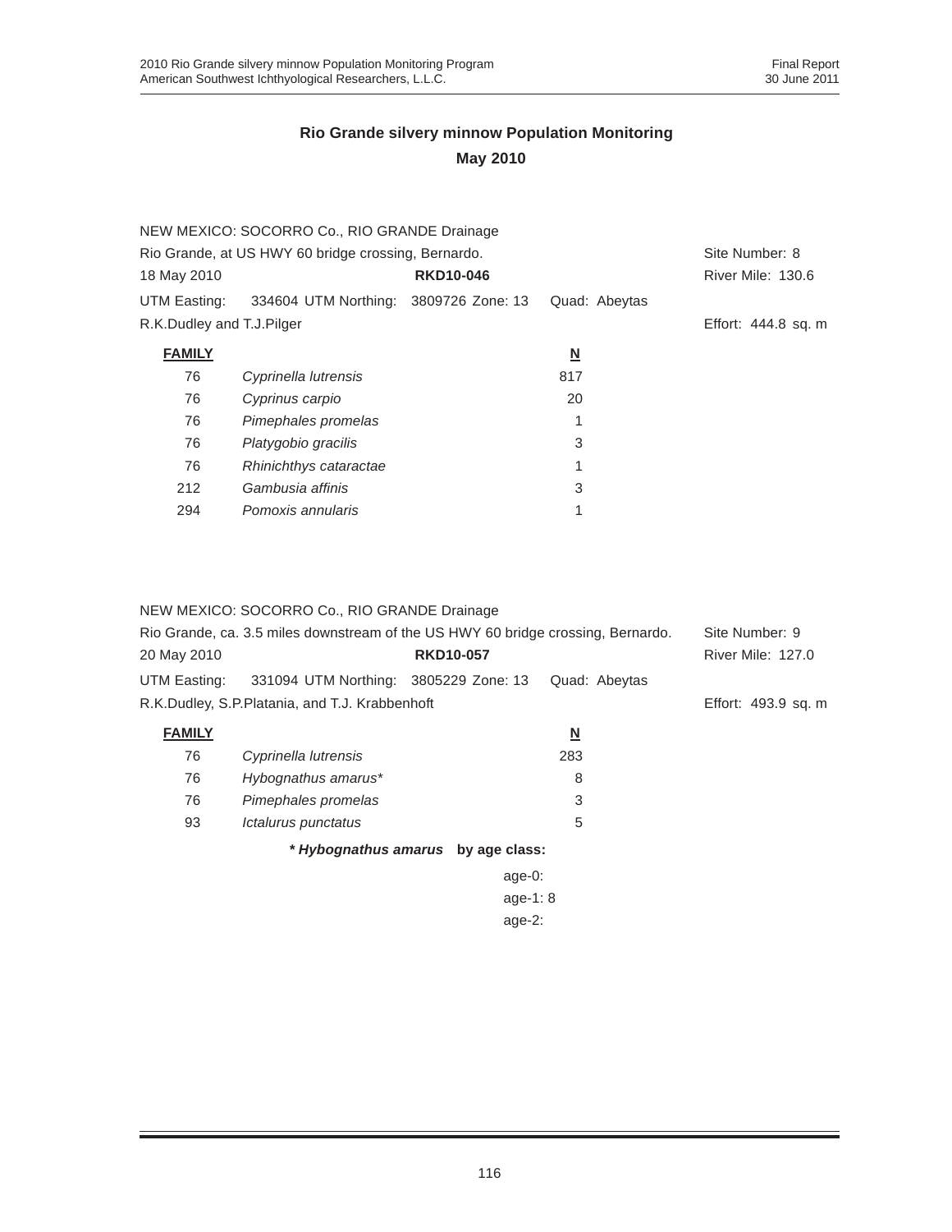|                           | NEW MEXICO: SOCORRO Co., RIO GRANDE Drainage        |                  |                          |                          |  |
|---------------------------|-----------------------------------------------------|------------------|--------------------------|--------------------------|--|
|                           | Rio Grande, at US HWY 60 bridge crossing, Bernardo. |                  |                          |                          |  |
| 18 May 2010               |                                                     | <b>RKD10-046</b> |                          | <b>River Mile: 130.6</b> |  |
| UTM Easting:              | 334604 UTM Northing: 3809726 Zone: 13               |                  | Quad: Abeytas            |                          |  |
| R.K.Dudley and T.J.Pilger |                                                     |                  |                          | Effort: 444.8 sq. m      |  |
| <b>FAMILY</b>             |                                                     |                  | $\underline{\mathsf{N}}$ |                          |  |
| 76                        | Cyprinella lutrensis                                |                  | 817                      |                          |  |
| 76                        | Cyprinus carpio                                     |                  | 20                       |                          |  |
| 76                        | Pimephales promelas                                 |                  | 1                        |                          |  |
| 76                        | Platygobio gracilis                                 |                  | 3                        |                          |  |
| 76                        | Rhinichthys cataractae                              |                  | 1                        |                          |  |
| 212                       | Gambusia affinis                                    |                  | 3                        |                          |  |
| 294                       | Pomoxis annularis                                   |                  |                          |                          |  |
|                           |                                                     |                  |                          |                          |  |

#### NEW MEXICO: SOCORRO Co., RIO GRANDE Drainage

| Rio Grande, ca. 3.5 miles downstream of the US HWY 60 bridge crossing, Bernardo. |                                                |                                    |                         | Site Number: 9           |
|----------------------------------------------------------------------------------|------------------------------------------------|------------------------------------|-------------------------|--------------------------|
| 20 May 2010                                                                      |                                                | <b>RKD10-057</b>                   |                         | <b>River Mile: 127.0</b> |
| UTM Easting:                                                                     | 331094 UTM Northing: 3805229 Zone: 13          |                                    | Quad: Abeytas           |                          |
|                                                                                  | R.K.Dudley, S.P.Platania, and T.J. Krabbenhoft |                                    |                         | Effort: 493.9 sq. m      |
| <b>FAMILY</b>                                                                    |                                                |                                    | $\overline{\mathbf{M}}$ |                          |
| 76                                                                               | Cyprinella lutrensis                           |                                    | 283                     |                          |
| 76                                                                               | Hybognathus amarus*                            |                                    | 8                       |                          |
| 76                                                                               | Pimephales promelas                            |                                    | 3                       |                          |
| 93                                                                               | Ictalurus punctatus                            |                                    | 5                       |                          |
|                                                                                  |                                                | * Hybognathus amarus by age class: |                         |                          |
|                                                                                  |                                                | age-0:                             |                         |                          |
|                                                                                  |                                                |                                    |                         |                          |
|                                                                                  |                                                |                                    |                         |                          |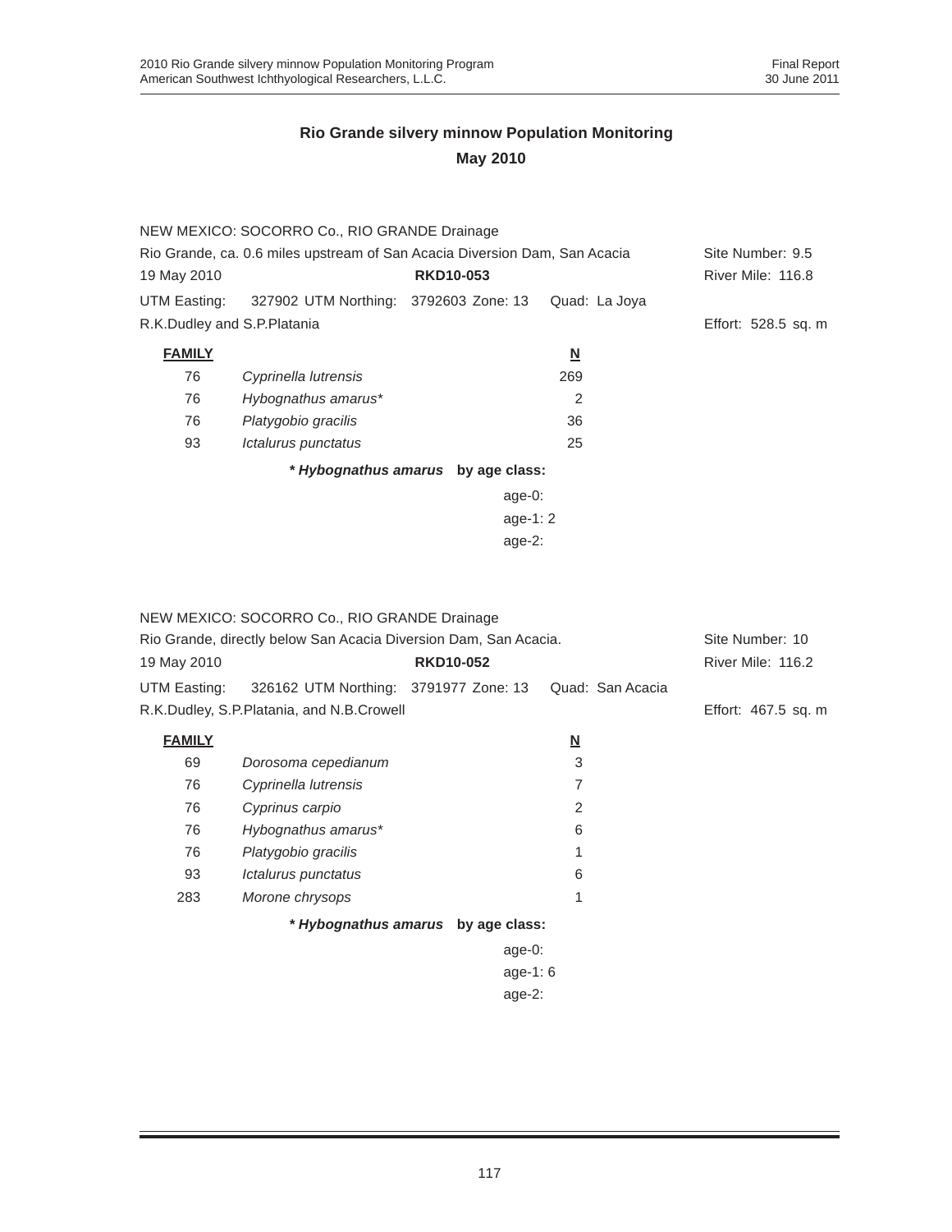|                                                                            | NEW MEXICO: SOCORRO Co., RIO GRANDE Drainage |                  |                         |                     |  |
|----------------------------------------------------------------------------|----------------------------------------------|------------------|-------------------------|---------------------|--|
| Rio Grande, ca. 0.6 miles upstream of San Acacia Diversion Dam, San Acacia |                                              |                  | Site Number: 9.5        |                     |  |
| 19 May 2010                                                                |                                              | <b>RKD10-053</b> |                         | River Mile: 116.8   |  |
| UTM Easting:                                                               | 327902 UTM Northing: 3792603 Zone: 13        |                  | Quad: La Joya           |                     |  |
| R.K.Dudley and S.P.Platania                                                |                                              |                  |                         | Effort: 528.5 sq. m |  |
| <b>FAMILY</b>                                                              |                                              |                  | $\overline{\mathsf{M}}$ |                     |  |
| 76                                                                         | Cyprinella lutrensis                         |                  | 269                     |                     |  |
| 76                                                                         | Hybognathus amarus*                          |                  | 2                       |                     |  |
| 76                                                                         | Platygobio gracilis                          |                  | 36                      |                     |  |
| 93                                                                         | Ictalurus punctatus                          |                  | 25                      |                     |  |
|                                                                            | * Hybognathus amarus by age class:           |                  |                         |                     |  |
|                                                                            |                                              | age- $0:$        |                         |                     |  |
| age-1: $2$                                                                 |                                              |                  |                         |                     |  |
|                                                                            | age- $2:$                                    |                  |                         |                     |  |

|               | NEW MEXICO: SOCORRO Co., RIO GRANDE Drainage                     |                  |                          |                     |
|---------------|------------------------------------------------------------------|------------------|--------------------------|---------------------|
|               | Rio Grande, directly below San Acacia Diversion Dam, San Acacia. |                  |                          |                     |
| 19 May 2010   |                                                                  | <b>RKD10-052</b> |                          | River Mile: 116.2   |
| UTM Easting:  | 326162 UTM Northing: 3791977 Zone: 13                            |                  | Quad: San Acacia         |                     |
|               | R.K.Dudley, S.P.Platania, and N.B.Crowell                        |                  |                          | Effort: 467.5 sq. m |
| <b>FAMILY</b> |                                                                  |                  | $\underline{\mathsf{N}}$ |                     |
| 69            | Dorosoma cepedianum                                              |                  | 3                        |                     |
| 76            | Cyprinella lutrensis                                             |                  | 7                        |                     |
| 76            | Cyprinus carpio                                                  |                  | 2                        |                     |
| 76            | Hybognathus amarus*                                              |                  | 6                        |                     |
| 76            | Platygobio gracilis                                              |                  |                          |                     |
| 93            | Ictalurus punctatus                                              |                  | 6                        |                     |
| 283           | Morone chrysops                                                  |                  | 1                        |                     |
|               | * Hybognathus amarus by age class:                               |                  |                          |                     |
|               |                                                                  | age-0:           |                          |                     |
|               |                                                                  | age-1: $6$       |                          |                     |
|               |                                                                  | age- $2$ :       |                          |                     |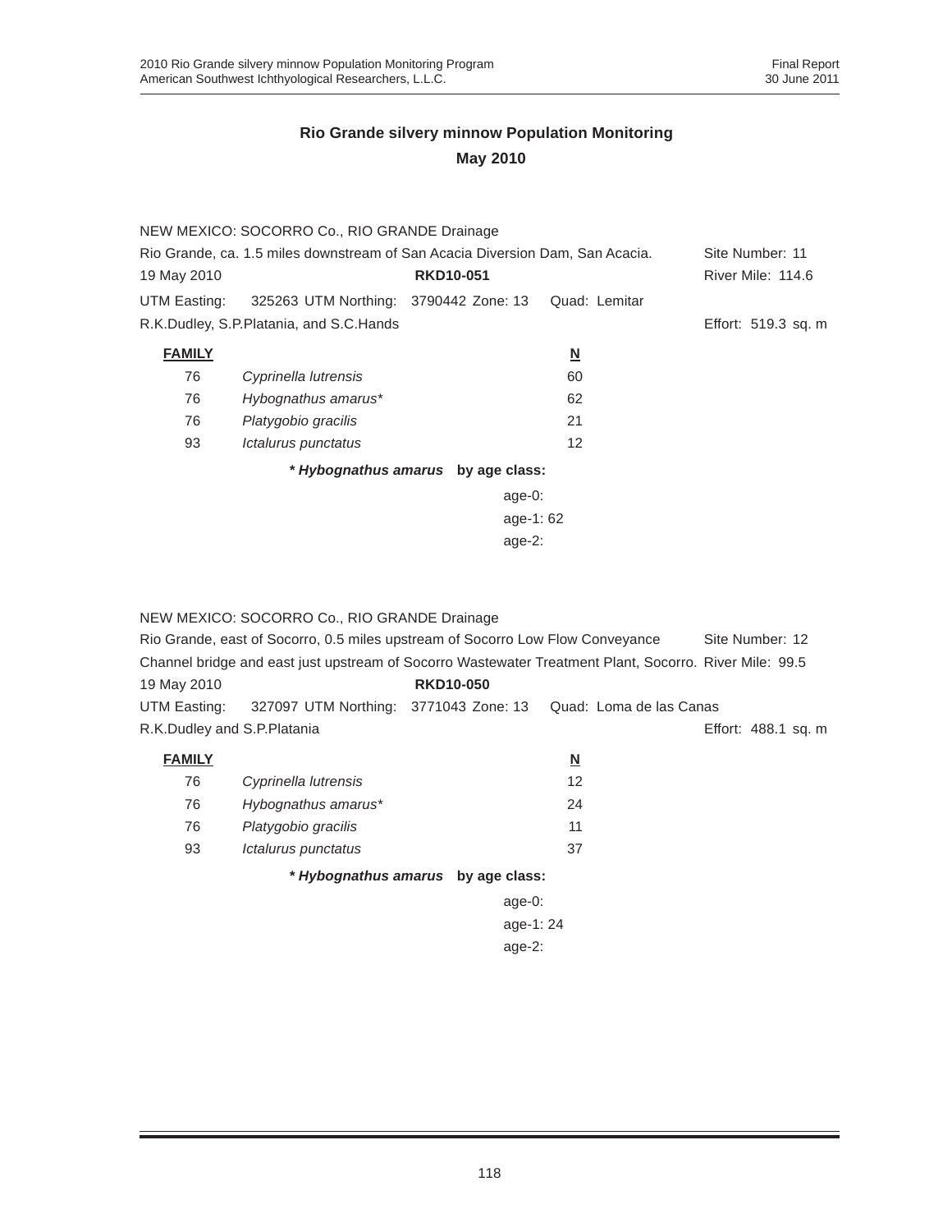|                                                                               | NEW MEXICO: SOCORRO Co., RIO GRANDE Drainage |                                    |                          |                     |
|-------------------------------------------------------------------------------|----------------------------------------------|------------------------------------|--------------------------|---------------------|
| Rio Grande, ca. 1.5 miles downstream of San Acacia Diversion Dam, San Acacia. |                                              |                                    |                          | Site Number: 11     |
| 19 May 2010                                                                   |                                              | <b>RKD10-051</b>                   |                          | River Mile: 114.6   |
| UTM Easting:                                                                  | 325263 UTM Northing: 3790442 Zone: 13        |                                    | Quad: Lemitar            |                     |
|                                                                               | R.K.Dudley, S.P.Platania, and S.C.Hands      |                                    |                          | Effort: 519.3 sq. m |
| <b>FAMILY</b>                                                                 |                                              |                                    | $\underline{\mathsf{N}}$ |                     |
| 76                                                                            | Cyprinella lutrensis                         |                                    | 60                       |                     |
| 76                                                                            | Hybognathus amarus*                          |                                    | 62                       |                     |
| 76                                                                            | Platygobio gracilis                          |                                    | 21                       |                     |
| 93                                                                            | Ictalurus punctatus                          |                                    | 12                       |                     |
|                                                                               |                                              | * Hybognathus amarus by age class: |                          |                     |
|                                                                               |                                              | age-0:                             |                          |                     |
| age-1:62                                                                      |                                              |                                    |                          |                     |
|                                                                               |                                              | age- $2:$                          |                          |                     |

|                             | NEW MEXICO: SOCORRO Co., RIO GRANDE Drainage                                                           |                                    |                          |                     |
|-----------------------------|--------------------------------------------------------------------------------------------------------|------------------------------------|--------------------------|---------------------|
|                             | Rio Grande, east of Socorro, 0.5 miles upstream of Socorro Low Flow Conveyance                         |                                    |                          | Site Number: 12     |
|                             | Channel bridge and east just upstream of Socorro Wastewater Treatment Plant, Socorro. River Mile: 99.5 |                                    |                          |                     |
| 19 May 2010                 |                                                                                                        | <b>RKD10-050</b>                   |                          |                     |
|                             | UTM Easting: 327097 UTM Northing: 3771043 Zone: 13                                                     |                                    | Quad: Loma de las Canas  |                     |
| R.K.Dudley and S.P.Platania |                                                                                                        |                                    |                          | Effort: 488.1 sq. m |
| <b>FAMILY</b>               |                                                                                                        |                                    | $\underline{\mathbf{N}}$ |                     |
| 76                          | Cyprinella lutrensis                                                                                   |                                    | $12 \overline{ }$        |                     |
| 76                          | Hybognathus amarus*                                                                                    |                                    | 24                       |                     |
| 76                          | Platygobio gracilis                                                                                    |                                    | 11                       |                     |
| 93                          | Ictalurus punctatus                                                                                    |                                    | 37                       |                     |
|                             |                                                                                                        | * Hybognathus amarus by age class: |                          |                     |
|                             |                                                                                                        | age- $0$ :                         |                          |                     |
|                             |                                                                                                        | age-1: 24                          |                          |                     |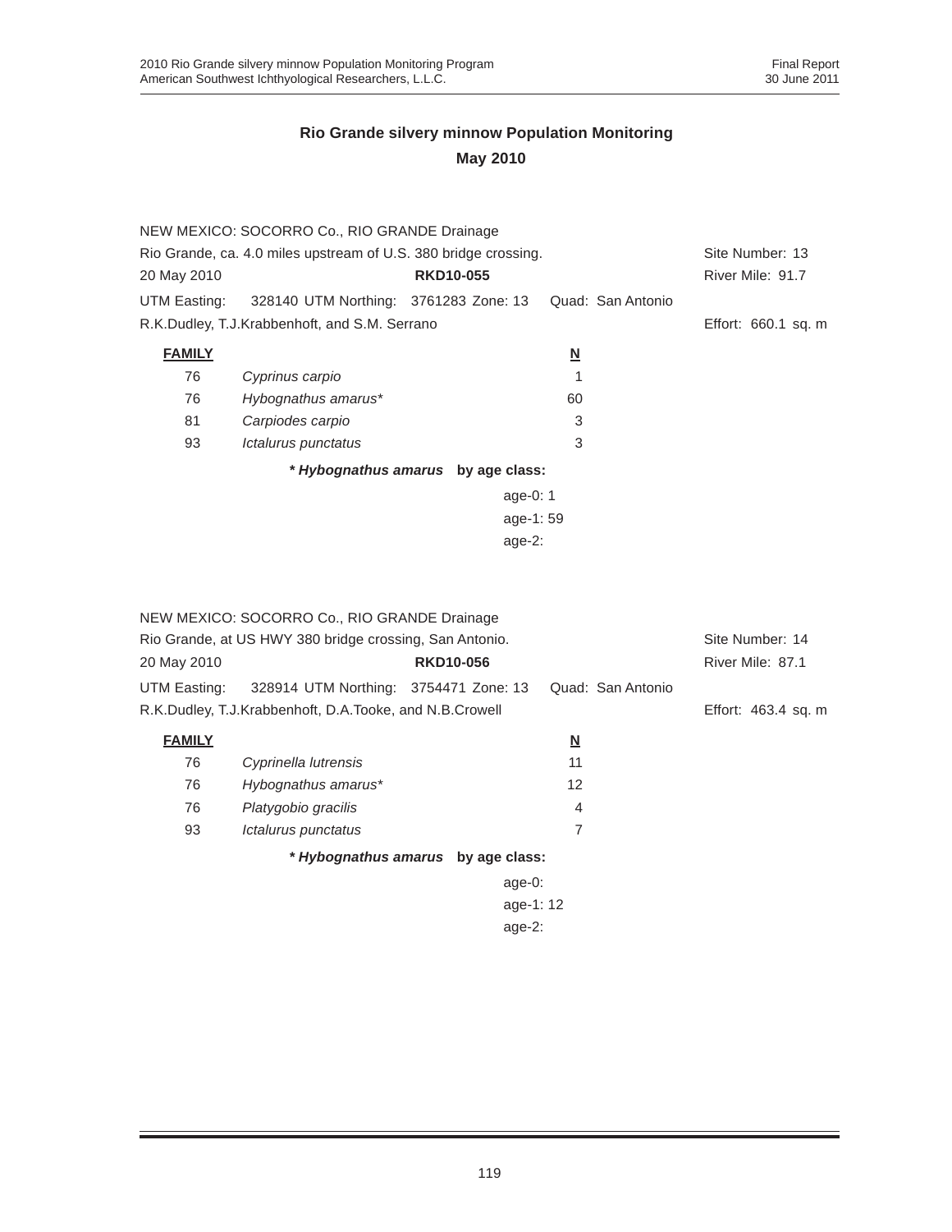|                                                                 | NEW MEXICO: SOCORRO Co., RIO GRANDE Drainage  |                                    |                          |                     |
|-----------------------------------------------------------------|-----------------------------------------------|------------------------------------|--------------------------|---------------------|
| Rio Grande, ca. 4.0 miles upstream of U.S. 380 bridge crossing. |                                               |                                    |                          | Site Number: 13     |
| 20 May 2010                                                     |                                               | <b>RKD10-055</b>                   |                          | River Mile: 91.7    |
| UTM Easting:                                                    | 328140 UTM Northing: 3761283 Zone: 13         |                                    | Quad: San Antonio        |                     |
|                                                                 | R.K.Dudley, T.J.Krabbenhoft, and S.M. Serrano |                                    |                          | Effort: 660.1 sq. m |
| <b>FAMILY</b>                                                   |                                               |                                    | $\underline{\mathsf{N}}$ |                     |
| 76                                                              | Cyprinus carpio                               |                                    |                          |                     |
| 76                                                              | Hybognathus amarus*                           |                                    | 60                       |                     |
| 81                                                              | Carpiodes carpio                              |                                    | 3                        |                     |
| 93                                                              | Ictalurus punctatus                           |                                    | 3                        |                     |
|                                                                 |                                               | * Hybognathus amarus by age class: |                          |                     |
|                                                                 |                                               | age-0: $1$                         |                          |                     |
|                                                                 |                                               | age-1:59                           |                          |                     |
|                                                                 |                                               | $age-2$ :                          |                          |                     |
|                                                                 |                                               |                                    |                          |                     |
|                                                                 |                                               |                                    |                          |                     |
|                                                                 |                                               |                                    |                          |                     |

|               | NEW MEXICO: SOCORRO Co., RIO GRANDE Drainage            |                  |                          |                   |                     |  |
|---------------|---------------------------------------------------------|------------------|--------------------------|-------------------|---------------------|--|
|               | Rio Grande, at US HWY 380 bridge crossing, San Antonio. |                  |                          |                   | Site Number: 14     |  |
| 20 May 2010   |                                                         | <b>RKD10-056</b> |                          |                   | River Mile: 87.1    |  |
| UTM Easting:  | 328914 UTM Northing: 3754471 Zone: 13                   |                  |                          | Quad: San Antonio |                     |  |
|               | R.K.Dudley, T.J.Krabbenhoft, D.A.Tooke, and N.B.Crowell |                  |                          |                   | Effort: 463.4 sq. m |  |
| <b>FAMILY</b> |                                                         |                  | $\underline{\mathbf{N}}$ |                   |                     |  |
| 76            | Cyprinella lutrensis                                    |                  | 11                       |                   |                     |  |
| 76            | Hybognathus amarus*                                     |                  | 12                       |                   |                     |  |
| 76            | Platygobio gracilis                                     |                  | 4                        |                   |                     |  |
| 93            | Ictalurus punctatus                                     |                  | 7                        |                   |                     |  |
|               | * Hybognathus amarus by age class:                      |                  |                          |                   |                     |  |
|               |                                                         | age-0:           |                          |                   |                     |  |
| age-1: 12     |                                                         |                  |                          |                   |                     |  |
| age- $2:$     |                                                         |                  |                          |                   |                     |  |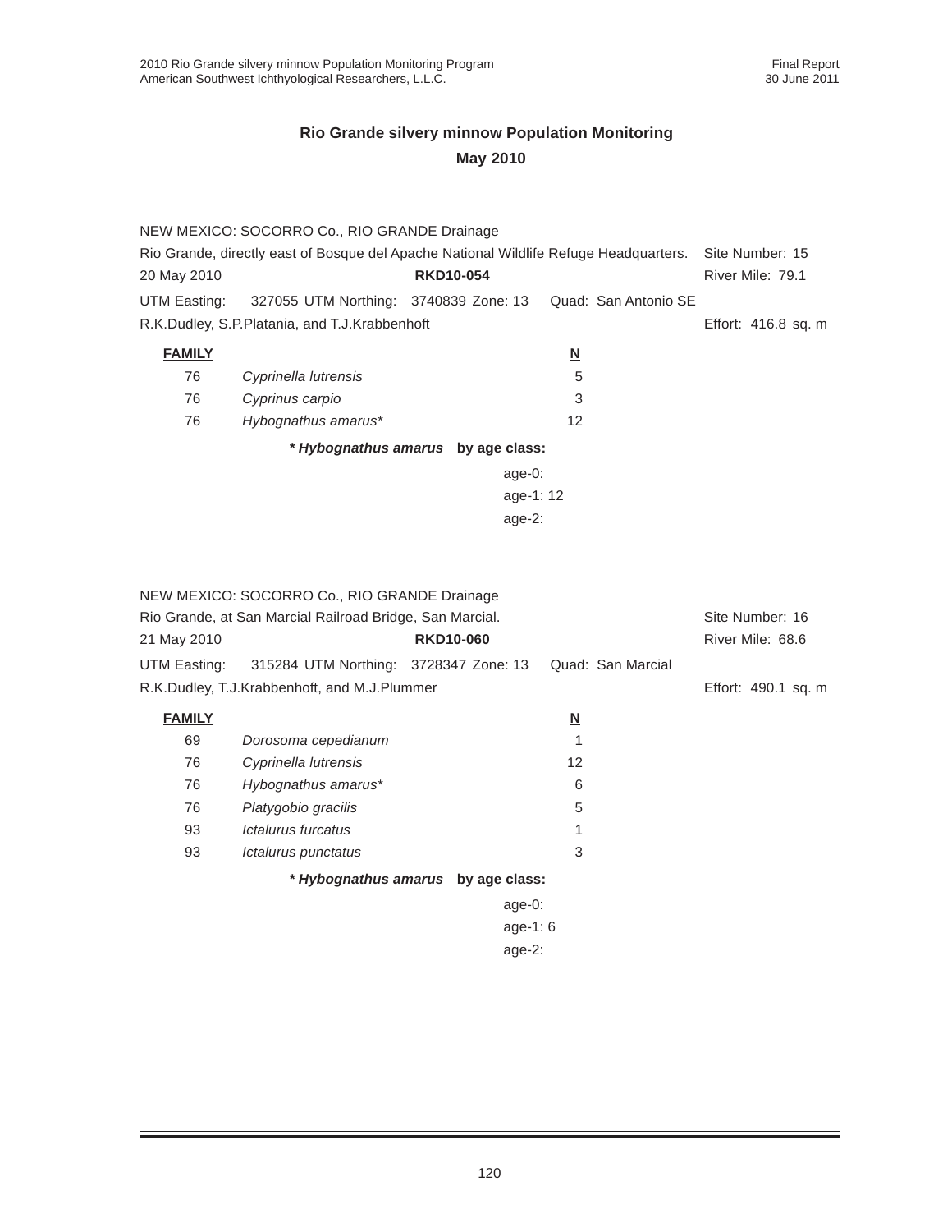|               | NEW MEXICO: SOCORRO Co., RIO GRANDE Drainage                                          |                                    |                          |                     |
|---------------|---------------------------------------------------------------------------------------|------------------------------------|--------------------------|---------------------|
|               | Rio Grande, directly east of Bosque del Apache National Wildlife Refuge Headquarters. |                                    |                          |                     |
| 20 May 2010   |                                                                                       | <b>RKD10-054</b>                   |                          | River Mile: 79.1    |
|               | UTM Easting: 327055 UTM Northing: 3740839 Zone: 13                                    |                                    | Quad: San Antonio SE     |                     |
|               | R.K.Dudley, S.P.Platania, and T.J.Krabbenhoft                                         |                                    |                          | Effort: 416.8 sq. m |
| <b>FAMILY</b> |                                                                                       |                                    | $\underline{\mathsf{N}}$ |                     |
| 76            | Cyprinella lutrensis                                                                  |                                    | 5                        |                     |
| 76            | Cyprinus carpio                                                                       |                                    | 3                        |                     |
| 76            | Hybognathus amarus*                                                                   |                                    | 12                       |                     |
|               |                                                                                       | * Hybognathus amarus by age class: |                          |                     |
|               |                                                                                       | age- $0:$                          |                          |                     |
|               |                                                                                       | age-1: 12                          |                          |                     |
|               |                                                                                       | age- $2:$                          |                          |                     |
|               |                                                                                       |                                    |                          |                     |

|               | NEW MEXICO: SOCORRO Co., RIO GRANDE Drainage             |                                    |                          |                     |
|---------------|----------------------------------------------------------|------------------------------------|--------------------------|---------------------|
|               | Rio Grande, at San Marcial Railroad Bridge, San Marcial. |                                    |                          |                     |
| 21 May 2010   |                                                          | <b>RKD10-060</b>                   |                          | River Mile: 68.6    |
| UTM Easting:  | 315284 UTM Northing: 3728347 Zone: 13                    |                                    | Quad: San Marcial        |                     |
|               | R.K.Dudley, T.J.Krabbenhoft, and M.J.Plummer             |                                    |                          | Effort: 490.1 sq. m |
| <b>FAMILY</b> |                                                          |                                    | $\underline{\mathbf{N}}$ |                     |
| 69            | Dorosoma cepedianum                                      |                                    |                          |                     |
| 76            | Cyprinella lutrensis                                     |                                    | 12                       |                     |
| 76            | Hybognathus amarus*                                      |                                    | 6                        |                     |
| 76            | Platygobio gracilis                                      |                                    | 5                        |                     |
| 93            | <i><b>Ictalurus furcatus</b></i>                         |                                    |                          |                     |
| 93            | Ictalurus punctatus                                      |                                    | 3                        |                     |
|               |                                                          | * Hybognathus amarus by age class: |                          |                     |
|               |                                                          | $age-0$ :                          |                          |                     |
|               |                                                          | age-1: $6$                         |                          |                     |
|               |                                                          | age- $2:$                          |                          |                     |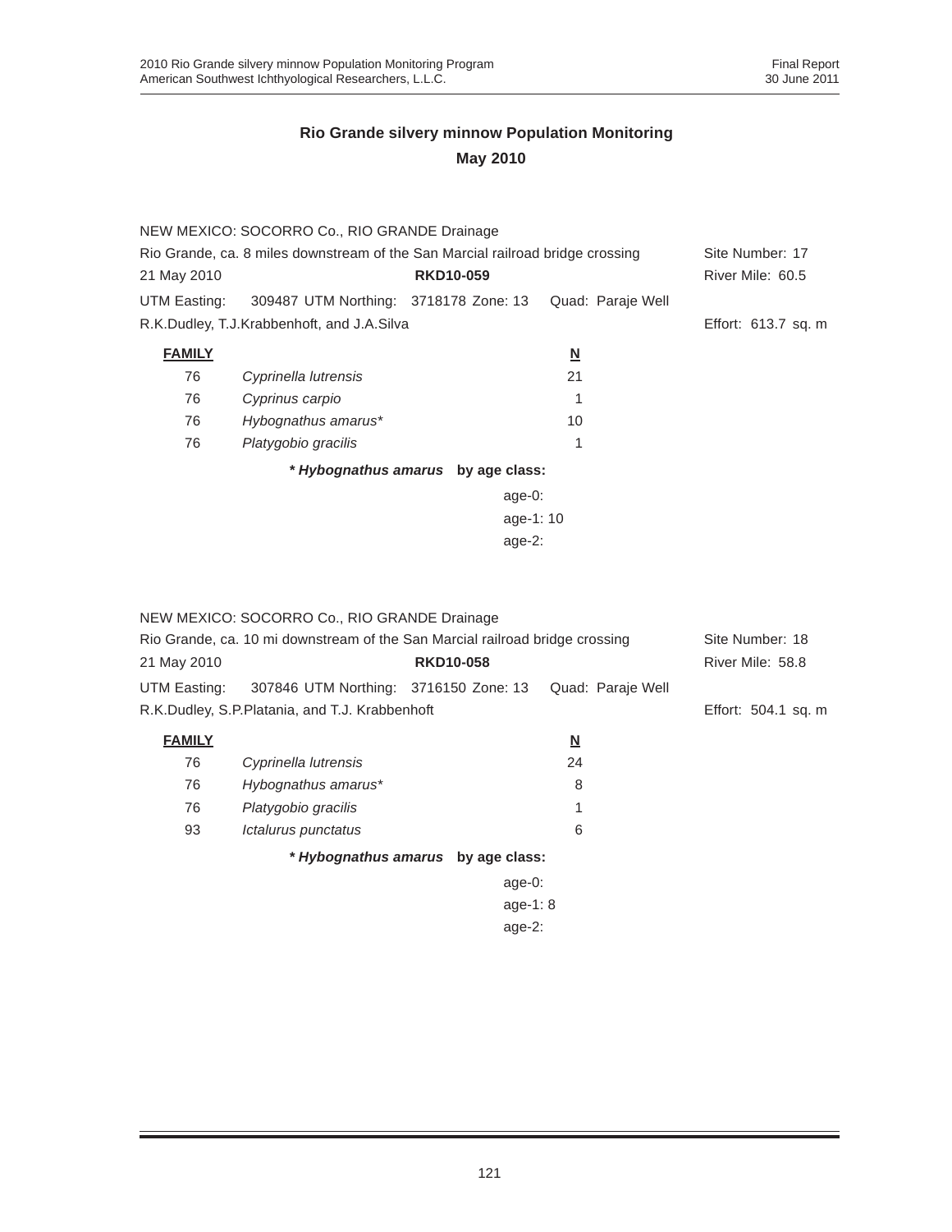|                                                                                | NEW MEXICO: SOCORRO Co., RIO GRANDE Drainage       |                                    |                          |                     |
|--------------------------------------------------------------------------------|----------------------------------------------------|------------------------------------|--------------------------|---------------------|
| Rio Grande, ca. 8 miles downstream of the San Marcial railroad bridge crossing |                                                    |                                    |                          | Site Number: 17     |
| 21 May 2010                                                                    |                                                    | <b>RKD10-059</b>                   |                          | River Mile: 60.5    |
|                                                                                | UTM Easting: 309487 UTM Northing: 3718178 Zone: 13 |                                    | Quad: Paraje Well        |                     |
|                                                                                | R.K.Dudley, T.J.Krabbenhoft, and J.A.Silva         |                                    |                          | Effort: 613.7 sq. m |
| <b>FAMILY</b>                                                                  |                                                    |                                    | $\underline{\mathsf{N}}$ |                     |
| 76                                                                             | Cyprinella lutrensis                               |                                    | 21                       |                     |
| 76                                                                             | Cyprinus carpio                                    |                                    |                          |                     |
| 76                                                                             | Hybognathus amarus*                                |                                    | 10                       |                     |
| 76                                                                             | Platygobio gracilis                                |                                    | 1                        |                     |
|                                                                                |                                                    | * Hybognathus amarus by age class: |                          |                     |
|                                                                                |                                                    | age- $0:$                          |                          |                     |
|                                                                                |                                                    | age-1: $10$                        |                          |                     |
|                                                                                |                                                    | age- $2$ :                         |                          |                     |

|               | NEW MEXICO: SOCORRO Co., RIO GRANDE Drainage                                 |                                    |                   |                     |
|---------------|------------------------------------------------------------------------------|------------------------------------|-------------------|---------------------|
|               | Rio Grande, ca. 10 mi downstream of the San Marcial railroad bridge crossing |                                    |                   | Site Number: 18     |
| 21 May 2010   |                                                                              | <b>RKD10-058</b>                   |                   | River Mile: 58.8    |
| UTM Easting:  | 307846 UTM Northing: 3716150 Zone: 13                                        |                                    | Quad: Paraje Well |                     |
|               | R.K.Dudley, S.P.Platania, and T.J. Krabbenhoft                               |                                    |                   | Effort: 504.1 sq. m |
| <b>FAMILY</b> |                                                                              |                                    | <u>N</u>          |                     |
| 76            | Cyprinella lutrensis                                                         |                                    | 24                |                     |
| 76            | Hybognathus amarus*                                                          |                                    | 8                 |                     |
| 76            | Platygobio gracilis                                                          |                                    |                   |                     |
| 93            | Ictalurus punctatus                                                          |                                    | 6                 |                     |
|               |                                                                              | * Hybognathus amarus by age class: |                   |                     |
|               |                                                                              | age- $0$ :                         |                   |                     |
| age-1: $8$    |                                                                              |                                    |                   |                     |
|               |                                                                              |                                    |                   |                     |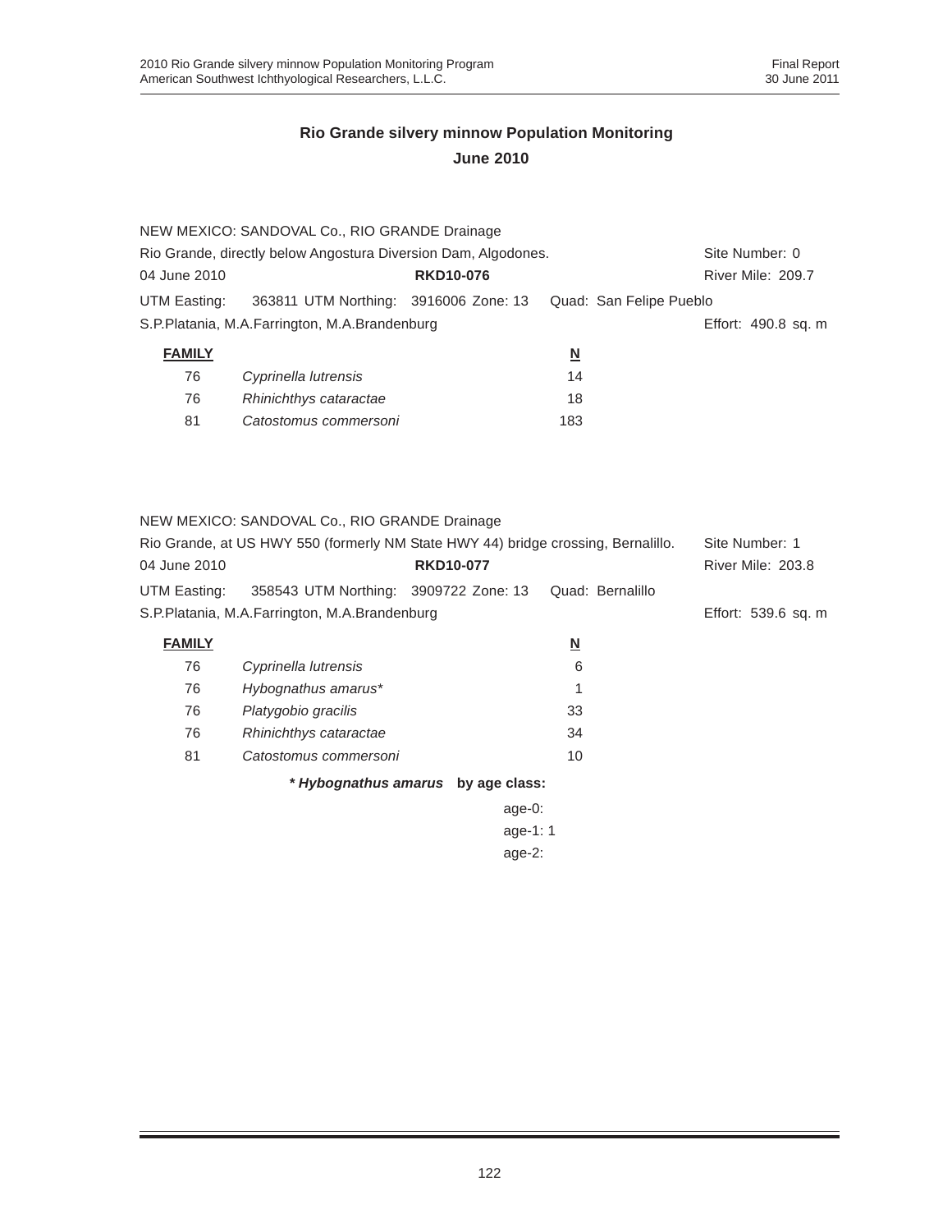|                                                                                  | NEW MEXICO: SANDOVAL Co., RIO GRANDE Drainage |                  |                         |                         |
|----------------------------------------------------------------------------------|-----------------------------------------------|------------------|-------------------------|-------------------------|
| Rio Grande, directly below Angostura Diversion Dam, Algodones.<br>Site Number: 0 |                                               |                  |                         |                         |
| 04 June 2010                                                                     |                                               | <b>RKD10-076</b> |                         | River Mile: 209.7       |
| UTM Easting:                                                                     | 363811 UTM Northing: 3916006 Zone: 13         |                  |                         | Quad: San Felipe Pueblo |
|                                                                                  | S.P.Platania, M.A.Farrington, M.A.Brandenburg |                  |                         | Effort: 490.8 sq. m     |
| <b>FAMILY</b>                                                                    |                                               |                  | $\overline{\mathbf{N}}$ |                         |
| 76                                                                               | Cyprinella lutrensis                          |                  | 14                      |                         |
| 76                                                                               | Rhinichthys cataractae                        |                  | 18                      |                         |

| -81 | Catostomus commersoni | 183 |
|-----|-----------------------|-----|

NEW MEXICO: SANDOVAL Co., RIO GRANDE Drainage

| Rio Grande, at US HWY 550 (formerly NM State HWY 44) bridge crossing, Bernalillo. |                                               |                  | Site Number: 1   |                     |
|-----------------------------------------------------------------------------------|-----------------------------------------------|------------------|------------------|---------------------|
| 04 June 2010                                                                      |                                               | <b>RKD10-077</b> |                  | River Mile: 203.8   |
| UTM Easting:                                                                      | 358543 UTM Northing: 3909722 Zone: 13         |                  | Quad: Bernalillo |                     |
|                                                                                   | S.P.Platania, M.A.Farrington, M.A.Brandenburg |                  |                  | Effort: 539.6 sq. m |

| <b>FAMILY</b> |                        | N  |
|---------------|------------------------|----|
| 76            | Cyprinella lutrensis   | 6  |
| 76            | Hybognathus amarus*    |    |
| 76            | Platygobio gracilis    | 33 |
| 76            | Rhinichthys cataractae | 34 |
| 81            | Catostomus commersoni  | 10 |

*\* Hybognathus amarus* **by age class:**

age-0: age-1: 1 age-2: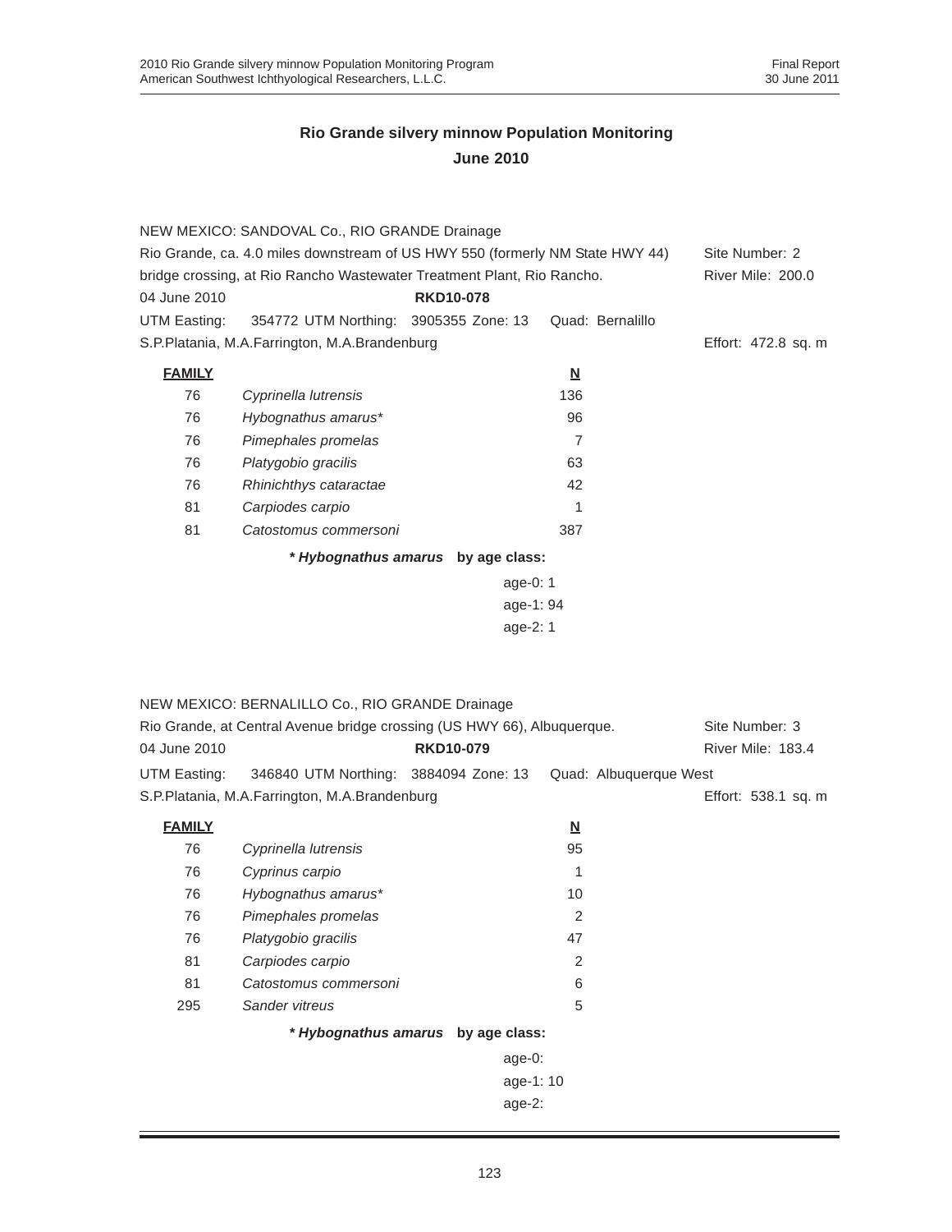|               | NEW MEXICO: SANDOVAL Co., RIO GRANDE Drainage                                 |                                    |                          |                     |
|---------------|-------------------------------------------------------------------------------|------------------------------------|--------------------------|---------------------|
|               | Rio Grande, ca. 4.0 miles downstream of US HWY 550 (formerly NM State HWY 44) |                                    |                          | Site Number: 2      |
|               | bridge crossing, at Rio Rancho Wastewater Treatment Plant, Rio Rancho.        |                                    |                          | River Mile: 200.0   |
| 04 June 2010  |                                                                               | <b>RKD10-078</b>                   |                          |                     |
| UTM Easting:  | 354772 UTM Northing: 3905355 Zone: 13                                         |                                    | Quad: Bernalillo         |                     |
|               | S.P.Platania, M.A.Farrington, M.A.Brandenburg                                 |                                    |                          | Effort: 472.8 sq. m |
| <b>FAMILY</b> |                                                                               |                                    | $\underline{\mathsf{N}}$ |                     |
| 76            | Cyprinella lutrensis                                                          |                                    | 136                      |                     |
| 76            | Hybognathus amarus*                                                           |                                    | 96                       |                     |
| 76            | Pimephales promelas                                                           |                                    | 7                        |                     |
| 76            | Platygobio gracilis                                                           |                                    | 63                       |                     |
| 76            | Rhinichthys cataractae                                                        |                                    | 42                       |                     |
| 81            | Carpiodes carpio                                                              |                                    | 1                        |                     |
| 81            | Catostomus commersoni                                                         |                                    | 387                      |                     |
|               |                                                                               | * Hybognathus amarus by age class: |                          |                     |
|               |                                                                               | age-0: 1                           |                          |                     |
|               |                                                                               | age-1: 94                          |                          |                     |
|               |                                                                               | age-2: 1                           |                          |                     |
|               |                                                                               |                                    |                          |                     |
|               |                                                                               |                                    |                          |                     |
|               | NEW MEXICO: BERNALILLO Co., RIO GRANDE Drainage                               |                                    |                          |                     |
|               | Rio Grande, at Central Avenue bridge crossing (US HWY 66), Albuquerque.       |                                    |                          | Site Number: 3      |
| 04 June 2010  |                                                                               | <b>RKD10-079</b>                   |                          | River Mile: 183.4   |
| UTM Easting:  | 346840 UTM Northing: 3884094 Zone: 13                                         |                                    | Quad: Albuquerque West   |                     |
|               | S.P.Platania, M.A.Farrington, M.A.Brandenburg                                 |                                    |                          | Effort: 538.1 sq. m |
| <b>FAMILY</b> |                                                                               |                                    | $\underline{\mathsf{N}}$ |                     |
| 76            | Cyprinella lutrensis                                                          |                                    | 95                       |                     |
| 76            | Cyprinus carpio                                                               |                                    | 1                        |                     |
| 76            | Hybognathus amarus*                                                           |                                    | 10                       |                     |
| 76            | Pimephales promelas                                                           |                                    | 2                        |                     |
| 76            | Platygobio gracilis                                                           |                                    | 47                       |                     |
| 81            | Carpiodes carpio                                                              |                                    | $\overline{2}$           |                     |
| 81            | Catostomus commersoni                                                         |                                    | 6                        |                     |
| 295           | Sander vitreus                                                                |                                    | 5                        |                     |
|               |                                                                               | * Hybognathus amarus by age class: |                          |                     |
|               |                                                                               | age-0:                             |                          |                     |
|               |                                                                               | age-1: 10                          |                          |                     |
|               |                                                                               | age-2:                             |                          |                     |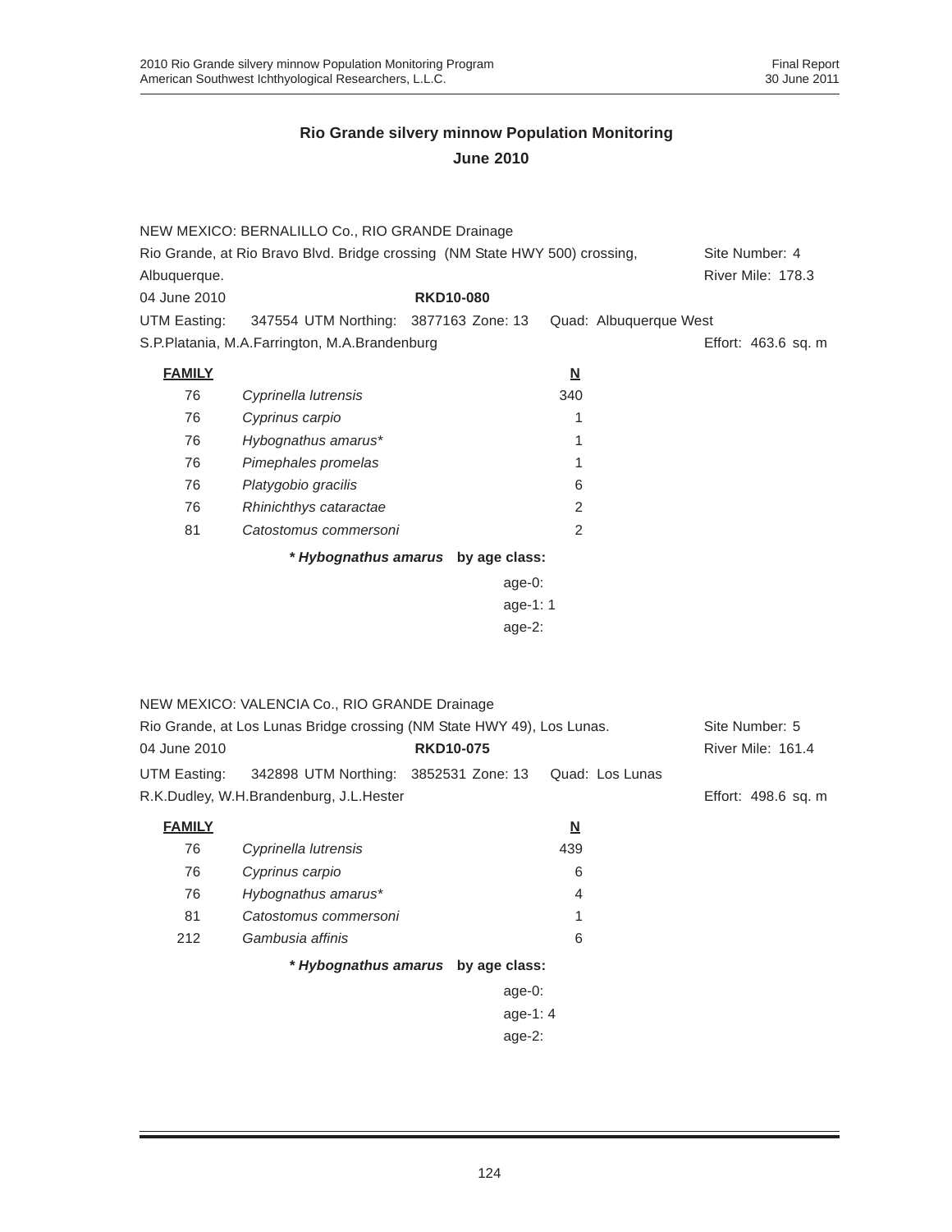|               | NEW MEXICO: BERNALILLO Co., RIO GRANDE Drainage                             |                                    |                          |                     |
|---------------|-----------------------------------------------------------------------------|------------------------------------|--------------------------|---------------------|
|               | Rio Grande, at Rio Bravo Blvd. Bridge crossing (NM State HWY 500) crossing, |                                    |                          | Site Number: 4      |
| Albuquerque.  |                                                                             |                                    |                          | River Mile: 178.3   |
| 04 June 2010  |                                                                             | <b>RKD10-080</b>                   |                          |                     |
| UTM Easting:  | 347554 UTM Northing: 3877163 Zone: 13                                       |                                    | Quad: Albuquerque West   |                     |
|               | S.P.Platania, M.A.Farrington, M.A.Brandenburg                               |                                    |                          | Effort: 463.6 sq. m |
| <b>FAMILY</b> |                                                                             |                                    | $\underline{\mathsf{N}}$ |                     |
| 76            | Cyprinella lutrensis                                                        |                                    | 340                      |                     |
| 76            | Cyprinus carpio                                                             |                                    | 1                        |                     |
| 76            | Hybognathus amarus*                                                         |                                    | 1                        |                     |
| 76            | Pimephales promelas                                                         |                                    | 1                        |                     |
| 76            | Platygobio gracilis                                                         |                                    | 6                        |                     |
| 76            | Rhinichthys cataractae                                                      |                                    | 2                        |                     |
| 81            | Catostomus commersoni                                                       |                                    | 2                        |                     |
|               |                                                                             | * Hybognathus amarus by age class: |                          |                     |
|               |                                                                             | $age-0:$                           |                          |                     |
| age-1: 1      |                                                                             |                                    |                          |                     |
|               |                                                                             | $age-2$ :                          |                          |                     |
|               |                                                                             |                                    |                          |                     |
|               |                                                                             |                                    |                          |                     |
|               | NEW MEXICO: VALENCIA Co., RIO GRANDE Drainage                               |                                    |                          |                     |
|               | Rio Grande, at Los Lunas Bridge crossing (NM State HWY 49), Los Lunas.      |                                    |                          | Site Number: 5      |
| 04 June 2010  |                                                                             | <b>RKD10-075</b>                   |                          | River Mile: 161.4   |
| UTM Easting:  | 342898 UTM Northing: 3852531 Zone: 13                                       |                                    | Quad: Los Lunas          |                     |
|               | R.K.Dudley, W.H.Brandenburg, J.L.Hester                                     |                                    |                          | Effort: 498.6 sq. m |
| <b>FAMILY</b> |                                                                             |                                    | $\underline{\mathsf{N}}$ |                     |
| 76            | Cyprinella lutrensis                                                        |                                    | 439                      |                     |
| 76            | Cyprinus carpio                                                             |                                    | 6                        |                     |
| 76            | Hybognathus amarus*                                                         |                                    | 4                        |                     |
| 81            | Catostomus commersoni                                                       |                                    | 1                        |                     |
| 212           | Gambusia affinis                                                            |                                    | 6                        |                     |
|               |                                                                             | * Hybognathus amarus by age class: |                          |                     |
|               |                                                                             | age-0:                             |                          |                     |
|               |                                                                             | age-1: 4                           |                          |                     |
|               |                                                                             | $age-2$ :                          |                          |                     |
|               |                                                                             |                                    |                          |                     |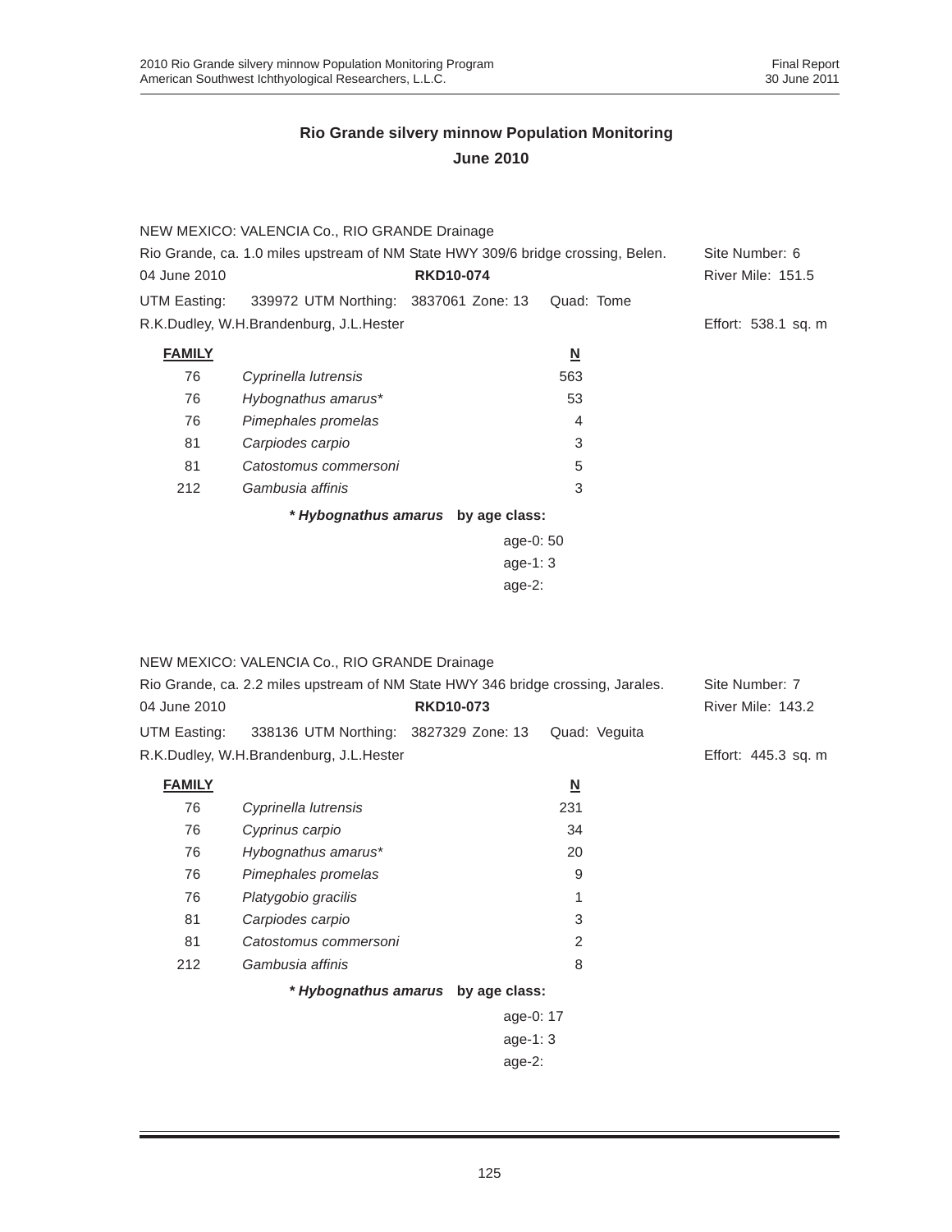|                                                                                  | NEW MEXICO: VALENCIA Co., RIO GRANDE Drainage      |                                    |                          |                          |
|----------------------------------------------------------------------------------|----------------------------------------------------|------------------------------------|--------------------------|--------------------------|
| Rio Grande, ca. 1.0 miles upstream of NM State HWY 309/6 bridge crossing, Belen. |                                                    |                                    |                          | Site Number: 6           |
| 04 June 2010                                                                     |                                                    | <b>RKD10-074</b>                   |                          | <b>River Mile: 151.5</b> |
|                                                                                  | UTM Easting: 339972 UTM Northing: 3837061 Zone: 13 |                                    | Quad: Tome               |                          |
|                                                                                  | R.K.Dudley, W.H.Brandenburg, J.L.Hester            |                                    |                          | Effort: 538.1 sq. m      |
| <b>FAMILY</b>                                                                    |                                                    |                                    | $\underline{\mathsf{N}}$ |                          |
| 76                                                                               | Cyprinella lutrensis                               |                                    | 563                      |                          |
| 76                                                                               | Hybognathus amarus*                                |                                    | 53                       |                          |
| 76                                                                               | Pimephales promelas                                |                                    | 4                        |                          |
| 81                                                                               | Carpiodes carpio                                   |                                    | 3                        |                          |
| 81                                                                               | Catostomus commersoni                              |                                    | 5                        |                          |
| 212                                                                              | Gambusia affinis                                   |                                    | 3                        |                          |
|                                                                                  |                                                    | * Hybognathus amarus by age class: |                          |                          |
|                                                                                  |                                                    | age-0: 50                          |                          |                          |
|                                                                                  |                                                    | age-1: $3$                         |                          |                          |
|                                                                                  |                                                    | age- $2$ :                         |                          |                          |

|                                                                                  | NEW MEXICO: VALENCIA Co., RIO GRANDE Drainage |                                    |                          |                          |
|----------------------------------------------------------------------------------|-----------------------------------------------|------------------------------------|--------------------------|--------------------------|
| Rio Grande, ca. 2.2 miles upstream of NM State HWY 346 bridge crossing, Jarales. |                                               |                                    |                          | Site Number: 7           |
| 04 June 2010                                                                     |                                               | <b>RKD10-073</b>                   |                          | <b>River Mile: 143.2</b> |
| UTM Easting:                                                                     | 338136 UTM Northing: 3827329 Zone: 13         |                                    | Quad: Veguita            |                          |
|                                                                                  | R.K.Dudley, W.H.Brandenburg, J.L.Hester       |                                    |                          | Effort: 445.3 sq. m      |
| <b>FAMILY</b>                                                                    |                                               |                                    | $\underline{\mathsf{N}}$ |                          |
| 76                                                                               | Cyprinella lutrensis                          |                                    | 231                      |                          |
| 76                                                                               | Cyprinus carpio                               |                                    | 34                       |                          |
| 76                                                                               | Hybognathus amarus*                           |                                    | 20                       |                          |
| 76                                                                               | Pimephales promelas                           |                                    | 9                        |                          |
| 76                                                                               | Platygobio gracilis                           |                                    | 1                        |                          |
| 81                                                                               | Carpiodes carpio                              |                                    | 3                        |                          |
| 81                                                                               | Catostomus commersoni                         |                                    | $\overline{2}$           |                          |
| 212                                                                              | Gambusia affinis                              |                                    | 8                        |                          |
|                                                                                  |                                               | * Hybognathus amarus by age class: |                          |                          |
|                                                                                  |                                               | age-0: 17                          |                          |                          |
|                                                                                  |                                               | age-1: $3$                         |                          |                          |
|                                                                                  |                                               | age-2:                             |                          |                          |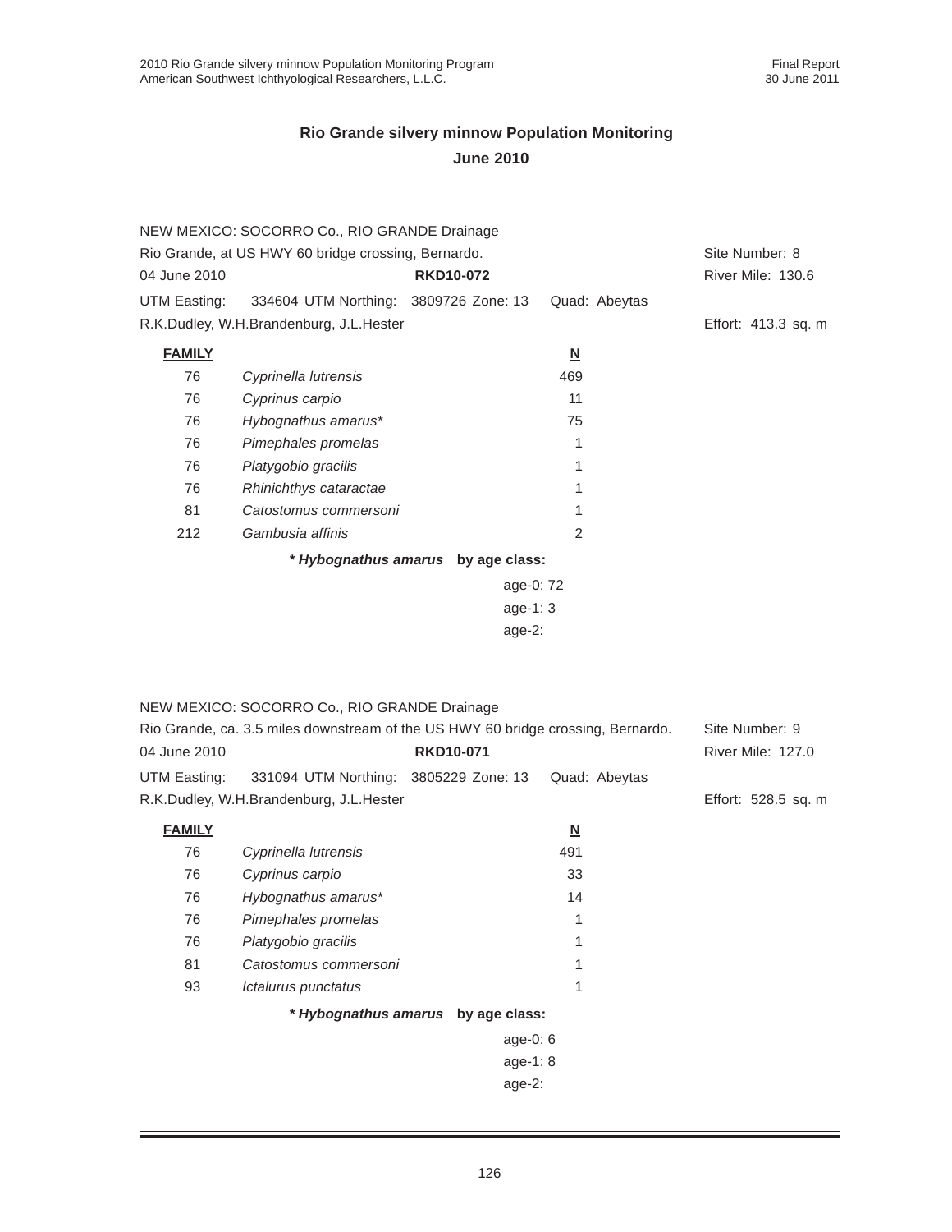|                     | NEW MEXICO: SOCORRO Co., RIO GRANDE Drainage                                     |                                    |                                 |                     |
|---------------------|----------------------------------------------------------------------------------|------------------------------------|---------------------------------|---------------------|
|                     | Rio Grande, at US HWY 60 bridge crossing, Bernardo.                              |                                    |                                 | Site Number: 8      |
| 04 June 2010        |                                                                                  | <b>RKD10-072</b>                   |                                 | River Mile: 130.6   |
| UTM Easting:        | 334604 UTM Northing: 3809726 Zone: 13                                            |                                    | Quad: Abeytas                   |                     |
|                     | R.K.Dudley, W.H.Brandenburg, J.L.Hester                                          |                                    |                                 | Effort: 413.3 sq. m |
| <b>FAMILY</b>       |                                                                                  |                                    | $\underline{\mathsf{N}}$        |                     |
| 76                  | Cyprinella lutrensis                                                             |                                    | 469                             |                     |
| 76                  | Cyprinus carpio                                                                  |                                    | 11                              |                     |
| 76                  | Hybognathus amarus*                                                              |                                    | 75                              |                     |
| 76                  | Pimephales promelas                                                              |                                    | 1                               |                     |
| 76                  | Platygobio gracilis                                                              |                                    | 1                               |                     |
| 76                  | Rhinichthys cataractae                                                           |                                    | 1                               |                     |
| 81                  | Catostomus commersoni                                                            |                                    | 1                               |                     |
| 212                 | Gambusia affinis                                                                 |                                    | 2                               |                     |
|                     |                                                                                  | * Hybognathus amarus by age class: |                                 |                     |
|                     |                                                                                  | age-0: 72                          |                                 |                     |
|                     |                                                                                  | $age-1:3$                          |                                 |                     |
|                     |                                                                                  | $age-2$ :                          |                                 |                     |
|                     |                                                                                  |                                    |                                 |                     |
|                     |                                                                                  |                                    |                                 |                     |
|                     | NEW MEXICO: SOCORRO Co., RIO GRANDE Drainage                                     |                                    |                                 |                     |
|                     | Rio Grande, ca. 3.5 miles downstream of the US HWY 60 bridge crossing, Bernardo. |                                    |                                 | Site Number: 9      |
| 04 June 2010        |                                                                                  | <b>RKD10-071</b>                   |                                 | River Mile: 127.0   |
| UTM Easting:        | 331094 UTM Northing: 3805229 Zone: 13                                            |                                    | Quad: Abeytas                   |                     |
|                     | R.K.Dudley, W.H.Brandenburg, J.L.Hester                                          |                                    |                                 | Effort: 528.5 sq. m |
|                     |                                                                                  |                                    |                                 |                     |
| <b>FAMILY</b><br>76 |                                                                                  |                                    | $\underline{\mathsf{N}}$<br>491 |                     |
| 76                  | Cyprinella lutrensis                                                             |                                    | 33                              |                     |
| 76                  | Cyprinus carpio<br>Hybognathus amarus*                                           |                                    | 14                              |                     |
| 76                  |                                                                                  |                                    | $\mathbf{1}$                    |                     |
| 76                  | Pimephales promelas<br>Platygobio gracilis                                       |                                    | 1                               |                     |
| 81                  | Catostomus commersoni                                                            |                                    | 1                               |                     |
| 93                  | Ictalurus punctatus                                                              |                                    | 1                               |                     |
|                     |                                                                                  |                                    |                                 |                     |
|                     |                                                                                  | * Hybognathus amarus by age class: |                                 |                     |
|                     |                                                                                  | age-0: 6                           |                                 |                     |
|                     |                                                                                  | age-1: 8                           |                                 |                     |
|                     |                                                                                  | age-2:                             |                                 |                     |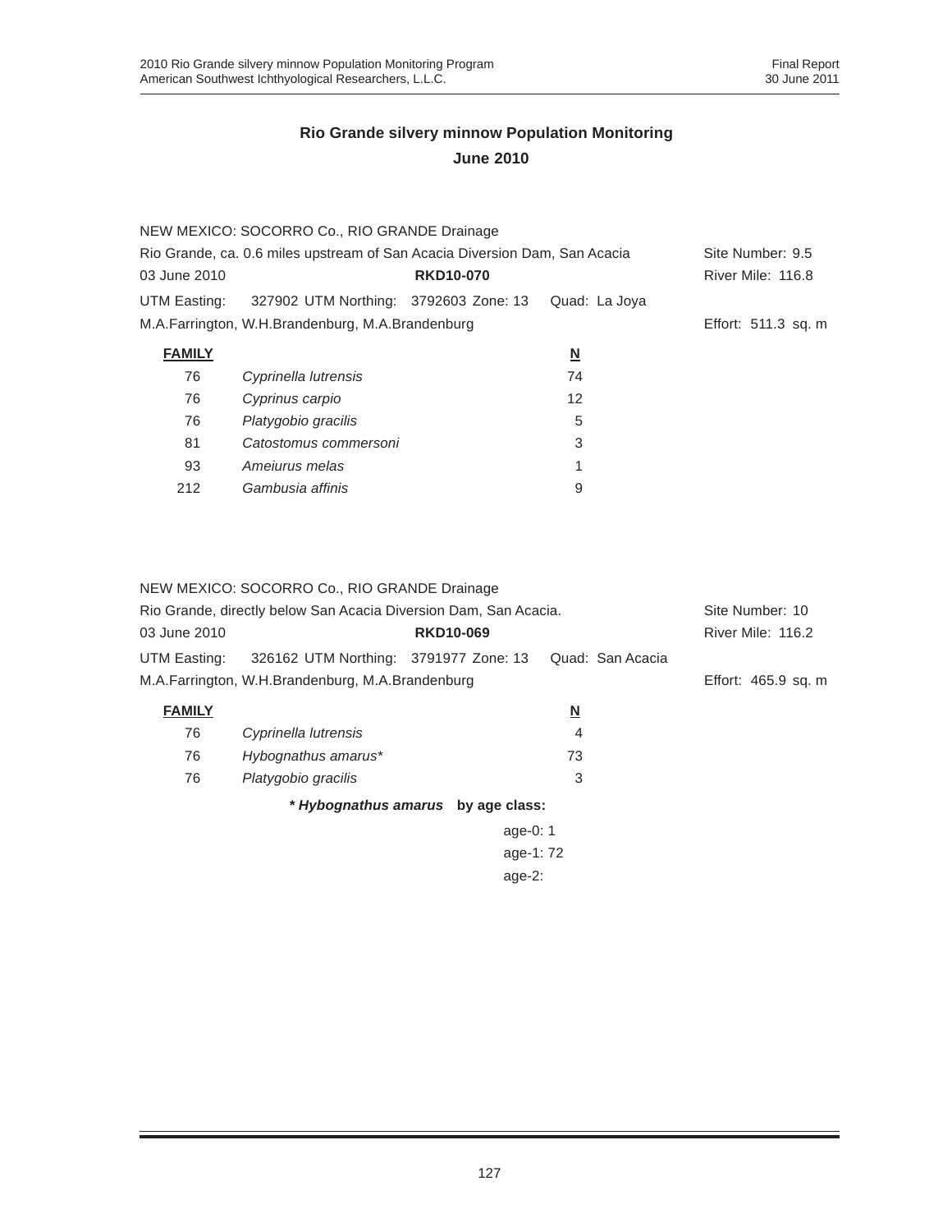|                                                                            | NEW MEXICO: SOCORRO Co., RIO GRANDE Drainage     |                  |               |                     |
|----------------------------------------------------------------------------|--------------------------------------------------|------------------|---------------|---------------------|
| Rio Grande, ca. 0.6 miles upstream of San Acacia Diversion Dam, San Acacia | Site Number: 9.5                                 |                  |               |                     |
| 03 June 2010                                                               |                                                  | <b>RKD10-070</b> |               | River Mile: 116.8   |
| UTM Easting:                                                               | 327902 UTM Northing: 3792603 Zone: 13            |                  | Quad: La Joya |                     |
|                                                                            | M.A.Farrington, W.H.Brandenburg, M.A.Brandenburg |                  |               | Effort: 511.3 sq. m |
| <b>FAMILY</b>                                                              |                                                  |                  | <u>N</u>      |                     |
| 76                                                                         | Cyprinella lutrensis                             |                  | 74            |                     |
| 76                                                                         | Cyprinus carpio                                  |                  | 12            |                     |
| 76                                                                         | Platygobio gracilis                              |                  | 5             |                     |
| 81                                                                         | Catostomus commersoni                            |                  | 3             |                     |
| 93                                                                         | Amejurus melas                                   |                  | 1             |                     |
| 212                                                                        | Gambusia affinis                                 |                  | 9             |                     |
|                                                                            |                                                  |                  |               |                     |

| NEW MEXICO: SOCORRO Co., RIO GRANDE Drainage<br>Rio Grande, directly below San Acacia Diversion Dam, San Acacia. | Site Number: 10                       |                                    |                  |                   |
|------------------------------------------------------------------------------------------------------------------|---------------------------------------|------------------------------------|------------------|-------------------|
| 03 June 2010                                                                                                     |                                       | <b>RKD10-069</b>                   |                  | River Mile: 116.2 |
| UTM Easting:                                                                                                     | 326162 UTM Northing: 3791977 Zone: 13 |                                    | Quad: San Acacia |                   |
| M.A.Farrington, W.H.Brandenburg, M.A.Brandenburg                                                                 | Effort: 465.9 sq. m                   |                                    |                  |                   |
| <b>FAMILY</b>                                                                                                    |                                       |                                    | N                |                   |
| 76                                                                                                               | Cyprinella lutrensis                  |                                    | 4                |                   |
| 76                                                                                                               | Hybognathus amarus*                   |                                    | 73               |                   |
| 76                                                                                                               | Platygobio gracilis                   |                                    | 3                |                   |
|                                                                                                                  |                                       | * Hybognathus amarus by age class: |                  |                   |
|                                                                                                                  |                                       | age-0: $1$                         |                  |                   |
|                                                                                                                  |                                       | age-1:72                           |                  |                   |
|                                                                                                                  |                                       | age- $2:$                          |                  |                   |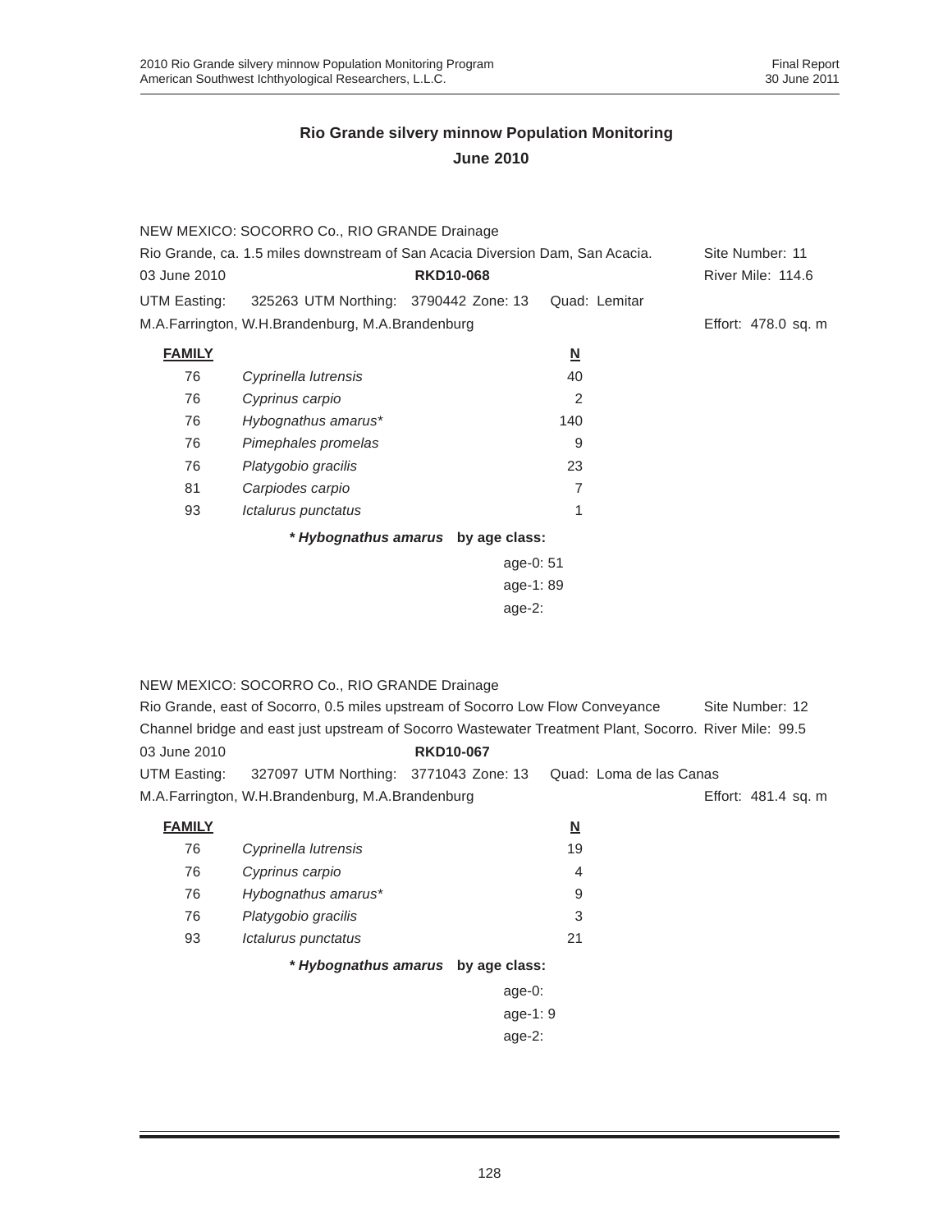| Rio Grande, ca. 1.5 miles downstream of San Acacia Diversion Dam, San Acacia. |                  |                                                                                                                                           |                                                                       |
|-------------------------------------------------------------------------------|------------------|-------------------------------------------------------------------------------------------------------------------------------------------|-----------------------------------------------------------------------|
|                                                                               | <b>RKD10-068</b> |                                                                                                                                           | River Mile: 114.6                                                     |
|                                                                               |                  | Quad: Lemitar                                                                                                                             |                                                                       |
|                                                                               |                  |                                                                                                                                           | Effort: 478.0 sq. m                                                   |
|                                                                               |                  | $\underline{\mathsf{N}}$                                                                                                                  |                                                                       |
| Cyprinella lutrensis                                                          |                  | 40                                                                                                                                        |                                                                       |
| Cyprinus carpio                                                               |                  | 2                                                                                                                                         |                                                                       |
| Hybognathus amarus*                                                           |                  | 140                                                                                                                                       |                                                                       |
| Pimephales promelas                                                           |                  | 9                                                                                                                                         |                                                                       |
| Platygobio gracilis                                                           |                  | 23                                                                                                                                        |                                                                       |
| Carpiodes carpio                                                              |                  | 7                                                                                                                                         |                                                                       |
| Ictalurus punctatus                                                           |                  | 1                                                                                                                                         |                                                                       |
|                                                                               |                  |                                                                                                                                           |                                                                       |
|                                                                               |                  |                                                                                                                                           |                                                                       |
|                                                                               |                  |                                                                                                                                           |                                                                       |
|                                                                               |                  |                                                                                                                                           |                                                                       |
|                                                                               |                  |                                                                                                                                           |                                                                       |
|                                                                               |                  | NEW MEXICO: SOCORRO Co., RIO GRANDE Drainage<br>325263 UTM Northing: 3790442 Zone: 13<br>M.A.Farrington, W.H.Brandenburg, M.A.Brandenburg | * Hybognathus amarus by age class:<br>age-0: 51<br>age-1:89<br>age-2: |

#### NEW MEXICO: SOCORRO Co., RIO GRANDE Drainage

|              | Rio Grande, east of Socorro, 0.5 miles upstream of Socorro Low Flow Conveyance |                  |                                                                                                        | Site Number: 12     |
|--------------|--------------------------------------------------------------------------------|------------------|--------------------------------------------------------------------------------------------------------|---------------------|
|              |                                                                                |                  | Channel bridge and east just upstream of Socorro Wastewater Treatment Plant, Socorro, River Mile: 99.5 |                     |
| 03 June 2010 |                                                                                | <b>RKD10-067</b> |                                                                                                        |                     |
| UTM Easting: | 327097 UTM Northing: 3771043 Zone: 13                                          |                  | Quad: Loma de las Canas                                                                                |                     |
|              | M.A.Farrington, W.H.Brandenburg, M.A.Brandenburg                               |                  |                                                                                                        | Effort: 481.4 sq. m |

| <b>FAMILY</b> |                      | N  |
|---------------|----------------------|----|
| 76            | Cyprinella lutrensis | 19 |
| 76            | Cyprinus carpio      | 4  |
| 76            | Hybognathus amarus*  | 9  |
| 76            | Platygobio gracilis  | 3  |
| 93            | Ictalurus punctatus  | 21 |
|               |                      |    |

#### *\* Hybognathus amarus* **by age class:**

| age-0:   |
|----------|
| age-1: 9 |
| age-2:   |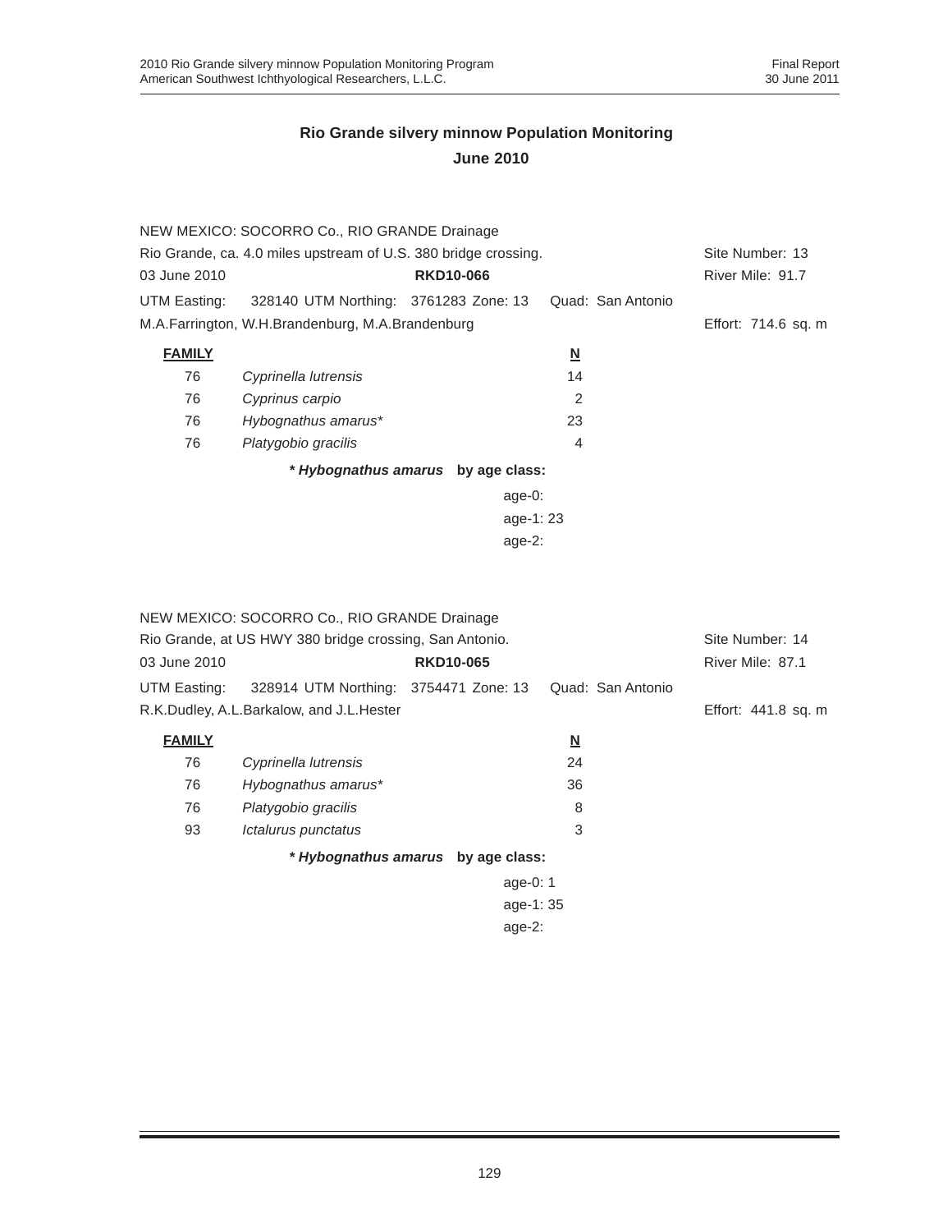|               | NEW MEXICO: SOCORRO Co., RIO GRANDE Drainage                    |                                    |                          |                     |
|---------------|-----------------------------------------------------------------|------------------------------------|--------------------------|---------------------|
|               | Rio Grande, ca. 4.0 miles upstream of U.S. 380 bridge crossing. |                                    |                          | Site Number: 13     |
| 03 June 2010  |                                                                 | <b>RKD10-066</b>                   |                          | River Mile: 91.7    |
| UTM Easting:  | 328140 UTM Northing: 3761283 Zone: 13                           |                                    | Quad: San Antonio        |                     |
|               | M.A.Farrington, W.H.Brandenburg, M.A.Brandenburg                |                                    |                          | Effort: 714.6 sq. m |
| <b>FAMILY</b> |                                                                 |                                    | $\underline{\mathsf{N}}$ |                     |
| 76            | Cyprinella lutrensis                                            |                                    | 14                       |                     |
| 76            | Cyprinus carpio                                                 |                                    | $\overline{2}$           |                     |
| 76            | Hybognathus amarus*                                             |                                    | 23                       |                     |
| 76            | Platygobio gracilis                                             |                                    | $\overline{4}$           |                     |
|               |                                                                 | * Hybognathus amarus by age class: |                          |                     |
|               |                                                                 | age- $0$ :                         |                          |                     |
|               |                                                                 | age-1: $23$                        |                          |                     |
|               |                                                                 | age- $2$ :                         |                          |                     |

|               | NEW MEXICO: SOCORRO Co., RIO GRANDE Drainage            |                  |                   |                     |  |
|---------------|---------------------------------------------------------|------------------|-------------------|---------------------|--|
|               | Rio Grande, at US HWY 380 bridge crossing, San Antonio. |                  |                   |                     |  |
| 03 June 2010  |                                                         | <b>RKD10-065</b> |                   | River Mile: 87.1    |  |
| UTM Easting:  | 328914 UTM Northing: 3754471 Zone: 13                   |                  | Quad: San Antonio |                     |  |
|               | R.K.Dudley, A.L.Barkalow, and J.L.Hester                |                  |                   | Effort: 441.8 sq. m |  |
| <b>FAMILY</b> |                                                         |                  | <u>N</u>          |                     |  |
| 76            | Cyprinella lutrensis                                    |                  | 24                |                     |  |
| 76            | Hybognathus amarus*                                     |                  | 36                |                     |  |
| 76            | Platygobio gracilis                                     |                  | 8                 |                     |  |
| 93            | Ictalurus punctatus                                     |                  | 3                 |                     |  |
|               | * Hybognathus amarus by age class:                      |                  |                   |                     |  |
|               |                                                         | age-0: $1$       |                   |                     |  |
|               |                                                         | age-1: 35        |                   |                     |  |
|               |                                                         | age- $2:$        |                   |                     |  |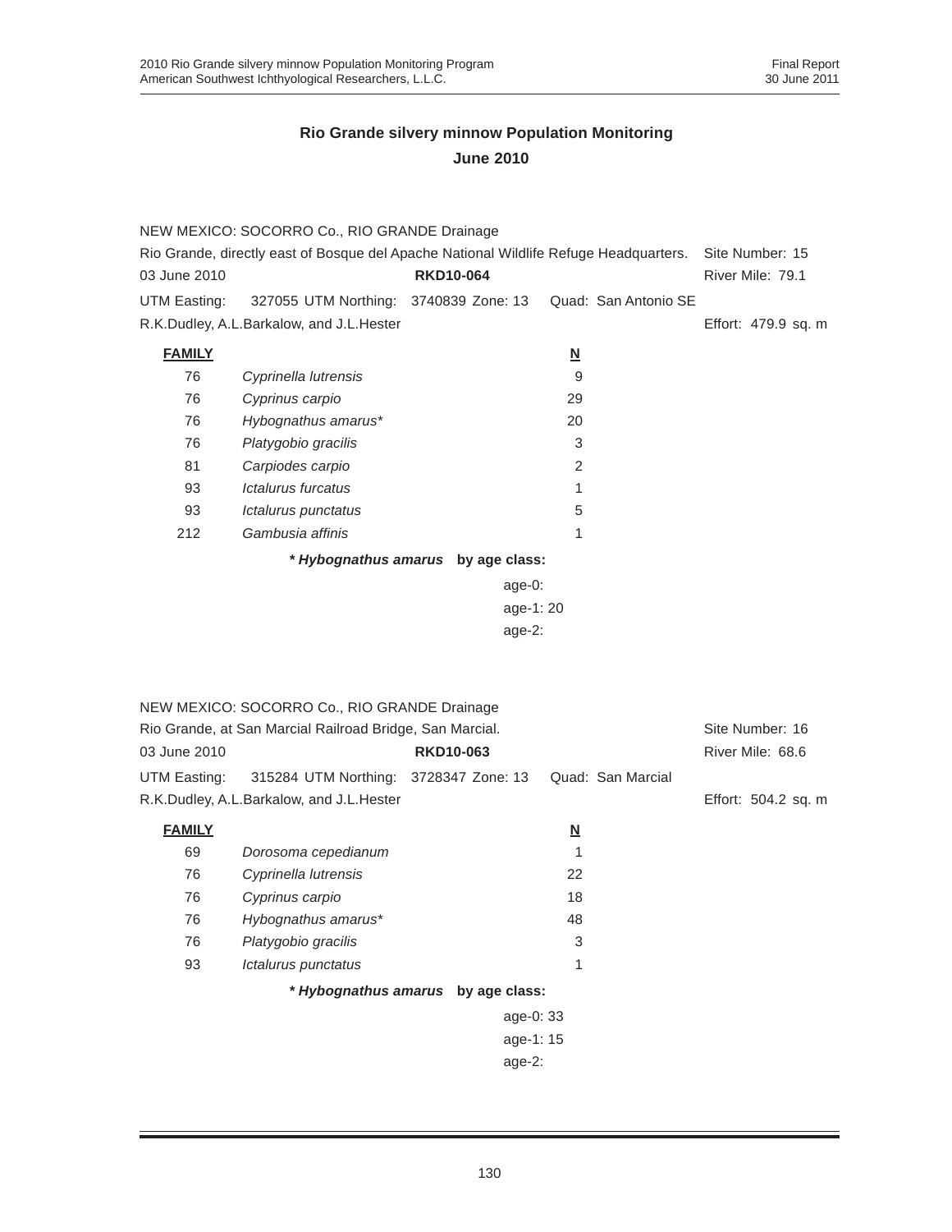|               | NEW MEXICO: SOCORRO Co., RIO GRANDE Drainage                                          |                                    |                          |                      |                                     |
|---------------|---------------------------------------------------------------------------------------|------------------------------------|--------------------------|----------------------|-------------------------------------|
| 03 June 2010  | Rio Grande, directly east of Bosque del Apache National Wildlife Refuge Headquarters. | <b>RKD10-064</b>                   |                          |                      | Site Number: 15<br>River Mile: 79.1 |
| UTM Easting:  | 327055 UTM Northing: 3740839 Zone: 13                                                 |                                    |                          | Quad: San Antonio SE |                                     |
|               | R.K.Dudley, A.L.Barkalow, and J.L.Hester                                              |                                    |                          |                      | Effort: 479.9 sq. m                 |
| <b>FAMILY</b> |                                                                                       |                                    | $\underline{\mathsf{N}}$ |                      |                                     |
| 76            | Cyprinella lutrensis                                                                  |                                    | 9                        |                      |                                     |
| 76            | Cyprinus carpio                                                                       |                                    | 29                       |                      |                                     |
| 76            | Hybognathus amarus*                                                                   |                                    | 20                       |                      |                                     |
| 76            | Platygobio gracilis                                                                   |                                    | 3                        |                      |                                     |
| 81            | Carpiodes carpio                                                                      |                                    | 2                        |                      |                                     |
| 93            | Ictalurus furcatus                                                                    |                                    | 1                        |                      |                                     |
| 93            | Ictalurus punctatus                                                                   |                                    | 5                        |                      |                                     |
| 212           | Gambusia affinis                                                                      |                                    | 1                        |                      |                                     |
|               |                                                                                       | * Hybognathus amarus by age class: |                          |                      |                                     |
|               |                                                                                       | age-0:                             |                          |                      |                                     |
| age-1:20      |                                                                                       |                                    |                          |                      |                                     |
|               |                                                                                       | $age-2$ :                          |                          |                      |                                     |
|               |                                                                                       |                                    |                          |                      |                                     |
|               |                                                                                       |                                    |                          |                      |                                     |
|               | NEW MEXICO: SOCORRO Co., RIO GRANDE Drainage                                          |                                    |                          |                      |                                     |
|               | Rio Grande, at San Marcial Railroad Bridge, San Marcial.                              |                                    |                          |                      | Site Number: 16                     |
| 03 June 2010  |                                                                                       | <b>RKD10-063</b>                   |                          |                      | River Mile: 68.6                    |
| UTM Easting:  | 315284 UTM Northing: 3728347 Zone: 13                                                 |                                    |                          | Quad: San Marcial    |                                     |
|               | R.K.Dudley, A.L.Barkalow, and J.L.Hester                                              |                                    |                          |                      | Effort: 504.2 sq. m                 |
| <b>FAMILY</b> |                                                                                       |                                    | <u>N</u>                 |                      |                                     |
| 69            | Dorosoma cepedianum                                                                   |                                    | 1                        |                      |                                     |
| 76            | Cyprinella lutrensis                                                                  |                                    | 22                       |                      |                                     |
| 76            | Cyprinus carpio                                                                       |                                    | 18                       |                      |                                     |
| 76            | Hybognathus amarus*                                                                   |                                    | 48                       |                      |                                     |
| 76            | Platygobio gracilis                                                                   |                                    | 3                        |                      |                                     |
| 93            | Ictalurus punctatus                                                                   |                                    | 1                        |                      |                                     |
|               |                                                                                       | * Hybognathus amarus by age class: |                          |                      |                                     |
|               |                                                                                       | age-0: 33                          |                          |                      |                                     |
|               |                                                                                       | age-1: 15                          |                          |                      |                                     |
|               |                                                                                       | $age-2$ :                          |                          |                      |                                     |
|               |                                                                                       |                                    |                          |                      |                                     |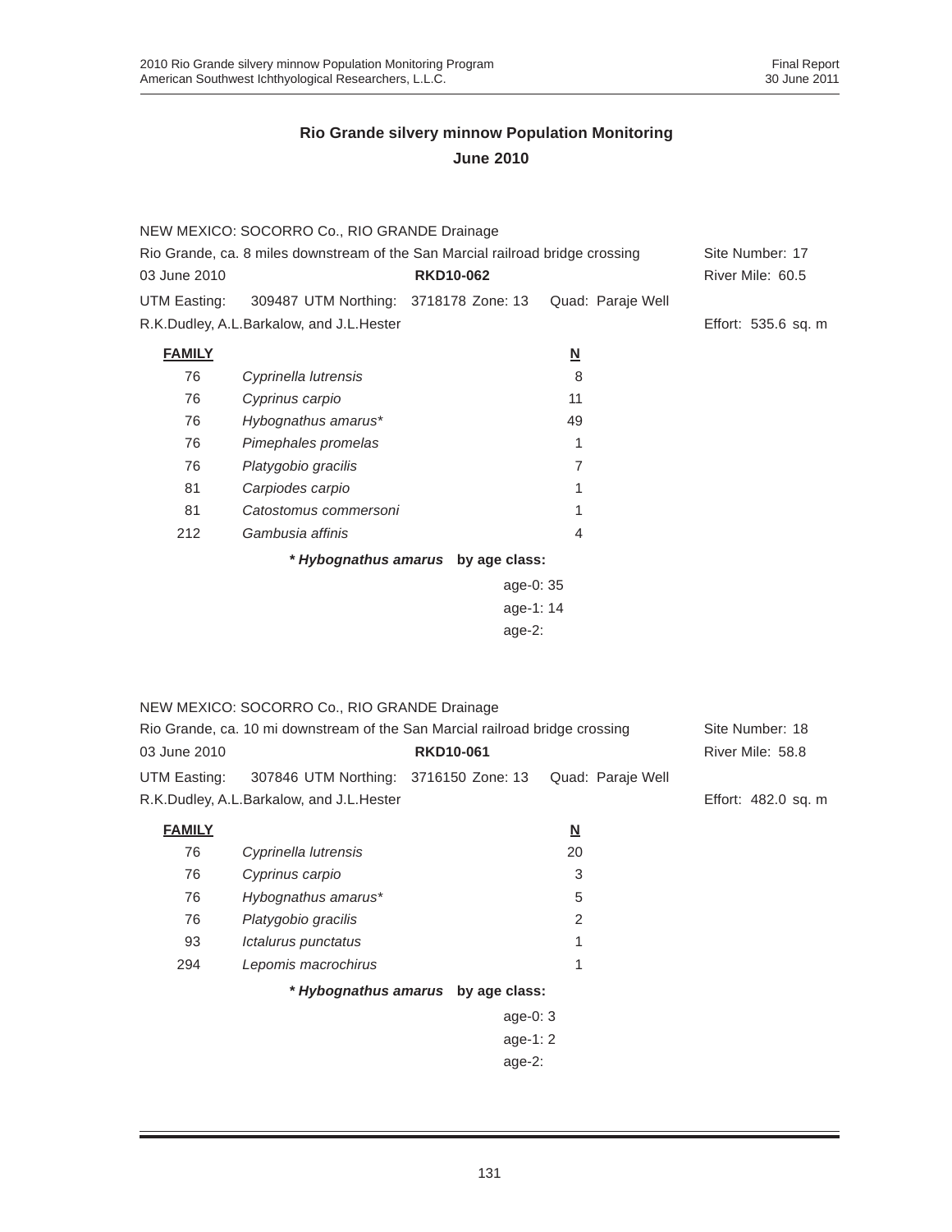|                                                                                | NEW MEXICO: SOCORRO Co., RIO GRANDE Drainage                                 |                                    |                          |                     |
|--------------------------------------------------------------------------------|------------------------------------------------------------------------------|------------------------------------|--------------------------|---------------------|
| Rio Grande, ca. 8 miles downstream of the San Marcial railroad bridge crossing | Site Number: 17                                                              |                                    |                          |                     |
| 03 June 2010                                                                   |                                                                              | <b>RKD10-062</b>                   |                          | River Mile: 60.5    |
| UTM Easting:                                                                   | 309487 UTM Northing: 3718178 Zone: 13                                        |                                    | Quad: Paraje Well        |                     |
|                                                                                | R.K.Dudley, A.L.Barkalow, and J.L.Hester                                     |                                    |                          | Effort: 535.6 sq. m |
| <b>FAMILY</b>                                                                  |                                                                              |                                    | $\underline{\mathsf{N}}$ |                     |
| 76                                                                             | Cyprinella lutrensis                                                         |                                    | 8                        |                     |
| 76                                                                             | Cyprinus carpio                                                              |                                    | 11                       |                     |
| 76                                                                             | Hybognathus amarus*                                                          |                                    | 49                       |                     |
| 76                                                                             | Pimephales promelas                                                          |                                    | 1                        |                     |
| 76                                                                             | Platygobio gracilis                                                          |                                    | 7                        |                     |
| 81                                                                             | Carpiodes carpio                                                             |                                    | 1                        |                     |
| 81                                                                             | Catostomus commersoni                                                        |                                    | 1                        |                     |
| 212                                                                            | Gambusia affinis                                                             |                                    | 4                        |                     |
|                                                                                |                                                                              | * Hybognathus amarus by age class: |                          |                     |
| age-0: 35                                                                      |                                                                              |                                    |                          |                     |
|                                                                                |                                                                              | age-1: 14                          |                          |                     |
|                                                                                |                                                                              | $age-2$ :                          |                          |                     |
|                                                                                |                                                                              |                                    |                          |                     |
|                                                                                |                                                                              |                                    |                          |                     |
|                                                                                | NEW MEXICO: SOCORRO Co., RIO GRANDE Drainage                                 |                                    |                          |                     |
|                                                                                | Rio Grande, ca. 10 mi downstream of the San Marcial railroad bridge crossing |                                    |                          | Site Number: 18     |
| 03 June 2010                                                                   |                                                                              | <b>RKD10-061</b>                   |                          | River Mile: 58.8    |
| UTM Easting:                                                                   | 307846 UTM Northing: 3716150 Zone: 13                                        |                                    | Quad: Paraje Well        |                     |
|                                                                                | R.K.Dudley, A.L.Barkalow, and J.L.Hester                                     |                                    |                          | Effort: 482.0 sq. m |
| <b>FAMILY</b>                                                                  |                                                                              |                                    | $\underline{\mathsf{N}}$ |                     |
| 76                                                                             | Cyprinella lutrensis                                                         |                                    | 20                       |                     |
| 76                                                                             | Cyprinus carpio                                                              |                                    | 3                        |                     |
| 76                                                                             | Hybognathus amarus*                                                          |                                    | 5                        |                     |
| 76                                                                             | Platygobio gracilis                                                          |                                    | 2                        |                     |
| 93                                                                             | Ictalurus punctatus                                                          |                                    | 1                        |                     |
| 294                                                                            | Lepomis macrochirus                                                          |                                    | 1                        |                     |
|                                                                                |                                                                              | * Hybognathus amarus by age class: |                          |                     |
|                                                                                |                                                                              | age-0: 3                           |                          |                     |
|                                                                                |                                                                              | age-1: 2                           |                          |                     |
|                                                                                |                                                                              | age-2:                             |                          |                     |
|                                                                                |                                                                              |                                    |                          |                     |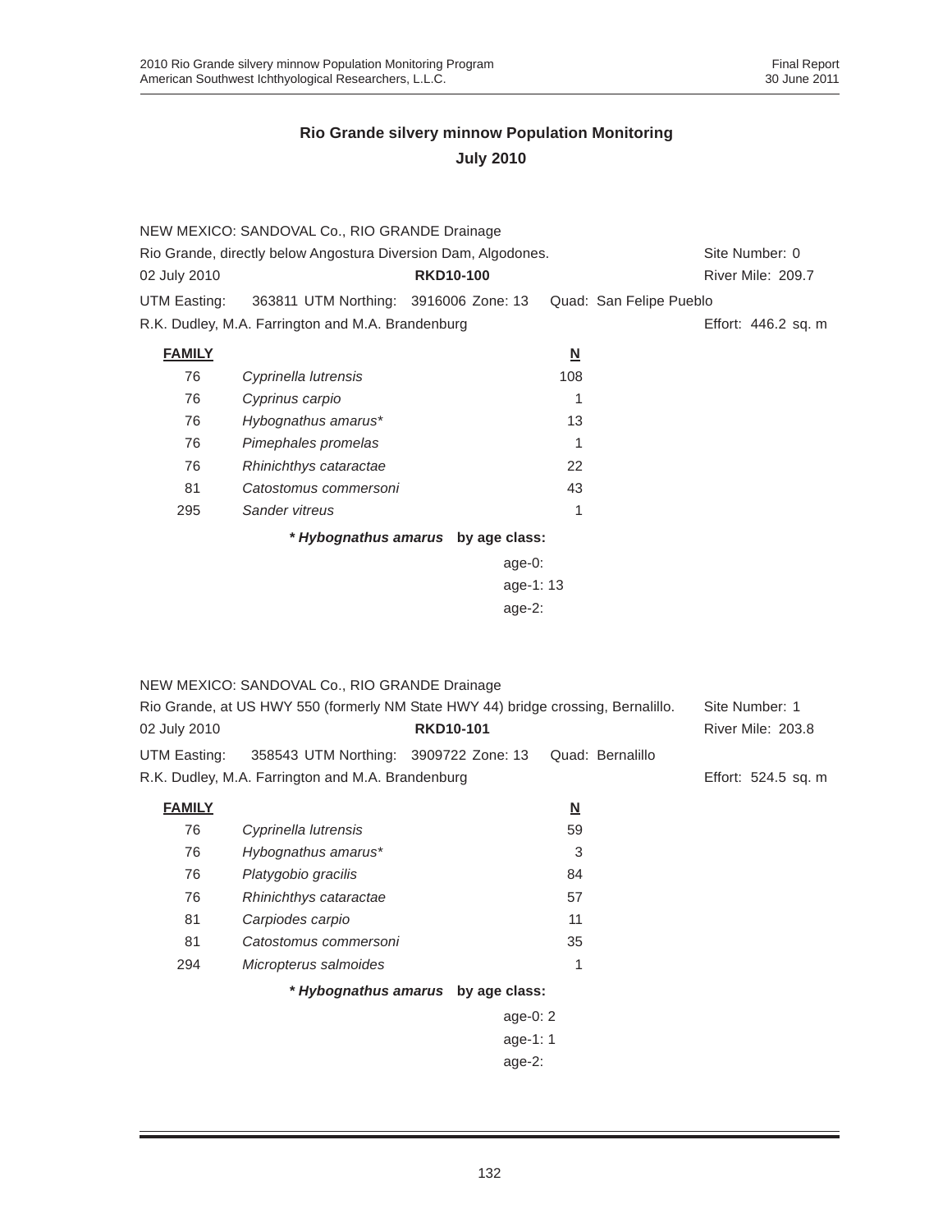|                                                                | NEW MEXICO: SANDOVAL Co., RIO GRANDE Drainage                                     |                                    |                          |                          |
|----------------------------------------------------------------|-----------------------------------------------------------------------------------|------------------------------------|--------------------------|--------------------------|
| Rio Grande, directly below Angostura Diversion Dam, Algodones. | Site Number: 0                                                                    |                                    |                          |                          |
| 02 July 2010                                                   |                                                                                   | <b>RKD10-100</b>                   |                          | River Mile: 209.7        |
| UTM Easting:                                                   | 363811 UTM Northing: 3916006 Zone: 13                                             |                                    | Quad: San Felipe Pueblo  |                          |
|                                                                | R.K. Dudley, M.A. Farrington and M.A. Brandenburg                                 |                                    |                          | Effort: 446.2 sq. m      |
| <b>FAMILY</b>                                                  |                                                                                   |                                    | $\underline{\mathsf{N}}$ |                          |
| 76                                                             | Cyprinella lutrensis                                                              |                                    | 108                      |                          |
| 76                                                             | Cyprinus carpio                                                                   |                                    | 1                        |                          |
| 76                                                             | Hybognathus amarus*                                                               |                                    | 13                       |                          |
| 76                                                             | Pimephales promelas                                                               |                                    | 1                        |                          |
| 76                                                             | Rhinichthys cataractae                                                            |                                    | 22                       |                          |
| 81                                                             | Catostomus commersoni                                                             |                                    | 43                       |                          |
| 295                                                            | Sander vitreus                                                                    |                                    | 1                        |                          |
|                                                                |                                                                                   | * Hybognathus amarus by age class: |                          |                          |
|                                                                |                                                                                   | age-0:                             |                          |                          |
|                                                                |                                                                                   | age-1: 13                          |                          |                          |
|                                                                |                                                                                   | $age-2$ :                          |                          |                          |
|                                                                |                                                                                   |                                    |                          |                          |
|                                                                |                                                                                   |                                    |                          |                          |
|                                                                | NEW MEXICO: SANDOVAL Co., RIO GRANDE Drainage                                     |                                    |                          |                          |
|                                                                | Rio Grande, at US HWY 550 (formerly NM State HWY 44) bridge crossing, Bernalillo. |                                    |                          | Site Number: 1           |
| 02 July 2010                                                   |                                                                                   | <b>RKD10-101</b>                   |                          | <b>River Mile: 203.8</b> |
| UTM Easting:                                                   | 358543 UTM Northing: 3909722 Zone: 13                                             |                                    | Quad: Bernalillo         |                          |
|                                                                | R.K. Dudley, M.A. Farrington and M.A. Brandenburg                                 |                                    |                          | Effort: 524.5 sq. m      |
| <b>FAMILY</b>                                                  |                                                                                   |                                    | <u>N</u>                 |                          |
| 76                                                             | Cyprinella lutrensis                                                              |                                    | 59                       |                          |
| 76                                                             | Hybognathus amarus*                                                               |                                    | 3                        |                          |
| 76                                                             | Platygobio gracilis                                                               |                                    | 84                       |                          |
| 76                                                             | Rhinichthys cataractae                                                            |                                    | 57                       |                          |
| 81                                                             | Carpiodes carpio                                                                  |                                    | 11                       |                          |
| 81                                                             | Catostomus commersoni                                                             |                                    | 35                       |                          |
| 294                                                            | Micropterus salmoides                                                             |                                    | 1                        |                          |
|                                                                |                                                                                   | * Hybognathus amarus by age class: |                          |                          |
|                                                                |                                                                                   | age-0: 2                           |                          |                          |
|                                                                |                                                                                   | age-1: 1                           |                          |                          |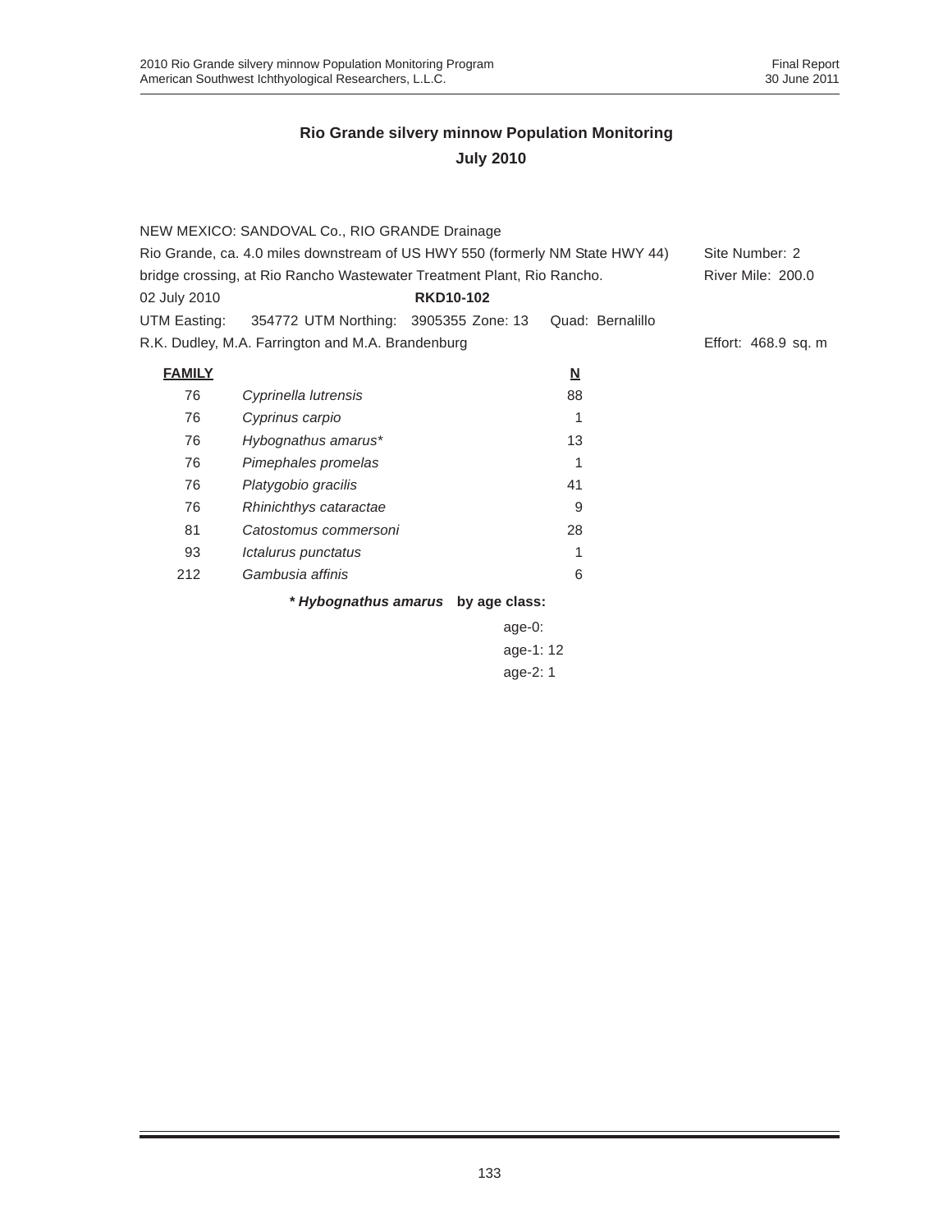|                                                                               | NEW MEXICO: SANDOVAL Co., RIO GRANDE Drainage                          |                                    |                          |                     |
|-------------------------------------------------------------------------------|------------------------------------------------------------------------|------------------------------------|--------------------------|---------------------|
| Rio Grande, ca. 4.0 miles downstream of US HWY 550 (formerly NM State HWY 44) |                                                                        |                                    |                          | Site Number: 2      |
|                                                                               | bridge crossing, at Rio Rancho Wastewater Treatment Plant, Rio Rancho. |                                    |                          | River Mile: 200.0   |
| 02 July 2010                                                                  |                                                                        | <b>RKD10-102</b>                   |                          |                     |
| UTM Easting:                                                                  | 354772 UTM Northing: 3905355 Zone: 13                                  |                                    | Quad: Bernalillo         |                     |
|                                                                               | R.K. Dudley, M.A. Farrington and M.A. Brandenburg                      |                                    |                          | Effort: 468.9 sq. m |
| <b>FAMILY</b>                                                                 |                                                                        |                                    | $\underline{\mathsf{N}}$ |                     |
| 76                                                                            | Cyprinella lutrensis                                                   |                                    | 88                       |                     |
| 76                                                                            | Cyprinus carpio                                                        |                                    | 1                        |                     |
| 76                                                                            | Hybognathus amarus*                                                    |                                    | 13                       |                     |
| 76                                                                            | Pimephales promelas                                                    |                                    | 1                        |                     |
| 76                                                                            | Platygobio gracilis                                                    |                                    | 41                       |                     |
| 76                                                                            | Rhinichthys cataractae                                                 |                                    | 9                        |                     |
| 81                                                                            | Catostomus commersoni                                                  |                                    | 28                       |                     |
| 93                                                                            | Ictalurus punctatus                                                    |                                    |                          |                     |
| 212                                                                           | Gambusia affinis                                                       |                                    | 6                        |                     |
|                                                                               |                                                                        | * Hybognathus amarus by age class: |                          |                     |
|                                                                               |                                                                        | age-0:                             |                          |                     |
|                                                                               |                                                                        | age-1: 12                          |                          |                     |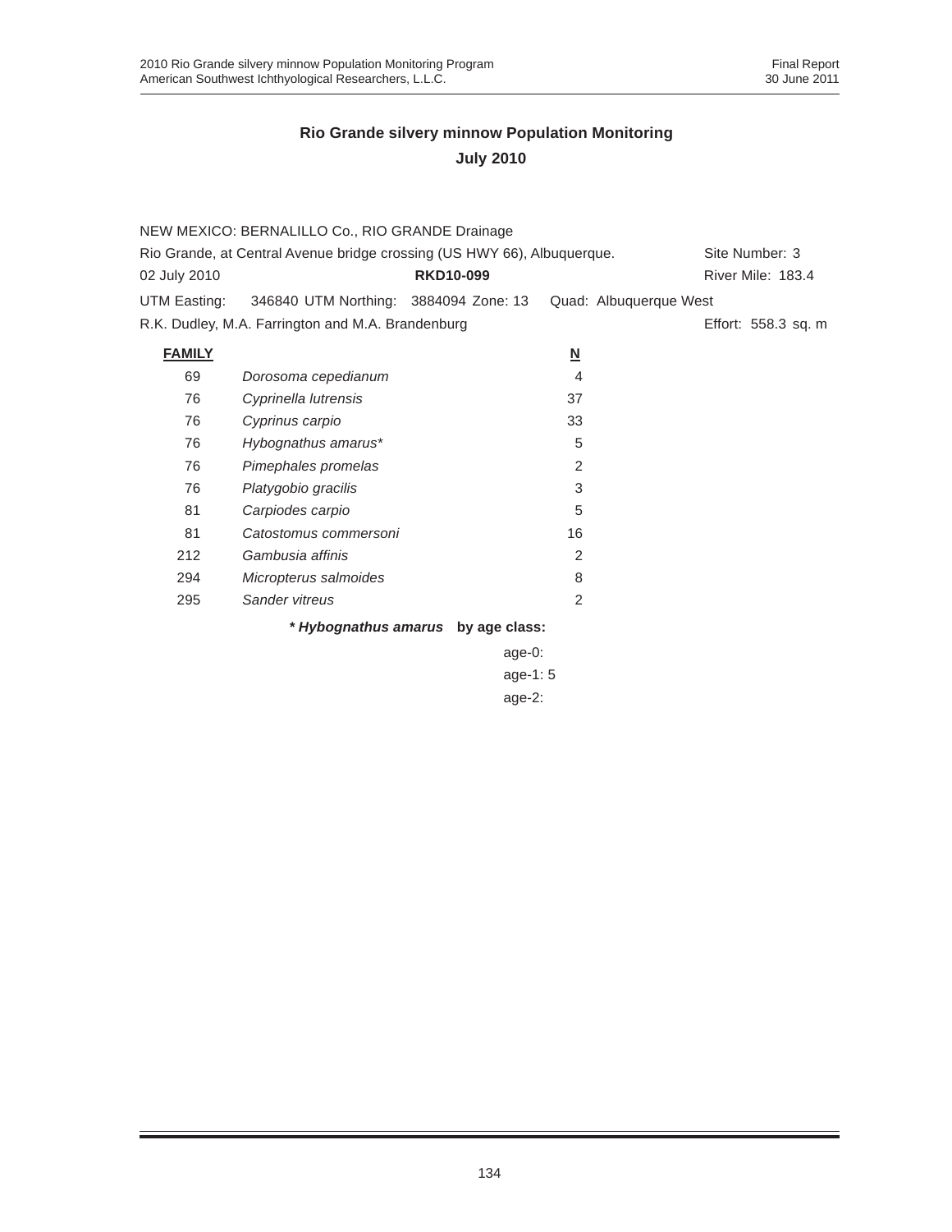|                                                                         | NEW MEXICO: BERNALILLO Co., RIO GRANDE Drainage |                  |                |                        |  |  |  |  |
|-------------------------------------------------------------------------|-------------------------------------------------|------------------|----------------|------------------------|--|--|--|--|
| Rio Grande, at Central Avenue bridge crossing (US HWY 66), Albuquerque. | Site Number: 3                                  |                  |                |                        |  |  |  |  |
| 02 July 2010                                                            |                                                 | <b>RKD10-099</b> |                | River Mile: 183.4      |  |  |  |  |
| UTM Easting:                                                            | 346840 UTM Northing: 3884094 Zone: 13           |                  |                | Quad: Albuquerque West |  |  |  |  |
| R.K. Dudley, M.A. Farrington and M.A. Brandenburg                       | Effort: 558.3 sq. m                             |                  |                |                        |  |  |  |  |
| <b>FAMILY</b>                                                           |                                                 |                  | <u>N</u>       |                        |  |  |  |  |
| 69                                                                      | Dorosoma cepedianum                             |                  | 4              |                        |  |  |  |  |
| 76                                                                      | Cyprinella lutrensis                            |                  | 37             |                        |  |  |  |  |
| 76                                                                      | Cyprinus carpio                                 |                  | 33             |                        |  |  |  |  |
| 76                                                                      | Hybognathus amarus*                             |                  | 5              |                        |  |  |  |  |
| 76                                                                      | Pimephales promelas                             |                  | $\overline{2}$ |                        |  |  |  |  |
| 76                                                                      | Platygobio gracilis                             |                  | 3              |                        |  |  |  |  |
| 81                                                                      | Carpiodes carpio                                |                  | 5              |                        |  |  |  |  |
| 81                                                                      | Catostomus commersoni                           |                  | 16             |                        |  |  |  |  |
| 212                                                                     | Gambusia affinis                                |                  | 2              |                        |  |  |  |  |
| 294                                                                     | Micropterus salmoides                           |                  | 8              |                        |  |  |  |  |
| 295                                                                     | Sander vitreus                                  |                  | $\mathcal{P}$  |                        |  |  |  |  |
| * Hybognathus amarus by age class:                                      |                                                 |                  |                |                        |  |  |  |  |

age-0: age-1: 5 age-2: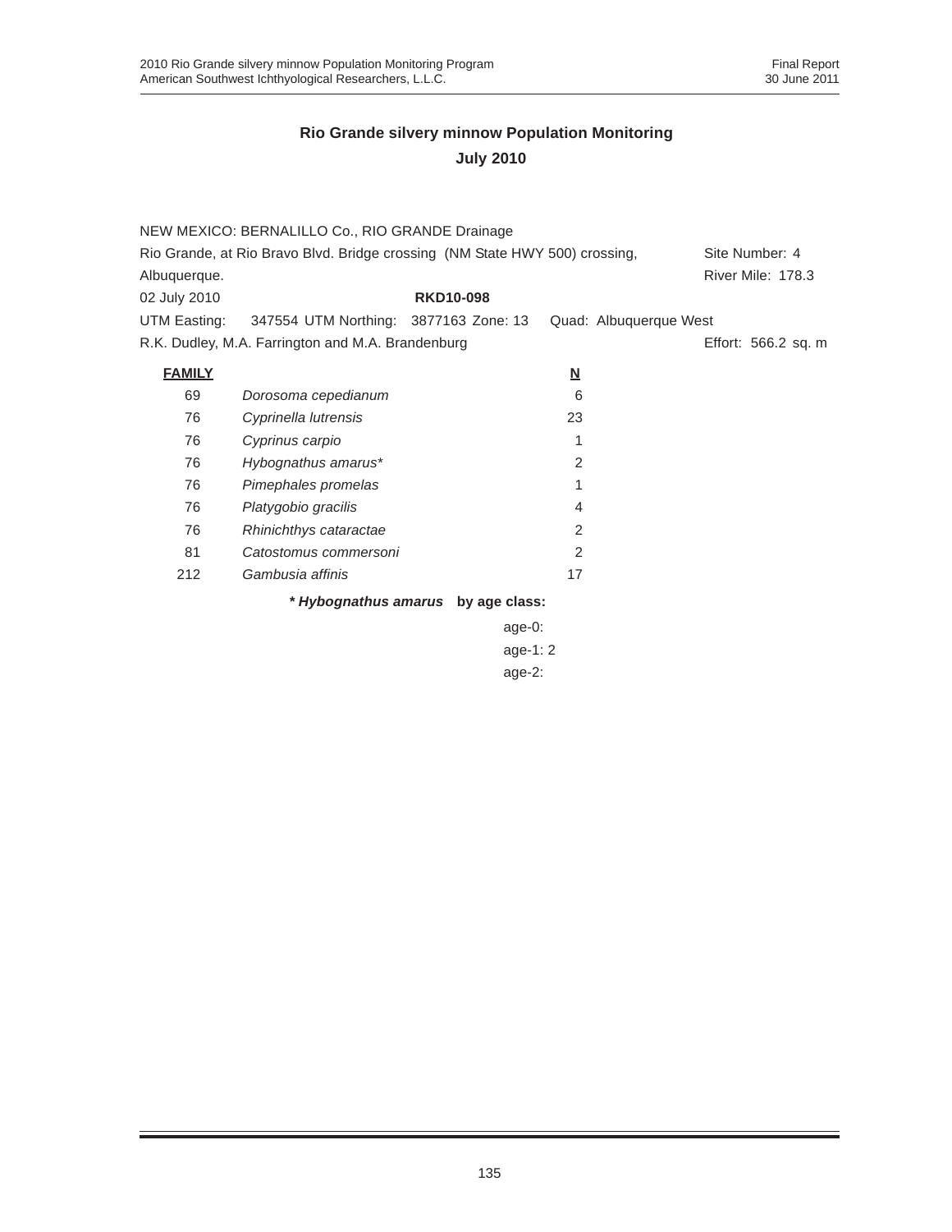|                                                                             | NEW MEXICO: BERNALILLO Co., RIO GRANDE Drainage    |                  |           |          |                        |  |                          |  |  |
|-----------------------------------------------------------------------------|----------------------------------------------------|------------------|-----------|----------|------------------------|--|--------------------------|--|--|
| Rio Grande, at Rio Bravo Blvd. Bridge crossing (NM State HWY 500) crossing, |                                                    |                  |           |          |                        |  | Site Number: 4           |  |  |
| Albuquerque.                                                                |                                                    |                  |           |          |                        |  | <b>River Mile: 178.3</b> |  |  |
| 02 July 2010                                                                |                                                    | <b>RKD10-098</b> |           |          |                        |  |                          |  |  |
|                                                                             | UTM Easting: 347554 UTM Northing: 3877163 Zone: 13 |                  |           |          | Quad: Albuquerque West |  |                          |  |  |
|                                                                             | R.K. Dudley, M.A. Farrington and M.A. Brandenburg  |                  |           |          |                        |  | Effort: 566.2 sq. m      |  |  |
| <b>FAMILY</b>                                                               |                                                    |                  |           | <u>N</u> |                        |  |                          |  |  |
| 69                                                                          | Dorosoma cepedianum                                |                  |           | 6        |                        |  |                          |  |  |
| 76                                                                          | Cyprinella lutrensis                               |                  |           | 23       |                        |  |                          |  |  |
| 76                                                                          | Cyprinus carpio                                    |                  |           | 1        |                        |  |                          |  |  |
| 76                                                                          | Hybognathus amarus*                                |                  |           | 2        |                        |  |                          |  |  |
| 76                                                                          | Pimephales promelas                                |                  |           | 1        |                        |  |                          |  |  |
| 76                                                                          | Platygobio gracilis                                |                  |           | 4        |                        |  |                          |  |  |
| 76                                                                          | Rhinichthys cataractae                             |                  |           | 2        |                        |  |                          |  |  |
| 81                                                                          | Catostomus commersoni                              |                  |           | 2        |                        |  |                          |  |  |
| 212                                                                         | Gambusia affinis                                   |                  |           | 17       |                        |  |                          |  |  |
|                                                                             | * Hybognathus amarus by age class:                 |                  |           |          |                        |  |                          |  |  |
|                                                                             |                                                    |                  | $age-0$ : |          |                        |  |                          |  |  |
|                                                                             |                                                    |                  | age-1:2   |          |                        |  |                          |  |  |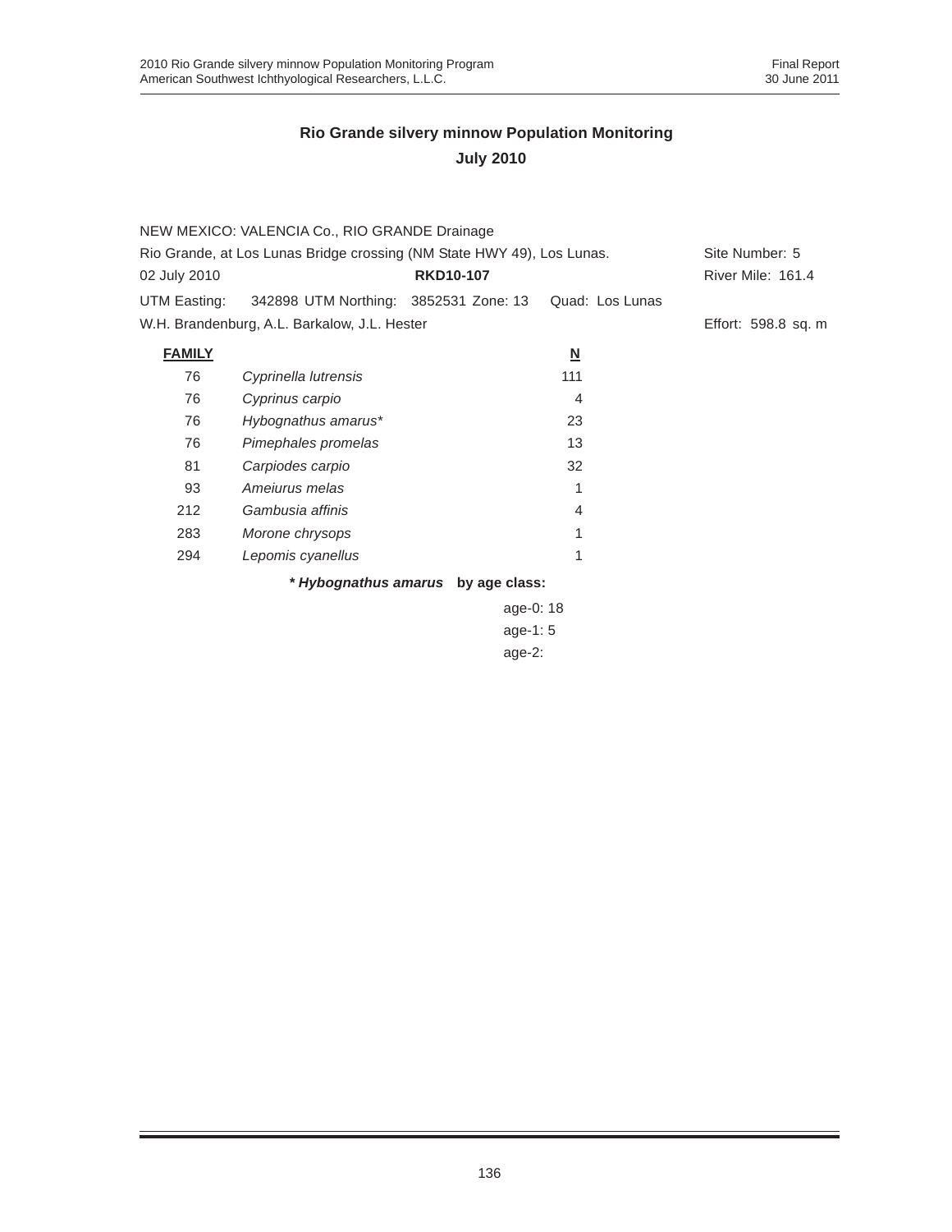| Rio Grande, at Los Lunas Bridge crossing (NM State HWY 49), Los Lunas.<br>Site Number: 5<br><b>RKD10-107</b><br><b>River Mile: 161.4</b><br>02 July 2010<br>342898 UTM Northing: 3852531 Zone: 13<br>Quad: Los Lunas<br>UTM Easting:<br>W.H. Brandenburg, A.L. Barkalow, J.L. Hester<br>Effort: 598.8 sq. m<br><b>FAMILY</b><br>$\underline{\mathsf{N}}$<br>76<br>111<br>Cyprinella lutrensis<br>76<br>Cyprinus carpio<br>4<br>76<br>23<br>Hybognathus amarus*<br>13<br>76<br>Pimephales promelas<br>81<br>32<br>Carpiodes carpio<br>93<br>Amejurus melas<br>1<br>Gambusia affinis<br>212<br>4<br>283<br>Morone chrysops<br>1<br>1<br>294<br>Lepomis cyanellus |  |
|----------------------------------------------------------------------------------------------------------------------------------------------------------------------------------------------------------------------------------------------------------------------------------------------------------------------------------------------------------------------------------------------------------------------------------------------------------------------------------------------------------------------------------------------------------------------------------------------------------------------------------------------------------------|--|
|                                                                                                                                                                                                                                                                                                                                                                                                                                                                                                                                                                                                                                                                |  |
|                                                                                                                                                                                                                                                                                                                                                                                                                                                                                                                                                                                                                                                                |  |
|                                                                                                                                                                                                                                                                                                                                                                                                                                                                                                                                                                                                                                                                |  |
|                                                                                                                                                                                                                                                                                                                                                                                                                                                                                                                                                                                                                                                                |  |
|                                                                                                                                                                                                                                                                                                                                                                                                                                                                                                                                                                                                                                                                |  |
|                                                                                                                                                                                                                                                                                                                                                                                                                                                                                                                                                                                                                                                                |  |
|                                                                                                                                                                                                                                                                                                                                                                                                                                                                                                                                                                                                                                                                |  |
|                                                                                                                                                                                                                                                                                                                                                                                                                                                                                                                                                                                                                                                                |  |
|                                                                                                                                                                                                                                                                                                                                                                                                                                                                                                                                                                                                                                                                |  |
|                                                                                                                                                                                                                                                                                                                                                                                                                                                                                                                                                                                                                                                                |  |
|                                                                                                                                                                                                                                                                                                                                                                                                                                                                                                                                                                                                                                                                |  |
|                                                                                                                                                                                                                                                                                                                                                                                                                                                                                                                                                                                                                                                                |  |
|                                                                                                                                                                                                                                                                                                                                                                                                                                                                                                                                                                                                                                                                |  |
|                                                                                                                                                                                                                                                                                                                                                                                                                                                                                                                                                                                                                                                                |  |
| * Hybognathus amarus<br>by age class:                                                                                                                                                                                                                                                                                                                                                                                                                                                                                                                                                                                                                          |  |

age-0: 18 age-1: 5 age-2: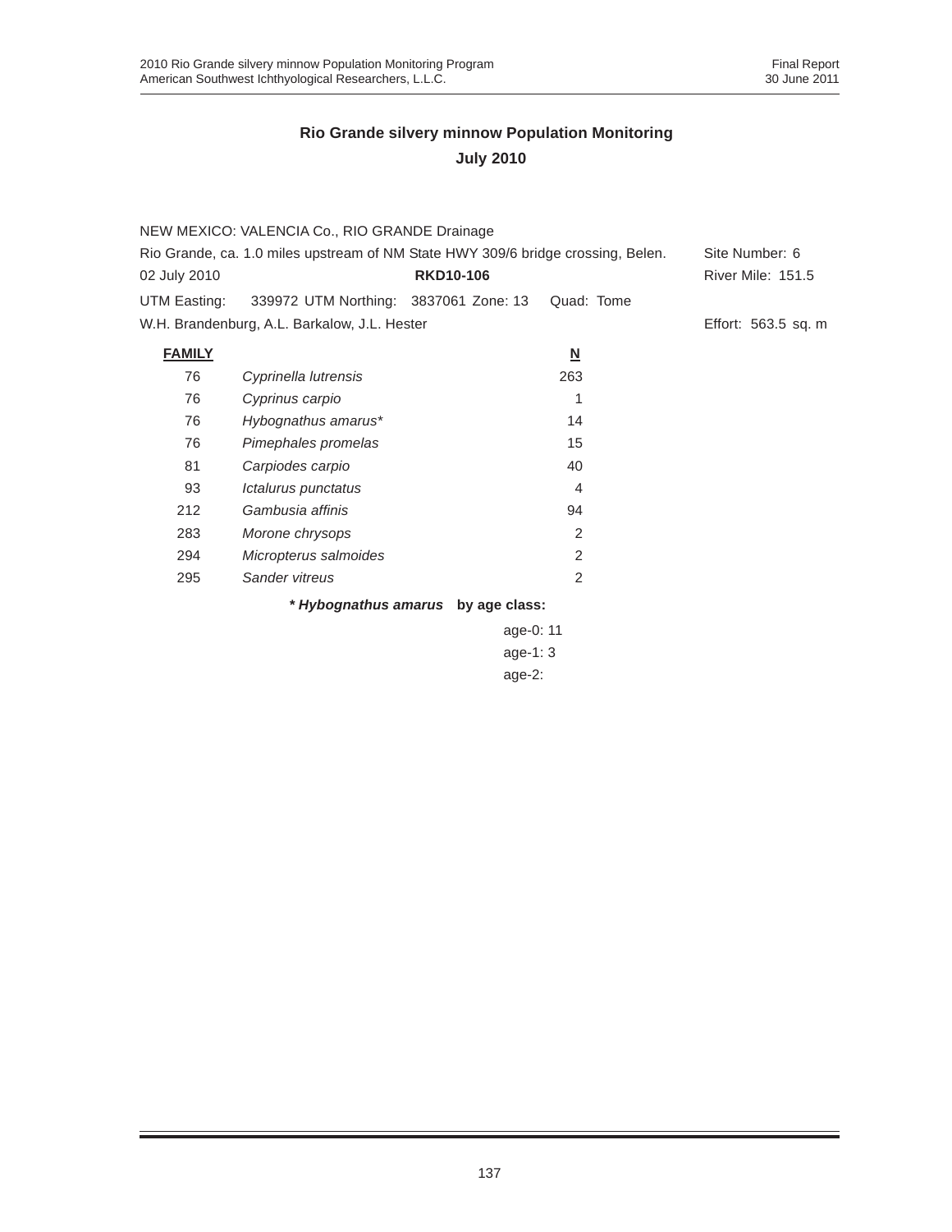|                                                                                  | NEW MEXICO: VALENCIA Co., RIO GRANDE Drainage |                  |                         |                          |  |  |
|----------------------------------------------------------------------------------|-----------------------------------------------|------------------|-------------------------|--------------------------|--|--|
| Rio Grande, ca. 1.0 miles upstream of NM State HWY 309/6 bridge crossing, Belen. |                                               |                  |                         | Site Number: 6           |  |  |
| 02 July 2010                                                                     |                                               | <b>RKD10-106</b> |                         | <b>River Mile: 151.5</b> |  |  |
| UTM Easting:                                                                     | 339972 UTM Northing: 3837061 Zone: 13         |                  | Quad: Tome              |                          |  |  |
|                                                                                  | W.H. Brandenburg, A.L. Barkalow, J.L. Hester  |                  |                         | Effort: 563.5 sq. m      |  |  |
| <b>FAMILY</b>                                                                    |                                               |                  | $\overline{\mathsf{M}}$ |                          |  |  |
| 76                                                                               | Cyprinella lutrensis                          |                  | 263                     |                          |  |  |
| 76                                                                               | Cyprinus carpio                               |                  |                         |                          |  |  |
| 76                                                                               | Hybognathus amarus*                           |                  | 14                      |                          |  |  |
| 76                                                                               | Pimephales promelas                           |                  | 15                      |                          |  |  |
| 81                                                                               | Carpiodes carpio                              |                  | 40                      |                          |  |  |
| 93                                                                               | Ictalurus punctatus                           |                  | 4                       |                          |  |  |
| 212                                                                              | Gambusia affinis                              |                  | 94                      |                          |  |  |
| 283                                                                              | Morone chrysops                               |                  | 2                       |                          |  |  |
| 294                                                                              | Micropterus salmoides                         |                  | 2                       |                          |  |  |
| 295                                                                              | Sander vitreus                                |                  | 2                       |                          |  |  |
|                                                                                  | * Hybognathus amarus by age class:            |                  |                         |                          |  |  |
|                                                                                  |                                               |                  | $\sim$ $\sim$           |                          |  |  |

age-0: 11 age-1: 3 age-2: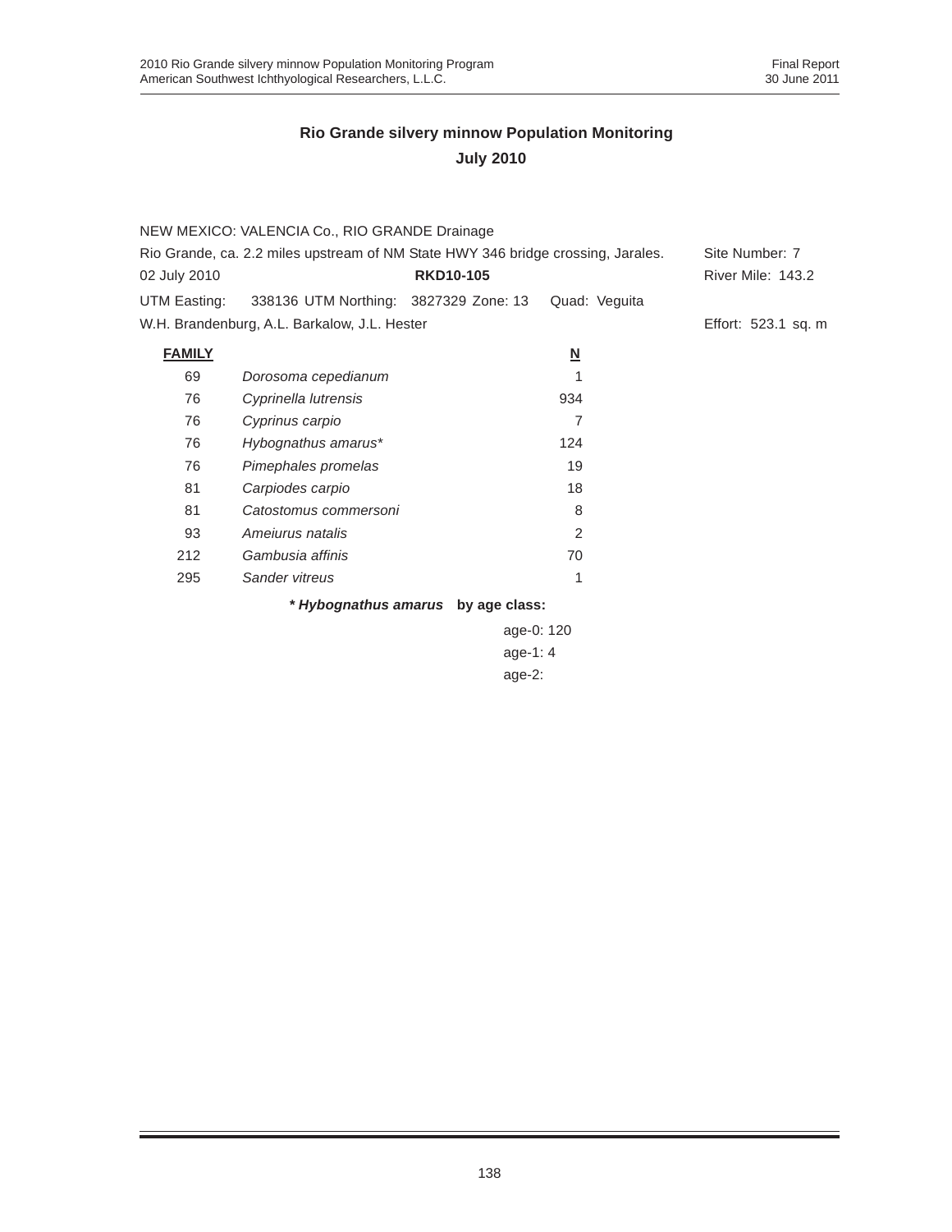|                                                                                  | NEW MEXICO: VALENCIA Co., RIO GRANDE Drainage      |                                    |                         |                          |
|----------------------------------------------------------------------------------|----------------------------------------------------|------------------------------------|-------------------------|--------------------------|
| Rio Grande, ca. 2.2 miles upstream of NM State HWY 346 bridge crossing, Jarales. |                                                    |                                    |                         | Site Number: 7           |
| 02 July 2010                                                                     |                                                    | <b>RKD10-105</b>                   |                         | <b>River Mile: 143.2</b> |
|                                                                                  | UTM Easting: 338136 UTM Northing: 3827329 Zone: 13 |                                    | Quad: Veguita           |                          |
|                                                                                  | W.H. Brandenburg, A.L. Barkalow, J.L. Hester       |                                    |                         | Effort: 523.1 sq. m      |
| <b>FAMILY</b>                                                                    |                                                    |                                    | $\overline{\mathsf{M}}$ |                          |
| 69                                                                               | Dorosoma cepedianum                                |                                    |                         |                          |
| 76                                                                               | Cyprinella lutrensis                               |                                    | 934                     |                          |
| 76                                                                               | Cyprinus carpio                                    |                                    | 7                       |                          |
| 76                                                                               | Hybognathus amarus*                                |                                    | 124                     |                          |
| 76                                                                               | Pimephales promelas                                |                                    | 19                      |                          |
| 81                                                                               | Carpiodes carpio                                   |                                    | 18                      |                          |
| 81                                                                               | Catostomus commersoni                              |                                    | 8                       |                          |
| 93                                                                               | Amejurus natalis                                   |                                    | 2                       |                          |
| 212                                                                              | Gambusia affinis                                   |                                    | 70                      |                          |
| 295                                                                              | Sander vitreus                                     |                                    | 1                       |                          |
|                                                                                  |                                                    | * Hybognathus amarus by age class: |                         |                          |
|                                                                                  |                                                    | age-0: 120                         |                         |                          |
|                                                                                  |                                                    | age-1: $4$                         |                         |                          |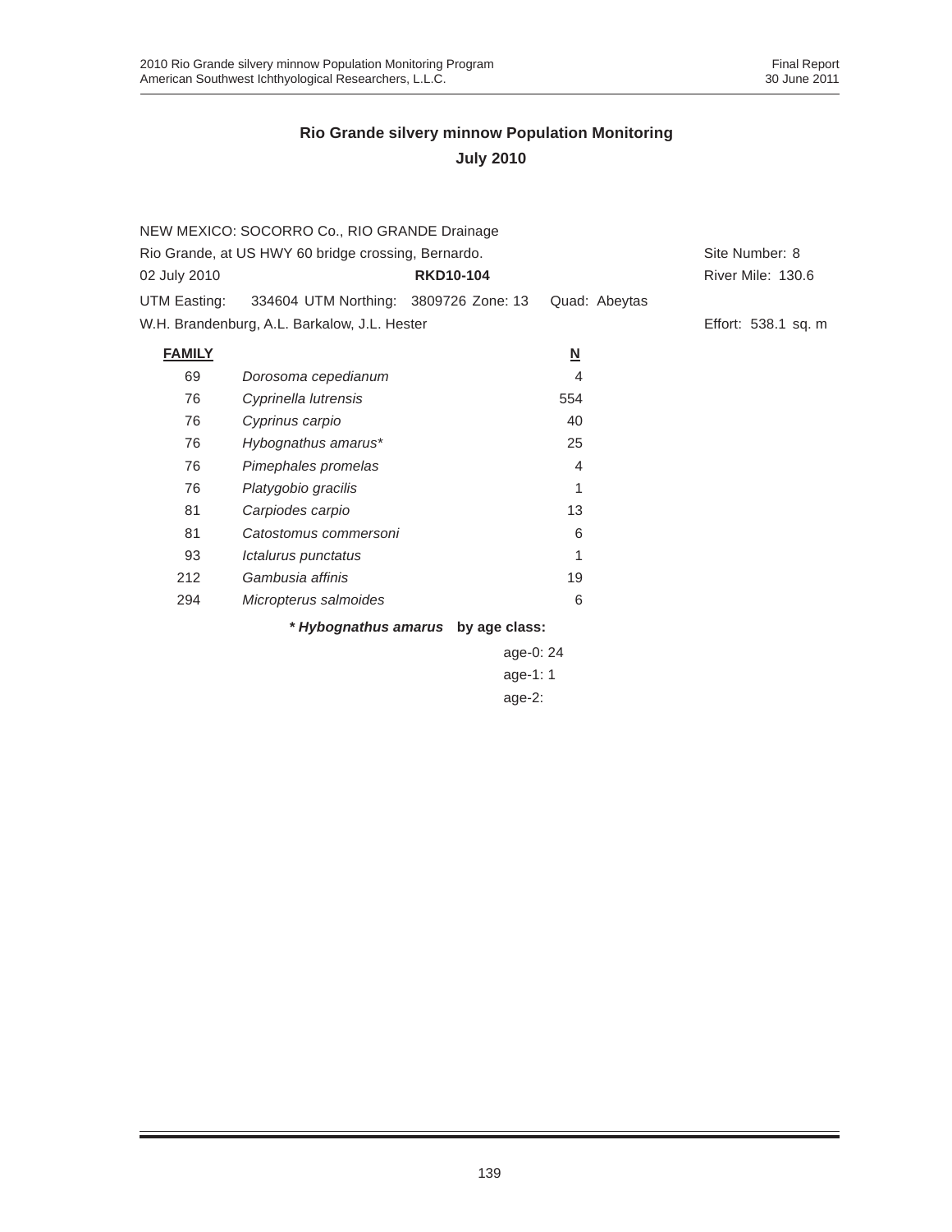|               | NEW MEXICO: SOCORRO Co., RIO GRANDE Drainage        |                                    |                          |                     |
|---------------|-----------------------------------------------------|------------------------------------|--------------------------|---------------------|
|               | Rio Grande, at US HWY 60 bridge crossing, Bernardo. |                                    |                          | Site Number: 8      |
| 02 July 2010  |                                                     | <b>RKD10-104</b>                   |                          | River Mile: 130.6   |
| UTM Easting:  | 334604 UTM Northing: 3809726 Zone: 13               |                                    | Quad: Abeytas            |                     |
|               | W.H. Brandenburg, A.L. Barkalow, J.L. Hester        |                                    |                          | Effort: 538.1 sq. m |
| <b>FAMILY</b> |                                                     |                                    | $\underline{\mathsf{N}}$ |                     |
| 69            | Dorosoma cepedianum                                 |                                    | 4                        |                     |
| 76            | Cyprinella lutrensis                                |                                    | 554                      |                     |
| 76            | Cyprinus carpio                                     |                                    | 40                       |                     |
| 76            | Hybognathus amarus*                                 |                                    | 25                       |                     |
| 76            | Pimephales promelas                                 |                                    | 4                        |                     |
| 76            | Platygobio gracilis                                 |                                    | 1                        |                     |
| 81            | Carpiodes carpio                                    |                                    | 13                       |                     |
| 81            | Catostomus commersoni                               |                                    | 6                        |                     |
| 93            | Ictalurus punctatus                                 |                                    | 1                        |                     |
| 212           | Gambusia affinis                                    |                                    | 19                       |                     |
| 294           | Micropterus salmoides                               |                                    | 6                        |                     |
|               |                                                     | * Hybognathus amarus by age class: |                          |                     |

age-0: 24 age-1: 1 age-2: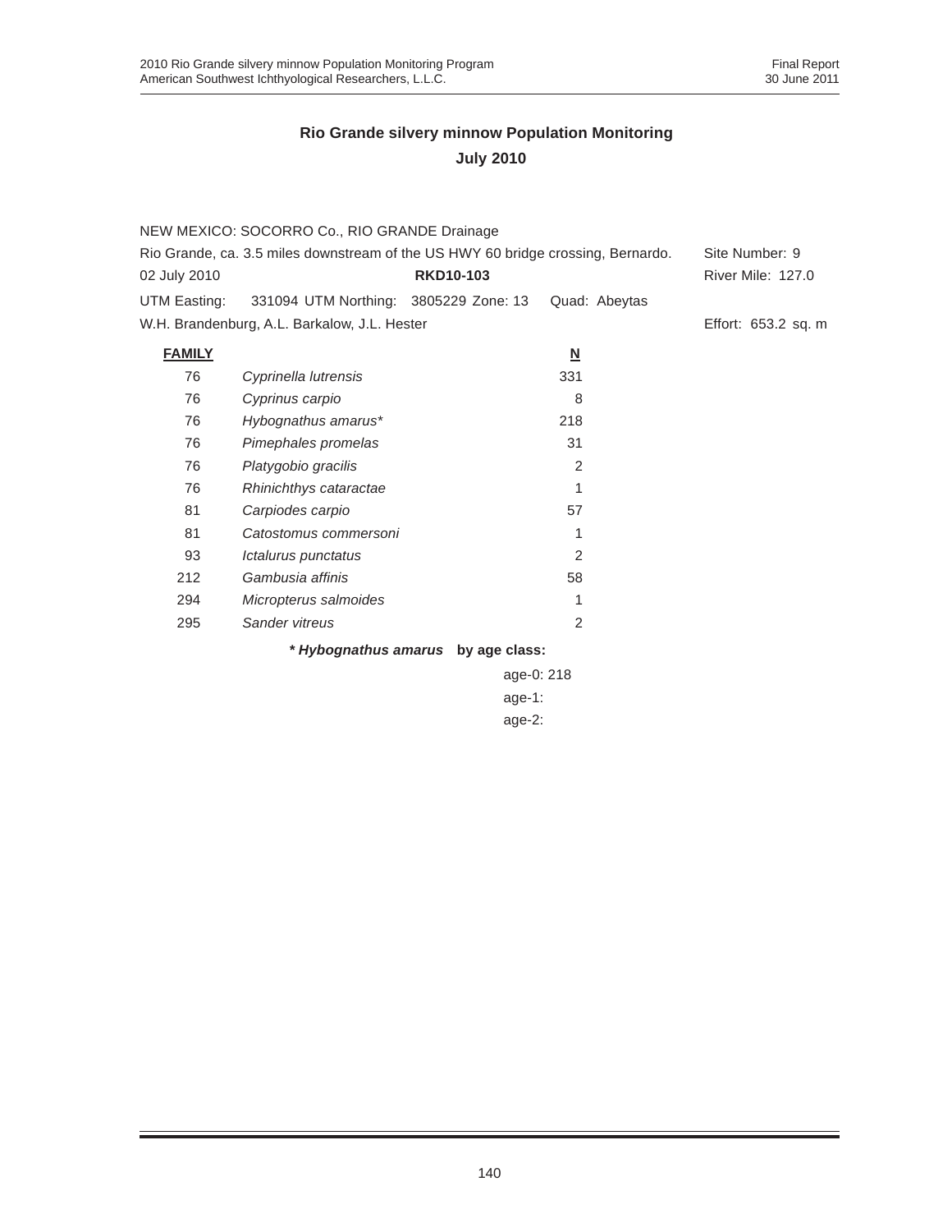|                                                                                  | NEW MEXICO: SOCORRO Co., RIO GRANDE Drainage       |                                    |                                           |                          |
|----------------------------------------------------------------------------------|----------------------------------------------------|------------------------------------|-------------------------------------------|--------------------------|
| Rio Grande, ca. 3.5 miles downstream of the US HWY 60 bridge crossing, Bernardo. |                                                    |                                    |                                           | Site Number: 9           |
| 02 July 2010                                                                     |                                                    | <b>RKD10-103</b>                   |                                           | <b>River Mile: 127.0</b> |
|                                                                                  | UTM Easting: 331094 UTM Northing: 3805229 Zone: 13 |                                    | Quad: Abeytas                             |                          |
|                                                                                  | W.H. Brandenburg, A.L. Barkalow, J.L. Hester       |                                    |                                           | Effort: 653.2 sq. m      |
| <b>FAMILY</b>                                                                    |                                                    |                                    | $\underline{\mathsf{N}}$                  |                          |
| 76                                                                               | Cyprinella lutrensis                               |                                    | 331                                       |                          |
| 76                                                                               | Cyprinus carpio                                    |                                    | 8                                         |                          |
| 76                                                                               | Hybognathus amarus*                                |                                    | 218                                       |                          |
| 76                                                                               | Pimephales promelas                                |                                    | 31                                        |                          |
| 76                                                                               | Platygobio gracilis                                |                                    | 2                                         |                          |
| 76                                                                               | Rhinichthys cataractae                             |                                    | 1                                         |                          |
| 81                                                                               | Carpiodes carpio                                   |                                    | 57                                        |                          |
| 81                                                                               | Catostomus commersoni                              |                                    | 1                                         |                          |
| 93                                                                               | Ictalurus punctatus                                |                                    | 2                                         |                          |
| 212                                                                              | Gambusia affinis                                   |                                    | 58                                        |                          |
| 294                                                                              | Micropterus salmoides                              |                                    | 1                                         |                          |
| 295                                                                              | Sander vitreus                                     |                                    | 2                                         |                          |
|                                                                                  |                                                    | * Hybognathus amarus by age class: |                                           |                          |
|                                                                                  |                                                    |                                    | $\sim$ $\sim$ $\sim$ $\sim$ $\sim$ $\sim$ |                          |

| age-0: 218 |
|------------|
| age-1:     |
| $age-2$ :  |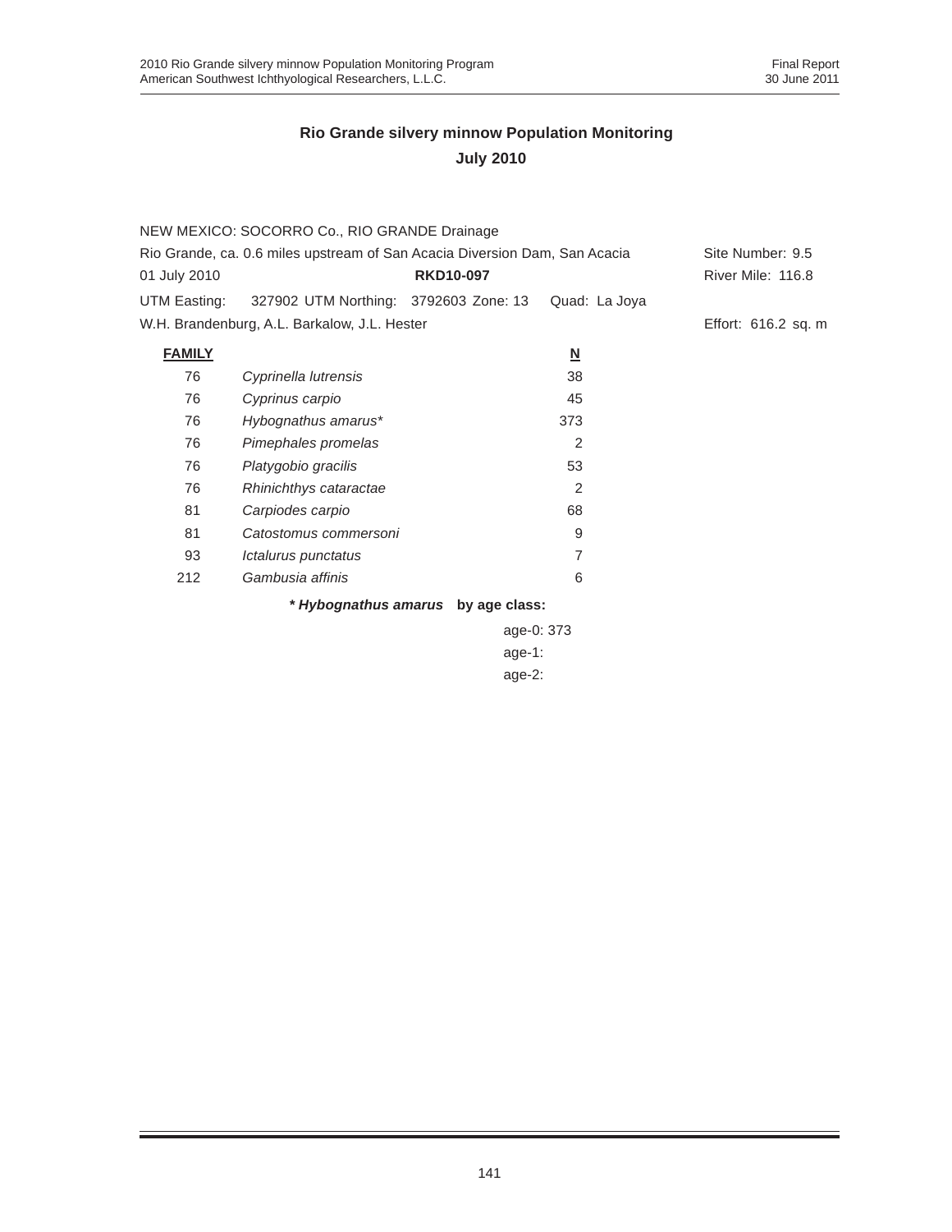|                                                                            | NEW MEXICO: SOCORRO Co., RIO GRANDE Drainage |                                    |                          |                     |
|----------------------------------------------------------------------------|----------------------------------------------|------------------------------------|--------------------------|---------------------|
| Rio Grande, ca. 0.6 miles upstream of San Acacia Diversion Dam, San Acacia | Site Number: 9.5                             |                                    |                          |                     |
| 01 July 2010                                                               |                                              | <b>RKD10-097</b>                   |                          | River Mile: 116.8   |
| UTM Easting:                                                               | 327902 UTM Northing: 3792603 Zone: 13        |                                    | Quad: La Joya            |                     |
|                                                                            | W.H. Brandenburg, A.L. Barkalow, J.L. Hester |                                    |                          | Effort: 616.2 sq. m |
| <b>FAMILY</b>                                                              |                                              |                                    | $\underline{\mathbf{N}}$ |                     |
| 76                                                                         | Cyprinella lutrensis                         |                                    | 38                       |                     |
| 76                                                                         | Cyprinus carpio                              |                                    | 45                       |                     |
| 76                                                                         | Hybognathus amarus*                          |                                    | 373                      |                     |
| 76                                                                         | Pimephales promelas                          |                                    | 2                        |                     |
| 76                                                                         | Platygobio gracilis                          |                                    | 53                       |                     |
| 76                                                                         | Rhinichthys cataractae                       |                                    | 2                        |                     |
| 81                                                                         | Carpiodes carpio                             |                                    | 68                       |                     |
| 81                                                                         | Catostomus commersoni                        |                                    | 9                        |                     |
| 93                                                                         | Ictalurus punctatus                          |                                    | 7                        |                     |
| 212                                                                        | Gambusia affinis                             |                                    | 6                        |                     |
|                                                                            |                                              | * Hybognathus amarus by age class: |                          |                     |
|                                                                            |                                              | age-0: 373                         |                          |                     |
|                                                                            |                                              | $age-1$ :                          |                          |                     |
|                                                                            |                                              |                                    |                          |                     |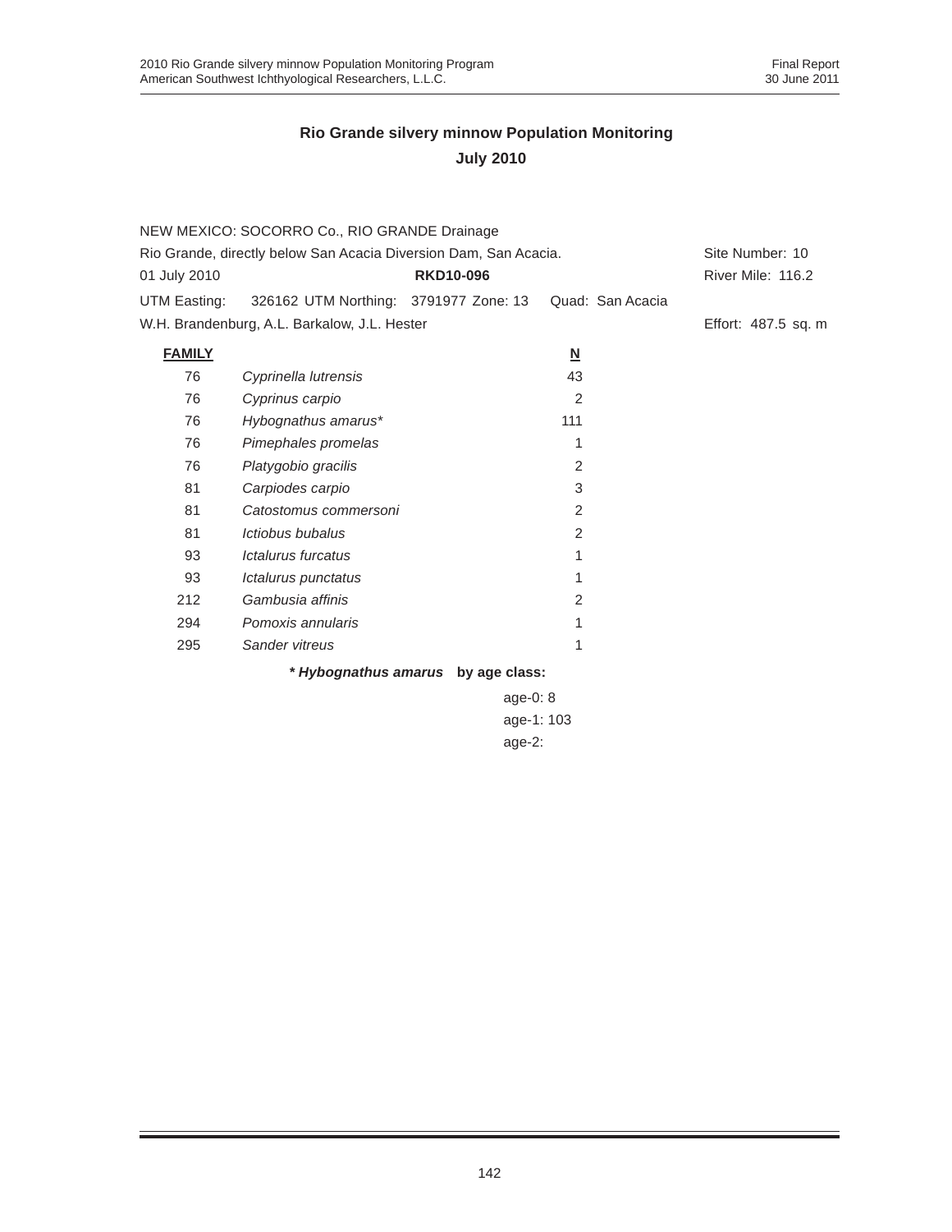|                                                                  | NEW MEXICO: SOCORRO Co., RIO GRANDE Drainage |                  |            |                          |                  |                   |  |
|------------------------------------------------------------------|----------------------------------------------|------------------|------------|--------------------------|------------------|-------------------|--|
| Rio Grande, directly below San Acacia Diversion Dam, San Acacia. |                                              |                  |            |                          | Site Number: 10  |                   |  |
| 01 July 2010                                                     |                                              | <b>RKD10-096</b> |            |                          |                  | River Mile: 116.2 |  |
| UTM Easting:                                                     | 326162 UTM Northing: 3791977 Zone: 13        |                  |            |                          | Quad: San Acacia |                   |  |
| W.H. Brandenburg, A.L. Barkalow, J.L. Hester                     |                                              |                  |            | Effort: 487.5 sq. m      |                  |                   |  |
| <b>FAMILY</b>                                                    |                                              |                  |            | $\underline{\mathsf{N}}$ |                  |                   |  |
| 76                                                               | Cyprinella lutrensis                         |                  |            | 43                       |                  |                   |  |
| 76                                                               | Cyprinus carpio                              |                  |            | 2                        |                  |                   |  |
| 76                                                               | Hybognathus amarus*                          |                  |            | 111                      |                  |                   |  |
| 76                                                               | Pimephales promelas                          |                  |            | 1                        |                  |                   |  |
| 76                                                               | Platygobio gracilis                          |                  |            | 2                        |                  |                   |  |
| 81                                                               | Carpiodes carpio                             |                  |            | 3                        |                  |                   |  |
| 81                                                               | Catostomus commersoni                        |                  |            | 2                        |                  |                   |  |
| 81                                                               | Ictiobus bubalus                             |                  |            | 2                        |                  |                   |  |
| 93                                                               | Ictalurus furcatus                           |                  |            | 1                        |                  |                   |  |
| 93                                                               | Ictalurus punctatus                          |                  |            | 1                        |                  |                   |  |
| 212                                                              | Gambusia affinis                             |                  |            | 2                        |                  |                   |  |
| 294                                                              | Pomoxis annularis                            |                  |            | 1                        |                  |                   |  |
| 295                                                              | Sander vitreus                               |                  |            | 1                        |                  |                   |  |
|                                                                  | * Hybognathus amarus by age class:           |                  |            |                          |                  |                   |  |
|                                                                  |                                              |                  | age- $0:8$ |                          |                  |                   |  |

age-1: 103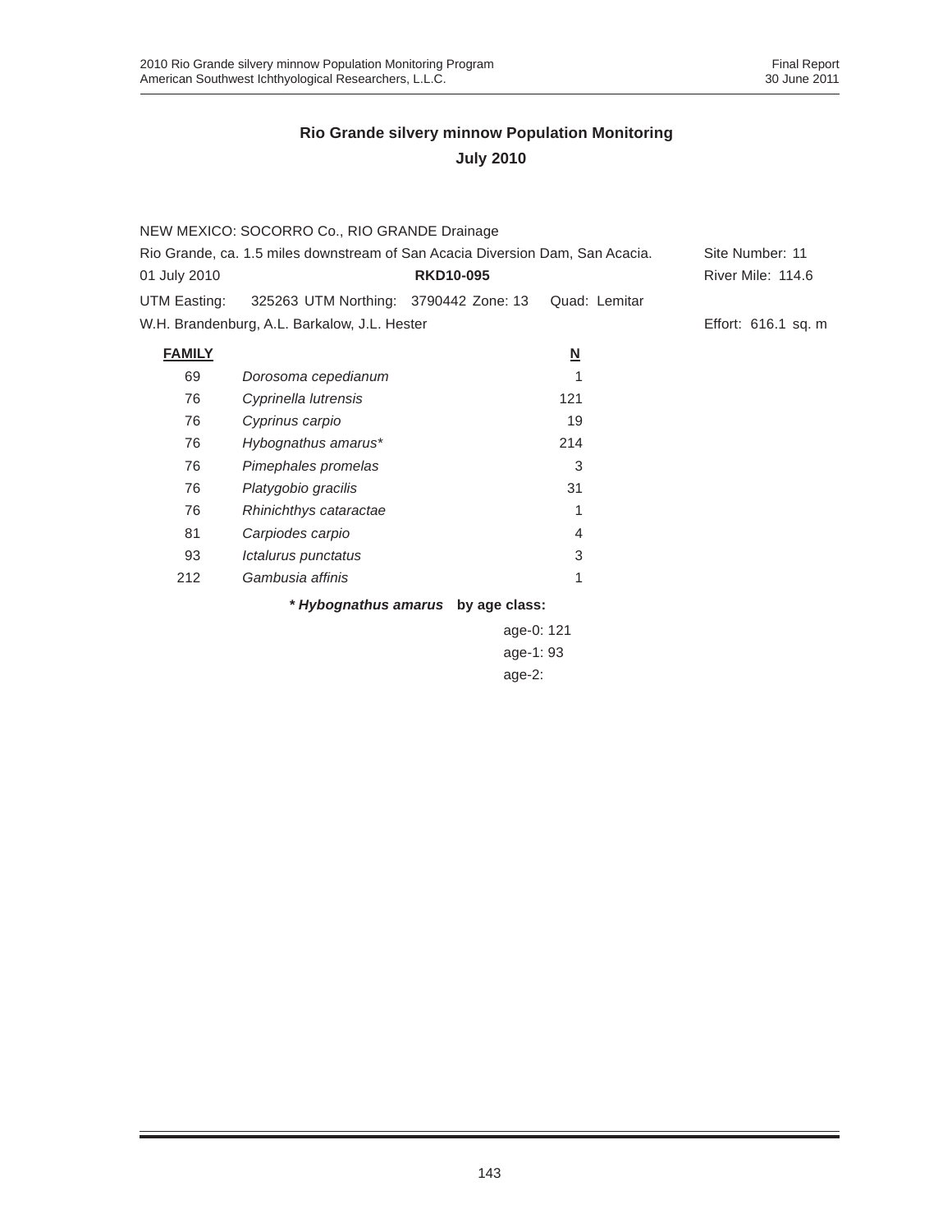| NEW MEXICO: SOCORRO Co., RIO GRANDE Drainage                                  |                                              |                                    |                          |                     |  |
|-------------------------------------------------------------------------------|----------------------------------------------|------------------------------------|--------------------------|---------------------|--|
| Rio Grande, ca. 1.5 miles downstream of San Acacia Diversion Dam, San Acacia. |                                              |                                    |                          | Site Number: 11     |  |
| 01 July 2010                                                                  |                                              | <b>RKD10-095</b>                   |                          | River Mile: 114.6   |  |
| UTM Easting:                                                                  | 325263 UTM Northing: 3790442 Zone: 13        |                                    | Quad: Lemitar            |                     |  |
|                                                                               | W.H. Brandenburg, A.L. Barkalow, J.L. Hester |                                    |                          | Effort: 616.1 sq. m |  |
| <b>FAMILY</b>                                                                 |                                              |                                    | $\underline{\mathsf{N}}$ |                     |  |
| 69                                                                            | Dorosoma cepedianum                          |                                    |                          |                     |  |
| 76                                                                            | Cyprinella lutrensis                         |                                    | 121                      |                     |  |
| 76                                                                            | Cyprinus carpio                              |                                    | 19                       |                     |  |
| 76                                                                            | Hybognathus amarus*                          |                                    | 214                      |                     |  |
| 76                                                                            | Pimephales promelas                          |                                    | 3                        |                     |  |
| 76                                                                            | Platygobio gracilis                          |                                    | 31                       |                     |  |
| 76                                                                            | Rhinichthys cataractae                       |                                    |                          |                     |  |
| 81                                                                            | Carpiodes carpio                             |                                    | 4                        |                     |  |
| 93                                                                            | Ictalurus punctatus                          |                                    | 3                        |                     |  |
| 212                                                                           | Gambusia affinis                             |                                    | 1                        |                     |  |
|                                                                               |                                              | * Hybognathus amarus by age class: |                          |                     |  |
|                                                                               |                                              | age-0: 121                         |                          |                     |  |

age-1: 93 age-2: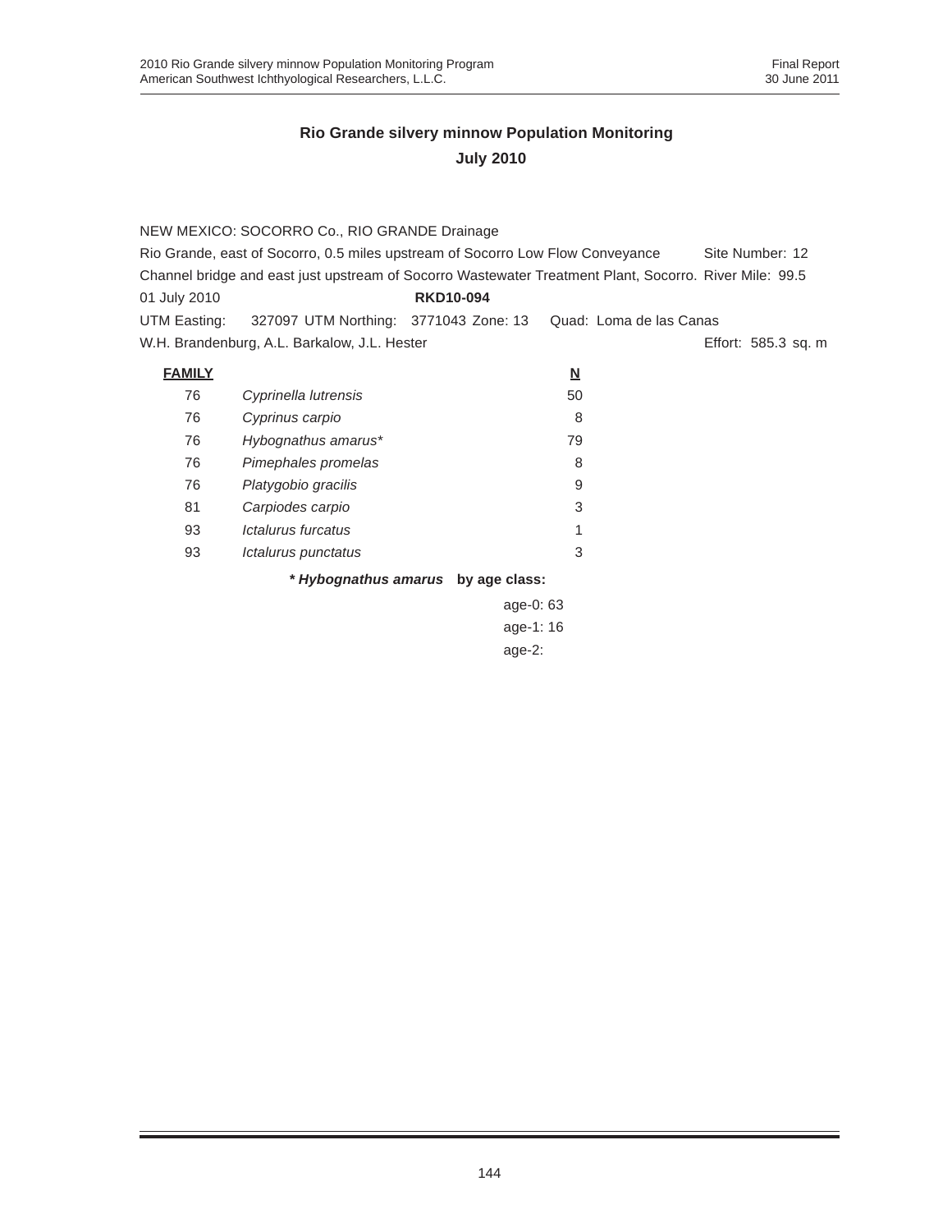|               | NEW MEXICO: SOCORRO Co., RIO GRANDE Drainage                                                           |                                    |                          |                     |
|---------------|--------------------------------------------------------------------------------------------------------|------------------------------------|--------------------------|---------------------|
|               | Rio Grande, east of Socorro, 0.5 miles upstream of Socorro Low Flow Conveyance                         |                                    |                          | Site Number: 12     |
|               | Channel bridge and east just upstream of Socorro Wastewater Treatment Plant, Socorro. River Mile: 99.5 |                                    |                          |                     |
| 01 July 2010  |                                                                                                        | <b>RKD10-094</b>                   |                          |                     |
| UTM Easting:  | 327097 UTM Northing: 3771043 Zone: 13                                                                  |                                    | Quad: Loma de las Canas  |                     |
|               | W.H. Brandenburg, A.L. Barkalow, J.L. Hester                                                           |                                    |                          | Effort: 585.3 sq. m |
| <b>FAMILY</b> |                                                                                                        |                                    | $\underline{\mathsf{N}}$ |                     |
| 76            | Cyprinella lutrensis                                                                                   |                                    | 50                       |                     |
| 76            | Cyprinus carpio                                                                                        |                                    | 8                        |                     |
| 76            | Hybognathus amarus*                                                                                    |                                    | 79                       |                     |
| 76            | Pimephales promelas                                                                                    |                                    | 8                        |                     |
| 76            | Platygobio gracilis                                                                                    |                                    | 9                        |                     |
| 81            | Carpiodes carpio                                                                                       |                                    | 3                        |                     |
| 93            | Ictalurus furcatus                                                                                     |                                    | 1                        |                     |
| 93            | Ictalurus punctatus                                                                                    |                                    | 3                        |                     |
|               |                                                                                                        | * Hybognathus amarus by age class: |                          |                     |
|               |                                                                                                        | age-0: 63                          |                          |                     |
|               |                                                                                                        | age-1:16                           |                          |                     |

 $ig\epsilon$ age-2: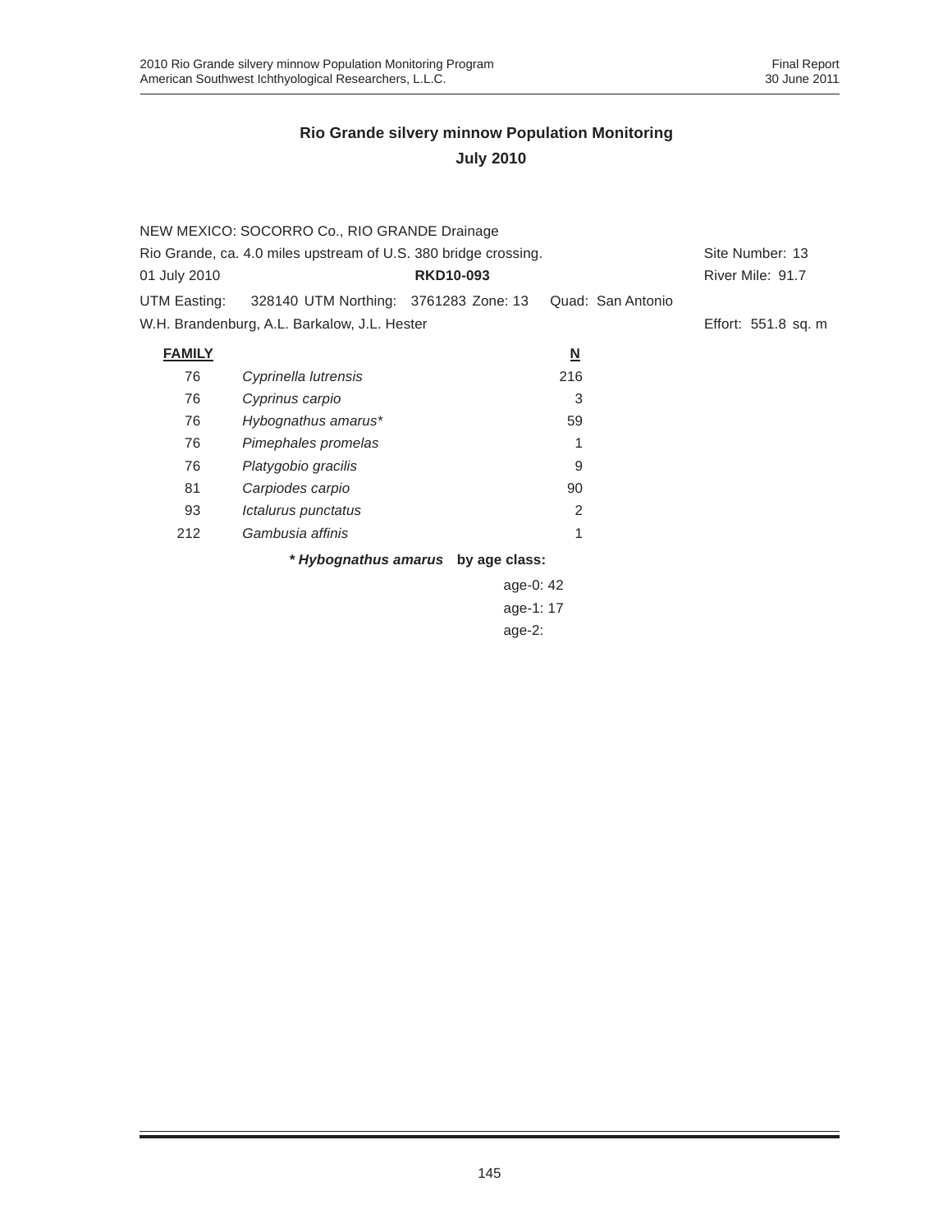|                                                                 | NEW MEXICO: SOCORRO Co., RIO GRANDE Drainage |                  |                         |                   |                     |  |
|-----------------------------------------------------------------|----------------------------------------------|------------------|-------------------------|-------------------|---------------------|--|
| Rio Grande, ca. 4.0 miles upstream of U.S. 380 bridge crossing. |                                              |                  |                         |                   | Site Number: 13     |  |
| 01 July 2010                                                    |                                              | <b>RKD10-093</b> |                         |                   | River Mile: 91.7    |  |
| UTM Easting:                                                    | 328140 UTM Northing: 3761283 Zone: 13        |                  |                         | Quad: San Antonio |                     |  |
|                                                                 | W.H. Brandenburg, A.L. Barkalow, J.L. Hester |                  |                         |                   | Effort: 551.8 sq. m |  |
| <b>FAMILY</b>                                                   |                                              |                  | $\overline{\mathsf{M}}$ |                   |                     |  |
| 76                                                              | Cyprinella lutrensis                         |                  | 216                     |                   |                     |  |
| 76                                                              | Cyprinus carpio                              |                  | 3                       |                   |                     |  |
| 76                                                              | Hybognathus amarus*                          |                  | 59                      |                   |                     |  |
| 76                                                              | Pimephales promelas                          |                  |                         |                   |                     |  |
| 76                                                              | Platygobio gracilis                          |                  | 9                       |                   |                     |  |
| 81                                                              | Carpiodes carpio                             |                  | 90                      |                   |                     |  |
| 93                                                              | Ictalurus punctatus                          |                  | 2                       |                   |                     |  |
| 212                                                             | Gambusia affinis                             |                  | 1                       |                   |                     |  |
|                                                                 | * Hybognathus amarus by age class:           |                  |                         |                   |                     |  |
|                                                                 |                                              | 0.800110         |                         |                   |                     |  |

age-0: 42 age-1: 17 age-2: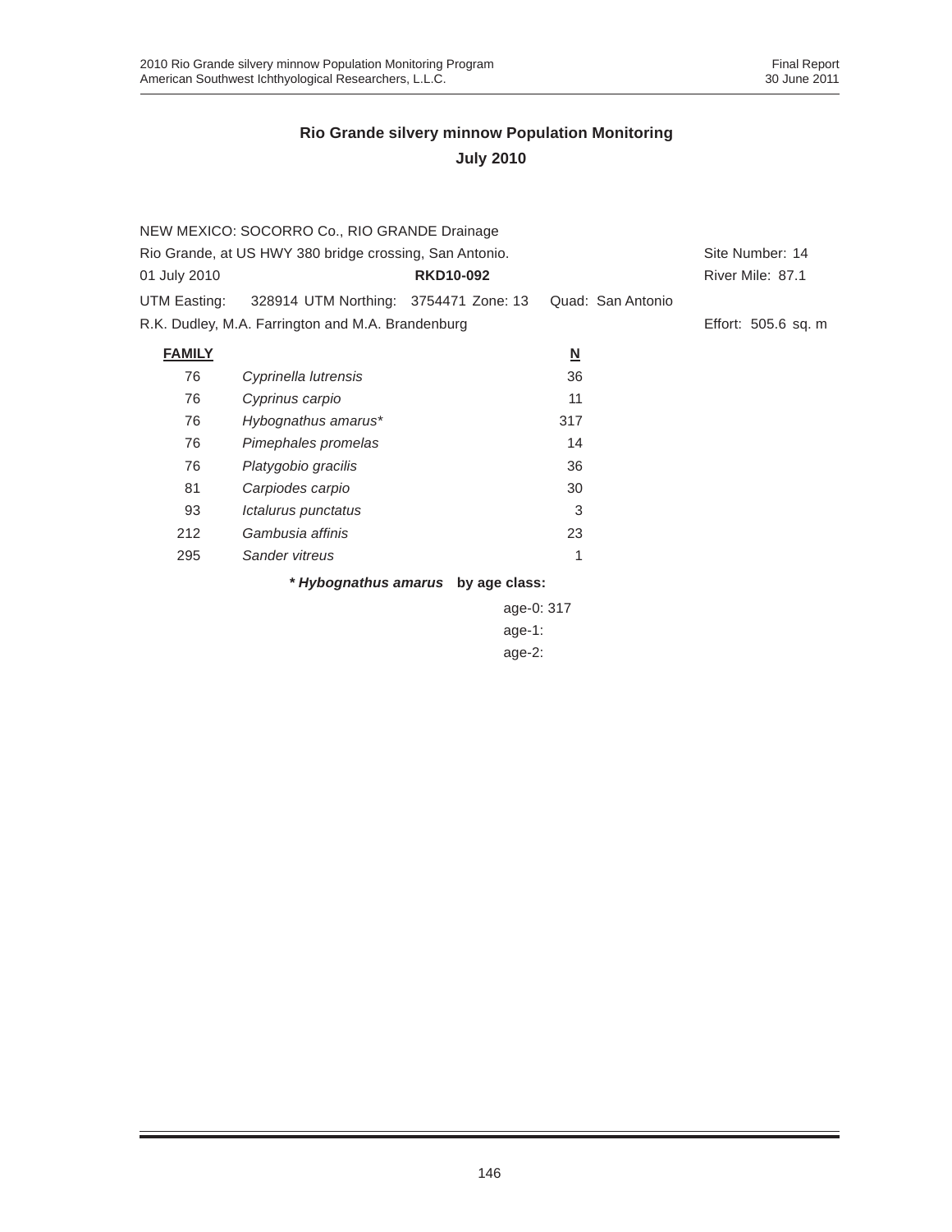|                                                         | NEW MEXICO: SOCORRO Co., RIO GRANDE Drainage      |                                    |                         |                     |
|---------------------------------------------------------|---------------------------------------------------|------------------------------------|-------------------------|---------------------|
| Rio Grande, at US HWY 380 bridge crossing, San Antonio. | Site Number: 14                                   |                                    |                         |                     |
| 01 July 2010                                            |                                                   | <b>RKD10-092</b>                   |                         | River Mile: 87.1    |
| UTM Easting:                                            | 328914 UTM Northing: 3754471 Zone: 13             |                                    | Quad: San Antonio       |                     |
|                                                         | R.K. Dudley, M.A. Farrington and M.A. Brandenburg |                                    |                         | Effort: 505.6 sq. m |
| <b>FAMILY</b>                                           |                                                   |                                    | $\overline{\mathsf{M}}$ |                     |
| 76                                                      | Cyprinella lutrensis                              |                                    | 36                      |                     |
| 76                                                      | Cyprinus carpio                                   |                                    | 11                      |                     |
| 76                                                      | Hybognathus amarus*                               |                                    | 317                     |                     |
| 76                                                      | Pimephales promelas                               |                                    | 14                      |                     |
| 76                                                      | Platygobio gracilis                               |                                    | 36                      |                     |
| 81                                                      | Carpiodes carpio                                  |                                    | 30                      |                     |
| 93                                                      | Ictalurus punctatus                               |                                    | 3                       |                     |
| 212                                                     | Gambusia affinis                                  |                                    | 23                      |                     |
| 295                                                     | Sander vitreus                                    |                                    | 1                       |                     |
|                                                         |                                                   | * Hybognathus amarus by age class: |                         |                     |

age-0: 317 age-1: age-2: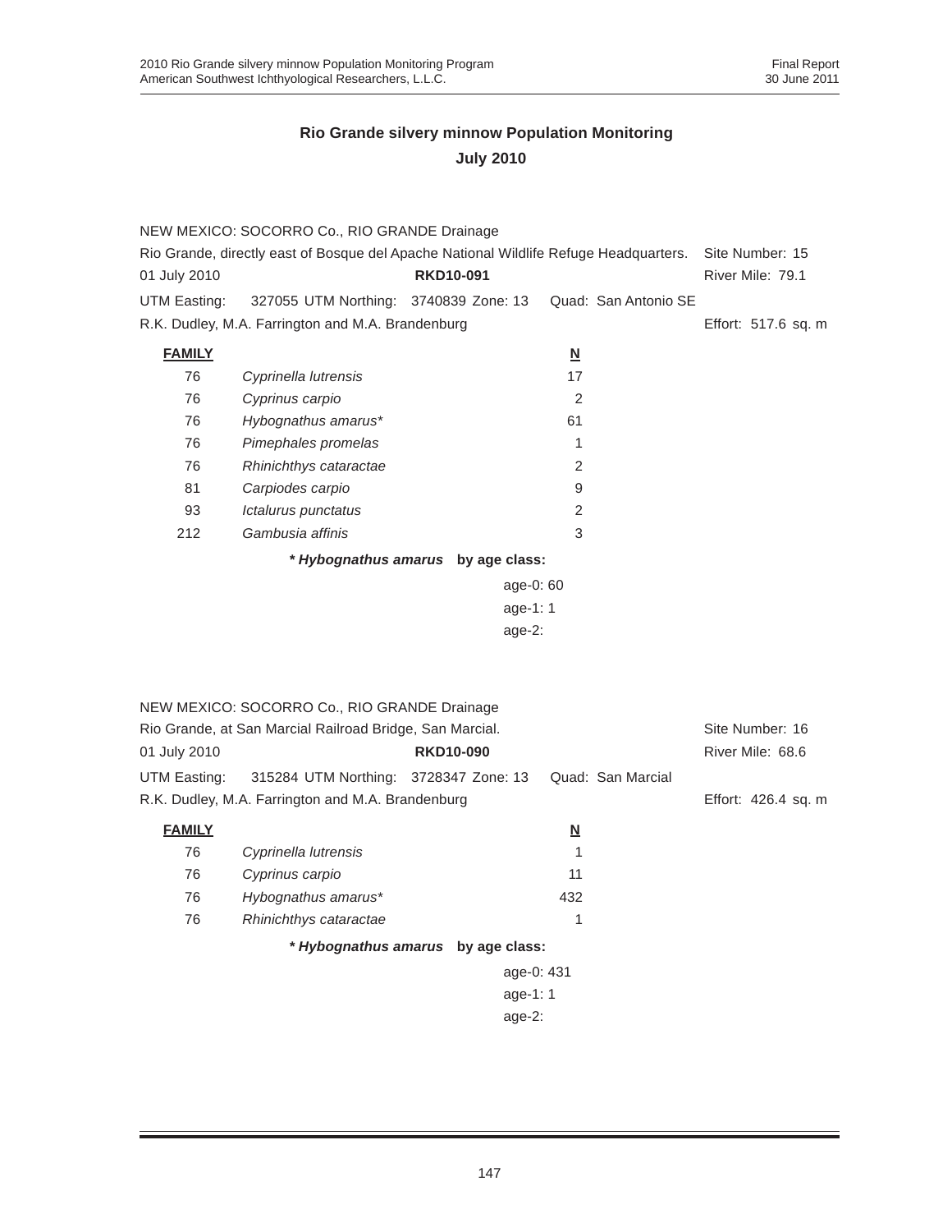|                                                                                       | NEW MEXICO: SOCORRO Co., RIO GRANDE Drainage             |                  |                          |                      |                     |
|---------------------------------------------------------------------------------------|----------------------------------------------------------|------------------|--------------------------|----------------------|---------------------|
| Rio Grande, directly east of Bosque del Apache National Wildlife Refuge Headquarters. | Site Number: 15                                          |                  |                          |                      |                     |
| 01 July 2010                                                                          |                                                          | <b>RKD10-091</b> |                          |                      | River Mile: 79.1    |
| UTM Easting:                                                                          | 327055 UTM Northing: 3740839 Zone: 13                    |                  |                          | Quad: San Antonio SE |                     |
|                                                                                       | R.K. Dudley, M.A. Farrington and M.A. Brandenburg        |                  |                          |                      | Effort: 517.6 sq. m |
| <b>FAMILY</b>                                                                         |                                                          |                  | $\overline{\mathsf{M}}$  |                      |                     |
| 76                                                                                    | Cyprinella lutrensis                                     |                  | 17                       |                      |                     |
| 76                                                                                    | Cyprinus carpio                                          |                  | 2                        |                      |                     |
| 76                                                                                    | Hybognathus amarus*                                      |                  | 61                       |                      |                     |
| 76                                                                                    | Pimephales promelas                                      |                  | 1                        |                      |                     |
| 76                                                                                    | Rhinichthys cataractae                                   |                  | 2                        |                      |                     |
| 81                                                                                    | Carpiodes carpio                                         |                  | 9                        |                      |                     |
| 93                                                                                    | Ictalurus punctatus                                      |                  | $\overline{2}$           |                      |                     |
| 212                                                                                   | Gambusia affinis                                         |                  | 3                        |                      |                     |
|                                                                                       | * Hybognathus amarus by age class:                       |                  |                          |                      |                     |
|                                                                                       |                                                          |                  | age-0: 60                |                      |                     |
|                                                                                       |                                                          |                  | age-1: 1                 |                      |                     |
|                                                                                       |                                                          |                  | age-2:                   |                      |                     |
|                                                                                       |                                                          |                  |                          |                      |                     |
|                                                                                       |                                                          |                  |                          |                      |                     |
|                                                                                       | NEW MEXICO: SOCORRO Co., RIO GRANDE Drainage             |                  |                          |                      |                     |
|                                                                                       | Rio Grande, at San Marcial Railroad Bridge, San Marcial. |                  |                          |                      | Site Number: 16     |
| 01 July 2010                                                                          |                                                          | <b>RKD10-090</b> |                          |                      | River Mile: 68.6    |
| UTM Easting:                                                                          | 315284 UTM Northing: 3728347 Zone: 13                    |                  |                          | Quad: San Marcial    |                     |
|                                                                                       | R.K. Dudley, M.A. Farrington and M.A. Brandenburg        |                  |                          |                      | Effort: 426.4 sq. m |
|                                                                                       |                                                          |                  |                          |                      |                     |
| <b>FAMILY</b>                                                                         |                                                          |                  | $\underline{\mathbf{N}}$ |                      |                     |
| 76                                                                                    | Cyprinella lutrensis                                     |                  | 1                        |                      |                     |
| 76                                                                                    | Cyprinus carpio                                          |                  | 11                       |                      |                     |
| 76                                                                                    | Hybognathus amarus*                                      |                  | 432                      |                      |                     |
| 76                                                                                    | Rhinichthys cataractae                                   |                  | 1                        |                      |                     |
|                                                                                       | * Hybognathus amarus by age class:                       |                  |                          |                      |                     |
|                                                                                       |                                                          |                  | age-0: 431               |                      |                     |
|                                                                                       |                                                          |                  | age-1: 1                 |                      |                     |
|                                                                                       |                                                          |                  | $age-2:$                 |                      |                     |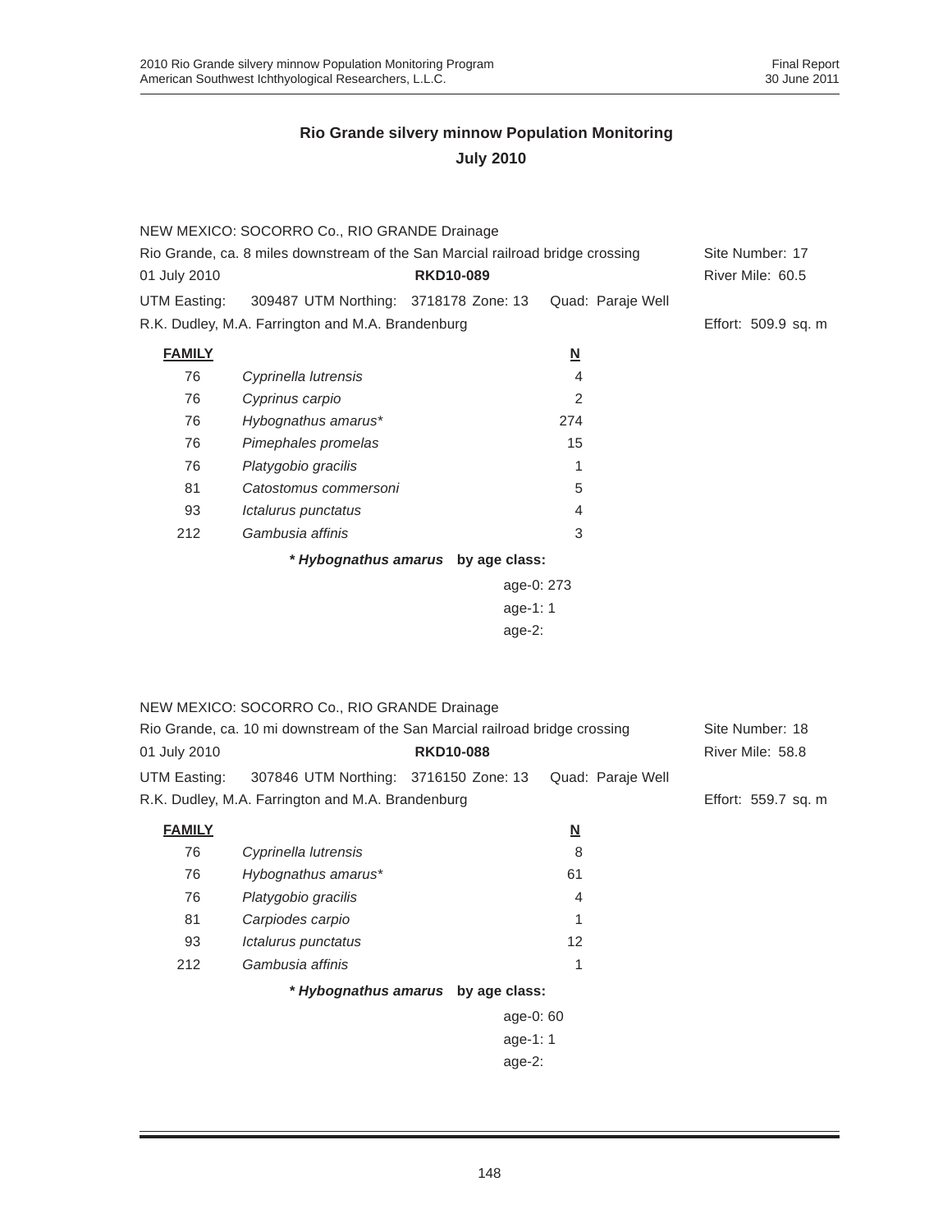|               | NEW MEXICO: SOCORRO Co., RIO GRANDE Drainage                                   |                                    |                   |                     |
|---------------|--------------------------------------------------------------------------------|------------------------------------|-------------------|---------------------|
|               | Rio Grande, ca. 8 miles downstream of the San Marcial railroad bridge crossing |                                    |                   | Site Number: 17     |
| 01 July 2010  |                                                                                | <b>RKD10-089</b>                   |                   | River Mile: 60.5    |
| UTM Easting:  | 309487 UTM Northing: 3718178 Zone: 13                                          |                                    | Quad: Paraje Well |                     |
|               | R.K. Dudley, M.A. Farrington and M.A. Brandenburg                              |                                    |                   | Effort: 509.9 sq. m |
| <b>FAMILY</b> |                                                                                |                                    | <u>N</u>          |                     |
| 76            | Cyprinella lutrensis                                                           |                                    | 4                 |                     |
| 76            | Cyprinus carpio                                                                |                                    | 2                 |                     |
| 76            | Hybognathus amarus*                                                            |                                    | 274               |                     |
| 76            | Pimephales promelas                                                            |                                    | 15                |                     |
| 76            | Platygobio gracilis                                                            |                                    | 1                 |                     |
| 81            | Catostomus commersoni                                                          |                                    | 5                 |                     |
| 93            | Ictalurus punctatus                                                            |                                    | $\overline{4}$    |                     |
| 212           | Gambusia affinis                                                               |                                    | 3                 |                     |
|               |                                                                                | * Hybognathus amarus by age class: |                   |                     |
|               |                                                                                |                                    |                   |                     |
|               |                                                                                |                                    |                   |                     |
|               |                                                                                | age-2:                             |                   |                     |
|               |                                                                                |                                    |                   |                     |
|               |                                                                                |                                    |                   |                     |
|               | NEW MEXICO: SOCORRO Co., RIO GRANDE Drainage                                   |                                    |                   |                     |
|               | Rio Grande, ca. 10 mi downstream of the San Marcial railroad bridge crossing   |                                    |                   | Site Number: 18     |
| 01 July 2010  |                                                                                | <b>RKD10-088</b>                   |                   | River Mile: 58.8    |
| UTM Easting:  | 307846 UTM Northing: 3716150 Zone: 13                                          |                                    | Quad: Paraje Well |                     |
|               | R.K. Dudley, M.A. Farrington and M.A. Brandenburg                              |                                    |                   | Effort: 559.7 sq. m |
| <b>FAMILY</b> |                                                                                |                                    | <u>N</u>          |                     |
| 76            | Cyprinella lutrensis                                                           |                                    | 8                 |                     |
| 76            | Hybognathus amarus*                                                            |                                    | 61                |                     |
| 76            | Platygobio gracilis                                                            |                                    | 4                 |                     |
| 81            | Carpiodes carpio                                                               |                                    | 1                 |                     |
| 93            | Ictalurus punctatus                                                            |                                    | 12                |                     |
| 212           | Gambusia affinis                                                               |                                    | 1                 |                     |
|               |                                                                                | * Hybognathus amarus by age class: |                   |                     |
|               |                                                                                | age-0: 60                          |                   |                     |
|               |                                                                                | age-1: 1                           |                   |                     |
|               |                                                                                | age-2:                             |                   |                     |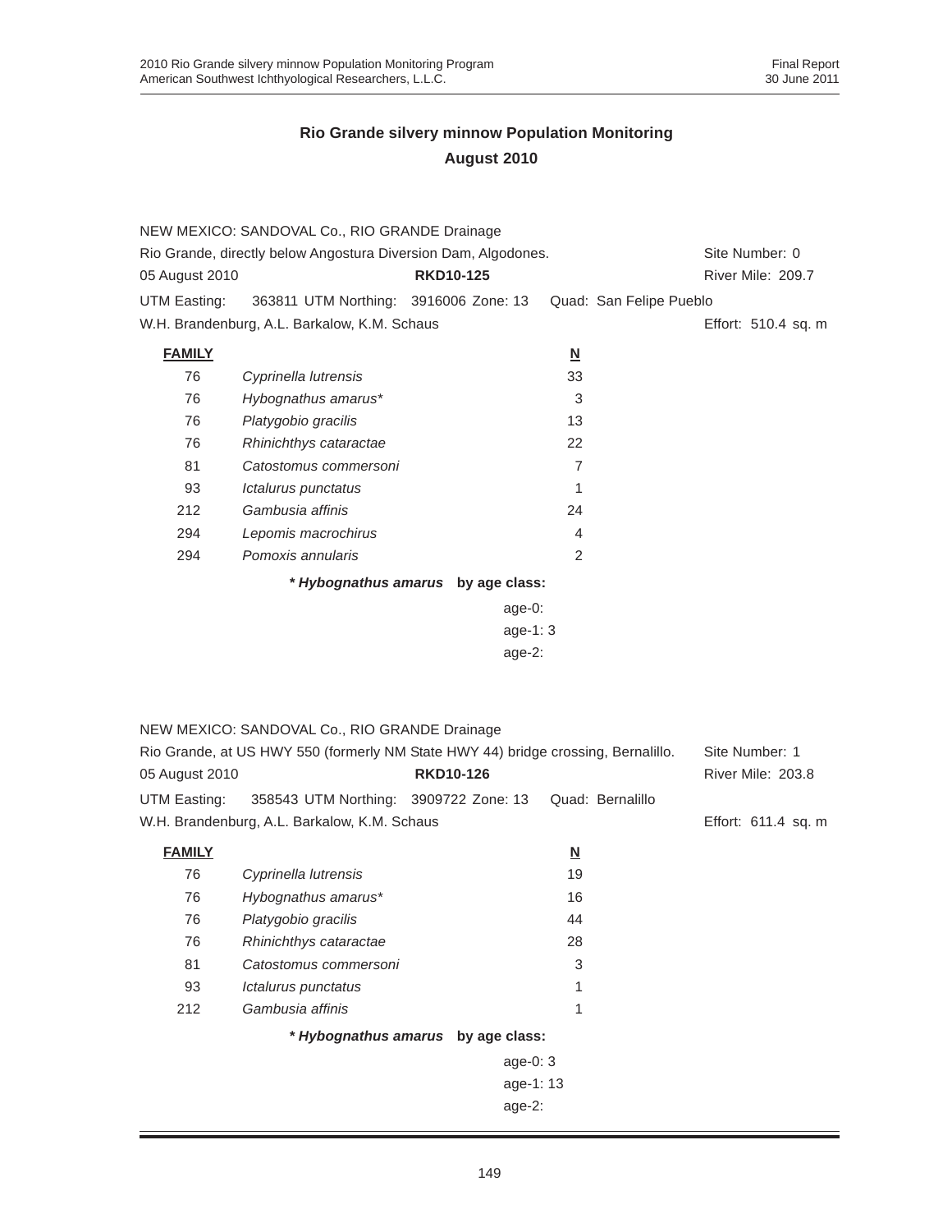|                                                                | NEW MEXICO: SANDOVAL Co., RIO GRANDE Drainage                                     |                                    |                          |                     |  |
|----------------------------------------------------------------|-----------------------------------------------------------------------------------|------------------------------------|--------------------------|---------------------|--|
| Rio Grande, directly below Angostura Diversion Dam, Algodones. |                                                                                   |                                    |                          | Site Number: 0      |  |
| 05 August 2010                                                 |                                                                                   | <b>RKD10-125</b>                   |                          | River Mile: 209.7   |  |
| UTM Easting:                                                   | 363811 UTM Northing: 3916006 Zone: 13                                             |                                    | Quad: San Felipe Pueblo  |                     |  |
|                                                                | W.H. Brandenburg, A.L. Barkalow, K.M. Schaus                                      |                                    |                          | Effort: 510.4 sq. m |  |
| <b>FAMILY</b>                                                  |                                                                                   |                                    | $\underline{\mathsf{N}}$ |                     |  |
| 76                                                             | Cyprinella lutrensis                                                              |                                    | 33                       |                     |  |
| 76                                                             | Hybognathus amarus*                                                               |                                    | 3                        |                     |  |
| 76                                                             | Platygobio gracilis                                                               |                                    | 13                       |                     |  |
| 76                                                             | Rhinichthys cataractae                                                            |                                    | 22                       |                     |  |
| 81                                                             | Catostomus commersoni                                                             |                                    | 7                        |                     |  |
| 93                                                             | Ictalurus punctatus                                                               |                                    | 1                        |                     |  |
| 212                                                            | Gambusia affinis                                                                  |                                    | 24                       |                     |  |
| 294                                                            | Lepomis macrochirus                                                               |                                    | 4                        |                     |  |
| 294                                                            | Pomoxis annularis                                                                 |                                    | 2                        |                     |  |
| * Hybognathus amarus by age class:                             |                                                                                   |                                    |                          |                     |  |
|                                                                |                                                                                   | $age-0:$                           |                          |                     |  |
| age-1: 3                                                       |                                                                                   |                                    |                          |                     |  |
| $age-2$ :                                                      |                                                                                   |                                    |                          |                     |  |
|                                                                |                                                                                   |                                    |                          |                     |  |
|                                                                |                                                                                   |                                    |                          |                     |  |
|                                                                | NEW MEXICO: SANDOVAL Co., RIO GRANDE Drainage                                     |                                    |                          |                     |  |
|                                                                | Rio Grande, at US HWY 550 (formerly NM State HWY 44) bridge crossing, Bernalillo. |                                    |                          | Site Number: 1      |  |
| 05 August 2010                                                 |                                                                                   | <b>RKD10-126</b>                   |                          | River Mile: 203.8   |  |
| UTM Easting:                                                   | 358543 UTM Northing: 3909722 Zone: 13                                             |                                    | Quad: Bernalillo         |                     |  |
|                                                                | W.H. Brandenburg, A.L. Barkalow, K.M. Schaus                                      |                                    |                          | Effort: 611.4 sq. m |  |
|                                                                |                                                                                   |                                    |                          |                     |  |
| <b>FAMILY</b>                                                  |                                                                                   |                                    | $\underline{\mathsf{N}}$ |                     |  |
| 76<br>76                                                       | Cyprinella lutrensis                                                              |                                    | 19<br>16                 |                     |  |
|                                                                | Hybognathus amarus*                                                               |                                    | 44                       |                     |  |
| 76                                                             | Platygobio gracilis                                                               |                                    |                          |                     |  |
| 76<br>81                                                       | Rhinichthys cataractae<br>Catostomus commersoni                                   |                                    | 28<br>3                  |                     |  |
|                                                                |                                                                                   |                                    | 1                        |                     |  |
| 93<br>212                                                      | Ictalurus punctatus<br>Gambusia affinis                                           |                                    | 1                        |                     |  |
|                                                                |                                                                                   |                                    |                          |                     |  |
|                                                                |                                                                                   | * Hybognathus amarus by age class: |                          |                     |  |
|                                                                |                                                                                   | age-0: 3                           |                          |                     |  |
|                                                                |                                                                                   | age-1: 13                          |                          |                     |  |
|                                                                |                                                                                   | age-2:                             |                          |                     |  |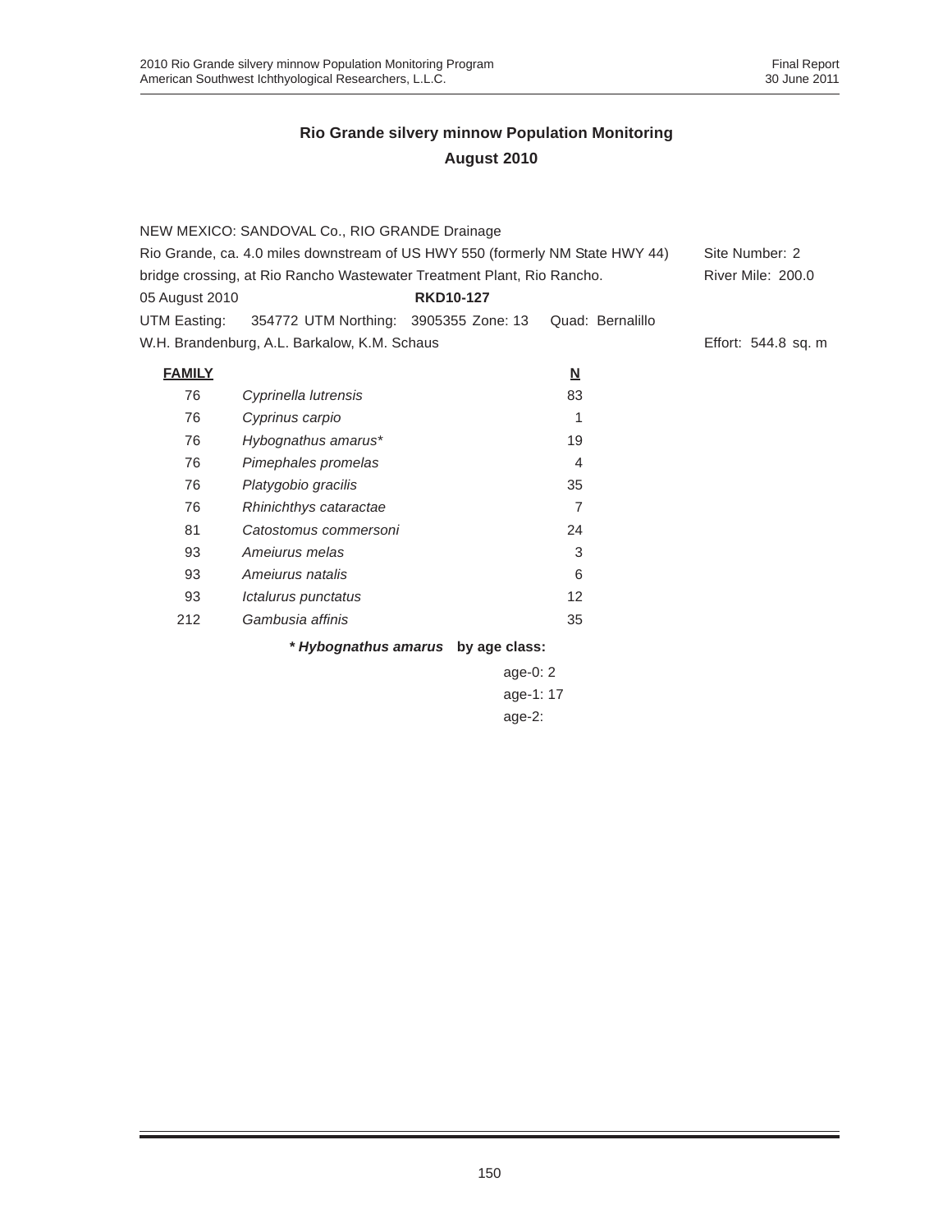|                | NEW MEXICO: SANDOVAL Co., RIO GRANDE Drainage                                 |                                    |                          |                     |
|----------------|-------------------------------------------------------------------------------|------------------------------------|--------------------------|---------------------|
|                | Rio Grande, ca. 4.0 miles downstream of US HWY 550 (formerly NM State HWY 44) |                                    |                          | Site Number: 2      |
|                | bridge crossing, at Rio Rancho Wastewater Treatment Plant, Rio Rancho.        |                                    |                          | River Mile: 200.0   |
| 05 August 2010 |                                                                               | <b>RKD10-127</b>                   |                          |                     |
| UTM Easting:   | 354772 UTM Northing: 3905355 Zone: 13                                         |                                    | Quad: Bernalillo         |                     |
|                | W.H. Brandenburg, A.L. Barkalow, K.M. Schaus                                  |                                    |                          | Effort: 544.8 sq. m |
| <b>FAMILY</b>  |                                                                               |                                    | $\underline{\mathsf{N}}$ |                     |
| 76             | Cyprinella lutrensis                                                          |                                    | 83                       |                     |
| 76             | Cyprinus carpio                                                               |                                    | 1                        |                     |
| 76             | Hybognathus amarus*                                                           |                                    | 19                       |                     |
| 76             | Pimephales promelas                                                           |                                    | 4                        |                     |
| 76             | Platygobio gracilis                                                           |                                    | 35                       |                     |
| 76             | Rhinichthys cataractae                                                        |                                    | 7                        |                     |
| 81             | Catostomus commersoni                                                         |                                    | 24                       |                     |
| 93             | Amejurus melas                                                                |                                    | 3                        |                     |
| 93             | Amejurus natalis                                                              |                                    | 6                        |                     |
| 93             | Ictalurus punctatus                                                           |                                    | 12                       |                     |
| 212            | Gambusia affinis                                                              |                                    | 35                       |                     |
|                |                                                                               | * Hybognathus amarus by age class: |                          |                     |
|                |                                                                               | age-0: 2                           |                          |                     |
|                |                                                                               | age-1: 17                          |                          |                     |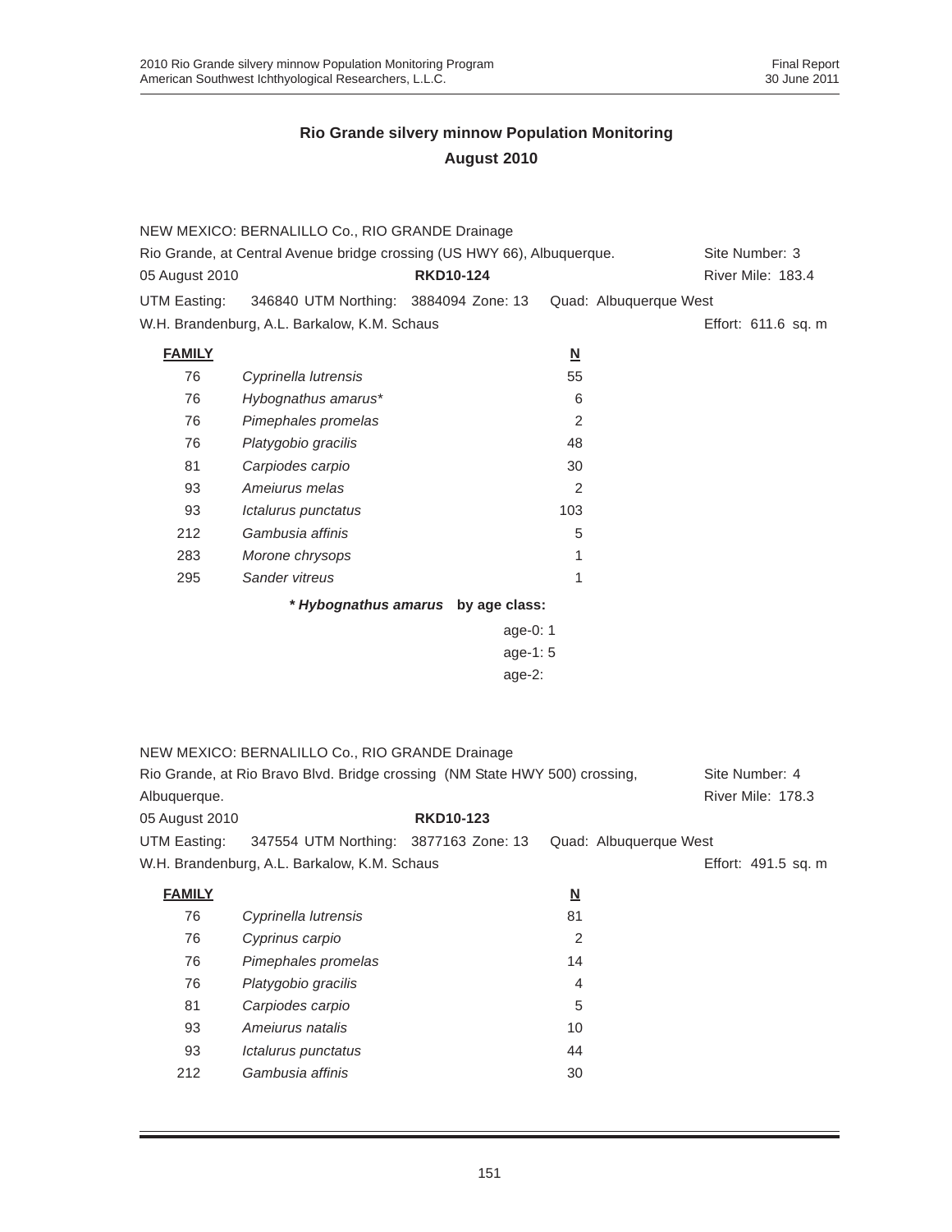|                | NEW MEXICO: BERNALILLO Co., RIO GRANDE Drainage                             |                                    |                          |                     |
|----------------|-----------------------------------------------------------------------------|------------------------------------|--------------------------|---------------------|
|                | Rio Grande, at Central Avenue bridge crossing (US HWY 66), Albuquerque.     |                                    |                          | Site Number: 3      |
| 05 August 2010 |                                                                             | <b>RKD10-124</b>                   |                          | River Mile: 183.4   |
| UTM Easting:   | 346840 UTM Northing: 3884094 Zone: 13                                       |                                    | Quad: Albuquerque West   |                     |
|                | W.H. Brandenburg, A.L. Barkalow, K.M. Schaus                                |                                    |                          | Effort: 611.6 sq. m |
| <b>FAMILY</b>  |                                                                             |                                    | $\underline{\mathsf{N}}$ |                     |
| 76             | Cyprinella lutrensis                                                        |                                    | 55                       |                     |
| 76             | Hybognathus amarus*                                                         |                                    | 6                        |                     |
| 76             | Pimephales promelas                                                         |                                    | $\overline{c}$           |                     |
| 76             | Platygobio gracilis                                                         |                                    | 48                       |                     |
| 81             | Carpiodes carpio                                                            |                                    | 30                       |                     |
| 93             | Ameiurus melas                                                              |                                    | 2                        |                     |
| 93             | Ictalurus punctatus                                                         |                                    | 103                      |                     |
| 212            | Gambusia affinis                                                            |                                    | 5                        |                     |
| 283            | Morone chrysops                                                             |                                    | 1                        |                     |
| 295            | Sander vitreus                                                              |                                    | 1                        |                     |
|                |                                                                             | * Hybognathus amarus by age class: |                          |                     |
|                |                                                                             | age-0: 1                           |                          |                     |
|                |                                                                             | age-1: 5                           |                          |                     |
|                |                                                                             | age-2:                             |                          |                     |
|                |                                                                             |                                    |                          |                     |
|                |                                                                             |                                    |                          |                     |
|                |                                                                             |                                    |                          |                     |
|                | NEW MEXICO: BERNALILLO Co., RIO GRANDE Drainage                             |                                    |                          |                     |
|                | Rio Grande, at Rio Bravo Blvd. Bridge crossing (NM State HWY 500) crossing, |                                    |                          | Site Number: 4      |
| Albuquerque.   |                                                                             |                                    |                          | River Mile: 178.3   |
| 05 August 2010 |                                                                             | <b>RKD10-123</b>                   |                          |                     |
| UTM Easting:   | 347554 UTM Northing: 3877163 Zone: 13                                       |                                    | Quad: Albuquerque West   |                     |
|                | W.H. Brandenburg, A.L. Barkalow, K.M. Schaus                                |                                    |                          | Effort: 491.5 sq. m |
| <b>FAMILY</b>  |                                                                             |                                    | <u>N</u>                 |                     |
| 76             | Cyprinella lutrensis                                                        |                                    | 81                       |                     |
| 76             | Cyprinus carpio                                                             |                                    | $\sqrt{2}$               |                     |
| 76             | Pimephales promelas                                                         |                                    | 14                       |                     |
| 76             | Platygobio gracilis                                                         |                                    | 4                        |                     |
| 81             | Carpiodes carpio                                                            |                                    | 5                        |                     |
| 93             | Ameiurus natalis                                                            |                                    | 10                       |                     |
| 93             | Ictalurus punctatus                                                         |                                    | 44                       |                     |
| 212            | Gambusia affinis                                                            |                                    | 30                       |                     |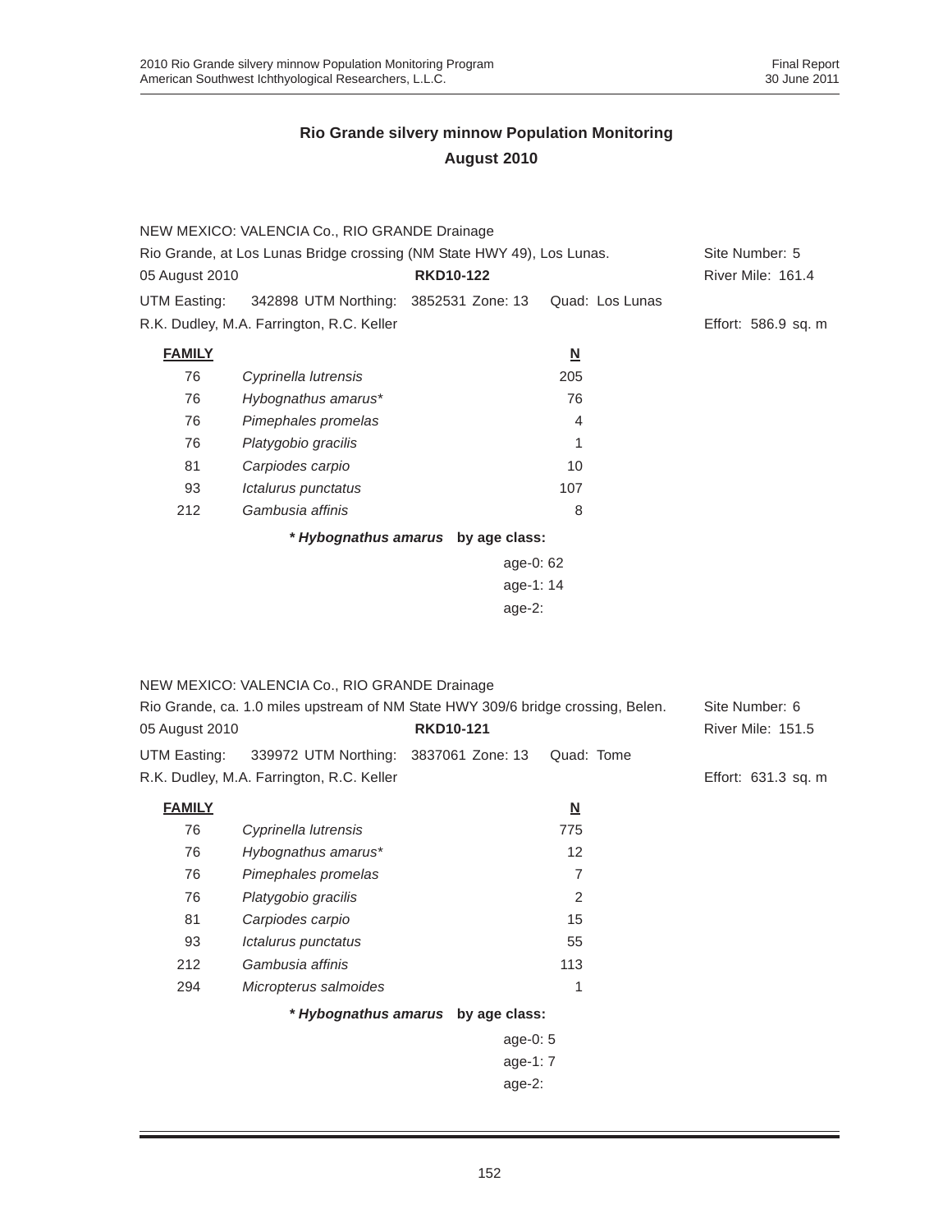|                | NEW MEXICO: VALENCIA Co., RIO GRANDE Drainage                          |                                    |                          |                     |
|----------------|------------------------------------------------------------------------|------------------------------------|--------------------------|---------------------|
|                | Rio Grande, at Los Lunas Bridge crossing (NM State HWY 49), Los Lunas. |                                    |                          | Site Number: 5      |
| 05 August 2010 |                                                                        | <b>RKD10-122</b>                   |                          | River Mile: 161.4   |
| UTM Easting:   | 342898 UTM Northing: 3852531 Zone: 13                                  |                                    | Quad: Los Lunas          |                     |
|                | R.K. Dudley, M.A. Farrington, R.C. Keller                              |                                    |                          | Effort: 586.9 sq. m |
| <b>FAMILY</b>  |                                                                        |                                    | $\underline{\mathsf{N}}$ |                     |
| 76             | Cyprinella lutrensis                                                   |                                    | 205                      |                     |
| 76             | Hybognathus amarus*                                                    |                                    | 76                       |                     |
| 76             | Pimephales promelas                                                    |                                    | 4                        |                     |
| 76             | Platygobio gracilis                                                    |                                    | 1                        |                     |
| 81             | Carpiodes carpio                                                       |                                    | 10                       |                     |
| 93             | Ictalurus punctatus                                                    |                                    | 107                      |                     |
| 212            | Gambusia affinis                                                       |                                    | 8                        |                     |
|                |                                                                        | * Hybognathus amarus by age class: |                          |                     |
|                |                                                                        | age-0: 62                          |                          |                     |
|                |                                                                        | age-1: 14                          |                          |                     |
|                |                                                                        | age-2:                             |                          |                     |
|                |                                                                        |                                    |                          |                     |
|                |                                                                        |                                    |                          |                     |
|                | NEW MEXICO: VALENCIA Co., RIO GRANDE Drainage                          |                                    |                          |                     |

| Rio Grande, ca. 1.0 miles upstream of NM State HWY 309/6 bridge crossing, Belen. |                                           |                  |                          | Site Number: 6      |
|----------------------------------------------------------------------------------|-------------------------------------------|------------------|--------------------------|---------------------|
| 05 August 2010                                                                   |                                           | <b>RKD10-121</b> |                          | River Mile: 151.5   |
| UTM Easting:                                                                     | 339972 UTM Northing: 3837061 Zone: 13     |                  | Quad: Tome               |                     |
|                                                                                  | R.K. Dudley, M.A. Farrington, R.C. Keller |                  |                          | Effort: 631.3 sq. m |
| <b>FAMILY</b>                                                                    |                                           |                  | $\underline{\mathsf{N}}$ |                     |
| 76                                                                               | Cyprinella lutrensis                      |                  | 775                      |                     |
| 76                                                                               | Hybognathus amarus*                       |                  | 12                       |                     |
| 76                                                                               | Pimephales promelas                       |                  | $\overline{7}$           |                     |
| 76                                                                               | Platygobio gracilis                       |                  | 2                        |                     |
| 81                                                                               | Carpiodes carpio                          |                  | 15                       |                     |
| 93                                                                               | Ictalurus punctatus                       |                  | 55                       |                     |
| 212                                                                              | Gambusia affinis                          |                  | 113                      |                     |
| 294                                                                              | Micropterus salmoides                     |                  | 1                        |                     |
|                                                                                  | * Hybognathus amarus by age class:        |                  |                          |                     |
|                                                                                  |                                           | age-0: $5$       |                          |                     |
|                                                                                  |                                           | age-1: $7$       |                          |                     |
|                                                                                  |                                           | age-2:           |                          |                     |
|                                                                                  |                                           |                  |                          |                     |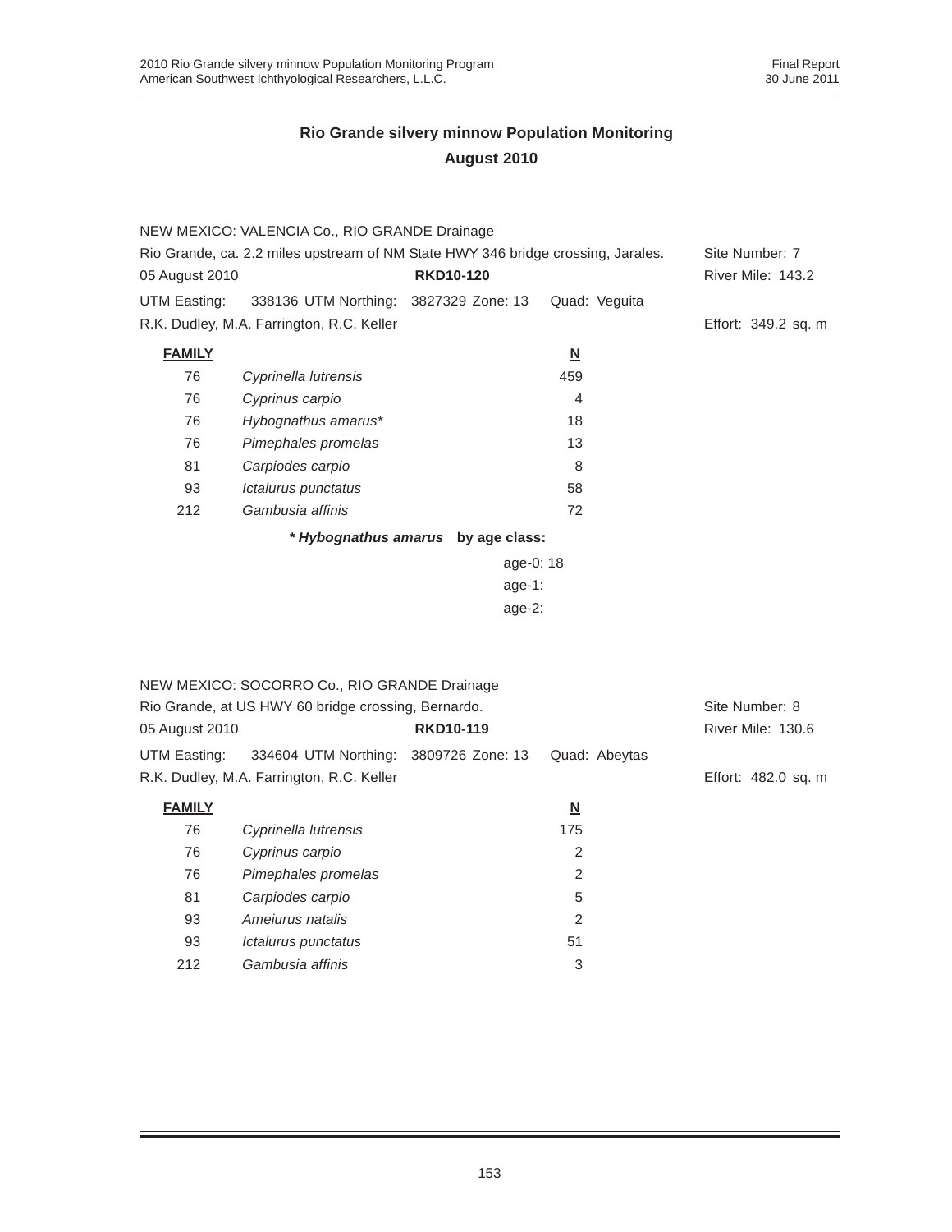|                | NEW MEXICO: VALENCIA Co., RIO GRANDE Drainage                                    |                                    |                          |                          |
|----------------|----------------------------------------------------------------------------------|------------------------------------|--------------------------|--------------------------|
|                | Rio Grande, ca. 2.2 miles upstream of NM State HWY 346 bridge crossing, Jarales. |                                    |                          |                          |
| 05 August 2010 |                                                                                  | <b>RKD10-120</b>                   |                          | <b>River Mile: 143.2</b> |
| UTM Easting:   | 338136 UTM Northing: 3827329 Zone: 13                                            |                                    | Quad: Veguita            |                          |
|                | R.K. Dudley, M.A. Farrington, R.C. Keller                                        |                                    |                          | Effort: 349.2 sq. m      |
| <b>FAMILY</b>  |                                                                                  |                                    | $\underline{\mathbf{N}}$ |                          |
| 76             | Cyprinella lutrensis                                                             |                                    | 459                      |                          |
| 76             | Cyprinus carpio                                                                  |                                    | $\overline{4}$           |                          |
| 76             | Hybognathus amarus*                                                              |                                    | 18                       |                          |
| 76             | Pimephales promelas                                                              |                                    | 13                       |                          |
| 81             | Carpiodes carpio                                                                 |                                    | 8                        |                          |
| 93             | Ictalurus punctatus                                                              |                                    | 58                       |                          |
| 212            | Gambusia affinis                                                                 |                                    | 72                       |                          |
|                |                                                                                  | * Hybognathus amarus by age class: |                          |                          |
|                |                                                                                  | age-0: 18                          |                          |                          |
|                |                                                                                  | age-1:                             |                          |                          |
|                |                                                                                  | age- $2$ :                         |                          |                          |
|                |                                                                                  |                                    |                          |                          |
|                |                                                                                  |                                    |                          |                          |
|                | NEW MEXICO: SOCORRO Co., RIO GRANDE Drainage                                     |                                    |                          |                          |
|                | Rio Grande, at US HWY 60 bridge crossing, Bernardo.                              |                                    |                          | Site Number: 8           |
| 05 August 2010 |                                                                                  | <b>RKD10-119</b>                   |                          | River Mile: 130.6        |
| UTM Easting:   | 334604 UTM Northing:                                                             | 3809726 Zone: 13                   | Quad: Abeytas            |                          |

R.K. Dudley, M.A. Farrington, R.C. Keller **Effort: 482.0 sq. m** Effort: 482.0 sq. m

| <b>FAMILY</b> |                      | <u>N</u> |
|---------------|----------------------|----------|
| 76            | Cyprinella lutrensis | 175      |
| 76            | Cyprinus carpio      | 2        |
| 76            | Pimephales promelas  | 2        |
| 81            | Carpiodes carpio     | 5        |
| 93            | Amejurus natalis     | 2        |
| 93            | Ictalurus punctatus  | 51       |
| 212           | Gambusia affinis     | 3        |
|               |                      |          |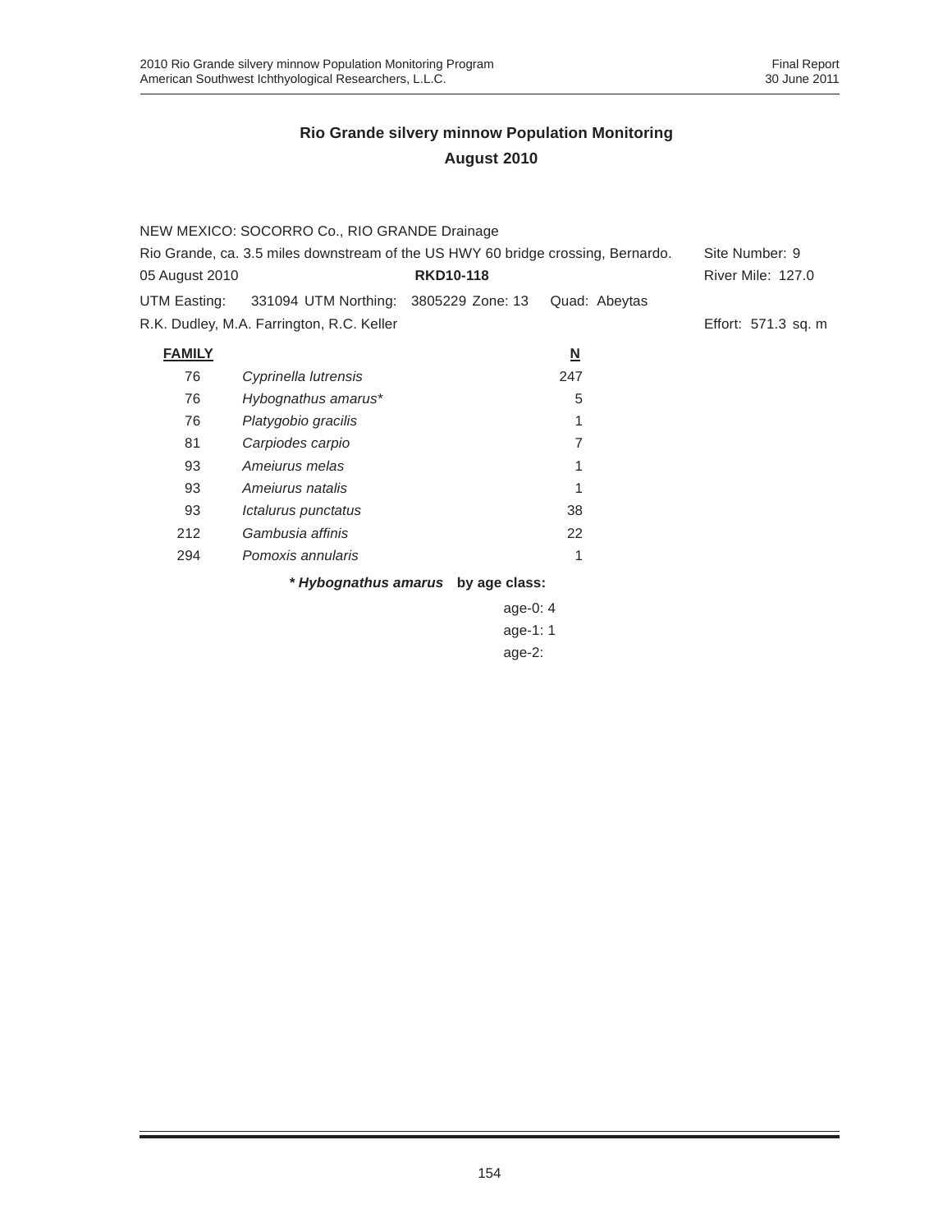| NEW MEXICO: SOCORRO Co., RIO GRANDE Drainage                                     |                                           |                                    |                          |                          |
|----------------------------------------------------------------------------------|-------------------------------------------|------------------------------------|--------------------------|--------------------------|
| Rio Grande, ca. 3.5 miles downstream of the US HWY 60 bridge crossing, Bernardo. |                                           |                                    |                          | Site Number: 9           |
| 05 August 2010                                                                   |                                           | <b>RKD10-118</b>                   |                          | <b>River Mile: 127.0</b> |
| UTM Easting:                                                                     | 331094 UTM Northing: 3805229 Zone: 13     |                                    | Quad: Abeytas            |                          |
|                                                                                  | R.K. Dudley, M.A. Farrington, R.C. Keller |                                    |                          | Effort: 571.3 sq. m      |
| <b>FAMILY</b>                                                                    |                                           |                                    | $\underline{\mathsf{N}}$ |                          |
| 76                                                                               | Cyprinella lutrensis                      |                                    | 247                      |                          |
| 76                                                                               | Hybognathus amarus*                       |                                    | 5                        |                          |
| 76                                                                               | Platygobio gracilis                       |                                    |                          |                          |
| 81                                                                               | Carpiodes carpio                          |                                    | 7                        |                          |
| 93                                                                               | Amejurus melas                            |                                    |                          |                          |
| 93                                                                               | Amejurus natalis                          |                                    |                          |                          |
| 93                                                                               | Ictalurus punctatus                       |                                    | 38                       |                          |
| 212                                                                              | Gambusia affinis                          |                                    | 22                       |                          |
| 294                                                                              | Pomoxis annularis                         |                                    | 1                        |                          |
|                                                                                  |                                           | * Hybognathus amarus by age class: |                          |                          |

age-0: 4 age-1: 1 age-2: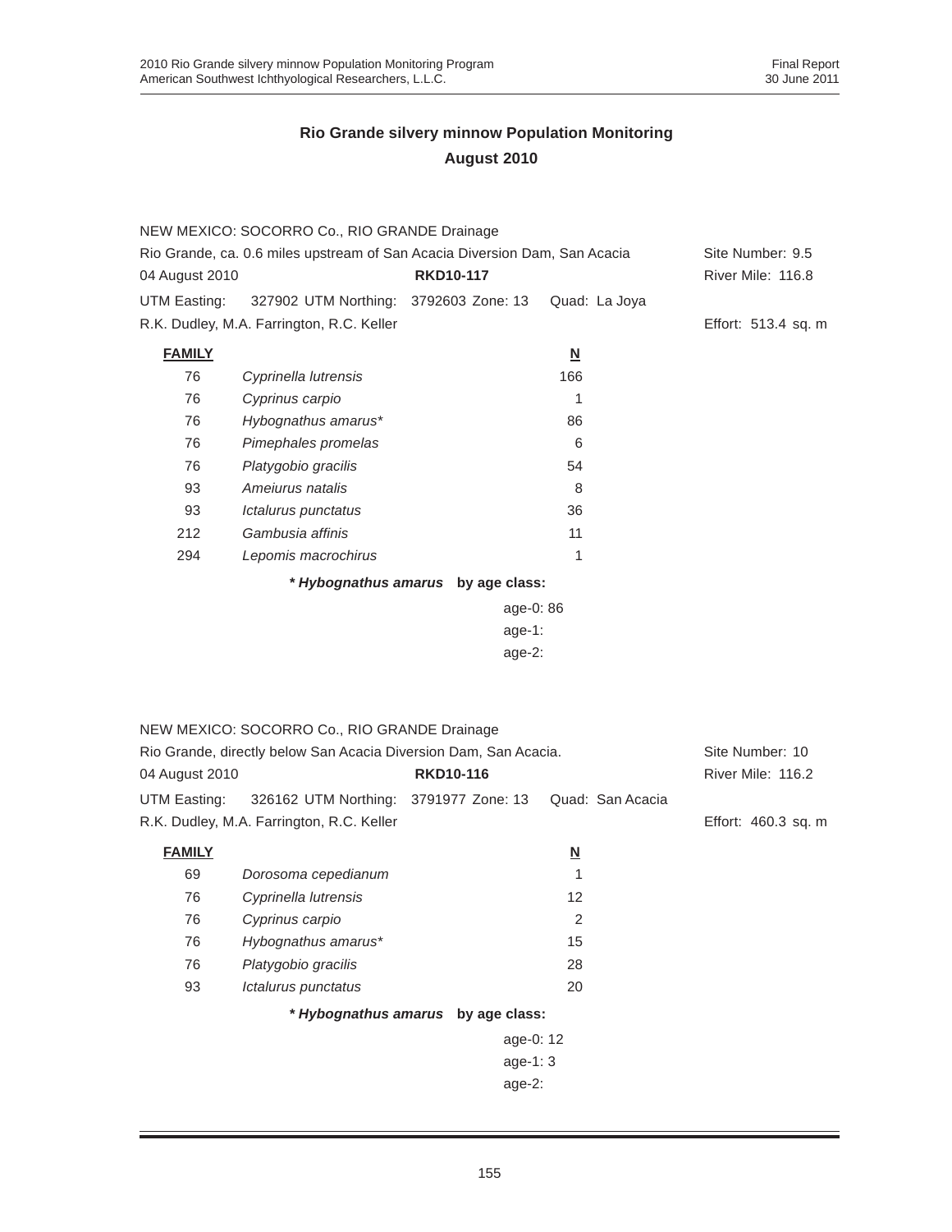|                                                                            | NEW MEXICO: SOCORRO Co., RIO GRANDE Drainage                     |                                    |                               |                     |
|----------------------------------------------------------------------------|------------------------------------------------------------------|------------------------------------|-------------------------------|---------------------|
| Rio Grande, ca. 0.6 miles upstream of San Acacia Diversion Dam, San Acacia |                                                                  |                                    |                               | Site Number: 9.5    |
| 04 August 2010                                                             |                                                                  | <b>RKD10-117</b>                   |                               | River Mile: 116.8   |
| UTM Easting:                                                               | 327902 UTM Northing: 3792603 Zone: 13                            |                                    | Quad: La Joya                 |                     |
|                                                                            | R.K. Dudley, M.A. Farrington, R.C. Keller                        |                                    |                               | Effort: 513.4 sq. m |
| <b>FAMILY</b>                                                              |                                                                  |                                    | $\underline{\mathsf{N}}$      |                     |
| 76                                                                         | Cyprinella lutrensis                                             |                                    | 166                           |                     |
| 76                                                                         | Cyprinus carpio                                                  |                                    | 1                             |                     |
| 76                                                                         | Hybognathus amarus*                                              |                                    | 86                            |                     |
| 76                                                                         | Pimephales promelas                                              |                                    | 6                             |                     |
| 76                                                                         | Platygobio gracilis                                              |                                    | 54                            |                     |
| 93                                                                         | Ameiurus natalis                                                 |                                    | 8                             |                     |
| 93                                                                         | Ictalurus punctatus                                              |                                    | 36                            |                     |
| 212                                                                        | Gambusia affinis                                                 |                                    | 11                            |                     |
| 294                                                                        | Lepomis macrochirus                                              |                                    | 1                             |                     |
|                                                                            |                                                                  | * Hybognathus amarus by age class: |                               |                     |
| age-0: 86                                                                  |                                                                  |                                    |                               |                     |
| age-1:                                                                     |                                                                  |                                    |                               |                     |
|                                                                            |                                                                  | $age-2$ :                          |                               |                     |
|                                                                            |                                                                  |                                    |                               |                     |
|                                                                            |                                                                  |                                    |                               |                     |
|                                                                            | NEW MEXICO: SOCORRO Co., RIO GRANDE Drainage                     |                                    |                               |                     |
|                                                                            | Rio Grande, directly below San Acacia Diversion Dam, San Acacia. |                                    |                               | Site Number: 10     |
| 04 August 2010                                                             |                                                                  | <b>RKD10-116</b>                   |                               | River Mile: 116.2   |
| UTM Easting:                                                               | 326162 UTM Northing: 3791977 Zone: 13                            |                                    | Quad: San Acacia              |                     |
|                                                                            | R.K. Dudley, M.A. Farrington, R.C. Keller                        |                                    |                               | Effort: 460.3 sq. m |
| <b>FAMILY</b>                                                              |                                                                  |                                    |                               |                     |
| 69                                                                         | Dorosoma cepedianum                                              |                                    | $\underline{\mathsf{N}}$<br>1 |                     |
| 76                                                                         | Cyprinella lutrensis                                             |                                    | 12                            |                     |
| 76                                                                         | Cyprinus carpio                                                  |                                    | 2                             |                     |
| 76                                                                         | Hybognathus amarus*                                              |                                    | 15                            |                     |
| 76                                                                         | Platygobio gracilis                                              |                                    | 28                            |                     |
| 93                                                                         | Ictalurus punctatus                                              |                                    | 20                            |                     |
|                                                                            |                                                                  | * Hybognathus amarus by age class: |                               |                     |
|                                                                            |                                                                  |                                    |                               |                     |
|                                                                            |                                                                  | age-0: 12                          |                               |                     |
|                                                                            |                                                                  | age-1: 3                           |                               |                     |
|                                                                            |                                                                  | age-2:                             |                               |                     |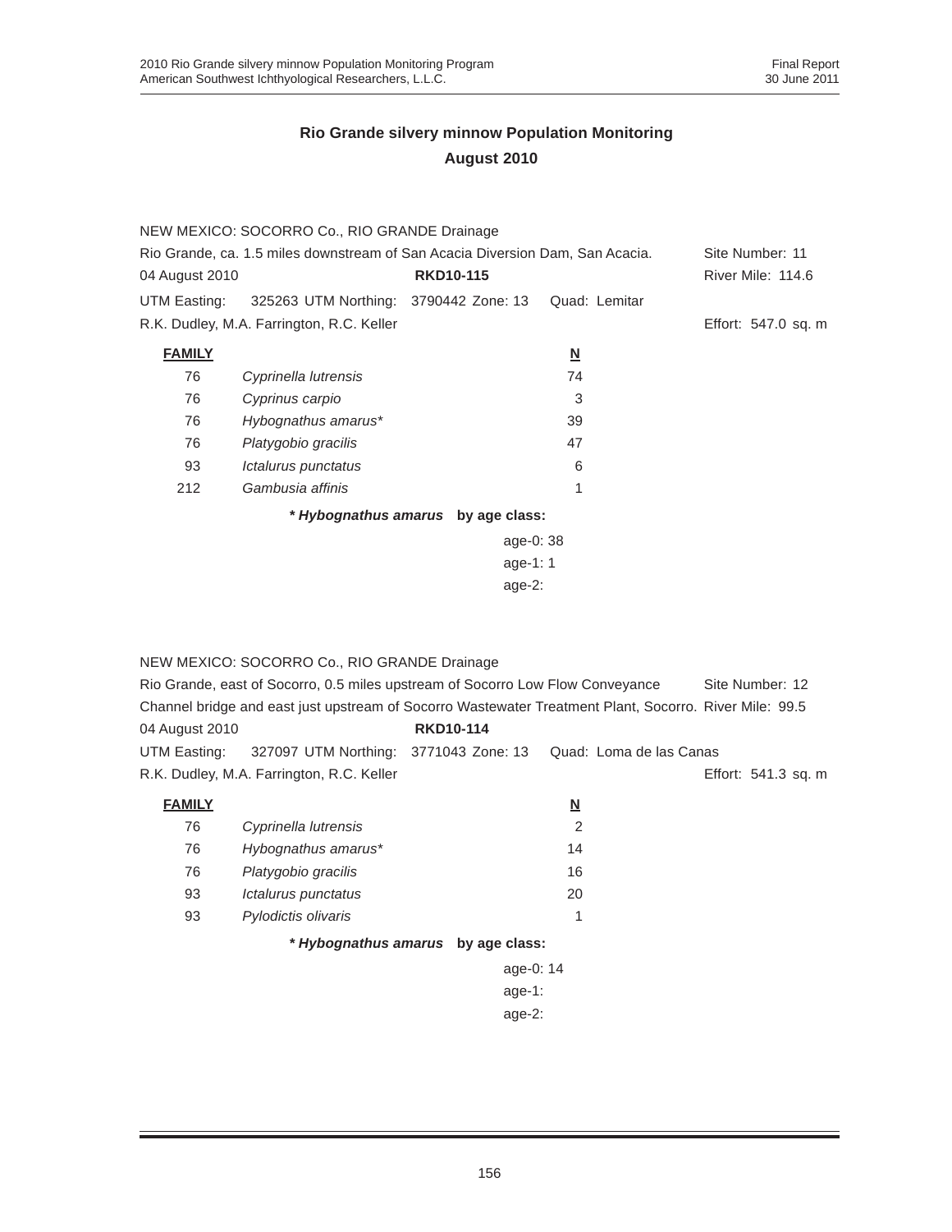|                                                                               | NEW MEXICO: SOCORRO Co., RIO GRANDE Drainage |                                    |                          |                     |
|-------------------------------------------------------------------------------|----------------------------------------------|------------------------------------|--------------------------|---------------------|
| Rio Grande, ca. 1.5 miles downstream of San Acacia Diversion Dam, San Acacia. |                                              |                                    |                          | Site Number: 11     |
| 04 August 2010                                                                |                                              | <b>RKD10-115</b>                   |                          | River Mile: 114.6   |
| UTM Easting:                                                                  | 325263 UTM Northing: 3790442 Zone: 13        |                                    | Quad: Lemitar            |                     |
|                                                                               | R.K. Dudley, M.A. Farrington, R.C. Keller    |                                    |                          | Effort: 547.0 sq. m |
| <b>FAMILY</b>                                                                 |                                              |                                    | $\underline{\mathsf{N}}$ |                     |
| 76                                                                            | Cyprinella lutrensis                         |                                    | 74                       |                     |
| 76                                                                            | Cyprinus carpio                              |                                    | 3                        |                     |
| 76                                                                            | Hybognathus amarus*                          |                                    | 39                       |                     |
| 76                                                                            | Platygobio gracilis                          |                                    | 47                       |                     |
| 93                                                                            | Ictalurus punctatus                          |                                    | 6                        |                     |
| 212                                                                           | Gambusia affinis                             |                                    | 1                        |                     |
|                                                                               |                                              | * Hybognathus amarus by age class: |                          |                     |
|                                                                               |                                              | age-0: 38                          |                          |                     |
|                                                                               |                                              | age-1: $1$                         |                          |                     |
|                                                                               |                                              |                                    |                          |                     |

age-2:

NEW MEXICO: SOCORRO Co., RIO GRANDE Drainage

|                | Rio Grande, east of Socorro, 0.5 miles upstream of Socorro Low Flow Conveyance |                  |                                                                                                        | Site Number: 12     |
|----------------|--------------------------------------------------------------------------------|------------------|--------------------------------------------------------------------------------------------------------|---------------------|
|                |                                                                                |                  | Channel bridge and east just upstream of Socorro Wastewater Treatment Plant, Socorro, River Mile: 99.5 |                     |
| 04 August 2010 |                                                                                | <b>RKD10-114</b> |                                                                                                        |                     |
|                |                                                                                |                  | UTM Easting: 327097 UTM Northing: 3771043 Zone: 13 Quad: Loma de las Canas                             |                     |
|                | R.K. Dudley, M.A. Farrington, R.C. Keller                                      |                  |                                                                                                        | Effort: 541.3 sq. m |

| <b>FAMILY</b> |                      | N             |
|---------------|----------------------|---------------|
| 76            | Cyprinella lutrensis | $\mathcal{P}$ |
| 76            | Hybognathus amarus*  | 14            |
| 76            | Platygobio gracilis  | 16            |
| 93            | Ictalurus punctatus  | 20            |
| 93            | Pylodictis olivaris  | 1             |
|               |                      |               |

*\* Hybognathus amarus* **by age class:**

age-0: 14 age-1: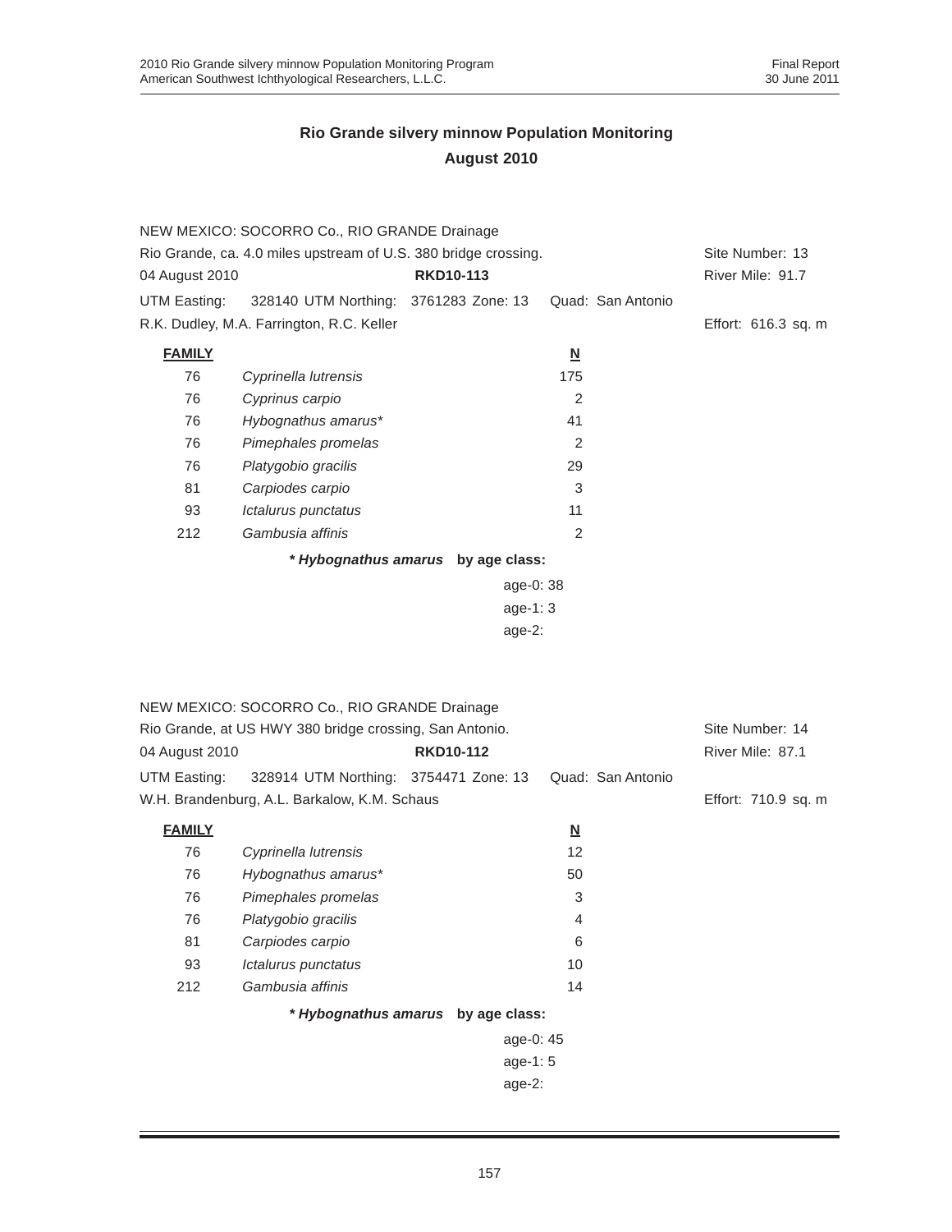|                                                                 | NEW MEXICO: SOCORRO Co., RIO GRANDE Drainage            |                                    |                          |                     |  |
|-----------------------------------------------------------------|---------------------------------------------------------|------------------------------------|--------------------------|---------------------|--|
| Rio Grande, ca. 4.0 miles upstream of U.S. 380 bridge crossing. |                                                         |                                    | Site Number: 13          |                     |  |
| 04 August 2010                                                  |                                                         | <b>RKD10-113</b>                   |                          | River Mile: 91.7    |  |
| UTM Easting:                                                    | 328140 UTM Northing: 3761283 Zone: 13                   |                                    | Quad: San Antonio        |                     |  |
|                                                                 | R.K. Dudley, M.A. Farrington, R.C. Keller               |                                    |                          | Effort: 616.3 sq. m |  |
| <b>FAMILY</b>                                                   |                                                         |                                    | $\underline{\mathsf{N}}$ |                     |  |
| 76                                                              | Cyprinella lutrensis                                    |                                    | 175                      |                     |  |
| 76                                                              | Cyprinus carpio                                         |                                    | 2                        |                     |  |
| 76                                                              | Hybognathus amarus*                                     |                                    | 41                       |                     |  |
| 76                                                              | Pimephales promelas                                     |                                    | $\overline{2}$           |                     |  |
| 76                                                              | Platygobio gracilis                                     |                                    | 29                       |                     |  |
| 81                                                              | Carpiodes carpio                                        |                                    | 3                        |                     |  |
| 93                                                              | Ictalurus punctatus                                     |                                    | 11                       |                     |  |
| 212                                                             | Gambusia affinis                                        |                                    | $\overline{2}$           |                     |  |
|                                                                 |                                                         | * Hybognathus amarus by age class: |                          |                     |  |
|                                                                 |                                                         | age-0: 38                          |                          |                     |  |
|                                                                 |                                                         | age-1: 3                           |                          |                     |  |
|                                                                 |                                                         | $age-2$ :                          |                          |                     |  |
|                                                                 |                                                         |                                    |                          |                     |  |
|                                                                 |                                                         |                                    |                          |                     |  |
|                                                                 | NEW MEXICO: SOCORRO Co., RIO GRANDE Drainage            |                                    |                          |                     |  |
|                                                                 | Rio Grande, at US HWY 380 bridge crossing, San Antonio. |                                    |                          | Site Number: 14     |  |
| 04 August 2010                                                  |                                                         | <b>RKD10-112</b>                   |                          | River Mile: 87.1    |  |
| UTM Easting:                                                    | 328914 UTM Northing: 3754471 Zone: 13                   |                                    | Quad: San Antonio        |                     |  |
|                                                                 | W.H. Brandenburg, A.L. Barkalow, K.M. Schaus            |                                    |                          | Effort: 710.9 sq. m |  |
| <b>FAMILY</b>                                                   |                                                         |                                    | $\underline{\mathbf{N}}$ |                     |  |
| 76                                                              | Cyprinella lutrensis                                    |                                    | 12                       |                     |  |
| 76                                                              | Hybognathus amarus*                                     |                                    | 50                       |                     |  |
| 76                                                              | Pimephales promelas                                     |                                    | 3                        |                     |  |
| 76                                                              | Platygobio gracilis                                     |                                    | 4                        |                     |  |
| 81                                                              | Carpiodes carpio                                        |                                    | 6                        |                     |  |
| 93                                                              | Ictalurus punctatus                                     |                                    | 10                       |                     |  |
| 212                                                             | Gambusia affinis                                        |                                    | 14                       |                     |  |
|                                                                 |                                                         |                                    |                          |                     |  |
|                                                                 | * Hybognathus amarus by age class:                      |                                    |                          |                     |  |
|                                                                 |                                                         |                                    |                          |                     |  |
|                                                                 |                                                         | age-0: 45                          |                          |                     |  |
|                                                                 |                                                         | age-1: 5<br>age-2:                 |                          |                     |  |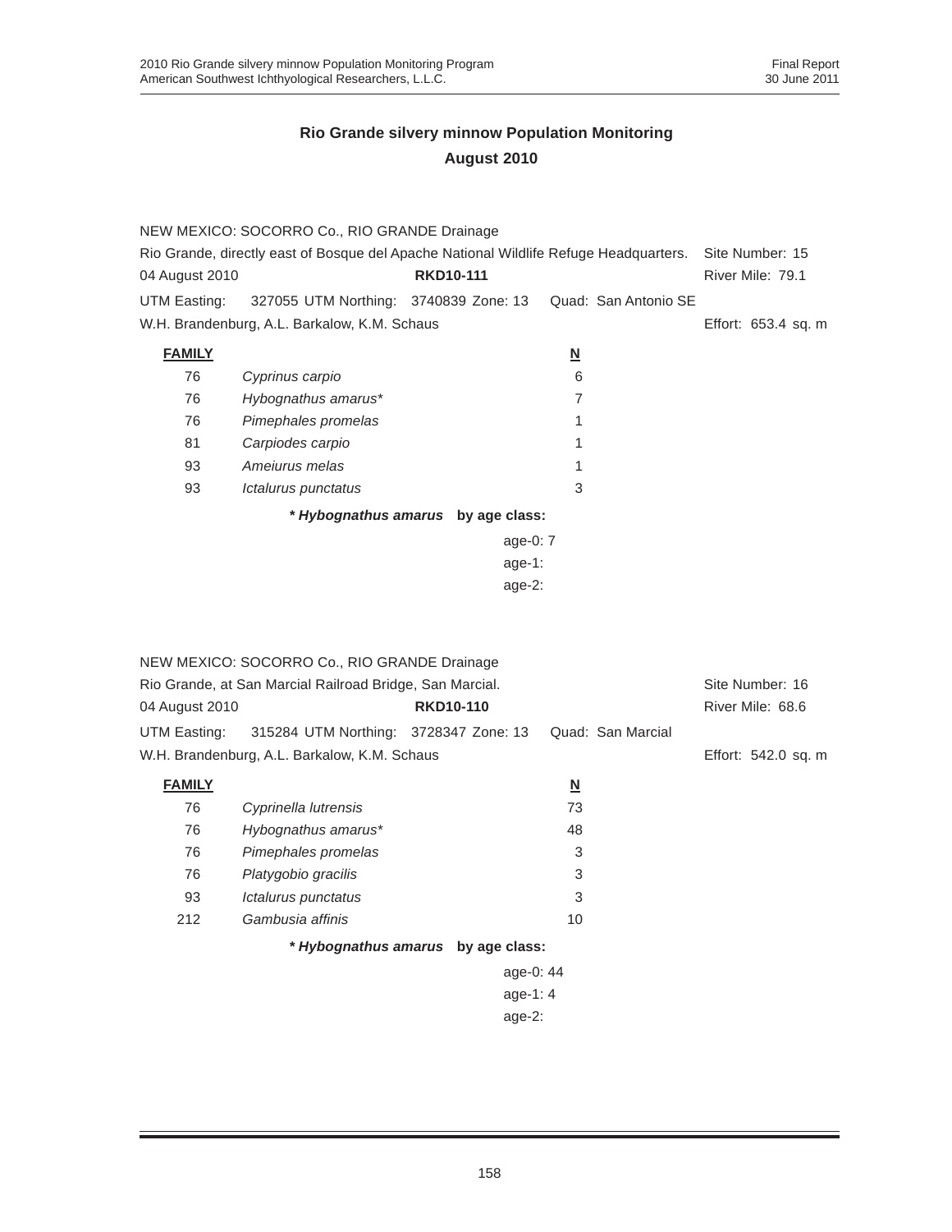|                | NEW MEXICO: SOCORRO Co., RIO GRANDE Drainage                                          |                  |                         |                     |  |
|----------------|---------------------------------------------------------------------------------------|------------------|-------------------------|---------------------|--|
|                | Rio Grande, directly east of Bosque del Apache National Wildlife Refuge Headquarters. |                  |                         | Site Number: 15     |  |
| 04 August 2010 |                                                                                       | <b>RKD10-111</b> |                         | River Mile: 79.1    |  |
| UTM Easting:   | 327055 UTM Northing: 3740839 Zone: 13                                                 |                  | Quad: San Antonio SE    |                     |  |
|                | W.H. Brandenburg, A.L. Barkalow, K.M. Schaus                                          |                  |                         | Effort: 653.4 sq. m |  |
| <b>FAMILY</b>  |                                                                                       |                  | $\overline{\mathbf{N}}$ |                     |  |
| 76             | Cyprinus carpio                                                                       |                  | 6                       |                     |  |
| 76             | Hybognathus amarus*                                                                   |                  | 7                       |                     |  |
| 76             | Pimephales promelas                                                                   |                  |                         |                     |  |
| 81             | Carpiodes carpio                                                                      |                  | 1                       |                     |  |
| 93             | Amejurus melas                                                                        |                  | 1                       |                     |  |
| 93             | Ictalurus punctatus                                                                   |                  | 3                       |                     |  |
|                | * Hybognathus amarus by age class:                                                    |                  |                         |                     |  |

age-0: 7 age-1:

|                | NEW MEXICO: SOCORRO Co., RIO GRANDE Drainage             |                                    |                          |                     |
|----------------|----------------------------------------------------------|------------------------------------|--------------------------|---------------------|
|                | Rio Grande, at San Marcial Railroad Bridge, San Marcial. |                                    |                          |                     |
| 04 August 2010 |                                                          | <b>RKD10-110</b>                   |                          | River Mile: 68.6    |
| UTM Easting:   | 315284 UTM Northing: 3728347 Zone: 13                    |                                    | Quad: San Marcial        |                     |
|                | W.H. Brandenburg, A.L. Barkalow, K.M. Schaus             |                                    |                          | Effort: 542.0 sq. m |
| <b>FAMILY</b>  |                                                          |                                    | $\underline{\mathbf{N}}$ |                     |
| 76             | Cyprinella lutrensis                                     |                                    | 73                       |                     |
| 76             | Hybognathus amarus*                                      |                                    | 48                       |                     |
| 76             | Pimephales promelas                                      |                                    | 3                        |                     |
| 76             | Platygobio gracilis                                      |                                    | 3                        |                     |
| 93             | Ictalurus punctatus                                      |                                    | 3                        |                     |
| 212            | Gambusia affinis                                         |                                    | 10                       |                     |
|                |                                                          | * Hybognathus amarus by age class: |                          |                     |
|                |                                                          | age-0: 44                          |                          |                     |
|                |                                                          | age-1: $4$                         |                          |                     |
|                |                                                          | age- $2:$                          |                          |                     |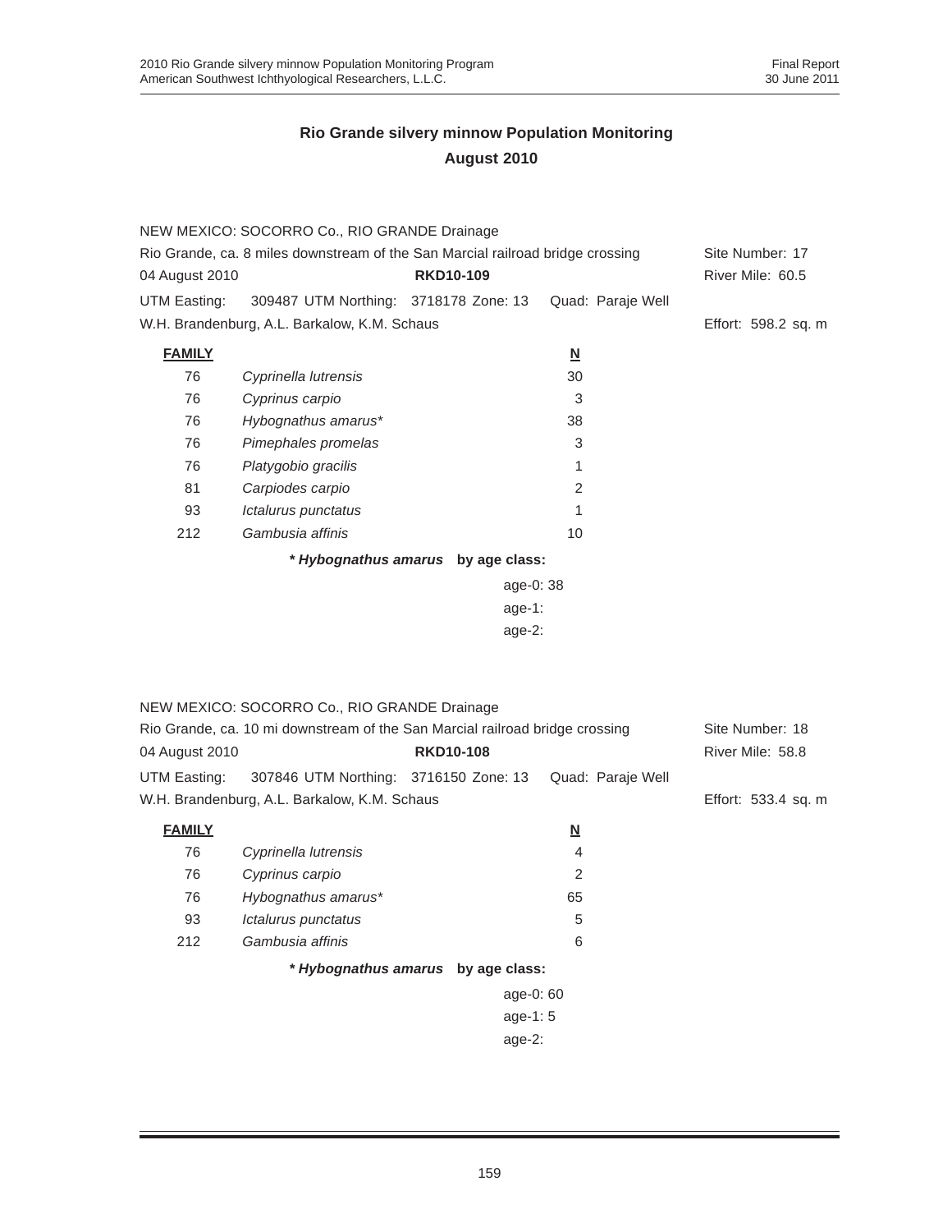|                                                                                | NEW MEXICO: SOCORRO Co., RIO GRANDE Drainage                                 |                                    |                          |                     |
|--------------------------------------------------------------------------------|------------------------------------------------------------------------------|------------------------------------|--------------------------|---------------------|
| Rio Grande, ca. 8 miles downstream of the San Marcial railroad bridge crossing |                                                                              |                                    |                          | Site Number: 17     |
| 04 August 2010                                                                 |                                                                              | <b>RKD10-109</b>                   |                          | River Mile: 60.5    |
| UTM Easting:                                                                   | 309487 UTM Northing: 3718178 Zone: 13                                        |                                    | Quad: Paraje Well        |                     |
|                                                                                | W.H. Brandenburg, A.L. Barkalow, K.M. Schaus                                 |                                    |                          | Effort: 598.2 sq. m |
| <b>FAMILY</b>                                                                  |                                                                              |                                    | $\underline{\mathsf{N}}$ |                     |
| 76                                                                             | Cyprinella lutrensis                                                         |                                    | 30                       |                     |
| 76                                                                             | Cyprinus carpio                                                              |                                    | 3                        |                     |
| 76                                                                             | Hybognathus amarus*                                                          |                                    | 38                       |                     |
| 76                                                                             | Pimephales promelas                                                          |                                    | 3                        |                     |
| 76                                                                             | Platygobio gracilis                                                          |                                    | 1                        |                     |
| 81                                                                             | Carpiodes carpio                                                             |                                    | 2                        |                     |
| 93                                                                             | Ictalurus punctatus                                                          |                                    | 1                        |                     |
| 212                                                                            | Gambusia affinis                                                             |                                    | 10                       |                     |
|                                                                                |                                                                              | * Hybognathus amarus by age class: |                          |                     |
|                                                                                |                                                                              | age-0: 38                          |                          |                     |
|                                                                                |                                                                              | $age-1$ :                          |                          |                     |
|                                                                                |                                                                              | age-2:                             |                          |                     |
|                                                                                |                                                                              |                                    |                          |                     |
|                                                                                |                                                                              |                                    |                          |                     |
|                                                                                | NEW MEXICO: SOCORRO Co., RIO GRANDE Drainage                                 |                                    |                          |                     |
|                                                                                | Rio Grande, ca. 10 mi downstream of the San Marcial railroad bridge crossing |                                    |                          | Site Number: 18     |
| 04 August 2010                                                                 |                                                                              | <b>RKD10-108</b>                   |                          | River Mile: 58.8    |
| UTM Easting:                                                                   | 307846 UTM Northing: 3716150 Zone: 13                                        |                                    | Quad: Paraje Well        |                     |
|                                                                                | W.H. Brandenburg, A.L. Barkalow, K.M. Schaus                                 |                                    |                          | Effort: 533.4 sq. m |
| <b>FAMILY</b>                                                                  |                                                                              |                                    | <u>N</u>                 |                     |
| 76                                                                             | Cyprinella lutrensis                                                         |                                    | 4                        |                     |
| 76                                                                             | Cyprinus carpio                                                              |                                    | 2                        |                     |
| 76                                                                             | Hybognathus amarus*                                                          |                                    | 65                       |                     |
| 93                                                                             | Ictalurus punctatus                                                          |                                    | 5                        |                     |
| 212                                                                            | Gambusia affinis                                                             |                                    | 6                        |                     |
|                                                                                |                                                                              | * Hybognathus amarus by age class: |                          |                     |
|                                                                                |                                                                              | age-0: 60                          |                          |                     |
|                                                                                |                                                                              | age-1:5                            |                          |                     |
|                                                                                |                                                                              | age-2:                             |                          |                     |
|                                                                                |                                                                              |                                    |                          |                     |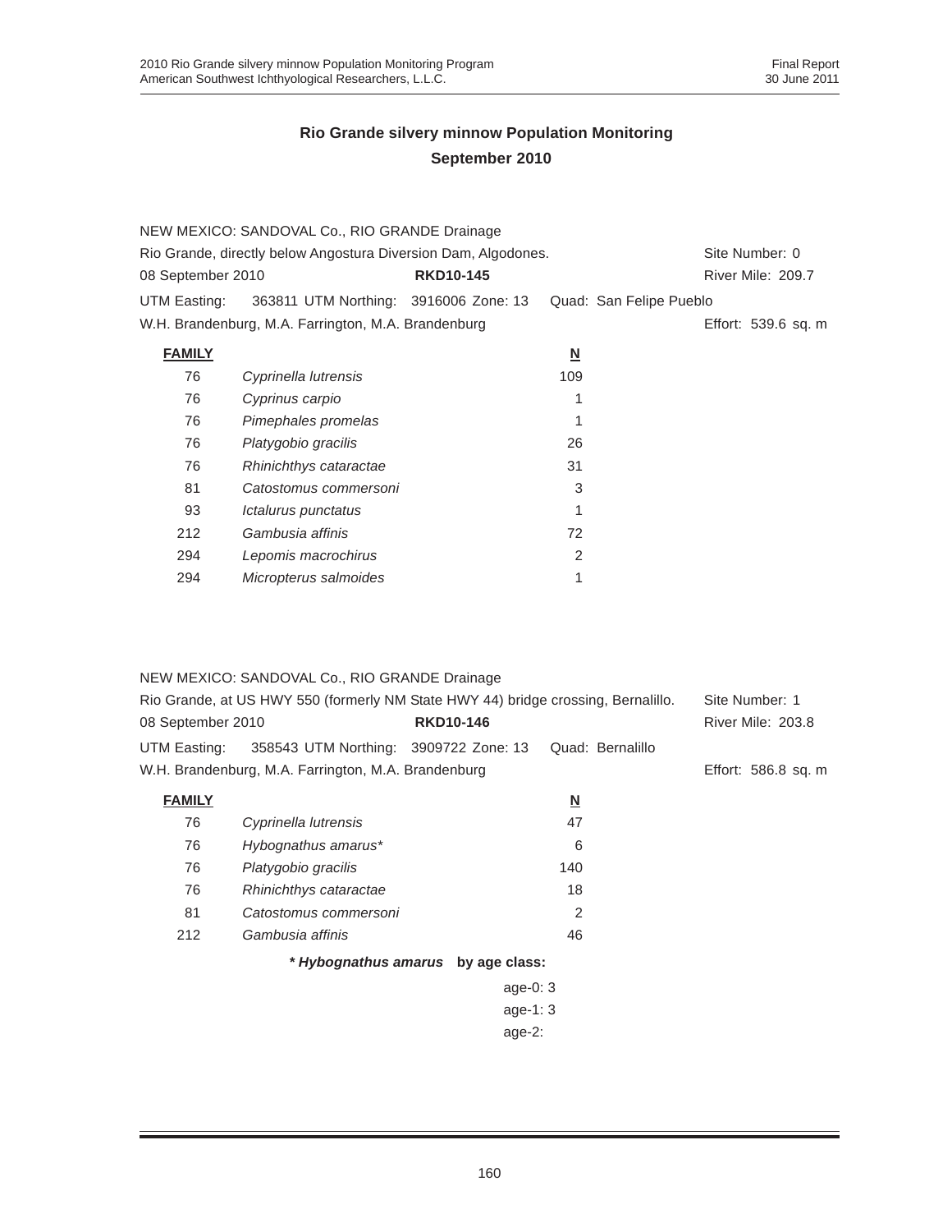|                   | NEW MEXICO: SANDOVAL Co., RIO GRANDE Drainage                  |                  |                          |                         |  |
|-------------------|----------------------------------------------------------------|------------------|--------------------------|-------------------------|--|
|                   | Rio Grande, directly below Angostura Diversion Dam, Algodones. |                  |                          |                         |  |
| 08 September 2010 |                                                                | <b>RKD10-145</b> |                          | River Mile: 209.7       |  |
| UTM Easting:      | 363811 UTM Northing: 3916006 Zone: 13                          |                  |                          | Quad: San Felipe Pueblo |  |
|                   | W.H. Brandenburg, M.A. Farrington, M.A. Brandenburg            |                  |                          | Effort: 539.6 sq. m     |  |
| <b>FAMILY</b>     |                                                                |                  | $\underline{\mathsf{N}}$ |                         |  |
| 76                | Cyprinella lutrensis                                           |                  | 109                      |                         |  |
| 76                | Cyprinus carpio                                                |                  | 1                        |                         |  |
| 76                | Pimephales promelas                                            |                  |                          |                         |  |
| 76                | Platygobio gracilis                                            |                  | 26                       |                         |  |
| 76                | Rhinichthys cataractae                                         |                  | 31                       |                         |  |
| 81                | Catostomus commersoni                                          |                  | 3                        |                         |  |
| 93                | Ictalurus punctatus                                            |                  |                          |                         |  |
| 212               | Gambusia affinis                                               |                  | 72                       |                         |  |
| 294               | Lepomis macrochirus                                            |                  | 2                        |                         |  |
| 294               | Micropterus salmoides                                          |                  | 1                        |                         |  |
|                   |                                                                |                  |                          |                         |  |

| NEW MEXICO: SANDOVAL Co., RIO GRANDE Drainage<br>Rio Grande, at US HWY 550 (formerly NM State HWY 44) bridge crossing, Bernalillo.<br><b>RKD10-146</b><br>08 September 2010 |                                                     |                                    |                          | Site Number: 1<br><b>River Mile: 203.8</b> |
|-----------------------------------------------------------------------------------------------------------------------------------------------------------------------------|-----------------------------------------------------|------------------------------------|--------------------------|--------------------------------------------|
| UTM Easting:                                                                                                                                                                | 358543 UTM Northing: 3909722 Zone: 13               |                                    | Quad: Bernalillo         |                                            |
|                                                                                                                                                                             | W.H. Brandenburg, M.A. Farrington, M.A. Brandenburg |                                    |                          | Effort: 586.8 sq. m                        |
| <b>FAMILY</b>                                                                                                                                                               |                                                     |                                    | $\underline{\mathsf{N}}$ |                                            |
| 76                                                                                                                                                                          | Cyprinella lutrensis                                |                                    | 47                       |                                            |
| 76                                                                                                                                                                          | Hybognathus amarus*                                 |                                    | 6                        |                                            |
| 76                                                                                                                                                                          | Platygobio gracilis                                 |                                    | 140                      |                                            |
| 76                                                                                                                                                                          | Rhinichthys cataractae                              |                                    | 18                       |                                            |
| 81                                                                                                                                                                          | Catostomus commersoni                               |                                    | 2                        |                                            |
| 212                                                                                                                                                                         | Gambusia affinis                                    |                                    | 46                       |                                            |
|                                                                                                                                                                             |                                                     | * Hybognathus amarus by age class: |                          |                                            |
|                                                                                                                                                                             |                                                     | age-0: $3$                         |                          |                                            |
|                                                                                                                                                                             |                                                     | age-1: $3$                         |                          |                                            |
|                                                                                                                                                                             |                                                     | $age-2$ :                          |                          |                                            |
|                                                                                                                                                                             |                                                     |                                    |                          |                                            |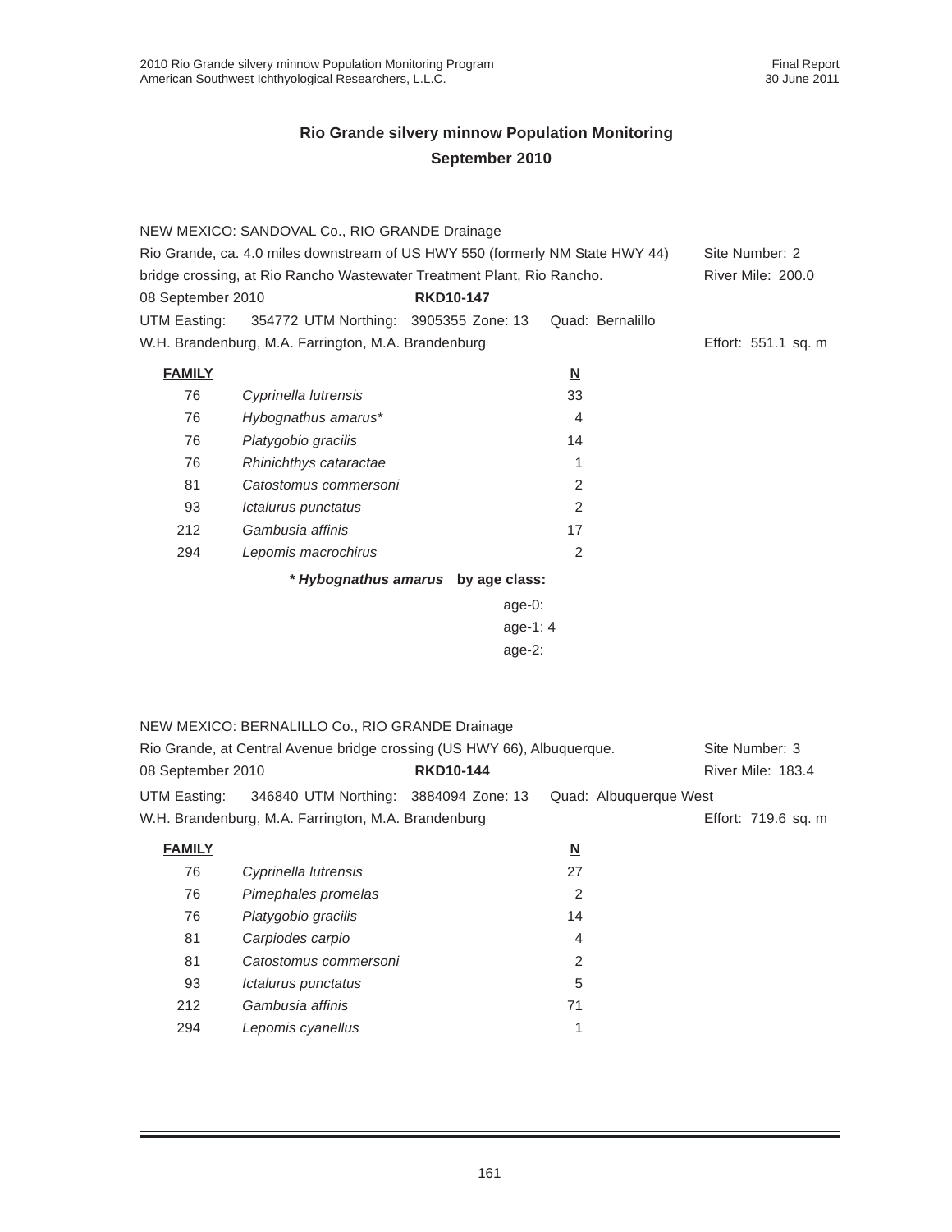|                   | NEW MEXICO: SANDOVAL Co., RIO GRANDE Drainage                                 |                                    |                          |                     |
|-------------------|-------------------------------------------------------------------------------|------------------------------------|--------------------------|---------------------|
|                   | Rio Grande, ca. 4.0 miles downstream of US HWY 550 (formerly NM State HWY 44) |                                    |                          | Site Number: 2      |
|                   | bridge crossing, at Rio Rancho Wastewater Treatment Plant, Rio Rancho.        |                                    |                          | River Mile: 200.0   |
| 08 September 2010 |                                                                               | <b>RKD10-147</b>                   |                          |                     |
| UTM Easting:      | 354772 UTM Northing: 3905355 Zone: 13                                         |                                    | Quad: Bernalillo         |                     |
|                   | W.H. Brandenburg, M.A. Farrington, M.A. Brandenburg                           |                                    |                          | Effort: 551.1 sq. m |
| <b>FAMILY</b>     |                                                                               |                                    | $\underline{\mathsf{N}}$ |                     |
| 76                | Cyprinella lutrensis                                                          |                                    | 33                       |                     |
| 76                | Hybognathus amarus*                                                           |                                    | $\overline{4}$           |                     |
| 76                | Platygobio gracilis                                                           |                                    | 14                       |                     |
| 76                | Rhinichthys cataractae                                                        |                                    | $\mathbf{1}$             |                     |
| 81                | Catostomus commersoni                                                         |                                    | 2                        |                     |
| 93                | Ictalurus punctatus                                                           |                                    | $\overline{2}$           |                     |
| 212               | Gambusia affinis                                                              |                                    | 17                       |                     |
| 294               | Lepomis macrochirus                                                           |                                    | $\overline{2}$           |                     |
|                   |                                                                               | * Hybognathus amarus by age class: |                          |                     |
|                   |                                                                               | age-0:                             |                          |                     |
|                   |                                                                               | age-1: $4$                         |                          |                     |
|                   |                                                                               | age-2:                             |                          |                     |
|                   |                                                                               |                                    |                          |                     |
|                   |                                                                               |                                    |                          |                     |
|                   | NEW MEXICO: BERNALILLO Co., RIO GRANDE Drainage                               |                                    |                          |                     |
|                   | Rio Grande, at Central Avenue bridge crossing (US HWY 66), Albuquerque.       |                                    |                          | Site Number: 3      |
| 08 September 2010 |                                                                               | <b>RKD10-144</b>                   |                          | River Mile: 183.4   |
| UTM Easting:      | 346840 UTM Northing: 3884094 Zone: 13                                         |                                    | Quad: Albuquerque West   |                     |
|                   | W.H. Brandenburg, M.A. Farrington, M.A. Brandenburg                           |                                    |                          | Effort: 719.6 sq. m |
|                   |                                                                               |                                    |                          |                     |
| <b>FAMILY</b>     |                                                                               |                                    | <u>N</u>                 |                     |
| 76                | Cyprinella lutrensis                                                          |                                    | 27                       |                     |
| 76                | Pimephales promelas                                                           |                                    | $\overline{2}$           |                     |
| 76                | Platygobio gracilis                                                           |                                    | 14                       |                     |
| 81                | Carpiodes carpio                                                              |                                    | 4                        |                     |
| 81                | Catostomus commersoni                                                         |                                    | 2                        |                     |
| 93                | Ictalurus punctatus                                                           |                                    | 5                        |                     |
| 212               | Gambusia affinis                                                              |                                    | 71                       |                     |

294 *Lepomis cyanellus* 1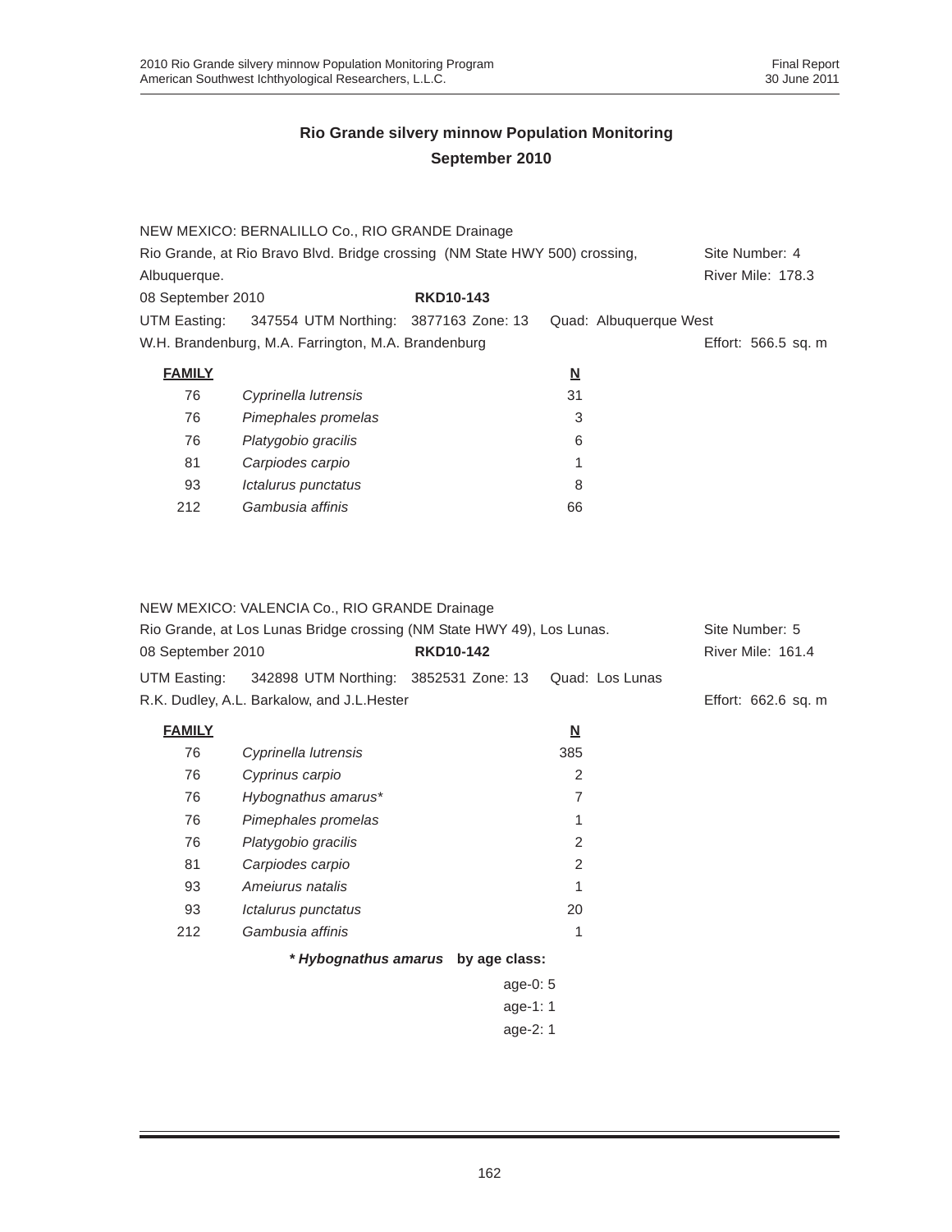|                   | NEW MEXICO: BERNALILLO Co., RIO GRANDE Drainage                             |                  |                          |                          |
|-------------------|-----------------------------------------------------------------------------|------------------|--------------------------|--------------------------|
|                   | Rio Grande, at Rio Bravo Blvd. Bridge crossing (NM State HWY 500) crossing, |                  |                          | Site Number: 4           |
| Albuquerque.      |                                                                             |                  |                          | <b>River Mile: 178.3</b> |
| 08 September 2010 |                                                                             | <b>RKD10-143</b> |                          |                          |
| UTM Easting:      | 347554 UTM Northing: 3877163 Zone: 13                                       |                  |                          | Quad: Albuquerque West   |
|                   | W.H. Brandenburg, M.A. Farrington, M.A. Brandenburg                         |                  |                          | Effort: 566.5 sq. m      |
| <b>FAMILY</b>     |                                                                             |                  | $\underline{\mathsf{N}}$ |                          |
| 76                | Cyprinella lutrensis                                                        |                  | 31                       |                          |
| 76                | Pimephales promelas                                                         |                  | 3                        |                          |
| 76                | Platygobio gracilis                                                         |                  | 6                        |                          |
| 81                | Carpiodes carpio                                                            |                  | 1                        |                          |
| 93                | Ictalurus punctatus                                                         |                  | 8                        |                          |
| 212               | Gambusia affinis                                                            |                  | 66                       |                          |

#### NEW MEXICO: VALENCIA Co., RIO GRANDE Drainage

| Rio Grande, at Los Lunas Bridge crossing (NM State HWY 49), Los Lunas. |                                                    |                                    | Site Number: 5           |                     |
|------------------------------------------------------------------------|----------------------------------------------------|------------------------------------|--------------------------|---------------------|
| 08 September 2010                                                      |                                                    | <b>RKD10-142</b>                   |                          | River Mile: 161.4   |
|                                                                        | UTM Easting: 342898 UTM Northing: 3852531 Zone: 13 |                                    | Quad: Los Lunas          |                     |
|                                                                        | R.K. Dudley, A.L. Barkalow, and J.L.Hester         |                                    |                          | Effort: 662.6 sq. m |
| <b>FAMILY</b>                                                          |                                                    |                                    | $\underline{\mathbf{N}}$ |                     |
| 76                                                                     | Cyprinella lutrensis                               |                                    | 385                      |                     |
| 76                                                                     | Cyprinus carpio                                    |                                    | 2                        |                     |
| 76                                                                     | Hybognathus amarus*                                |                                    | 7                        |                     |
| 76                                                                     | Pimephales promelas                                |                                    |                          |                     |
| 76                                                                     | Platygobio gracilis                                |                                    | 2                        |                     |
| 81                                                                     | Carpiodes carpio                                   |                                    | 2                        |                     |
| 93                                                                     | Amejurus natalis                                   |                                    |                          |                     |
| 93                                                                     | Ictalurus punctatus                                |                                    | 20                       |                     |
| 212                                                                    | Gambusia affinis                                   |                                    | 1                        |                     |
|                                                                        |                                                    | * Hybognathus amarus by age class: |                          |                     |
|                                                                        |                                                    | age-0: 5                           |                          |                     |
|                                                                        |                                                    | age-1: $1$                         |                          |                     |
|                                                                        |                                                    | age-2: 1                           |                          |                     |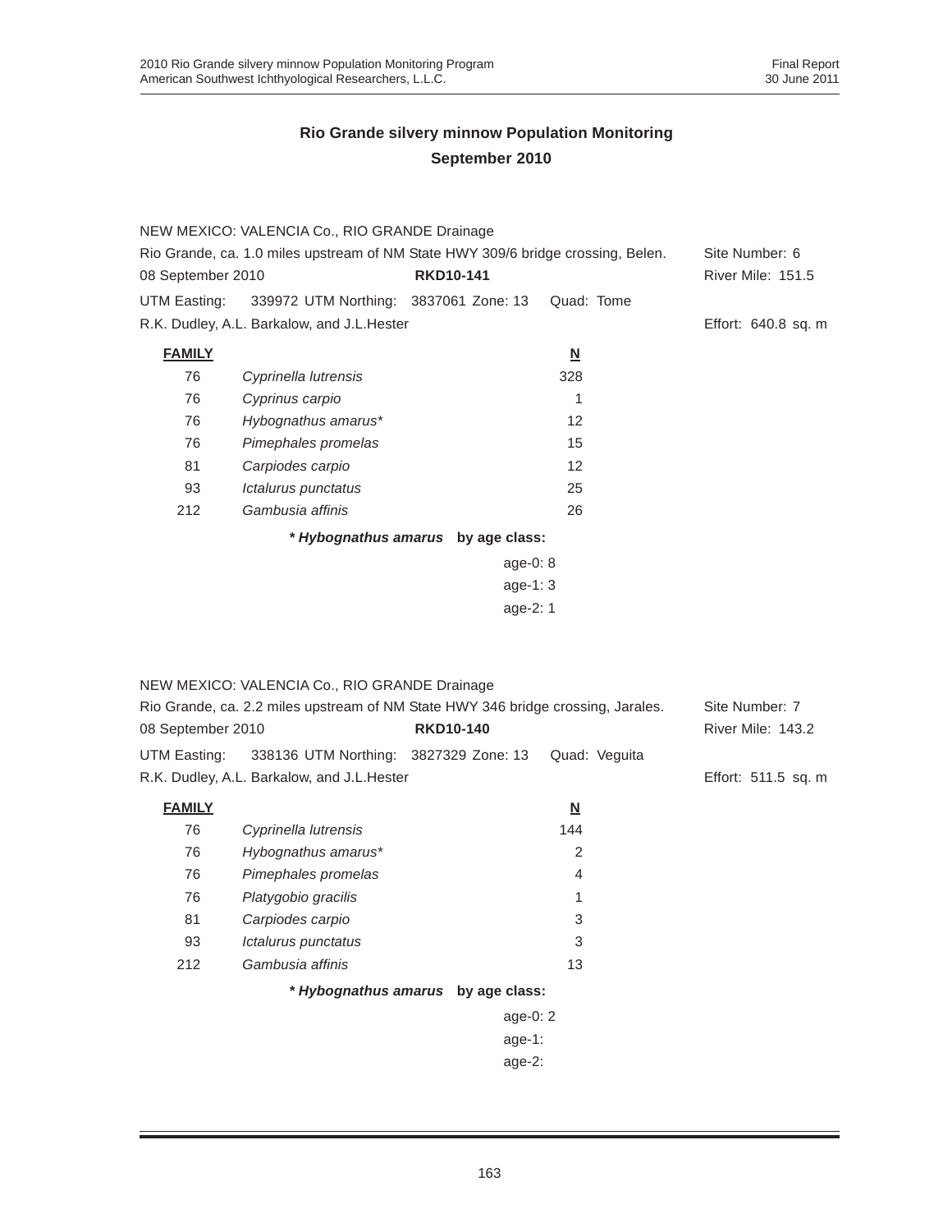|                                                                                  | NEW MEXICO: VALENCIA Co., RIO GRANDE Drainage |                                    |                          |                          |
|----------------------------------------------------------------------------------|-----------------------------------------------|------------------------------------|--------------------------|--------------------------|
| Rio Grande, ca. 1.0 miles upstream of NM State HWY 309/6 bridge crossing, Belen. |                                               |                                    |                          | Site Number: 6           |
| 08 September 2010                                                                |                                               | <b>RKD10-141</b>                   |                          | <b>River Mile: 151.5</b> |
| UTM Easting:                                                                     | 339972 UTM Northing: 3837061 Zone: 13         |                                    | Quad: Tome               |                          |
|                                                                                  | R.K. Dudley, A.L. Barkalow, and J.L. Hester   |                                    |                          | Effort: 640.8 sq. m      |
| <b>FAMILY</b>                                                                    |                                               |                                    | $\underline{\mathsf{N}}$ |                          |
| 76                                                                               | Cyprinella lutrensis                          |                                    | 328                      |                          |
| 76                                                                               | Cyprinus carpio                               |                                    | 1                        |                          |
| 76                                                                               | Hybognathus amarus*                           |                                    | 12                       |                          |
| 76                                                                               | Pimephales promelas                           |                                    | 15                       |                          |
| 81                                                                               | Carpiodes carpio                              |                                    | 12                       |                          |
| 93                                                                               | Ictalurus punctatus                           |                                    | 25                       |                          |
| 212                                                                              | Gambusia affinis                              |                                    | 26                       |                          |
|                                                                                  |                                               | * Hybognathus amarus by age class: |                          |                          |
|                                                                                  |                                               | age-0: $8$                         |                          |                          |
|                                                                                  |                                               | age-1: $3$                         |                          |                          |
|                                                                                  |                                               | age- $2:1$                         |                          |                          |

|                   | NEW MEXICO: VALENCIA Co., RIO GRANDE Drainage                                    |                  |            |                          |                          |
|-------------------|----------------------------------------------------------------------------------|------------------|------------|--------------------------|--------------------------|
|                   | Rio Grande, ca. 2.2 miles upstream of NM State HWY 346 bridge crossing, Jarales. |                  |            |                          | Site Number: 7           |
| 08 September 2010 |                                                                                  | <b>RKD10-140</b> |            |                          | <b>River Mile: 143.2</b> |
| UTM Easting:      | 338136 UTM Northing: 3827329 Zone: 13                                            |                  |            | Quad: Veguita            |                          |
|                   | R.K. Dudley, A.L. Barkalow, and J.L. Hester                                      |                  |            |                          | Effort: 511.5 sq. m      |
| <b>FAMILY</b>     |                                                                                  |                  |            | $\underline{\mathsf{N}}$ |                          |
| 76                | Cyprinella lutrensis                                                             |                  |            | 144                      |                          |
| 76                | Hybognathus amarus*                                                              |                  |            | 2                        |                          |
| 76                | Pimephales promelas                                                              |                  |            | $\overline{4}$           |                          |
| 76                | Platygobio gracilis                                                              |                  |            | 1                        |                          |
| 81                | Carpiodes carpio                                                                 |                  |            | 3                        |                          |
| 93                | Ictalurus punctatus                                                              |                  |            | 3                        |                          |
| 212               | Gambusia affinis                                                                 |                  |            | 13                       |                          |
|                   | * Hybognathus amarus by age class:                                               |                  |            |                          |                          |
|                   |                                                                                  |                  | age-0: $2$ |                          |                          |
|                   |                                                                                  |                  | age-1:     |                          |                          |
|                   |                                                                                  |                  | age-2:     |                          |                          |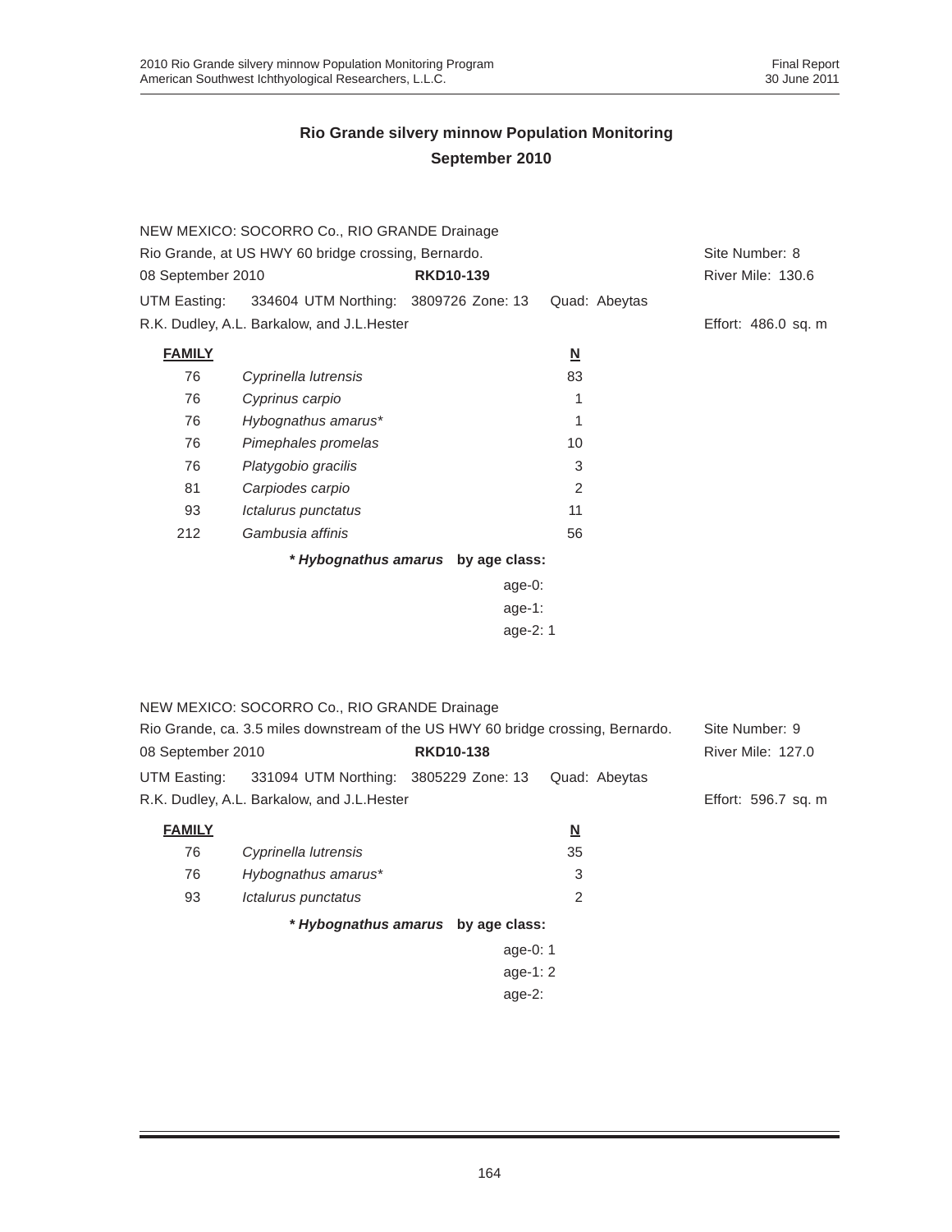|                                                     | NEW MEXICO: SOCORRO Co., RIO GRANDE Drainage                                     |                                    |                          |                          |
|-----------------------------------------------------|----------------------------------------------------------------------------------|------------------------------------|--------------------------|--------------------------|
| Rio Grande, at US HWY 60 bridge crossing, Bernardo. | Site Number: 8                                                                   |                                    |                          |                          |
| 08 September 2010                                   |                                                                                  | <b>RKD10-139</b>                   |                          | River Mile: 130.6        |
| UTM Easting:                                        | 334604 UTM Northing: 3809726 Zone: 13                                            |                                    | Quad: Abeytas            |                          |
|                                                     | R.K. Dudley, A.L. Barkalow, and J.L. Hester                                      |                                    |                          | Effort: 486.0 sq. m      |
| <b>FAMILY</b>                                       |                                                                                  |                                    | $\underline{\mathbf{N}}$ |                          |
| 76                                                  | Cyprinella lutrensis                                                             |                                    | 83                       |                          |
| 76                                                  | Cyprinus carpio                                                                  |                                    | 1                        |                          |
| 76                                                  | Hybognathus amarus*                                                              |                                    | 1                        |                          |
| 76                                                  | Pimephales promelas                                                              |                                    | 10                       |                          |
| 76                                                  | Platygobio gracilis                                                              |                                    | 3                        |                          |
| 81                                                  | Carpiodes carpio                                                                 |                                    | $\overline{2}$           |                          |
| 93                                                  | Ictalurus punctatus                                                              |                                    | 11                       |                          |
| 212                                                 | Gambusia affinis                                                                 |                                    | 56                       |                          |
|                                                     |                                                                                  |                                    |                          |                          |
|                                                     |                                                                                  | * Hybognathus amarus by age class: |                          |                          |
|                                                     |                                                                                  | $age-0:$<br>age-1:                 |                          |                          |
|                                                     |                                                                                  |                                    |                          |                          |
|                                                     |                                                                                  | age-2: 1                           |                          |                          |
|                                                     |                                                                                  |                                    |                          |                          |
|                                                     |                                                                                  |                                    |                          |                          |
|                                                     | NEW MEXICO: SOCORRO Co., RIO GRANDE Drainage                                     |                                    |                          |                          |
|                                                     | Rio Grande, ca. 3.5 miles downstream of the US HWY 60 bridge crossing, Bernardo. |                                    |                          | Site Number: 9           |
| 08 September 2010                                   |                                                                                  | <b>RKD10-138</b>                   |                          | <b>River Mile: 127.0</b> |
| UTM Easting:                                        | 331094 UTM Northing: 3805229 Zone: 13                                            |                                    | Quad: Abeytas            |                          |
|                                                     | R.K. Dudley, A.L. Barkalow, and J.L. Hester                                      |                                    |                          | Effort: 596.7 sq. m      |
| <b>FAMILY</b>                                       |                                                                                  |                                    | $\underline{\mathsf{N}}$ |                          |
| 76                                                  | Cyprinella lutrensis                                                             |                                    | 35                       |                          |
| 76                                                  | Hybognathus amarus*                                                              |                                    | 3                        |                          |
| 93                                                  | Ictalurus punctatus                                                              |                                    | $\overline{2}$           |                          |
|                                                     |                                                                                  |                                    |                          |                          |
|                                                     |                                                                                  | * Hybognathus amarus by age class: |                          |                          |
|                                                     |                                                                                  | age-0: 1                           |                          |                          |
|                                                     |                                                                                  | age-1: 2                           |                          |                          |
|                                                     |                                                                                  | age-2:                             |                          |                          |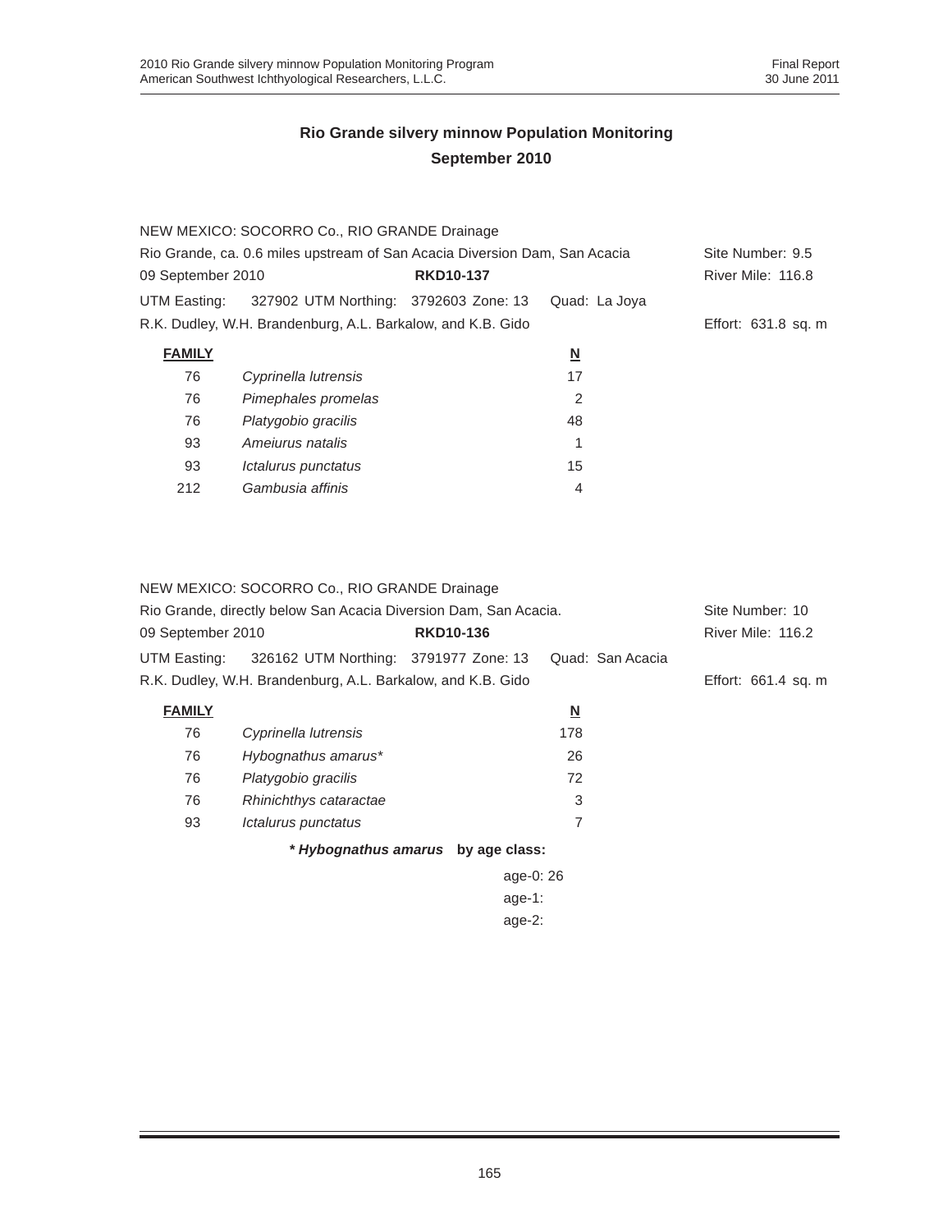|                   | NEW MEXICO: SOCORRO Co., RIO GRANDE Drainage                               |                  |                          |                     |
|-------------------|----------------------------------------------------------------------------|------------------|--------------------------|---------------------|
|                   | Rio Grande, ca. 0.6 miles upstream of San Acacia Diversion Dam, San Acacia |                  |                          | Site Number: 9.5    |
| 09 September 2010 |                                                                            | <b>RKD10-137</b> |                          | River Mile: 116.8   |
| UTM Easting:      | 327902 UTM Northing: 3792603 Zone: 13                                      |                  | Quad: La Joya            |                     |
|                   | R.K. Dudley, W.H. Brandenburg, A.L. Barkalow, and K.B. Gido                |                  |                          | Effort: 631.8 sq. m |
| <b>FAMILY</b>     |                                                                            |                  | $\underline{\mathsf{N}}$ |                     |
| 76                | Cyprinella lutrensis                                                       |                  | 17                       |                     |
| 76                | Pimephales promelas                                                        |                  | 2                        |                     |
| 76                | Platygobio gracilis                                                        |                  | 48                       |                     |
| 93                | Amejurus natalis                                                           |                  | 1                        |                     |
| 93                | Ictalurus punctatus                                                        |                  | 15                       |                     |
| 212               | Gambusia affinis                                                           |                  | 4                        |                     |

|                                                                  | NEW MEXICO: SOCORRO Co., RIO GRANDE Drainage                |                                    |                  |                     |
|------------------------------------------------------------------|-------------------------------------------------------------|------------------------------------|------------------|---------------------|
| Rio Grande, directly below San Acacia Diversion Dam, San Acacia. |                                                             |                                    |                  | Site Number: 10     |
| 09 September 2010                                                |                                                             | <b>RKD10-136</b>                   |                  | River Mile: 116.2   |
| UTM Easting:                                                     | 326162 UTM Northing: 3791977 Zone: 13                       |                                    | Quad: San Acacia |                     |
|                                                                  | R.K. Dudley, W.H. Brandenburg, A.L. Barkalow, and K.B. Gido |                                    |                  | Effort: 661.4 sq. m |
| <b>FAMILY</b>                                                    |                                                             |                                    | <u>N</u>         |                     |
| 76                                                               | Cyprinella lutrensis                                        |                                    | 178              |                     |
| 76                                                               | Hybognathus amarus*                                         |                                    | 26               |                     |
| 76                                                               | Platygobio gracilis                                         |                                    | 72               |                     |
| 76                                                               | Rhinichthys cataractae                                      |                                    | 3                |                     |
| 93                                                               | Ictalurus punctatus                                         |                                    | 7                |                     |
|                                                                  |                                                             | * Hybognathus amarus by age class: |                  |                     |
|                                                                  |                                                             | age-0: 26                          |                  |                     |
| age-1:                                                           |                                                             |                                    |                  |                     |
|                                                                  |                                                             | age- $2:$                          |                  |                     |
|                                                                  |                                                             |                                    |                  |                     |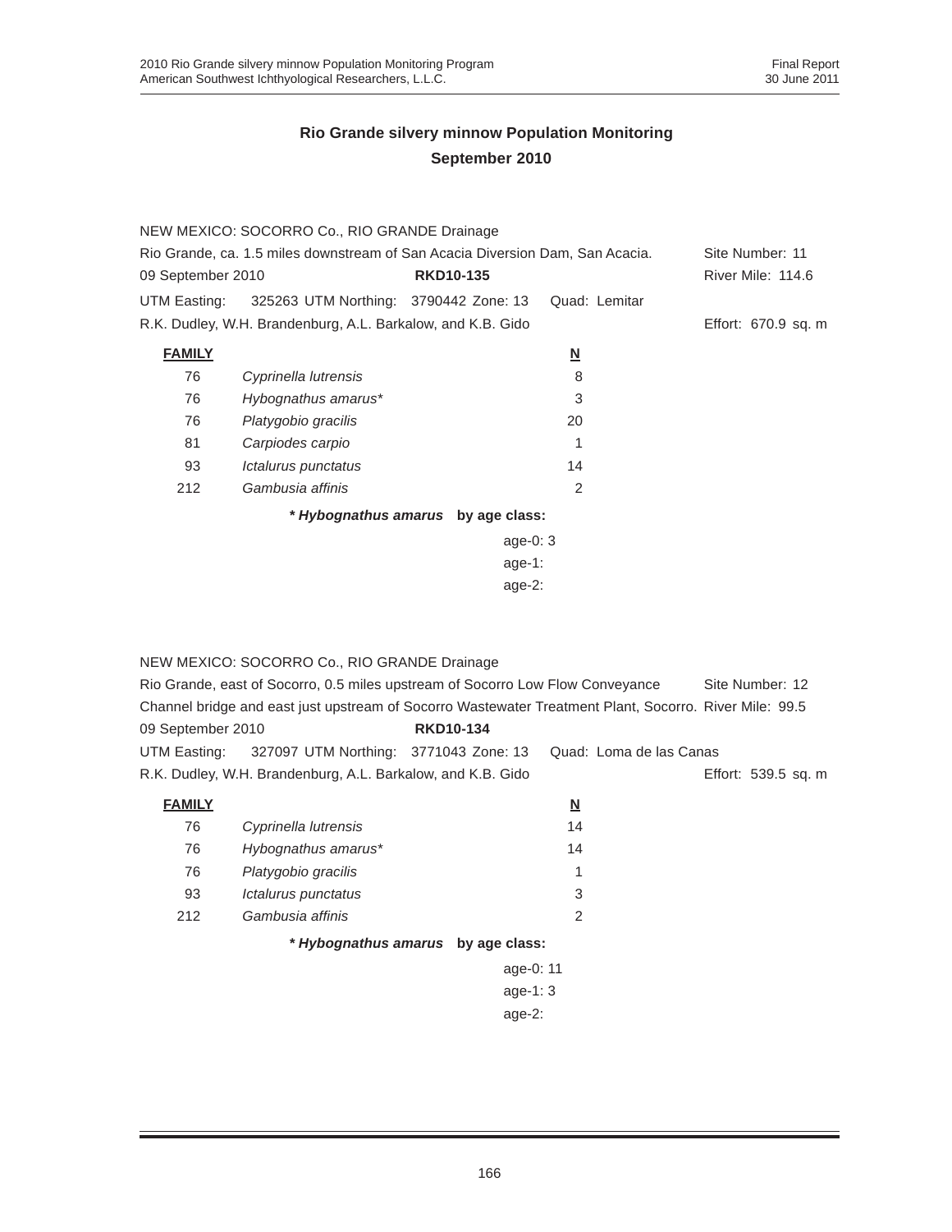|                                                                               | NEW MEXICO: SOCORRO Co., RIO GRANDE Drainage                |                                    |                          |                     |
|-------------------------------------------------------------------------------|-------------------------------------------------------------|------------------------------------|--------------------------|---------------------|
| Rio Grande, ca. 1.5 miles downstream of San Acacia Diversion Dam, San Acacia. |                                                             |                                    |                          | Site Number: 11     |
| 09 September 2010                                                             |                                                             | <b>RKD10-135</b>                   |                          | River Mile: 114.6   |
| UTM Easting:                                                                  | 325263 UTM Northing: 3790442 Zone: 13                       |                                    | Quad: Lemitar            |                     |
|                                                                               | R.K. Dudley, W.H. Brandenburg, A.L. Barkalow, and K.B. Gido |                                    |                          | Effort: 670.9 sq. m |
| <b>FAMILY</b>                                                                 |                                                             |                                    | $\underline{\mathsf{N}}$ |                     |
| 76                                                                            | Cyprinella lutrensis                                        |                                    | 8                        |                     |
| 76                                                                            | Hybognathus amarus*                                         |                                    | 3                        |                     |
| 76                                                                            | Platygobio gracilis                                         |                                    | 20                       |                     |
| 81                                                                            | Carpiodes carpio                                            |                                    |                          |                     |
| 93                                                                            | Ictalurus punctatus                                         |                                    | 14                       |                     |
| 212                                                                           | Gambusia affinis                                            |                                    | 2                        |                     |
|                                                                               |                                                             | * Hybognathus amarus by age class: |                          |                     |
|                                                                               |                                                             | age-0: $3$                         |                          |                     |
|                                                                               |                                                             | age-1:                             |                          |                     |
|                                                                               | age- $2:$                                                   |                                    |                          |                     |

NEW MEXICO: SOCORRO Co., RIO GRANDE Drainage

| Rio Grande, east of Socorro, 0.5 miles upstream of Socorro Low Flow Conveyance | Site Number: 12                                             |                  |                                                                                                              |                     |
|--------------------------------------------------------------------------------|-------------------------------------------------------------|------------------|--------------------------------------------------------------------------------------------------------------|---------------------|
|                                                                                |                                                             |                  | 4.59. Channel bridge and east just upstream of Socorro Wastewater Treatment Plant, Socorro. River Mile: 99.5 |                     |
| 09 September 2010                                                              |                                                             | <b>RKD10-134</b> |                                                                                                              |                     |
|                                                                                |                                                             |                  | UTM Easting: 327097 UTM Northing: 3771043 Zone: 13 Quad: Loma de las Canas                                   |                     |
|                                                                                | R.K. Dudley, W.H. Brandenburg, A.L. Barkalow, and K.B. Gido |                  |                                                                                                              | Effort: 539.5 sq. m |
|                                                                                |                                                             |                  |                                                                                                              |                     |

| <b>FAMILY</b> |                      |    |
|---------------|----------------------|----|
| 76            | Cyprinella lutrensis | 14 |
| 76            | Hybognathus amarus*  | 14 |
| 76            | Platygobio gracilis  |    |
| 93            | Ictalurus punctatus  | 3  |
| 212           | Gambusia affinis     | 2  |
|               |                      |    |

*\* Hybognathus amarus* **by age class:**

age-0: 11 age-1: 3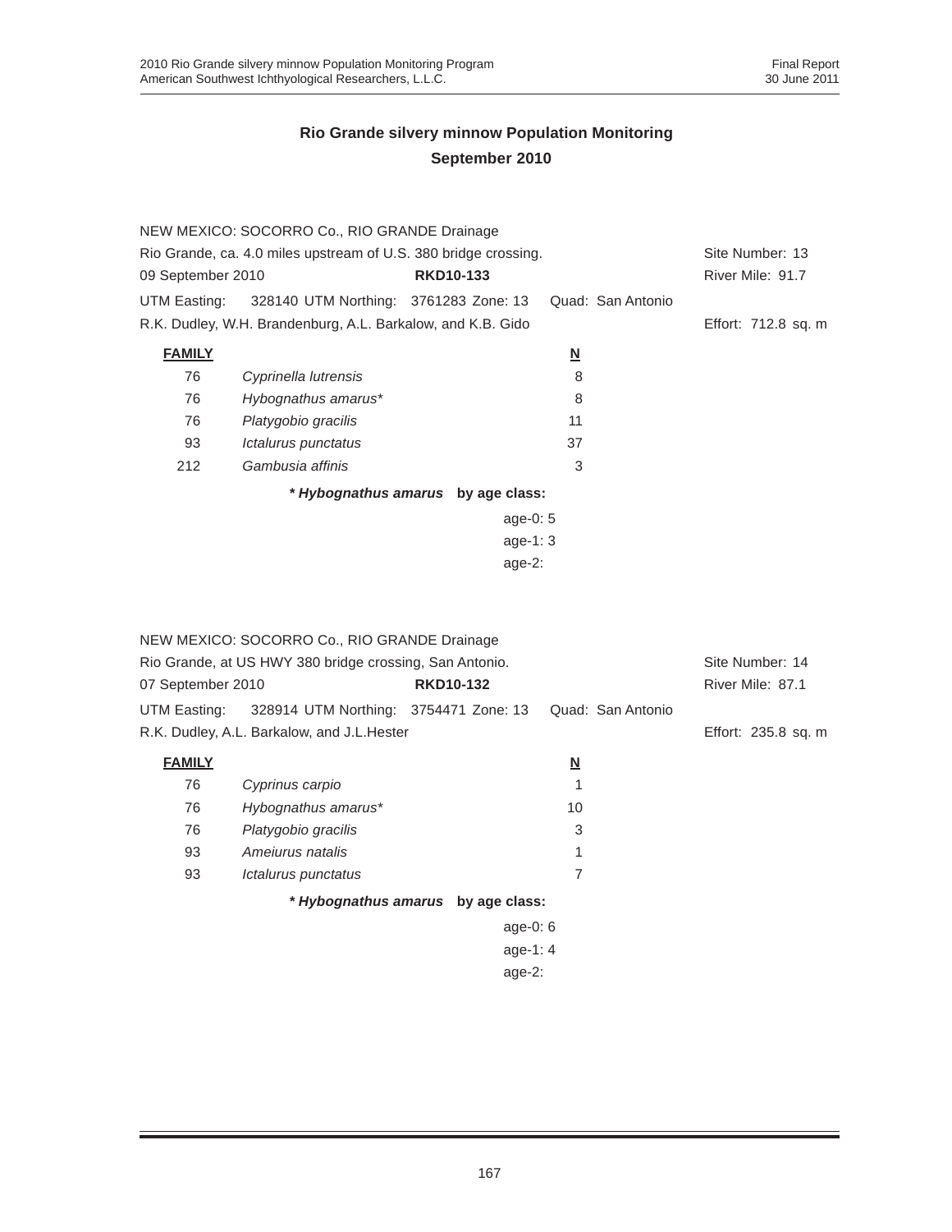|                                                                 | NEW MEXICO: SOCORRO Co., RIO GRANDE Drainage                |                                    |                         |                   |                     |  |  |
|-----------------------------------------------------------------|-------------------------------------------------------------|------------------------------------|-------------------------|-------------------|---------------------|--|--|
| Rio Grande, ca. 4.0 miles upstream of U.S. 380 bridge crossing. |                                                             |                                    |                         |                   | Site Number: 13     |  |  |
| 09 September 2010                                               |                                                             | <b>RKD10-133</b>                   |                         |                   | River Mile: 91.7    |  |  |
| UTM Easting:                                                    | 328140 UTM Northing: 3761283 Zone: 13                       |                                    |                         | Quad: San Antonio |                     |  |  |
|                                                                 | R.K. Dudley, W.H. Brandenburg, A.L. Barkalow, and K.B. Gido |                                    |                         |                   | Effort: 712.8 sq. m |  |  |
| <b>FAMILY</b>                                                   |                                                             |                                    | $\overline{\mathsf{M}}$ |                   |                     |  |  |
| 76                                                              | Cyprinella lutrensis                                        |                                    | 8                       |                   |                     |  |  |
| 76                                                              | Hybognathus amarus*                                         |                                    | 8                       |                   |                     |  |  |
| 76                                                              | Platygobio gracilis                                         |                                    | 11                      |                   |                     |  |  |
| 93                                                              | Ictalurus punctatus                                         |                                    | 37                      |                   |                     |  |  |
| 212                                                             | Gambusia affinis                                            |                                    | 3                       |                   |                     |  |  |
|                                                                 |                                                             | * Hybognathus amarus by age class: |                         |                   |                     |  |  |
|                                                                 |                                                             | age-0: $5$                         |                         |                   |                     |  |  |
|                                                                 |                                                             | age-1: $3$                         |                         |                   |                     |  |  |
|                                                                 | age- $2:$                                                   |                                    |                         |                   |                     |  |  |

|                                                         | NEW MEXICO: SOCORRO Co., RIO GRANDE Drainage       |                                    |                          |                     |
|---------------------------------------------------------|----------------------------------------------------|------------------------------------|--------------------------|---------------------|
| Rio Grande, at US HWY 380 bridge crossing, San Antonio. | Site Number: 14                                    |                                    |                          |                     |
| 07 September 2010                                       |                                                    | <b>RKD10-132</b>                   |                          | River Mile: 87.1    |
|                                                         | UTM Easting: 328914 UTM Northing: 3754471 Zone: 13 |                                    | Quad: San Antonio        |                     |
|                                                         | R.K. Dudley, A.L. Barkalow, and J.L. Hester        |                                    |                          | Effort: 235.8 sq. m |
| <b>FAMILY</b>                                           |                                                    |                                    | $\underline{\mathsf{N}}$ |                     |
| 76                                                      | Cyprinus carpio                                    |                                    |                          |                     |
| 76                                                      | Hybognathus amarus*                                |                                    | 10                       |                     |
| 76                                                      | Platygobio gracilis                                |                                    | 3                        |                     |
| 93                                                      | Amejurus natalis                                   |                                    | 1                        |                     |
| 93                                                      | <i><b>Ictalurus punctatus</b></i>                  |                                    | 7                        |                     |
|                                                         |                                                    | * Hybognathus amarus by age class: |                          |                     |
|                                                         |                                                    | age-0: $6$                         |                          |                     |
|                                                         |                                                    |                                    |                          |                     |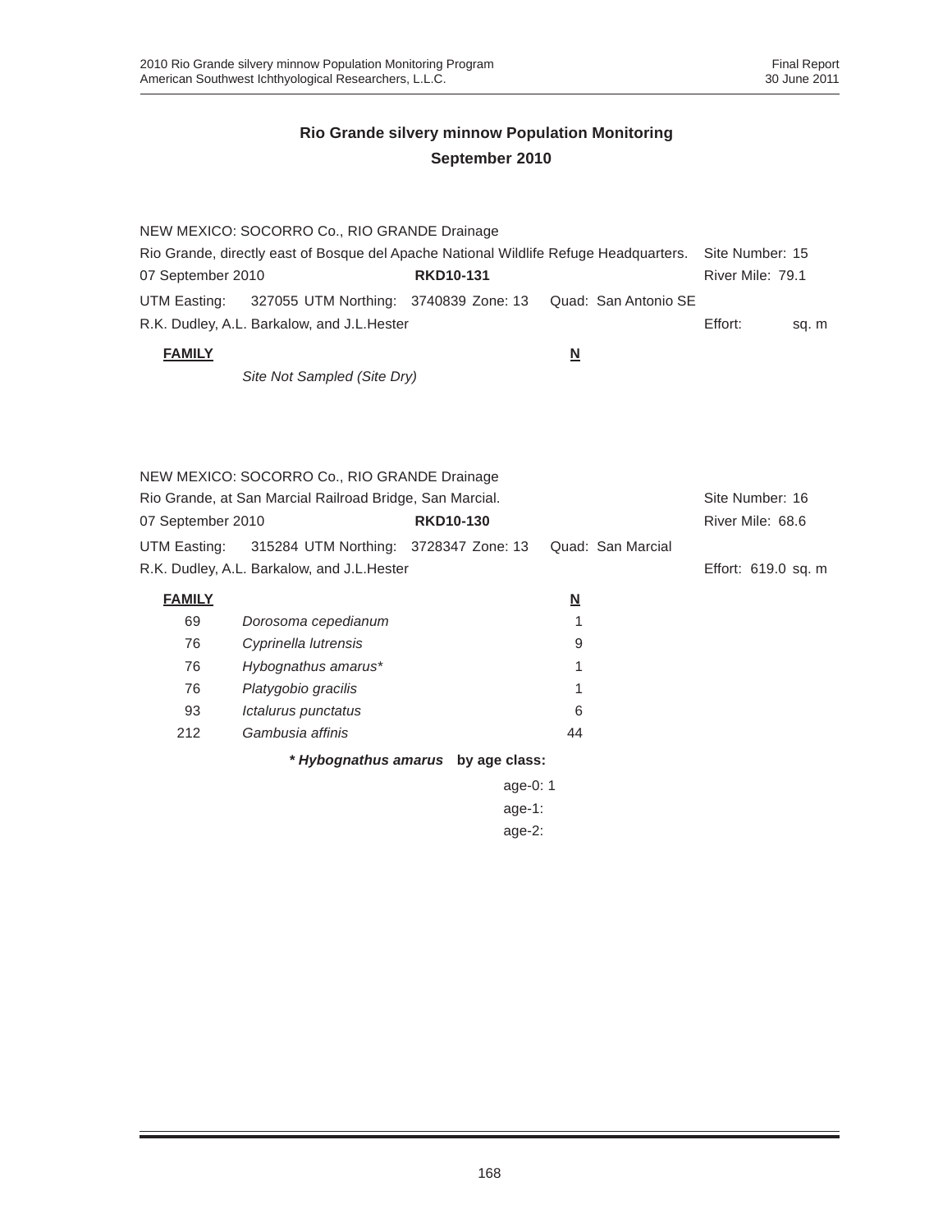|                   | NEW MEXICO: SOCORRO Co., RIO GRANDE Drainage                                          |                  |                      |                  |       |
|-------------------|---------------------------------------------------------------------------------------|------------------|----------------------|------------------|-------|
|                   | Rio Grande, directly east of Bosque del Apache National Wildlife Refuge Headquarters. |                  |                      | Site Number: 15  |       |
| 07 September 2010 |                                                                                       | <b>RKD10-131</b> |                      | River Mile: 79.1 |       |
|                   | UTM Easting: 327055 UTM Northing: 3740839 Zone: 13                                    |                  | Quad: San Antonio SE |                  |       |
|                   | R.K. Dudley, A.L. Barkalow, and J.L. Hester                                           |                  |                      | Effort:          | sq. m |
| <b>FAMILY</b>     |                                                                                       |                  | N                    |                  |       |

*Site Not Sampled (Site Dry)*

|                                                          | NEW MEXICO: SOCORRO Co., RIO GRANDE Drainage |                  |            |          |                   |                     |
|----------------------------------------------------------|----------------------------------------------|------------------|------------|----------|-------------------|---------------------|
| Rio Grande, at San Marcial Railroad Bridge, San Marcial. |                                              |                  |            |          | Site Number: 16   |                     |
| 07 September 2010                                        |                                              | <b>RKD10-130</b> |            |          |                   | River Mile: 68.6    |
| UTM Easting:                                             | 315284 UTM Northing: 3728347 Zone: 13        |                  |            |          | Quad: San Marcial |                     |
|                                                          | R.K. Dudley, A.L. Barkalow, and J.L. Hester  |                  |            |          |                   | Effort: 619.0 sq. m |
| <b>FAMILY</b>                                            |                                              |                  |            | <u>N</u> |                   |                     |
| 69                                                       | Dorosoma cepedianum                          |                  |            |          |                   |                     |
| 76                                                       | Cyprinella lutrensis                         |                  |            | 9        |                   |                     |
| 76                                                       | Hybognathus amarus*                          |                  |            | 1        |                   |                     |
| 76                                                       | Platygobio gracilis                          |                  |            |          |                   |                     |
| 93                                                       | Ictalurus punctatus                          |                  |            | 6        |                   |                     |
| 212                                                      | Gambusia affinis                             |                  |            | 44       |                   |                     |
|                                                          | * Hybognathus amarus by age class:           |                  |            |          |                   |                     |
|                                                          |                                              |                  | age-0: $1$ |          |                   |                     |
| age-1:                                                   |                                              |                  |            |          |                   |                     |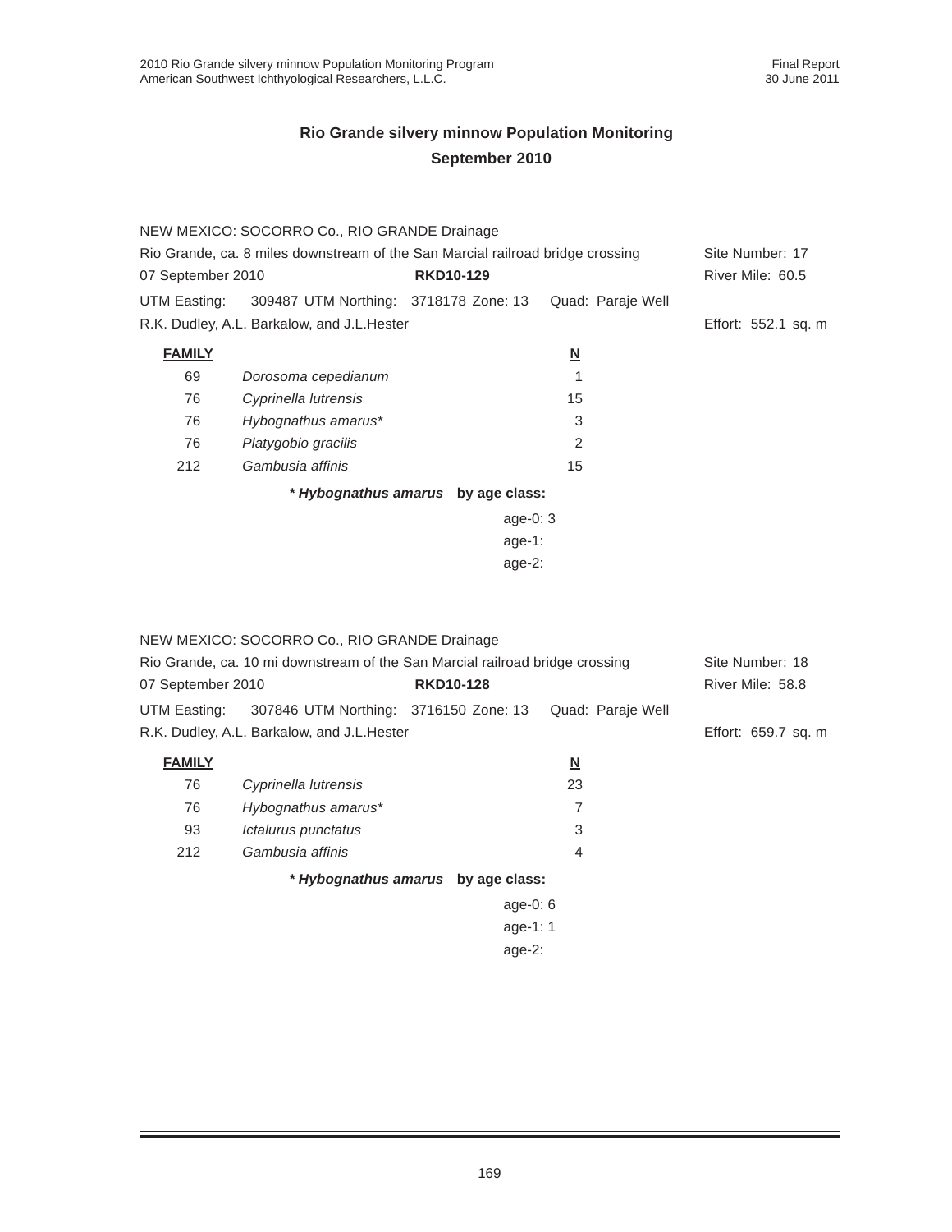|                                                                                | NEW MEXICO: SOCORRO Co., RIO GRANDE Drainage       |                                    |                          |                     |  |  |
|--------------------------------------------------------------------------------|----------------------------------------------------|------------------------------------|--------------------------|---------------------|--|--|
| Rio Grande, ca. 8 miles downstream of the San Marcial railroad bridge crossing | Site Number: 17                                    |                                    |                          |                     |  |  |
| 07 September 2010                                                              |                                                    | <b>RKD10-129</b>                   |                          | River Mile: 60.5    |  |  |
|                                                                                | UTM Easting: 309487 UTM Northing: 3718178 Zone: 13 |                                    | Quad: Paraje Well        |                     |  |  |
|                                                                                | R.K. Dudley, A.L. Barkalow, and J.L. Hester        |                                    |                          | Effort: 552.1 sq. m |  |  |
| <b>FAMILY</b>                                                                  |                                                    |                                    | $\underline{\mathsf{N}}$ |                     |  |  |
| 69                                                                             | Dorosoma cepedianum                                |                                    |                          |                     |  |  |
| 76                                                                             | Cyprinella lutrensis                               |                                    | 15                       |                     |  |  |
| 76                                                                             | Hybognathus amarus*                                |                                    | 3                        |                     |  |  |
| 76                                                                             | Platygobio gracilis                                |                                    | 2                        |                     |  |  |
| 212                                                                            | Gambusia affinis                                   |                                    | 15                       |                     |  |  |
|                                                                                |                                                    | * Hybognathus amarus by age class: |                          |                     |  |  |
|                                                                                |                                                    | age-0: $3$                         |                          |                     |  |  |
|                                                                                | $age-1:$                                           |                                    |                          |                     |  |  |

age-2:

|                                                                              | NEW MEXICO: SOCORRO Co., RIO GRANDE Drainage       |                                    |                         |                   |                     |
|------------------------------------------------------------------------------|----------------------------------------------------|------------------------------------|-------------------------|-------------------|---------------------|
| Rio Grande, ca. 10 mi downstream of the San Marcial railroad bridge crossing | Site Number: 18                                    |                                    |                         |                   |                     |
| 07 September 2010                                                            |                                                    | <b>RKD10-128</b>                   |                         |                   | River Mile: 58.8    |
|                                                                              | UTM Easting: 307846 UTM Northing: 3716150 Zone: 13 |                                    |                         | Quad: Paraje Well |                     |
|                                                                              | R.K. Dudley, A.L. Barkalow, and J.L. Hester        |                                    |                         |                   | Effort: 659.7 sq. m |
| <b>FAMILY</b>                                                                |                                                    |                                    | $\overline{\mathsf{M}}$ |                   |                     |
| 76                                                                           | Cyprinella lutrensis                               |                                    | 23                      |                   |                     |
| 76                                                                           | Hybognathus amarus*                                |                                    | 7                       |                   |                     |
| 93                                                                           | Ictalurus punctatus                                |                                    | 3                       |                   |                     |
| 212                                                                          | Gambusia affinis                                   |                                    | 4                       |                   |                     |
|                                                                              |                                                    | * Hybognathus amarus by age class: |                         |                   |                     |
|                                                                              |                                                    | age-0: $6$                         |                         |                   |                     |
| age-1: 1                                                                     |                                                    |                                    |                         |                   |                     |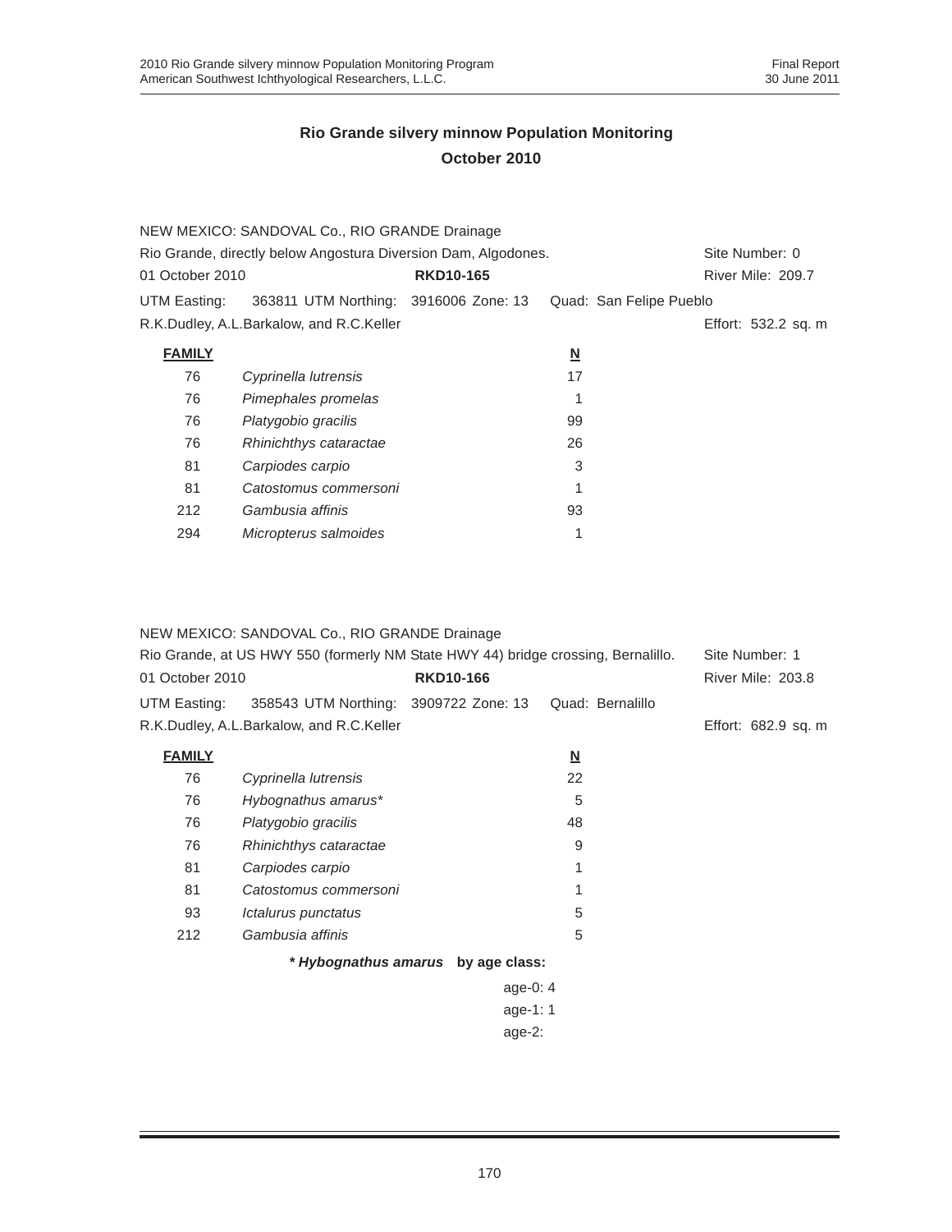|                                                                | NEW MEXICO: SANDOVAL Co., RIO GRANDE Drainage |                  |                          |                         |
|----------------------------------------------------------------|-----------------------------------------------|------------------|--------------------------|-------------------------|
| Rio Grande, directly below Angostura Diversion Dam, Algodones. | Site Number: 0                                |                  |                          |                         |
| 01 October 2010                                                |                                               | <b>RKD10-165</b> |                          | River Mile: 209.7       |
| UTM Easting:                                                   | 363811 UTM Northing: 3916006 Zone: 13         |                  |                          | Quad: San Felipe Pueblo |
| R.K.Dudley, A.L.Barkalow, and R.C.Keller                       |                                               |                  |                          | Effort: 532.2 sq. m     |
| <b>FAMILY</b>                                                  |                                               |                  | $\underline{\mathbf{N}}$ |                         |
| 76                                                             | Cyprinella lutrensis                          |                  | 17                       |                         |
| 76                                                             | Pimephales promelas                           |                  |                          |                         |
| 76                                                             | Platygobio gracilis                           |                  | 99                       |                         |
| 76                                                             | Rhinichthys cataractae                        |                  | 26                       |                         |
| 81                                                             | Carpiodes carpio                              |                  | 3                        |                         |
| 81                                                             | Catostomus commersoni                         |                  |                          |                         |
| 212                                                            | Gambusia affinis                              |                  | 93                       |                         |
| 294                                                            | Micropterus salmoides                         |                  |                          |                         |

#### NEW MEXICO: SANDOVAL Co., RIO GRANDE Drainage

| Rio Grande, at US HWY 550 (formerly NM State HWY 44) bridge crossing, Bernalillo.<br><b>RKD10-166</b><br>01 October 2010 |                                          |            |                          | Site Number: 1<br>River Mile: 203.8 |
|--------------------------------------------------------------------------------------------------------------------------|------------------------------------------|------------|--------------------------|-------------------------------------|
| UTM Easting:                                                                                                             | 358543 UTM Northing: 3909722 Zone: 13    |            | Quad: Bernalillo         |                                     |
|                                                                                                                          | R.K.Dudley, A.L.Barkalow, and R.C.Keller |            |                          | Effort: 682.9 sq. m                 |
| <b>FAMILY</b>                                                                                                            |                                          |            | $\underline{\mathbf{N}}$ |                                     |
| 76                                                                                                                       | Cyprinella lutrensis                     |            | 22                       |                                     |
| 76                                                                                                                       | Hybognathus amarus*                      |            | 5                        |                                     |
| 76                                                                                                                       | Platygobio gracilis                      |            | 48                       |                                     |
| 76                                                                                                                       | Rhinichthys cataractae                   |            | 9                        |                                     |
| 81                                                                                                                       | Carpiodes carpio                         |            |                          |                                     |
| 81                                                                                                                       | Catostomus commersoni                    |            |                          |                                     |
| 93                                                                                                                       | Ictalurus punctatus                      |            | 5                        |                                     |
| 212                                                                                                                      | Gambusia affinis                         |            | 5                        |                                     |
|                                                                                                                          |                                          |            |                          |                                     |
|                                                                                                                          |                                          | age-0: $4$ |                          |                                     |
|                                                                                                                          |                                          |            |                          |                                     |
|                                                                                                                          |                                          | age- $2:$  |                          |                                     |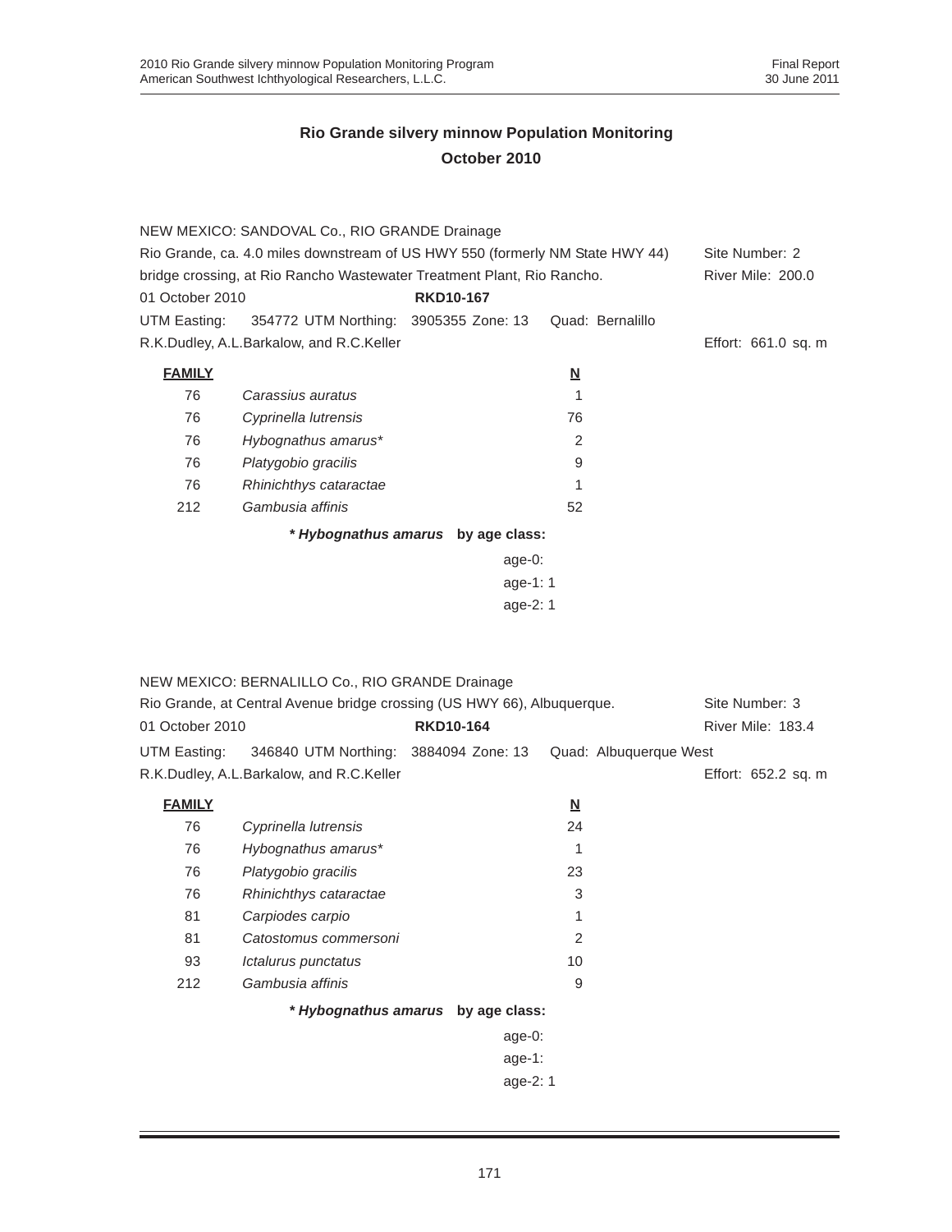|                                                                               | NEW MEXICO: SANDOVAL Co., RIO GRANDE Drainage      |        |                          |                   |  |
|-------------------------------------------------------------------------------|----------------------------------------------------|--------|--------------------------|-------------------|--|
| Rio Grande, ca. 4.0 miles downstream of US HWY 550 (formerly NM State HWY 44) |                                                    |        |                          | Site Number: 2    |  |
| bridge crossing, at Rio Rancho Wastewater Treatment Plant, Rio Rancho.        |                                                    |        |                          | River Mile: 200.0 |  |
| <b>RKD10-167</b><br>01 October 2010                                           |                                                    |        |                          |                   |  |
|                                                                               | UTM Easting: 354772 UTM Northing: 3905355 Zone: 13 |        | Quad: Bernalillo         |                   |  |
| R.K.Dudley, A.L.Barkalow, and R.C.Keller                                      | Effort: 661.0 sq. m                                |        |                          |                   |  |
| <b>FAMILY</b>                                                                 |                                                    |        | $\underline{\mathsf{N}}$ |                   |  |
| 76                                                                            | Carassius auratus                                  |        |                          |                   |  |
| 76                                                                            | Cyprinella lutrensis                               |        | 76                       |                   |  |
| 76                                                                            | Hybognathus amarus*                                |        | 2                        |                   |  |
| 76                                                                            | Platygobio gracilis                                |        | 9                        |                   |  |
| 76                                                                            | Rhinichthys cataractae                             |        |                          |                   |  |
| 212                                                                           | Gambusia affinis                                   |        | 52                       |                   |  |
| * Hybognathus amarus by age class:                                            |                                                    |        |                          |                   |  |
|                                                                               |                                                    | age-0: |                          |                   |  |
|                                                                               |                                                    |        |                          |                   |  |
| age-2: 1                                                                      |                                                    |        |                          |                   |  |

|                                                                         | NEW MEXICO: BERNALILLO Co., RIO GRANDE Drainage |                                    |                          |                        |
|-------------------------------------------------------------------------|-------------------------------------------------|------------------------------------|--------------------------|------------------------|
| Rio Grande, at Central Avenue bridge crossing (US HWY 66), Albuquerque. |                                                 |                                    | Site Number: 3           |                        |
| 01 October 2010                                                         |                                                 | <b>RKD10-164</b>                   | River Mile: 183.4        |                        |
| UTM Easting:                                                            | 346840 UTM Northing: 3884094 Zone: 13           |                                    |                          | Quad: Albuquerque West |
|                                                                         | R.K.Dudley, A.L.Barkalow, and R.C.Keller        |                                    |                          | Effort: 652.2 sq. m    |
| <b>FAMILY</b>                                                           |                                                 |                                    | $\underline{\mathbf{N}}$ |                        |
| 76                                                                      | Cyprinella lutrensis                            |                                    | 24                       |                        |
| 76                                                                      | Hybognathus amarus*                             |                                    | 1                        |                        |
| 76                                                                      | Platygobio gracilis                             |                                    | 23                       |                        |
| 76                                                                      | Rhinichthys cataractae                          |                                    | 3                        |                        |
| 81                                                                      | Carpiodes carpio                                |                                    | 1                        |                        |
| 81                                                                      | Catostomus commersoni                           |                                    | 2                        |                        |
| 93                                                                      | Ictalurus punctatus                             |                                    | 10                       |                        |
| 212                                                                     | Gambusia affinis                                |                                    | 9                        |                        |
|                                                                         |                                                 | * Hybognathus amarus by age class: |                          |                        |
|                                                                         |                                                 | age-0:                             |                          |                        |
|                                                                         |                                                 | age-1:                             |                          |                        |
|                                                                         |                                                 | age-2: 1                           |                          |                        |
|                                                                         |                                                 |                                    |                          |                        |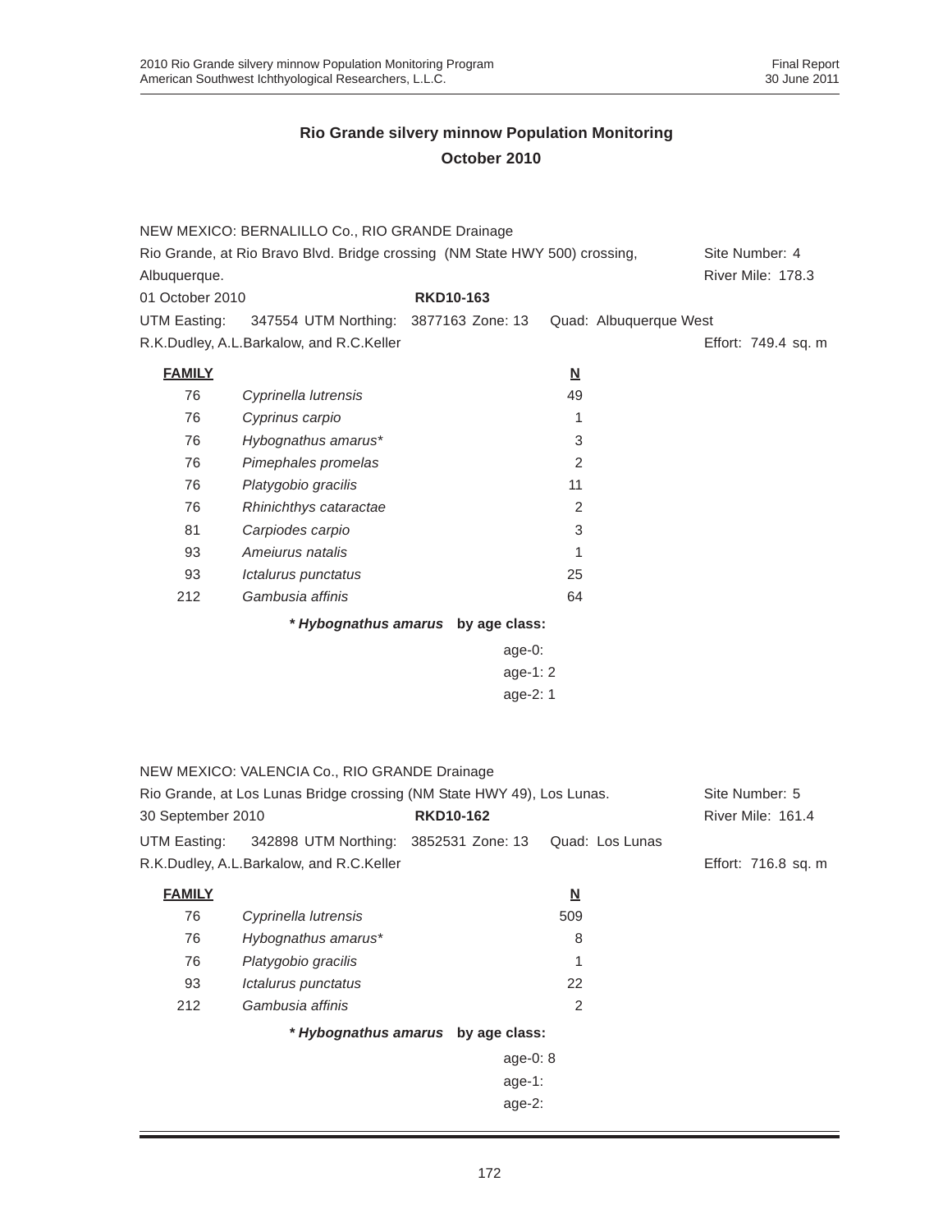|                                                                                                                 | NEW MEXICO: BERNALILLO Co., RIO GRANDE Drainage |                                    |                          |                     |
|-----------------------------------------------------------------------------------------------------------------|-------------------------------------------------|------------------------------------|--------------------------|---------------------|
| Rio Grande, at Rio Bravo Blvd. Bridge crossing (NM State HWY 500) crossing,                                     | Site Number: 4                                  |                                    |                          |                     |
| Albuquerque.                                                                                                    |                                                 |                                    |                          | River Mile: 178.3   |
| 01 October 2010                                                                                                 |                                                 | <b>RKD10-163</b>                   |                          |                     |
| UTM Easting:                                                                                                    | 347554 UTM Northing: 3877163 Zone: 13           |                                    | Quad: Albuquerque West   |                     |
|                                                                                                                 | R.K.Dudley, A.L.Barkalow, and R.C.Keller        |                                    |                          | Effort: 749.4 sq. m |
| <b>FAMILY</b>                                                                                                   |                                                 |                                    | $\underline{\mathsf{N}}$ |                     |
| 76                                                                                                              | Cyprinella lutrensis                            |                                    | 49                       |                     |
| 76                                                                                                              | Cyprinus carpio                                 |                                    | 1                        |                     |
| 76                                                                                                              | Hybognathus amarus*                             |                                    | 3                        |                     |
| 76                                                                                                              | Pimephales promelas                             |                                    | 2                        |                     |
| 76                                                                                                              | Platygobio gracilis                             |                                    | 11                       |                     |
| 76                                                                                                              | Rhinichthys cataractae                          |                                    | 2                        |                     |
| 81                                                                                                              | Carpiodes carpio                                |                                    | 3                        |                     |
| 93                                                                                                              | Amejurus natalis                                |                                    | 1                        |                     |
| 93                                                                                                              | Ictalurus punctatus                             |                                    | 25                       |                     |
| 212                                                                                                             | Gambusia affinis                                |                                    | 64                       |                     |
|                                                                                                                 |                                                 | * Hybognathus amarus by age class: |                          |                     |
|                                                                                                                 |                                                 | age-0:                             |                          |                     |
| age-1: 2<br>age-2: 1                                                                                            |                                                 |                                    |                          |                     |
|                                                                                                                 |                                                 |                                    |                          |                     |
|                                                                                                                 |                                                 |                                    |                          |                     |
|                                                                                                                 |                                                 |                                    |                          |                     |
|                                                                                                                 | NEW MEXICO: VALENCIA Co., RIO GRANDE Drainage   |                                    |                          |                     |
|                                                                                                                 |                                                 |                                    |                          | Site Number: 5      |
| Rio Grande, at Los Lunas Bridge crossing (NM State HWY 49), Los Lunas.<br><b>RKD10-162</b><br>30 September 2010 |                                                 |                                    | River Mile: 161.4        |                     |
| UTM Easting:                                                                                                    | 342898 UTM Northing: 3852531 Zone: 13           |                                    | Quad: Los Lunas          |                     |
|                                                                                                                 | R.K.Dudley, A.L.Barkalow, and R.C.Keller        |                                    |                          | Effort: 716.8 sq. m |
| <b>FAMILY</b>                                                                                                   |                                                 |                                    | <u>N</u>                 |                     |
| 76                                                                                                              | Cyprinella lutrensis                            |                                    | 509                      |                     |
| 76                                                                                                              | Hybognathus amarus*                             |                                    | 8                        |                     |
| 76                                                                                                              | Platygobio gracilis                             |                                    | 1                        |                     |
| 93                                                                                                              | Ictalurus punctatus                             |                                    | 22                       |                     |
| 212                                                                                                             | Gambusia affinis                                |                                    | $\overline{c}$           |                     |
|                                                                                                                 |                                                 | * Hybognathus amarus by age class: |                          |                     |
|                                                                                                                 |                                                 | age-0: 8                           |                          |                     |
| age-1:                                                                                                          |                                                 |                                    |                          |                     |
|                                                                                                                 |                                                 | age-2:                             |                          |                     |
|                                                                                                                 |                                                 |                                    |                          |                     |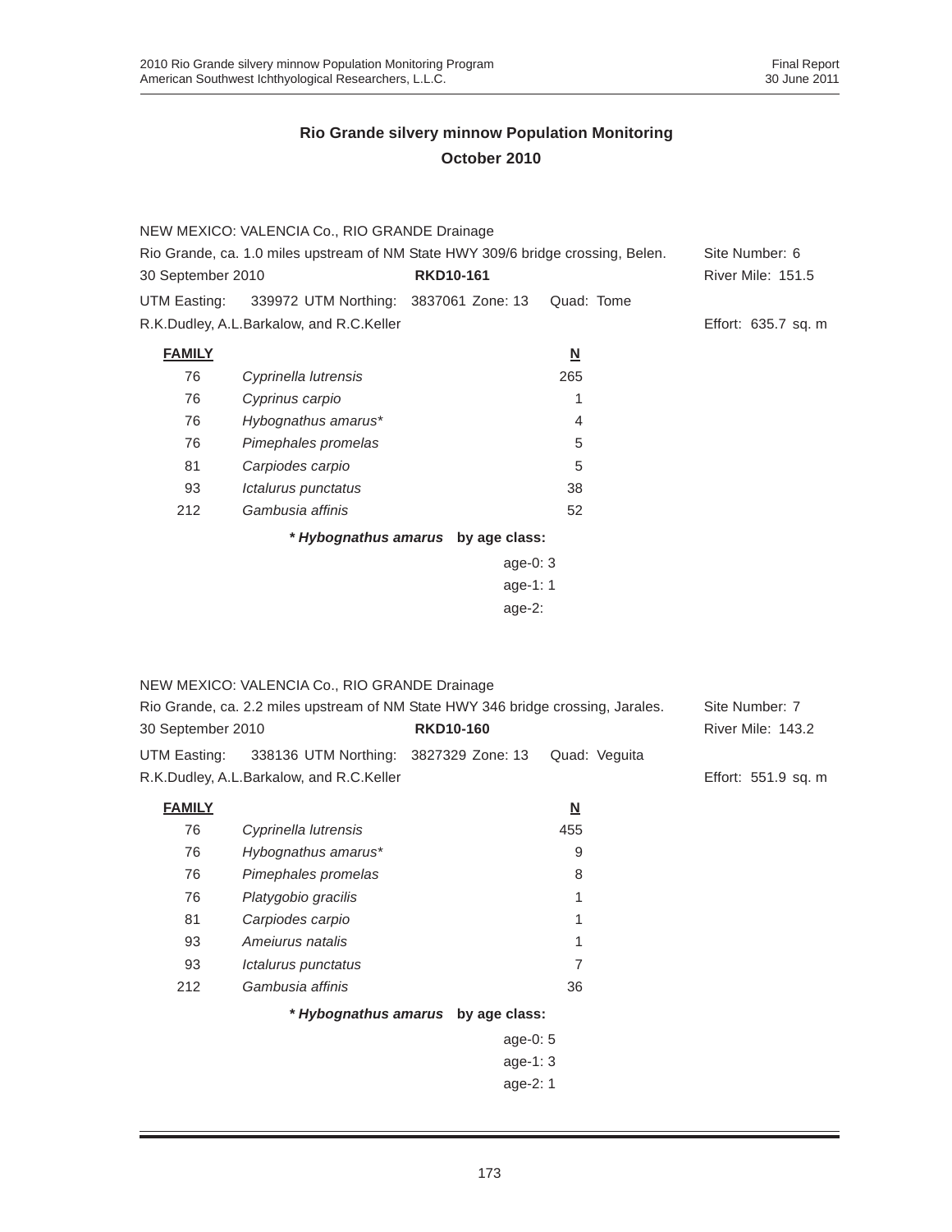|                   | NEW MEXICO: VALENCIA Co., RIO GRANDE Drainage                                    |                                    |                          |                     |
|-------------------|----------------------------------------------------------------------------------|------------------------------------|--------------------------|---------------------|
|                   | Rio Grande, ca. 1.0 miles upstream of NM State HWY 309/6 bridge crossing, Belen. |                                    |                          | Site Number: 6      |
| 30 September 2010 |                                                                                  | <b>RKD10-161</b>                   |                          | River Mile: 151.5   |
| UTM Easting:      | 339972 UTM Northing: 3837061 Zone: 13                                            |                                    | Quad: Tome               |                     |
|                   | R.K.Dudley, A.L.Barkalow, and R.C.Keller                                         |                                    |                          | Effort: 635.7 sq. m |
| <b>FAMILY</b>     |                                                                                  |                                    | $\underline{\mathbf{N}}$ |                     |
| 76                | Cyprinella lutrensis                                                             |                                    | 265                      |                     |
| 76                | Cyprinus carpio                                                                  |                                    | 1                        |                     |
| 76                | Hybognathus amarus*                                                              |                                    | 4                        |                     |
| 76                | Pimephales promelas                                                              |                                    | 5                        |                     |
| 81                | Carpiodes carpio                                                                 |                                    | 5                        |                     |
| 93                | Ictalurus punctatus                                                              |                                    | 38                       |                     |
| 212               | Gambusia affinis                                                                 |                                    | 52                       |                     |
|                   |                                                                                  | * Hybognathus amarus by age class: |                          |                     |
|                   |                                                                                  | age-0: $3$                         |                          |                     |
|                   |                                                                                  | age-1: 1                           |                          |                     |
|                   |                                                                                  | $age-2$ :                          |                          |                     |
|                   |                                                                                  |                                    |                          |                     |
|                   |                                                                                  |                                    |                          |                     |

|                   | NEW MEXICO: VALENCIA Co., RIO GRANDE Drainage                                    |                                    |                          |                     |
|-------------------|----------------------------------------------------------------------------------|------------------------------------|--------------------------|---------------------|
|                   | Rio Grande, ca. 2.2 miles upstream of NM State HWY 346 bridge crossing, Jarales. |                                    |                          | Site Number: 7      |
| 30 September 2010 |                                                                                  | <b>RKD10-160</b>                   |                          | River Mile: 143.2   |
|                   | UTM Easting: 338136 UTM Northing: 3827329 Zone: 13                               |                                    | Quad: Veguita            |                     |
|                   | R.K.Dudley, A.L.Barkalow, and R.C.Keller                                         |                                    |                          | Effort: 551.9 sq. m |
| <b>FAMILY</b>     |                                                                                  |                                    | $\underline{\mathbf{N}}$ |                     |
| 76                | Cyprinella lutrensis                                                             |                                    | 455                      |                     |
| 76                | Hybognathus amarus*                                                              |                                    | 9                        |                     |
| 76                | Pimephales promelas                                                              |                                    | 8                        |                     |
| 76                | Platygobio gracilis                                                              |                                    |                          |                     |
| 81                | Carpiodes carpio                                                                 |                                    |                          |                     |
| 93                | Amejurus natalis                                                                 |                                    | 1                        |                     |
| 93                | Ictalurus punctatus                                                              |                                    | 7                        |                     |
| 212               | Gambusia affinis                                                                 |                                    | 36                       |                     |
|                   |                                                                                  | * Hybognathus amarus by age class: |                          |                     |
|                   |                                                                                  | age-0: $5$                         |                          |                     |
|                   |                                                                                  | age-1: $3$                         |                          |                     |
|                   |                                                                                  | age-2: 1                           |                          |                     |
|                   |                                                                                  |                                    |                          |                     |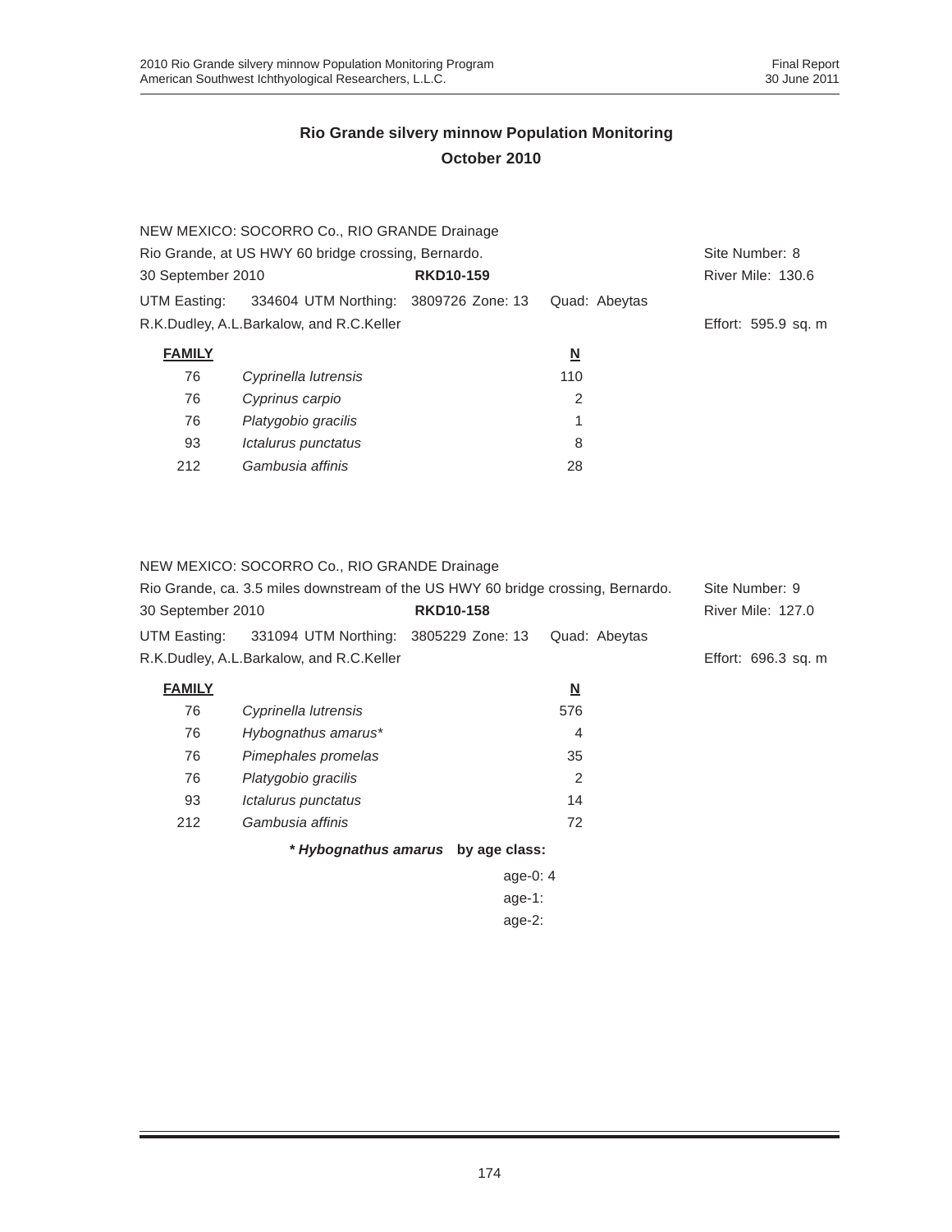|                   | NEW MEXICO: SOCORRO Co., RIO GRANDE Drainage        |                  |                          |                     |
|-------------------|-----------------------------------------------------|------------------|--------------------------|---------------------|
|                   | Rio Grande, at US HWY 60 bridge crossing, Bernardo. |                  |                          | Site Number: 8      |
| 30 September 2010 |                                                     | <b>RKD10-159</b> |                          | River Mile: 130.6   |
|                   | UTM Easting: 334604 UTM Northing: 3809726 Zone: 13  |                  | Quad: Abeytas            |                     |
|                   | R.K.Dudley, A.L.Barkalow, and R.C.Keller            |                  |                          | Effort: 595.9 sq. m |
| <b>FAMILY</b>     |                                                     |                  | $\underline{\mathsf{N}}$ |                     |
| 76                | Cyprinella lutrensis                                |                  | 110                      |                     |
| 76                | Cyprinus carpio                                     |                  | 2                        |                     |
| 76                | Platygobio gracilis                                 |                  | 1                        |                     |
| 93                | Ictalurus punctatus                                 |                  | 8                        |                     |
| 212               | Gambusia affinis                                    |                  | 28                       |                     |

NEW MEXICO: SOCORRO Co., RIO GRANDE Drainage

| Rio Grande, ca. 3.5 miles downstream of the US HWY 60 bridge crossing, Bernardo. | Site Number: 9                                     |                  |               |                          |
|----------------------------------------------------------------------------------|----------------------------------------------------|------------------|---------------|--------------------------|
| 30 September 2010                                                                |                                                    | <b>RKD10-158</b> |               | <b>River Mile: 127.0</b> |
|                                                                                  | UTM Easting: 331094 UTM Northing: 3805229 Zone: 13 |                  | Quad: Abevtas |                          |
|                                                                                  | R.K.Dudley, A.L.Barkalow, and R.C.Keller           |                  |               | Effort: 696.3 sq. m      |
|                                                                                  |                                                    |                  |               |                          |

| <b>FAMILY</b> |                      | <u>N</u> |
|---------------|----------------------|----------|
| 76            | Cyprinella lutrensis | 576      |
| 76            | Hybognathus amarus*  | 4        |
| 76            | Pimephales promelas  | 35       |
| 76            | Platygobio gracilis  | 2        |
| 93            | Ictalurus punctatus  | 14       |
| 212           | Gambusia affinis     | 72       |
|               |                      |          |

*\* Hybognathus amarus* **by age class:**

| age-0: 4  |
|-----------|
| age-1:    |
| $age-2$ : |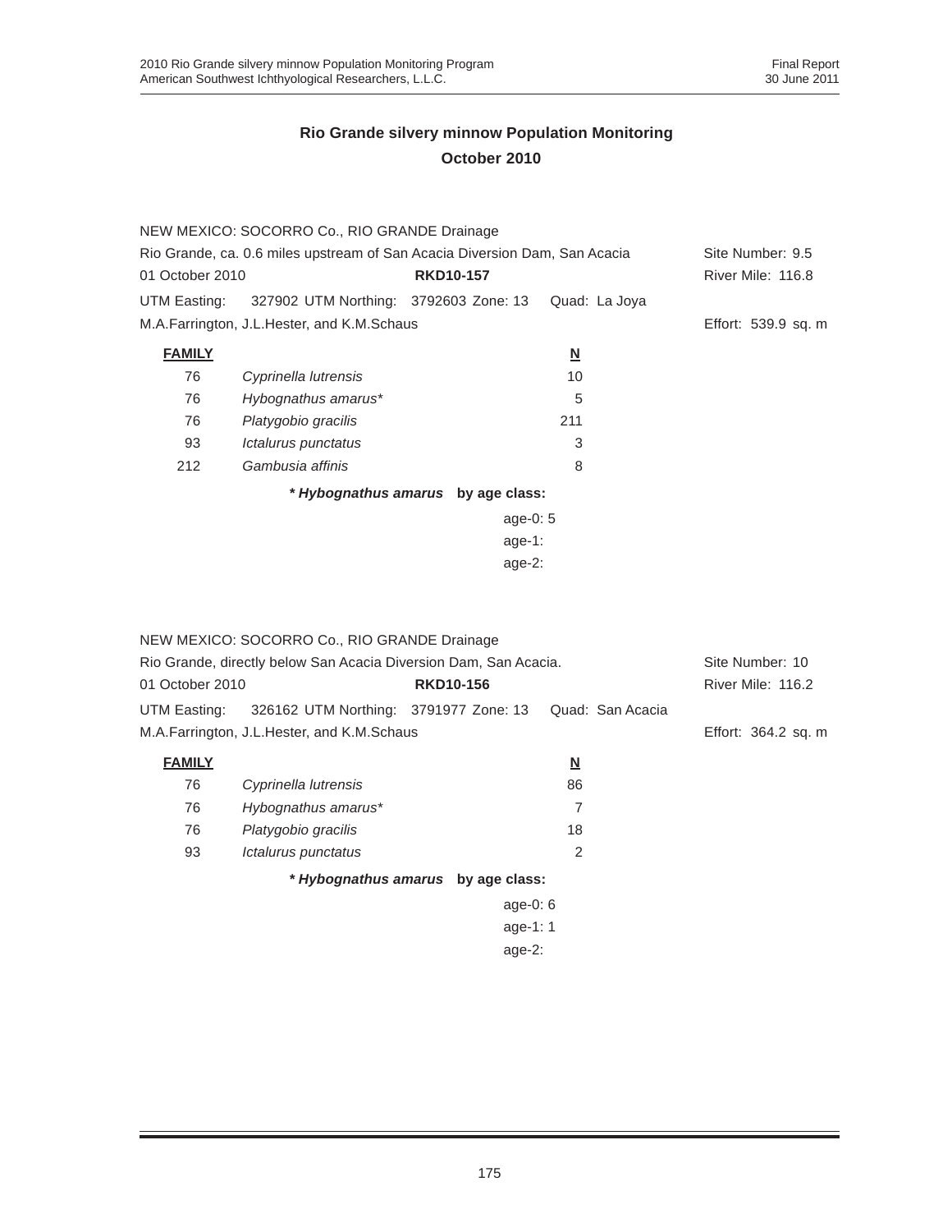|                 | NEW MEXICO: SOCORRO Co., RIO GRANDE Drainage                               |                                    |                          |                     |  |  |
|-----------------|----------------------------------------------------------------------------|------------------------------------|--------------------------|---------------------|--|--|
|                 | Rio Grande, ca. 0.6 miles upstream of San Acacia Diversion Dam, San Acacia |                                    |                          | Site Number: 9.5    |  |  |
| 01 October 2010 |                                                                            | <b>RKD10-157</b>                   |                          | River Mile: 116.8   |  |  |
| UTM Easting:    | 327902 UTM Northing: 3792603 Zone: 13                                      |                                    | Quad: La Joya            |                     |  |  |
|                 | M.A.Farrington, J.L.Hester, and K.M.Schaus                                 |                                    |                          | Effort: 539.9 sq. m |  |  |
| <b>FAMILY</b>   |                                                                            |                                    | $\underline{\mathsf{N}}$ |                     |  |  |
| 76              | Cyprinella lutrensis                                                       |                                    | 10                       |                     |  |  |
| 76              | Hybognathus amarus*                                                        |                                    | 5                        |                     |  |  |
| 76              | Platygobio gracilis                                                        |                                    | 211                      |                     |  |  |
| 93              | Ictalurus punctatus                                                        |                                    | 3                        |                     |  |  |
| 212             | Gambusia affinis                                                           |                                    | 8                        |                     |  |  |
|                 |                                                                            | * Hybognathus amarus by age class: |                          |                     |  |  |
|                 |                                                                            | age-0: $5$                         |                          |                     |  |  |
|                 |                                                                            | age-1:                             |                          |                     |  |  |
|                 | age- $2$ :                                                                 |                                    |                          |                     |  |  |

|                 | NEW MEXICO: SOCORRO Co., RIO GRANDE Drainage                     |                                    |                         |                  |                     |
|-----------------|------------------------------------------------------------------|------------------------------------|-------------------------|------------------|---------------------|
|                 | Rio Grande, directly below San Acacia Diversion Dam, San Acacia. |                                    |                         |                  | Site Number: 10     |
| 01 October 2010 |                                                                  | <b>RKD10-156</b>                   |                         |                  | River Mile: 116.2   |
| UTM Easting:    | 326162 UTM Northing: 3791977 Zone: 13                            |                                    |                         | Quad: San Acacia |                     |
|                 | M.A.Farrington, J.L.Hester, and K.M.Schaus                       |                                    |                         |                  | Effort: 364.2 sq. m |
| <b>FAMILY</b>   |                                                                  |                                    | $\overline{\mathsf{M}}$ |                  |                     |
| 76              | Cyprinella lutrensis                                             |                                    | 86                      |                  |                     |
| 76              | Hybognathus amarus*                                              |                                    | 7                       |                  |                     |
| 76              | Platygobio gracilis                                              |                                    | 18                      |                  |                     |
| 93              | Ictalurus punctatus                                              |                                    | 2                       |                  |                     |
|                 |                                                                  | * Hybognathus amarus by age class: |                         |                  |                     |
|                 |                                                                  | age-0: $6$                         |                         |                  |                     |
| age-1: $1$      |                                                                  |                                    |                         |                  |                     |

age-2: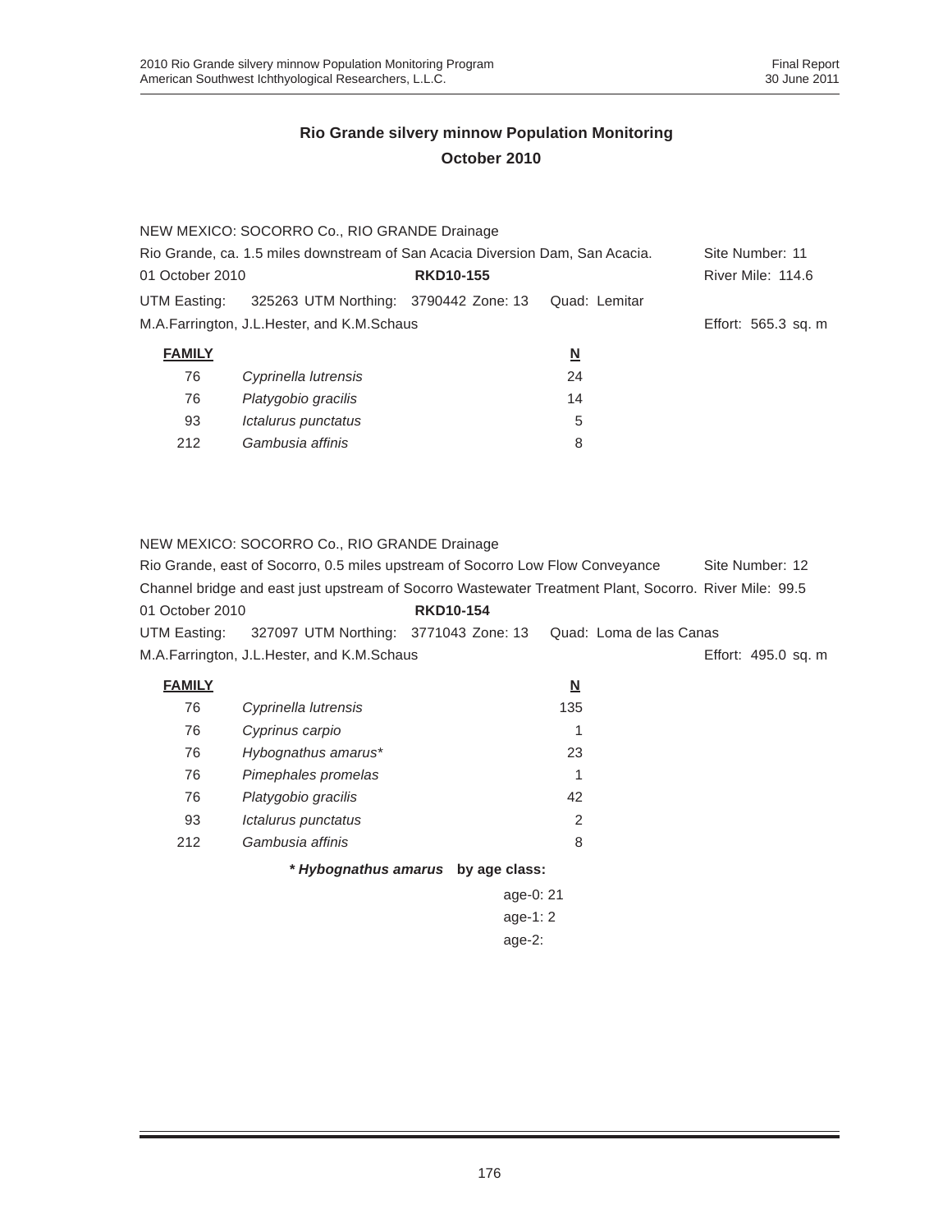|                                                                               | NEW MEXICO: SOCORRO Co., RIO GRANDE Drainage        |                  |                         |                     |
|-------------------------------------------------------------------------------|-----------------------------------------------------|------------------|-------------------------|---------------------|
| Rio Grande, ca. 1.5 miles downstream of San Acacia Diversion Dam, San Acacia. | Site Number: 11                                     |                  |                         |                     |
| 01 October 2010                                                               |                                                     | <b>RKD10-155</b> |                         | River Mile: 114.6   |
| UTM Easting:                                                                  | 325263 UTM Northing: 3790442 Zone: 13 Quad: Lemitar |                  |                         |                     |
|                                                                               | M.A.Farrington, J.L.Hester, and K.M.Schaus          |                  |                         | Effort: 565.3 sq. m |
| <b>FAMILY</b>                                                                 |                                                     |                  | $\overline{\mathbf{N}}$ |                     |
| 76                                                                            | Cyprinella lutrensis                                |                  | 24                      |                     |
| 76                                                                            | Platygobio gracilis                                 |                  | 14                      |                     |
| 93                                                                            | Ictalurus punctatus                                 |                  | 5                       |                     |

#### NEW MEXICO: SOCORRO Co., RIO GRANDE Drainage

212 *Gambusia affinis* 8

|                 | Rio Grande, east of Socorro, 0.5 miles upstream of Socorro Low Flow Conveyance                         |                  | Site Number: 12 |                     |
|-----------------|--------------------------------------------------------------------------------------------------------|------------------|-----------------|---------------------|
|                 | Channel bridge and east just upstream of Socorro Wastewater Treatment Plant, Socorro, River Mile: 99.5 |                  |                 |                     |
| 01 October 2010 |                                                                                                        | <b>RKD10-154</b> |                 |                     |
|                 | UTM Easting: 327097 UTM Northing: 3771043 Zone: 13 Quad: Loma de las Canas                             |                  |                 |                     |
|                 | M.A.Farrington, J.L.Hester, and K.M.Schaus                                                             |                  |                 | Effort: 495.0 sq. m |

| <b>FAMILY</b> |                      | <u>N</u>      |
|---------------|----------------------|---------------|
| 76            | Cyprinella lutrensis | 135           |
| 76            | Cyprinus carpio      | 1             |
| 76            | Hybognathus amarus*  | 23            |
| 76            | Pimephales promelas  | 1             |
| 76            | Platygobio gracilis  | 42            |
| 93            | Ictalurus punctatus  | $\mathcal{P}$ |
| 212           | Gambusia affinis     | 8             |
|               | * Hybognathus amarus | by age class: |
|               |                      | age-0: 21     |
|               |                      | age-1: $2$    |

age-2: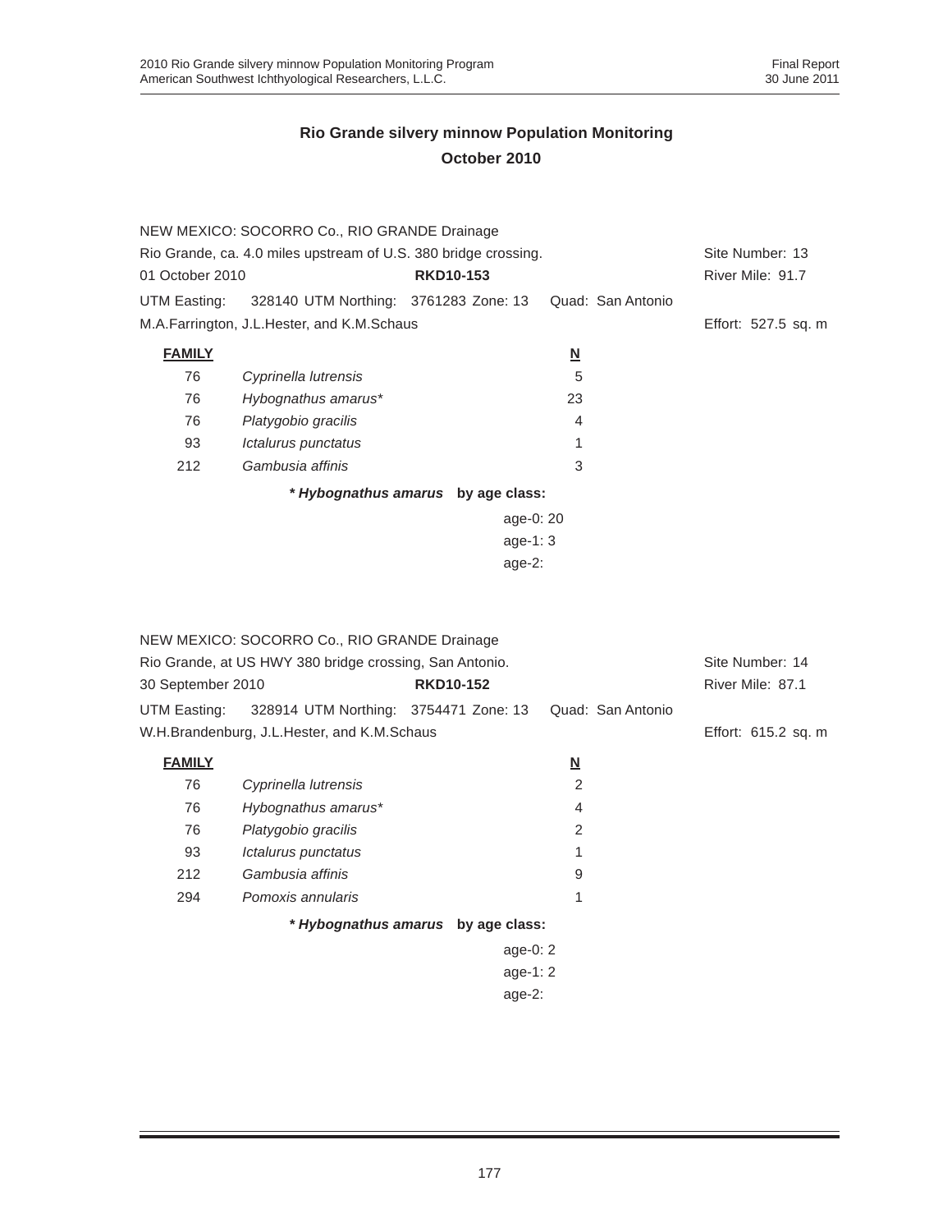|                 | NEW MEXICO: SOCORRO Co., RIO GRANDE Drainage                    |                                    |                          |                     |
|-----------------|-----------------------------------------------------------------|------------------------------------|--------------------------|---------------------|
|                 | Rio Grande, ca. 4.0 miles upstream of U.S. 380 bridge crossing. |                                    |                          | Site Number: 13     |
| 01 October 2010 |                                                                 | <b>RKD10-153</b>                   |                          | River Mile: 91.7    |
| UTM Easting:    | 328140 UTM Northing: 3761283 Zone: 13                           |                                    | Quad: San Antonio        |                     |
|                 | M.A.Farrington, J.L.Hester, and K.M.Schaus                      |                                    |                          | Effort: 527.5 sq. m |
| <b>FAMILY</b>   |                                                                 |                                    | $\underline{\mathsf{N}}$ |                     |
| 76              | Cyprinella lutrensis                                            |                                    | 5                        |                     |
| 76              | Hybognathus amarus*                                             |                                    | 23                       |                     |
| 76              | Platygobio gracilis                                             |                                    | 4                        |                     |
| 93              | Ictalurus punctatus                                             |                                    |                          |                     |
| 212             | Gambusia affinis                                                |                                    | 3                        |                     |
|                 |                                                                 | * Hybognathus amarus by age class: |                          |                     |
|                 |                                                                 | age-0: 20                          |                          |                     |
|                 |                                                                 | age-1: $3$                         |                          |                     |
|                 |                                                                 | age- $2:$                          |                          |                     |

| NEW MEXICO: SOCORRO Co., RIO GRANDE Drainage<br>Rio Grande, at US HWY 380 bridge crossing, San Antonio.<br>30 September 2010 | Site Number: 14<br>River Mile: 87.1         |  |            |                         |                   |                     |
|------------------------------------------------------------------------------------------------------------------------------|---------------------------------------------|--|------------|-------------------------|-------------------|---------------------|
| UTM Easting:                                                                                                                 | 328914 UTM Northing: 3754471 Zone: 13       |  |            |                         | Quad: San Antonio |                     |
|                                                                                                                              | W.H.Brandenburg, J.L.Hester, and K.M.Schaus |  |            |                         |                   | Effort: 615.2 sq. m |
| <b>FAMILY</b>                                                                                                                |                                             |  |            | $\overline{\mathsf{M}}$ |                   |                     |
| 76                                                                                                                           | Cyprinella lutrensis                        |  |            | 2                       |                   |                     |
| 76                                                                                                                           | Hybognathus amarus*                         |  |            | $\overline{4}$          |                   |                     |
| 76                                                                                                                           | Platygobio gracilis                         |  |            | $\overline{2}$          |                   |                     |
| 93                                                                                                                           | Ictalurus punctatus                         |  |            | 1                       |                   |                     |
| 212                                                                                                                          | Gambusia affinis                            |  |            | 9                       |                   |                     |
| 294                                                                                                                          | Pomoxis annularis                           |  |            | 1                       |                   |                     |
|                                                                                                                              | * Hybognathus amarus by age class:          |  |            |                         |                   |                     |
|                                                                                                                              |                                             |  | age-0: $2$ |                         |                   |                     |
| age-1: $2$                                                                                                                   |                                             |  |            |                         |                   |                     |
|                                                                                                                              |                                             |  | age- $2$ : |                         |                   |                     |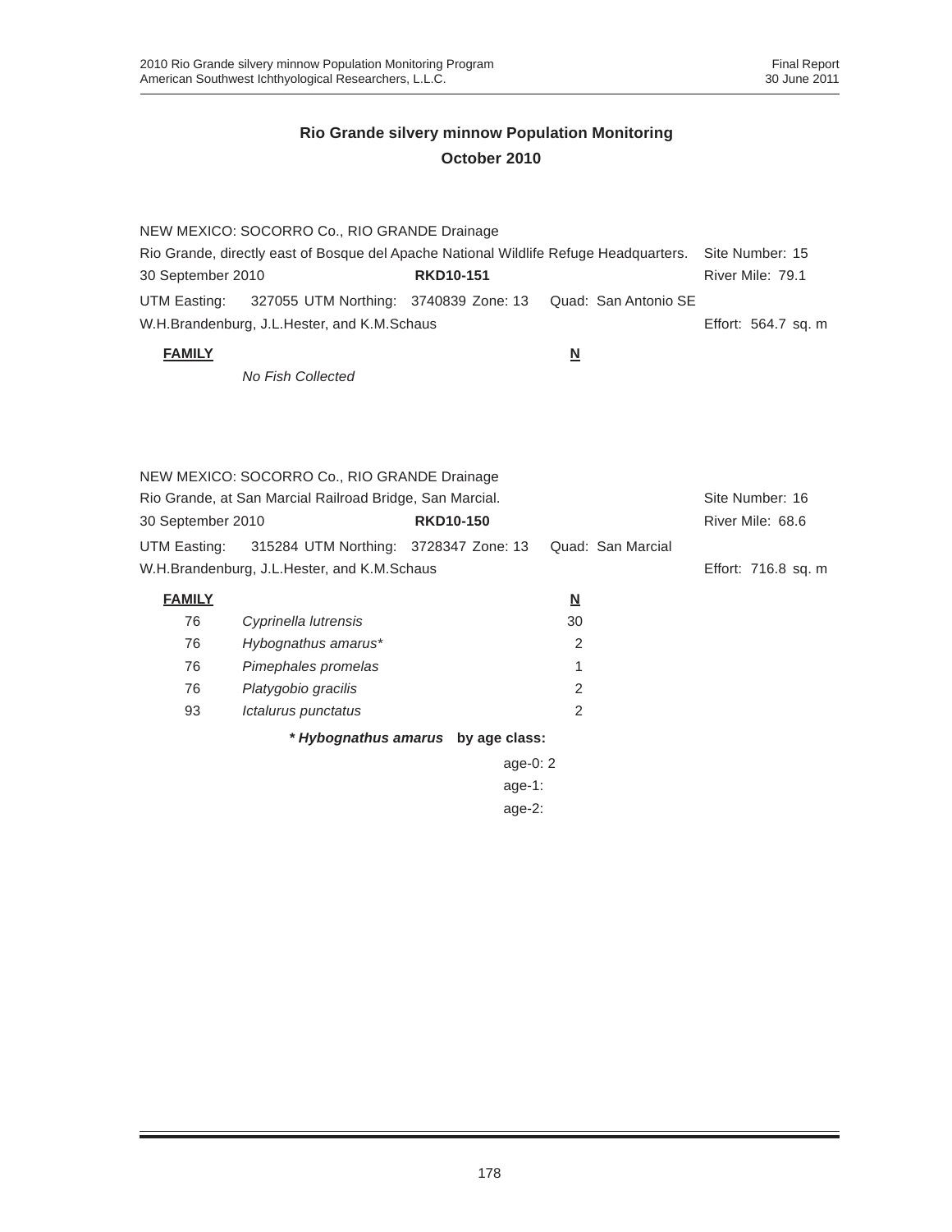|                                                                                       | NEW MEXICO: SOCORRO Co., RIO GRANDE Drainage |                  |                                                                         |                     |
|---------------------------------------------------------------------------------------|----------------------------------------------|------------------|-------------------------------------------------------------------------|---------------------|
| Rio Grande, directly east of Bosque del Apache National Wildlife Refuge Headquarters. | Site Number: 15                              |                  |                                                                         |                     |
| 30 September 2010                                                                     |                                              | <b>RKD10-151</b> |                                                                         | River Mile: 79.1    |
|                                                                                       |                                              |                  | UTM Easting: 327055 UTM Northing: 3740839 Zone: 13 Quad: San Antonio SE |                     |
|                                                                                       | W.H.Brandenburg, J.L.Hester, and K.M.Schaus  |                  |                                                                         | Effort: 564.7 sq. m |

### **FAMILY N**

*No Fish Collected*

| NEW MEXICO: SOCORRO Co., RIO GRANDE Drainage |                                                                             |                  |                         |                  |  |  |  |  |
|----------------------------------------------|-----------------------------------------------------------------------------|------------------|-------------------------|------------------|--|--|--|--|
|                                              | Rio Grande, at San Marcial Railroad Bridge, San Marcial.<br>Site Number: 16 |                  |                         |                  |  |  |  |  |
| 30 September 2010                            |                                                                             | <b>RKD10-150</b> |                         | River Mile: 68.6 |  |  |  |  |
| UTM Easting:                                 | 315284 UTM Northing: 3728347 Zone: 13                                       |                  | Quad: San Marcial       |                  |  |  |  |  |
| W.H.Brandenburg, J.L.Hester, and K.M.Schaus  | Effort: 716.8 sq. m                                                         |                  |                         |                  |  |  |  |  |
| <b>FAMILY</b>                                |                                                                             |                  | $\overline{\mathsf{N}}$ |                  |  |  |  |  |
| 76                                           | Cyprinella lutrensis                                                        |                  | 30                      |                  |  |  |  |  |
| 76                                           | Hybognathus amarus*                                                         |                  | 2                       |                  |  |  |  |  |
| 76                                           | Pimephales promelas                                                         |                  |                         |                  |  |  |  |  |
| 76                                           | Platygobio gracilis                                                         |                  | 2                       |                  |  |  |  |  |
| 93                                           | Ictalurus punctatus                                                         |                  | 2                       |                  |  |  |  |  |

*\* Hybognathus amarus* **by age class:**

age-0: 2 age-1:

age-2: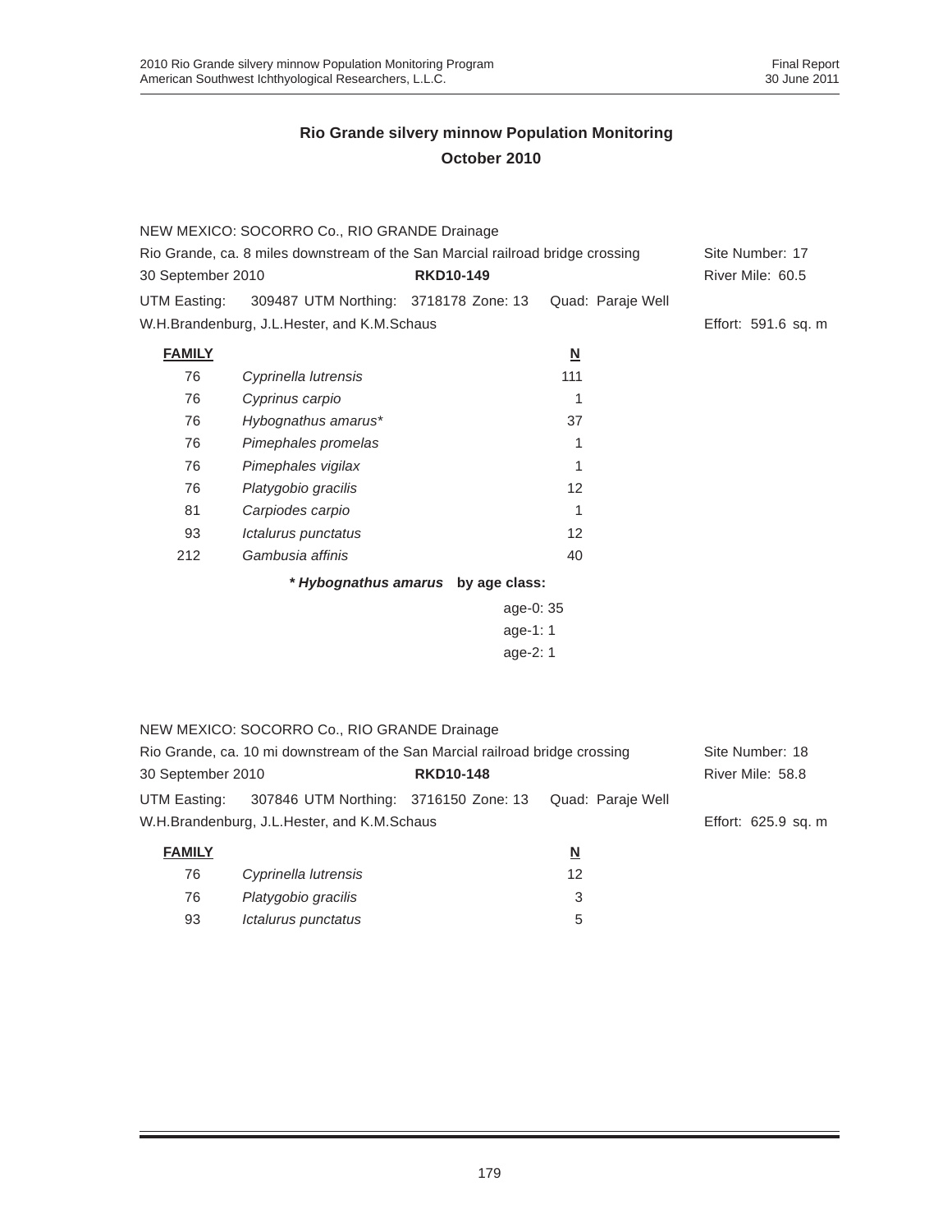|                   | NEW MEXICO: SOCORRO Co., RIO GRANDE Drainage                                   |                                    |                          |                     |
|-------------------|--------------------------------------------------------------------------------|------------------------------------|--------------------------|---------------------|
|                   | Rio Grande, ca. 8 miles downstream of the San Marcial railroad bridge crossing |                                    |                          | Site Number: 17     |
| 30 September 2010 |                                                                                | <b>RKD10-149</b>                   |                          | River Mile: 60.5    |
| UTM Easting:      | 309487 UTM Northing: 3718178 Zone: 13                                          |                                    | Quad: Paraje Well        |                     |
|                   | W.H.Brandenburg, J.L.Hester, and K.M.Schaus                                    |                                    |                          | Effort: 591.6 sq. m |
| <b>FAMILY</b>     |                                                                                |                                    | $\underline{\mathbf{N}}$ |                     |
| 76                | Cyprinella lutrensis                                                           |                                    | 111                      |                     |
| 76                | Cyprinus carpio                                                                |                                    | 1                        |                     |
| 76                | Hybognathus amarus*                                                            |                                    | 37                       |                     |
| 76                | Pimephales promelas                                                            |                                    | 1                        |                     |
| 76                | Pimephales vigilax                                                             |                                    | 1                        |                     |
| 76                | Platygobio gracilis                                                            |                                    | $12 \overline{ }$        |                     |
| 81                | Carpiodes carpio                                                               |                                    | 1                        |                     |
| 93                | Ictalurus punctatus                                                            |                                    | $12 \overline{ }$        |                     |
| 212               | Gambusia affinis                                                               |                                    | 40                       |                     |
|                   |                                                                                | * Hybognathus amarus by age class: |                          |                     |
|                   |                                                                                | age-0: 35                          |                          |                     |
|                   |                                                                                | age-1: 1                           |                          |                     |
|                   |                                                                                | age-2: 1                           |                          |                     |
|                   |                                                                                |                                    |                          |                     |
|                   |                                                                                |                                    |                          |                     |
|                   | NEW MEXICO: SOCORRO Co., RIO GRANDE Drainage                                   |                                    |                          |                     |
|                   | Rio Grande, ca. 10 mi downstream of the San Marcial railroad bridge crossing   |                                    |                          | Site Number: 18     |
| 30 September 2010 |                                                                                | <b>RKD10-148</b>                   |                          | River Mile: 58.8    |
| UTM Easting:      | 307846 UTM Northing: 3716150 Zone: 13                                          |                                    | Quad: Paraje Well        |                     |
|                   | W.H.Brandenburg, J.L.Hester, and K.M.Schaus                                    |                                    |                          | Effort: 625.9 sq. m |
| <b>FAMILY</b>     |                                                                                |                                    | $\underline{\mathbf{N}}$ |                     |
| 76                | Cyprinella lutrensis                                                           |                                    | $12 \overline{ }$        |                     |
| 76                | Platygobio gracilis                                                            |                                    | 3                        |                     |
| 93                | Ictalurus punctatus                                                            |                                    | 5                        |                     |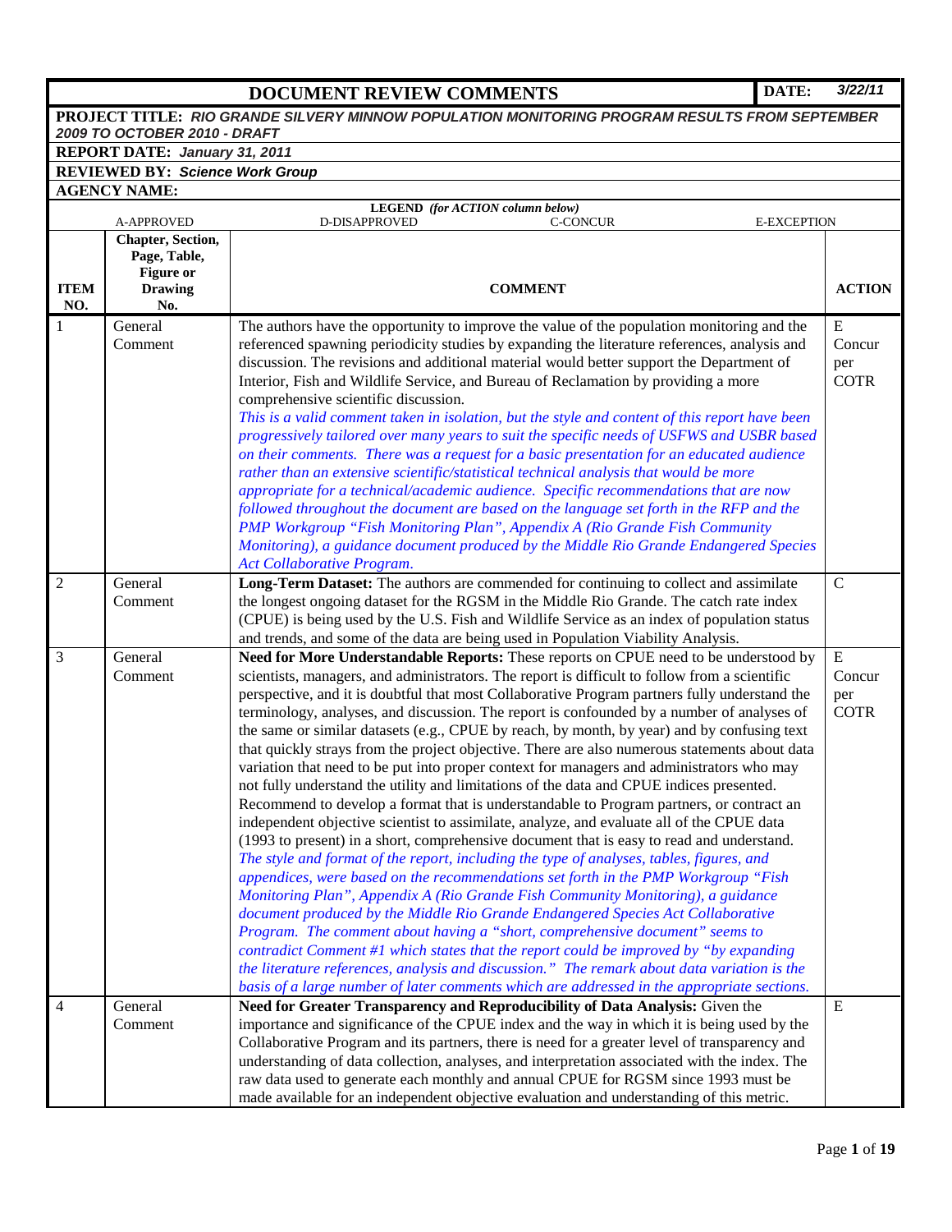# **DOCUMENT REVIEW COMMENTS DATE:** *3/22/11*

| PROJECT TITLE: RIO GRANDE SILVERY MINNOW POPULATION MONITORING PROGRAM RESULTS FROM SEPTEMBER |                                                                                |                                                                                                                                                                                                                                                                                                                                                                                                                                                                                                                                                                                                                                                                                                                                                                                                                                                                                                                                                                                                                                                                                                                                                                                                                                                                                                                                                                                                                                                                                                                                                                                                                                                                                                                                                                                                   |                                           |  |  |
|-----------------------------------------------------------------------------------------------|--------------------------------------------------------------------------------|---------------------------------------------------------------------------------------------------------------------------------------------------------------------------------------------------------------------------------------------------------------------------------------------------------------------------------------------------------------------------------------------------------------------------------------------------------------------------------------------------------------------------------------------------------------------------------------------------------------------------------------------------------------------------------------------------------------------------------------------------------------------------------------------------------------------------------------------------------------------------------------------------------------------------------------------------------------------------------------------------------------------------------------------------------------------------------------------------------------------------------------------------------------------------------------------------------------------------------------------------------------------------------------------------------------------------------------------------------------------------------------------------------------------------------------------------------------------------------------------------------------------------------------------------------------------------------------------------------------------------------------------------------------------------------------------------------------------------------------------------------------------------------------------------|-------------------------------------------|--|--|
| 2009 TO OCTOBER 2010 - DRAFT<br>REPORT DATE: January 31, 2011                                 |                                                                                |                                                                                                                                                                                                                                                                                                                                                                                                                                                                                                                                                                                                                                                                                                                                                                                                                                                                                                                                                                                                                                                                                                                                                                                                                                                                                                                                                                                                                                                                                                                                                                                                                                                                                                                                                                                                   |                                           |  |  |
|                                                                                               | <b>REVIEWED BY: Science Work Group</b>                                         |                                                                                                                                                                                                                                                                                                                                                                                                                                                                                                                                                                                                                                                                                                                                                                                                                                                                                                                                                                                                                                                                                                                                                                                                                                                                                                                                                                                                                                                                                                                                                                                                                                                                                                                                                                                                   |                                           |  |  |
|                                                                                               | <b>AGENCY NAME:</b>                                                            |                                                                                                                                                                                                                                                                                                                                                                                                                                                                                                                                                                                                                                                                                                                                                                                                                                                                                                                                                                                                                                                                                                                                                                                                                                                                                                                                                                                                                                                                                                                                                                                                                                                                                                                                                                                                   |                                           |  |  |
|                                                                                               |                                                                                | LEGEND (for ACTION column below)                                                                                                                                                                                                                                                                                                                                                                                                                                                                                                                                                                                                                                                                                                                                                                                                                                                                                                                                                                                                                                                                                                                                                                                                                                                                                                                                                                                                                                                                                                                                                                                                                                                                                                                                                                  |                                           |  |  |
|                                                                                               | <b>A-APPROVED</b>                                                              | D-DISAPPROVED<br><b>C-CONCUR</b><br><b>E-EXCEPTION</b>                                                                                                                                                                                                                                                                                                                                                                                                                                                                                                                                                                                                                                                                                                                                                                                                                                                                                                                                                                                                                                                                                                                                                                                                                                                                                                                                                                                                                                                                                                                                                                                                                                                                                                                                            |                                           |  |  |
| <b>ITEM</b><br>NO.                                                                            | Chapter, Section,<br>Page, Table,<br><b>Figure or</b><br><b>Drawing</b><br>No. | <b>COMMENT</b>                                                                                                                                                                                                                                                                                                                                                                                                                                                                                                                                                                                                                                                                                                                                                                                                                                                                                                                                                                                                                                                                                                                                                                                                                                                                                                                                                                                                                                                                                                                                                                                                                                                                                                                                                                                    | <b>ACTION</b>                             |  |  |
| $\mathbf{1}$                                                                                  | General                                                                        | The authors have the opportunity to improve the value of the population monitoring and the                                                                                                                                                                                                                                                                                                                                                                                                                                                                                                                                                                                                                                                                                                                                                                                                                                                                                                                                                                                                                                                                                                                                                                                                                                                                                                                                                                                                                                                                                                                                                                                                                                                                                                        | E                                         |  |  |
|                                                                                               | Comment                                                                        | referenced spawning periodicity studies by expanding the literature references, analysis and<br>discussion. The revisions and additional material would better support the Department of<br>Interior, Fish and Wildlife Service, and Bureau of Reclamation by providing a more<br>comprehensive scientific discussion.<br>This is a valid comment taken in isolation, but the style and content of this report have been<br>progressively tailored over many years to suit the specific needs of USFWS and USBR based<br>on their comments. There was a request for a basic presentation for an educated audience<br>rather than an extensive scientific/statistical technical analysis that would be more<br>appropriate for a technical/academic audience. Specific recommendations that are now<br>followed throughout the document are based on the language set forth in the RFP and the<br>PMP Workgroup "Fish Monitoring Plan", Appendix A (Rio Grande Fish Community<br>Monitoring), a guidance document produced by the Middle Rio Grande Endangered Species                                                                                                                                                                                                                                                                                                                                                                                                                                                                                                                                                                                                                                                                                                                             | Concur<br>per<br><b>COTR</b>              |  |  |
|                                                                                               |                                                                                | Act Collaborative Program.                                                                                                                                                                                                                                                                                                                                                                                                                                                                                                                                                                                                                                                                                                                                                                                                                                                                                                                                                                                                                                                                                                                                                                                                                                                                                                                                                                                                                                                                                                                                                                                                                                                                                                                                                                        |                                           |  |  |
| $\overline{2}$                                                                                | General<br>Comment                                                             | Long-Term Dataset: The authors are commended for continuing to collect and assimilate<br>the longest ongoing dataset for the RGSM in the Middle Rio Grande. The catch rate index<br>(CPUE) is being used by the U.S. Fish and Wildlife Service as an index of population status<br>and trends, and some of the data are being used in Population Viability Analysis.                                                                                                                                                                                                                                                                                                                                                                                                                                                                                                                                                                                                                                                                                                                                                                                                                                                                                                                                                                                                                                                                                                                                                                                                                                                                                                                                                                                                                              | $\mathbf C$                               |  |  |
| 3                                                                                             | General<br>Comment                                                             | Need for More Understandable Reports: These reports on CPUE need to be understood by<br>scientists, managers, and administrators. The report is difficult to follow from a scientific<br>perspective, and it is doubtful that most Collaborative Program partners fully understand the<br>terminology, analyses, and discussion. The report is confounded by a number of analyses of<br>the same or similar datasets (e.g., CPUE by reach, by month, by year) and by confusing text<br>that quickly strays from the project objective. There are also numerous statements about data<br>variation that need to be put into proper context for managers and administrators who may<br>not fully understand the utility and limitations of the data and CPUE indices presented.<br>Recommend to develop a format that is understandable to Program partners, or contract an<br>independent objective scientist to assimilate, analyze, and evaluate all of the CPUE data<br>(1993 to present) in a short, comprehensive document that is easy to read and understand.<br>The style and format of the report, including the type of analyses, tables, figures, and<br>appendices, were based on the recommendations set forth in the PMP Workgroup "Fish<br>Monitoring Plan", Appendix A (Rio Grande Fish Community Monitoring), a guidance<br>document produced by the Middle Rio Grande Endangered Species Act Collaborative<br>Program. The comment about having a "short, comprehensive document" seems to<br>contradict Comment #1 which states that the report could be improved by "by expanding<br>the literature references, analysis and discussion." The remark about data variation is the<br>basis of a large number of later comments which are addressed in the appropriate sections. | ${\bf E}$<br>Concur<br>per<br><b>COTR</b> |  |  |
| 4                                                                                             | General<br>Comment                                                             | Need for Greater Transparency and Reproducibility of Data Analysis: Given the<br>importance and significance of the CPUE index and the way in which it is being used by the<br>Collaborative Program and its partners, there is need for a greater level of transparency and<br>understanding of data collection, analyses, and interpretation associated with the index. The<br>raw data used to generate each monthly and annual CPUE for RGSM since 1993 must be<br>made available for an independent objective evaluation and understanding of this metric.                                                                                                                                                                                                                                                                                                                                                                                                                                                                                                                                                                                                                                                                                                                                                                                                                                                                                                                                                                                                                                                                                                                                                                                                                                   | E                                         |  |  |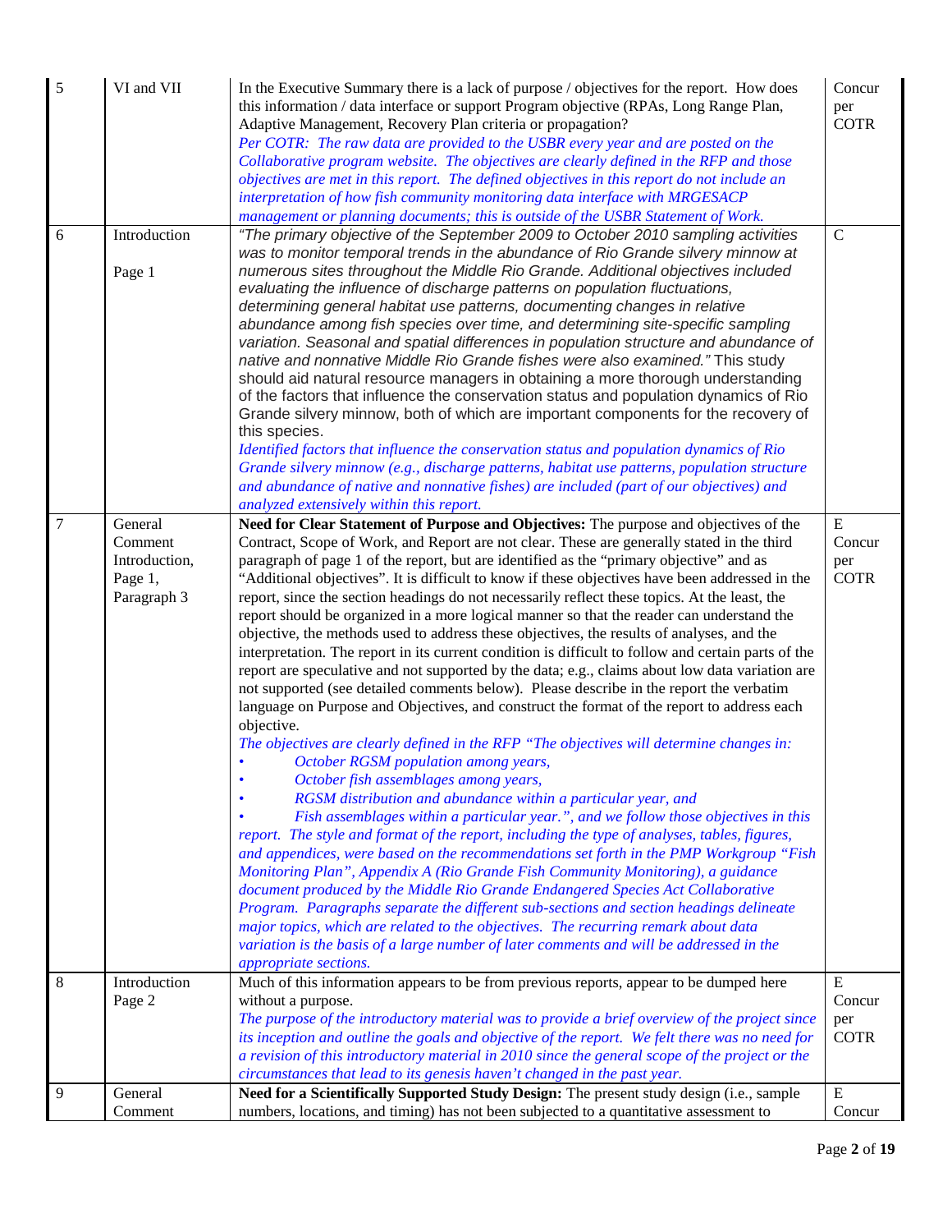| 5                | VI and VII                                                    | In the Executive Summary there is a lack of purpose / objectives for the report. How does<br>this information / data interface or support Program objective (RPAs, Long Range Plan,<br>Adaptive Management, Recovery Plan criteria or propagation?<br>Per COTR: The raw data are provided to the USBR every year and are posted on the<br>Collaborative program website. The objectives are clearly defined in the RFP and those<br>objectives are met in this report. The defined objectives in this report do not include an<br>interpretation of how fish community monitoring data interface with MRGESACP<br>management or planning documents; this is outside of the USBR Statement of Work.                                                                                                                                                                                                                                                                                                                                                                                                                                                                                                                                                                                                                                                                                                                                                                                                                                                                                                                                                                                                                                                                                                                                                                                                                                                                                                                                                                                                     | Concur<br>per<br><b>COTR</b>              |
|------------------|---------------------------------------------------------------|--------------------------------------------------------------------------------------------------------------------------------------------------------------------------------------------------------------------------------------------------------------------------------------------------------------------------------------------------------------------------------------------------------------------------------------------------------------------------------------------------------------------------------------------------------------------------------------------------------------------------------------------------------------------------------------------------------------------------------------------------------------------------------------------------------------------------------------------------------------------------------------------------------------------------------------------------------------------------------------------------------------------------------------------------------------------------------------------------------------------------------------------------------------------------------------------------------------------------------------------------------------------------------------------------------------------------------------------------------------------------------------------------------------------------------------------------------------------------------------------------------------------------------------------------------------------------------------------------------------------------------------------------------------------------------------------------------------------------------------------------------------------------------------------------------------------------------------------------------------------------------------------------------------------------------------------------------------------------------------------------------------------------------------------------------------------------------------------------------|-------------------------------------------|
| 6                | Introduction<br>Page 1                                        | "The primary objective of the September 2009 to October 2010 sampling activities<br>was to monitor temporal trends in the abundance of Rio Grande silvery minnow at<br>numerous sites throughout the Middle Rio Grande. Additional objectives included<br>evaluating the influence of discharge patterns on population fluctuations,<br>determining general habitat use patterns, documenting changes in relative<br>abundance among fish species over time, and determining site-specific sampling<br>variation. Seasonal and spatial differences in population structure and abundance of<br>native and nonnative Middle Rio Grande fishes were also examined." This study<br>should aid natural resource managers in obtaining a more thorough understanding<br>of the factors that influence the conservation status and population dynamics of Rio<br>Grande silvery minnow, both of which are important components for the recovery of<br>this species.<br>Identified factors that influence the conservation status and population dynamics of Rio<br>Grande silvery minnow (e.g., discharge patterns, habitat use patterns, population structure<br>and abundance of native and nonnative fishes) are included (part of our objectives) and<br>analyzed extensively within this report.                                                                                                                                                                                                                                                                                                                                                                                                                                                                                                                                                                                                                                                                                                                                                                                                        | $\mathbf C$                               |
| $\boldsymbol{7}$ | General<br>Comment<br>Introduction,<br>Page 1,<br>Paragraph 3 | Need for Clear Statement of Purpose and Objectives: The purpose and objectives of the<br>Contract, Scope of Work, and Report are not clear. These are generally stated in the third<br>paragraph of page 1 of the report, but are identified as the "primary objective" and as<br>"Additional objectives". It is difficult to know if these objectives have been addressed in the<br>report, since the section headings do not necessarily reflect these topics. At the least, the<br>report should be organized in a more logical manner so that the reader can understand the<br>objective, the methods used to address these objectives, the results of analyses, and the<br>interpretation. The report in its current condition is difficult to follow and certain parts of the<br>report are speculative and not supported by the data; e.g., claims about low data variation are<br>not supported (see detailed comments below). Please describe in the report the verbatim<br>language on Purpose and Objectives, and construct the format of the report to address each<br>objective.<br>The objectives are clearly defined in the RFP "The objectives will determine changes in:<br>October RGSM population among years,<br>October fish assemblages among years,<br>RGSM distribution and abundance within a particular year, and<br>Fish assemblages within a particular year.", and we follow those objectives in this<br>report. The style and format of the report, including the type of analyses, tables, figures,<br>and appendices, were based on the recommendations set forth in the PMP Workgroup "Fish<br>Monitoring Plan", Appendix A (Rio Grande Fish Community Monitoring), a guidance<br>document produced by the Middle Rio Grande Endangered Species Act Collaborative<br>Program. Paragraphs separate the different sub-sections and section headings delineate<br>major topics, which are related to the objectives. The recurring remark about data<br>variation is the basis of a large number of later comments and will be addressed in the<br>appropriate sections. | ${\bf E}$<br>Concur<br>per<br><b>COTR</b> |
| 8                | Introduction<br>Page 2                                        | Much of this information appears to be from previous reports, appear to be dumped here<br>without a purpose.<br>The purpose of the introductory material was to provide a brief overview of the project since                                                                                                                                                                                                                                                                                                                                                                                                                                                                                                                                                                                                                                                                                                                                                                                                                                                                                                                                                                                                                                                                                                                                                                                                                                                                                                                                                                                                                                                                                                                                                                                                                                                                                                                                                                                                                                                                                          | ${\bf E}$<br>Concur<br>per                |
|                  |                                                               | its inception and outline the goals and objective of the report. We felt there was no need for<br>a revision of this introductory material in 2010 since the general scope of the project or the<br>circumstances that lead to its genesis haven't changed in the past year.                                                                                                                                                                                                                                                                                                                                                                                                                                                                                                                                                                                                                                                                                                                                                                                                                                                                                                                                                                                                                                                                                                                                                                                                                                                                                                                                                                                                                                                                                                                                                                                                                                                                                                                                                                                                                           | <b>COTR</b>                               |
| 9                | General                                                       | Need for a Scientifically Supported Study Design: The present study design (i.e., sample                                                                                                                                                                                                                                                                                                                                                                                                                                                                                                                                                                                                                                                                                                                                                                                                                                                                                                                                                                                                                                                                                                                                                                                                                                                                                                                                                                                                                                                                                                                                                                                                                                                                                                                                                                                                                                                                                                                                                                                                               | ${\bf E}$                                 |
|                  | Comment                                                       | numbers, locations, and timing) has not been subjected to a quantitative assessment to                                                                                                                                                                                                                                                                                                                                                                                                                                                                                                                                                                                                                                                                                                                                                                                                                                                                                                                                                                                                                                                                                                                                                                                                                                                                                                                                                                                                                                                                                                                                                                                                                                                                                                                                                                                                                                                                                                                                                                                                                 | Concur                                    |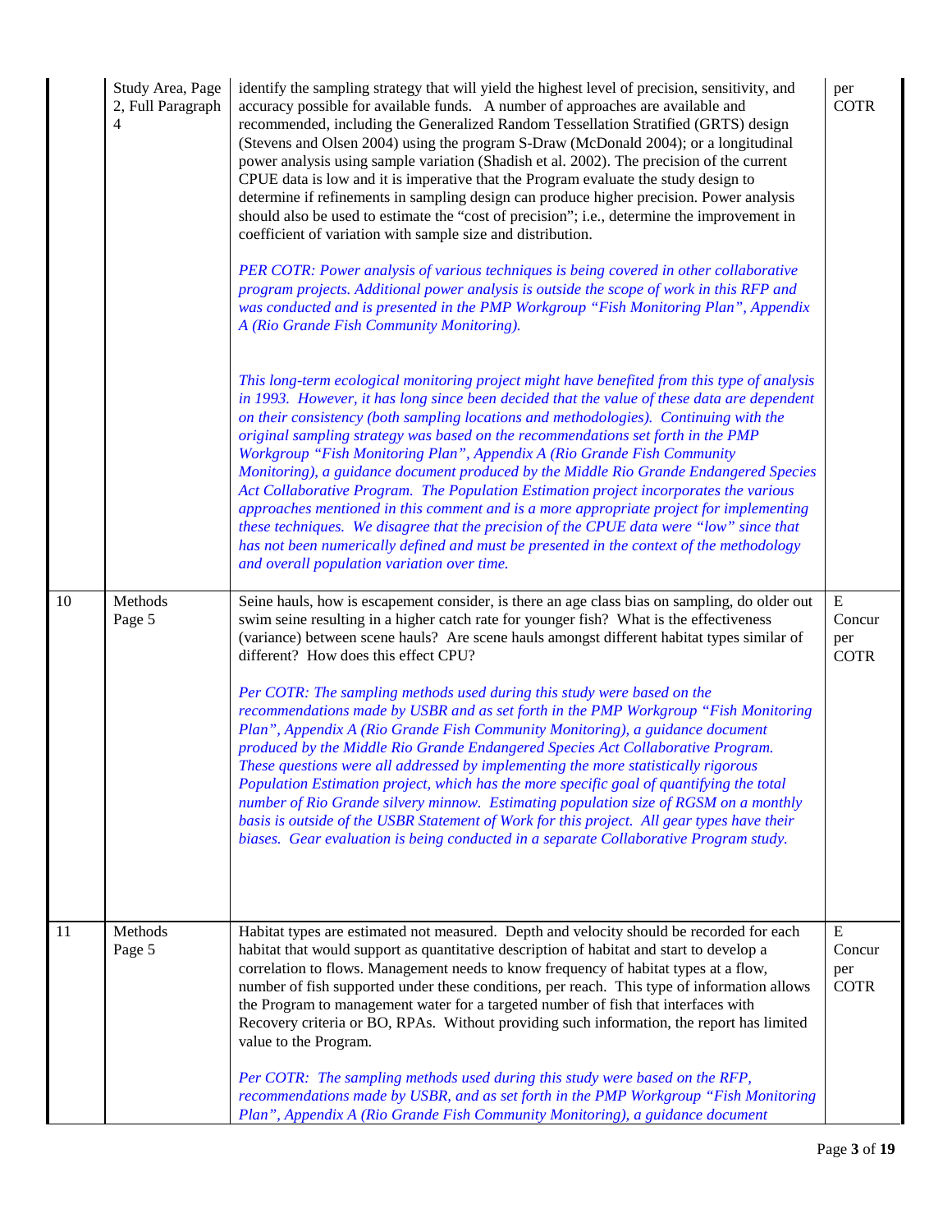|    | Study Area, Page<br>2, Full Paragraph<br>4 | identify the sampling strategy that will yield the highest level of precision, sensitivity, and<br>accuracy possible for available funds. A number of approaches are available and<br>recommended, including the Generalized Random Tessellation Stratified (GRTS) design<br>(Stevens and Olsen 2004) using the program S-Draw (McDonald 2004); or a longitudinal<br>power analysis using sample variation (Shadish et al. 2002). The precision of the current<br>CPUE data is low and it is imperative that the Program evaluate the study design to<br>determine if refinements in sampling design can produce higher precision. Power analysis<br>should also be used to estimate the "cost of precision"; i.e., determine the improvement in<br>coefficient of variation with sample size and distribution.<br>PER COTR: Power analysis of various techniques is being covered in other collaborative<br>program projects. Additional power analysis is outside the scope of work in this RFP and<br>was conducted and is presented in the PMP Workgroup "Fish Monitoring Plan", Appendix<br>A (Rio Grande Fish Community Monitoring).<br>This long-term ecological monitoring project might have benefited from this type of analysis<br>in 1993. However, it has long since been decided that the value of these data are dependent<br>on their consistency (both sampling locations and methodologies). Continuing with the<br>original sampling strategy was based on the recommendations set forth in the PMP<br>Workgroup "Fish Monitoring Plan", Appendix A (Rio Grande Fish Community<br>Monitoring), a guidance document produced by the Middle Rio Grande Endangered Species<br>Act Collaborative Program. The Population Estimation project incorporates the various<br>approaches mentioned in this comment and is a more appropriate project for implementing<br>these techniques. We disagree that the precision of the CPUE data were "low" since that<br>has not been numerically defined and must be presented in the context of the methodology<br>and overall population variation over time. | per<br><b>COTR</b>                        |
|----|--------------------------------------------|----------------------------------------------------------------------------------------------------------------------------------------------------------------------------------------------------------------------------------------------------------------------------------------------------------------------------------------------------------------------------------------------------------------------------------------------------------------------------------------------------------------------------------------------------------------------------------------------------------------------------------------------------------------------------------------------------------------------------------------------------------------------------------------------------------------------------------------------------------------------------------------------------------------------------------------------------------------------------------------------------------------------------------------------------------------------------------------------------------------------------------------------------------------------------------------------------------------------------------------------------------------------------------------------------------------------------------------------------------------------------------------------------------------------------------------------------------------------------------------------------------------------------------------------------------------------------------------------------------------------------------------------------------------------------------------------------------------------------------------------------------------------------------------------------------------------------------------------------------------------------------------------------------------------------------------------------------------------------------------------------------------------------------------------------------------------------------------------------------------------|-------------------------------------------|
| 10 | Methods<br>Page 5                          | Seine hauls, how is escapement consider, is there an age class bias on sampling, do older out<br>swim seine resulting in a higher catch rate for younger fish? What is the effectiveness<br>(variance) between scene hauls? Are scene hauls amongst different habitat types similar of<br>different? How does this effect CPU?<br>Per COTR: The sampling methods used during this study were based on the<br>recommendations made by USBR and as set forth in the PMP Workgroup "Fish Monitoring<br>Plan", Appendix A (Rio Grande Fish Community Monitoring), a guidance document<br>produced by the Middle Rio Grande Endangered Species Act Collaborative Program.<br>These questions were all addressed by implementing the more statistically rigorous<br>Population Estimation project, which has the more specific goal of quantifying the total<br>number of Rio Grande silvery minnow. Estimating population size of RGSM on a monthly<br>basis is outside of the USBR Statement of Work for this project. All gear types have their<br>biases. Gear evaluation is being conducted in a separate Collaborative Program study.                                                                                                                                                                                                                                                                                                                                                                                                                                                                                                                                                                                                                                                                                                                                                                                                                                                                                                                                                                                | ${\bf E}$<br>Concur<br>per<br><b>COTR</b> |
| 11 | Methods<br>Page 5                          | Habitat types are estimated not measured. Depth and velocity should be recorded for each<br>habitat that would support as quantitative description of habitat and start to develop a<br>correlation to flows. Management needs to know frequency of habitat types at a flow,<br>number of fish supported under these conditions, per reach. This type of information allows<br>the Program to management water for a targeted number of fish that interfaces with<br>Recovery criteria or BO, RPAs. Without providing such information, the report has limited<br>value to the Program.<br>Per COTR: The sampling methods used during this study were based on the RFP,<br>recommendations made by USBR, and as set forth in the PMP Workgroup "Fish Monitoring<br>Plan", Appendix A (Rio Grande Fish Community Monitoring), a guidance document                                                                                                                                                                                                                                                                                                                                                                                                                                                                                                                                                                                                                                                                                                                                                                                                                                                                                                                                                                                                                                                                                                                                                                                                                                                                     | E<br>Concur<br>per<br><b>COTR</b>         |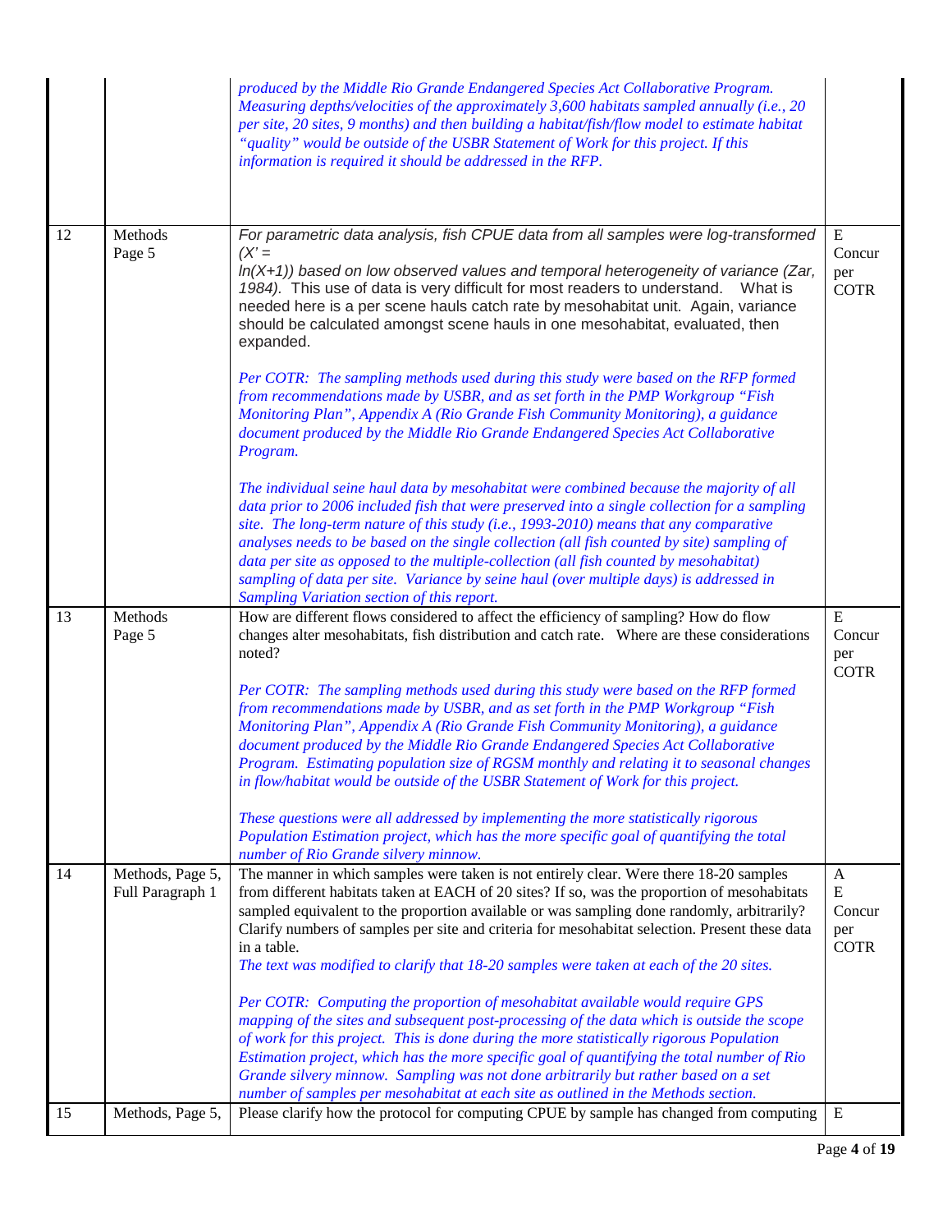|    |                                      | produced by the Middle Rio Grande Endangered Species Act Collaborative Program.<br>Measuring depths/velocities of the approximately 3,600 habitats sampled annually (i.e., 20<br>per site, 20 sites, 9 months) and then building a habitat/fish/flow model to estimate habitat<br>"quality" would be outside of the USBR Statement of Work for this project. If this<br>information is required it should be addressed in the RFP.                                                                                                                                |                                                |
|----|--------------------------------------|-------------------------------------------------------------------------------------------------------------------------------------------------------------------------------------------------------------------------------------------------------------------------------------------------------------------------------------------------------------------------------------------------------------------------------------------------------------------------------------------------------------------------------------------------------------------|------------------------------------------------|
| 12 | Methods<br>Page 5                    | For parametric data analysis, fish CPUE data from all samples were log-transformed<br>$(X^{\prime} =$<br>$ln(X+1)$ ) based on low observed values and temporal heterogeneity of variance (Zar,<br>1984). This use of data is very difficult for most readers to understand.<br>What is<br>needed here is a per scene hauls catch rate by mesohabitat unit. Again, variance<br>should be calculated amongst scene hauls in one mesohabitat, evaluated, then<br>expanded.<br>Per COTR: The sampling methods used during this study were based on the RFP formed     | ${\bf E}$<br>Concur<br>per<br><b>COTR</b>      |
|    |                                      | from recommendations made by USBR, and as set forth in the PMP Workgroup "Fish<br>Monitoring Plan", Appendix A (Rio Grande Fish Community Monitoring), a guidance<br>document produced by the Middle Rio Grande Endangered Species Act Collaborative<br>Program.                                                                                                                                                                                                                                                                                                  |                                                |
|    |                                      | The individual seine haul data by mesohabitat were combined because the majority of all<br>data prior to 2006 included fish that were preserved into a single collection for a sampling<br>site. The long-term nature of this study (i.e., 1993-2010) means that any comparative<br>analyses needs to be based on the single collection (all fish counted by site) sampling of<br>data per site as opposed to the multiple-collection (all fish counted by mesohabitat)<br>sampling of data per site. Variance by seine haul (over multiple days) is addressed in |                                                |
|    |                                      | Sampling Variation section of this report.                                                                                                                                                                                                                                                                                                                                                                                                                                                                                                                        |                                                |
| 13 | Methods                              | How are different flows considered to affect the efficiency of sampling? How do flow                                                                                                                                                                                                                                                                                                                                                                                                                                                                              |                                                |
|    | Page 5                               | changes alter mesohabitats, fish distribution and catch rate. Where are these considerations<br>noted?                                                                                                                                                                                                                                                                                                                                                                                                                                                            | E<br>Concur<br>per                             |
|    |                                      | Per COTR: The sampling methods used during this study were based on the RFP formed<br>from recommendations made by USBR, and as set forth in the PMP Workgroup "Fish<br>Monitoring Plan", Appendix A (Rio Grande Fish Community Monitoring), a guidance<br>document produced by the Middle Rio Grande Endangered Species Act Collaborative<br>Program. Estimating population size of RGSM monthly and relating it to seasonal changes<br>in flow/habitat would be outside of the USBR Statement of Work for this project.                                         | <b>COTR</b>                                    |
|    |                                      | These questions were all addressed by implementing the more statistically rigorous<br>Population Estimation project, which has the more specific goal of quantifying the total<br>number of Rio Grande silvery minnow.                                                                                                                                                                                                                                                                                                                                            |                                                |
| 14 | Methods, Page 5,<br>Full Paragraph 1 | The manner in which samples were taken is not entirely clear. Were there 18-20 samples<br>from different habitats taken at EACH of 20 sites? If so, was the proportion of mesohabitats<br>sampled equivalent to the proportion available or was sampling done randomly, arbitrarily?<br>Clarify numbers of samples per site and criteria for mesohabitat selection. Present these data<br>in a table.<br>The text was modified to clarify that 18-20 samples were taken at each of the 20 sites.                                                                  | A<br>${\bf E}$<br>Concur<br>per<br><b>COTR</b> |
|    |                                      | Per COTR: Computing the proportion of mesohabitat available would require GPS<br>mapping of the sites and subsequent post-processing of the data which is outside the scope<br>of work for this project. This is done during the more statistically rigorous Population<br>Estimation project, which has the more specific goal of quantifying the total number of Rio                                                                                                                                                                                            |                                                |
|    |                                      | Grande silvery minnow. Sampling was not done arbitrarily but rather based on a set<br>number of samples per mesohabitat at each site as outlined in the Methods section.                                                                                                                                                                                                                                                                                                                                                                                          |                                                |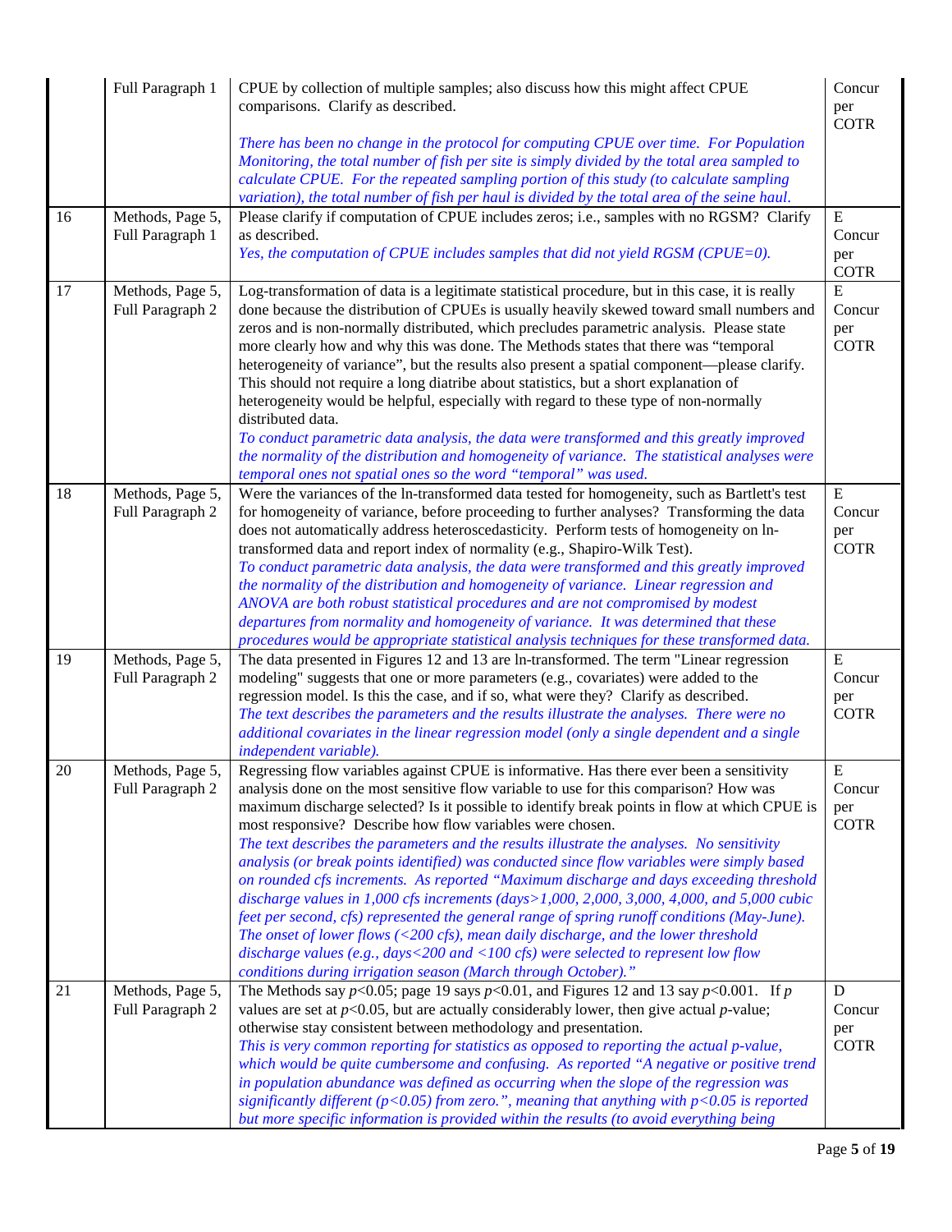|    | Full Paragraph 1                     | CPUE by collection of multiple samples; also discuss how this might affect CPUE<br>comparisons. Clarify as described.                                                                                                                                                                                                                                                                                                                                                                                                                                                                                                                                                                                                                                                                                                                                                                                                                                                                                                                                                                                   | Concur<br>per<br><b>COTR</b>              |
|----|--------------------------------------|---------------------------------------------------------------------------------------------------------------------------------------------------------------------------------------------------------------------------------------------------------------------------------------------------------------------------------------------------------------------------------------------------------------------------------------------------------------------------------------------------------------------------------------------------------------------------------------------------------------------------------------------------------------------------------------------------------------------------------------------------------------------------------------------------------------------------------------------------------------------------------------------------------------------------------------------------------------------------------------------------------------------------------------------------------------------------------------------------------|-------------------------------------------|
|    |                                      | There has been no change in the protocol for computing CPUE over time. For Population<br>Monitoring, the total number of fish per site is simply divided by the total area sampled to<br>calculate CPUE. For the repeated sampling portion of this study (to calculate sampling<br>variation), the total number of fish per haul is divided by the total area of the seine haul.                                                                                                                                                                                                                                                                                                                                                                                                                                                                                                                                                                                                                                                                                                                        |                                           |
| 16 | Methods, Page 5,<br>Full Paragraph 1 | Please clarify if computation of CPUE includes zeros; i.e., samples with no RGSM? Clarify<br>as described.<br>Yes, the computation of CPUE includes samples that did not yield RGSM (CPUE=0).                                                                                                                                                                                                                                                                                                                                                                                                                                                                                                                                                                                                                                                                                                                                                                                                                                                                                                           | E<br>Concur<br>per<br><b>COTR</b>         |
| 17 | Methods, Page 5,<br>Full Paragraph 2 | Log-transformation of data is a legitimate statistical procedure, but in this case, it is really<br>done because the distribution of CPUEs is usually heavily skewed toward small numbers and<br>zeros and is non-normally distributed, which precludes parametric analysis. Please state<br>more clearly how and why this was done. The Methods states that there was "temporal<br>heterogeneity of variance", but the results also present a spatial component—please clarify.<br>This should not require a long diatribe about statistics, but a short explanation of<br>heterogeneity would be helpful, especially with regard to these type of non-normally<br>distributed data.<br>To conduct parametric data analysis, the data were transformed and this greatly improved<br>the normality of the distribution and homogeneity of variance. The statistical analyses were<br>temporal ones not spatial ones so the word "temporal" was used.                                                                                                                                                    | E<br>Concur<br>per<br><b>COTR</b>         |
| 18 | Methods, Page 5,<br>Full Paragraph 2 | Were the variances of the ln-transformed data tested for homogeneity, such as Bartlett's test<br>for homogeneity of variance, before proceeding to further analyses? Transforming the data<br>does not automatically address heteroscedasticity. Perform tests of homogeneity on ln-<br>transformed data and report index of normality (e.g., Shapiro-Wilk Test).<br>To conduct parametric data analysis, the data were transformed and this greatly improved<br>the normality of the distribution and homogeneity of variance. Linear regression and<br>ANOVA are both robust statistical procedures and are not compromised by modest<br>departures from normality and homogeneity of variance. It was determined that these<br>procedures would be appropriate statistical analysis techniques for these transformed data.                                                                                                                                                                                                                                                                           | E<br>Concur<br>per<br><b>COTR</b>         |
| 19 | Methods, Page 5,<br>Full Paragraph 2 | The data presented in Figures 12 and 13 are ln-transformed. The term "Linear regression<br>modeling" suggests that one or more parameters (e.g., covariates) were added to the<br>regression model. Is this the case, and if so, what were they? Clarify as described.<br>The text describes the parameters and the results illustrate the analyses. There were no<br>additional covariates in the linear regression model (only a single dependent and a single<br>independent variable).                                                                                                                                                                                                                                                                                                                                                                                                                                                                                                                                                                                                              | E<br>Concur<br>per<br><b>COTR</b>         |
| 20 | Methods, Page 5,<br>Full Paragraph 2 | Regressing flow variables against CPUE is informative. Has there ever been a sensitivity<br>analysis done on the most sensitive flow variable to use for this comparison? How was<br>maximum discharge selected? Is it possible to identify break points in flow at which CPUE is<br>most responsive? Describe how flow variables were chosen.<br>The text describes the parameters and the results illustrate the analyses. No sensitivity<br>analysis (or break points identified) was conducted since flow variables were simply based<br>on rounded cfs increments. As reported "Maximum discharge and days exceeding threshold<br>discharge values in 1,000 cfs increments (days>1,000, 2,000, 3,000, 4,000, and 5,000 cubic<br>feet per second, cfs) represented the general range of spring runoff conditions (May-June).<br>The onset of lower flows ( $\langle 200 \text{ cfs} \rangle$ , mean daily discharge, and the lower threshold<br>discharge values (e.g., days<200 and <100 cfs) were selected to represent low flow<br>conditions during irrigation season (March through October)." | ${\bf E}$<br>Concur<br>per<br><b>COTR</b> |
| 21 | Methods, Page 5,<br>Full Paragraph 2 | The Methods say $p<0.05$ ; page 19 says $p<0.01$ , and Figures 12 and 13 say $p<0.001$ . If p<br>values are set at $p<0.05$ , but are actually considerably lower, then give actual p-value;<br>otherwise stay consistent between methodology and presentation.<br>This is very common reporting for statistics as opposed to reporting the actual p-value,<br>which would be quite cumbersome and confusing. As reported "A negative or positive trend<br>in population abundance was defined as occurring when the slope of the regression was                                                                                                                                                                                                                                                                                                                                                                                                                                                                                                                                                        | D<br>Concur<br>per<br><b>COTR</b>         |
|    |                                      | significantly different ( $p<0.05$ ) from zero.", meaning that anything with $p<0.05$ is reported<br>but more specific information is provided within the results (to avoid everything being                                                                                                                                                                                                                                                                                                                                                                                                                                                                                                                                                                                                                                                                                                                                                                                                                                                                                                            |                                           |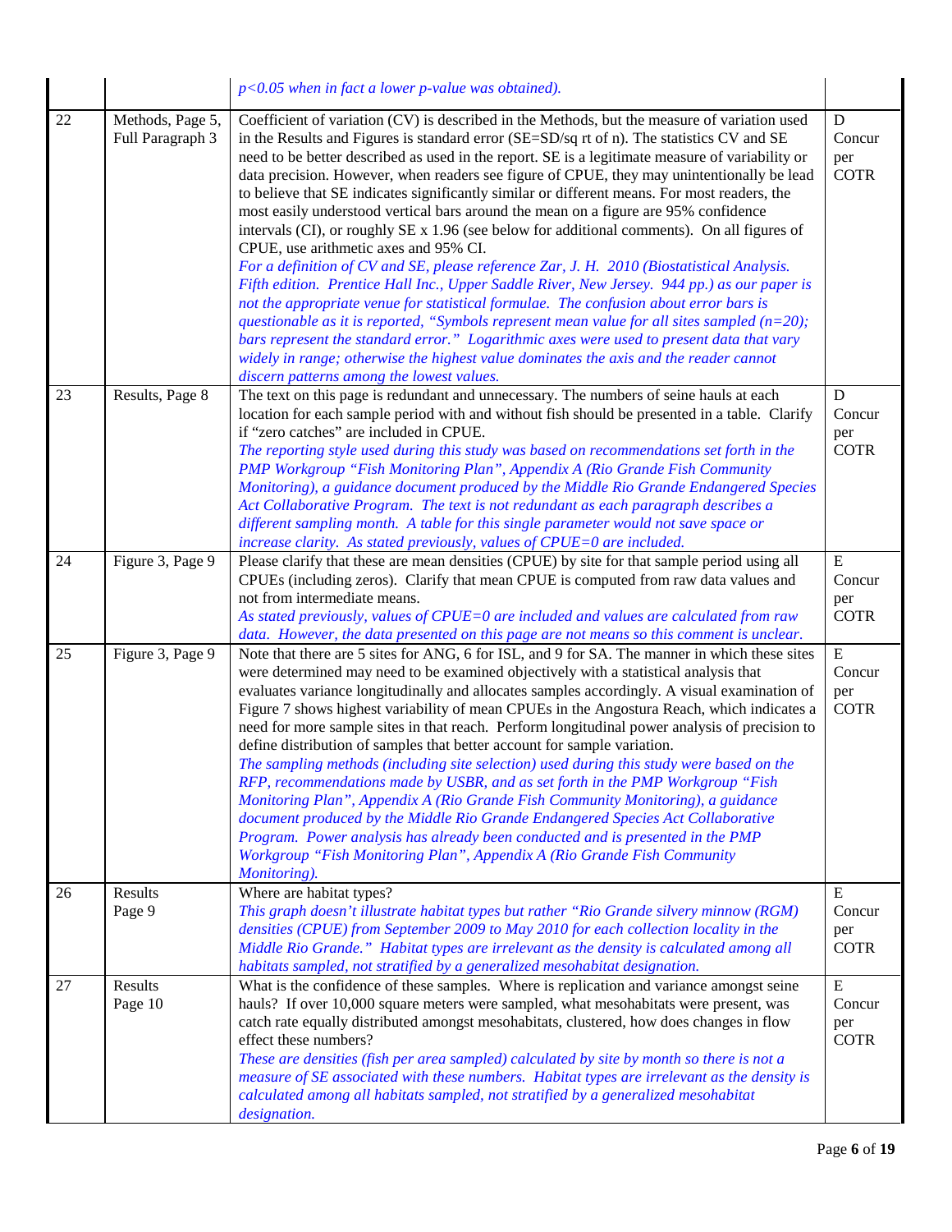|    |                                      | $p<0.05$ when in fact a lower p-value was obtained).                                                                                                                                                                                                                                                                                                                                                                                                                                                                                                                                                                                                                                                                                                                                                                                                                                                                                                                                                                                                                                                                                                                                                         |                                           |
|----|--------------------------------------|--------------------------------------------------------------------------------------------------------------------------------------------------------------------------------------------------------------------------------------------------------------------------------------------------------------------------------------------------------------------------------------------------------------------------------------------------------------------------------------------------------------------------------------------------------------------------------------------------------------------------------------------------------------------------------------------------------------------------------------------------------------------------------------------------------------------------------------------------------------------------------------------------------------------------------------------------------------------------------------------------------------------------------------------------------------------------------------------------------------------------------------------------------------------------------------------------------------|-------------------------------------------|
| 22 | Methods, Page 5,<br>Full Paragraph 3 | Coefficient of variation (CV) is described in the Methods, but the measure of variation used<br>in the Results and Figures is standard error (SE=SD/sq rt of n). The statistics CV and SE<br>need to be better described as used in the report. SE is a legitimate measure of variability or<br>data precision. However, when readers see figure of CPUE, they may unintentionally be lead<br>to believe that SE indicates significantly similar or different means. For most readers, the<br>most easily understood vertical bars around the mean on a figure are 95% confidence<br>intervals (CI), or roughly SE x 1.96 (see below for additional comments). On all figures of<br>CPUE, use arithmetic axes and 95% CI.<br>For a definition of CV and SE, please reference Zar, J. H. 2010 (Biostatistical Analysis.<br>Fifth edition. Prentice Hall Inc., Upper Saddle River, New Jersey. 944 pp.) as our paper is<br>not the appropriate venue for statistical formulae. The confusion about error bars is<br>questionable as it is reported, "Symbols represent mean value for all sites sampled $(n=20)$ ;<br>bars represent the standard error." Logarithmic axes were used to present data that vary | D<br>Concur<br>per<br><b>COTR</b>         |
|    |                                      | widely in range; otherwise the highest value dominates the axis and the reader cannot<br>discern patterns among the lowest values.                                                                                                                                                                                                                                                                                                                                                                                                                                                                                                                                                                                                                                                                                                                                                                                                                                                                                                                                                                                                                                                                           |                                           |
| 23 | Results, Page 8                      | The text on this page is redundant and unnecessary. The numbers of seine hauls at each<br>location for each sample period with and without fish should be presented in a table. Clarify<br>if "zero catches" are included in CPUE.<br>The reporting style used during this study was based on recommendations set forth in the<br>PMP Workgroup "Fish Monitoring Plan", Appendix A (Rio Grande Fish Community<br>Monitoring), a guidance document produced by the Middle Rio Grande Endangered Species<br>Act Collaborative Program. The text is not redundant as each paragraph describes a<br>different sampling month. A table for this single parameter would not save space or<br>increase clarity. As stated previously, values of CPUE=0 are included.                                                                                                                                                                                                                                                                                                                                                                                                                                                | ${\bf D}$<br>Concur<br>per<br><b>COTR</b> |
| 24 | Figure 3, Page 9                     | Please clarify that these are mean densities (CPUE) by site for that sample period using all<br>CPUEs (including zeros). Clarify that mean CPUE is computed from raw data values and<br>not from intermediate means.<br>As stated previously, values of CPUE=0 are included and values are calculated from raw<br>data. However, the data presented on this page are not means so this comment is unclear.                                                                                                                                                                                                                                                                                                                                                                                                                                                                                                                                                                                                                                                                                                                                                                                                   | ${\bf E}$<br>Concur<br>per<br><b>COTR</b> |
| 25 | Figure 3, Page 9                     | Note that there are 5 sites for ANG, 6 for ISL, and 9 for SA. The manner in which these sites<br>were determined may need to be examined objectively with a statistical analysis that<br>evaluates variance longitudinally and allocates samples accordingly. A visual examination of<br>Figure 7 shows highest variability of mean CPUEs in the Angostura Reach, which indicates a<br>need for more sample sites in that reach. Perform longitudinal power analysis of precision to<br>define distribution of samples that better account for sample variation.<br>The sampling methods (including site selection) used during this study were based on the<br>RFP, recommendations made by USBR, and as set forth in the PMP Workgroup "Fish<br>Monitoring Plan", Appendix A (Rio Grande Fish Community Monitoring), a guidance<br>document produced by the Middle Rio Grande Endangered Species Act Collaborative<br>Program. Power analysis has already been conducted and is presented in the PMP<br>Workgroup "Fish Monitoring Plan", Appendix A (Rio Grande Fish Community<br>Monitoring).                                                                                                            | ${\bf E}$<br>Concur<br>per<br><b>COTR</b> |
| 26 | Results<br>Page 9                    | Where are habitat types?<br>This graph doesn't illustrate habitat types but rather "Rio Grande silvery minnow (RGM)<br>densities (CPUE) from September 2009 to May 2010 for each collection locality in the<br>Middle Rio Grande." Habitat types are irrelevant as the density is calculated among all<br>habitats sampled, not stratified by a generalized mesohabitat designation.                                                                                                                                                                                                                                                                                                                                                                                                                                                                                                                                                                                                                                                                                                                                                                                                                         | ${\bf E}$<br>Concur<br>per<br><b>COTR</b> |
| 27 | Results<br>Page 10                   | What is the confidence of these samples. Where is replication and variance amongst seine<br>hauls? If over 10,000 square meters were sampled, what mesohabitats were present, was<br>catch rate equally distributed amongst mesohabitats, clustered, how does changes in flow<br>effect these numbers?<br>These are densities (fish per area sampled) calculated by site by month so there is not a<br>measure of SE associated with these numbers. Habitat types are irrelevant as the density is<br>calculated among all habitats sampled, not stratified by a generalized mesohabitat<br>designation.                                                                                                                                                                                                                                                                                                                                                                                                                                                                                                                                                                                                     | ${\bf E}$<br>Concur<br>per<br><b>COTR</b> |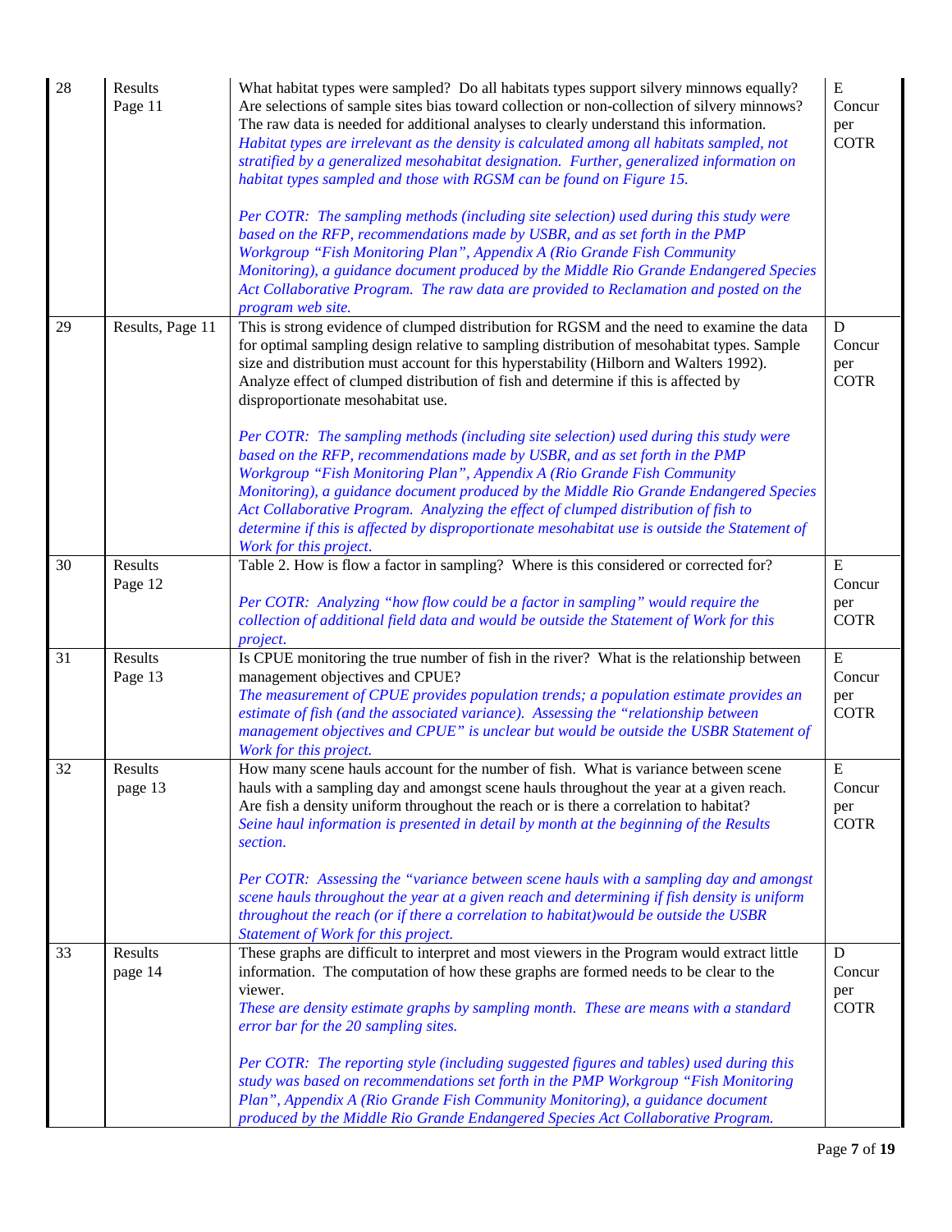| 28 | Results<br>Page 11 | What habitat types were sampled? Do all habitats types support silvery minnows equally?<br>Are selections of sample sites bias toward collection or non-collection of silvery minnows?<br>The raw data is needed for additional analyses to clearly understand this information.<br>Habitat types are irrelevant as the density is calculated among all habitats sampled, not<br>stratified by a generalized mesohabitat designation. Further, generalized information on<br>habitat types sampled and those with RGSM can be found on Figure 15.<br>Per COTR: The sampling methods (including site selection) used during this study were<br>based on the RFP, recommendations made by USBR, and as set forth in the PMP<br>Workgroup "Fish Monitoring Plan", Appendix A (Rio Grande Fish Community<br>Monitoring), a guidance document produced by the Middle Rio Grande Endangered Species<br>Act Collaborative Program. The raw data are provided to Reclamation and posted on the<br>program web site. | ${\bf E}$<br>Concur<br>per<br><b>COTR</b>   |
|----|--------------------|-------------------------------------------------------------------------------------------------------------------------------------------------------------------------------------------------------------------------------------------------------------------------------------------------------------------------------------------------------------------------------------------------------------------------------------------------------------------------------------------------------------------------------------------------------------------------------------------------------------------------------------------------------------------------------------------------------------------------------------------------------------------------------------------------------------------------------------------------------------------------------------------------------------------------------------------------------------------------------------------------------------|---------------------------------------------|
| 29 | Results, Page 11   | This is strong evidence of clumped distribution for RGSM and the need to examine the data<br>for optimal sampling design relative to sampling distribution of mesohabitat types. Sample<br>size and distribution must account for this hyperstability (Hilborn and Walters 1992).<br>Analyze effect of clumped distribution of fish and determine if this is affected by<br>disproportionate mesohabitat use.<br>Per COTR: The sampling methods (including site selection) used during this study were<br>based on the RFP, recommendations made by USBR, and as set forth in the PMP<br>Workgroup "Fish Monitoring Plan", Appendix A (Rio Grande Fish Community<br>Monitoring), a guidance document produced by the Middle Rio Grande Endangered Species<br>Act Collaborative Program. Analyzing the effect of clumped distribution of fish to<br>determine if this is affected by disproportionate mesohabitat use is outside the Statement of<br>Work for this project.                                  | $\mathbf D$<br>Concur<br>per<br><b>COTR</b> |
| 30 | Results<br>Page 12 | Table 2. How is flow a factor in sampling? Where is this considered or corrected for?<br>Per COTR: Analyzing "how flow could be a factor in sampling" would require the<br>collection of additional field data and would be outside the Statement of Work for this<br>project.                                                                                                                                                                                                                                                                                                                                                                                                                                                                                                                                                                                                                                                                                                                              | ${\bf E}$<br>Concur<br>per<br><b>COTR</b>   |
| 31 | Results<br>Page 13 | Is CPUE monitoring the true number of fish in the river? What is the relationship between<br>management objectives and CPUE?<br>The measurement of CPUE provides population trends; a population estimate provides an<br>estimate of fish (and the associated variance). Assessing the "relationship between<br>management objectives and CPUE" is unclear but would be outside the USBR Statement of<br>Work for this project.                                                                                                                                                                                                                                                                                                                                                                                                                                                                                                                                                                             | ${\bf E}$<br>Concur<br>per<br><b>COTR</b>   |
| 32 | Results<br>page 13 | How many scene hauls account for the number of fish. What is variance between scene<br>hauls with a sampling day and amongst scene hauls throughout the year at a given reach.<br>Are fish a density uniform throughout the reach or is there a correlation to habitat?<br>Seine haul information is presented in detail by month at the beginning of the Results<br>section.<br>Per COTR: Assessing the "variance between scene hauls with a sampling day and amongst<br>scene hauls throughout the year at a given reach and determining if fish density is uniform<br>throughout the reach (or if there a correlation to habitat) would be outside the USBR<br>Statement of Work for this project.                                                                                                                                                                                                                                                                                                       | E<br>Concur<br>per<br><b>COTR</b>           |
| 33 | Results<br>page 14 | These graphs are difficult to interpret and most viewers in the Program would extract little<br>information. The computation of how these graphs are formed needs to be clear to the<br>viewer.<br>These are density estimate graphs by sampling month. These are means with a standard<br>error bar for the 20 sampling sites.<br>Per COTR: The reporting style (including suggested figures and tables) used during this<br>study was based on recommendations set forth in the PMP Workgroup "Fish Monitoring<br>Plan", Appendix A (Rio Grande Fish Community Monitoring), a guidance document<br>produced by the Middle Rio Grande Endangered Species Act Collaborative Program.                                                                                                                                                                                                                                                                                                                        | D<br>Concur<br>per<br><b>COTR</b>           |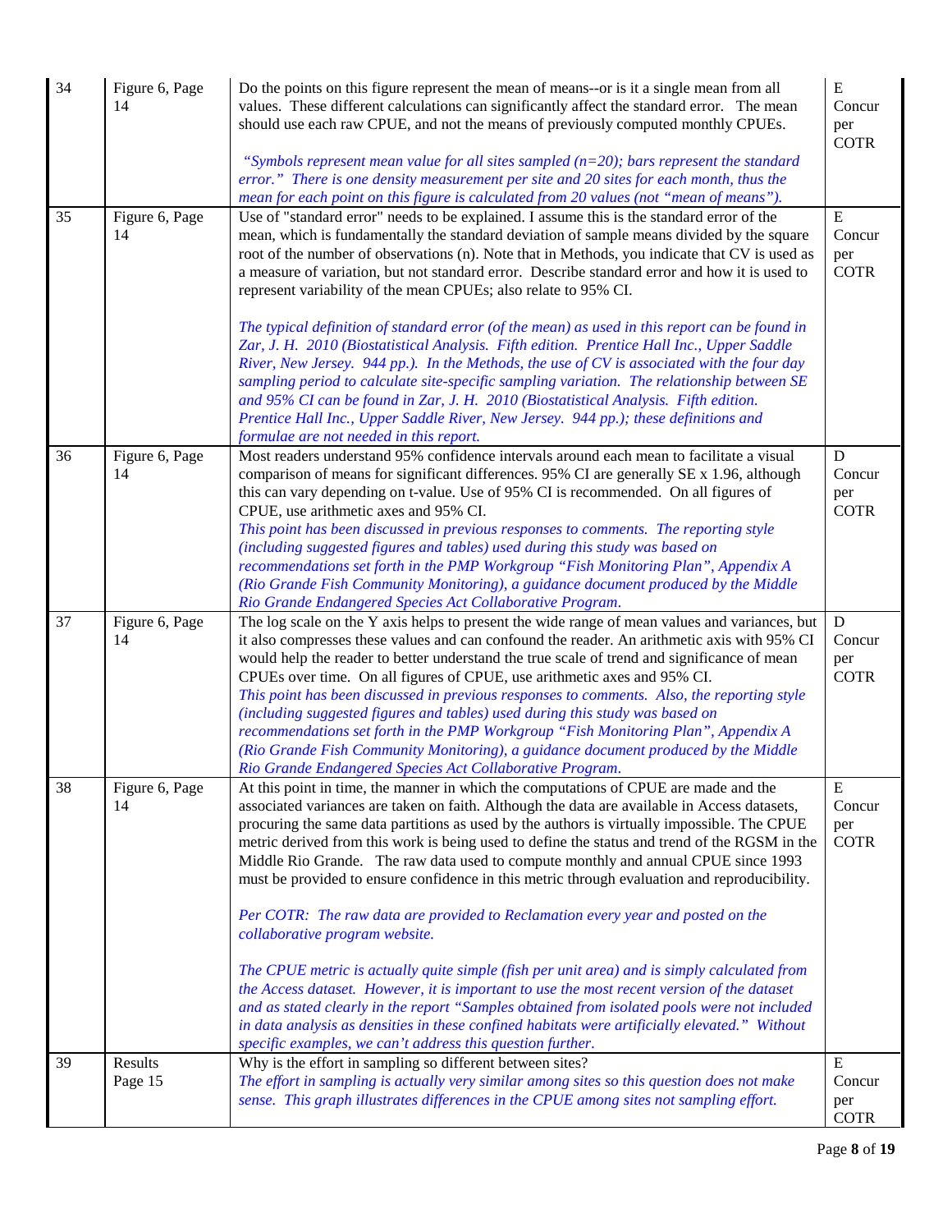| 34 | Figure 6, Page<br>14 | Do the points on this figure represent the mean of means--or is it a single mean from all<br>values. These different calculations can significantly affect the standard error. The mean<br>should use each raw CPUE, and not the means of previously computed monthly CPUEs.<br>"Symbols represent mean value for all sites sampled ( $n=20$ ); bars represent the standard<br>error." There is one density measurement per site and 20 sites for each month, thus the<br>mean for each point on this figure is calculated from 20 values (not "mean of means").                                                                                                                                                                                                                                                                                                                                                                                                                                                                                                                                                                                           | ${\bf E}$<br>Concur<br>per<br><b>COTR</b> |
|----|----------------------|------------------------------------------------------------------------------------------------------------------------------------------------------------------------------------------------------------------------------------------------------------------------------------------------------------------------------------------------------------------------------------------------------------------------------------------------------------------------------------------------------------------------------------------------------------------------------------------------------------------------------------------------------------------------------------------------------------------------------------------------------------------------------------------------------------------------------------------------------------------------------------------------------------------------------------------------------------------------------------------------------------------------------------------------------------------------------------------------------------------------------------------------------------|-------------------------------------------|
| 35 | Figure 6, Page<br>14 | Use of "standard error" needs to be explained. I assume this is the standard error of the<br>mean, which is fundamentally the standard deviation of sample means divided by the square<br>root of the number of observations (n). Note that in Methods, you indicate that CV is used as<br>a measure of variation, but not standard error. Describe standard error and how it is used to<br>represent variability of the mean CPUEs; also relate to 95% CI.<br>The typical definition of standard error (of the mean) as used in this report can be found in<br>Zar, J. H. 2010 (Biostatistical Analysis. Fifth edition. Prentice Hall Inc., Upper Saddle<br>River, New Jersey. 944 pp.). In the Methods, the use of CV is associated with the four day<br>sampling period to calculate site-specific sampling variation. The relationship between SE<br>and 95% CI can be found in Zar, J. H. 2010 (Biostatistical Analysis. Fifth edition.<br>Prentice Hall Inc., Upper Saddle River, New Jersey. 944 pp.); these definitions and<br>formulae are not needed in this report.                                                                             | E<br>Concur<br>per<br><b>COTR</b>         |
| 36 | Figure 6, Page<br>14 | Most readers understand 95% confidence intervals around each mean to facilitate a visual<br>comparison of means for significant differences. 95% CI are generally SE x 1.96, although<br>this can vary depending on t-value. Use of 95% CI is recommended. On all figures of<br>CPUE, use arithmetic axes and 95% CI.<br>This point has been discussed in previous responses to comments. The reporting style<br>(including suggested figures and tables) used during this study was based on<br>recommendations set forth in the PMP Workgroup "Fish Monitoring Plan", Appendix A<br>(Rio Grande Fish Community Monitoring), a guidance document produced by the Middle<br>Rio Grande Endangered Species Act Collaborative Program.                                                                                                                                                                                                                                                                                                                                                                                                                       | D<br>Concur<br>per<br><b>COTR</b>         |
| 37 | Figure 6, Page<br>14 | The log scale on the Y axis helps to present the wide range of mean values and variances, but<br>it also compresses these values and can confound the reader. An arithmetic axis with 95% CI<br>would help the reader to better understand the true scale of trend and significance of mean<br>CPUEs over time. On all figures of CPUE, use arithmetic axes and 95% CI.<br>This point has been discussed in previous responses to comments. Also, the reporting style<br>(including suggested figures and tables) used during this study was based on<br>recommendations set forth in the PMP Workgroup "Fish Monitoring Plan", Appendix A<br>(Rio Grande Fish Community Monitoring), a guidance document produced by the Middle<br>Rio Grande Endangered Species Act Collaborative Program.                                                                                                                                                                                                                                                                                                                                                               | D<br>Concur<br>per<br><b>COTR</b>         |
| 38 | Figure 6, Page<br>14 | At this point in time, the manner in which the computations of CPUE are made and the<br>associated variances are taken on faith. Although the data are available in Access datasets,<br>procuring the same data partitions as used by the authors is virtually impossible. The CPUE<br>metric derived from this work is being used to define the status and trend of the RGSM in the<br>Middle Rio Grande. The raw data used to compute monthly and annual CPUE since 1993<br>must be provided to ensure confidence in this metric through evaluation and reproducibility.<br>Per COTR: The raw data are provided to Reclamation every year and posted on the<br>collaborative program website.<br>The CPUE metric is actually quite simple (fish per unit area) and is simply calculated from<br>the Access dataset. However, it is important to use the most recent version of the dataset<br>and as stated clearly in the report "Samples obtained from isolated pools were not included<br>in data analysis as densities in these confined habitats were artificially elevated." Without<br>specific examples, we can't address this question further. | ${\bf E}$<br>Concur<br>per<br><b>COTR</b> |
| 39 | Results<br>Page 15   | Why is the effort in sampling so different between sites?<br>The effort in sampling is actually very similar among sites so this question does not make<br>sense. This graph illustrates differences in the CPUE among sites not sampling effort.                                                                                                                                                                                                                                                                                                                                                                                                                                                                                                                                                                                                                                                                                                                                                                                                                                                                                                          | ${\bf E}$<br>Concur<br>per<br><b>COTR</b> |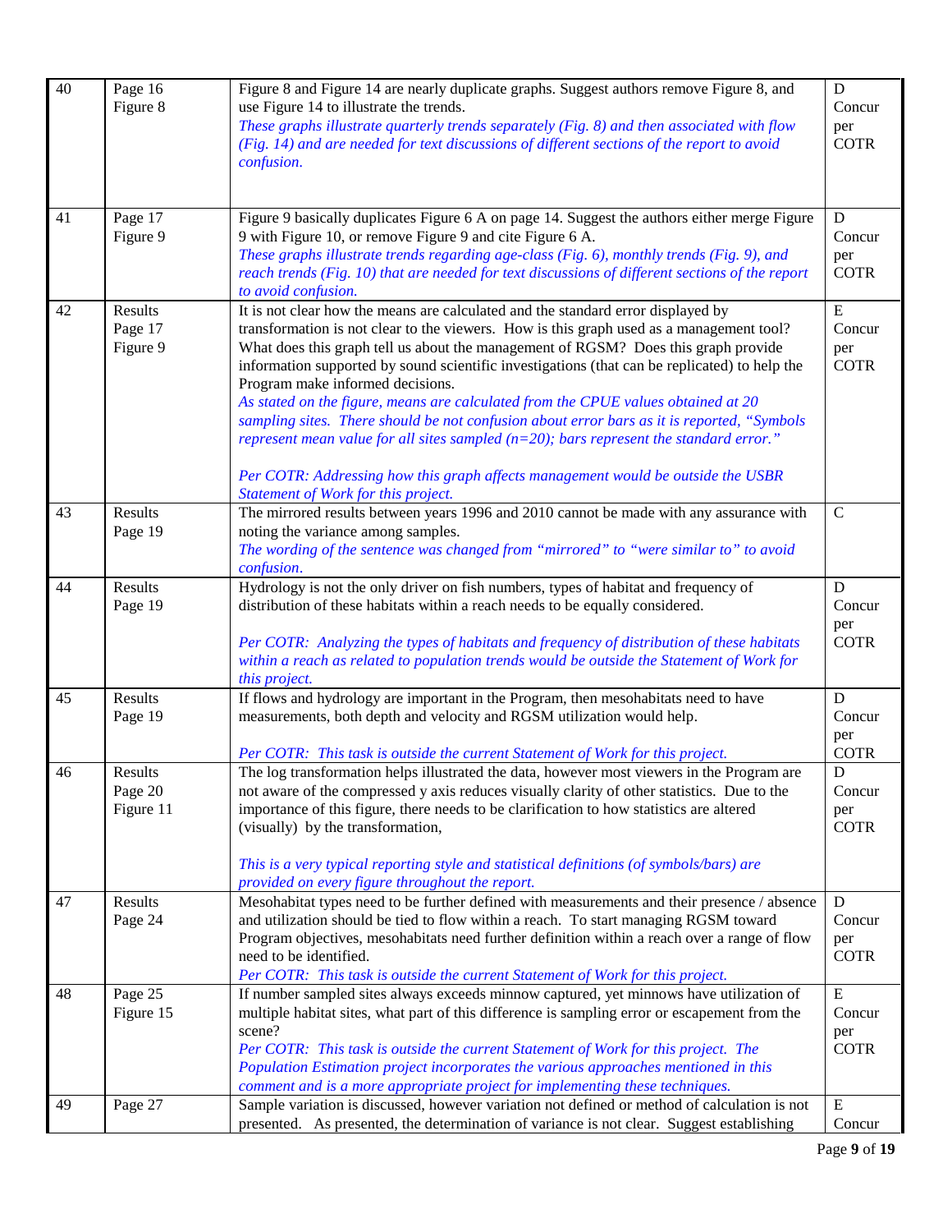| 40 | Page 16<br>Figure 8             | Figure 8 and Figure 14 are nearly duplicate graphs. Suggest authors remove Figure 8, and<br>use Figure 14 to illustrate the trends.<br>These graphs illustrate quarterly trends separately (Fig. 8) and then associated with flow<br>(Fig. 14) and are needed for text discussions of different sections of the report to avoid                                                                                                                                                                                                                             | $\mathbf D$<br>Concur<br>per<br><b>COTR</b>              |
|----|---------------------------------|-------------------------------------------------------------------------------------------------------------------------------------------------------------------------------------------------------------------------------------------------------------------------------------------------------------------------------------------------------------------------------------------------------------------------------------------------------------------------------------------------------------------------------------------------------------|----------------------------------------------------------|
|    |                                 | confusion.                                                                                                                                                                                                                                                                                                                                                                                                                                                                                                                                                  |                                                          |
| 41 | Page 17<br>Figure 9             | Figure 9 basically duplicates Figure 6 A on page 14. Suggest the authors either merge Figure<br>9 with Figure 10, or remove Figure 9 and cite Figure 6 A.<br>These graphs illustrate trends regarding age-class (Fig. 6), monthly trends (Fig. 9), and<br>reach trends (Fig. 10) that are needed for text discussions of different sections of the report<br>to avoid confusion.                                                                                                                                                                            | D<br>Concur<br>per<br><b>COTR</b>                        |
| 42 | Results<br>Page 17<br>Figure 9  | It is not clear how the means are calculated and the standard error displayed by<br>transformation is not clear to the viewers. How is this graph used as a management tool?<br>What does this graph tell us about the management of RGSM? Does this graph provide<br>information supported by sound scientific investigations (that can be replicated) to help the<br>Program make informed decisions.<br>As stated on the figure, means are calculated from the CPUE values obtained at 20                                                                | ${\bf E}$<br>Concur<br>per<br><b>COTR</b>                |
|    |                                 | sampling sites. There should be not confusion about error bars as it is reported, "Symbols<br>represent mean value for all sites sampled ( $n=20$ ); bars represent the standard error."<br>Per COTR: Addressing how this graph affects management would be outside the USBR<br>Statement of Work for this project.                                                                                                                                                                                                                                         |                                                          |
| 43 | Results<br>Page 19              | The mirrored results between years 1996 and 2010 cannot be made with any assurance with<br>noting the variance among samples.<br>The wording of the sentence was changed from "mirrored" to "were similar to" to avoid<br>confusion.                                                                                                                                                                                                                                                                                                                        | $\mathbf C$                                              |
| 44 | Results<br>Page 19              | Hydrology is not the only driver on fish numbers, types of habitat and frequency of<br>distribution of these habitats within a reach needs to be equally considered.<br>Per COTR: Analyzing the types of habitats and frequency of distribution of these habitats<br>within a reach as related to population trends would be outside the Statement of Work for<br>this project.                                                                                                                                                                             | $\mathbf D$<br>Concur<br>per<br><b>COTR</b>              |
| 45 | Results<br>Page 19              | If flows and hydrology are important in the Program, then mesohabitats need to have<br>measurements, both depth and velocity and RGSM utilization would help.                                                                                                                                                                                                                                                                                                                                                                                               | D<br>Concur<br>per                                       |
| 46 | Results<br>Page 20<br>Figure 11 | Per COTR: This task is outside the current Statement of Work for this project.<br>The log transformation helps illustrated the data, however most viewers in the Program are<br>not aware of the compressed y axis reduces visually clarity of other statistics. Due to the<br>importance of this figure, there needs to be clarification to how statistics are altered<br>(visually) by the transformation,<br>This is a very typical reporting style and statistical definitions (of symbols/bars) are<br>provided on every figure throughout the report. | <b>COTR</b><br>${\rm D}$<br>Concur<br>per<br><b>COTR</b> |
| 47 | Results<br>Page 24              | Mesohabitat types need to be further defined with measurements and their presence / absence<br>and utilization should be tied to flow within a reach. To start managing RGSM toward<br>Program objectives, mesohabitats need further definition within a reach over a range of flow<br>need to be identified.<br>Per COTR: This task is outside the current Statement of Work for this project.                                                                                                                                                             | $\mathbf D$<br>Concur<br>per<br><b>COTR</b>              |
| 48 | Page 25<br>Figure 15            | If number sampled sites always exceeds minnow captured, yet minnows have utilization of<br>multiple habitat sites, what part of this difference is sampling error or escapement from the<br>scene?<br>Per COTR: This task is outside the current Statement of Work for this project. The<br>Population Estimation project incorporates the various approaches mentioned in this<br>comment and is a more appropriate project for implementing these techniques.                                                                                             | ${\bf E}$<br>Concur<br>per<br><b>COTR</b>                |
| 49 | Page 27                         | Sample variation is discussed, however variation not defined or method of calculation is not<br>presented. As presented, the determination of variance is not clear. Suggest establishing                                                                                                                                                                                                                                                                                                                                                                   | ${\bf E}$<br>Concur                                      |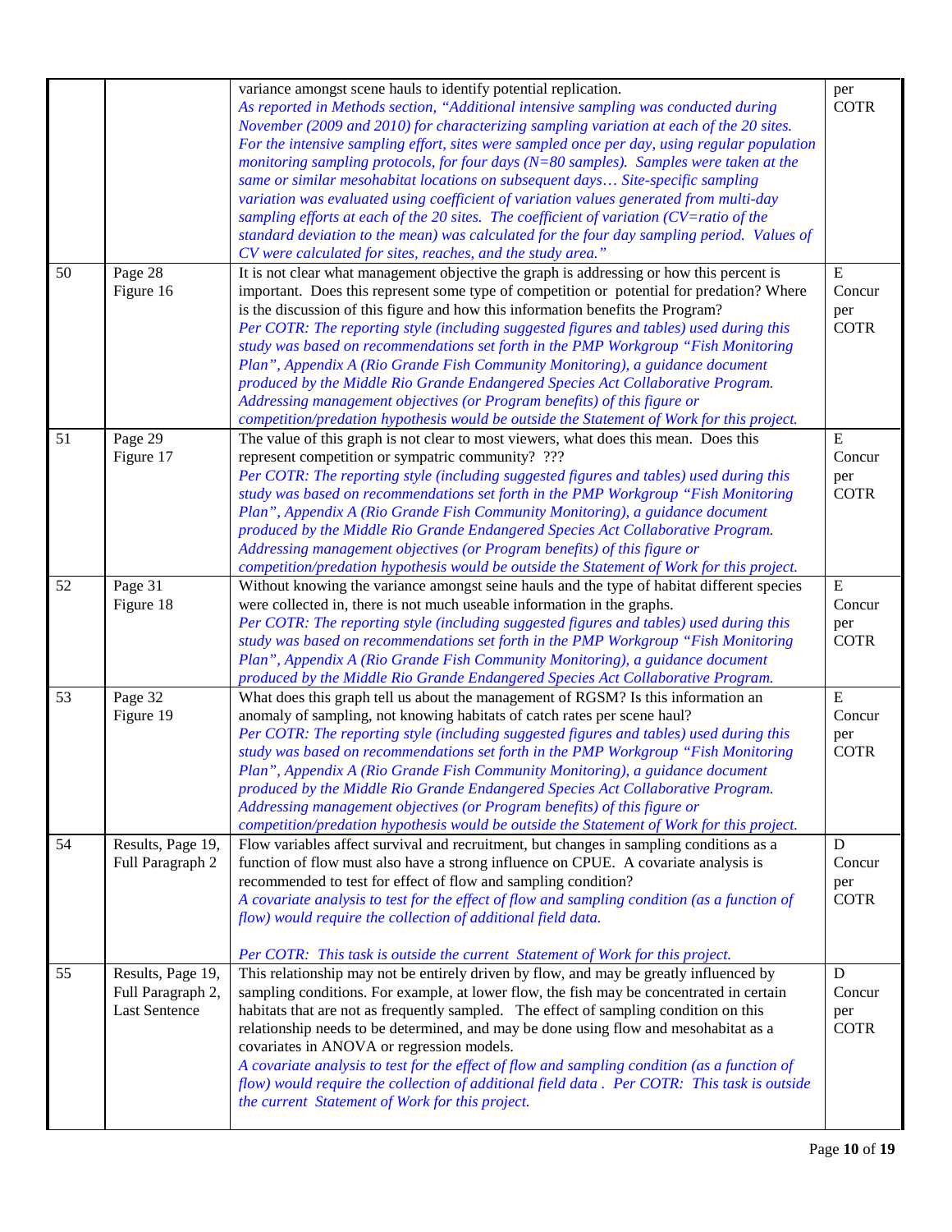| 50 | Page 28<br>Figure 16                                           | variance amongst scene hauls to identify potential replication.<br>As reported in Methods section, "Additional intensive sampling was conducted during<br>November (2009 and 2010) for characterizing sampling variation at each of the 20 sites.<br>For the intensive sampling effort, sites were sampled once per day, using regular population<br>monitoring sampling protocols, for four days ( $N=80$ samples). Samples were taken at the<br>same or similar mesohabitat locations on subsequent days Site-specific sampling<br>variation was evaluated using coefficient of variation values generated from multi-day<br>sampling efforts at each of the 20 sites. The coefficient of variation (CV=ratio of the<br>standard deviation to the mean) was calculated for the four day sampling period. Values of<br>CV were calculated for sites, reaches, and the study area."<br>It is not clear what management objective the graph is addressing or how this percent is<br>important. Does this represent some type of competition or potential for predation? Where<br>is the discussion of this figure and how this information benefits the Program?<br>Per COTR: The reporting style (including suggested figures and tables) used during this<br>study was based on recommendations set forth in the PMP Workgroup "Fish Monitoring | per<br><b>COTR</b><br>${\bf E}$<br>Concur<br>per<br><b>COTR</b> |
|----|----------------------------------------------------------------|--------------------------------------------------------------------------------------------------------------------------------------------------------------------------------------------------------------------------------------------------------------------------------------------------------------------------------------------------------------------------------------------------------------------------------------------------------------------------------------------------------------------------------------------------------------------------------------------------------------------------------------------------------------------------------------------------------------------------------------------------------------------------------------------------------------------------------------------------------------------------------------------------------------------------------------------------------------------------------------------------------------------------------------------------------------------------------------------------------------------------------------------------------------------------------------------------------------------------------------------------------------------------------------------------------------------------------------------------|-----------------------------------------------------------------|
|    |                                                                | Plan", Appendix A (Rio Grande Fish Community Monitoring), a guidance document<br>produced by the Middle Rio Grande Endangered Species Act Collaborative Program.<br>Addressing management objectives (or Program benefits) of this figure or<br>competition/predation hypothesis would be outside the Statement of Work for this project.                                                                                                                                                                                                                                                                                                                                                                                                                                                                                                                                                                                                                                                                                                                                                                                                                                                                                                                                                                                                        |                                                                 |
| 51 | Page 29<br>Figure 17                                           | The value of this graph is not clear to most viewers, what does this mean. Does this<br>represent competition or sympatric community? ???<br>Per COTR: The reporting style (including suggested figures and tables) used during this<br>study was based on recommendations set forth in the PMP Workgroup "Fish Monitoring<br>Plan", Appendix A (Rio Grande Fish Community Monitoring), a guidance document<br>produced by the Middle Rio Grande Endangered Species Act Collaborative Program.<br>Addressing management objectives (or Program benefits) of this figure or<br>competition/predation hypothesis would be outside the Statement of Work for this project.                                                                                                                                                                                                                                                                                                                                                                                                                                                                                                                                                                                                                                                                          | ${\bf E}$<br>Concur<br>per<br><b>COTR</b>                       |
| 52 | Page 31<br>Figure 18                                           | Without knowing the variance amongst seine hauls and the type of habitat different species<br>were collected in, there is not much useable information in the graphs.<br>Per COTR: The reporting style (including suggested figures and tables) used during this<br>study was based on recommendations set forth in the PMP Workgroup "Fish Monitoring<br>Plan", Appendix A (Rio Grande Fish Community Monitoring), a guidance document<br>produced by the Middle Rio Grande Endangered Species Act Collaborative Program.                                                                                                                                                                                                                                                                                                                                                                                                                                                                                                                                                                                                                                                                                                                                                                                                                       | ${\bf E}$<br>Concur<br>per<br><b>COTR</b>                       |
| 53 | Page 32<br>Figure 19                                           | What does this graph tell us about the management of RGSM? Is this information an<br>anomaly of sampling, not knowing habitats of catch rates per scene haul?<br>Per COTR: The reporting style (including suggested figures and tables) used during this<br>study was based on recommendations set forth in the PMP Workgroup "Fish Monitoring<br>Plan", Appendix A (Rio Grande Fish Community Monitoring), a guidance document<br>produced by the Middle Rio Grande Endangered Species Act Collaborative Program.<br>Addressing management objectives (or Program benefits) of this figure or<br>competition/predation hypothesis would be outside the Statement of Work for this project.                                                                                                                                                                                                                                                                                                                                                                                                                                                                                                                                                                                                                                                      | ${\bf E}$<br>Concur<br>per<br><b>COTR</b>                       |
| 54 | Results, Page 19,<br>Full Paragraph 2                          | Flow variables affect survival and recruitment, but changes in sampling conditions as a<br>function of flow must also have a strong influence on CPUE. A covariate analysis is<br>recommended to test for effect of flow and sampling condition?<br>A covariate analysis to test for the effect of flow and sampling condition (as a function of<br>flow) would require the collection of additional field data.<br>Per COTR: This task is outside the current Statement of Work for this project.                                                                                                                                                                                                                                                                                                                                                                                                                                                                                                                                                                                                                                                                                                                                                                                                                                               | D<br>Concur<br>per<br><b>COTR</b>                               |
| 55 | Results, Page 19,<br>Full Paragraph 2,<br><b>Last Sentence</b> | This relationship may not be entirely driven by flow, and may be greatly influenced by<br>sampling conditions. For example, at lower flow, the fish may be concentrated in certain<br>habitats that are not as frequently sampled. The effect of sampling condition on this<br>relationship needs to be determined, and may be done using flow and mesohabitat as a<br>covariates in ANOVA or regression models.<br>A covariate analysis to test for the effect of flow and sampling condition (as a function of<br>flow) would require the collection of additional field data. Per COTR: This task is outside<br>the current Statement of Work for this project.                                                                                                                                                                                                                                                                                                                                                                                                                                                                                                                                                                                                                                                                               | D<br>Concur<br>per<br><b>COTR</b>                               |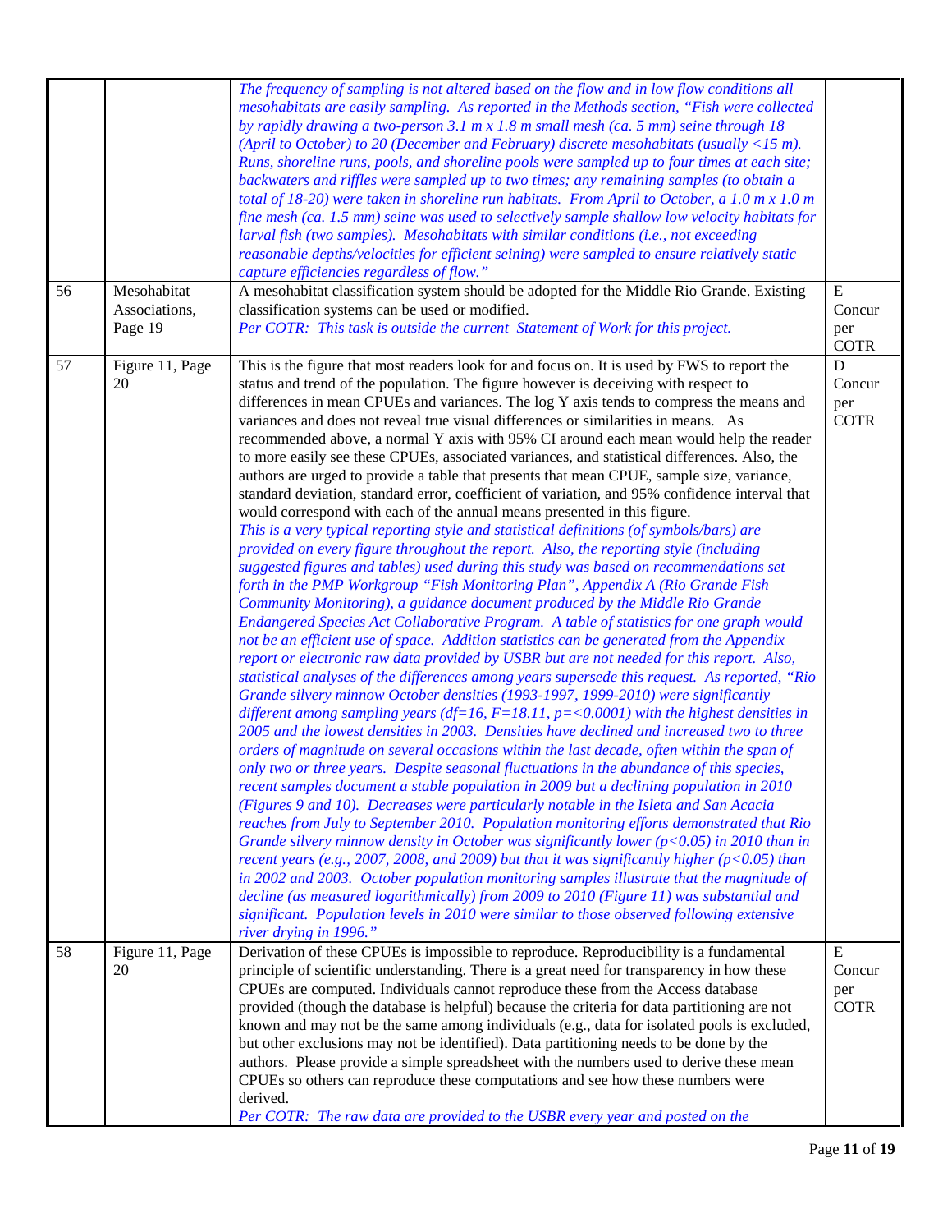|    |                                         | The frequency of sampling is not altered based on the flow and in low flow conditions all<br>mesohabitats are easily sampling. As reported in the Methods section, "Fish were collected<br>by rapidly drawing a two-person 3.1 m x 1.8 m small mesh (ca. 5 mm) seine through 18<br>(April to October) to 20 (December and February) discrete mesohabitats (usually $\langle 15 \text{ m} \rangle$ .<br>Runs, shoreline runs, pools, and shoreline pools were sampled up to four times at each site;<br>backwaters and riffles were sampled up to two times; any remaining samples (to obtain a<br>total of 18-20) were taken in shoreline run habitats. From April to October, a 1.0 m $x$ 1.0 m<br>fine mesh (ca. 1.5 mm) seine was used to selectively sample shallow low velocity habitats for<br>larval fish (two samples). Mesohabitats with similar conditions (i.e., not exceeding<br>reasonable depths/velocities for efficient seining) were sampled to ensure relatively static<br>capture efficiencies regardless of flow."                                                                                                                                                                                                                                                                                                                                                                                                                                                                                                                                                                                                                                                                                                                                                                                                                                                                                                                                                                                                                                                                                                                                                                                                                                                                                                                                                                                                                                                                                                                                                                                                                                                                                                                                                                                                                                                                                                                     |                                             |
|----|-----------------------------------------|------------------------------------------------------------------------------------------------------------------------------------------------------------------------------------------------------------------------------------------------------------------------------------------------------------------------------------------------------------------------------------------------------------------------------------------------------------------------------------------------------------------------------------------------------------------------------------------------------------------------------------------------------------------------------------------------------------------------------------------------------------------------------------------------------------------------------------------------------------------------------------------------------------------------------------------------------------------------------------------------------------------------------------------------------------------------------------------------------------------------------------------------------------------------------------------------------------------------------------------------------------------------------------------------------------------------------------------------------------------------------------------------------------------------------------------------------------------------------------------------------------------------------------------------------------------------------------------------------------------------------------------------------------------------------------------------------------------------------------------------------------------------------------------------------------------------------------------------------------------------------------------------------------------------------------------------------------------------------------------------------------------------------------------------------------------------------------------------------------------------------------------------------------------------------------------------------------------------------------------------------------------------------------------------------------------------------------------------------------------------------------------------------------------------------------------------------------------------------------------------------------------------------------------------------------------------------------------------------------------------------------------------------------------------------------------------------------------------------------------------------------------------------------------------------------------------------------------------------------------------------------------------------------------------------------------------------------|---------------------------------------------|
| 56 | Mesohabitat<br>Associations,<br>Page 19 | A mesohabitat classification system should be adopted for the Middle Rio Grande. Existing<br>classification systems can be used or modified.<br>Per COTR: This task is outside the current Statement of Work for this project.                                                                                                                                                                                                                                                                                                                                                                                                                                                                                                                                                                                                                                                                                                                                                                                                                                                                                                                                                                                                                                                                                                                                                                                                                                                                                                                                                                                                                                                                                                                                                                                                                                                                                                                                                                                                                                                                                                                                                                                                                                                                                                                                                                                                                                                                                                                                                                                                                                                                                                                                                                                                                                                                                                                             | $\mathbf E$<br>Concur<br>per<br><b>COTR</b> |
| 57 | Figure 11, Page<br>20                   | This is the figure that most readers look for and focus on. It is used by FWS to report the<br>status and trend of the population. The figure however is deceiving with respect to<br>differences in mean CPUEs and variances. The log Y axis tends to compress the means and<br>variances and does not reveal true visual differences or similarities in means. As<br>recommended above, a normal Y axis with 95% CI around each mean would help the reader<br>to more easily see these CPUEs, associated variances, and statistical differences. Also, the<br>authors are urged to provide a table that presents that mean CPUE, sample size, variance,<br>standard deviation, standard error, coefficient of variation, and 95% confidence interval that<br>would correspond with each of the annual means presented in this figure.<br>This is a very typical reporting style and statistical definitions (of symbols/bars) are<br>provided on every figure throughout the report. Also, the reporting style (including<br>suggested figures and tables) used during this study was based on recommendations set<br>forth in the PMP Workgroup "Fish Monitoring Plan", Appendix A (Rio Grande Fish<br>Community Monitoring), a guidance document produced by the Middle Rio Grande<br>Endangered Species Act Collaborative Program. A table of statistics for one graph would<br>not be an efficient use of space. Addition statistics can be generated from the Appendix<br>report or electronic raw data provided by USBR but are not needed for this report. Also,<br>statistical analyses of the differences among years supersede this request. As reported, "Rio<br>Grande silvery minnow October densities (1993-1997, 1999-2010) were significantly<br>different among sampling years (df=16, $F=18.11$ , $p=<0.0001$ ) with the highest densities in<br>2005 and the lowest densities in 2003. Densities have declined and increased two to three<br>orders of magnitude on several occasions within the last decade, often within the span of<br>only two or three years. Despite seasonal fluctuations in the abundance of this species,<br>recent samples document a stable population in 2009 but a declining population in 2010<br>(Figures 9 and 10). Decreases were particularly notable in the Isleta and San Acacia<br>reaches from July to September 2010. Population monitoring efforts demonstrated that Rio<br>Grande silvery minnow density in October was significantly lower ( $p<0.05$ ) in 2010 than in<br>recent years (e.g., 2007, 2008, and 2009) but that it was significantly higher ( $p < 0.05$ ) than<br>in 2002 and 2003. October population monitoring samples illustrate that the magnitude of<br>decline (as measured logarithmically) from 2009 to 2010 (Figure 11) was substantial and<br>significant. Population levels in 2010 were similar to those observed following extensive<br>river drying in 1996." | $\mathbf D$<br>Concur<br>per<br><b>COTR</b> |
| 58 | Figure 11, Page<br>20                   | Derivation of these CPUEs is impossible to reproduce. Reproducibility is a fundamental<br>principle of scientific understanding. There is a great need for transparency in how these<br>CPUEs are computed. Individuals cannot reproduce these from the Access database<br>provided (though the database is helpful) because the criteria for data partitioning are not<br>known and may not be the same among individuals (e.g., data for isolated pools is excluded,<br>but other exclusions may not be identified). Data partitioning needs to be done by the<br>authors. Please provide a simple spreadsheet with the numbers used to derive these mean<br>CPUEs so others can reproduce these computations and see how these numbers were<br>derived.<br>Per COTR: The raw data are provided to the USBR every year and posted on the                                                                                                                                                                                                                                                                                                                                                                                                                                                                                                                                                                                                                                                                                                                                                                                                                                                                                                                                                                                                                                                                                                                                                                                                                                                                                                                                                                                                                                                                                                                                                                                                                                                                                                                                                                                                                                                                                                                                                                                                                                                                                                                 | E<br>Concur<br>per<br><b>COTR</b>           |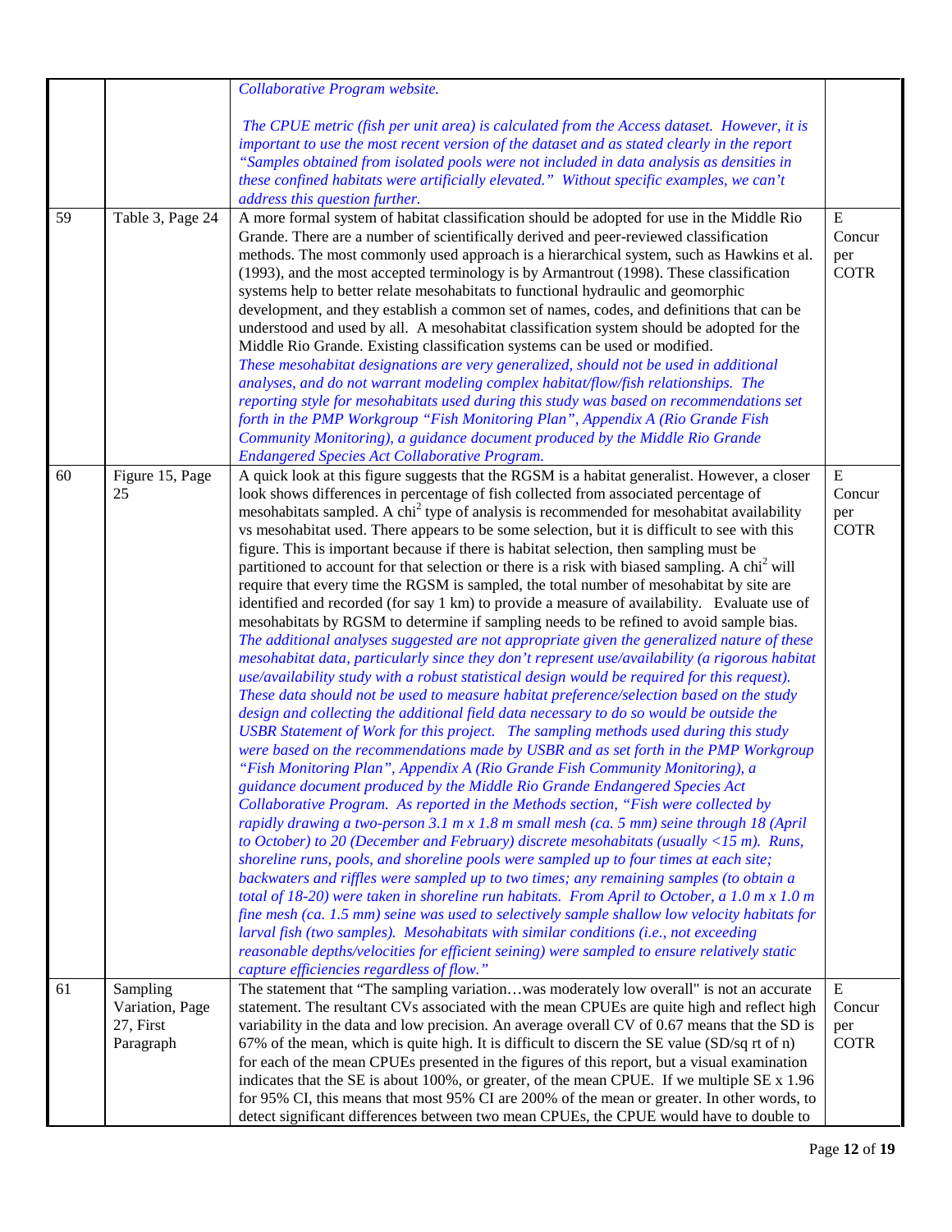|    |                                                       | Collaborative Program website.                                                                                                                                                                                                                                                                                                                                                                                                                                                                                                                                                                                                                                                                                                                                                                                                                                                                                                                                                                                                                                                                                                                                                                                                                                                                                                                                                                                                                                                                                                                                                                                                                                                                                                                                                                                                                                                                                                                                                                                                                                                                                                                                                                                                                                                                                                                                                                                                                                                                                                                                                                                                                           |                                           |
|----|-------------------------------------------------------|----------------------------------------------------------------------------------------------------------------------------------------------------------------------------------------------------------------------------------------------------------------------------------------------------------------------------------------------------------------------------------------------------------------------------------------------------------------------------------------------------------------------------------------------------------------------------------------------------------------------------------------------------------------------------------------------------------------------------------------------------------------------------------------------------------------------------------------------------------------------------------------------------------------------------------------------------------------------------------------------------------------------------------------------------------------------------------------------------------------------------------------------------------------------------------------------------------------------------------------------------------------------------------------------------------------------------------------------------------------------------------------------------------------------------------------------------------------------------------------------------------------------------------------------------------------------------------------------------------------------------------------------------------------------------------------------------------------------------------------------------------------------------------------------------------------------------------------------------------------------------------------------------------------------------------------------------------------------------------------------------------------------------------------------------------------------------------------------------------------------------------------------------------------------------------------------------------------------------------------------------------------------------------------------------------------------------------------------------------------------------------------------------------------------------------------------------------------------------------------------------------------------------------------------------------------------------------------------------------------------------------------------------------|-------------------------------------------|
|    |                                                       | The CPUE metric (fish per unit area) is calculated from the Access dataset. However, it is<br>important to use the most recent version of the dataset and as stated clearly in the report<br>"Samples obtained from isolated pools were not included in data analysis as densities in<br>these confined habitats were artificially elevated." Without specific examples, we can't<br>address this question further.                                                                                                                                                                                                                                                                                                                                                                                                                                                                                                                                                                                                                                                                                                                                                                                                                                                                                                                                                                                                                                                                                                                                                                                                                                                                                                                                                                                                                                                                                                                                                                                                                                                                                                                                                                                                                                                                                                                                                                                                                                                                                                                                                                                                                                      |                                           |
| 59 | Table 3, Page 24                                      | A more formal system of habitat classification should be adopted for use in the Middle Rio<br>Grande. There are a number of scientifically derived and peer-reviewed classification<br>methods. The most commonly used approach is a hierarchical system, such as Hawkins et al.<br>(1993), and the most accepted terminology is by Armantrout (1998). These classification<br>systems help to better relate mesohabitats to functional hydraulic and geomorphic<br>development, and they establish a common set of names, codes, and definitions that can be<br>understood and used by all. A mesohabitat classification system should be adopted for the<br>Middle Rio Grande. Existing classification systems can be used or modified.<br>These mesohabitat designations are very generalized, should not be used in additional<br>analyses, and do not warrant modeling complex habitat/flow/fish relationships. The<br>reporting style for mesohabitats used during this study was based on recommendations set<br>forth in the PMP Workgroup "Fish Monitoring Plan", Appendix A (Rio Grande Fish<br>Community Monitoring), a guidance document produced by the Middle Rio Grande<br><b>Endangered Species Act Collaborative Program.</b>                                                                                                                                                                                                                                                                                                                                                                                                                                                                                                                                                                                                                                                                                                                                                                                                                                                                                                                                                                                                                                                                                                                                                                                                                                                                                                                                                                                                           | E<br>Concur<br>per<br><b>COTR</b>         |
| 60 | Figure 15, Page<br>25                                 | A quick look at this figure suggests that the RGSM is a habitat generalist. However, a closer<br>look shows differences in percentage of fish collected from associated percentage of<br>mesohabitats sampled. A chi <sup>2</sup> type of analysis is recommended for mesohabitat availability<br>vs mesohabitat used. There appears to be some selection, but it is difficult to see with this<br>figure. This is important because if there is habitat selection, then sampling must be<br>partitioned to account for that selection or there is a risk with biased sampling. A chi <sup>2</sup> will<br>require that every time the RGSM is sampled, the total number of mesohabitat by site are<br>identified and recorded (for say 1 km) to provide a measure of availability. Evaluate use of<br>mesohabitats by RGSM to determine if sampling needs to be refined to avoid sample bias.<br>The additional analyses suggested are not appropriate given the generalized nature of these<br>mesohabitat data, particularly since they don't represent use/availability (a rigorous habitat<br>use/availability study with a robust statistical design would be required for this request).<br>These data should not be used to measure habitat preference/selection based on the study<br>design and collecting the additional field data necessary to do so would be outside the<br>USBR Statement of Work for this project. The sampling methods used during this study<br>were based on the recommendations made by USBR and as set forth in the PMP Workgroup<br>"Fish Monitoring Plan", Appendix A (Rio Grande Fish Community Monitoring), a<br>guidance document produced by the Middle Rio Grande Endangered Species Act<br>Collaborative Program. As reported in the Methods section, "Fish were collected by<br>rapidly drawing a two-person 3.1 m x 1.8 m small mesh (ca. 5 mm) seine through 18 (April<br>to October) to 20 (December and February) discrete mesohabitats (usually $\langle$ 15 m). Runs,<br>shoreline runs, pools, and shoreline pools were sampled up to four times at each site;<br>backwaters and riffles were sampled up to two times; any remaining samples (to obtain a<br>total of 18-20) were taken in shoreline run habitats. From April to October, a $1.0$ m x $1.0$ m<br>fine mesh (ca. 1.5 mm) seine was used to selectively sample shallow low velocity habitats for<br>larval fish (two samples). Mesohabitats with similar conditions (i.e., not exceeding<br>reasonable depths/velocities for efficient seining) were sampled to ensure relatively static<br>capture efficiencies regardless of flow." | ${\bf E}$<br>Concur<br>per<br><b>COTR</b> |
| 61 | Sampling<br>Variation, Page<br>27, First<br>Paragraph | The statement that "The sampling variationwas moderately low overall" is not an accurate<br>statement. The resultant CVs associated with the mean CPUEs are quite high and reflect high<br>variability in the data and low precision. An average overall CV of 0.67 means that the SD is<br>67% of the mean, which is quite high. It is difficult to discern the SE value (SD/sq rt of n)<br>for each of the mean CPUEs presented in the figures of this report, but a visual examination<br>indicates that the SE is about 100%, or greater, of the mean CPUE. If we multiple SE x 1.96<br>for 95% CI, this means that most 95% CI are 200% of the mean or greater. In other words, to<br>detect significant differences between two mean CPUEs, the CPUE would have to double to                                                                                                                                                                                                                                                                                                                                                                                                                                                                                                                                                                                                                                                                                                                                                                                                                                                                                                                                                                                                                                                                                                                                                                                                                                                                                                                                                                                                                                                                                                                                                                                                                                                                                                                                                                                                                                                                       | ${\bf E}$<br>Concur<br>per<br><b>COTR</b> |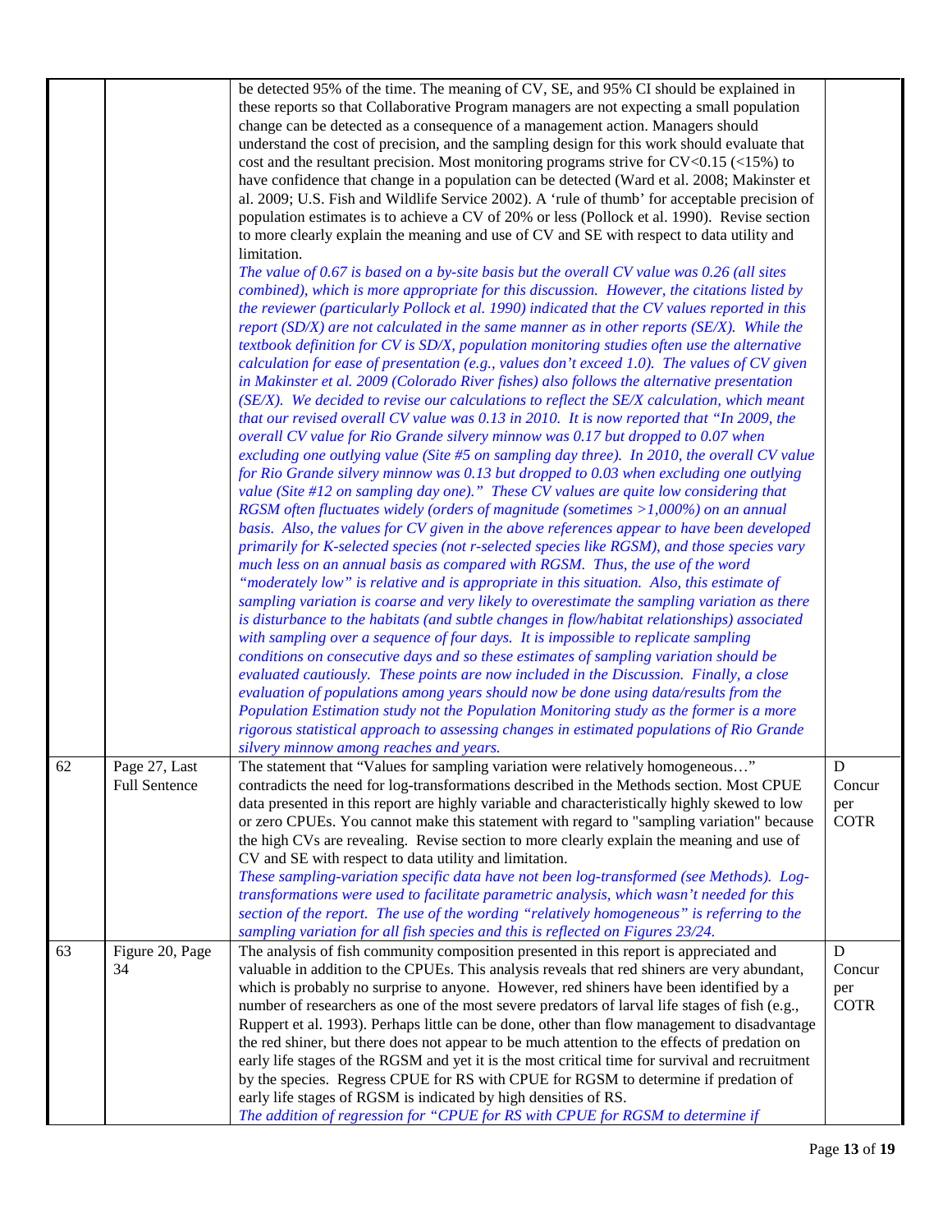|    |                                       | be detected 95% of the time. The meaning of CV, SE, and 95% CI should be explained in<br>these reports so that Collaborative Program managers are not expecting a small population<br>change can be detected as a consequence of a management action. Managers should<br>understand the cost of precision, and the sampling design for this work should evaluate that<br>cost and the resultant precision. Most monitoring programs strive for $CV < 0.15$ (<15%) to<br>have confidence that change in a population can be detected (Ward et al. 2008; Makinster et<br>al. 2009; U.S. Fish and Wildlife Service 2002). A 'rule of thumb' for acceptable precision of<br>population estimates is to achieve a CV of 20% or less (Pollock et al. 1990). Revise section<br>to more clearly explain the meaning and use of CV and SE with respect to data utility and<br>limitation.<br>The value of 0.67 is based on a by-site basis but the overall CV value was $0.26$ (all sites<br>combined), which is more appropriate for this discussion. However, the citations listed by<br>the reviewer (particularly Pollock et al. 1990) indicated that the CV values reported in this<br>report $(SD/X)$ are not calculated in the same manner as in other reports $(SE/X)$ . While the<br>textbook definition for CV is SD/X, population monitoring studies often use the alternative<br>calculation for ease of presentation (e.g., values don't exceed 1.0). The values of CV given<br>in Makinster et al. 2009 (Colorado River fishes) also follows the alternative presentation<br>(SE/X). We decided to revise our calculations to reflect the SE/X calculation, which meant<br>that our revised overall CV value was 0.13 in 2010. It is now reported that "In 2009, the<br>overall CV value for Rio Grande silvery minnow was 0.17 but dropped to 0.07 when<br>excluding one outlying value (Site #5 on sampling day three). In 2010, the overall CV value<br>for Rio Grande silvery minnow was 0.13 but dropped to 0.03 when excluding one outlying<br>value (Site $#12$ on sampling day one)." These CV values are quite low considering that<br>RGSM often fluctuates widely (orders of magnitude (sometimes $>1,000\%$ ) on an annual<br>basis. Also, the values for CV given in the above references appear to have been developed<br>primarily for K-selected species (not r-selected species like RGSM), and those species vary<br>much less on an annual basis as compared with RGSM. Thus, the use of the word<br>"moderately low" is relative and is appropriate in this situation. Also, this estimate of<br>sampling variation is coarse and very likely to overestimate the sampling variation as there<br>is disturbance to the habitats (and subtle changes in flow/habitat relationships) associated<br>with sampling over a sequence of four days. It is impossible to replicate sampling<br>conditions on consecutive days and so these estimates of sampling variation should be<br>evaluated cautiously. These points are now included in the Discussion. Finally, a close<br>evaluation of populations among years should now be done using data/results from the<br>Population Estimation study not the Population Monitoring study as the former is a more<br>rigorous statistical approach to assessing changes in estimated populations of Rio Grande |                                           |
|----|---------------------------------------|----------------------------------------------------------------------------------------------------------------------------------------------------------------------------------------------------------------------------------------------------------------------------------------------------------------------------------------------------------------------------------------------------------------------------------------------------------------------------------------------------------------------------------------------------------------------------------------------------------------------------------------------------------------------------------------------------------------------------------------------------------------------------------------------------------------------------------------------------------------------------------------------------------------------------------------------------------------------------------------------------------------------------------------------------------------------------------------------------------------------------------------------------------------------------------------------------------------------------------------------------------------------------------------------------------------------------------------------------------------------------------------------------------------------------------------------------------------------------------------------------------------------------------------------------------------------------------------------------------------------------------------------------------------------------------------------------------------------------------------------------------------------------------------------------------------------------------------------------------------------------------------------------------------------------------------------------------------------------------------------------------------------------------------------------------------------------------------------------------------------------------------------------------------------------------------------------------------------------------------------------------------------------------------------------------------------------------------------------------------------------------------------------------------------------------------------------------------------------------------------------------------------------------------------------------------------------------------------------------------------------------------------------------------------------------------------------------------------------------------------------------------------------------------------------------------------------------------------------------------------------------------------------------------------------------------------------------------------------------------------------------------------------------------------------------------------------------------------------------------------------------------------------------------------------------------------------------------------------------------------------------------------------------------------------------------------------------------------------------------------------------|-------------------------------------------|
| 62 | Page 27, Last<br><b>Full Sentence</b> | silvery minnow among reaches and years.<br>The statement that "Values for sampling variation were relatively homogeneous<br>contradicts the need for log-transformations described in the Methods section. Most CPUE<br>data presented in this report are highly variable and characteristically highly skewed to low<br>or zero CPUEs. You cannot make this statement with regard to "sampling variation" because<br>the high CVs are revealing. Revise section to more clearly explain the meaning and use of<br>CV and SE with respect to data utility and limitation.<br>These sampling-variation specific data have not been log-transformed (see Methods). Log-<br>transformations were used to facilitate parametric analysis, which wasn't needed for this<br>section of the report. The use of the wording "relatively homogeneous" is referring to the<br>sampling variation for all fish species and this is reflected on Figures 23/24.                                                                                                                                                                                                                                                                                                                                                                                                                                                                                                                                                                                                                                                                                                                                                                                                                                                                                                                                                                                                                                                                                                                                                                                                                                                                                                                                                                                                                                                                                                                                                                                                                                                                                                                                                                                                                                                                                                                                                                                                                                                                                                                                                                                                                                                                                                                                                                                                                              | ${\bf D}$<br>Concur<br>per<br><b>COTR</b> |
| 63 | Figure 20, Page<br>34                 | The analysis of fish community composition presented in this report is appreciated and<br>valuable in addition to the CPUEs. This analysis reveals that red shiners are very abundant,<br>which is probably no surprise to anyone. However, red shiners have been identified by a<br>number of researchers as one of the most severe predators of larval life stages of fish (e.g.,<br>Ruppert et al. 1993). Perhaps little can be done, other than flow management to disadvantage<br>the red shiner, but there does not appear to be much attention to the effects of predation on<br>early life stages of the RGSM and yet it is the most critical time for survival and recruitment<br>by the species. Regress CPUE for RS with CPUE for RGSM to determine if predation of<br>early life stages of RGSM is indicated by high densities of RS.<br>The addition of regression for "CPUE for RS with CPUE for RGSM to determine if                                                                                                                                                                                                                                                                                                                                                                                                                                                                                                                                                                                                                                                                                                                                                                                                                                                                                                                                                                                                                                                                                                                                                                                                                                                                                                                                                                                                                                                                                                                                                                                                                                                                                                                                                                                                                                                                                                                                                                                                                                                                                                                                                                                                                                                                                                                                                                                                                                              | D<br>Concur<br>per<br><b>COTR</b>         |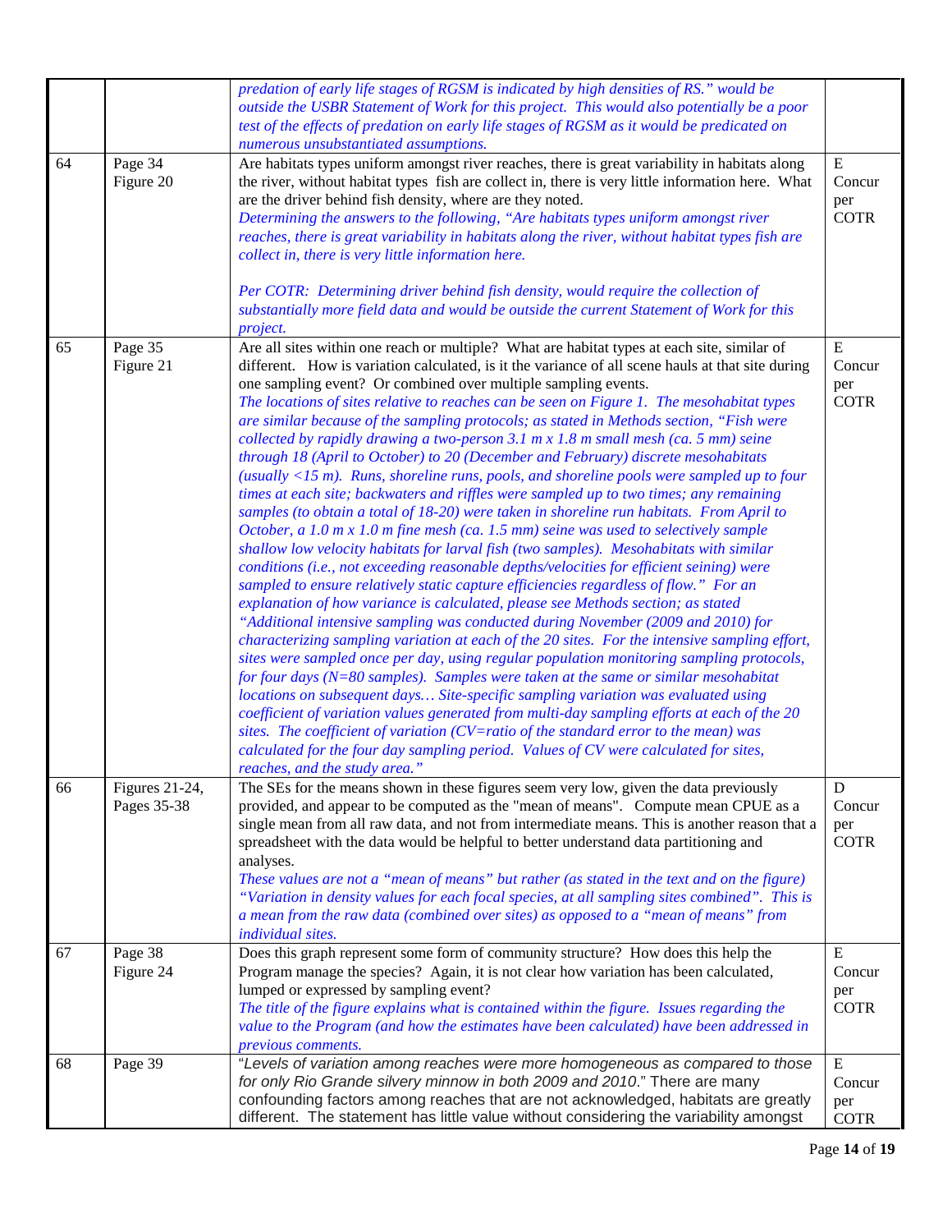|    |                               | predation of early life stages of RGSM is indicated by high densities of RS." would be<br>outside the USBR Statement of Work for this project. This would also potentially be a poor<br>test of the effects of predation on early life stages of RGSM as it would be predicated on<br>numerous unsubstantiated assumptions.                                                                                                                                                                                                                                                                                                                                                                                                                                                                                                                                                                                                                                                                                                                                                                                                                                                                                                                                                                                                                                                                                                                                                                                                                                                                                                                                                                                                                                                                                                                                                                                                                                                                                                                                                                                                                                                                      |                                           |
|----|-------------------------------|--------------------------------------------------------------------------------------------------------------------------------------------------------------------------------------------------------------------------------------------------------------------------------------------------------------------------------------------------------------------------------------------------------------------------------------------------------------------------------------------------------------------------------------------------------------------------------------------------------------------------------------------------------------------------------------------------------------------------------------------------------------------------------------------------------------------------------------------------------------------------------------------------------------------------------------------------------------------------------------------------------------------------------------------------------------------------------------------------------------------------------------------------------------------------------------------------------------------------------------------------------------------------------------------------------------------------------------------------------------------------------------------------------------------------------------------------------------------------------------------------------------------------------------------------------------------------------------------------------------------------------------------------------------------------------------------------------------------------------------------------------------------------------------------------------------------------------------------------------------------------------------------------------------------------------------------------------------------------------------------------------------------------------------------------------------------------------------------------------------------------------------------------------------------------------------------------|-------------------------------------------|
| 64 | Page 34<br>Figure 20          | Are habitats types uniform amongst river reaches, there is great variability in habitats along<br>the river, without habitat types fish are collect in, there is very little information here. What<br>are the driver behind fish density, where are they noted.<br>Determining the answers to the following, "Are habitats types uniform amongst river<br>reaches, there is great variability in habitats along the river, without habitat types fish are<br>collect in, there is very little information here.<br>Per COTR: Determining driver behind fish density, would require the collection of<br>substantially more field data and would be outside the current Statement of Work for this<br>project.                                                                                                                                                                                                                                                                                                                                                                                                                                                                                                                                                                                                                                                                                                                                                                                                                                                                                                                                                                                                                                                                                                                                                                                                                                                                                                                                                                                                                                                                                   | ${\bf E}$<br>Concur<br>per<br><b>COTR</b> |
| 65 | Page 35<br>Figure 21          | Are all sites within one reach or multiple? What are habitat types at each site, similar of<br>different. How is variation calculated, is it the variance of all scene hauls at that site during<br>one sampling event? Or combined over multiple sampling events.<br>The locations of sites relative to reaches can be seen on Figure 1. The mesohabitat types<br>are similar because of the sampling protocols; as stated in Methods section, "Fish were<br>collected by rapidly drawing a two-person $3.1$ m x $1.8$ m small mesh (ca. 5 mm) seine<br>through 18 (April to October) to 20 (December and February) discrete mesohabitats<br>(usually $\langle 15 \text{ m} \rangle$ . Runs, shoreline runs, pools, and shoreline pools were sampled up to four<br>times at each site; backwaters and riffles were sampled up to two times; any remaining<br>samples (to obtain a total of 18-20) were taken in shoreline run habitats. From April to<br>October, a 1.0 m x 1.0 m fine mesh (ca. 1.5 mm) seine was used to selectively sample<br>shallow low velocity habitats for larval fish (two samples). Mesohabitats with similar<br>conditions (i.e., not exceeding reasonable depths/velocities for efficient seining) were<br>sampled to ensure relatively static capture efficiencies regardless of flow." For an<br>explanation of how variance is calculated, please see Methods section; as stated<br>"Additional intensive sampling was conducted during November (2009 and 2010) for<br>characterizing sampling variation at each of the 20 sites. For the intensive sampling effort,<br>sites were sampled once per day, using regular population monitoring sampling protocols,<br>for four days ( $N=80$ samples). Samples were taken at the same or similar mesohabitat<br>locations on subsequent days Site-specific sampling variation was evaluated using<br>coefficient of variation values generated from multi-day sampling efforts at each of the 20<br>sites. The coefficient of variation (CV=ratio of the standard error to the mean) was<br>calculated for the four day sampling period. Values of CV were calculated for sites,<br>reaches, and the study area." | ${\bf E}$<br>Concur<br>per<br><b>COTR</b> |
| 66 | Figures 21-24,<br>Pages 35-38 | The SEs for the means shown in these figures seem very low, given the data previously<br>provided, and appear to be computed as the "mean of means". Compute mean CPUE as a<br>single mean from all raw data, and not from intermediate means. This is another reason that a<br>spreadsheet with the data would be helpful to better understand data partitioning and<br>analyses.<br>These values are not a "mean of means" but rather (as stated in the text and on the figure)<br>"Variation in density values for each focal species, at all sampling sites combined". This is<br>a mean from the raw data (combined over sites) as opposed to a "mean of means" from<br>individual sites.                                                                                                                                                                                                                                                                                                                                                                                                                                                                                                                                                                                                                                                                                                                                                                                                                                                                                                                                                                                                                                                                                                                                                                                                                                                                                                                                                                                                                                                                                                   | D<br>Concur<br>per<br><b>COTR</b>         |
| 67 | Page 38<br>Figure 24          | Does this graph represent some form of community structure? How does this help the<br>Program manage the species? Again, it is not clear how variation has been calculated,<br>lumped or expressed by sampling event?<br>The title of the figure explains what is contained within the figure. Issues regarding the<br>value to the Program (and how the estimates have been calculated) have been addressed in<br>previous comments.                                                                                                                                                                                                                                                                                                                                                                                                                                                                                                                                                                                                                                                                                                                                                                                                                                                                                                                                                                                                                                                                                                                                                                                                                                                                                                                                                                                                                                                                                                                                                                                                                                                                                                                                                            | ${\bf E}$<br>Concur<br>per<br><b>COTR</b> |
| 68 | Page 39                       | "Levels of variation among reaches were more homogeneous as compared to those<br>for only Rio Grande silvery minnow in both 2009 and 2010." There are many<br>confounding factors among reaches that are not acknowledged, habitats are greatly<br>different. The statement has little value without considering the variability amongst                                                                                                                                                                                                                                                                                                                                                                                                                                                                                                                                                                                                                                                                                                                                                                                                                                                                                                                                                                                                                                                                                                                                                                                                                                                                                                                                                                                                                                                                                                                                                                                                                                                                                                                                                                                                                                                         | ${\bf E}$<br>Concur<br>per<br><b>COTR</b> |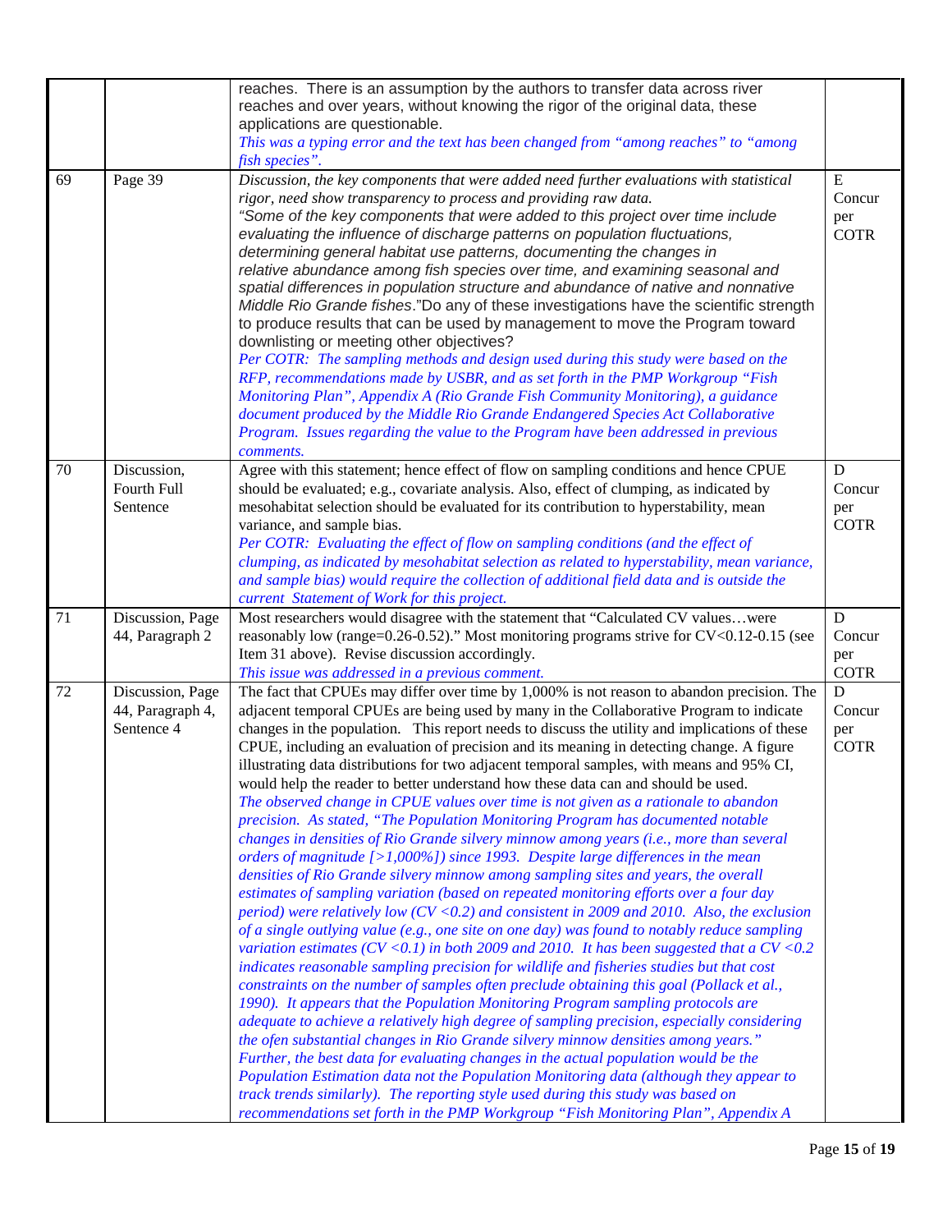| 69 | Page 39                                            | reaches. There is an assumption by the authors to transfer data across river<br>reaches and over years, without knowing the rigor of the original data, these<br>applications are questionable.<br>This was a typing error and the text has been changed from "among reaches" to "among<br>fish species".<br>Discussion, the key components that were added need further evaluations with statistical                                                                                                                                                                                                                                                                                                                                                                                                                                                                                                                                                                                                                                                                                                                                                                                                                                                                                                                                                                                                                                                                                                                                                                                                                                                                                                                                                                                                                                                                                                                                                                                                                                                                                                                                                                                                                                              | ${\bf E}$                         |
|----|----------------------------------------------------|----------------------------------------------------------------------------------------------------------------------------------------------------------------------------------------------------------------------------------------------------------------------------------------------------------------------------------------------------------------------------------------------------------------------------------------------------------------------------------------------------------------------------------------------------------------------------------------------------------------------------------------------------------------------------------------------------------------------------------------------------------------------------------------------------------------------------------------------------------------------------------------------------------------------------------------------------------------------------------------------------------------------------------------------------------------------------------------------------------------------------------------------------------------------------------------------------------------------------------------------------------------------------------------------------------------------------------------------------------------------------------------------------------------------------------------------------------------------------------------------------------------------------------------------------------------------------------------------------------------------------------------------------------------------------------------------------------------------------------------------------------------------------------------------------------------------------------------------------------------------------------------------------------------------------------------------------------------------------------------------------------------------------------------------------------------------------------------------------------------------------------------------------------------------------------------------------------------------------------------------------|-----------------------------------|
|    |                                                    | rigor, need show transparency to process and providing raw data.<br>"Some of the key components that were added to this project over time include<br>evaluating the influence of discharge patterns on population fluctuations,<br>determining general habitat use patterns, documenting the changes in<br>relative abundance among fish species over time, and examining seasonal and<br>spatial differences in population structure and abundance of native and nonnative<br>Middle Rio Grande fishes."Do any of these investigations have the scientific strength<br>to produce results that can be used by management to move the Program toward<br>downlisting or meeting other objectives?<br>Per COTR: The sampling methods and design used during this study were based on the<br>RFP, recommendations made by USBR, and as set forth in the PMP Workgroup "Fish<br>Monitoring Plan", Appendix A (Rio Grande Fish Community Monitoring), a guidance<br>document produced by the Middle Rio Grande Endangered Species Act Collaborative<br>Program. Issues regarding the value to the Program have been addressed in previous<br>comments.                                                                                                                                                                                                                                                                                                                                                                                                                                                                                                                                                                                                                                                                                                                                                                                                                                                                                                                                                                                                                                                                                                  | Concur<br>per<br><b>COTR</b>      |
| 70 | Discussion,<br>Fourth Full<br>Sentence             | Agree with this statement; hence effect of flow on sampling conditions and hence CPUE<br>should be evaluated; e.g., covariate analysis. Also, effect of clumping, as indicated by<br>mesohabitat selection should be evaluated for its contribution to hyperstability, mean<br>variance, and sample bias.<br>Per COTR: Evaluating the effect of flow on sampling conditions (and the effect of<br>clumping, as indicated by mesohabitat selection as related to hyperstability, mean variance,<br>and sample bias) would require the collection of additional field data and is outside the<br>current Statement of Work for this project.                                                                                                                                                                                                                                                                                                                                                                                                                                                                                                                                                                                                                                                                                                                                                                                                                                                                                                                                                                                                                                                                                                                                                                                                                                                                                                                                                                                                                                                                                                                                                                                                         | D<br>Concur<br>per<br><b>COTR</b> |
| 71 | Discussion, Page<br>44, Paragraph 2                | Most researchers would disagree with the statement that "Calculated CV valueswere<br>reasonably low (range=0.26-0.52)." Most monitoring programs strive for CV<0.12-0.15 (see<br>Item 31 above). Revise discussion accordingly.<br>This issue was addressed in a previous comment.                                                                                                                                                                                                                                                                                                                                                                                                                                                                                                                                                                                                                                                                                                                                                                                                                                                                                                                                                                                                                                                                                                                                                                                                                                                                                                                                                                                                                                                                                                                                                                                                                                                                                                                                                                                                                                                                                                                                                                 | D<br>Concur<br>per<br><b>COTR</b> |
| 72 | Discussion, Page<br>44, Paragraph 4,<br>Sentence 4 | The fact that CPUEs may differ over time by 1,000% is not reason to abandon precision. The<br>adjacent temporal CPUEs are being used by many in the Collaborative Program to indicate<br>changes in the population. This report needs to discuss the utility and implications of these<br>CPUE, including an evaluation of precision and its meaning in detecting change. A figure<br>illustrating data distributions for two adjacent temporal samples, with means and 95% CI,<br>would help the reader to better understand how these data can and should be used.<br>The observed change in CPUE values over time is not given as a rationale to abandon<br>precision. As stated, "The Population Monitoring Program has documented notable<br>changes in densities of Rio Grande silvery minnow among years (i.e., more than several<br>orders of magnitude $\lceil$ >1,000%]) since 1993. Despite large differences in the mean<br>densities of Rio Grande silvery minnow among sampling sites and years, the overall<br>estimates of sampling variation (based on repeated monitoring efforts over a four day<br>period) were relatively low ( $CV < 0.2$ ) and consistent in 2009 and 2010. Also, the exclusion<br>of a single outlying value (e.g., one site on one day) was found to notably reduce sampling<br>variation estimates ( $CV < 0.1$ ) in both 2009 and 2010. It has been suggested that a $CV < 0.2$<br>indicates reasonable sampling precision for wildlife and fisheries studies but that cost<br>constraints on the number of samples often preclude obtaining this goal (Pollack et al.,<br>1990). It appears that the Population Monitoring Program sampling protocols are<br>adequate to achieve a relatively high degree of sampling precision, especially considering<br>the ofen substantial changes in Rio Grande silvery minnow densities among years."<br>Further, the best data for evaluating changes in the actual population would be the<br>Population Estimation data not the Population Monitoring data (although they appear to<br>track trends similarly). The reporting style used during this study was based on<br>recommendations set forth in the PMP Workgroup "Fish Monitoring Plan", Appendix A | D<br>Concur<br>per<br><b>COTR</b> |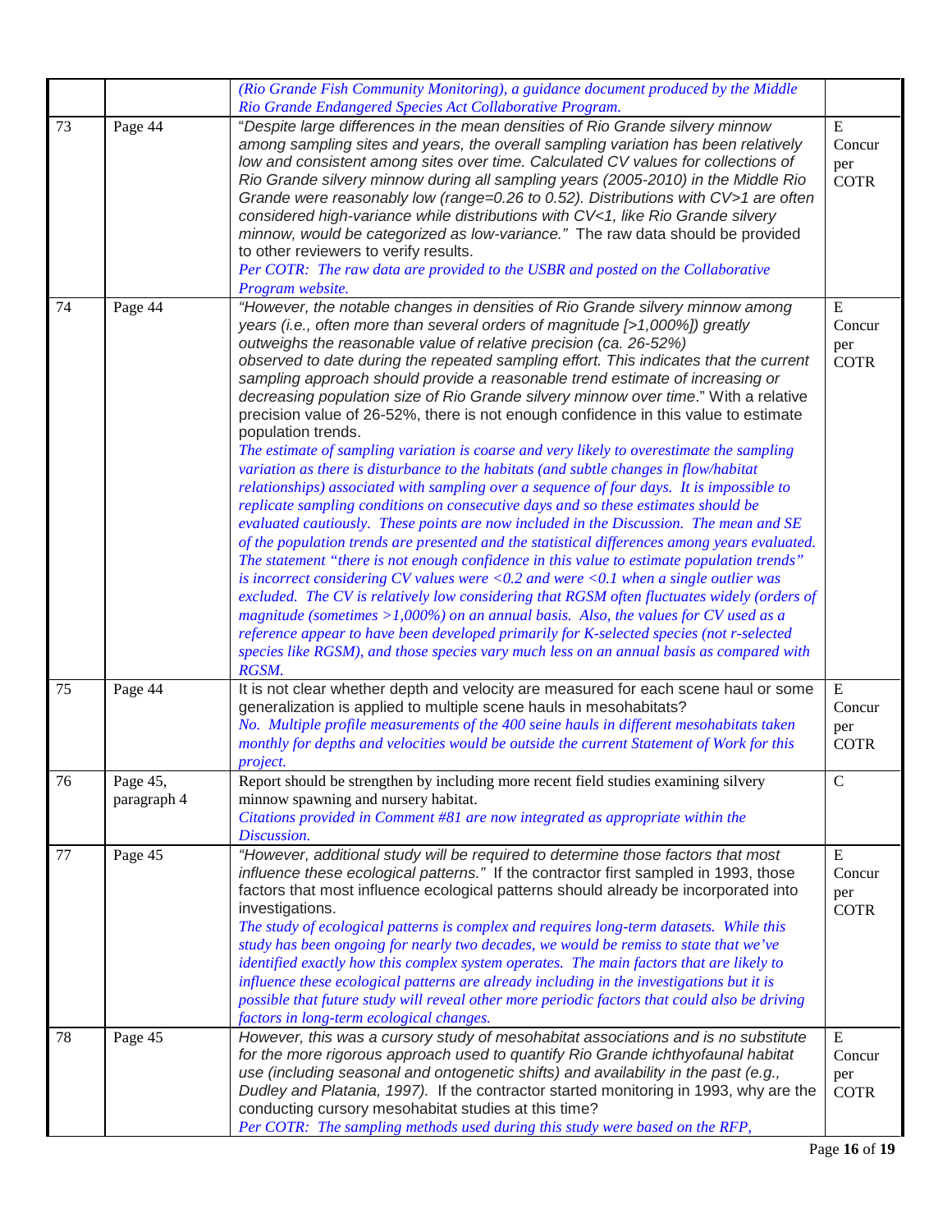|    |                         | (Rio Grande Fish Community Monitoring), a guidance document produced by the Middle                                                                                                                                                                                                                                                                                                                                                                                                                                                                                                                                                                                                                                                                                                                                                                                                                                                                                                                                                                                                                                                                                                                                                                                                                                                                                                                                                                                                                                                                                                                                                                                                                                                                                       |                                             |
|----|-------------------------|--------------------------------------------------------------------------------------------------------------------------------------------------------------------------------------------------------------------------------------------------------------------------------------------------------------------------------------------------------------------------------------------------------------------------------------------------------------------------------------------------------------------------------------------------------------------------------------------------------------------------------------------------------------------------------------------------------------------------------------------------------------------------------------------------------------------------------------------------------------------------------------------------------------------------------------------------------------------------------------------------------------------------------------------------------------------------------------------------------------------------------------------------------------------------------------------------------------------------------------------------------------------------------------------------------------------------------------------------------------------------------------------------------------------------------------------------------------------------------------------------------------------------------------------------------------------------------------------------------------------------------------------------------------------------------------------------------------------------------------------------------------------------|---------------------------------------------|
| 73 | Page 44                 | Rio Grande Endangered Species Act Collaborative Program.<br>"Despite large differences in the mean densities of Rio Grande silvery minnow<br>among sampling sites and years, the overall sampling variation has been relatively<br>low and consistent among sites over time. Calculated CV values for collections of<br>Rio Grande silvery minnow during all sampling years (2005-2010) in the Middle Rio<br>Grande were reasonably low (range=0.26 to 0.52). Distributions with CV>1 are often<br>considered high-variance while distributions with CV<1, like Rio Grande silvery<br>minnow, would be categorized as low-variance." The raw data should be provided<br>to other reviewers to verify results.<br>Per COTR: The raw data are provided to the USBR and posted on the Collaborative<br>Program website.                                                                                                                                                                                                                                                                                                                                                                                                                                                                                                                                                                                                                                                                                                                                                                                                                                                                                                                                                     | $\mathbf E$<br>Concur<br>per<br><b>COTR</b> |
| 74 | Page 44                 | "However, the notable changes in densities of Rio Grande silvery minnow among<br>years (i.e., often more than several orders of magnitude [>1,000%]) greatly<br>outweighs the reasonable value of relative precision (ca. 26-52%)<br>observed to date during the repeated sampling effort. This indicates that the current<br>sampling approach should provide a reasonable trend estimate of increasing or<br>decreasing population size of Rio Grande silvery minnow over time." With a relative<br>precision value of 26-52%, there is not enough confidence in this value to estimate<br>population trends.<br>The estimate of sampling variation is coarse and very likely to overestimate the sampling<br>variation as there is disturbance to the habitats (and subtle changes in flow/habitat<br>relationships) associated with sampling over a sequence of four days. It is impossible to<br>replicate sampling conditions on consecutive days and so these estimates should be<br>evaluated cautiously. These points are now included in the Discussion. The mean and SE<br>of the population trends are presented and the statistical differences among years evaluated.<br>The statement "there is not enough confidence in this value to estimate population trends"<br>is incorrect considering CV values were $<0.2$ and were $<0.1$ when a single outlier was<br>excluded. The CV is relatively low considering that RGSM often fluctuates widely (orders of<br>magnitude (sometimes $>1,000\%$ ) on an annual basis. Also, the values for CV used as a<br>reference appear to have been developed primarily for K-selected species (not r-selected<br>species like RGSM), and those species vary much less on an annual basis as compared with<br>RGSM. | E<br>Concur<br>per<br><b>COTR</b>           |
| 75 | Page 44                 | It is not clear whether depth and velocity are measured for each scene haul or some<br>generalization is applied to multiple scene hauls in mesohabitats?<br>No. Multiple profile measurements of the 400 seine hauls in different mesohabitats taken<br>monthly for depths and velocities would be outside the current Statement of Work for this<br>project.                                                                                                                                                                                                                                                                                                                                                                                                                                                                                                                                                                                                                                                                                                                                                                                                                                                                                                                                                                                                                                                                                                                                                                                                                                                                                                                                                                                                           | ${\bf E}$<br>Concur<br>per<br><b>COTR</b>   |
| 76 | Page 45,<br>paragraph 4 | Report should be strengthen by including more recent field studies examining silvery<br>minnow spawning and nursery habitat.<br>Citations provided in Comment #81 are now integrated as appropriate within the<br>Discussion.                                                                                                                                                                                                                                                                                                                                                                                                                                                                                                                                                                                                                                                                                                                                                                                                                                                                                                                                                                                                                                                                                                                                                                                                                                                                                                                                                                                                                                                                                                                                            | $\mathcal{C}$                               |
| 77 | Page 45                 | "However, additional study will be required to determine those factors that most<br>influence these ecological patterns." If the contractor first sampled in 1993, those<br>factors that most influence ecological patterns should already be incorporated into<br>investigations.<br>The study of ecological patterns is complex and requires long-term datasets. While this<br>study has been ongoing for nearly two decades, we would be remiss to state that we've<br>identified exactly how this complex system operates. The main factors that are likely to<br>influence these ecological patterns are already including in the investigations but it is<br>possible that future study will reveal other more periodic factors that could also be driving<br>factors in long-term ecological changes.                                                                                                                                                                                                                                                                                                                                                                                                                                                                                                                                                                                                                                                                                                                                                                                                                                                                                                                                                             | E<br>Concur<br>per<br><b>COTR</b>           |
| 78 | Page 45                 | However, this was a cursory study of mesohabitat associations and is no substitute<br>for the more rigorous approach used to quantify Rio Grande ichthyofaunal habitat<br>use (including seasonal and ontogenetic shifts) and availability in the past (e.g.,<br>Dudley and Platania, 1997). If the contractor started monitoring in 1993, why are the<br>conducting cursory mesohabitat studies at this time?<br>Per COTR: The sampling methods used during this study were based on the RFP,                                                                                                                                                                                                                                                                                                                                                                                                                                                                                                                                                                                                                                                                                                                                                                                                                                                                                                                                                                                                                                                                                                                                                                                                                                                                           | ${\bf E}$<br>Concur<br>per<br><b>COTR</b>   |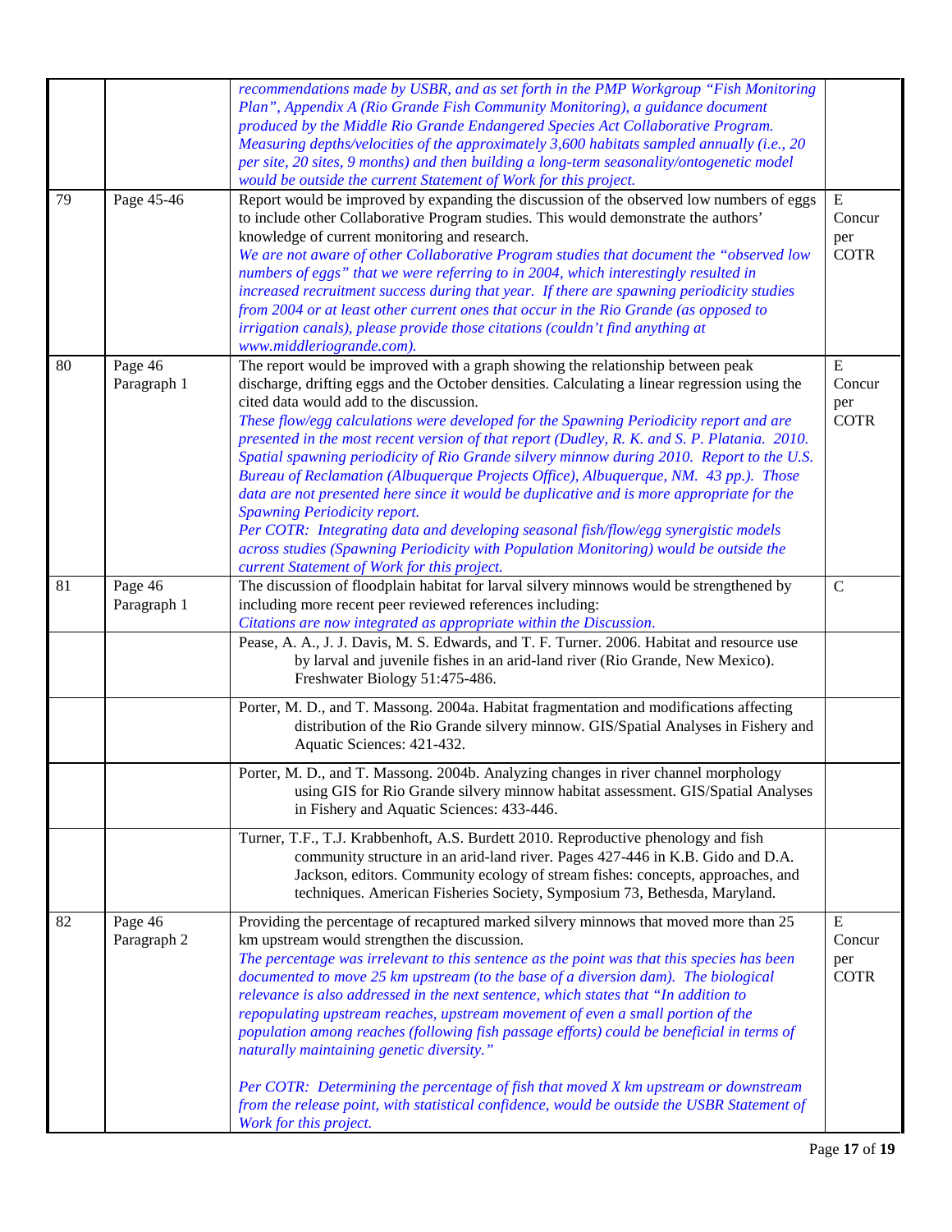| 79 | Page 45-46             | recommendations made by USBR, and as set forth in the PMP Workgroup "Fish Monitoring<br>Plan", Appendix A (Rio Grande Fish Community Monitoring), a guidance document<br>produced by the Middle Rio Grande Endangered Species Act Collaborative Program.<br>Measuring depths/velocities of the approximately 3,600 habitats sampled annually (i.e., 20<br>per site, 20 sites, 9 months) and then building a long-term seasonality/ontogenetic model<br>would be outside the current Statement of Work for this project.<br>Report would be improved by expanding the discussion of the observed low numbers of eggs                                                                                                                                                                                                                                                                                                                                                           | ${\bf E}$                                 |
|----|------------------------|-------------------------------------------------------------------------------------------------------------------------------------------------------------------------------------------------------------------------------------------------------------------------------------------------------------------------------------------------------------------------------------------------------------------------------------------------------------------------------------------------------------------------------------------------------------------------------------------------------------------------------------------------------------------------------------------------------------------------------------------------------------------------------------------------------------------------------------------------------------------------------------------------------------------------------------------------------------------------------|-------------------------------------------|
|    |                        | to include other Collaborative Program studies. This would demonstrate the authors'<br>knowledge of current monitoring and research.<br>We are not aware of other Collaborative Program studies that document the "observed low<br>numbers of eggs" that we were referring to in 2004, which interestingly resulted in<br>increased recruitment success during that year. If there are spawning periodicity studies<br>from 2004 or at least other current ones that occur in the Rio Grande (as opposed to<br>irrigation canals), please provide those citations (couldn't find anything at<br>www.middleriogrande.com).                                                                                                                                                                                                                                                                                                                                                     | Concur<br>per<br><b>COTR</b>              |
| 80 | Page 46<br>Paragraph 1 | The report would be improved with a graph showing the relationship between peak<br>discharge, drifting eggs and the October densities. Calculating a linear regression using the<br>cited data would add to the discussion.<br>These flow/egg calculations were developed for the Spawning Periodicity report and are<br>presented in the most recent version of that report (Dudley, R. K. and S. P. Platania. 2010.<br>Spatial spawning periodicity of Rio Grande silvery minnow during 2010. Report to the U.S.<br>Bureau of Reclamation (Albuquerque Projects Office), Albuquerque, NM. 43 pp.). Those<br>data are not presented here since it would be duplicative and is more appropriate for the<br><b>Spawning Periodicity report.</b><br>Per COTR: Integrating data and developing seasonal fish/flow/egg synergistic models<br>across studies (Spawning Periodicity with Population Monitoring) would be outside the<br>current Statement of Work for this project. | ${\bf E}$<br>Concur<br>per<br><b>COTR</b> |
| 81 | Page 46<br>Paragraph 1 | The discussion of floodplain habitat for larval silvery minnows would be strengthened by<br>including more recent peer reviewed references including:<br>Citations are now integrated as appropriate within the Discussion.<br>Pease, A. A., J. J. Davis, M. S. Edwards, and T. F. Turner. 2006. Habitat and resource use<br>by larval and juvenile fishes in an arid-land river (Rio Grande, New Mexico).<br>Freshwater Biology 51:475-486.                                                                                                                                                                                                                                                                                                                                                                                                                                                                                                                                  | $\mathbf C$                               |
|    |                        | Porter, M. D., and T. Massong. 2004a. Habitat fragmentation and modifications affecting<br>distribution of the Rio Grande silvery minnow. GIS/Spatial Analyses in Fishery and<br>Aquatic Sciences: 421-432.<br>Porter, M. D., and T. Massong. 2004b. Analyzing changes in river channel morphology<br>using GIS for Rio Grande silvery minnow habitat assessment. GIS/Spatial Analyses<br>in Fishery and Aquatic Sciences: 433-446.                                                                                                                                                                                                                                                                                                                                                                                                                                                                                                                                           |                                           |
|    |                        | Turner, T.F., T.J. Krabbenhoft, A.S. Burdett 2010. Reproductive phenology and fish<br>community structure in an arid-land river. Pages 427-446 in K.B. Gido and D.A.<br>Jackson, editors. Community ecology of stream fishes: concepts, approaches, and<br>techniques. American Fisheries Society, Symposium 73, Bethesda, Maryland.                                                                                                                                                                                                                                                                                                                                                                                                                                                                                                                                                                                                                                          |                                           |
| 82 | Page 46<br>Paragraph 2 | Providing the percentage of recaptured marked silvery minnows that moved more than 25<br>km upstream would strengthen the discussion.<br>The percentage was irrelevant to this sentence as the point was that this species has been<br>documented to move 25 km upstream (to the base of a diversion dam). The biological<br>relevance is also addressed in the next sentence, which states that "In addition to<br>repopulating upstream reaches, upstream movement of even a small portion of the<br>population among reaches (following fish passage efforts) could be beneficial in terms of<br>naturally maintaining genetic diversity."<br>Per COTR: Determining the percentage of fish that moved X km upstream or downstream<br>from the release point, with statistical confidence, would be outside the USBR Statement of<br>Work for this project.                                                                                                                 | E<br>Concur<br>per<br><b>COTR</b>         |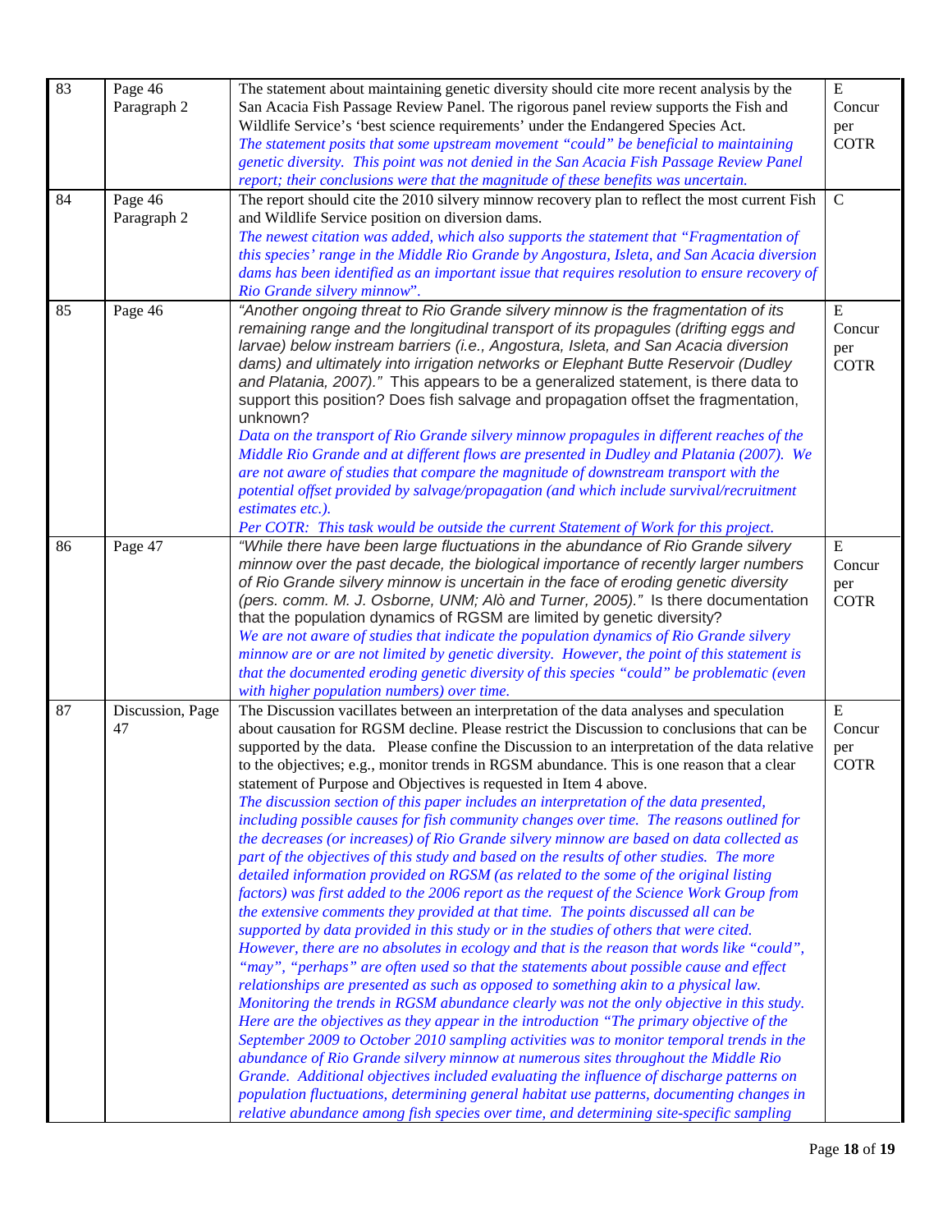| 83 | Page 46          | The statement about maintaining genetic diversity should cite more recent analysis by the                                                                                          | $\mathbf E$ |
|----|------------------|------------------------------------------------------------------------------------------------------------------------------------------------------------------------------------|-------------|
|    | Paragraph 2      | San Acacia Fish Passage Review Panel. The rigorous panel review supports the Fish and                                                                                              | Concur      |
|    |                  | Wildlife Service's 'best science requirements' under the Endangered Species Act.                                                                                                   | per         |
|    |                  | The statement posits that some upstream movement "could" be beneficial to maintaining                                                                                              | <b>COTR</b> |
|    |                  | genetic diversity. This point was not denied in the San Acacia Fish Passage Review Panel                                                                                           |             |
|    |                  | report; their conclusions were that the magnitude of these benefits was uncertain.                                                                                                 |             |
| 84 | Page 46          | The report should cite the 2010 silvery minnow recovery plan to reflect the most current Fish                                                                                      | $\mathbf C$ |
|    | Paragraph 2      | and Wildlife Service position on diversion dams.<br>The newest citation was added, which also supports the statement that "Fragmentation of                                        |             |
|    |                  | this species' range in the Middle Rio Grande by Angostura, Isleta, and San Acacia diversion                                                                                        |             |
|    |                  | dams has been identified as an important issue that requires resolution to ensure recovery of                                                                                      |             |
|    |                  | Rio Grande silvery minnow".                                                                                                                                                        |             |
| 85 | Page 46          | "Another ongoing threat to Rio Grande silvery minnow is the fragmentation of its                                                                                                   | ${\bf E}$   |
|    |                  | remaining range and the longitudinal transport of its propagules (drifting eggs and                                                                                                | Concur      |
|    |                  | larvae) below instream barriers (i.e., Angostura, Isleta, and San Acacia diversion                                                                                                 | per         |
|    |                  | dams) and ultimately into irrigation networks or Elephant Butte Reservoir (Dudley<br>and Platania, 2007)." This appears to be a generalized statement, is there data to            | <b>COTR</b> |
|    |                  | support this position? Does fish salvage and propagation offset the fragmentation,                                                                                                 |             |
|    |                  | unknown?                                                                                                                                                                           |             |
|    |                  | Data on the transport of Rio Grande silvery minnow propagules in different reaches of the                                                                                          |             |
|    |                  | Middle Rio Grande and at different flows are presented in Dudley and Platania (2007). We                                                                                           |             |
|    |                  | are not aware of studies that compare the magnitude of downstream transport with the                                                                                               |             |
|    |                  | potential offset provided by salvage/propagation (and which include survival/recruitment                                                                                           |             |
|    |                  | estimates etc.).                                                                                                                                                                   |             |
| 86 |                  | Per COTR: This task would be outside the current Statement of Work for this project.<br>"While there have been large fluctuations in the abundance of Rio Grande silvery           | ${\bf E}$   |
|    | Page 47          | minnow over the past decade, the biological importance of recently larger numbers                                                                                                  | Concur      |
|    |                  | of Rio Grande silvery minnow is uncertain in the face of eroding genetic diversity                                                                                                 | per         |
|    |                  | (pers. comm. M. J. Osborne, UNM; Alò and Turner, 2005)." Is there documentation                                                                                                    | <b>COTR</b> |
|    |                  | that the population dynamics of RGSM are limited by genetic diversity?                                                                                                             |             |
|    |                  | We are not aware of studies that indicate the population dynamics of Rio Grande silvery                                                                                            |             |
|    |                  | minnow are or are not limited by genetic diversity. However, the point of this statement is                                                                                        |             |
|    |                  | that the documented eroding genetic diversity of this species "could" be problematic (even                                                                                         |             |
| 87 | Discussion, Page | with higher population numbers) over time.<br>The Discussion vacillates between an interpretation of the data analyses and speculation                                             | ${\bf E}$   |
|    | 47               | about causation for RGSM decline. Please restrict the Discussion to conclusions that can be                                                                                        | Concur      |
|    |                  | supported by the data. Please confine the Discussion to an interpretation of the data relative                                                                                     | per         |
|    |                  | to the objectives; e.g., monitor trends in RGSM abundance. This is one reason that a clear                                                                                         | <b>COTR</b> |
|    |                  | statement of Purpose and Objectives is requested in Item 4 above.                                                                                                                  |             |
|    |                  | The discussion section of this paper includes an interpretation of the data presented,                                                                                             |             |
|    |                  | including possible causes for fish community changes over time. The reasons outlined for                                                                                           |             |
|    |                  | the decreases (or increases) of Rio Grande silvery minnow are based on data collected as                                                                                           |             |
|    |                  | part of the objectives of this study and based on the results of other studies. The more                                                                                           |             |
|    |                  | detailed information provided on RGSM (as related to the some of the original listing<br>factors) was first added to the 2006 report as the request of the Science Work Group from |             |
|    |                  | the extensive comments they provided at that time. The points discussed all can be                                                                                                 |             |
|    |                  | supported by data provided in this study or in the studies of others that were cited.                                                                                              |             |
|    |                  | However, there are no absolutes in ecology and that is the reason that words like "could",                                                                                         |             |
|    |                  | "may", "perhaps" are often used so that the statements about possible cause and effect                                                                                             |             |
|    |                  | relationships are presented as such as opposed to something akin to a physical law.                                                                                                |             |
|    |                  | Monitoring the trends in RGSM abundance clearly was not the only objective in this study.                                                                                          |             |
|    |                  | Here are the objectives as they appear in the introduction "The primary objective of the                                                                                           |             |
|    |                  | September 2009 to October 2010 sampling activities was to monitor temporal trends in the<br>abundance of Rio Grande silvery minnow at numerous sites throughout the Middle Rio     |             |
|    |                  | Grande. Additional objectives included evaluating the influence of discharge patterns on                                                                                           |             |
|    |                  | population fluctuations, determining general habitat use patterns, documenting changes in                                                                                          |             |
|    |                  | relative abundance among fish species over time, and determining site-specific sampling                                                                                            |             |